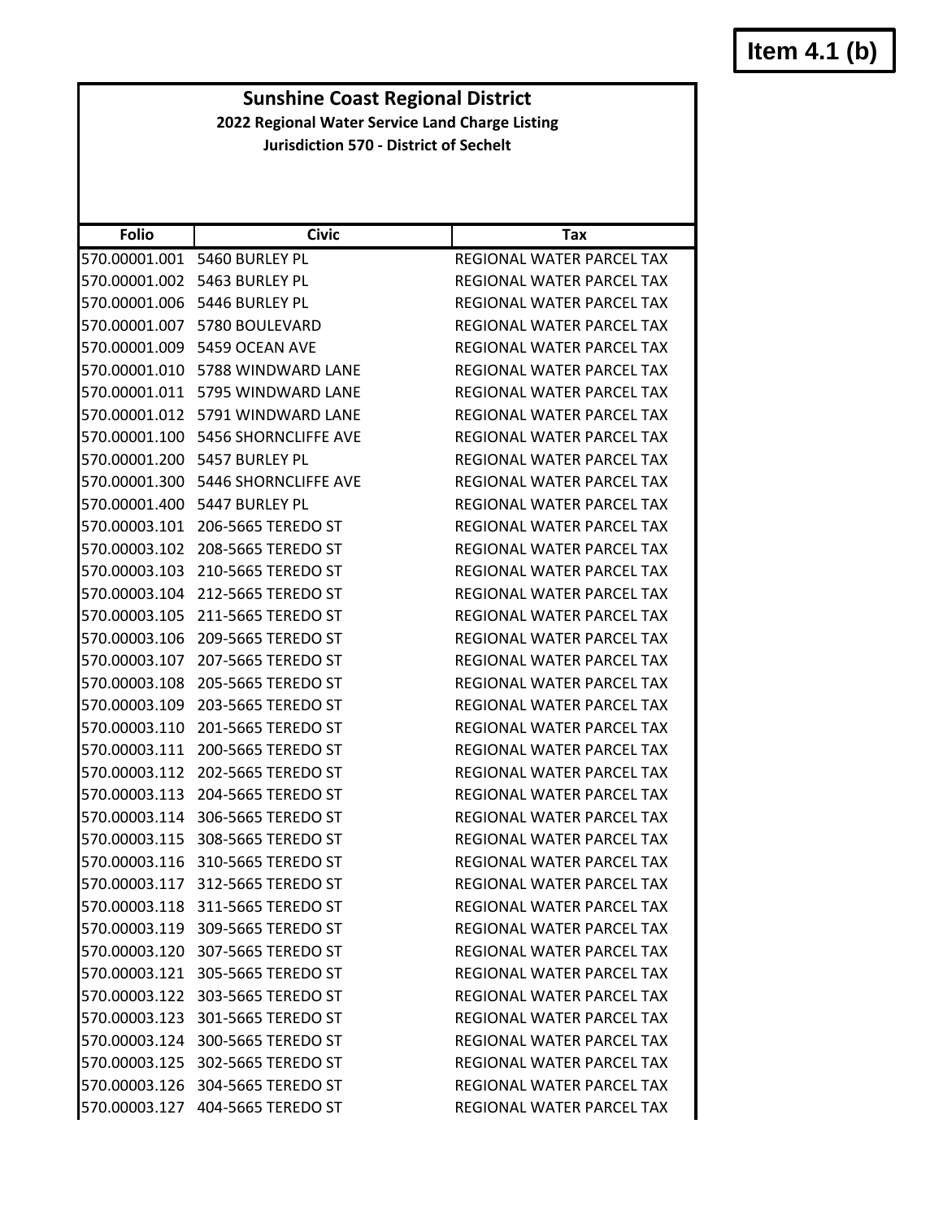# **Item 4.1 (b)**

**Sunshine Coast Regional District 2022 Regional Water Service Land Charge Listing**

**Jurisdiction 570 ‐ District of Sechelt**

| <b>Folio</b>  | <b>Civic</b>                     | <b>Tax</b>                       |
|---------------|----------------------------------|----------------------------------|
| 570.00001.001 | 5460 BURLEY PL                   | <b>REGIONAL WATER PARCEL TAX</b> |
| 570.00001.002 | 5463 BURLEY PL                   | REGIONAL WATER PARCEL TAX        |
| 570.00001.006 | 5446 BURLEY PL                   | REGIONAL WATER PARCEL TAX        |
| 570.00001.007 | 5780 BOULEVARD                   | REGIONAL WATER PARCEL TAX        |
| 570.00001.009 | 5459 OCEAN AVE                   | REGIONAL WATER PARCEL TAX        |
| 570.00001.010 | 5788 WINDWARD LANE               | <b>REGIONAL WATER PARCEL TAX</b> |
| 570.00001.011 | 5795 WINDWARD LANE               | <b>REGIONAL WATER PARCEL TAX</b> |
| 570.00001.012 | 5791 WINDWARD LANE               | REGIONAL WATER PARCEL TAX        |
| 570.00001.100 | 5456 SHORNCLIFFE AVE             | REGIONAL WATER PARCEL TAX        |
| 570.00001.200 | 5457 BURLEY PL                   | REGIONAL WATER PARCEL TAX        |
| 570.00001.300 | 5446 SHORNCLIFFE AVE             | REGIONAL WATER PARCEL TAX        |
| 570.00001.400 | 5447 BURLEY PL                   | REGIONAL WATER PARCEL TAX        |
| 570.00003.101 | 206-5665 TEREDO ST               | REGIONAL WATER PARCEL TAX        |
| 570.00003.102 | 208-5665 TEREDO ST               | REGIONAL WATER PARCEL TAX        |
| 570.00003.103 | 210-5665 TEREDO ST               | REGIONAL WATER PARCEL TAX        |
| 570.00003.104 | 212-5665 TEREDO ST               | REGIONAL WATER PARCEL TAX        |
| 570.00003.105 | 211-5665 TEREDO ST               | REGIONAL WATER PARCEL TAX        |
| 570.00003.106 | 209-5665 TEREDO ST               | REGIONAL WATER PARCEL TAX        |
| 570.00003.107 | 207-5665 TEREDO ST               | <b>REGIONAL WATER PARCEL TAX</b> |
| 570.00003.108 | 205-5665 TEREDO ST               | REGIONAL WATER PARCEL TAX        |
| 570.00003.109 | 203-5665 TEREDO ST               | REGIONAL WATER PARCEL TAX        |
| 570.00003.110 | 201-5665 TEREDO ST               | REGIONAL WATER PARCEL TAX        |
| 570.00003.111 | 200-5665 TEREDO ST               | REGIONAL WATER PARCEL TAX        |
| 570.00003.112 | 202-5665 TEREDO ST               | REGIONAL WATER PARCEL TAX        |
| 570.00003.113 | 204-5665 TEREDO ST               | REGIONAL WATER PARCEL TAX        |
| 570.00003.114 | 306-5665 TEREDO ST               | <b>REGIONAL WATER PARCEL TAX</b> |
| 570.00003.115 | 308-5665 TEREDO ST               | REGIONAL WATER PARCEL TAX        |
| 570.00003.116 | 310-5665 TEREDO ST               | REGIONAL WATER PARCEL TAX        |
| 570.00003.117 | 312-5665 TEREDO ST               | REGIONAL WATER PARCEL TAX        |
|               | 570.00003.118 311-5665 TEREDO ST | <b>REGIONAL WATER PARCEL TAX</b> |
|               | 570.00003.119 309-5665 TEREDO ST | REGIONAL WATER PARCEL TAX        |
|               | 570.00003.120 307-5665 TEREDO ST | REGIONAL WATER PARCEL TAX        |
| 570.00003.121 | 305-5665 TEREDO ST               | REGIONAL WATER PARCEL TAX        |
| 570.00003.122 | 303-5665 TEREDO ST               | REGIONAL WATER PARCEL TAX        |
| 570.00003.123 | 301-5665 TEREDO ST               | REGIONAL WATER PARCEL TAX        |
| 570.00003.124 | 300-5665 TEREDO ST               | REGIONAL WATER PARCEL TAX        |
| 570.00003.125 | 302-5665 TEREDO ST               | REGIONAL WATER PARCEL TAX        |
| 570.00003.126 | 304-5665 TEREDO ST               | REGIONAL WATER PARCEL TAX        |
| 570.00003.127 | 404-5665 TEREDO ST               | REGIONAL WATER PARCEL TAX        |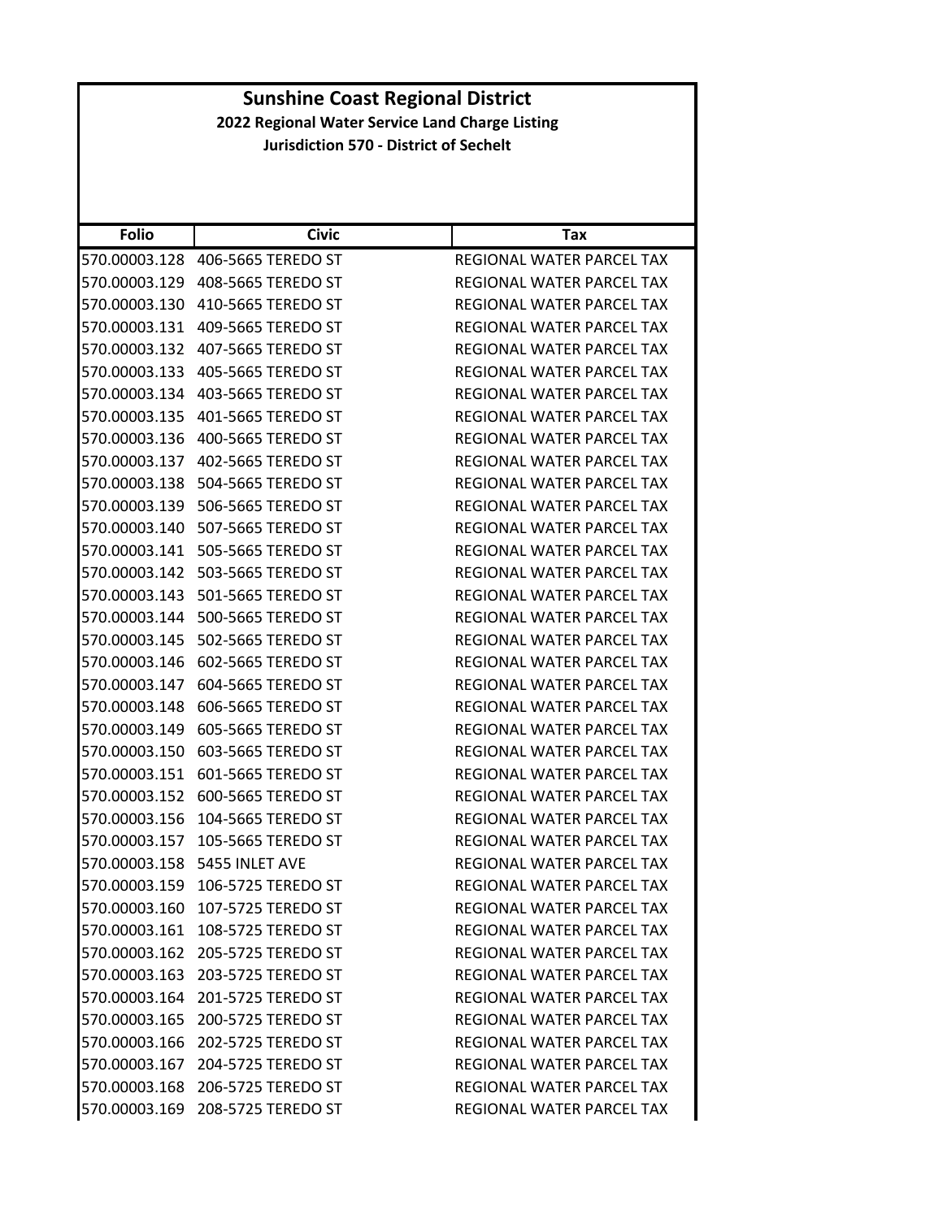| <b>Folio</b>  | <b>Civic</b>                     | Tax                              |
|---------------|----------------------------------|----------------------------------|
| 570.00003.128 | 406-5665 TEREDO ST               | REGIONAL WATER PARCEL TAX        |
| 570.00003.129 | 408-5665 TEREDO ST               | REGIONAL WATER PARCEL TAX        |
| 570.00003.130 | 410-5665 TEREDO ST               | REGIONAL WATER PARCEL TAX        |
| 570.00003.131 | 409-5665 TEREDO ST               | REGIONAL WATER PARCEL TAX        |
| 570.00003.132 | 407-5665 TEREDO ST               | REGIONAL WATER PARCEL TAX        |
| 570.00003.133 | 405-5665 TEREDO ST               | <b>REGIONAL WATER PARCEL TAX</b> |
| 570.00003.134 | 403-5665 TEREDO ST               | REGIONAL WATER PARCEL TAX        |
| 570.00003.135 | 401-5665 TEREDO ST               | REGIONAL WATER PARCEL TAX        |
| 570.00003.136 | 400-5665 TEREDO ST               | REGIONAL WATER PARCEL TAX        |
| 570.00003.137 | 402-5665 TEREDO ST               | REGIONAL WATER PARCEL TAX        |
| 570.00003.138 | 504-5665 TEREDO ST               | REGIONAL WATER PARCEL TAX        |
| 570.00003.139 | 506-5665 TEREDO ST               | REGIONAL WATER PARCEL TAX        |
| 570.00003.140 | 507-5665 TEREDO ST               | REGIONAL WATER PARCEL TAX        |
| 570.00003.141 | 505-5665 TEREDO ST               | <b>REGIONAL WATER PARCEL TAX</b> |
| 570.00003.142 | 503-5665 TEREDO ST               | REGIONAL WATER PARCEL TAX        |
| 570.00003.143 | 501-5665 TEREDO ST               | REGIONAL WATER PARCEL TAX        |
| 570.00003.144 | 500-5665 TEREDO ST               | REGIONAL WATER PARCEL TAX        |
| 570.00003.145 | 502-5665 TEREDO ST               | REGIONAL WATER PARCEL TAX        |
| 570.00003.146 | 602-5665 TEREDO ST               | REGIONAL WATER PARCEL TAX        |
| 570.00003.147 | 604-5665 TEREDO ST               | REGIONAL WATER PARCEL TAX        |
| 570.00003.148 | 606-5665 TEREDO ST               | REGIONAL WATER PARCEL TAX        |
| 570.00003.149 | 605-5665 TEREDO ST               | REGIONAL WATER PARCEL TAX        |
| 570.00003.150 | 603-5665 TEREDO ST               | REGIONAL WATER PARCEL TAX        |
| 570.00003.151 | 601-5665 TEREDO ST               | REGIONAL WATER PARCEL TAX        |
| 570.00003.152 | 600-5665 TEREDO ST               | REGIONAL WATER PARCEL TAX        |
| 570.00003.156 | 104-5665 TEREDO ST               | REGIONAL WATER PARCEL TAX        |
| 570.00003.157 | 105-5665 TEREDO ST               | <b>REGIONAL WATER PARCEL TAX</b> |
| 570.00003.158 | 5455 INLET AVE                   | REGIONAL WATER PARCEL TAX        |
| 570.00003.159 | 106-5725 TEREDO ST               | REGIONAL WATER PARCEL TAX        |
|               | 570.00003.160 107-5725 TEREDO ST | REGIONAL WATER PARCEL TAX        |
|               | 570.00003.161 108-5725 TEREDO ST | REGIONAL WATER PARCEL TAX        |
|               | 570.00003.162 205-5725 TEREDO ST | <b>REGIONAL WATER PARCEL TAX</b> |
|               | 570.00003.163 203-5725 TEREDO ST | REGIONAL WATER PARCEL TAX        |
|               | 570.00003.164 201-5725 TEREDO ST | REGIONAL WATER PARCEL TAX        |
|               | 570.00003.165 200-5725 TEREDO ST | REGIONAL WATER PARCEL TAX        |
|               | 570.00003.166 202-5725 TEREDO ST | REGIONAL WATER PARCEL TAX        |
| 570.00003.167 | 204-5725 TEREDO ST               | REGIONAL WATER PARCEL TAX        |
|               | 570.00003.168 206-5725 TEREDO ST | REGIONAL WATER PARCEL TAX        |
|               | 570.00003.169 208-5725 TEREDO ST | REGIONAL WATER PARCEL TAX        |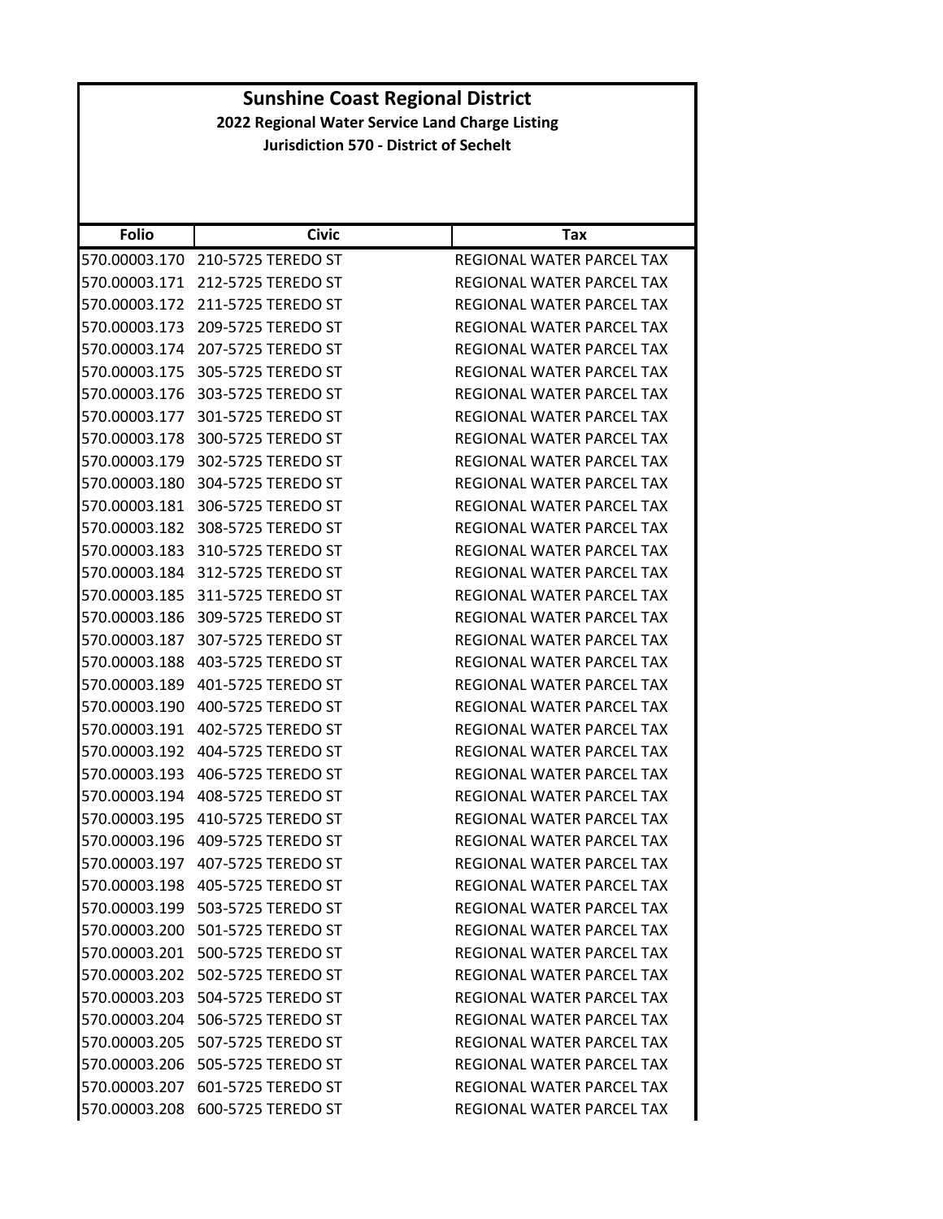| <b>Folio</b>  | Civic                               | Тах                              |
|---------------|-------------------------------------|----------------------------------|
| 570.00003.170 | 210-5725 TEREDO ST                  | REGIONAL WATER PARCEL TAX        |
| 570.00003.171 | 212-5725 TEREDO ST                  | REGIONAL WATER PARCEL TAX        |
| 570.00003.172 | 211-5725 TEREDO ST                  | <b>REGIONAL WATER PARCEL TAX</b> |
| 570.00003.173 | 209-5725 TEREDO ST                  | REGIONAL WATER PARCEL TAX        |
| 570.00003.174 | 207-5725 TEREDO ST                  | REGIONAL WATER PARCEL TAX        |
| 570.00003.175 | 305-5725 TEREDO ST                  | REGIONAL WATER PARCEL TAX        |
| 570.00003.176 | 303-5725 TEREDO ST                  | REGIONAL WATER PARCEL TAX        |
| 570.00003.177 | 301-5725 TEREDO ST                  | REGIONAL WATER PARCEL TAX        |
| 570.00003.178 | 300-5725 TEREDO ST                  | REGIONAL WATER PARCEL TAX        |
| 570.00003.179 | 302-5725 TEREDO ST                  | REGIONAL WATER PARCEL TAX        |
| 570.00003.180 | 304-5725 TEREDO ST                  | REGIONAL WATER PARCEL TAX        |
| 570.00003.181 | 306-5725 TEREDO ST                  | REGIONAL WATER PARCEL TAX        |
| 570.00003.182 | 308-5725 TEREDO ST                  | <b>REGIONAL WATER PARCEL TAX</b> |
| 570.00003.183 | 310-5725 TEREDO ST                  | <b>REGIONAL WATER PARCEL TAX</b> |
| 570.00003.184 | 312-5725 TEREDO ST                  | REGIONAL WATER PARCEL TAX        |
| 570.00003.185 | 311-5725 TEREDO ST                  | <b>REGIONAL WATER PARCEL TAX</b> |
| 570.00003.186 | 309-5725 TEREDO ST                  | REGIONAL WATER PARCEL TAX        |
| 570.00003.187 | 307-5725 TEREDO ST                  | <b>REGIONAL WATER PARCEL TAX</b> |
| 570.00003.188 | 403-5725 TEREDO ST                  | REGIONAL WATER PARCEL TAX        |
| 570.00003.189 | 401-5725 TEREDO ST                  | REGIONAL WATER PARCEL TAX        |
| 570.00003.190 | 400-5725 TEREDO ST                  | REGIONAL WATER PARCEL TAX        |
| 570.00003.191 | 402-5725 TEREDO ST                  | REGIONAL WATER PARCEL TAX        |
| 570.00003.192 | 404-5725 TEREDO ST                  | REGIONAL WATER PARCEL TAX        |
| 570.00003.193 | 406-5725 TEREDO ST                  | REGIONAL WATER PARCEL TAX        |
| 570.00003.194 | 408-5725 TEREDO ST                  | REGIONAL WATER PARCEL TAX        |
| 570.00003.195 | 410-5725 TEREDO ST                  | REGIONAL WATER PARCEL TAX        |
| 570.00003.196 | 409-5725 TEREDO ST                  | REGIONAL WATER PARCEL TAX        |
| 570.00003.197 | 407-5725 TEREDO ST                  | REGIONAL WATER PARCEL TAX        |
| 570.00003.198 | 405-5725 TEREDO ST                  | <b>REGIONAL WATER PARCEL TAX</b> |
|               | 570.00003.199    503-5725 TEREDO ST | REGIONAL WATER PARCEL TAX        |
|               | 570.00003.200 501-5725 TEREDO ST    | REGIONAL WATER PARCEL TAX        |
|               | 570.00003.201 500-5725 TEREDO ST    | REGIONAL WATER PARCEL TAX        |
| 570.00003.202 | 502-5725 TEREDO ST                  | <b>REGIONAL WATER PARCEL TAX</b> |
|               | 570.00003.203 504-5725 TEREDO ST    | REGIONAL WATER PARCEL TAX        |
| 570.00003.204 | 506-5725 TEREDO ST                  | REGIONAL WATER PARCEL TAX        |
|               | 570.00003.205 507-5725 TEREDO ST    | REGIONAL WATER PARCEL TAX        |
| 570.00003.206 | 505-5725 TEREDO ST                  | REGIONAL WATER PARCEL TAX        |
| 570.00003.207 | 601-5725 TEREDO ST                  | <b>REGIONAL WATER PARCEL TAX</b> |
| 570.00003.208 | 600-5725 TEREDO ST                  | REGIONAL WATER PARCEL TAX        |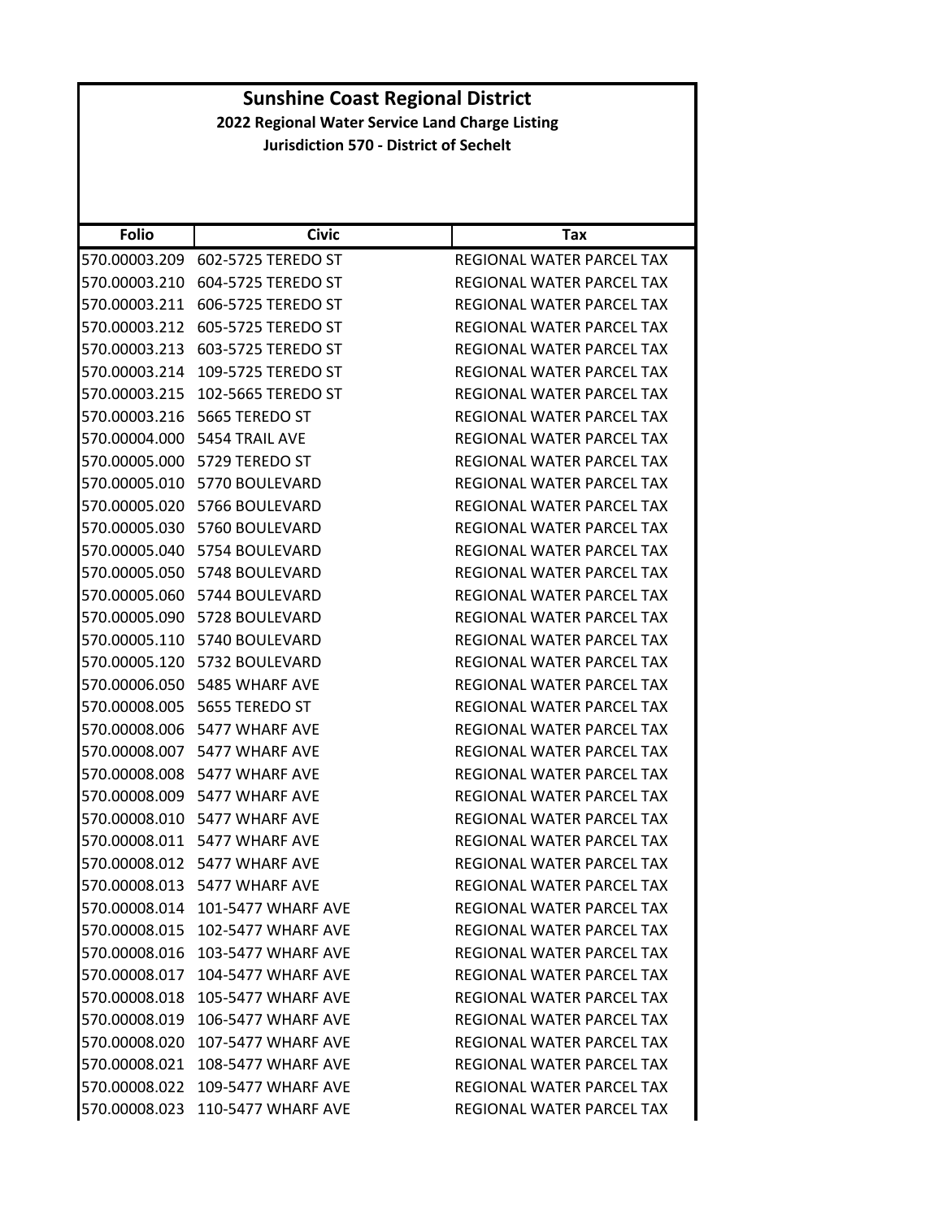| <b>Folio</b>  | <b>Civic</b>                     | <b>Tax</b>                       |
|---------------|----------------------------------|----------------------------------|
| 570.00003.209 | 602-5725 TEREDO ST               | REGIONAL WATER PARCEL TAX        |
| 570.00003.210 | 604-5725 TEREDO ST               | REGIONAL WATER PARCEL TAX        |
| 570.00003.211 | 606-5725 TEREDO ST               | REGIONAL WATER PARCEL TAX        |
| 570.00003.212 | 605-5725 TEREDO ST               | REGIONAL WATER PARCEL TAX        |
| 570.00003.213 | 603-5725 TEREDO ST               | REGIONAL WATER PARCEL TAX        |
| 570.00003.214 | 109-5725 TEREDO ST               | REGIONAL WATER PARCEL TAX        |
| 570.00003.215 | 102-5665 TEREDO ST               | REGIONAL WATER PARCEL TAX        |
| 570.00003.216 | 5665 TEREDO ST                   | REGIONAL WATER PARCEL TAX        |
|               | 570.00004.000 5454 TRAIL AVE     | REGIONAL WATER PARCEL TAX        |
| 570.00005.000 | 5729 TEREDO ST                   | REGIONAL WATER PARCEL TAX        |
| 570.00005.010 | 5770 BOULEVARD                   | REGIONAL WATER PARCEL TAX        |
| 570.00005.020 | 5766 BOULEVARD                   | REGIONAL WATER PARCEL TAX        |
| 570.00005.030 | 5760 BOULEVARD                   | REGIONAL WATER PARCEL TAX        |
|               | 570.00005.040 5754 BOULEVARD     | REGIONAL WATER PARCEL TAX        |
| 570.00005.050 | 5748 BOULEVARD                   | REGIONAL WATER PARCEL TAX        |
|               | 570.00005.060 5744 BOULEVARD     | REGIONAL WATER PARCEL TAX        |
| 570.00005.090 | 5728 BOULEVARD                   | REGIONAL WATER PARCEL TAX        |
|               | 570.00005.110 5740 BOULEVARD     | REGIONAL WATER PARCEL TAX        |
|               | 570.00005.120 5732 BOULEVARD     | REGIONAL WATER PARCEL TAX        |
| 570.00006.050 | 5485 WHARF AVE                   | REGIONAL WATER PARCEL TAX        |
|               | 570.00008.005 5655 TEREDO ST     | REGIONAL WATER PARCEL TAX        |
| 570.00008.006 | 5477 WHARF AVE                   | REGIONAL WATER PARCEL TAX        |
|               | 570.00008.007 5477 WHARF AVE     | REGIONAL WATER PARCEL TAX        |
| 570.00008.008 | 5477 WHARF AVE                   | REGIONAL WATER PARCEL TAX        |
| 570.00008.009 | 5477 WHARF AVE                   | REGIONAL WATER PARCEL TAX        |
|               | 570.00008.010 5477 WHARF AVE     | REGIONAL WATER PARCEL TAX        |
|               | 570.00008.011 5477 WHARF AVE     | REGIONAL WATER PARCEL TAX        |
|               | 570.00008.012 5477 WHARF AVE     | REGIONAL WATER PARCEL TAX        |
|               | 570.00008.013 5477 WHARF AVE     | REGIONAL WATER PARCEL TAX        |
|               | 570.00008.014 101-5477 WHARF AVE | REGIONAL WATER PARCEL TAX        |
| 570.00008.015 | 102-5477 WHARF AVE               | REGIONAL WATER PARCEL TAX        |
| 570.00008.016 | 103-5477 WHARF AVE               | REGIONAL WATER PARCEL TAX        |
| 570.00008.017 | 104-5477 WHARF AVE               | REGIONAL WATER PARCEL TAX        |
| 570.00008.018 | 105-5477 WHARF AVE               | REGIONAL WATER PARCEL TAX        |
| 570.00008.019 | 106-5477 WHARF AVE               | REGIONAL WATER PARCEL TAX        |
| 570.00008.020 | <b>107-5477 WHARF AVE</b>        | <b>REGIONAL WATER PARCEL TAX</b> |
| 570.00008.021 | <b>108-5477 WHARF AVE</b>        | <b>REGIONAL WATER PARCEL TAX</b> |
| 570.00008.022 | 109-5477 WHARF AVE               | REGIONAL WATER PARCEL TAX        |
| 570.00008.023 | 110-5477 WHARF AVE               | REGIONAL WATER PARCEL TAX        |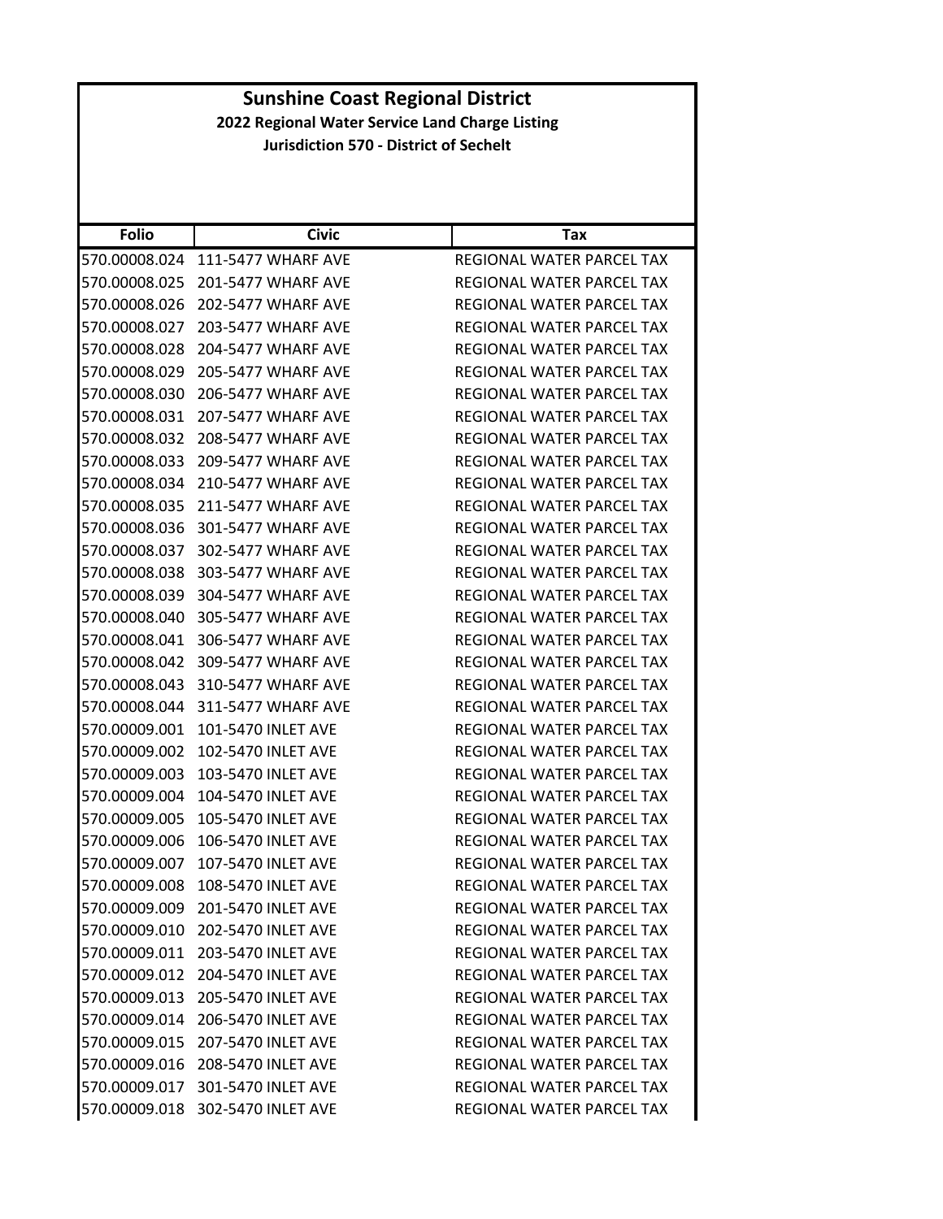| <b>Folio</b>  | <b>Civic</b>                     | Tax                              |
|---------------|----------------------------------|----------------------------------|
| 570.00008.024 | 111-5477 WHARF AVE               | REGIONAL WATER PARCEL TAX        |
| 570.00008.025 | 201-5477 WHARF AVE               | REGIONAL WATER PARCEL TAX        |
| 570.00008.026 | 202-5477 WHARF AVE               | REGIONAL WATER PARCEL TAX        |
| 570.00008.027 | 203-5477 WHARF AVE               | REGIONAL WATER PARCEL TAX        |
| 570.00008.028 | 204-5477 WHARF AVE               | REGIONAL WATER PARCEL TAX        |
| 570.00008.029 | 205-5477 WHARF AVE               | REGIONAL WATER PARCEL TAX        |
| 570.00008.030 | 206-5477 WHARF AVE               | <b>REGIONAL WATER PARCEL TAX</b> |
| 570.00008.031 | 207-5477 WHARF AVE               | REGIONAL WATER PARCEL TAX        |
| 570.00008.032 | 208-5477 WHARF AVE               | REGIONAL WATER PARCEL TAX        |
| 570.00008.033 | 209-5477 WHARF AVE               | REGIONAL WATER PARCEL TAX        |
| 570.00008.034 | 210-5477 WHARF AVE               | REGIONAL WATER PARCEL TAX        |
| 570.00008.035 | 211-5477 WHARF AVE               | REGIONAL WATER PARCEL TAX        |
| 570.00008.036 | 301-5477 WHARF AVE               | REGIONAL WATER PARCEL TAX        |
| 570.00008.037 | 302-5477 WHARF AVE               | REGIONAL WATER PARCEL TAX        |
| 570.00008.038 | 303-5477 WHARF AVE               | REGIONAL WATER PARCEL TAX        |
| 570.00008.039 | 304-5477 WHARF AVE               | REGIONAL WATER PARCEL TAX        |
| 570.00008.040 | 305-5477 WHARF AVE               | <b>REGIONAL WATER PARCEL TAX</b> |
| 570.00008.041 | 306-5477 WHARF AVE               | REGIONAL WATER PARCEL TAX        |
| 570.00008.042 | 309-5477 WHARF AVE               | REGIONAL WATER PARCEL TAX        |
| 570.00008.043 | 310-5477 WHARF AVE               | REGIONAL WATER PARCEL TAX        |
| 570.00008.044 | 311-5477 WHARF AVE               | REGIONAL WATER PARCEL TAX        |
| 570.00009.001 | 101-5470 INLET AVE               | REGIONAL WATER PARCEL TAX        |
| 570.00009.002 | 102-5470 INLET AVE               | REGIONAL WATER PARCEL TAX        |
| 570.00009.003 | 103-5470 INLET AVE               | REGIONAL WATER PARCEL TAX        |
| 570.00009.004 | 104-5470 INLET AVE               | REGIONAL WATER PARCEL TAX        |
| 570.00009.005 | 105-5470 INLET AVE               | REGIONAL WATER PARCEL TAX        |
| 570.00009.006 | 106-5470 INLET AVE               | REGIONAL WATER PARCEL TAX        |
| 570.00009.007 | 107-5470 INLET AVE               | REGIONAL WATER PARCEL TAX        |
| 570.00009.008 | 108-5470 INLET AVE               | REGIONAL WATER PARCEL TAX        |
| 570.00009.009 | 201-5470 INLET AVE               | REGIONAL WATER PARCEL TAX        |
|               | 570.00009.010 202-5470 INLET AVE | REGIONAL WATER PARCEL TAX        |
|               | 570.00009.011 203-5470 INLET AVE | REGIONAL WATER PARCEL TAX        |
| 570.00009.012 | 204-5470 INLET AVE               | REGIONAL WATER PARCEL TAX        |
| 570.00009.013 | 205-5470 INLET AVE               | REGIONAL WATER PARCEL TAX        |
| 570.00009.014 | 206-5470 INLET AVE               | <b>REGIONAL WATER PARCEL TAX</b> |
| 570.00009.015 | 207-5470 INLET AVE               | REGIONAL WATER PARCEL TAX        |
|               | 570.00009.016 208-5470 INLET AVE | REGIONAL WATER PARCEL TAX        |
| 570.00009.017 | 301-5470 INLET AVE               | REGIONAL WATER PARCEL TAX        |
|               | 570.00009.018 302-5470 INLET AVE | REGIONAL WATER PARCEL TAX        |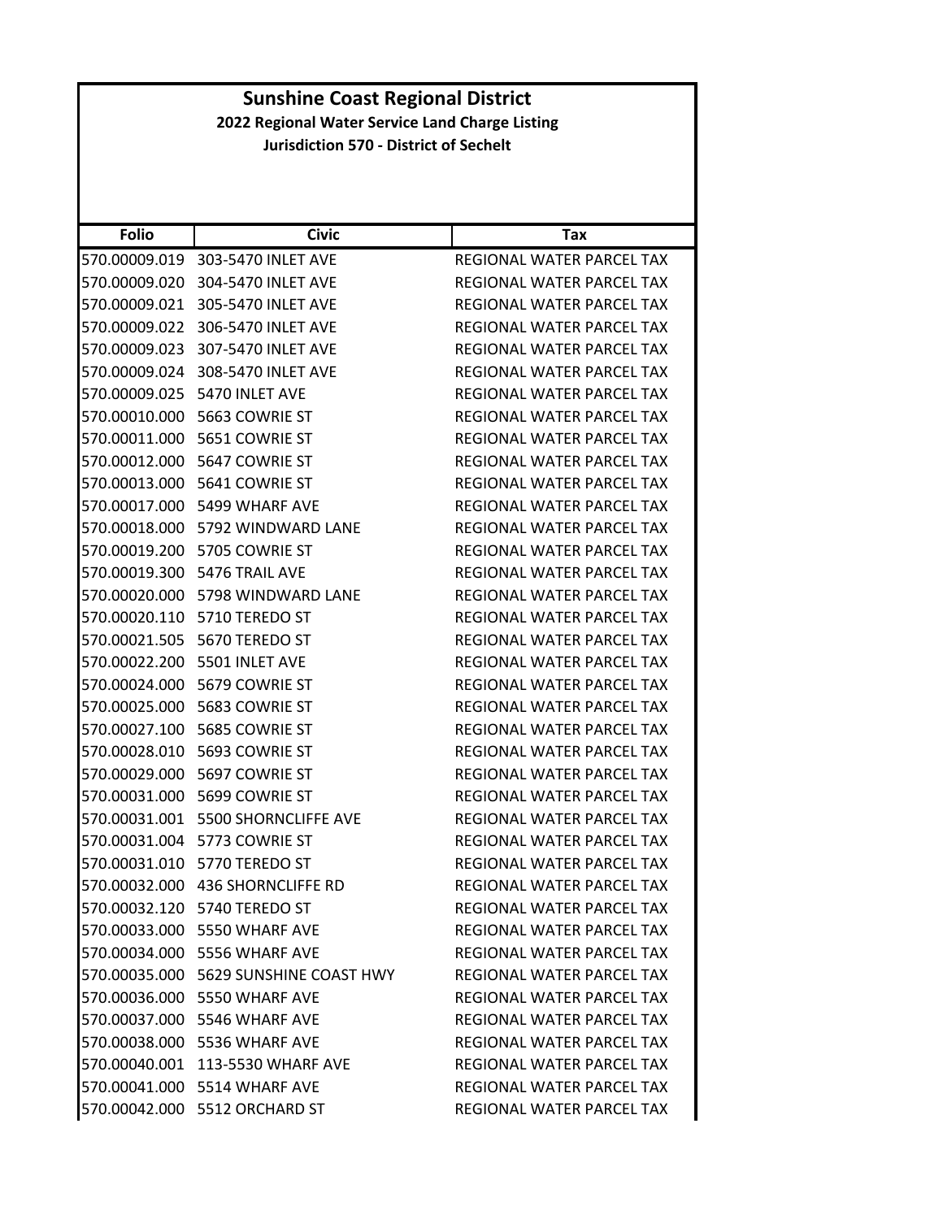| <b>Sunshine Coast Regional District</b>         |                                       |                                  |
|-------------------------------------------------|---------------------------------------|----------------------------------|
| 2022 Regional Water Service Land Charge Listing |                                       |                                  |
| <b>Jurisdiction 570 - District of Sechelt</b>   |                                       |                                  |
|                                                 |                                       |                                  |
|                                                 |                                       |                                  |
|                                                 |                                       |                                  |
| <b>Folio</b>                                    | <b>Civic</b>                          | Tax                              |
|                                                 | 570.00009.019 303-5470 INLET AVE      | <b>REGIONAL WATER PARCEL TAX</b> |
|                                                 | 570.00009.020 304-5470 INLET AVE      | REGIONAL WATER PARCEL TAX        |
| 570.00009.021                                   | 305-5470 INLET AVE                    | REGIONAL WATER PARCEL TAX        |
| 570.00009.022                                   | 306-5470 INLET AVE                    | REGIONAL WATER PARCEL TAX        |
|                                                 | 570.00009.023 307-5470 INLET AVE      | REGIONAL WATER PARCEL TAX        |
| 570.00009.024                                   | 308-5470 INLET AVE                    | REGIONAL WATER PARCEL TAX        |
|                                                 | 570.00009.025 5470 INLET AVE          | REGIONAL WATER PARCEL TAX        |
| 570.00010.000                                   | 5663 COWRIE ST                        | REGIONAL WATER PARCEL TAX        |
|                                                 | 570.00011.000 5651 COWRIE ST          | REGIONAL WATER PARCEL TAX        |
|                                                 | 570.00012.000    5647 COWRIE ST       | REGIONAL WATER PARCEL TAX        |
|                                                 | 570.00013.000    5641    COWRIE ST    | REGIONAL WATER PARCEL TAX        |
|                                                 | 570.00017.000 5499 WHARF AVE          | REGIONAL WATER PARCEL TAX        |
| 570.00018.000                                   | 5792 WINDWARD LANE                    | REGIONAL WATER PARCEL TAX        |
|                                                 | 570.00019.200 5705 COWRIE ST          | REGIONAL WATER PARCEL TAX        |
|                                                 | 570.00019.300 5476 TRAIL AVE          | REGIONAL WATER PARCEL TAX        |
|                                                 | 570.00020.000 5798 WINDWARD LANE      | REGIONAL WATER PARCEL TAX        |
|                                                 | 570.00020.110 5710 TEREDO ST          | REGIONAL WATER PARCEL TAX        |
|                                                 | 570.00021.505 5670 TEREDO ST          | REGIONAL WATER PARCEL TAX        |
|                                                 | 570.00022.200 5501 INLET AVE          | REGIONAL WATER PARCEL TAX        |
|                                                 | 570.00024.000 5679 COWRIE ST          | REGIONAL WATER PARCEL TAX        |
|                                                 | 570.00025.000    5683    COWRIE ST    | REGIONAL WATER PARCEL TAX        |
|                                                 | 570.00027.100 5685 COWRIE ST          | REGIONAL WATER PARCEL TAX        |
|                                                 | 570.00028.010    5693    COWRIE ST    | <b>REGIONAL WATER PARCEL TAX</b> |
|                                                 | 570.00029.000 5697 COWRIE ST          | REGIONAL WATER PARCEL TAX        |
|                                                 | 570.00031.000 5699 COWRIE ST          | REGIONAL WATER PARCEL TAX        |
|                                                 | 570.00031.001 5500 SHORNCLIFFE AVE    | REGIONAL WATER PARCEL TAX        |
|                                                 | 570.00031.004 5773 COWRIE ST          | REGIONAL WATER PARCEL TAX        |
|                                                 | 570.00031.010 5770 TEREDO ST          | REGIONAL WATER PARCEL TAX        |
|                                                 | 570.00032.000 436 SHORNCLIFFE RD      | REGIONAL WATER PARCEL TAX        |
|                                                 | 570.00032.120 5740 TEREDO ST          | REGIONAL WATER PARCEL TAX        |
|                                                 | 570.00033.000 5550 WHARF AVE          | REGIONAL WATER PARCEL TAX        |
|                                                 | 570.00034.000 5556 WHARF AVE          | REGIONAL WATER PARCEL TAX        |
|                                                 | 570.00035.000 5629 SUNSHINE COAST HWY | REGIONAL WATER PARCEL TAX        |
|                                                 | 570.00036.000 5550 WHARF AVE          | REGIONAL WATER PARCEL TAX        |
|                                                 | 570.00037.000 5546 WHARF AVE          | REGIONAL WATER PARCEL TAX        |
|                                                 | 570.00038.000 5536 WHARF AVE          | REGIONAL WATER PARCEL TAX        |
|                                                 | 570.00040.001 113-5530 WHARF AVE      | REGIONAL WATER PARCEL TAX        |
|                                                 | 570.00041.000 5514 WHARF AVE          | REGIONAL WATER PARCEL TAX        |
|                                                 | 570.00042.000 5512 ORCHARD ST         | REGIONAL WATER PARCEL TAX        |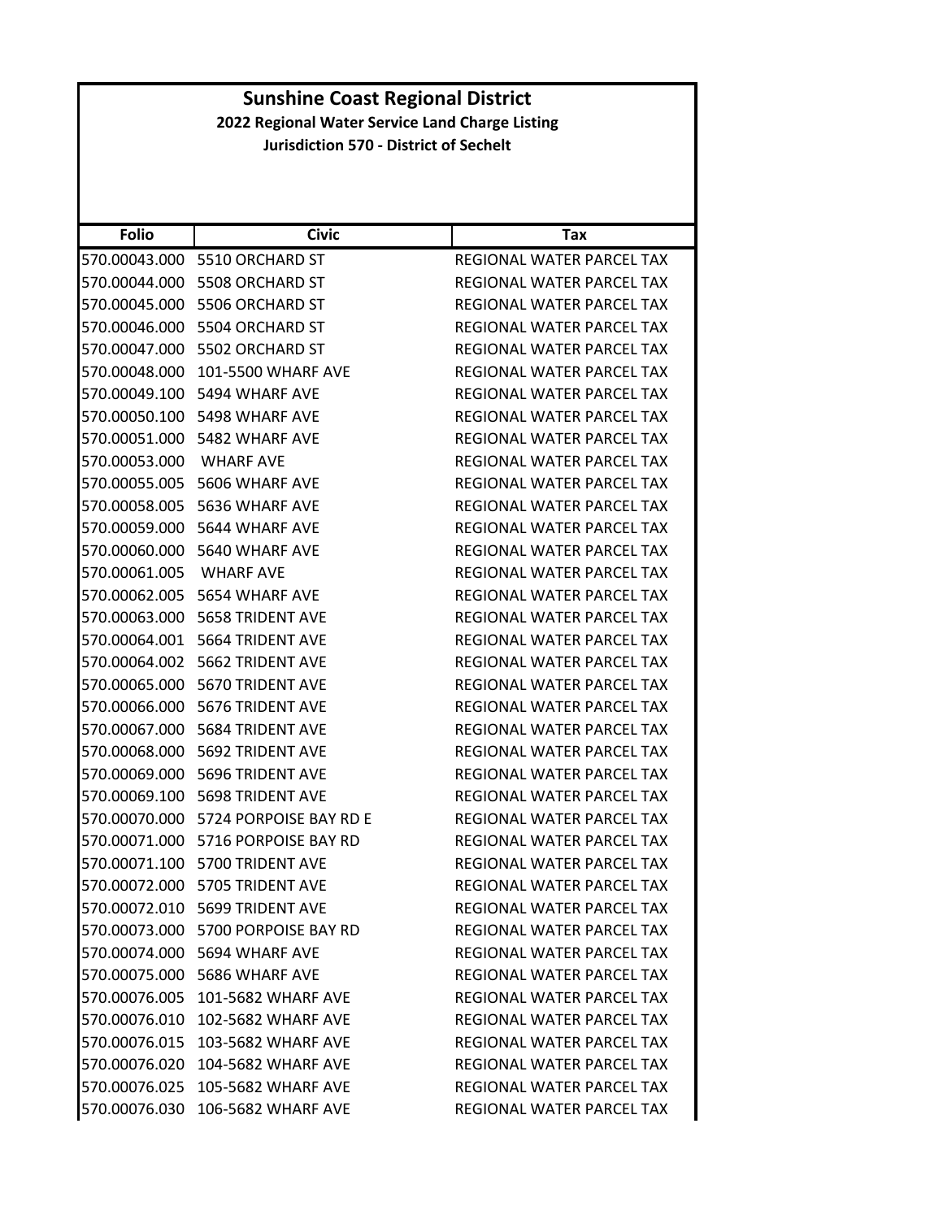| <b>Folio</b>  | <b>Civic</b>                         | Tax                              |
|---------------|--------------------------------------|----------------------------------|
| 570.00043.000 | 5510 ORCHARD ST                      | REGIONAL WATER PARCEL TAX        |
| 570.00044.000 | 5508 ORCHARD ST                      | REGIONAL WATER PARCEL TAX        |
| 570.00045.000 | 5506 ORCHARD ST                      | REGIONAL WATER PARCEL TAX        |
|               | 570.00046.000 5504 ORCHARD ST        | REGIONAL WATER PARCEL TAX        |
|               | 570.00047.000 5502 ORCHARD ST        | REGIONAL WATER PARCEL TAX        |
| 570.00048.000 | 101-5500 WHARF AVE                   | REGIONAL WATER PARCEL TAX        |
|               | 570.00049.100 5494 WHARF AVE         | <b>REGIONAL WATER PARCEL TAX</b> |
| 570.00050.100 | 5498 WHARF AVE                       | REGIONAL WATER PARCEL TAX        |
|               | 570.00051.000 5482 WHARF AVE         | REGIONAL WATER PARCEL TAX        |
| 570.00053.000 | <b>WHARF AVE</b>                     | REGIONAL WATER PARCEL TAX        |
| 570.00055.005 | 5606 WHARF AVE                       | REGIONAL WATER PARCEL TAX        |
| 570.00058.005 | 5636 WHARF AVE                       | REGIONAL WATER PARCEL TAX        |
| 570.00059.000 | 5644 WHARF AVE                       | REGIONAL WATER PARCEL TAX        |
|               | 570.00060.000 5640 WHARF AVE         | <b>REGIONAL WATER PARCEL TAX</b> |
| 570.00061.005 | <b>WHARF AVE</b>                     | REGIONAL WATER PARCEL TAX        |
| 570.00062.005 | 5654 WHARF AVE                       | REGIONAL WATER PARCEL TAX        |
|               | 570.00063.000    5658 TRIDENT AVE    | REGIONAL WATER PARCEL TAX        |
|               | 570.00064.001 5664 TRIDENT AVE       | REGIONAL WATER PARCEL TAX        |
|               | 570.00064.002 5662 TRIDENT AVE       | REGIONAL WATER PARCEL TAX        |
| 570.00065.000 | 5670 TRIDENT AVE                     | REGIONAL WATER PARCEL TAX        |
|               | 570.00066.000 5676 TRIDENT AVE       | REGIONAL WATER PARCEL TAX        |
| 570.00067.000 | 5684 TRIDENT AVE                     | REGIONAL WATER PARCEL TAX        |
|               | 570.00068.000 5692 TRIDENT AVE       | REGIONAL WATER PARCEL TAX        |
| 570.00069.000 | 5696 TRIDENT AVE                     | REGIONAL WATER PARCEL TAX        |
| 570.00069.100 | 5698 TRIDENT AVE                     | REGIONAL WATER PARCEL TAX        |
|               | 570.00070.000 5724 PORPOISE BAY RD E | REGIONAL WATER PARCEL TAX        |
| 570.00071.000 | 5716 PORPOISE BAY RD                 | <b>REGIONAL WATER PARCEL TAX</b> |
|               | 570.00071.100 5700 TRIDENT AVE       | REGIONAL WATER PARCEL TAX        |
|               | 570.00072.000 5705 TRIDENT AVE       | REGIONAL WATER PARCEL TAX        |
|               | 570.00072.010 5699 TRIDENT AVE       | REGIONAL WATER PARCEL TAX        |
|               | 570.00073.000 5700 PORPOISE BAY RD   | REGIONAL WATER PARCEL TAX        |
|               | 570.00074.000 5694 WHARF AVE         | REGIONAL WATER PARCEL TAX        |
|               | 570.00075.000 5686 WHARF AVE         | REGIONAL WATER PARCEL TAX        |
|               | 570.00076.005 101-5682 WHARF AVE     | REGIONAL WATER PARCEL TAX        |
|               | 570.00076.010 102-5682 WHARF AVE     | REGIONAL WATER PARCEL TAX        |
|               | 570.00076.015 103-5682 WHARF AVE     | REGIONAL WATER PARCEL TAX        |
| 570.00076.020 | 104-5682 WHARF AVE                   | <b>REGIONAL WATER PARCEL TAX</b> |
| 570.00076.025 | 105-5682 WHARF AVE                   | REGIONAL WATER PARCEL TAX        |
| 570.00076.030 | 106-5682 WHARF AVE                   | REGIONAL WATER PARCEL TAX        |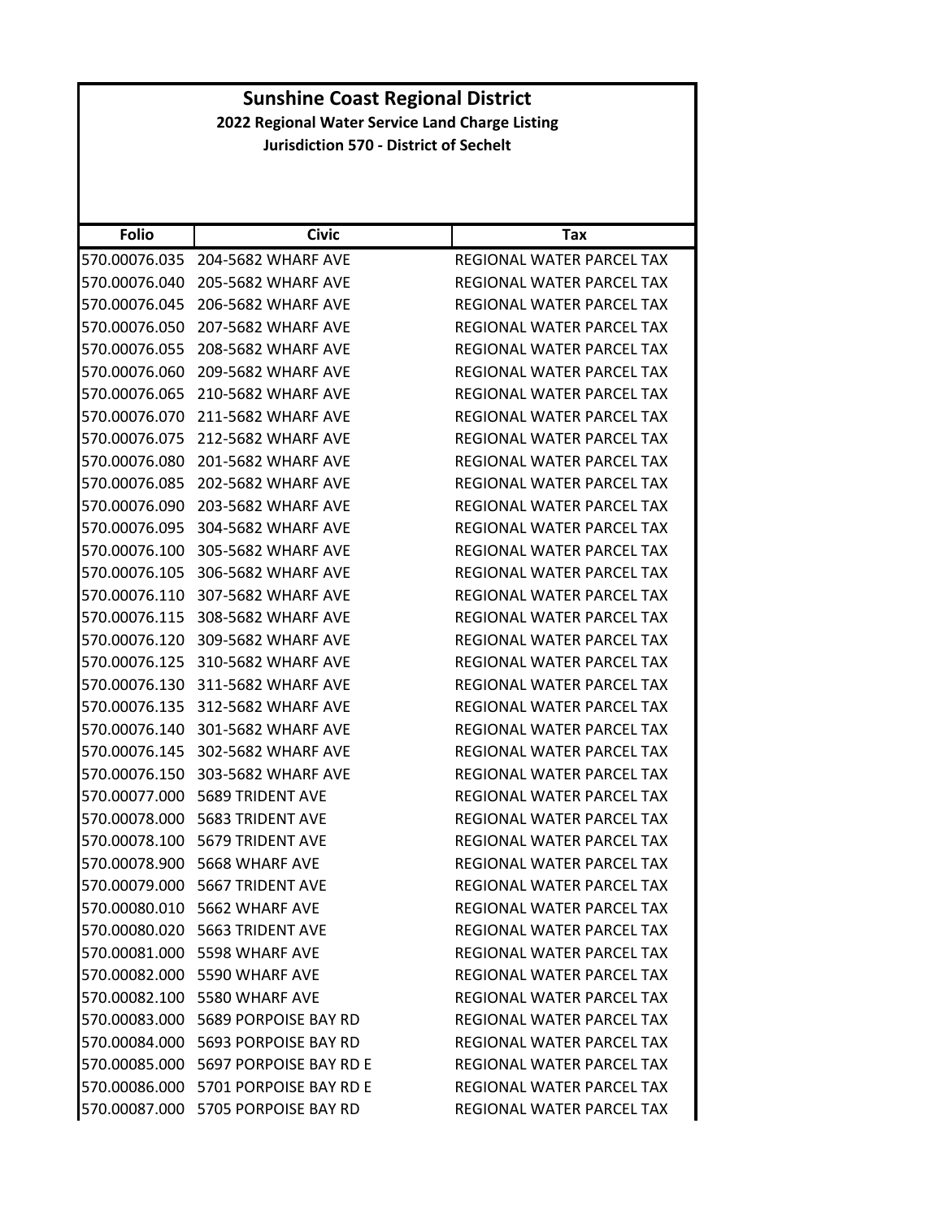| <b>Folio</b>  | <b>Civic</b>                          | Tax                              |
|---------------|---------------------------------------|----------------------------------|
| 570.00076.035 | 204-5682 WHARF AVE                    | REGIONAL WATER PARCEL TAX        |
| 570.00076.040 | 205-5682 WHARF AVE                    | REGIONAL WATER PARCEL TAX        |
| 570.00076.045 | 206-5682 WHARF AVE                    | REGIONAL WATER PARCEL TAX        |
| 570.00076.050 | 207-5682 WHARF AVE                    | REGIONAL WATER PARCEL TAX        |
| 570.00076.055 | 208-5682 WHARF AVE                    | REGIONAL WATER PARCEL TAX        |
| 570.00076.060 | 209-5682 WHARF AVE                    | <b>REGIONAL WATER PARCEL TAX</b> |
| 570.00076.065 | 210-5682 WHARF AVE                    | REGIONAL WATER PARCEL TAX        |
| 570.00076.070 | 211-5682 WHARF AVE                    | <b>REGIONAL WATER PARCEL TAX</b> |
| 570.00076.075 | 212-5682 WHARF AVE                    | REGIONAL WATER PARCEL TAX        |
| 570.00076.080 | 201-5682 WHARF AVE                    | REGIONAL WATER PARCEL TAX        |
| 570.00076.085 | 202-5682 WHARF AVE                    | REGIONAL WATER PARCEL TAX        |
| 570.00076.090 | 203-5682 WHARF AVE                    | REGIONAL WATER PARCEL TAX        |
| 570.00076.095 | 304-5682 WHARF AVE                    | REGIONAL WATER PARCEL TAX        |
| 570.00076.100 | 305-5682 WHARF AVE                    | REGIONAL WATER PARCEL TAX        |
| 570.00076.105 | 306-5682 WHARF AVE                    | REGIONAL WATER PARCEL TAX        |
| 570.00076.110 | 307-5682 WHARF AVE                    | REGIONAL WATER PARCEL TAX        |
| 570.00076.115 | 308-5682 WHARF AVE                    | <b>REGIONAL WATER PARCEL TAX</b> |
| 570.00076.120 | 309-5682 WHARF AVE                    | REGIONAL WATER PARCEL TAX        |
| 570.00076.125 | 310-5682 WHARF AVE                    | REGIONAL WATER PARCEL TAX        |
| 570.00076.130 | 311-5682 WHARF AVE                    | REGIONAL WATER PARCEL TAX        |
| 570.00076.135 | 312-5682 WHARF AVE                    | REGIONAL WATER PARCEL TAX        |
| 570.00076.140 | 301-5682 WHARF AVE                    | REGIONAL WATER PARCEL TAX        |
| 570.00076.145 | 302-5682 WHARF AVE                    | REGIONAL WATER PARCEL TAX        |
| 570.00076.150 | 303-5682 WHARF AVE                    | REGIONAL WATER PARCEL TAX        |
| 570.00077.000 | 5689 TRIDENT AVE                      | REGIONAL WATER PARCEL TAX        |
| 570.00078.000 | <b>5683 TRIDENT AVE</b>               | <b>REGIONAL WATER PARCEL TAX</b> |
| 570.00078.100 | 5679 TRIDENT AVE                      | REGIONAL WATER PARCEL TAX        |
| 570.00078.900 | 5668 WHARF AVE                        | REGIONAL WATER PARCEL TAX        |
| 570.00079.000 | 5667 TRIDENT AVE                      | REGIONAL WATER PARCEL TAX        |
|               | 570.00080.010 5662 WHARF AVE          | <b>REGIONAL WATER PARCEL TAX</b> |
|               | 570.00080.020    5663 TRIDENT AVE     | <b>REGIONAL WATER PARCEL TAX</b> |
|               | 570.00081.000 5598 WHARF AVE          | REGIONAL WATER PARCEL TAX        |
|               | 570.00082.000 5590 WHARF AVE          | REGIONAL WATER PARCEL TAX        |
|               | 570.00082.100 5580 WHARF AVE          | REGIONAL WATER PARCEL TAX        |
|               | 570.00083.000    5689 PORPOISE BAY RD | REGIONAL WATER PARCEL TAX        |
|               | 570.00084.000 5693 PORPOISE BAY RD    | REGIONAL WATER PARCEL TAX        |
|               | 570.00085.000 5697 PORPOISE BAY RD E  | REGIONAL WATER PARCEL TAX        |
|               | 570.00086.000 5701 PORPOISE BAY RD E  | REGIONAL WATER PARCEL TAX        |
|               | 570.00087.000 5705 PORPOISE BAY RD    | REGIONAL WATER PARCEL TAX        |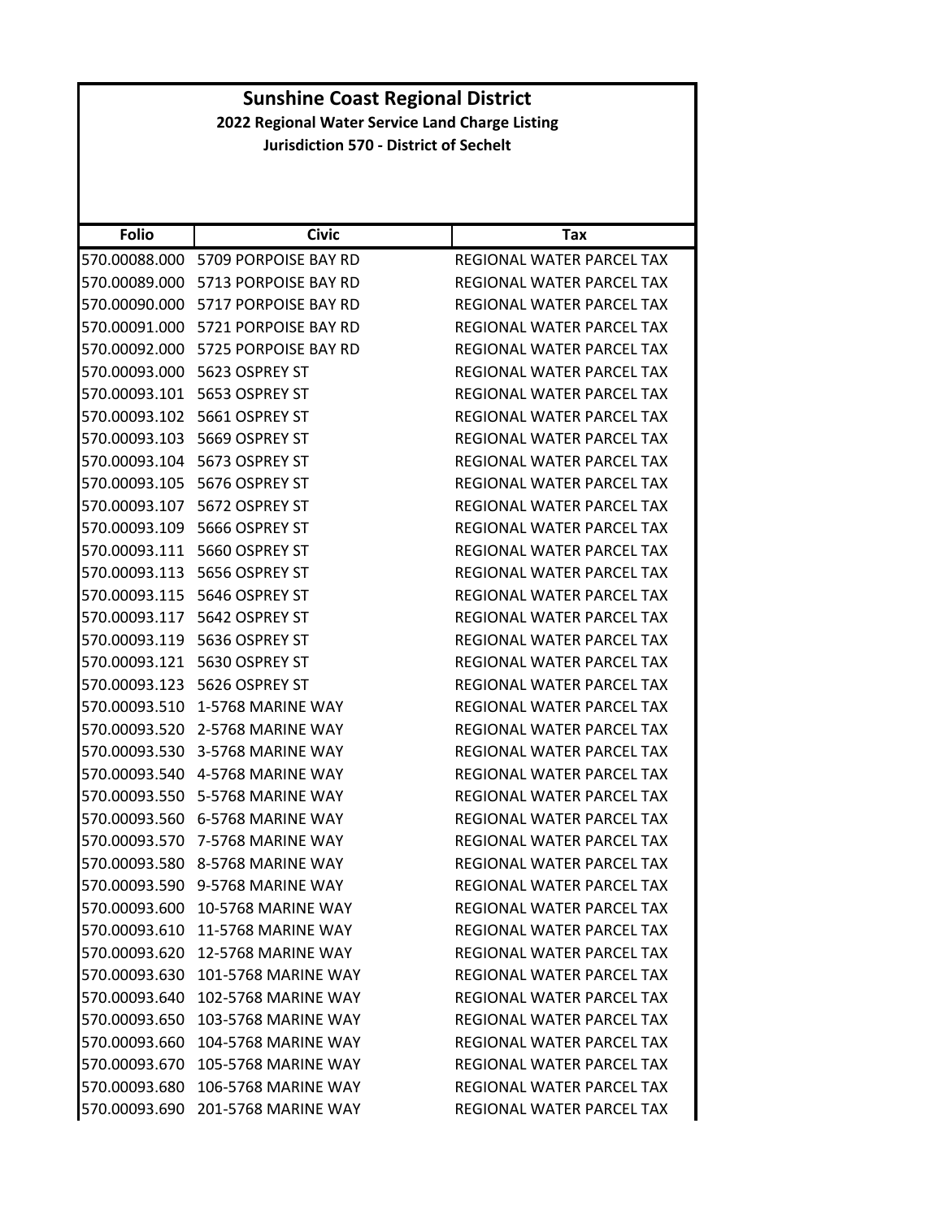| <b>Folio</b>  | <b>Civic</b>                       | Tax                              |
|---------------|------------------------------------|----------------------------------|
| 570.00088.000 | 5709 PORPOISE BAY RD               | <b>REGIONAL WATER PARCEL TAX</b> |
| 570.00089.000 | 5713 PORPOISE BAY RD               | <b>REGIONAL WATER PARCEL TAX</b> |
| 570.00090.000 | 5717 PORPOISE BAY RD               | REGIONAL WATER PARCEL TAX        |
| 570.00091.000 | 5721 PORPOISE BAY RD               | REGIONAL WATER PARCEL TAX        |
| 570.00092.000 | 5725 PORPOISE BAY RD               | REGIONAL WATER PARCEL TAX        |
| 570.00093.000 | 5623 OSPREY ST                     | REGIONAL WATER PARCEL TAX        |
| 570.00093.101 | 5653 OSPREY ST                     | REGIONAL WATER PARCEL TAX        |
| 570.00093.102 | 5661 OSPREY ST                     | REGIONAL WATER PARCEL TAX        |
| 570.00093.103 | 5669 OSPREY ST                     | REGIONAL WATER PARCEL TAX        |
| 570.00093.104 | 5673 OSPREY ST                     | REGIONAL WATER PARCEL TAX        |
| 570.00093.105 | 5676 OSPREY ST                     | REGIONAL WATER PARCEL TAX        |
| 570.00093.107 | 5672 OSPREY ST                     | REGIONAL WATER PARCEL TAX        |
| 570.00093.109 | 5666 OSPREY ST                     | REGIONAL WATER PARCEL TAX        |
| 570.00093.111 | 5660 OSPREY ST                     | REGIONAL WATER PARCEL TAX        |
| 570.00093.113 | 5656 OSPREY ST                     | <b>REGIONAL WATER PARCEL TAX</b> |
| 570.00093.115 | 5646 OSPREY ST                     | REGIONAL WATER PARCEL TAX        |
| 570.00093.117 | 5642 OSPREY ST                     | REGIONAL WATER PARCEL TAX        |
| 570.00093.119 | 5636 OSPREY ST                     | REGIONAL WATER PARCEL TAX        |
| 570.00093.121 | 5630 OSPREY ST                     | REGIONAL WATER PARCEL TAX        |
| 570.00093.123 | 5626 OSPREY ST                     | REGIONAL WATER PARCEL TAX        |
| 570.00093.510 | 1-5768 MARINE WAY                  | REGIONAL WATER PARCEL TAX        |
| 570.00093.520 | 2-5768 MARINE WAY                  | REGIONAL WATER PARCEL TAX        |
| 570.00093.530 | 3-5768 MARINE WAY                  | REGIONAL WATER PARCEL TAX        |
| 570.00093.540 | 4-5768 MARINE WAY                  | REGIONAL WATER PARCEL TAX        |
| 570.00093.550 | 5-5768 MARINE WAY                  | REGIONAL WATER PARCEL TAX        |
|               | 570.00093.560    6-5768 MARINE WAY | REGIONAL WATER PARCEL TAX        |
| 570.00093.570 | 7-5768 MARINE WAY                  | REGIONAL WATER PARCEL TAX        |
|               | 570.00093.580 8-5768 MARINE WAY    | REGIONAL WATER PARCEL TAX        |
| 570.00093.590 | 9-5768 MARINE WAY                  | REGIONAL WATER PARCEL TAX        |
|               | 570.00093.600 10-5768 MARINE WAY   | <b>REGIONAL WATER PARCEL TAX</b> |
|               | 570.00093.610 11-5768 MARINE WAY   | REGIONAL WATER PARCEL TAX        |
| 570.00093.620 | 12-5768 MARINE WAY                 | REGIONAL WATER PARCEL TAX        |
|               | 570.00093.630 101-5768 MARINE WAY  | REGIONAL WATER PARCEL TAX        |
| 570.00093.640 | <b>102-5768 MARINE WAY</b>         | REGIONAL WATER PARCEL TAX        |
| 570.00093.650 | 103-5768 MARINE WAY                | REGIONAL WATER PARCEL TAX        |
| 570.00093.660 | <b>104-5768 MARINE WAY</b>         | REGIONAL WATER PARCEL TAX        |
| 570.00093.670 | <b>105-5768 MARINE WAY</b>         | REGIONAL WATER PARCEL TAX        |
|               | 570.00093.680 106-5768 MARINE WAY  | REGIONAL WATER PARCEL TAX        |
| 570.00093.690 | 201-5768 MARINE WAY                | REGIONAL WATER PARCEL TAX        |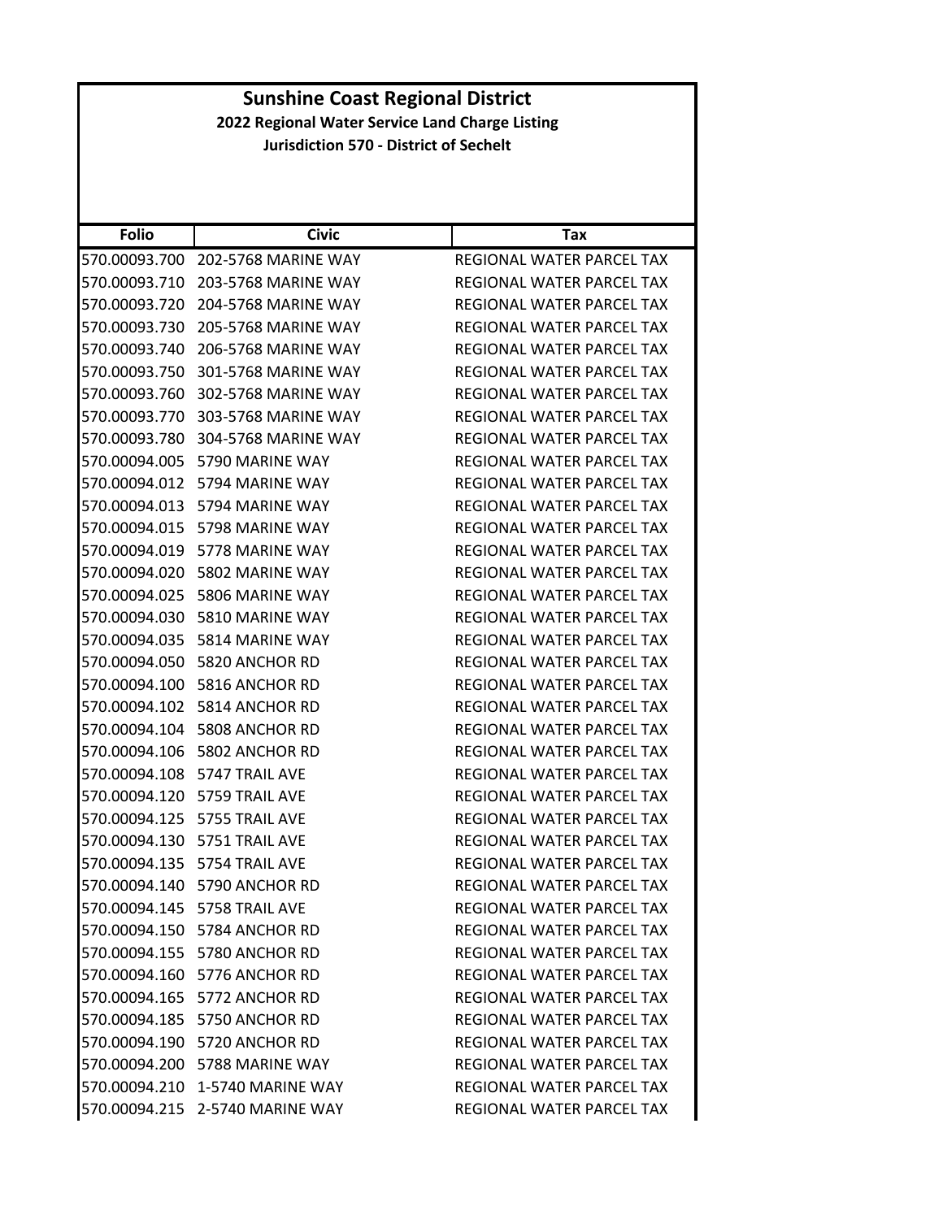| <b>Folio</b>  | <b>Civic</b>                    | Tax                              |
|---------------|---------------------------------|----------------------------------|
| 570.00093.700 | 202-5768 MARINE WAY             | REGIONAL WATER PARCEL TAX        |
| 570.00093.710 | 203-5768 MARINE WAY             | REGIONAL WATER PARCEL TAX        |
| 570.00093.720 | 204-5768 MARINE WAY             | REGIONAL WATER PARCEL TAX        |
| 570.00093.730 | 205-5768 MARINE WAY             | REGIONAL WATER PARCEL TAX        |
| 570.00093.740 | 206-5768 MARINE WAY             | REGIONAL WATER PARCEL TAX        |
| 570.00093.750 | 301-5768 MARINE WAY             | REGIONAL WATER PARCEL TAX        |
| 570.00093.760 | 302-5768 MARINE WAY             | REGIONAL WATER PARCEL TAX        |
| 570.00093.770 | 303-5768 MARINE WAY             | <b>REGIONAL WATER PARCEL TAX</b> |
| 570.00093.780 | 304-5768 MARINE WAY             | REGIONAL WATER PARCEL TAX        |
| 570.00094.005 | 5790 MARINE WAY                 | REGIONAL WATER PARCEL TAX        |
| 570.00094.012 | 5794 MARINE WAY                 | REGIONAL WATER PARCEL TAX        |
| 570.00094.013 | 5794 MARINE WAY                 | <b>REGIONAL WATER PARCEL TAX</b> |
| 570.00094.015 | 5798 MARINE WAY                 | REGIONAL WATER PARCEL TAX        |
| 570.00094.019 | 5778 MARINE WAY                 | REGIONAL WATER PARCEL TAX        |
| 570.00094.020 | 5802 MARINE WAY                 | REGIONAL WATER PARCEL TAX        |
| 570.00094.025 | 5806 MARINE WAY                 | <b>REGIONAL WATER PARCEL TAX</b> |
| 570.00094.030 | 5810 MARINE WAY                 | REGIONAL WATER PARCEL TAX        |
| 570.00094.035 | 5814 MARINE WAY                 | <b>REGIONAL WATER PARCEL TAX</b> |
| 570.00094.050 | 5820 ANCHOR RD                  | REGIONAL WATER PARCEL TAX        |
| 570.00094.100 | 5816 ANCHOR RD                  | REGIONAL WATER PARCEL TAX        |
| 570.00094.102 | 5814 ANCHOR RD                  | REGIONAL WATER PARCEL TAX        |
| 570.00094.104 | 5808 ANCHOR RD                  | REGIONAL WATER PARCEL TAX        |
| 570.00094.106 | 5802 ANCHOR RD                  | REGIONAL WATER PARCEL TAX        |
| 570.00094.108 | 5747 TRAIL AVE                  | REGIONAL WATER PARCEL TAX        |
| 570.00094.120 | 5759 TRAIL AVE                  | REGIONAL WATER PARCEL TAX        |
| 570.00094.125 | 5755 TRAIL AVE                  | REGIONAL WATER PARCEL TAX        |
| 570.00094.130 | 5751 TRAIL AVE                  | REGIONAL WATER PARCEL TAX        |
| 570.00094.135 | 5754 TRAIL AVE                  | REGIONAL WATER PARCEL TAX        |
| 570.00094.140 | 5790 ANCHOR RD                  | <b>REGIONAL WATER PARCEL TAX</b> |
|               | 570.00094.145    5758 TRAIL AVE | REGIONAL WATER PARCEL TAX        |
|               | 570.00094.150 5784 ANCHOR RD    | REGIONAL WATER PARCEL TAX        |
|               | 570.00094.155 5780 ANCHOR RD    | REGIONAL WATER PARCEL TAX        |
|               | 570.00094.160 5776 ANCHOR RD    | REGIONAL WATER PARCEL TAX        |
|               | 570.00094.165 5772 ANCHOR RD    | REGIONAL WATER PARCEL TAX        |
|               | 570.00094.185 5750 ANCHOR RD    | REGIONAL WATER PARCEL TAX        |
|               | 570.00094.190 5720 ANCHOR RD    | REGIONAL WATER PARCEL TAX        |
|               | 570.00094.200 5788 MARINE WAY   | <b>REGIONAL WATER PARCEL TAX</b> |
|               | 570.00094.210 1-5740 MARINE WAY | REGIONAL WATER PARCEL TAX        |
|               | 570.00094.215 2-5740 MARINE WAY | REGIONAL WATER PARCEL TAX        |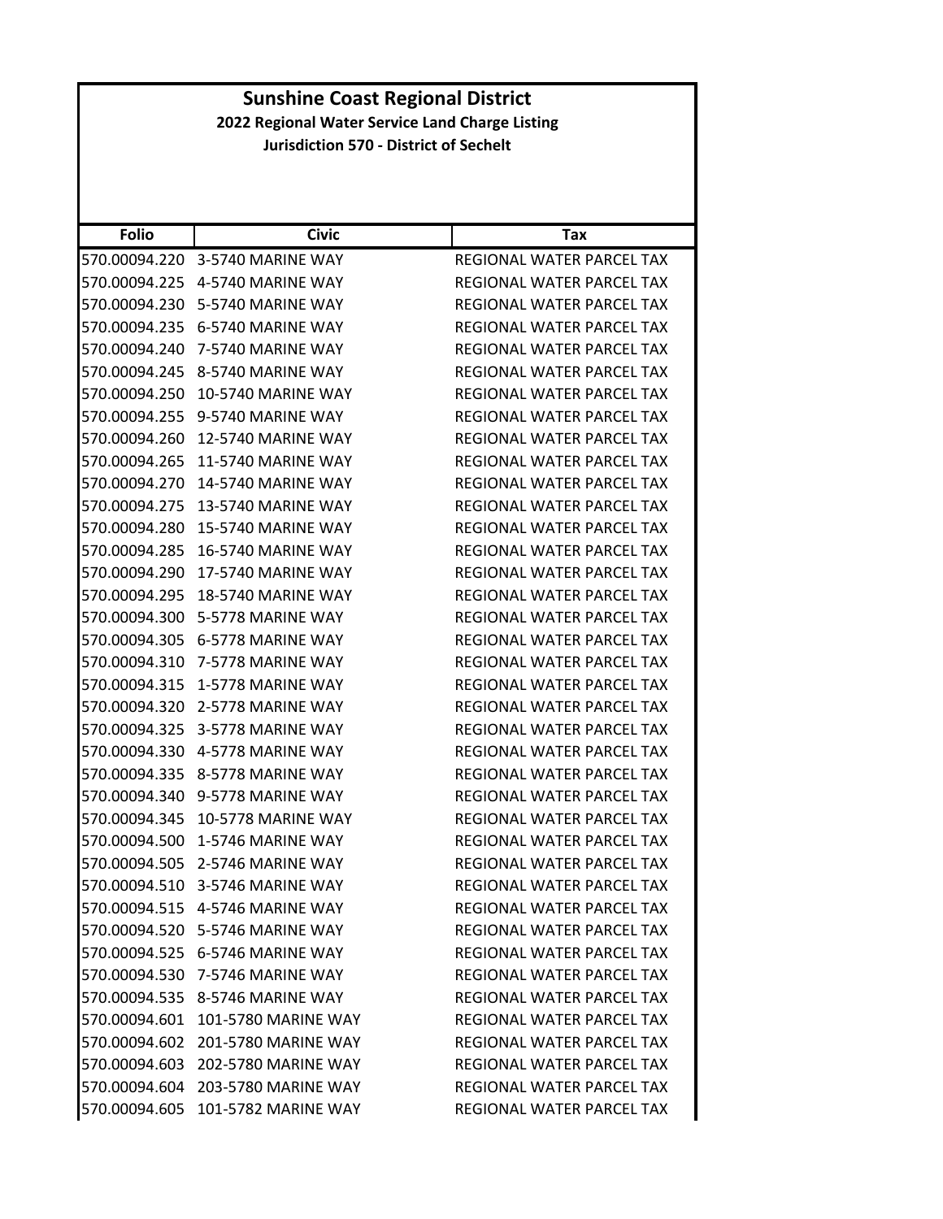| <b>Folio</b>  | <b>Civic</b>                      | Tax                              |
|---------------|-----------------------------------|----------------------------------|
| 570.00094.220 | 3-5740 MARINE WAY                 | REGIONAL WATER PARCEL TAX        |
| 570.00094.225 | 4-5740 MARINE WAY                 | REGIONAL WATER PARCEL TAX        |
| 570.00094.230 | 5-5740 MARINE WAY                 | REGIONAL WATER PARCEL TAX        |
| 570.00094.235 | 6-5740 MARINE WAY                 | REGIONAL WATER PARCEL TAX        |
| 570.00094.240 | 7-5740 MARINE WAY                 | REGIONAL WATER PARCEL TAX        |
| 570.00094.245 | 8-5740 MARINE WAY                 | REGIONAL WATER PARCEL TAX        |
| 570.00094.250 | 10-5740 MARINE WAY                | REGIONAL WATER PARCEL TAX        |
| 570.00094.255 | 9-5740 MARINE WAY                 | REGIONAL WATER PARCEL TAX        |
| 570.00094.260 | <b>12-5740 MARINE WAY</b>         | REGIONAL WATER PARCEL TAX        |
| 570.00094.265 | <b>11-5740 MARINE WAY</b>         | REGIONAL WATER PARCEL TAX        |
| 570.00094.270 | <b>14-5740 MARINE WAY</b>         | REGIONAL WATER PARCEL TAX        |
| 570.00094.275 | <b>13-5740 MARINE WAY</b>         | REGIONAL WATER PARCEL TAX        |
| 570.00094.280 | 15-5740 MARINE WAY                | REGIONAL WATER PARCEL TAX        |
| 570.00094.285 | <b>16-5740 MARINE WAY</b>         | REGIONAL WATER PARCEL TAX        |
| 570.00094.290 | 17-5740 MARINE WAY                | <b>REGIONAL WATER PARCEL TAX</b> |
| 570.00094.295 | 18-5740 MARINE WAY                | REGIONAL WATER PARCEL TAX        |
| 570.00094.300 | 5-5778 MARINE WAY                 | <b>REGIONAL WATER PARCEL TAX</b> |
| 570.00094.305 | 6-5778 MARINE WAY                 | REGIONAL WATER PARCEL TAX        |
| 570.00094.310 | 7-5778 MARINE WAY                 | REGIONAL WATER PARCEL TAX        |
| 570.00094.315 | 1-5778 MARINE WAY                 | REGIONAL WATER PARCEL TAX        |
| 570.00094.320 | 2-5778 MARINE WAY                 | REGIONAL WATER PARCEL TAX        |
| 570.00094.325 | 3-5778 MARINE WAY                 | REGIONAL WATER PARCEL TAX        |
| 570.00094.330 | 4-5778 MARINE WAY                 | REGIONAL WATER PARCEL TAX        |
| 570.00094.335 | 8-5778 MARINE WAY                 | REGIONAL WATER PARCEL TAX        |
| 570.00094.340 | 9-5778 MARINE WAY                 | REGIONAL WATER PARCEL TAX        |
| 570.00094.345 | 10-5778 MARINE WAY                | REGIONAL WATER PARCEL TAX        |
| 570.00094.500 | 1-5746 MARINE WAY                 | REGIONAL WATER PARCEL TAX        |
| 570.00094.505 | 2-5746 MARINE WAY                 | REGIONAL WATER PARCEL TAX        |
| 570.00094.510 | 3-5746 MARINE WAY                 | <b>REGIONAL WATER PARCEL TAX</b> |
|               | 570.00094.515 4-5746 MARINE WAY   | REGIONAL WATER PARCEL TAX        |
|               | 570.00094.520 5-5746 MARINE WAY   | REGIONAL WATER PARCEL TAX        |
|               | 570.00094.525 6-5746 MARINE WAY   | REGIONAL WATER PARCEL TAX        |
|               | 570.00094.530 7-5746 MARINE WAY   | REGIONAL WATER PARCEL TAX        |
|               | 570.00094.535 8-5746 MARINE WAY   | REGIONAL WATER PARCEL TAX        |
|               | 570.00094.601 101-5780 MARINE WAY | REGIONAL WATER PARCEL TAX        |
|               | 570.00094.602 201-5780 MARINE WAY | REGIONAL WATER PARCEL TAX        |
|               | 570.00094.603 202-5780 MARINE WAY | REGIONAL WATER PARCEL TAX        |
|               | 570.00094.604 203-5780 MARINE WAY | REGIONAL WATER PARCEL TAX        |
|               | 570.00094.605 101-5782 MARINE WAY | REGIONAL WATER PARCEL TAX        |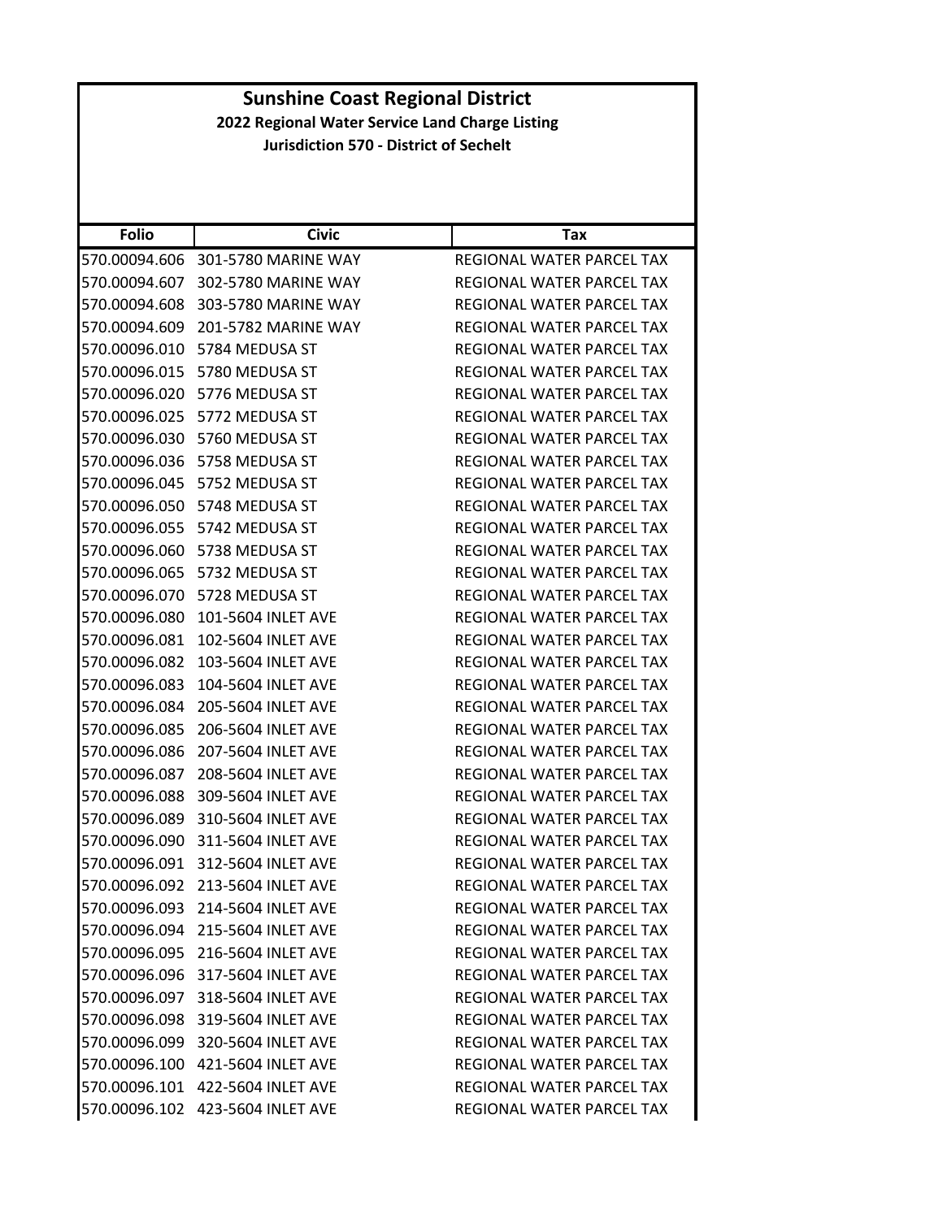| <b>Folio</b>  | <b>Civic</b>                     | Tax                              |
|---------------|----------------------------------|----------------------------------|
| 570.00094.606 | 301-5780 MARINE WAY              | <b>REGIONAL WATER PARCEL TAX</b> |
| 570.00094.607 | 302-5780 MARINE WAY              | <b>REGIONAL WATER PARCEL TAX</b> |
| 570.00094.608 | 303-5780 MARINE WAY              | REGIONAL WATER PARCEL TAX        |
| 570.00094.609 | 201-5782 MARINE WAY              | REGIONAL WATER PARCEL TAX        |
| 570.00096.010 | 5784 MEDUSA ST                   | REGIONAL WATER PARCEL TAX        |
| 570.00096.015 | 5780 MEDUSA ST                   | <b>REGIONAL WATER PARCEL TAX</b> |
|               | 570.00096.020 5776 MEDUSA ST     | REGIONAL WATER PARCEL TAX        |
| 570.00096.025 | 5772 MEDUSA ST                   | REGIONAL WATER PARCEL TAX        |
| 570.00096.030 | 5760 MEDUSA ST                   | REGIONAL WATER PARCEL TAX        |
| 570.00096.036 | 5758 MEDUSA ST                   | REGIONAL WATER PARCEL TAX        |
| 570.00096.045 | 5752 MEDUSA ST                   | REGIONAL WATER PARCEL TAX        |
| 570.00096.050 | 5748 MEDUSA ST                   | REGIONAL WATER PARCEL TAX        |
| 570.00096.055 | 5742 MEDUSA ST                   | <b>REGIONAL WATER PARCEL TAX</b> |
| 570.00096.060 | 5738 MEDUSA ST                   | REGIONAL WATER PARCEL TAX        |
| 570.00096.065 | 5732 MEDUSA ST                   | <b>REGIONAL WATER PARCEL TAX</b> |
| 570.00096.070 | 5728 MEDUSA ST                   | REGIONAL WATER PARCEL TAX        |
| 570.00096.080 | 101-5604 INLET AVE               | REGIONAL WATER PARCEL TAX        |
| 570.00096.081 | 102-5604 INLET AVE               | REGIONAL WATER PARCEL TAX        |
| 570.00096.082 | 103-5604 INLET AVE               | REGIONAL WATER PARCEL TAX        |
| 570.00096.083 | 104-5604 INLET AVE               | REGIONAL WATER PARCEL TAX        |
| 570.00096.084 | 205-5604 INLET AVE               | REGIONAL WATER PARCEL TAX        |
| 570.00096.085 | 206-5604 INLET AVE               | REGIONAL WATER PARCEL TAX        |
| 570.00096.086 | 207-5604 INLET AVE               | REGIONAL WATER PARCEL TAX        |
| 570.00096.087 | 208-5604 INLET AVE               | REGIONAL WATER PARCEL TAX        |
| 570.00096.088 | 309-5604 INLET AVE               | REGIONAL WATER PARCEL TAX        |
| 570.00096.089 | 310-5604 INLET AVE               | REGIONAL WATER PARCEL TAX        |
| 570.00096.090 | 311-5604 INLET AVE               | REGIONAL WATER PARCEL TAX        |
| 570.00096.091 | 312-5604 INLET AVE               | REGIONAL WATER PARCEL TAX        |
| 570.00096.092 | 213-5604 INLET AVE               | REGIONAL WATER PARCEL TAX        |
|               | 570.00096.093 214-5604 INLET AVE | REGIONAL WATER PARCEL TAX        |
|               | 570.00096.094 215-5604 INLET AVE | REGIONAL WATER PARCEL TAX        |
|               | 570.00096.095 216-5604 INLET AVE | REGIONAL WATER PARCEL TAX        |
|               | 570.00096.096 317-5604 INLET AVE | REGIONAL WATER PARCEL TAX        |
| 570.00096.097 | 318-5604 INLET AVE               | REGIONAL WATER PARCEL TAX        |
|               | 570.00096.098 319-5604 INLET AVE | REGIONAL WATER PARCEL TAX        |
|               | 570.00096.099 320-5604 INLET AVE | REGIONAL WATER PARCEL TAX        |
|               | 570.00096.100 421-5604 INLET AVE | REGIONAL WATER PARCEL TAX        |
|               | 570.00096.101 422-5604 INLET AVE | REGIONAL WATER PARCEL TAX        |
|               | 570.00096.102 423-5604 INLET AVE | REGIONAL WATER PARCEL TAX        |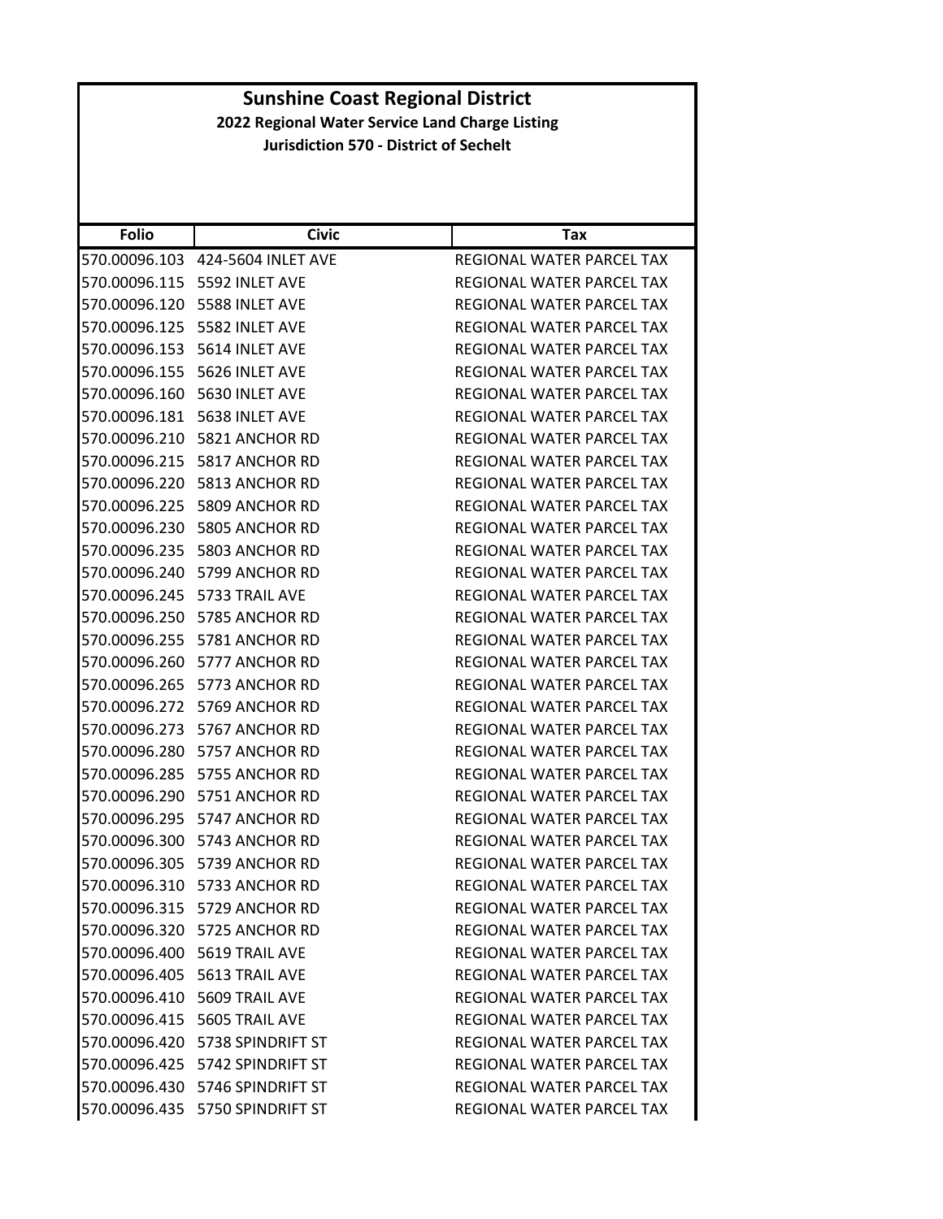| <b>Folio</b>  | <b>Civic</b>                       | Tax                              |
|---------------|------------------------------------|----------------------------------|
| 570.00096.103 | 424-5604 INLET AVE                 | REGIONAL WATER PARCEL TAX        |
|               | 570.00096.115    5592    INLET AVE | REGIONAL WATER PARCEL TAX        |
| 570.00096.120 | 5588 INLET AVE                     | REGIONAL WATER PARCEL TAX        |
|               | 570.00096.125    5582    INLET AVE | REGIONAL WATER PARCEL TAX        |
| 570.00096.153 | 5614 INLET AVE                     | REGIONAL WATER PARCEL TAX        |
| 570.00096.155 | 5626 INLET AVE                     | REGIONAL WATER PARCEL TAX        |
|               | 570.00096.160    5630 INLET AVE    | REGIONAL WATER PARCEL TAX        |
| 570.00096.181 | 5638 INLET AVE                     | <b>REGIONAL WATER PARCEL TAX</b> |
|               | 570.00096.210 5821 ANCHOR RD       | REGIONAL WATER PARCEL TAX        |
| 570.00096.215 | 5817 ANCHOR RD                     | REGIONAL WATER PARCEL TAX        |
|               | 570.00096.220 5813 ANCHOR RD       | REGIONAL WATER PARCEL TAX        |
|               | 570.00096.225 5809 ANCHOR RD       | REGIONAL WATER PARCEL TAX        |
|               | 570.00096.230 5805 ANCHOR RD       | <b>REGIONAL WATER PARCEL TAX</b> |
|               | 570.00096.235 5803 ANCHOR RD       | REGIONAL WATER PARCEL TAX        |
| 570.00096.240 | 5799 ANCHOR RD                     | REGIONAL WATER PARCEL TAX        |
|               | 570.00096.245    5733 TRAIL AVE    | REGIONAL WATER PARCEL TAX        |
| 570.00096.250 | 5785 ANCHOR RD                     | <b>REGIONAL WATER PARCEL TAX</b> |
|               | 570.00096.255 5781 ANCHOR RD       | REGIONAL WATER PARCEL TAX        |
|               | 570.00096.260 5777 ANCHOR RD       | REGIONAL WATER PARCEL TAX        |
| 570.00096.265 | 5773 ANCHOR RD                     | REGIONAL WATER PARCEL TAX        |
|               | 570.00096.272 5769 ANCHOR RD       | REGIONAL WATER PARCEL TAX        |
| 570.00096.273 | 5767 ANCHOR RD                     | REGIONAL WATER PARCEL TAX        |
|               | 570.00096.280 5757 ANCHOR RD       | REGIONAL WATER PARCEL TAX        |
| 570.00096.285 | 5755 ANCHOR RD                     | REGIONAL WATER PARCEL TAX        |
| 570.00096.290 | 5751 ANCHOR RD                     | REGIONAL WATER PARCEL TAX        |
|               | 570.00096.295 5747 ANCHOR RD       | REGIONAL WATER PARCEL TAX        |
|               | 570.00096.300 5743 ANCHOR RD       | <b>REGIONAL WATER PARCEL TAX</b> |
|               | 570.00096.305 5739 ANCHOR RD       | <b>REGIONAL WATER PARCEL TAX</b> |
|               | 570.00096.310 5733 ANCHOR RD       | REGIONAL WATER PARCEL TAX        |
|               | 570.00096.315 5729 ANCHOR RD       | REGIONAL WATER PARCEL TAX        |
|               | 570.00096.320 5725 ANCHOR RD       | REGIONAL WATER PARCEL TAX        |
|               | 570.00096.400    5619 TRAIL AVE    | REGIONAL WATER PARCEL TAX        |
|               | 570.00096.405    5613 TRAIL AVE    | REGIONAL WATER PARCEL TAX        |
|               | 570.00096.410    5609 TRAIL AVE    | REGIONAL WATER PARCEL TAX        |
|               | 570.00096.415    5605 TRAIL AVE    | REGIONAL WATER PARCEL TAX        |
|               | 570.00096.420 5738 SPINDRIFT ST    | REGIONAL WATER PARCEL TAX        |
|               | 570.00096.425    5742 SPINDRIFT ST | REGIONAL WATER PARCEL TAX        |
|               | 570.00096.430 5746 SPINDRIFT ST    | REGIONAL WATER PARCEL TAX        |
|               | 570.00096.435    5750 SPINDRIFT ST | REGIONAL WATER PARCEL TAX        |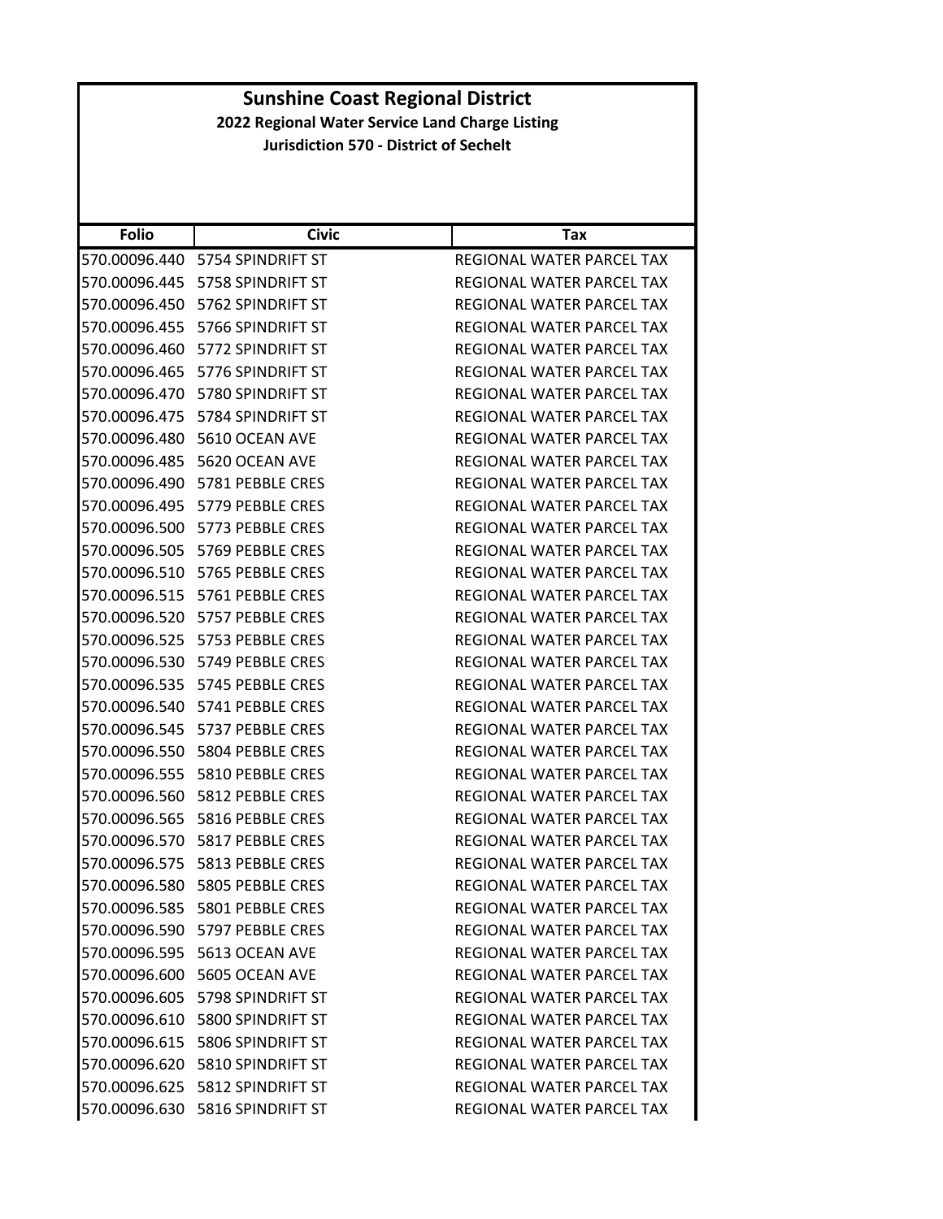| <b>Folio</b>  | <b>Civic</b>                         | Tax                              |
|---------------|--------------------------------------|----------------------------------|
| 570.00096.440 | 5754 SPINDRIFT ST                    | REGIONAL WATER PARCEL TAX        |
| 570.00096.445 | 5758 SPINDRIFT ST                    | REGIONAL WATER PARCEL TAX        |
|               | 570.00096.450 5762 SPINDRIFT ST      | REGIONAL WATER PARCEL TAX        |
| 570.00096.455 | 5766 SPINDRIFT ST                    | REGIONAL WATER PARCEL TAX        |
|               | 570.00096.460 5772 SPINDRIFT ST      | REGIONAL WATER PARCEL TAX        |
| 570.00096.465 | 5776 SPINDRIFT ST                    | REGIONAL WATER PARCEL TAX        |
| 570.00096.470 | 5780 SPINDRIFT ST                    | <b>REGIONAL WATER PARCEL TAX</b> |
| 570.00096.475 | 5784 SPINDRIFT ST                    | REGIONAL WATER PARCEL TAX        |
| 570.00096.480 | 5610 OCEAN AVE                       | REGIONAL WATER PARCEL TAX        |
| 570.00096.485 | 5620 OCEAN AVE                       | REGIONAL WATER PARCEL TAX        |
| 570.00096.490 | 5781 PEBBLE CRES                     | REGIONAL WATER PARCEL TAX        |
| 570.00096.495 | 5779 PEBBLE CRES                     | REGIONAL WATER PARCEL TAX        |
| 570.00096.500 | 5773 PEBBLE CRES                     | REGIONAL WATER PARCEL TAX        |
| 570.00096.505 | 5769 PEBBLE CRES                     | REGIONAL WATER PARCEL TAX        |
|               | 570.00096.510 5765 PEBBLE CRES       | <b>REGIONAL WATER PARCEL TAX</b> |
| 570.00096.515 | 5761 PEBBLE CRES                     | <b>REGIONAL WATER PARCEL TAX</b> |
|               | 570.00096.520 5757 PEBBLE CRES       | REGIONAL WATER PARCEL TAX        |
| 570.00096.525 | 5753 PEBBLE CRES                     | <b>REGIONAL WATER PARCEL TAX</b> |
|               | 570.00096.530 5749 PEBBLE CRES       | REGIONAL WATER PARCEL TAX        |
| 570.00096.535 | 5745 PEBBLE CRES                     | REGIONAL WATER PARCEL TAX        |
| 570.00096.540 | 5741 PEBBLE CRES                     | REGIONAL WATER PARCEL TAX        |
|               | 570.00096.545    5737    PEBBLE CRES | REGIONAL WATER PARCEL TAX        |
| 570.00096.550 | 5804 PEBBLE CRES                     | REGIONAL WATER PARCEL TAX        |
| 570.00096.555 | 5810 PEBBLE CRES                     | REGIONAL WATER PARCEL TAX        |
| 570.00096.560 | 5812 PEBBLE CRES                     | REGIONAL WATER PARCEL TAX        |
| 570.00096.565 | 5816 PEBBLE CRES                     | <b>REGIONAL WATER PARCEL TAX</b> |
|               | 570.00096.570    5817    PEBBLE CRES | REGIONAL WATER PARCEL TAX        |
| 570.00096.575 | 5813 PEBBLE CRES                     | REGIONAL WATER PARCEL TAX        |
|               | 570.00096.580    5805 PEBBLE CRES    | REGIONAL WATER PARCEL TAX        |
|               | 570.00096.585    5801 PEBBLE CRES    | REGIONAL WATER PARCEL TAX        |
|               | 570.00096.590    5797    PEBBLE CRES | REGIONAL WATER PARCEL TAX        |
|               |                                      | REGIONAL WATER PARCEL TAX        |
| 570.00096.600 | 5605 OCEAN AVE                       | REGIONAL WATER PARCEL TAX        |
|               | 570.00096.605 5798 SPINDRIFT ST      | REGIONAL WATER PARCEL TAX        |
|               | 570.00096.610 5800 SPINDRIFT ST      | REGIONAL WATER PARCEL TAX        |
|               | 570.00096.615 5806 SPINDRIFT ST      | REGIONAL WATER PARCEL TAX        |
|               | 570.00096.620 5810 SPINDRIFT ST      | REGIONAL WATER PARCEL TAX        |
|               | 570.00096.625    5812 SPINDRIFT ST   | REGIONAL WATER PARCEL TAX        |
|               | 570.00096.630 5816 SPINDRIFT ST      | REGIONAL WATER PARCEL TAX        |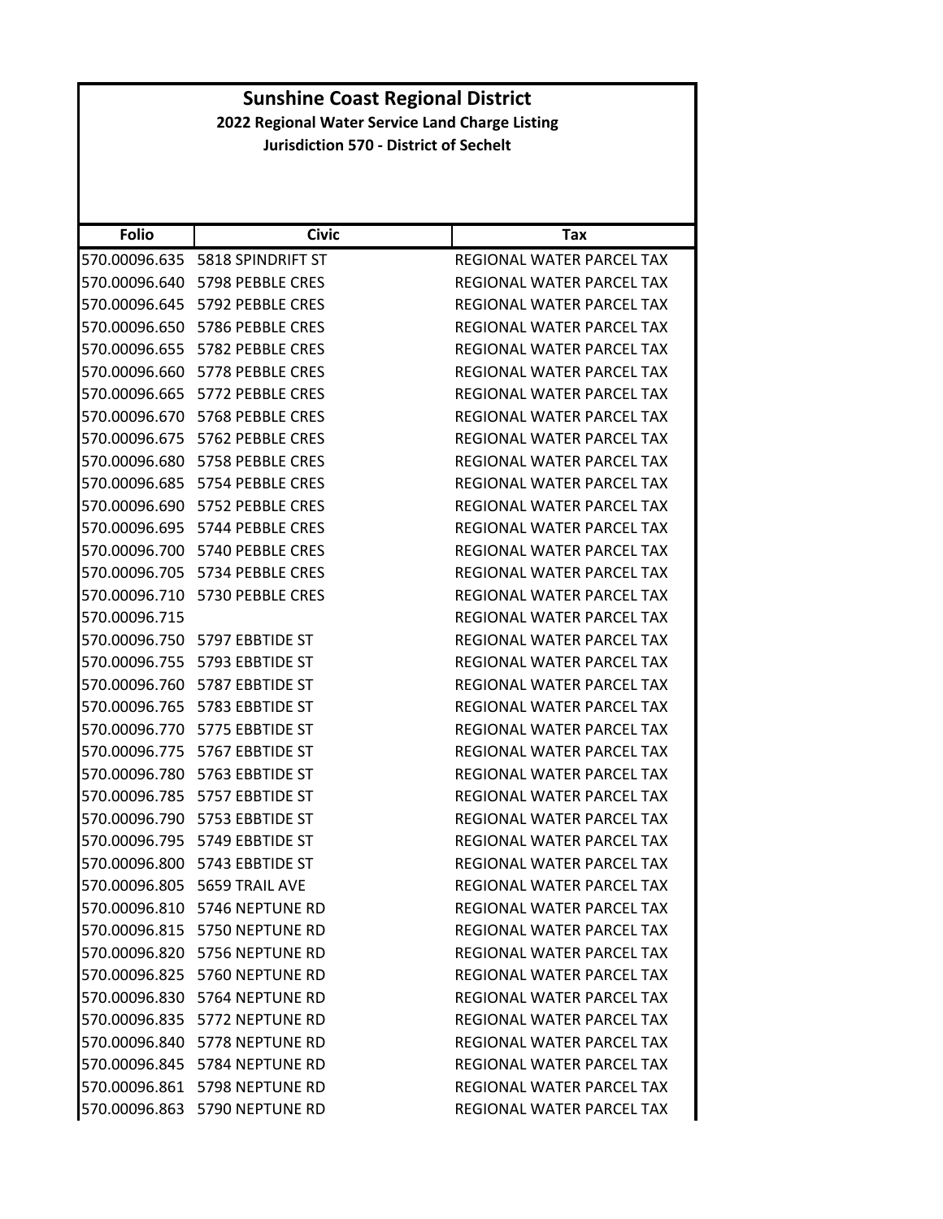| <b>Folio</b>  | <b>Civic</b>                           | Tax                              |
|---------------|----------------------------------------|----------------------------------|
|               | 570.00096.635    5818 SPINDRIFT ST     | REGIONAL WATER PARCEL TAX        |
|               | 570.00096.640    5798 PEBBLE CRES      | REGIONAL WATER PARCEL TAX        |
|               | 570.00096.645 5792 PEBBLE CRES         | REGIONAL WATER PARCEL TAX        |
|               | 570.00096.650    5786 PEBBLE CRES      | REGIONAL WATER PARCEL TAX        |
|               | 570.00096.655    5782    PEBBLE CRES   | REGIONAL WATER PARCEL TAX        |
| 570.00096.660 | 5778 PEBBLE CRES                       | REGIONAL WATER PARCEL TAX        |
|               | 570.00096.665    5772    PEBBLE CRES   | REGIONAL WATER PARCEL TAX        |
|               | 570.00096.670    5768 PEBBLE CRES      | REGIONAL WATER PARCEL TAX        |
|               | 570.00096.675    5762    PEBBLE CRES   | REGIONAL WATER PARCEL TAX        |
|               | 570.00096.680    5758 PEBBLE CRES      | REGIONAL WATER PARCEL TAX        |
| 570.00096.685 | 5754 PEBBLE CRES                       | REGIONAL WATER PARCEL TAX        |
|               | 570.00096.690    5752 PEBBLE CRES      | REGIONAL WATER PARCEL TAX        |
| 570.00096.695 | 5744 PEBBLE CRES                       | REGIONAL WATER PARCEL TAX        |
|               | 570.00096.700 5740 PEBBLE CRES         | <b>REGIONAL WATER PARCEL TAX</b> |
|               | 570.00096.705    5734 PEBBLE CRES      | <b>REGIONAL WATER PARCEL TAX</b> |
| 570.00096.710 | 5730 PEBBLE CRES                       | REGIONAL WATER PARCEL TAX        |
| 570.00096.715 |                                        | REGIONAL WATER PARCEL TAX        |
|               | 570.00096.750    5797 EBBTIDE ST       | REGIONAL WATER PARCEL TAX        |
|               | 570.00096.755    5793    EBBTIDE    ST | REGIONAL WATER PARCEL TAX        |
|               | 570.00096.760    5787 EBBTIDE ST       | REGIONAL WATER PARCEL TAX        |
|               | 570.00096.765    5783    EBBTIDE    ST | REGIONAL WATER PARCEL TAX        |
|               | 570.00096.770    5775 EBBTIDE ST       | REGIONAL WATER PARCEL TAX        |
| 570.00096.775 | 5767 EBBTIDE ST                        | REGIONAL WATER PARCEL TAX        |
|               | 570.00096.780    5763    EBBTIDE    ST | REGIONAL WATER PARCEL TAX        |
| 570.00096.785 | 5757 EBBTIDE ST                        | REGIONAL WATER PARCEL TAX        |
| 570.00096.790 | 5753 EBBTIDE ST                        | <b>REGIONAL WATER PARCEL TAX</b> |
|               | 570.00096.795    5749    EBBTIDE    ST | REGIONAL WATER PARCEL TAX        |
| 570.00096.800 | 5743 EBBTIDE ST                        | REGIONAL WATER PARCEL TAX        |
|               | 570.00096.805    5659 TRAIL AVE        | REGIONAL WATER PARCEL TAX        |
|               | 570.00096.810 5746 NEPTUNE RD          | REGIONAL WATER PARCEL TAX        |
|               | 570.00096.815 5750 NEPTUNE RD          | REGIONAL WATER PARCEL TAX        |
|               | 570.00096.820 5756 NEPTUNE RD          | REGIONAL WATER PARCEL TAX        |
|               | 570.00096.825 5760 NEPTUNE RD          | REGIONAL WATER PARCEL TAX        |
|               | 570.00096.830 5764 NEPTUNE RD          | REGIONAL WATER PARCEL TAX        |
|               | 570.00096.835 5772 NEPTUNE RD          | REGIONAL WATER PARCEL TAX        |
|               | 570.00096.840 5778 NEPTUNE RD          | REGIONAL WATER PARCEL TAX        |
|               | 570.00096.845    5784 NEPTUNE RD       | REGIONAL WATER PARCEL TAX        |
|               | 570.00096.861 5798 NEPTUNE RD          | <b>REGIONAL WATER PARCEL TAX</b> |
|               | 570.00096.863 5790 NEPTUNE RD          | REGIONAL WATER PARCEL TAX        |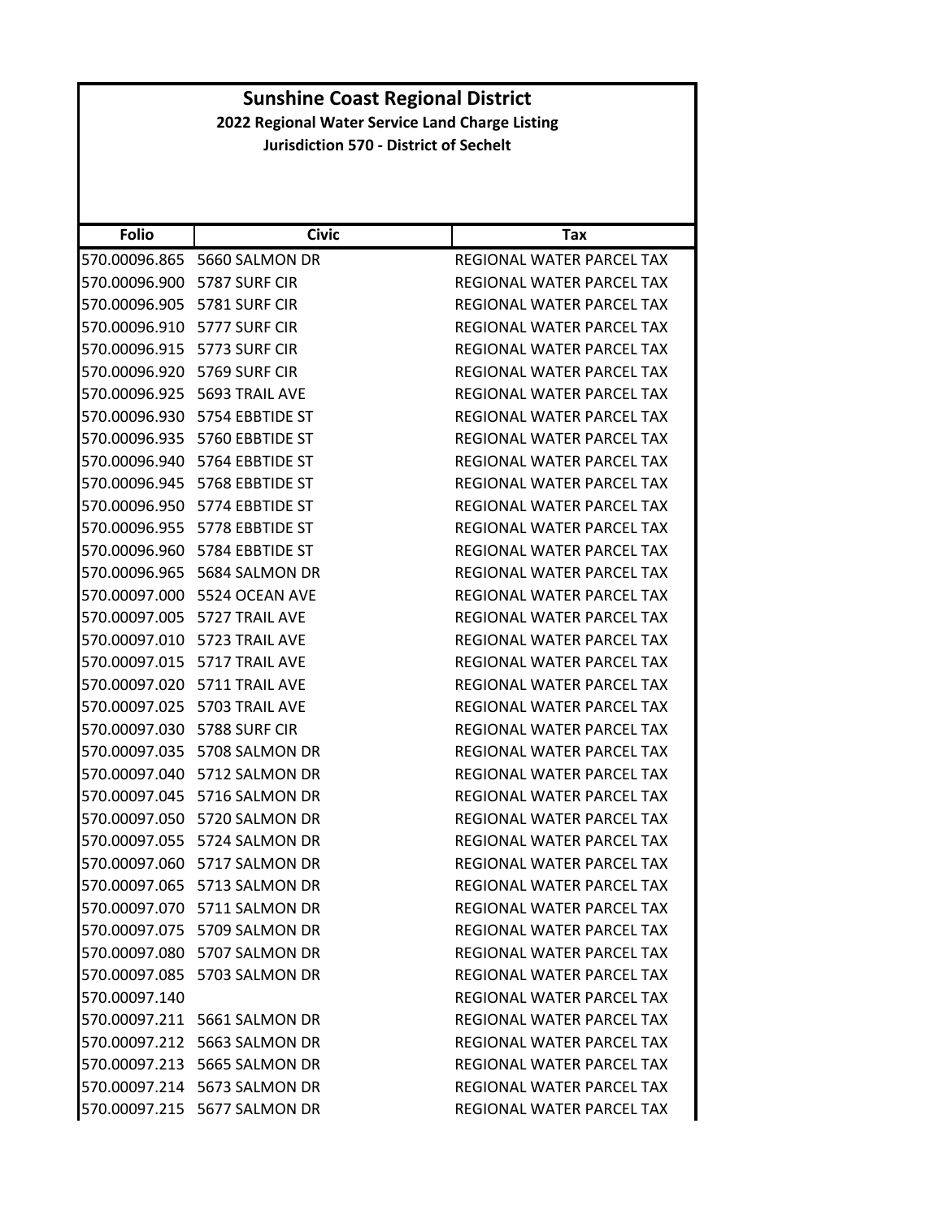| <b>Folio</b>  | <b>Civic</b>                        | Tax                              |
|---------------|-------------------------------------|----------------------------------|
|               | 570.00096.865 5660 SALMON DR        | REGIONAL WATER PARCEL TAX        |
|               | 570.00096.900 5787 SURF CIR         | REGIONAL WATER PARCEL TAX        |
|               | 570.00096.905 5781 SURF CIR         | REGIONAL WATER PARCEL TAX        |
|               | 570.00096.910 5777 SURF CIR         | REGIONAL WATER PARCEL TAX        |
|               | 570.00096.915    5773 SURF CIR      | REGIONAL WATER PARCEL TAX        |
| 570.00096.920 | 5769 SURF CIR                       | REGIONAL WATER PARCEL TAX        |
|               | 570.00096.925    5693 TRAIL AVE     | REGIONAL WATER PARCEL TAX        |
| 570.00096.930 | 5754 EBBTIDE ST                     | REGIONAL WATER PARCEL TAX        |
|               | 570.00096.935    5760 EBBTIDE ST    | REGIONAL WATER PARCEL TAX        |
|               | 570.00096.940 5764 EBBTIDE ST       | REGIONAL WATER PARCEL TAX        |
|               | 570.00096.945    5768    EBBTIDE ST | REGIONAL WATER PARCEL TAX        |
|               | 570.00096.950 5774 EBBTIDE ST       | REGIONAL WATER PARCEL TAX        |
| 570.00096.955 | 5778 EBBTIDE ST                     | REGIONAL WATER PARCEL TAX        |
|               | 570.00096.960 5784 EBBTIDE ST       | REGIONAL WATER PARCEL TAX        |
|               | 570.00096.965 5684 SALMON DR        | REGIONAL WATER PARCEL TAX        |
|               | 570.00097.000 5524 OCEAN AVE        | REGIONAL WATER PARCEL TAX        |
|               | 570.00097.005 5727 TRAIL AVE        | REGIONAL WATER PARCEL TAX        |
|               | 570.00097.010 5723 TRAIL AVE        | REGIONAL WATER PARCEL TAX        |
|               | 570.00097.015 5717 TRAIL AVE        | REGIONAL WATER PARCEL TAX        |
| 570.00097.020 | 5711 TRAIL AVE                      | REGIONAL WATER PARCEL TAX        |
|               | 570.00097.025 5703 TRAIL AVE        | REGIONAL WATER PARCEL TAX        |
|               | 570.00097.030 5788 SURF CIR         | REGIONAL WATER PARCEL TAX        |
|               | 570.00097.035 5708 SALMON DR        | REGIONAL WATER PARCEL TAX        |
|               | 570.00097.040 5712 SALMON DR        | REGIONAL WATER PARCEL TAX        |
| 570.00097.045 | 5716 SALMON DR                      | REGIONAL WATER PARCEL TAX        |
|               | 570.00097.050 5720 SALMON DR        | REGIONAL WATER PARCEL TAX        |
| 570.00097.055 | 5724 SALMON DR                      | REGIONAL WATER PARCEL TAX        |
|               | 570.00097.060 5717 SALMON DR        | REGIONAL WATER PARCEL TAX        |
|               | 570.00097.065 5713 SALMON DR        | REGIONAL WATER PARCEL TAX        |
|               | 570.00097.070 5711 SALMON DR        | REGIONAL WATER PARCEL TAX        |
|               | 570.00097.075 5709 SALMON DR        | REGIONAL WATER PARCEL TAX        |
|               | 570.00097.080 5707 SALMON DR        | REGIONAL WATER PARCEL TAX        |
|               | 570.00097.085 5703 SALMON DR        | <b>REGIONAL WATER PARCEL TAX</b> |
| 570.00097.140 |                                     | REGIONAL WATER PARCEL TAX        |
|               | 570.00097.211 5661 SALMON DR        | REGIONAL WATER PARCEL TAX        |
|               | 570.00097.212 5663 SALMON DR        | REGIONAL WATER PARCEL TAX        |
|               | 570.00097.213 5665 SALMON DR        | REGIONAL WATER PARCEL TAX        |
|               | 570.00097.214 5673 SALMON DR        | REGIONAL WATER PARCEL TAX        |
|               | 570.00097.215 5677 SALMON DR        | REGIONAL WATER PARCEL TAX        |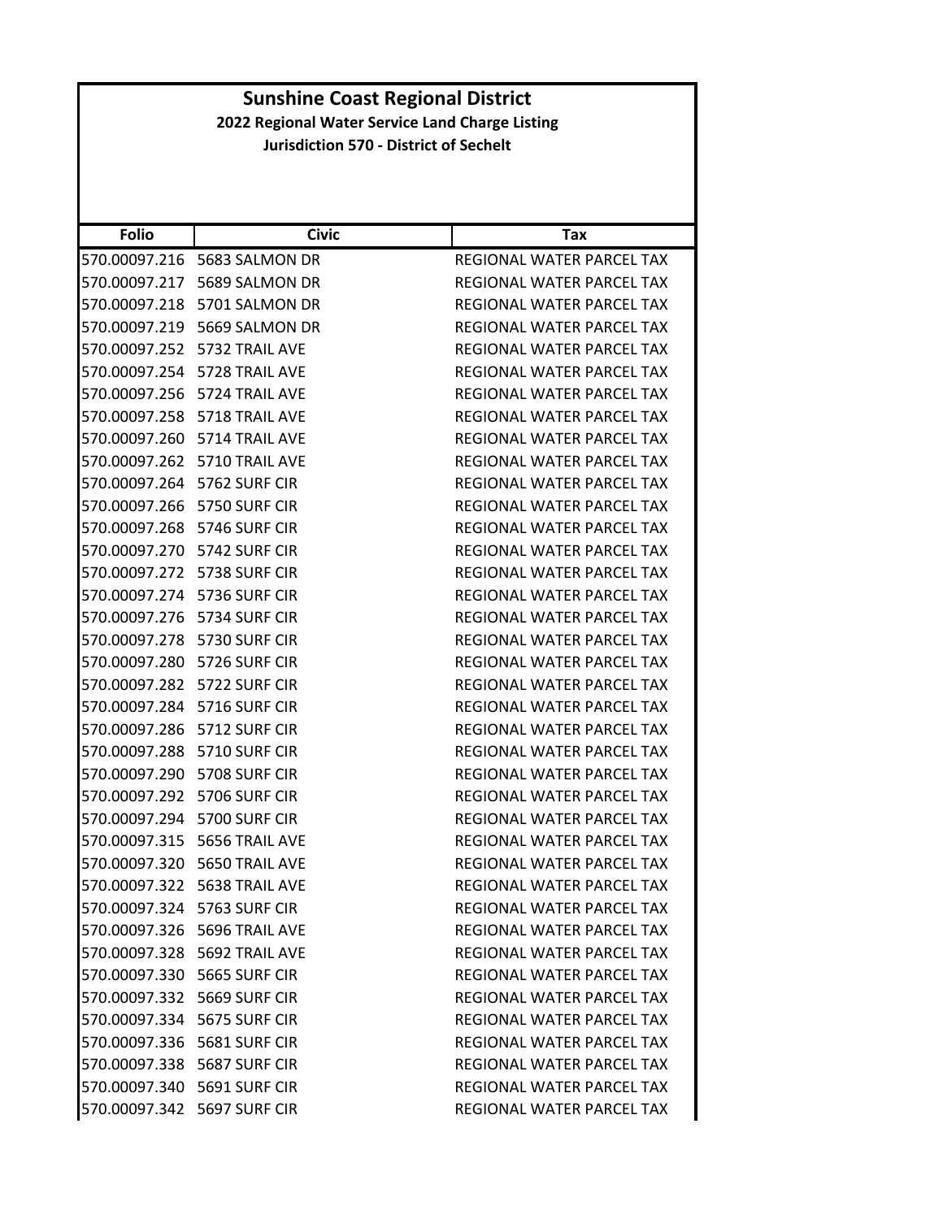| <b>Folio</b>                   | <b>Civic</b>                    | Tax                              |
|--------------------------------|---------------------------------|----------------------------------|
| 570.00097.216                  | 5683 SALMON DR                  | REGIONAL WATER PARCEL TAX        |
| 570.00097.217                  | 5689 SALMON DR                  | REGIONAL WATER PARCEL TAX        |
| 570.00097.218                  | 5701 SALMON DR                  | REGIONAL WATER PARCEL TAX        |
|                                | 570.00097.219 5669 SALMON DR    | REGIONAL WATER PARCEL TAX        |
|                                | 570.00097.252 5732 TRAIL AVE    | REGIONAL WATER PARCEL TAX        |
| 570.00097.254                  | 5728 TRAIL AVE                  | REGIONAL WATER PARCEL TAX        |
|                                | 570.00097.256    5724 TRAIL AVE | REGIONAL WATER PARCEL TAX        |
|                                | 570.00097.258 5718 TRAIL AVE    | REGIONAL WATER PARCEL TAX        |
|                                | 570.00097.260 5714 TRAIL AVE    | REGIONAL WATER PARCEL TAX        |
|                                | 570.00097.262 5710 TRAIL AVE    | REGIONAL WATER PARCEL TAX        |
| 570.00097.264 5762 SURF CIR    |                                 | REGIONAL WATER PARCEL TAX        |
| 570.00097.266 5750 SURF CIR    |                                 | REGIONAL WATER PARCEL TAX        |
| 570.00097.268 5746 SURF CIR    |                                 | REGIONAL WATER PARCEL TAX        |
| 570.00097.270 5742 SURF CIR    |                                 | REGIONAL WATER PARCEL TAX        |
| 570.00097.272                  | 5738 SURF CIR                   | REGIONAL WATER PARCEL TAX        |
| 570.00097.274 5736 SURF CIR    |                                 | REGIONAL WATER PARCEL TAX        |
| 570.00097.276    5734 SURF CIR |                                 | REGIONAL WATER PARCEL TAX        |
| 570.00097.278 5730 SURF CIR    |                                 | <b>REGIONAL WATER PARCEL TAX</b> |
| 570.00097.280 5726 SURF CIR    |                                 | REGIONAL WATER PARCEL TAX        |
| 570.00097.282                  | 5722 SURF CIR                   | REGIONAL WATER PARCEL TAX        |
| 570.00097.284 5716 SURF CIR    |                                 | REGIONAL WATER PARCEL TAX        |
| 570.00097.286                  | 5712 SURF CIR                   | REGIONAL WATER PARCEL TAX        |
| 570.00097.288 5710 SURF CIR    |                                 | REGIONAL WATER PARCEL TAX        |
| 570.00097.290 5708 SURF CIR    |                                 | REGIONAL WATER PARCEL TAX        |
| 570.00097.292                  | 5706 SURF CIR                   | REGIONAL WATER PARCEL TAX        |
| 570.00097.294 5700 SURF CIR    |                                 | REGIONAL WATER PARCEL TAX        |
| 570.00097.315                  | 5656 TRAIL AVE                  | REGIONAL WATER PARCEL TAX        |
|                                | 570.00097.320    5650 TRAIL AVE | REGIONAL WATER PARCEL TAX        |
|                                | 570.00097.322    5638 TRAIL AVE | REGIONAL WATER PARCEL TAX        |
| 570.00097.324 5763 SURF CIR    |                                 | <b>REGIONAL WATER PARCEL TAX</b> |
|                                | 570.00097.326 5696 TRAIL AVE    | REGIONAL WATER PARCEL TAX        |
|                                | 570.00097.328 5692 TRAIL AVE    | REGIONAL WATER PARCEL TAX        |
|                                | 570.00097.330    5665 SURF CIR  | REGIONAL WATER PARCEL TAX        |
| 570.00097.332 5669 SURF CIR    |                                 | REGIONAL WATER PARCEL TAX        |
| 570.00097.334 5675 SURF CIR    |                                 | REGIONAL WATER PARCEL TAX        |
| 570.00097.336    5681 SURF CIR |                                 | REGIONAL WATER PARCEL TAX        |
| 570.00097.338    5687 SURF CIR |                                 | REGIONAL WATER PARCEL TAX        |
| 570.00097.340    5691 SURF CIR |                                 | REGIONAL WATER PARCEL TAX        |
| 570.00097.342 5697 SURF CIR    |                                 | REGIONAL WATER PARCEL TAX        |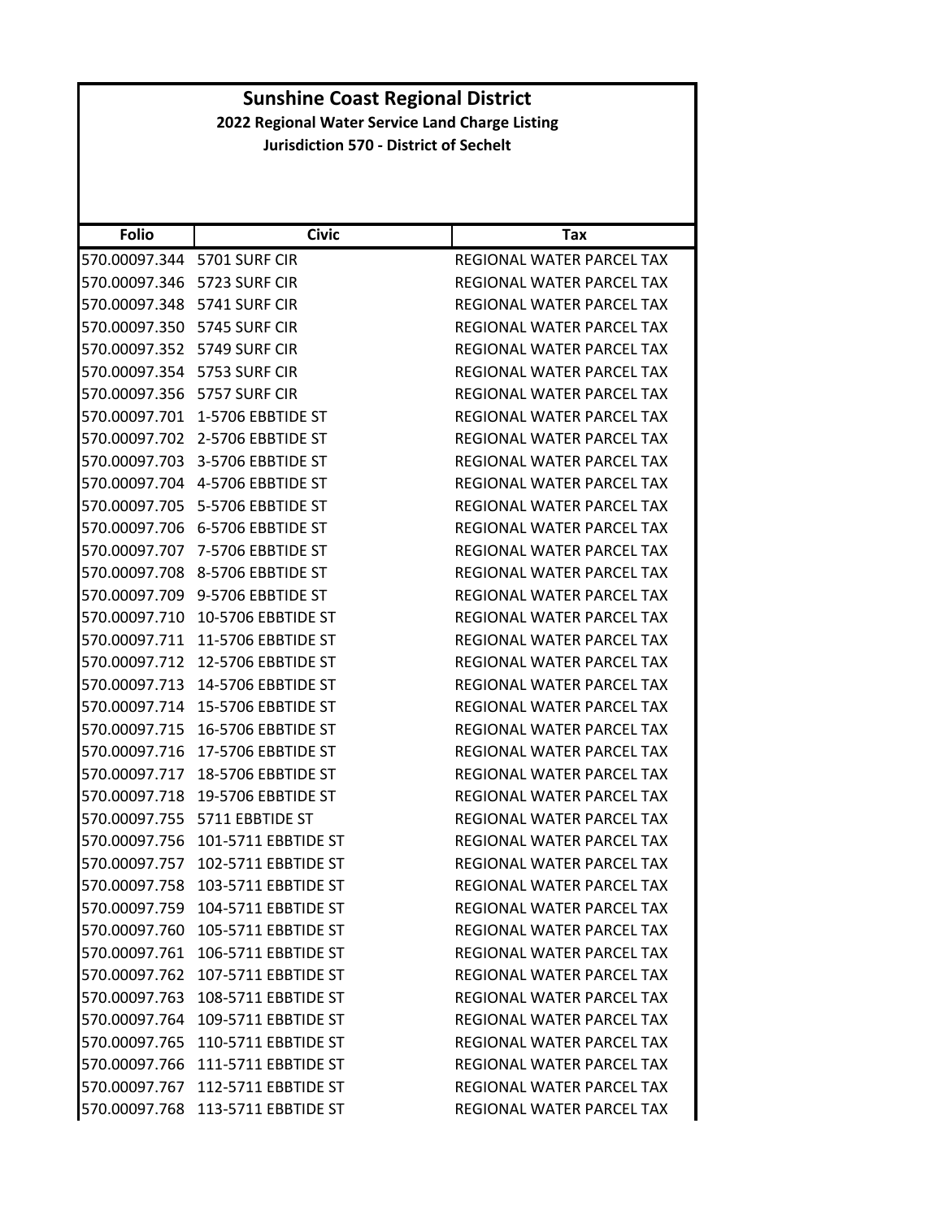| <b>Folio</b>                | <b>Civic</b>                       | Tax                              |
|-----------------------------|------------------------------------|----------------------------------|
| 570.00097.344 5701 SURF CIR |                                    | REGIONAL WATER PARCEL TAX        |
| 570.00097.346               | 5723 SURF CIR                      | REGIONAL WATER PARCEL TAX        |
| 570.00097.348               | 5741 SURF CIR                      | <b>REGIONAL WATER PARCEL TAX</b> |
| 570.00097.350               | 5745 SURF CIR                      | REGIONAL WATER PARCEL TAX        |
| 570.00097.352               | 5749 SURF CIR                      | REGIONAL WATER PARCEL TAX        |
| 570.00097.354               | 5753 SURF CIR                      | REGIONAL WATER PARCEL TAX        |
| 570.00097.356               | 5757 SURF CIR                      | REGIONAL WATER PARCEL TAX        |
| 570.00097.701               | 1-5706 EBBTIDE ST                  | REGIONAL WATER PARCEL TAX        |
| 570.00097.702               | 2-5706 EBBTIDE ST                  | REGIONAL WATER PARCEL TAX        |
| 570.00097.703               | 3-5706 EBBTIDE ST                  | REGIONAL WATER PARCEL TAX        |
| 570.00097.704               | 4-5706 EBBTIDE ST                  | REGIONAL WATER PARCEL TAX        |
| 570.00097.705               | 5-5706 EBBTIDE ST                  | REGIONAL WATER PARCEL TAX        |
|                             | 570.00097.706    6-5706 EBBTIDE ST | REGIONAL WATER PARCEL TAX        |
| 570.00097.707               | 7-5706 EBBTIDE ST                  | REGIONAL WATER PARCEL TAX        |
| 570.00097.708               | 8-5706 EBBTIDE ST                  | <b>REGIONAL WATER PARCEL TAX</b> |
| 570.00097.709               | 9-5706 EBBTIDE ST                  | REGIONAL WATER PARCEL TAX        |
| 570.00097.710               | 10-5706 EBBTIDE ST                 | <b>REGIONAL WATER PARCEL TAX</b> |
| 570.00097.711               | 11-5706 EBBTIDE ST                 | <b>REGIONAL WATER PARCEL TAX</b> |
| 570.00097.712               | 12-5706 EBBTIDE ST                 | REGIONAL WATER PARCEL TAX        |
| 570.00097.713               | 14-5706 EBBTIDE ST                 | REGIONAL WATER PARCEL TAX        |
| 570.00097.714               | 15-5706 EBBTIDE ST                 | REGIONAL WATER PARCEL TAX        |
| 570.00097.715               | 16-5706 EBBTIDE ST                 | REGIONAL WATER PARCEL TAX        |
| 570.00097.716               | 17-5706 EBBTIDE ST                 | REGIONAL WATER PARCEL TAX        |
| 570.00097.717               | 18-5706 EBBTIDE ST                 | REGIONAL WATER PARCEL TAX        |
| 570.00097.718               | 19-5706 EBBTIDE ST                 | REGIONAL WATER PARCEL TAX        |
| 570.00097.755               | 5711 EBBTIDE ST                    | REGIONAL WATER PARCEL TAX        |
| 570.00097.756               | 101-5711 EBBTIDE ST                | REGIONAL WATER PARCEL TAX        |
| 570.00097.757               | 102-5711 EBBTIDE ST                | REGIONAL WATER PARCEL TAX        |
| 570.00097.758               | 103-5711 EBBTIDE ST                | REGIONAL WATER PARCEL TAX        |
| 570.00097.759               | 104-5711 EBBTIDE ST                | REGIONAL WATER PARCEL TAX        |
| 570.00097.760               | 105-5711 EBBTIDE ST                | REGIONAL WATER PARCEL TAX        |
|                             | 570.00097.761 106-5711 EBBTIDE ST  | REGIONAL WATER PARCEL TAX        |
| 570.00097.762               | 107-5711 EBBTIDE ST                | REGIONAL WATER PARCEL TAX        |
| 570.00097.763               | 108-5711 EBBTIDE ST                | REGIONAL WATER PARCEL TAX        |
| 570.00097.764               | 109-5711 EBBTIDE ST                | REGIONAL WATER PARCEL TAX        |
|                             | 570.00097.765 110-5711 EBBTIDE ST  | REGIONAL WATER PARCEL TAX        |
|                             | 570.00097.766 111-5711 EBBTIDE ST  | REGIONAL WATER PARCEL TAX        |
| 570.00097.767               | 112-5711 EBBTIDE ST                | REGIONAL WATER PARCEL TAX        |
|                             | 570.00097.768 113-5711 EBBTIDE ST  | REGIONAL WATER PARCEL TAX        |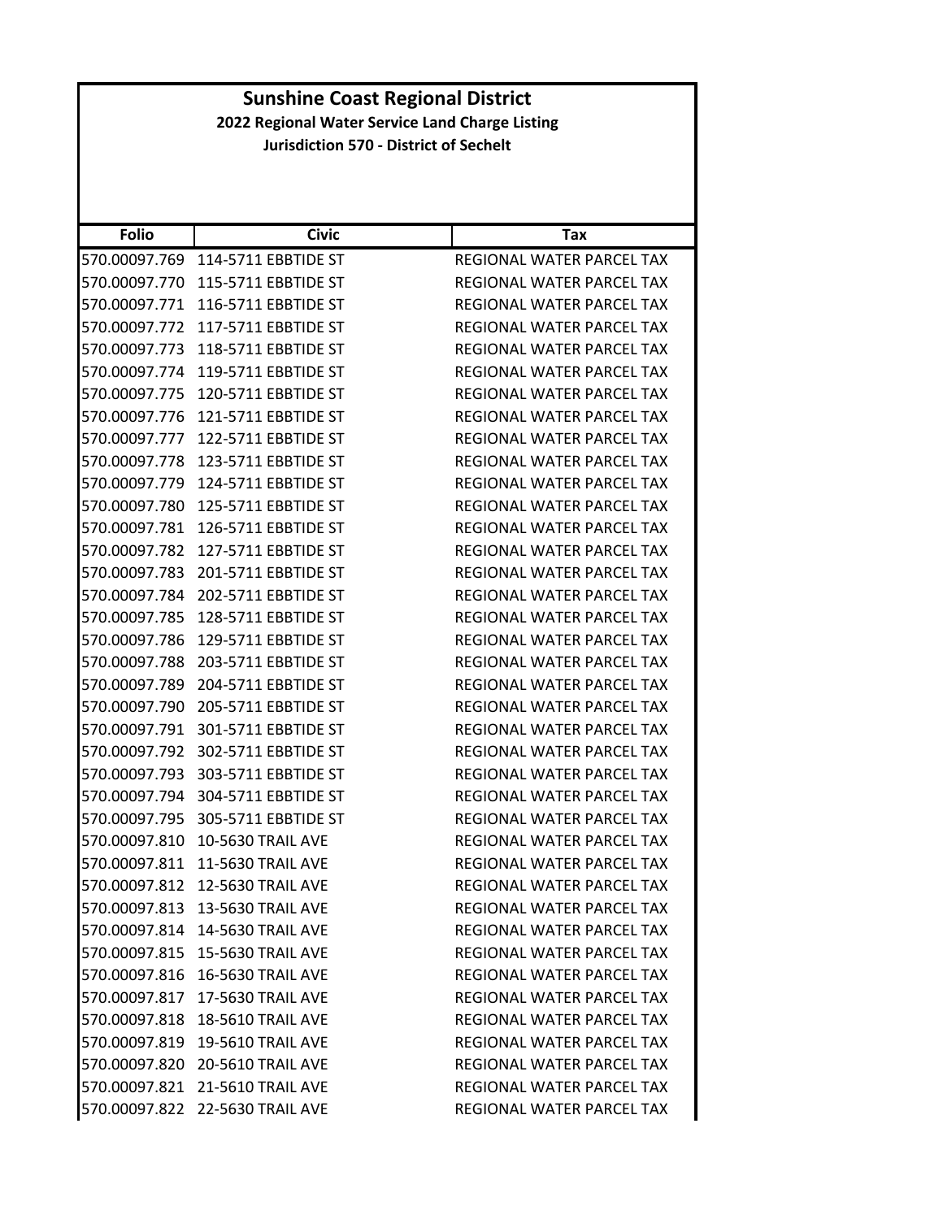| <b>Folio</b>  | <b>Civic</b>                    | Tax                              |
|---------------|---------------------------------|----------------------------------|
| 570.00097.769 | 114-5711 EBBTIDE ST             | REGIONAL WATER PARCEL TAX        |
| 570.00097.770 | 115-5711 EBBTIDE ST             | REGIONAL WATER PARCEL TAX        |
| 570.00097.771 | 116-5711 EBBTIDE ST             | REGIONAL WATER PARCEL TAX        |
| 570.00097.772 | 117-5711 EBBTIDE ST             | REGIONAL WATER PARCEL TAX        |
| 570.00097.773 | 118-5711 EBBTIDE ST             | REGIONAL WATER PARCEL TAX        |
| 570.00097.774 | 119-5711 EBBTIDE ST             | REGIONAL WATER PARCEL TAX        |
| 570.00097.775 | 120-5711 EBBTIDE ST             | REGIONAL WATER PARCEL TAX        |
| 570.00097.776 | 121-5711 EBBTIDE ST             | <b>REGIONAL WATER PARCEL TAX</b> |
| 570.00097.777 | 122-5711 EBBTIDE ST             | REGIONAL WATER PARCEL TAX        |
| 570.00097.778 | 123-5711 EBBTIDE ST             | REGIONAL WATER PARCEL TAX        |
| 570.00097.779 | 124-5711 EBBTIDE ST             | REGIONAL WATER PARCEL TAX        |
| 570.00097.780 | 125-5711 EBBTIDE ST             | REGIONAL WATER PARCEL TAX        |
| 570.00097.781 | 126-5711 EBBTIDE ST             | REGIONAL WATER PARCEL TAX        |
| 570.00097.782 | 127-5711 EBBTIDE ST             | <b>REGIONAL WATER PARCEL TAX</b> |
| 570.00097.783 | 201-5711 EBBTIDE ST             | <b>REGIONAL WATER PARCEL TAX</b> |
| 570.00097.784 | 202-5711 EBBTIDE ST             | REGIONAL WATER PARCEL TAX        |
| 570.00097.785 | 128-5711 EBBTIDE ST             | REGIONAL WATER PARCEL TAX        |
| 570.00097.786 | 129-5711 EBBTIDE ST             | <b>REGIONAL WATER PARCEL TAX</b> |
| 570.00097.788 | 203-5711 EBBTIDE ST             | REGIONAL WATER PARCEL TAX        |
| 570.00097.789 | 204-5711 EBBTIDE ST             | REGIONAL WATER PARCEL TAX        |
| 570.00097.790 | 205-5711 EBBTIDE ST             | REGIONAL WATER PARCEL TAX        |
| 570.00097.791 | 301-5711 EBBTIDE ST             | REGIONAL WATER PARCEL TAX        |
| 570.00097.792 | 302-5711 EBBTIDE ST             | REGIONAL WATER PARCEL TAX        |
| 570.00097.793 | 303-5711 EBBTIDE ST             | REGIONAL WATER PARCEL TAX        |
| 570.00097.794 | 304-5711 EBBTIDE ST             | REGIONAL WATER PARCEL TAX        |
| 570.00097.795 | 305-5711 EBBTIDE ST             | <b>REGIONAL WATER PARCEL TAX</b> |
| 570.00097.810 | <b>10-5630 TRAIL AVE</b>        | REGIONAL WATER PARCEL TAX        |
| 570.00097.811 | <b>11-5630 TRAIL AVE</b>        | REGIONAL WATER PARCEL TAX        |
| 570.00097.812 | <b>12-5630 TRAIL AVE</b>        | REGIONAL WATER PARCEL TAX        |
|               | 570.00097.813 13-5630 TRAIL AVE | REGIONAL WATER PARCEL TAX        |
|               | 570.00097.814 14-5630 TRAIL AVE | REGIONAL WATER PARCEL TAX        |
|               | 570.00097.815 15-5630 TRAIL AVE | REGIONAL WATER PARCEL TAX        |
|               | 570.00097.816 16-5630 TRAIL AVE | REGIONAL WATER PARCEL TAX        |
|               | 570.00097.817 17-5630 TRAIL AVE | REGIONAL WATER PARCEL TAX        |
| 570.00097.818 | <b>18-5610 TRAIL AVE</b>        | REGIONAL WATER PARCEL TAX        |
|               | 570.00097.819 19-5610 TRAIL AVE | REGIONAL WATER PARCEL TAX        |
|               | 570.00097.820 20-5610 TRAIL AVE | REGIONAL WATER PARCEL TAX        |
|               | 570.00097.821 21-5610 TRAIL AVE | <b>REGIONAL WATER PARCEL TAX</b> |
|               | 570.00097.822 22-5630 TRAIL AVE | REGIONAL WATER PARCEL TAX        |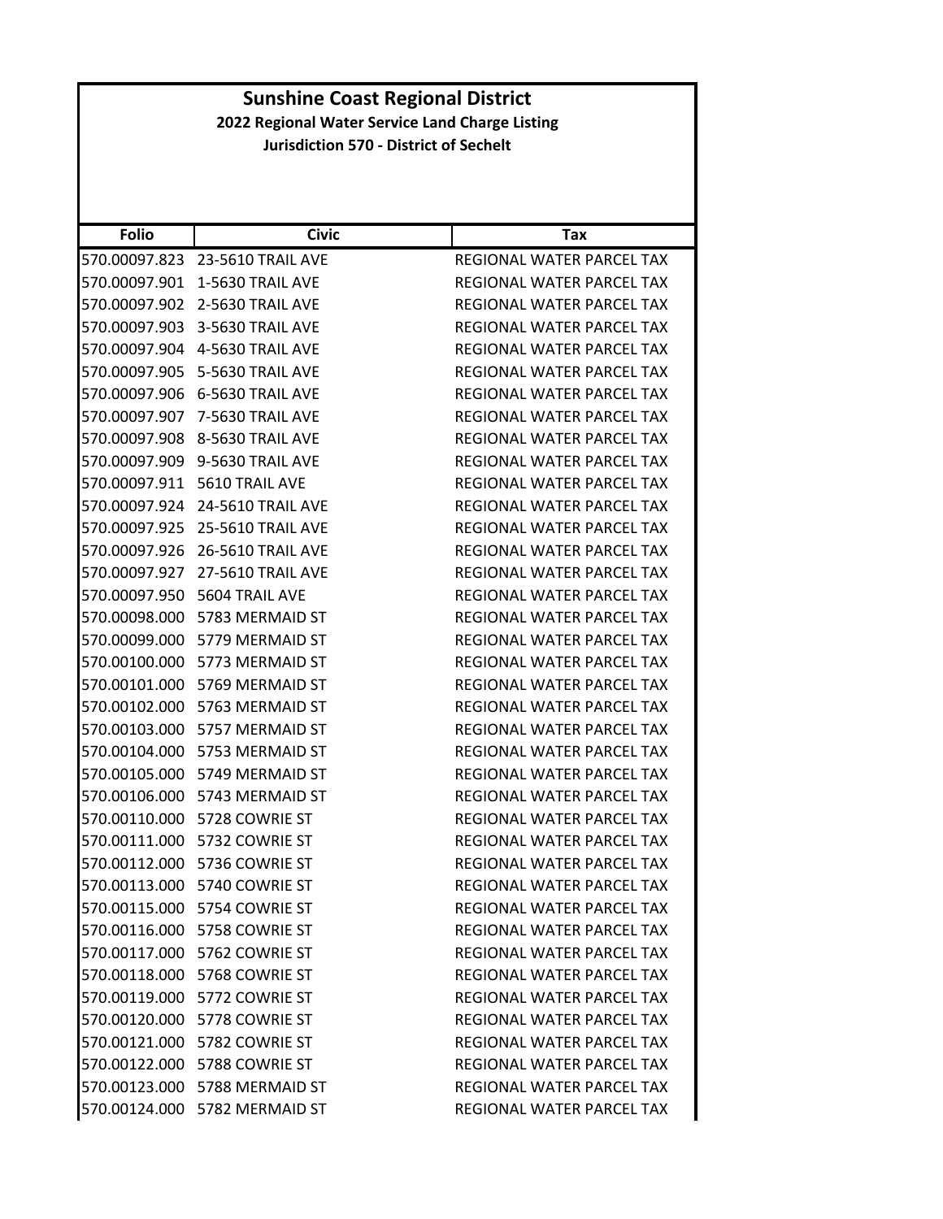| <b>Folio</b>  | <b>Civic</b>                    | Tax                              |
|---------------|---------------------------------|----------------------------------|
|               | 570.00097.823 23-5610 TRAIL AVE | REGIONAL WATER PARCEL TAX        |
| 570.00097.901 | 1-5630 TRAIL AVE                | REGIONAL WATER PARCEL TAX        |
|               | 570.00097.902 2-5630 TRAIL AVE  | REGIONAL WATER PARCEL TAX        |
|               | 570.00097.903 3-5630 TRAIL AVE  | REGIONAL WATER PARCEL TAX        |
|               | 570.00097.904 4-5630 TRAIL AVE  | REGIONAL WATER PARCEL TAX        |
| 570.00097.905 | 5-5630 TRAIL AVE                | REGIONAL WATER PARCEL TAX        |
|               | 570.00097.906 6-5630 TRAIL AVE  | REGIONAL WATER PARCEL TAX        |
| 570.00097.907 | 7-5630 TRAIL AVE                | REGIONAL WATER PARCEL TAX        |
|               | 570.00097.908 8-5630 TRAIL AVE  | REGIONAL WATER PARCEL TAX        |
|               | 570.00097.909 9-5630 TRAIL AVE  | REGIONAL WATER PARCEL TAX        |
| 570.00097.911 | 5610 TRAIL AVE                  | REGIONAL WATER PARCEL TAX        |
|               | 570.00097.924 24-5610 TRAIL AVE | REGIONAL WATER PARCEL TAX        |
| 570.00097.925 | 25-5610 TRAIL AVE               | REGIONAL WATER PARCEL TAX        |
| 570.00097.926 | <b>26-5610 TRAIL AVE</b>        | REGIONAL WATER PARCEL TAX        |
| 570.00097.927 | 27-5610 TRAIL AVE               | REGIONAL WATER PARCEL TAX        |
| 570.00097.950 | 5604 TRAIL AVE                  | REGIONAL WATER PARCEL TAX        |
|               | 570.00098.000 5783 MERMAID ST   | REGIONAL WATER PARCEL TAX        |
|               | 570.00099.000 5779 MERMAID ST   | REGIONAL WATER PARCEL TAX        |
|               | 570.00100.000 5773 MERMAID ST   | REGIONAL WATER PARCEL TAX        |
| 570.00101.000 | 5769 MERMAID ST                 | REGIONAL WATER PARCEL TAX        |
|               | 570.00102.000 5763 MERMAID ST   | REGIONAL WATER PARCEL TAX        |
|               | 570.00103.000 5757 MERMAID ST   | REGIONAL WATER PARCEL TAX        |
|               | 570.00104.000 5753 MERMAID ST   | REGIONAL WATER PARCEL TAX        |
|               | 570.00105.000 5749 MERMAID ST   | REGIONAL WATER PARCEL TAX        |
| 570.00106.000 | 5743 MERMAID ST                 | REGIONAL WATER PARCEL TAX        |
|               | 570.00110.000 5728 COWRIE ST    | REGIONAL WATER PARCEL TAX        |
|               |                                 | REGIONAL WATER PARCEL TAX        |
|               | 570.00112.000 5736 COWRIE ST    | <b>REGIONAL WATER PARCEL TAX</b> |
|               | 570.00113.000 5740 COWRIE ST    | REGIONAL WATER PARCEL TAX        |
|               | 570.00115.000 5754 COWRIE ST    | <b>REGIONAL WATER PARCEL TAX</b> |
|               | 570.00116.000 5758 COWRIE ST    | REGIONAL WATER PARCEL TAX        |
|               | 570.00117.000 5762 COWRIE ST    | REGIONAL WATER PARCEL TAX        |
|               | 570.00118.000 5768 COWRIE ST    | REGIONAL WATER PARCEL TAX        |
|               | 570.00119.000 5772 COWRIE ST    | REGIONAL WATER PARCEL TAX        |
|               | 570.00120.000 5778 COWRIE ST    | REGIONAL WATER PARCEL TAX        |
|               | 570.00121.000 5782 COWRIE ST    | REGIONAL WATER PARCEL TAX        |
|               | 570.00122.000 5788 COWRIE ST    | REGIONAL WATER PARCEL TAX        |
|               | 570.00123.000 5788 MERMAID ST   | REGIONAL WATER PARCEL TAX        |
|               | 570.00124.000 5782 MERMAID ST   | REGIONAL WATER PARCEL TAX        |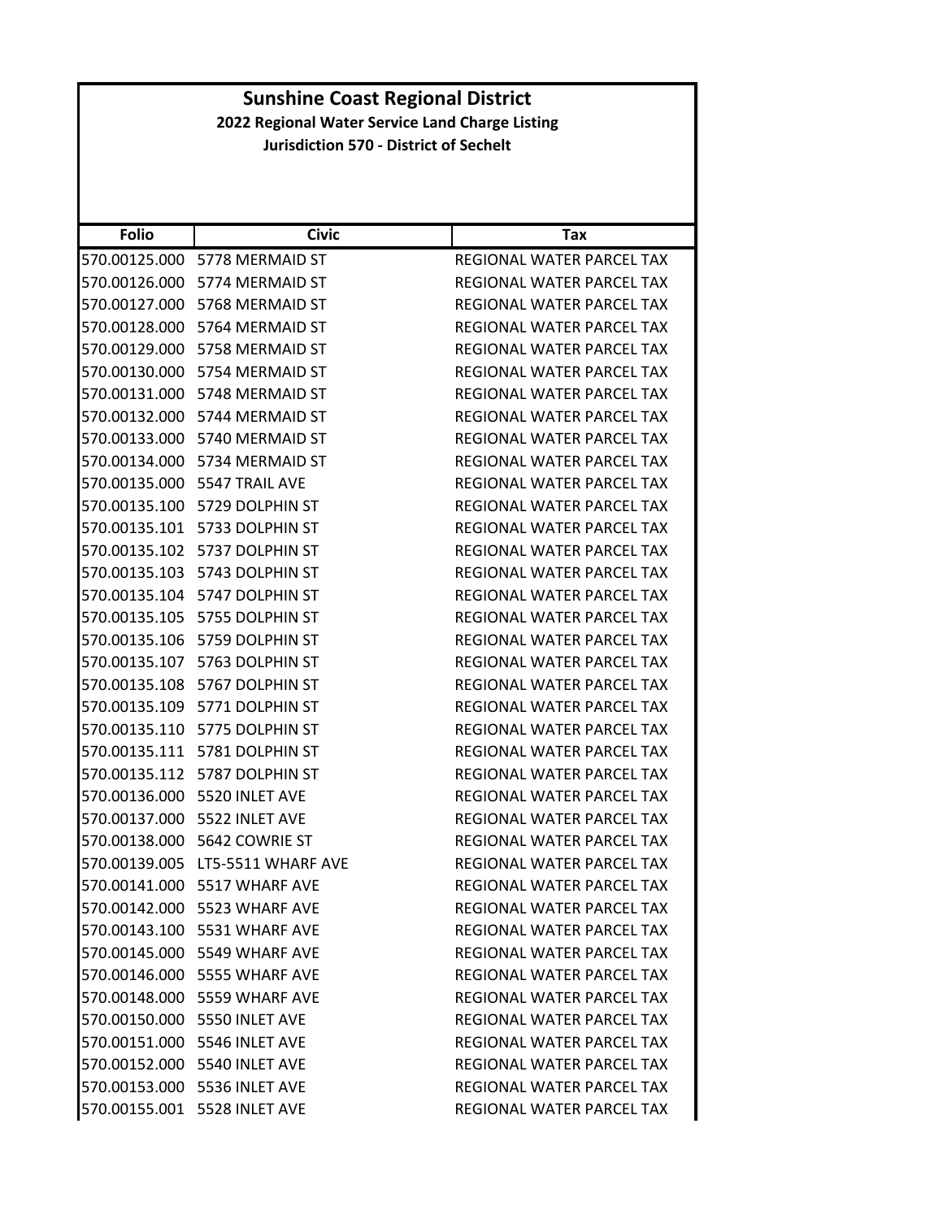| <b>Folio</b>  | <b>Civic</b>                  | Tax                              |
|---------------|-------------------------------|----------------------------------|
|               | 570.00125.000 5778 MERMAID ST | REGIONAL WATER PARCEL TAX        |
|               | 570.00126.000 5774 MERMAID ST | REGIONAL WATER PARCEL TAX        |
|               | 570.00127.000 5768 MERMAID ST | REGIONAL WATER PARCEL TAX        |
|               | 570.00128.000 5764 MERMAID ST | REGIONAL WATER PARCEL TAX        |
|               | 570.00129.000 5758 MERMAID ST | REGIONAL WATER PARCEL TAX        |
| 570.00130.000 | 5754 MERMAID ST               | <b>REGIONAL WATER PARCEL TAX</b> |
|               | 570.00131.000 5748 MERMAID ST | REGIONAL WATER PARCEL TAX        |
|               | 570.00132.000 5744 MERMAID ST | REGIONAL WATER PARCEL TAX        |
|               | 570.00133.000 5740 MERMAID ST | REGIONAL WATER PARCEL TAX        |
|               | 570.00134.000 5734 MERMAID ST | REGIONAL WATER PARCEL TAX        |
| 570.00135.000 | 5547 TRAIL AVE                | REGIONAL WATER PARCEL TAX        |
|               | 570.00135.100 5729 DOLPHIN ST | REGIONAL WATER PARCEL TAX        |
|               | 570.00135.101 5733 DOLPHIN ST | REGIONAL WATER PARCEL TAX        |
|               | 570.00135.102 5737 DOLPHIN ST | <b>REGIONAL WATER PARCEL TAX</b> |
|               | 570.00135.103 5743 DOLPHIN ST | REGIONAL WATER PARCEL TAX        |
| 570.00135.104 | 5747 DOLPHIN ST               | REGIONAL WATER PARCEL TAX        |
|               | 570.00135.105 5755 DOLPHIN ST | REGIONAL WATER PARCEL TAX        |
| 570.00135.106 | 5759 DOLPHIN ST               | REGIONAL WATER PARCEL TAX        |
|               | 570.00135.107 5763 DOLPHIN ST | REGIONAL WATER PARCEL TAX        |
| 570.00135.108 | 5767 DOLPHIN ST               | REGIONAL WATER PARCEL TAX        |
|               | 570.00135.109 5771 DOLPHIN ST | REGIONAL WATER PARCEL TAX        |
|               | 570.00135.110 5775 DOLPHIN ST | REGIONAL WATER PARCEL TAX        |
| 570.00135.111 | 5781 DOLPHIN ST               | REGIONAL WATER PARCEL TAX        |
|               | 570.00135.112 5787 DOLPHIN ST | REGIONAL WATER PARCEL TAX        |
| 570.00136.000 | 5520 INLET AVE                | REGIONAL WATER PARCEL TAX        |
|               | 570.00137.000 5522 INLET AVE  | <b>REGIONAL WATER PARCEL TAX</b> |
|               |                               | REGIONAL WATER PARCEL TAX        |
| 570.00139.005 | LT5-5511 WHARF AVE            | REGIONAL WATER PARCEL TAX        |
|               | 570.00141.000 5517 WHARF AVE  | REGIONAL WATER PARCEL TAX        |
|               | 570.00142.000 5523 WHARF AVE  | REGIONAL WATER PARCEL TAX        |
|               | 570.00143.100 5531 WHARF AVE  | REGIONAL WATER PARCEL TAX        |
|               | 570.00145.000 5549 WHARF AVE  | REGIONAL WATER PARCEL TAX        |
|               | 570.00146.000 5555 WHARF AVE  | REGIONAL WATER PARCEL TAX        |
|               | 570.00148.000 5559 WHARF AVE  | REGIONAL WATER PARCEL TAX        |
|               | 570.00150.000 5550 INLET AVE  | REGIONAL WATER PARCEL TAX        |
|               | 570.00151.000 5546 INLET AVE  | REGIONAL WATER PARCEL TAX        |
|               | 570.00152.000 5540 INLET AVE  | REGIONAL WATER PARCEL TAX        |
|               | 570.00153.000 5536 INLET AVE  | REGIONAL WATER PARCEL TAX        |
|               | 570.00155.001 5528 INLET AVE  | REGIONAL WATER PARCEL TAX        |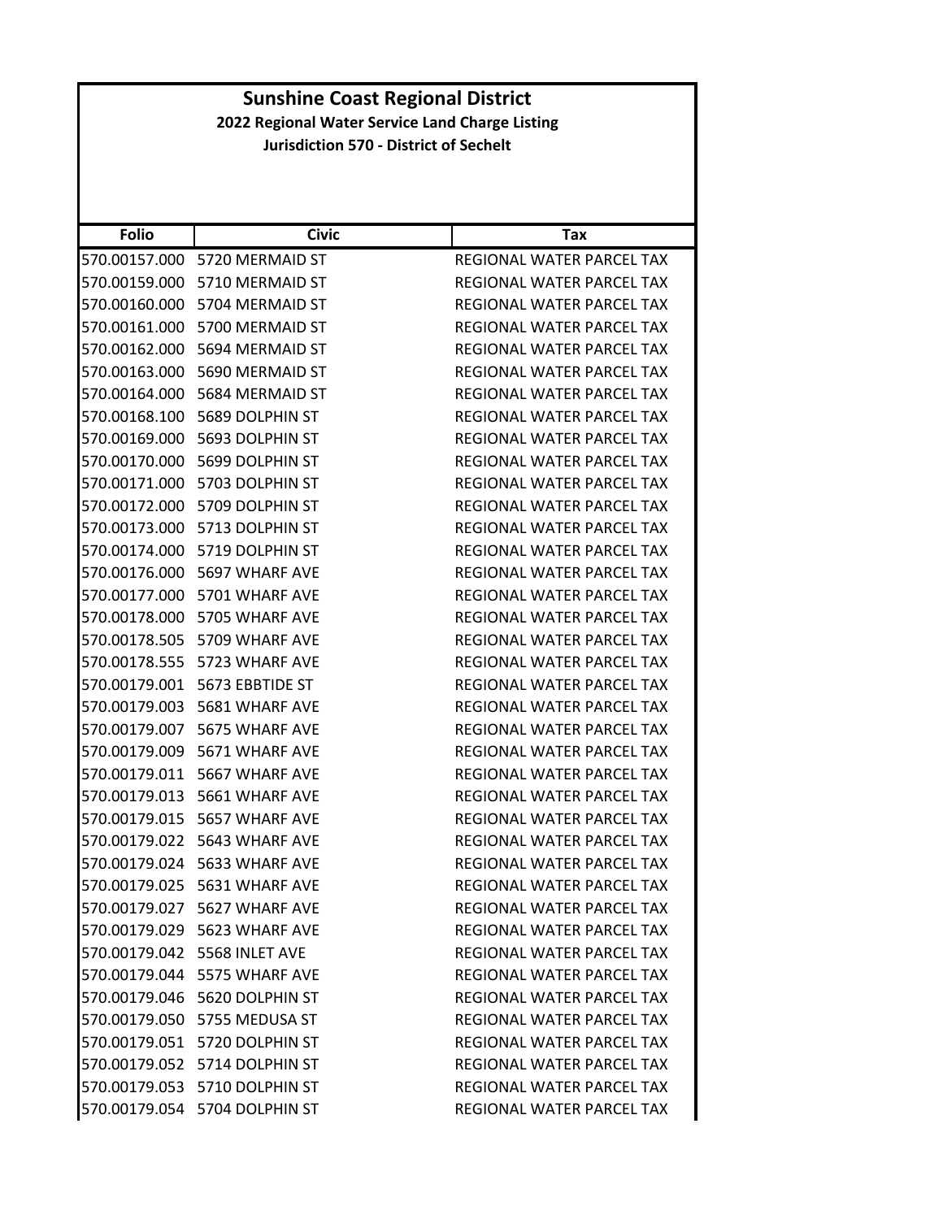| <b>Folio</b>  | <b>Civic</b>                  | Tax                              |
|---------------|-------------------------------|----------------------------------|
| 570.00157.000 | 5720 MERMAID ST               | REGIONAL WATER PARCEL TAX        |
|               | 570.00159.000 5710 MERMAID ST | REGIONAL WATER PARCEL TAX        |
| 570.00160.000 | 5704 MERMAID ST               | REGIONAL WATER PARCEL TAX        |
|               | 570.00161.000 5700 MERMAID ST | REGIONAL WATER PARCEL TAX        |
| 570.00162.000 | 5694 MERMAID ST               | REGIONAL WATER PARCEL TAX        |
| 570.00163.000 | 5690 MERMAID ST               | REGIONAL WATER PARCEL TAX        |
|               | 570.00164.000 5684 MERMAID ST | REGIONAL WATER PARCEL TAX        |
| 570.00168.100 | 5689 DOLPHIN ST               | <b>REGIONAL WATER PARCEL TAX</b> |
|               | 570.00169.000 5693 DOLPHIN ST | REGIONAL WATER PARCEL TAX        |
| 570.00170.000 | 5699 DOLPHIN ST               | REGIONAL WATER PARCEL TAX        |
| 570.00171.000 | 5703 DOLPHIN ST               | REGIONAL WATER PARCEL TAX        |
|               | 570.00172.000 5709 DOLPHIN ST | REGIONAL WATER PARCEL TAX        |
| 570.00173.000 | 5713 DOLPHIN ST               | REGIONAL WATER PARCEL TAX        |
|               | 570.00174.000 5719 DOLPHIN ST | REGIONAL WATER PARCEL TAX        |
| 570.00176.000 | 5697 WHARF AVE                | REGIONAL WATER PARCEL TAX        |
| 570.00177.000 | 5701 WHARF AVE                | REGIONAL WATER PARCEL TAX        |
|               | 570.00178.000 5705 WHARF AVE  | REGIONAL WATER PARCEL TAX        |
|               | 570.00178.505 5709 WHARF AVE  | REGIONAL WATER PARCEL TAX        |
|               | 570.00178.555 5723 WHARF AVE  | REGIONAL WATER PARCEL TAX        |
| 570.00179.001 | 5673 EBBTIDE ST               | REGIONAL WATER PARCEL TAX        |
|               | 570.00179.003 5681 WHARF AVE  | REGIONAL WATER PARCEL TAX        |
|               | 570.00179.007 5675 WHARF AVE  | REGIONAL WATER PARCEL TAX        |
| 570.00179.009 | 5671 WHARF AVE                | REGIONAL WATER PARCEL TAX        |
| 570.00179.011 | 5667 WHARF AVE                | REGIONAL WATER PARCEL TAX        |
| 570.00179.013 | 5661 WHARF AVE                | REGIONAL WATER PARCEL TAX        |
| 570.00179.015 | 5657 WHARF AVE                | REGIONAL WATER PARCEL TAX        |
| 570.00179.022 | 5643 WHARF AVE                | <b>REGIONAL WATER PARCEL TAX</b> |
|               | 570.00179.024 5633 WHARF AVE  | REGIONAL WATER PARCEL TAX        |
|               | 570.00179.025 5631 WHARF AVE  | REGIONAL WATER PARCEL TAX        |
|               | 570.00179.027 5627 WHARF AVE  | REGIONAL WATER PARCEL TAX        |
|               | 570.00179.029 5623 WHARF AVE  | REGIONAL WATER PARCEL TAX        |
|               | 570.00179.042 5568 INLET AVE  | <b>REGIONAL WATER PARCEL TAX</b> |
|               | 570.00179.044 5575 WHARF AVE  | REGIONAL WATER PARCEL TAX        |
|               | 570.00179.046 5620 DOLPHIN ST | REGIONAL WATER PARCEL TAX        |
|               | 570.00179.050 5755 MEDUSA ST  | REGIONAL WATER PARCEL TAX        |
|               | 570.00179.051 5720 DOLPHIN ST | REGIONAL WATER PARCEL TAX        |
|               | 570.00179.052 5714 DOLPHIN ST | REGIONAL WATER PARCEL TAX        |
|               | 570.00179.053 5710 DOLPHIN ST | REGIONAL WATER PARCEL TAX        |
|               | 570.00179.054 5704 DOLPHIN ST | REGIONAL WATER PARCEL TAX        |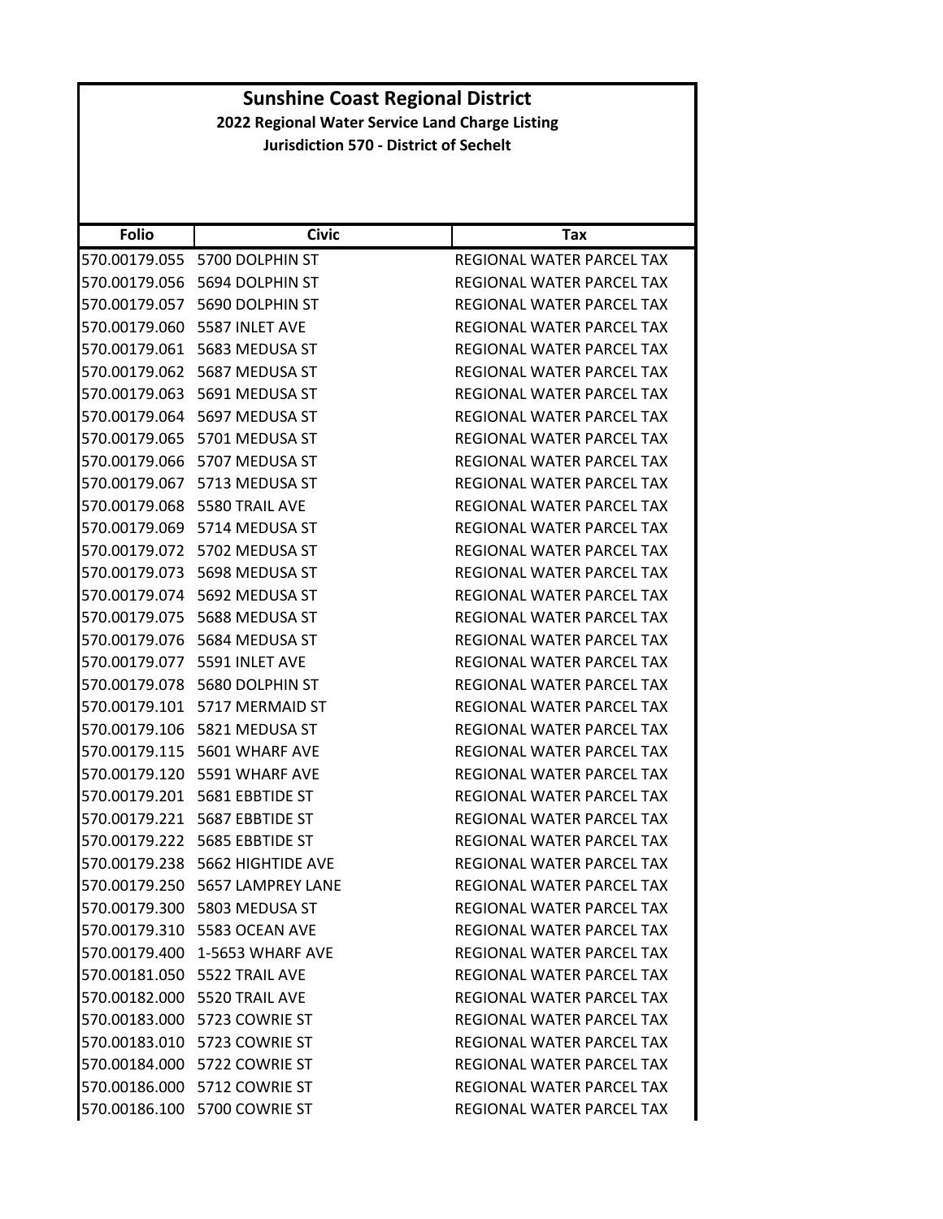| <b>Folio</b>  | <b>Civic</b>                       | Tax                              |
|---------------|------------------------------------|----------------------------------|
| 570.00179.055 | 5700 DOLPHIN ST                    | REGIONAL WATER PARCEL TAX        |
|               | 570.00179.056 5694 DOLPHIN ST      | REGIONAL WATER PARCEL TAX        |
| 570.00179.057 | 5690 DOLPHIN ST                    | REGIONAL WATER PARCEL TAX        |
|               | 570.00179.060    5587 INLET AVE    | REGIONAL WATER PARCEL TAX        |
|               | 570.00179.061 5683 MEDUSA ST       | REGIONAL WATER PARCEL TAX        |
| 570.00179.062 | 5687 MEDUSA ST                     | REGIONAL WATER PARCEL TAX        |
|               | 570.00179.063    5691 MEDUSA ST    | REGIONAL WATER PARCEL TAX        |
| 570.00179.064 | 5697 MEDUSA ST                     | REGIONAL WATER PARCEL TAX        |
|               | 570.00179.065 5701 MEDUSA ST       | REGIONAL WATER PARCEL TAX        |
|               | 570.00179.066 5707 MEDUSA ST       | REGIONAL WATER PARCEL TAX        |
| 570.00179.067 | 5713 MEDUSA ST                     | REGIONAL WATER PARCEL TAX        |
|               | 570.00179.068 5580 TRAIL AVE       | REGIONAL WATER PARCEL TAX        |
| 570.00179.069 | 5714 MEDUSA ST                     | REGIONAL WATER PARCEL TAX        |
|               | 570.00179.072 5702 MEDUSA ST       | REGIONAL WATER PARCEL TAX        |
| 570.00179.073 | 5698 MEDUSA ST                     | REGIONAL WATER PARCEL TAX        |
| 570.00179.074 | 5692 MEDUSA ST                     | <b>REGIONAL WATER PARCEL TAX</b> |
|               |                                    | REGIONAL WATER PARCEL TAX        |
| 570.00179.076 | 5684 MEDUSA ST                     | REGIONAL WATER PARCEL TAX        |
|               | 570.00179.077    5591 INLET AVE    | REGIONAL WATER PARCEL TAX        |
| 570.00179.078 | 5680 DOLPHIN ST                    | REGIONAL WATER PARCEL TAX        |
| 570.00179.101 | 5717 MERMAID ST                    | REGIONAL WATER PARCEL TAX        |
|               | 570.00179.106    5821 MEDUSA ST    | REGIONAL WATER PARCEL TAX        |
|               | 570.00179.115 5601 WHARF AVE       | REGIONAL WATER PARCEL TAX        |
|               | 570.00179.120    5591 WHARF AVE    | REGIONAL WATER PARCEL TAX        |
| 570.00179.201 | 5681 EBBTIDE ST                    | REGIONAL WATER PARCEL TAX        |
| 570.00179.221 | 5687 EBBTIDE ST                    | REGIONAL WATER PARCEL TAX        |
| 570.00179.222 | 5685 EBBTIDE ST                    | REGIONAL WATER PARCEL TAX        |
| 570.00179.238 | 5662 HIGHTIDE AVE                  | REGIONAL WATER PARCEL TAX        |
|               | 570.00179.250 5657 LAMPREY LANE    | REGIONAL WATER PARCEL TAX        |
|               | 570.00179.300 5803 MEDUSA ST       | REGIONAL WATER PARCEL TAX        |
|               | 570.00179.310 5583 OCEAN AVE       | REGIONAL WATER PARCEL TAX        |
|               | 570.00179.400 1-5653 WHARF AVE     | <b>REGIONAL WATER PARCEL TAX</b> |
|               | 570.00181.050    5522 TRAIL AVE    | REGIONAL WATER PARCEL TAX        |
|               | 570.00182.000 5520 TRAIL AVE       | REGIONAL WATER PARCEL TAX        |
|               | 570.00183.000 5723 COWRIE ST       | REGIONAL WATER PARCEL TAX        |
|               | 570.00183.010    5723    COWRIE ST | REGIONAL WATER PARCEL TAX        |
|               | 570.00184.000 5722 COWRIE ST       | REGIONAL WATER PARCEL TAX        |
|               | 570.00186.000 5712 COWRIE ST       | REGIONAL WATER PARCEL TAX        |
|               | 570.00186.100 5700 COWRIE ST       | REGIONAL WATER PARCEL TAX        |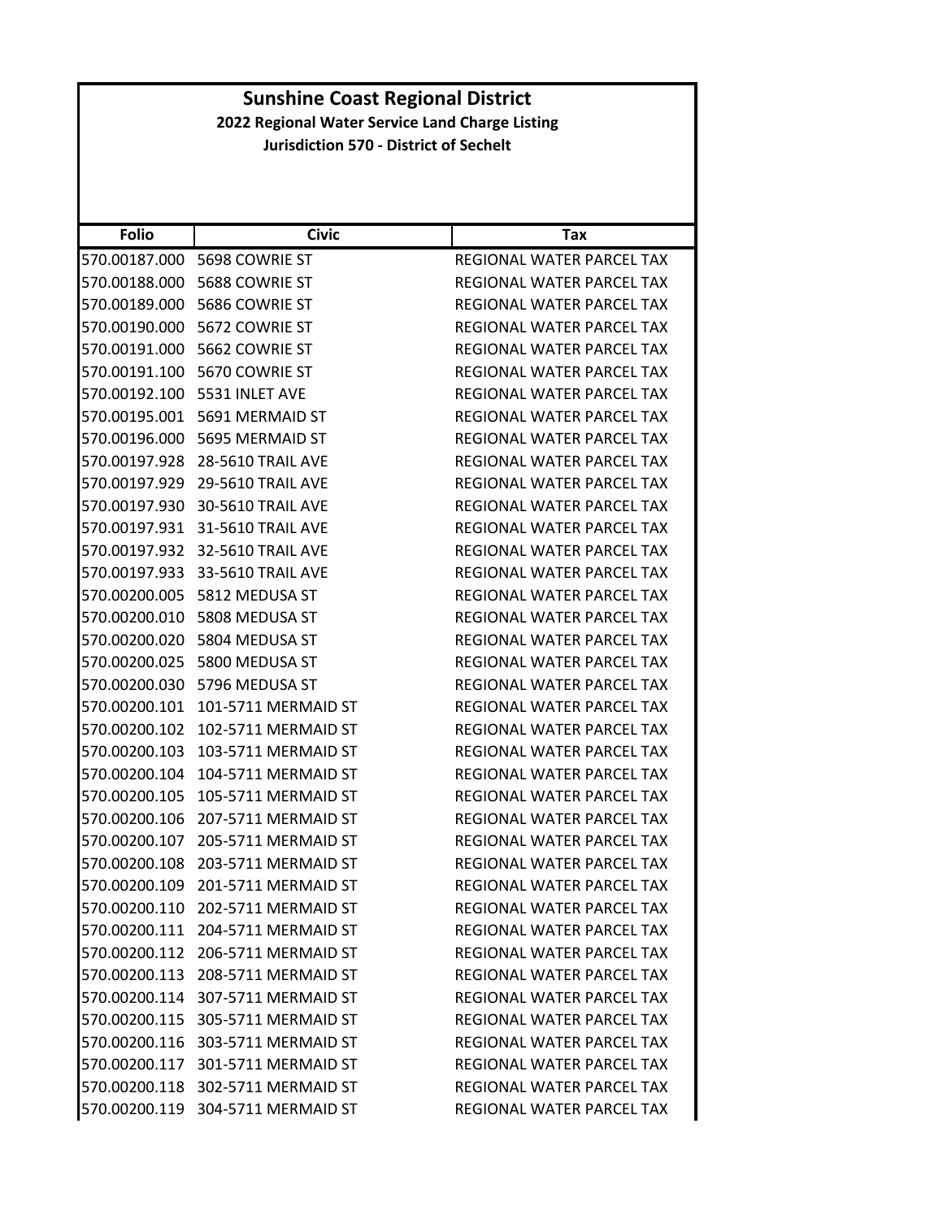| 570.00187.000<br>REGIONAL WATER PARCEL TAX<br>5698 COWRIE ST<br>570.00188.000<br>5688 COWRIE ST<br>REGIONAL WATER PARCEL TAX<br>570.00189.000<br>5686 COWRIE ST<br>REGIONAL WATER PARCEL TAX<br>570.00190.000<br>5672 COWRIE ST<br>REGIONAL WATER PARCEL TAX<br>570.00191.000<br>5662 COWRIE ST<br>REGIONAL WATER PARCEL TAX<br>5670 COWRIE ST<br>570.00191.100<br>REGIONAL WATER PARCEL TAX<br>570.00192.100<br>5531 INLET AVE<br>REGIONAL WATER PARCEL TAX<br>570.00195.001<br>5691 MERMAID ST<br>REGIONAL WATER PARCEL TAX<br>570.00196.000<br>5695 MERMAID ST<br>REGIONAL WATER PARCEL TAX<br>28-5610 TRAIL AVE<br>REGIONAL WATER PARCEL TAX<br><b>29-5610 TRAIL AVE</b><br>REGIONAL WATER PARCEL TAX<br>30-5610 TRAIL AVE<br>REGIONAL WATER PARCEL TAX<br><b>31-5610 TRAIL AVE</b><br>REGIONAL WATER PARCEL TAX<br>32-5610 TRAIL AVE<br>REGIONAL WATER PARCEL TAX<br>33-5610 TRAIL AVE<br>REGIONAL WATER PARCEL TAX<br>REGIONAL WATER PARCEL TAX<br>5812 MEDUSA ST<br>5808 MEDUSA ST<br>REGIONAL WATER PARCEL TAX<br>5804 MEDUSA ST<br>REGIONAL WATER PARCEL TAX<br>5800 MEDUSA ST<br>REGIONAL WATER PARCEL TAX<br>REGIONAL WATER PARCEL TAX<br>5796 MEDUSA ST<br>101-5711 MERMAID ST<br>REGIONAL WATER PARCEL TAX<br>102-5711 MERMAID ST<br>REGIONAL WATER PARCEL TAX<br>103-5711 MERMAID ST<br>REGIONAL WATER PARCEL TAX | <b>Folio</b>  | <b>Civic</b> | Tax |
|---------------------------------------------------------------------------------------------------------------------------------------------------------------------------------------------------------------------------------------------------------------------------------------------------------------------------------------------------------------------------------------------------------------------------------------------------------------------------------------------------------------------------------------------------------------------------------------------------------------------------------------------------------------------------------------------------------------------------------------------------------------------------------------------------------------------------------------------------------------------------------------------------------------------------------------------------------------------------------------------------------------------------------------------------------------------------------------------------------------------------------------------------------------------------------------------------------------------------------------------------------------------------------------------------------------------------------|---------------|--------------|-----|
|                                                                                                                                                                                                                                                                                                                                                                                                                                                                                                                                                                                                                                                                                                                                                                                                                                                                                                                                                                                                                                                                                                                                                                                                                                                                                                                                 |               |              |     |
|                                                                                                                                                                                                                                                                                                                                                                                                                                                                                                                                                                                                                                                                                                                                                                                                                                                                                                                                                                                                                                                                                                                                                                                                                                                                                                                                 |               |              |     |
|                                                                                                                                                                                                                                                                                                                                                                                                                                                                                                                                                                                                                                                                                                                                                                                                                                                                                                                                                                                                                                                                                                                                                                                                                                                                                                                                 |               |              |     |
|                                                                                                                                                                                                                                                                                                                                                                                                                                                                                                                                                                                                                                                                                                                                                                                                                                                                                                                                                                                                                                                                                                                                                                                                                                                                                                                                 |               |              |     |
|                                                                                                                                                                                                                                                                                                                                                                                                                                                                                                                                                                                                                                                                                                                                                                                                                                                                                                                                                                                                                                                                                                                                                                                                                                                                                                                                 |               |              |     |
|                                                                                                                                                                                                                                                                                                                                                                                                                                                                                                                                                                                                                                                                                                                                                                                                                                                                                                                                                                                                                                                                                                                                                                                                                                                                                                                                 |               |              |     |
|                                                                                                                                                                                                                                                                                                                                                                                                                                                                                                                                                                                                                                                                                                                                                                                                                                                                                                                                                                                                                                                                                                                                                                                                                                                                                                                                 |               |              |     |
|                                                                                                                                                                                                                                                                                                                                                                                                                                                                                                                                                                                                                                                                                                                                                                                                                                                                                                                                                                                                                                                                                                                                                                                                                                                                                                                                 |               |              |     |
|                                                                                                                                                                                                                                                                                                                                                                                                                                                                                                                                                                                                                                                                                                                                                                                                                                                                                                                                                                                                                                                                                                                                                                                                                                                                                                                                 |               |              |     |
|                                                                                                                                                                                                                                                                                                                                                                                                                                                                                                                                                                                                                                                                                                                                                                                                                                                                                                                                                                                                                                                                                                                                                                                                                                                                                                                                 |               |              |     |
|                                                                                                                                                                                                                                                                                                                                                                                                                                                                                                                                                                                                                                                                                                                                                                                                                                                                                                                                                                                                                                                                                                                                                                                                                                                                                                                                 | 570.00197.928 |              |     |
|                                                                                                                                                                                                                                                                                                                                                                                                                                                                                                                                                                                                                                                                                                                                                                                                                                                                                                                                                                                                                                                                                                                                                                                                                                                                                                                                 | 570.00197.929 |              |     |
|                                                                                                                                                                                                                                                                                                                                                                                                                                                                                                                                                                                                                                                                                                                                                                                                                                                                                                                                                                                                                                                                                                                                                                                                                                                                                                                                 | 570.00197.930 |              |     |
|                                                                                                                                                                                                                                                                                                                                                                                                                                                                                                                                                                                                                                                                                                                                                                                                                                                                                                                                                                                                                                                                                                                                                                                                                                                                                                                                 | 570.00197.931 |              |     |
|                                                                                                                                                                                                                                                                                                                                                                                                                                                                                                                                                                                                                                                                                                                                                                                                                                                                                                                                                                                                                                                                                                                                                                                                                                                                                                                                 | 570.00197.932 |              |     |
|                                                                                                                                                                                                                                                                                                                                                                                                                                                                                                                                                                                                                                                                                                                                                                                                                                                                                                                                                                                                                                                                                                                                                                                                                                                                                                                                 | 570.00197.933 |              |     |
|                                                                                                                                                                                                                                                                                                                                                                                                                                                                                                                                                                                                                                                                                                                                                                                                                                                                                                                                                                                                                                                                                                                                                                                                                                                                                                                                 | 570.00200.005 |              |     |
|                                                                                                                                                                                                                                                                                                                                                                                                                                                                                                                                                                                                                                                                                                                                                                                                                                                                                                                                                                                                                                                                                                                                                                                                                                                                                                                                 | 570.00200.010 |              |     |
|                                                                                                                                                                                                                                                                                                                                                                                                                                                                                                                                                                                                                                                                                                                                                                                                                                                                                                                                                                                                                                                                                                                                                                                                                                                                                                                                 | 570.00200.020 |              |     |
|                                                                                                                                                                                                                                                                                                                                                                                                                                                                                                                                                                                                                                                                                                                                                                                                                                                                                                                                                                                                                                                                                                                                                                                                                                                                                                                                 | 570.00200.025 |              |     |
|                                                                                                                                                                                                                                                                                                                                                                                                                                                                                                                                                                                                                                                                                                                                                                                                                                                                                                                                                                                                                                                                                                                                                                                                                                                                                                                                 | 570.00200.030 |              |     |
|                                                                                                                                                                                                                                                                                                                                                                                                                                                                                                                                                                                                                                                                                                                                                                                                                                                                                                                                                                                                                                                                                                                                                                                                                                                                                                                                 | 570.00200.101 |              |     |
|                                                                                                                                                                                                                                                                                                                                                                                                                                                                                                                                                                                                                                                                                                                                                                                                                                                                                                                                                                                                                                                                                                                                                                                                                                                                                                                                 | 570.00200.102 |              |     |
|                                                                                                                                                                                                                                                                                                                                                                                                                                                                                                                                                                                                                                                                                                                                                                                                                                                                                                                                                                                                                                                                                                                                                                                                                                                                                                                                 | 570.00200.103 |              |     |
| 104-5711 MERMAID ST<br>REGIONAL WATER PARCEL TAX                                                                                                                                                                                                                                                                                                                                                                                                                                                                                                                                                                                                                                                                                                                                                                                                                                                                                                                                                                                                                                                                                                                                                                                                                                                                                | 570.00200.104 |              |     |
| 105-5711 MERMAID ST<br>REGIONAL WATER PARCEL TAX                                                                                                                                                                                                                                                                                                                                                                                                                                                                                                                                                                                                                                                                                                                                                                                                                                                                                                                                                                                                                                                                                                                                                                                                                                                                                | 570.00200.105 |              |     |
| 207-5711 MERMAID ST<br>REGIONAL WATER PARCEL TAX                                                                                                                                                                                                                                                                                                                                                                                                                                                                                                                                                                                                                                                                                                                                                                                                                                                                                                                                                                                                                                                                                                                                                                                                                                                                                | 570.00200.106 |              |     |
| 205-5711 MERMAID ST<br>REGIONAL WATER PARCEL TAX                                                                                                                                                                                                                                                                                                                                                                                                                                                                                                                                                                                                                                                                                                                                                                                                                                                                                                                                                                                                                                                                                                                                                                                                                                                                                | 570.00200.107 |              |     |
| 203-5711 MERMAID ST<br>REGIONAL WATER PARCEL TAX                                                                                                                                                                                                                                                                                                                                                                                                                                                                                                                                                                                                                                                                                                                                                                                                                                                                                                                                                                                                                                                                                                                                                                                                                                                                                | 570.00200.108 |              |     |
| 201-5711 MERMAID ST<br>REGIONAL WATER PARCEL TAX                                                                                                                                                                                                                                                                                                                                                                                                                                                                                                                                                                                                                                                                                                                                                                                                                                                                                                                                                                                                                                                                                                                                                                                                                                                                                | 570.00200.109 |              |     |
| 570.00200.110 202-5711 MERMAID ST<br>REGIONAL WATER PARCEL TAX                                                                                                                                                                                                                                                                                                                                                                                                                                                                                                                                                                                                                                                                                                                                                                                                                                                                                                                                                                                                                                                                                                                                                                                                                                                                  |               |              |     |
| 570.00200.111 204-5711 MERMAID ST<br>REGIONAL WATER PARCEL TAX                                                                                                                                                                                                                                                                                                                                                                                                                                                                                                                                                                                                                                                                                                                                                                                                                                                                                                                                                                                                                                                                                                                                                                                                                                                                  |               |              |     |
| 570.00200.112 206-5711 MERMAID ST<br>REGIONAL WATER PARCEL TAX                                                                                                                                                                                                                                                                                                                                                                                                                                                                                                                                                                                                                                                                                                                                                                                                                                                                                                                                                                                                                                                                                                                                                                                                                                                                  |               |              |     |
| 570.00200.113 208-5711 MERMAID ST<br>REGIONAL WATER PARCEL TAX                                                                                                                                                                                                                                                                                                                                                                                                                                                                                                                                                                                                                                                                                                                                                                                                                                                                                                                                                                                                                                                                                                                                                                                                                                                                  |               |              |     |
| 570.00200.114 307-5711 MERMAID ST<br>REGIONAL WATER PARCEL TAX                                                                                                                                                                                                                                                                                                                                                                                                                                                                                                                                                                                                                                                                                                                                                                                                                                                                                                                                                                                                                                                                                                                                                                                                                                                                  |               |              |     |
| 570.00200.115 305-5711 MERMAID ST<br>REGIONAL WATER PARCEL TAX                                                                                                                                                                                                                                                                                                                                                                                                                                                                                                                                                                                                                                                                                                                                                                                                                                                                                                                                                                                                                                                                                                                                                                                                                                                                  |               |              |     |
| 570.00200.116 303-5711 MERMAID ST<br>REGIONAL WATER PARCEL TAX                                                                                                                                                                                                                                                                                                                                                                                                                                                                                                                                                                                                                                                                                                                                                                                                                                                                                                                                                                                                                                                                                                                                                                                                                                                                  |               |              |     |
| 570.00200.117 301-5711 MERMAID ST<br>REGIONAL WATER PARCEL TAX                                                                                                                                                                                                                                                                                                                                                                                                                                                                                                                                                                                                                                                                                                                                                                                                                                                                                                                                                                                                                                                                                                                                                                                                                                                                  |               |              |     |
| 570.00200.118 302-5711 MERMAID ST<br><b>REGIONAL WATER PARCEL TAX</b>                                                                                                                                                                                                                                                                                                                                                                                                                                                                                                                                                                                                                                                                                                                                                                                                                                                                                                                                                                                                                                                                                                                                                                                                                                                           |               |              |     |
| 570.00200.119 304-5711 MERMAID ST<br>REGIONAL WATER PARCEL TAX                                                                                                                                                                                                                                                                                                                                                                                                                                                                                                                                                                                                                                                                                                                                                                                                                                                                                                                                                                                                                                                                                                                                                                                                                                                                  |               |              |     |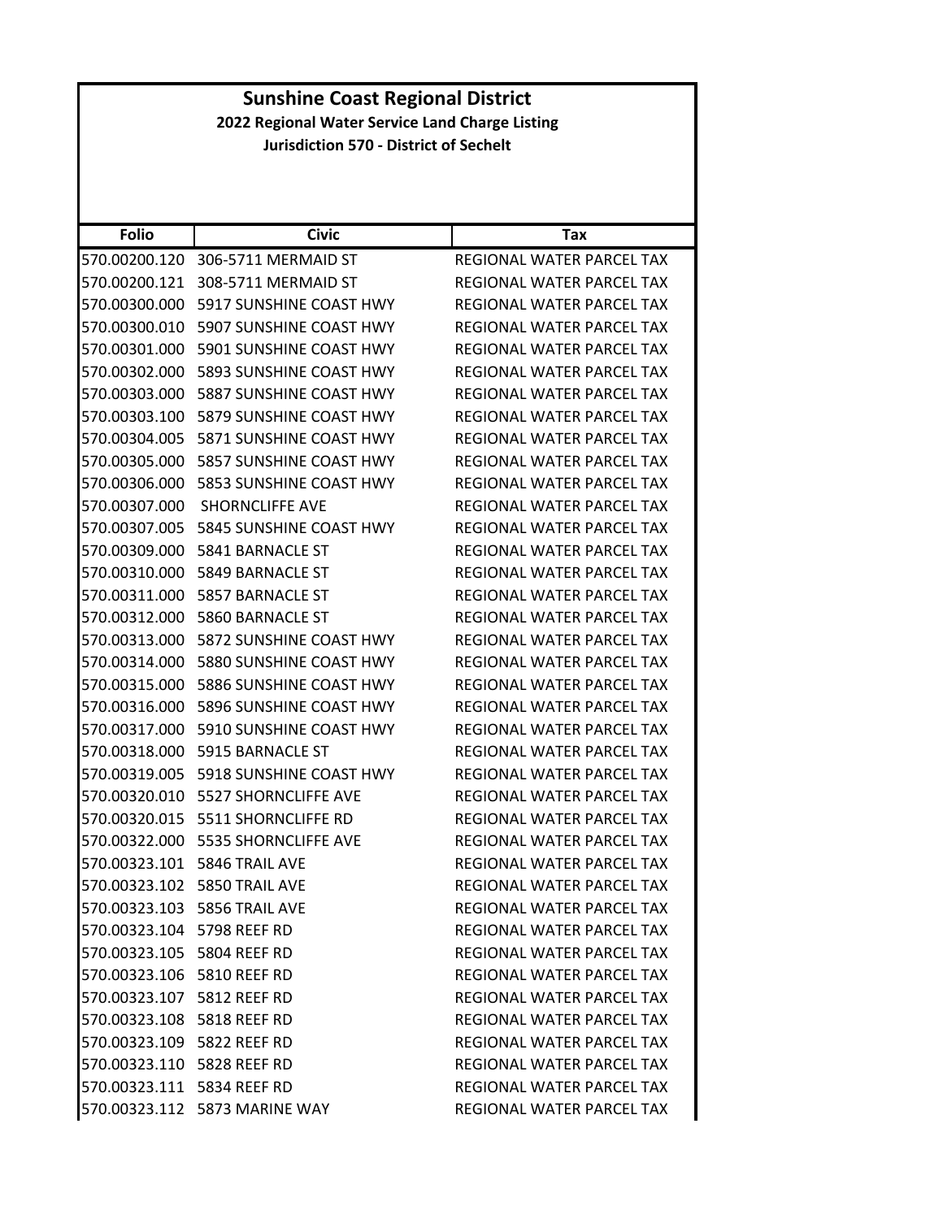| <b>Sunshine Coast Regional District</b> |                                                 |                                  |
|-----------------------------------------|-------------------------------------------------|----------------------------------|
|                                         | 2022 Regional Water Service Land Charge Listing |                                  |
|                                         | <b>Jurisdiction 570 - District of Sechelt</b>   |                                  |
|                                         |                                                 |                                  |
|                                         |                                                 |                                  |
| <b>Folio</b>                            | <b>Civic</b>                                    | Tax                              |
|                                         | 570.00200.120 306-5711 MERMAID ST               | REGIONAL WATER PARCEL TAX        |
|                                         | 570.00200.121 308-5711 MERMAID ST               | REGIONAL WATER PARCEL TAX        |
|                                         | 570.00300.000 5917 SUNSHINE COAST HWY           | <b>REGIONAL WATER PARCEL TAX</b> |
| 570.00300.010                           | 5907 SUNSHINE COAST HWY                         | REGIONAL WATER PARCEL TAX        |
|                                         | 570.00301.000 5901 SUNSHINE COAST HWY           | REGIONAL WATER PARCEL TAX        |
|                                         | 570.00302.000 5893 SUNSHINE COAST HWY           | REGIONAL WATER PARCEL TAX        |
|                                         | 570.00303.000 5887 SUNSHINE COAST HWY           | REGIONAL WATER PARCEL TAX        |
|                                         | 570.00303.100 5879 SUNSHINE COAST HWY           | REGIONAL WATER PARCEL TAX        |
| 570.00304.005                           | 5871 SUNSHINE COAST HWY                         | REGIONAL WATER PARCEL TAX        |
|                                         | 570.00305.000    5857 SUNSHINE COAST HWY        | REGIONAL WATER PARCEL TAX        |
|                                         | 570.00306.000    5853 SUNSHINE COAST HWY        | REGIONAL WATER PARCEL TAX        |
|                                         | 570.00307.000 SHORNCLIFFE AVE                   | REGIONAL WATER PARCEL TAX        |
|                                         | 570.00307.005 5845 SUNSHINE COAST HWY           | REGIONAL WATER PARCEL TAX        |
|                                         | 570.00309.000    5841 BARNACLE ST               | REGIONAL WATER PARCEL TAX        |
|                                         | 570.00310.000 5849 BARNACLE ST                  | REGIONAL WATER PARCEL TAX        |
|                                         | 570.00311.000    5857 BARNACLE ST               | REGIONAL WATER PARCEL TAX        |
|                                         | 570.00312.000 5860 BARNACLE ST                  | REGIONAL WATER PARCEL TAX        |
|                                         | 570.00313.000 5872 SUNSHINE COAST HWY           | REGIONAL WATER PARCEL TAX        |
|                                         | 570.00314.000 5880 SUNSHINE COAST HWY           | REGIONAL WATER PARCEL TAX        |
|                                         | 570.00315.000 5886 SUNSHINE COAST HWY           | <b>REGIONAL WATER PARCEL TAX</b> |
|                                         | 570.00316.000 5896 SUNSHINE COAST HWY           | REGIONAL WATER PARCEL TAX        |
|                                         | 570.00317.000 5910 SUNSHINE COAST HWY           | <b>REGIONAL WATER PARCEL TAX</b> |
| 570.00318.000                           | 5915 BARNACLE ST                                | <b>REGIONAL WATER PARCEL TAX</b> |
|                                         | 570.00319.005 5918 SUNSHINE COAST HWY           | REGIONAL WATER PARCEL TAX        |
|                                         | 570.00320.010    5527 SHORNCLIFFE AVE           | REGIONAL WATER PARCEL TAX        |
|                                         | 570.00320.015    5511 SHORNCLIFFE RD            | REGIONAL WATER PARCEL TAX        |
|                                         | 570.00322.000    5535 SHORNCLIFFE AVE           | REGIONAL WATER PARCEL TAX        |
|                                         | 570.00323.101    5846 TRAIL AVE                 | REGIONAL WATER PARCEL TAX        |
|                                         | 570.00323.102 5850 TRAIL AVE                    | REGIONAL WATER PARCEL TAX        |
|                                         | 570.00323.103    5856 TRAIL AVE                 | REGIONAL WATER PARCEL TAX        |
| 570.00323.104 5798 REEF RD              |                                                 | REGIONAL WATER PARCEL TAX        |
| 570.00323.105 5804 REEF RD              |                                                 | REGIONAL WATER PARCEL TAX        |
| 570.00323.106 5810 REEF RD              |                                                 | REGIONAL WATER PARCEL TAX        |
| 570.00323.107 5812 REEF RD              |                                                 | REGIONAL WATER PARCEL TAX        |
| 570.00323.108 5818 REEF RD              |                                                 | REGIONAL WATER PARCEL TAX        |
| 570.00323.109 5822 REEF RD              |                                                 | REGIONAL WATER PARCEL TAX        |
| 570.00323.110 5828 REEF RD              |                                                 | REGIONAL WATER PARCEL TAX        |
| 570.00323.111 5834 REEF RD              |                                                 | REGIONAL WATER PARCEL TAX        |
|                                         | 570.00323.112 5873 MARINE WAY                   | REGIONAL WATER PARCEL TAX        |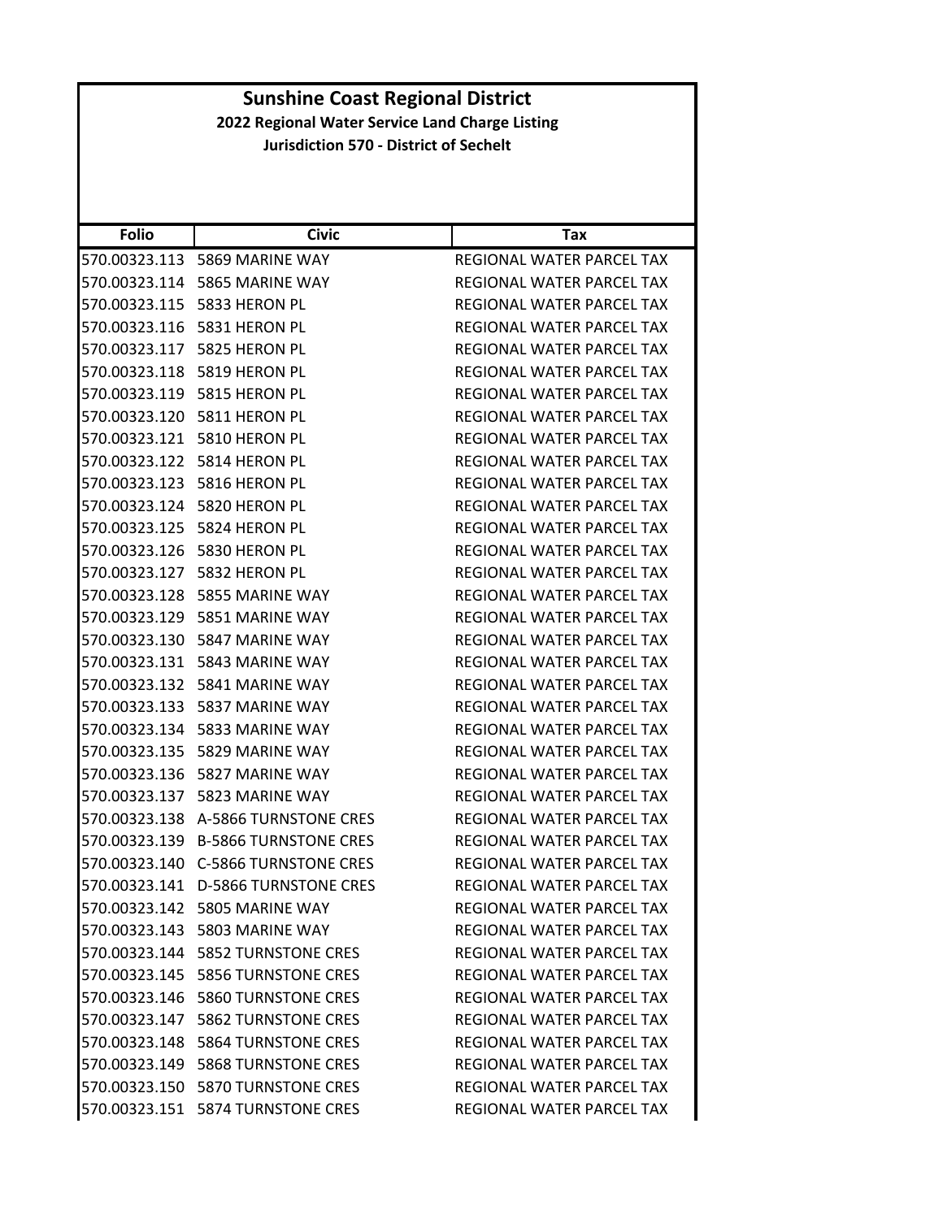| <b>Folio</b>  | Civic                                | Tax                              |
|---------------|--------------------------------------|----------------------------------|
| 570.00323.113 | 5869 MARINE WAY                      | REGIONAL WATER PARCEL TAX        |
| 570.00323.114 | 5865 MARINE WAY                      | REGIONAL WATER PARCEL TAX        |
| 570.00323.115 | 5833 HERON PL                        | REGIONAL WATER PARCEL TAX        |
| 570.00323.116 | 5831 HERON PL                        | REGIONAL WATER PARCEL TAX        |
|               | 570.00323.117 5825 HERON PL          | REGIONAL WATER PARCEL TAX        |
| 570.00323.118 | 5819 HERON PL                        | REGIONAL WATER PARCEL TAX        |
|               | 570.00323.119 5815 HERON PL          | <b>REGIONAL WATER PARCEL TAX</b> |
| 570.00323.120 | 5811 HERON PL                        | REGIONAL WATER PARCEL TAX        |
| 570.00323.121 | 5810 HERON PL                        | REGIONAL WATER PARCEL TAX        |
| 570.00323.122 | 5814 HERON PL                        | REGIONAL WATER PARCEL TAX        |
| 570.00323.123 | 5816 HERON PL                        | REGIONAL WATER PARCEL TAX        |
|               | 570.00323.124 5820 HERON PL          | REGIONAL WATER PARCEL TAX        |
| 570.00323.125 | 5824 HERON PL                        | REGIONAL WATER PARCEL TAX        |
|               | 570.00323.126 5830 HERON PL          | REGIONAL WATER PARCEL TAX        |
|               | 570.00323.127 5832 HERON PL          | REGIONAL WATER PARCEL TAX        |
| 570.00323.128 | 5855 MARINE WAY                      | REGIONAL WATER PARCEL TAX        |
| 570.00323.129 | 5851 MARINE WAY                      | REGIONAL WATER PARCEL TAX        |
| 570.00323.130 | 5847 MARINE WAY                      | REGIONAL WATER PARCEL TAX        |
| 570.00323.131 | 5843 MARINE WAY                      | REGIONAL WATER PARCEL TAX        |
| 570.00323.132 | 5841 MARINE WAY                      | REGIONAL WATER PARCEL TAX        |
| 570.00323.133 | 5837 MARINE WAY                      | REGIONAL WATER PARCEL TAX        |
| 570.00323.134 | 5833 MARINE WAY                      | REGIONAL WATER PARCEL TAX        |
| 570.00323.135 | 5829 MARINE WAY                      | REGIONAL WATER PARCEL TAX        |
| 570.00323.136 | 5827 MARINE WAY                      | REGIONAL WATER PARCEL TAX        |
| 570.00323.137 | 5823 MARINE WAY                      | REGIONAL WATER PARCEL TAX        |
| 570.00323.138 | A-5866 TURNSTONE CRES                | REGIONAL WATER PARCEL TAX        |
| 570.00323.139 | <b>B-5866 TURNSTONE CRES</b>         | REGIONAL WATER PARCEL TAX        |
| 570.00323.140 | <b>C-5866 TURNSTONE CRES</b>         | REGIONAL WATER PARCEL TAX        |
| 570.00323.141 | <b>D-5866 TURNSTONE CRES</b>         | REGIONAL WATER PARCEL TAX        |
|               | 570.00323.142 5805 MARINE WAY        | REGIONAL WATER PARCEL TAX        |
|               | 570.00323.143 5803 MARINE WAY        | REGIONAL WATER PARCEL TAX        |
|               | 570.00323.144    5852 TURNSTONE CRES | REGIONAL WATER PARCEL TAX        |
|               | 570.00323.145    5856 TURNSTONE CRES | REGIONAL WATER PARCEL TAX        |
|               | 570.00323.146 5860 TURNSTONE CRES    | REGIONAL WATER PARCEL TAX        |
|               | 570.00323.147    5862 TURNSTONE CRES | REGIONAL WATER PARCEL TAX        |
|               | 570.00323.148    5864 TURNSTONE CRES | REGIONAL WATER PARCEL TAX        |
|               | 570.00323.149 5868 TURNSTONE CRES    | <b>REGIONAL WATER PARCEL TAX</b> |
|               | 570.00323.150 5870 TURNSTONE CRES    | REGIONAL WATER PARCEL TAX        |
|               | 570.00323.151    5874 TURNSTONE CRES | REGIONAL WATER PARCEL TAX        |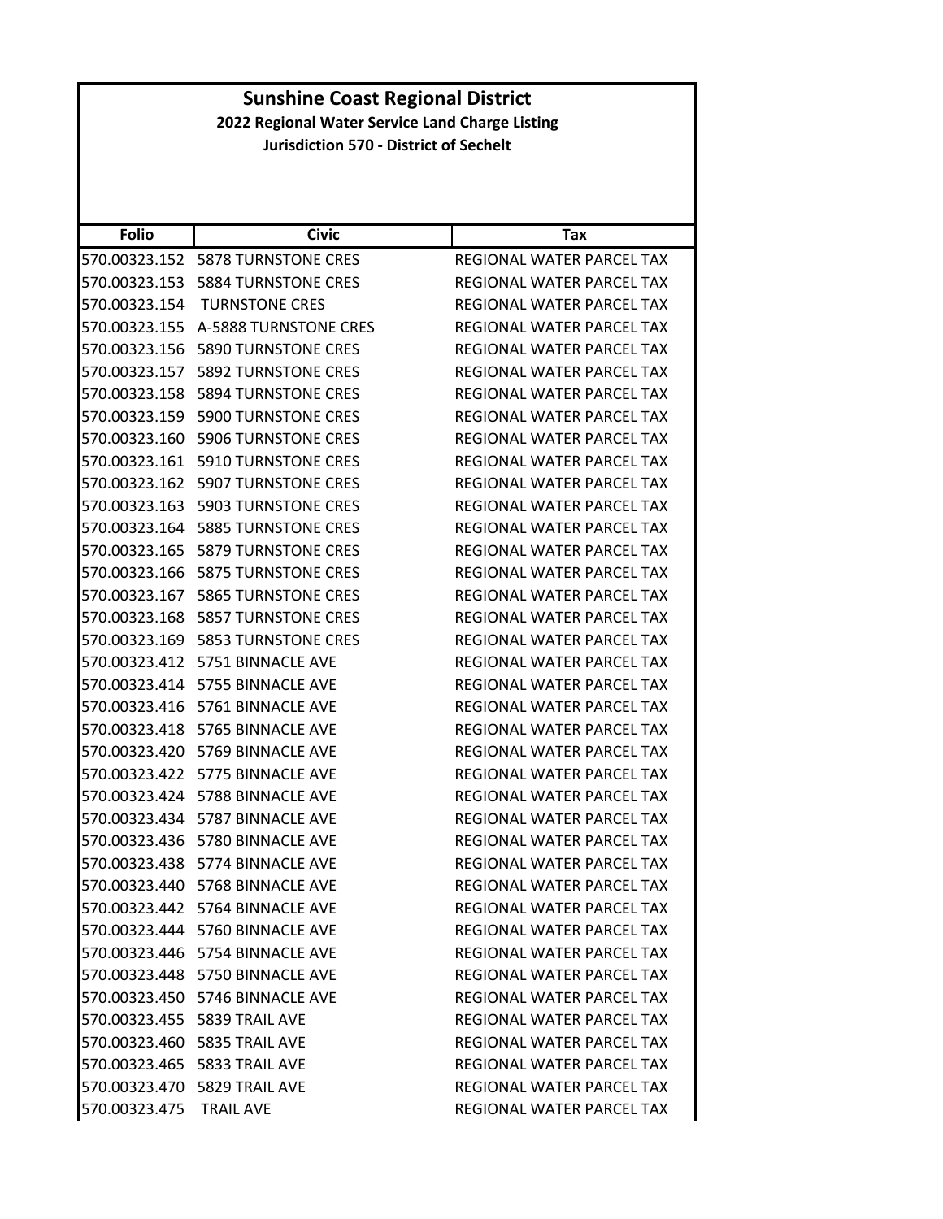|                                                 | <b>Sunshine Coast Regional District</b>       |                                  |  |
|-------------------------------------------------|-----------------------------------------------|----------------------------------|--|
| 2022 Regional Water Service Land Charge Listing |                                               |                                  |  |
|                                                 | <b>Jurisdiction 570 - District of Sechelt</b> |                                  |  |
|                                                 |                                               |                                  |  |
|                                                 |                                               |                                  |  |
| <b>Folio</b>                                    | <b>Civic</b>                                  | <b>Tax</b>                       |  |
|                                                 | 570.00323.152    5878 TURNSTONE CRES          | <b>REGIONAL WATER PARCEL TAX</b> |  |
|                                                 | 570.00323.153    5884 TURNSTONE CRES          | REGIONAL WATER PARCEL TAX        |  |
|                                                 | 570.00323.154 TURNSTONE CRES                  | REGIONAL WATER PARCEL TAX        |  |
|                                                 | 570.00323.155 A-5888 TURNSTONE CRES           | REGIONAL WATER PARCEL TAX        |  |
|                                                 | 570.00323.156    5890 TURNSTONE CRES          | REGIONAL WATER PARCEL TAX        |  |
|                                                 | 570.00323.157    5892 TURNSTONE CRES          | REGIONAL WATER PARCEL TAX        |  |
|                                                 | 570.00323.158 5894 TURNSTONE CRES             | REGIONAL WATER PARCEL TAX        |  |
|                                                 | 570.00323.159 5900 TURNSTONE CRES             | REGIONAL WATER PARCEL TAX        |  |
|                                                 | 570.00323.160    5906 TURNSTONE CRES          | REGIONAL WATER PARCEL TAX        |  |
|                                                 | 570.00323.161    5910 TURNSTONE CRES          | <b>REGIONAL WATER PARCEL TAX</b> |  |
|                                                 | 570.00323.162    5907 TURNSTONE CRES          | REGIONAL WATER PARCEL TAX        |  |
|                                                 | 570.00323.163    5903 TURNSTONE CRES          | REGIONAL WATER PARCEL TAX        |  |
|                                                 | 570.00323.164    5885 TURNSTONE CRES          | REGIONAL WATER PARCEL TAX        |  |
|                                                 | 570.00323.165    5879 TURNSTONE CRES          | REGIONAL WATER PARCEL TAX        |  |
|                                                 | 570.00323.166    5875 TURNSTONE CRES          | REGIONAL WATER PARCEL TAX        |  |
|                                                 | 570.00323.167    5865 TURNSTONE CRES          | REGIONAL WATER PARCEL TAX        |  |
|                                                 | 570.00323.168    5857 TURNSTONE CRES          | REGIONAL WATER PARCEL TAX        |  |
|                                                 | 570.00323.169    5853 TURNSTONE CRES          | REGIONAL WATER PARCEL TAX        |  |
|                                                 | 570.00323.412    5751    BINNACLE AVE         | REGIONAL WATER PARCEL TAX        |  |
|                                                 | 570.00323.414    5755    BINNACLE AVE         | REGIONAL WATER PARCEL TAX        |  |
|                                                 | 570.00323.416    5761 BINNACLE AVE            | <b>REGIONAL WATER PARCEL TAX</b> |  |
|                                                 | 570.00323.418 5765 BINNACLE AVE               | REGIONAL WATER PARCEL TAX        |  |
|                                                 | 570.00323.420    5769 BINNACLE AVE            | REGIONAL WATER PARCEL TAX        |  |
|                                                 | 570.00323.422    5775    BINNACLE AVE         | REGIONAL WATER PARCEL TAX        |  |
|                                                 | 570.00323.424 5788 BINNACLE AVE               | REGIONAL WATER PARCEL TAX        |  |
|                                                 | 570.00323.434 5787 BINNACLE AVE               | REGIONAL WATER PARCEL TAX        |  |
|                                                 | 570.00323.436 5780 BINNACLE AVE               | REGIONAL WATER PARCEL TAX        |  |
|                                                 | 570.00323.438    5774    BINNACLE AVE         | REGIONAL WATER PARCEL TAX        |  |
|                                                 | 570.00323.440    5768 BINNACLE AVE            | REGIONAL WATER PARCEL TAX        |  |
|                                                 | 570.00323.442    5764 BINNACLE AVE            | REGIONAL WATER PARCEL TAX        |  |
|                                                 | 570.00323.444 5760 BINNACLE AVE               | REGIONAL WATER PARCEL TAX        |  |
|                                                 | 570.00323.446    5754 BINNACLE AVE            | REGIONAL WATER PARCEL TAX        |  |
|                                                 | 570.00323.448 5750 BINNACLE AVE               | REGIONAL WATER PARCEL TAX        |  |
|                                                 | 570.00323.450 5746 BINNACLE AVE               | REGIONAL WATER PARCEL TAX        |  |
|                                                 | 570.00323.455    5839 TRAIL AVE               | REGIONAL WATER PARCEL TAX        |  |
|                                                 | 570.00323.460    5835 TRAIL AVE               | REGIONAL WATER PARCEL TAX        |  |
|                                                 | 570.00323.465    5833 TRAIL AVE               | REGIONAL WATER PARCEL TAX        |  |
|                                                 | 570.00323.470    5829 TRAIL AVE               | REGIONAL WATER PARCEL TAX        |  |
| 570.00323.475 TRAIL AVE                         |                                               | REGIONAL WATER PARCEL TAX        |  |
|                                                 |                                               |                                  |  |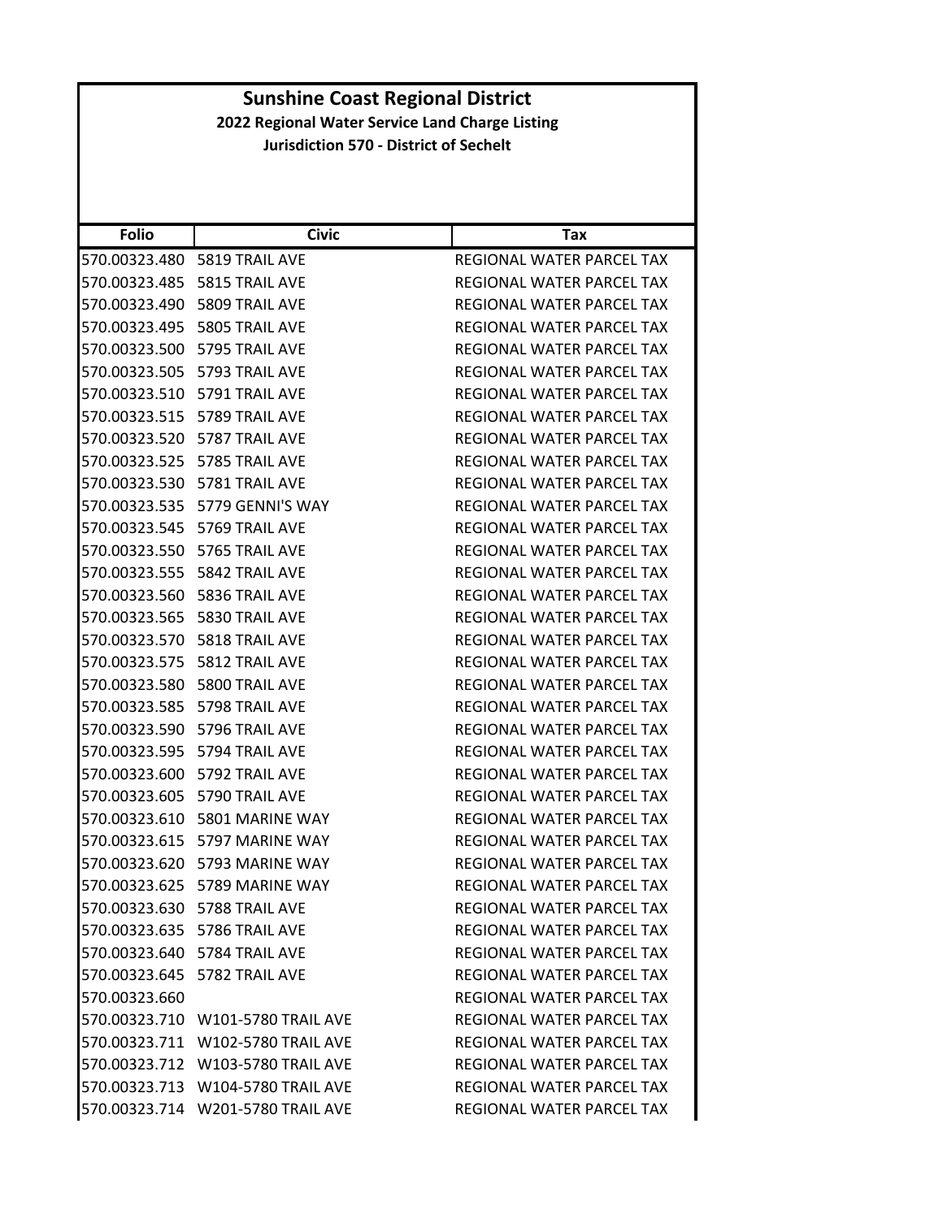| <b>Folio</b>  | <b>Civic</b>                      | Tax                              |
|---------------|-----------------------------------|----------------------------------|
|               | 570.00323.480    5819 TRAIL AVE   | REGIONAL WATER PARCEL TAX        |
| 570.00323.485 | 5815 TRAIL AVE                    | REGIONAL WATER PARCEL TAX        |
|               | 570.00323.490    5809 TRAIL AVE   | REGIONAL WATER PARCEL TAX        |
|               | 570.00323.495    5805 TRAIL AVE   | REGIONAL WATER PARCEL TAX        |
|               | 570.00323.500 5795 TRAIL AVE      | REGIONAL WATER PARCEL TAX        |
|               | 570.00323.505    5793 TRAIL AVE   | <b>REGIONAL WATER PARCEL TAX</b> |
|               | 570.00323.510 5791 TRAIL AVE      | REGIONAL WATER PARCEL TAX        |
|               | 570.00323.515    5789 TRAIL AVE   | REGIONAL WATER PARCEL TAX        |
|               | 570.00323.520 5787 TRAIL AVE      | REGIONAL WATER PARCEL TAX        |
|               | 570.00323.525    5785 TRAIL AVE   | REGIONAL WATER PARCEL TAX        |
|               | 570.00323.530    5781 TRAIL AVE   | REGIONAL WATER PARCEL TAX        |
|               | 570.00323.535 5779 GENNI'S WAY    | REGIONAL WATER PARCEL TAX        |
|               | 570.00323.545    5769 TRAIL AVE   | REGIONAL WATER PARCEL TAX        |
|               | 570.00323.550    5765 TRAIL AVE   | REGIONAL WATER PARCEL TAX        |
|               | 570.00323.555    5842 TRAIL AVE   | <b>REGIONAL WATER PARCEL TAX</b> |
| 570.00323.560 | 5836 TRAIL AVE                    | <b>REGIONAL WATER PARCEL TAX</b> |
|               | 570.00323.565    5830 TRAIL AVE   | REGIONAL WATER PARCEL TAX        |
|               | 570.00323.570    5818 TRAIL AVE   | REGIONAL WATER PARCEL TAX        |
|               | 570.00323.575    5812 TRAIL AVE   | REGIONAL WATER PARCEL TAX        |
|               | 570.00323.580    5800 TRAIL AVE   | REGIONAL WATER PARCEL TAX        |
| 570.00323.585 | 5798 TRAIL AVE                    | REGIONAL WATER PARCEL TAX        |
|               | 570.00323.590    5796 TRAIL AVE   | REGIONAL WATER PARCEL TAX        |
|               | 570.00323.595    5794 TRAIL AVE   | REGIONAL WATER PARCEL TAX        |
|               | 570.00323.600 5792 TRAIL AVE      | REGIONAL WATER PARCEL TAX        |
|               | 570.00323.605 5790 TRAIL AVE      | REGIONAL WATER PARCEL TAX        |
|               | 570.00323.610 5801 MARINE WAY     | REGIONAL WATER PARCEL TAX        |
|               | 570.00323.615 5797 MARINE WAY     | REGIONAL WATER PARCEL TAX        |
| 570.00323.620 | 5793 MARINE WAY                   | REGIONAL WATER PARCEL TAX        |
|               | 570.00323.625 5789 MARINE WAY     | <b>REGIONAL WATER PARCEL TAX</b> |
|               | 570.00323.630 5788 TRAIL AVE      | REGIONAL WATER PARCEL TAX        |
|               | 570.00323.635 5786 TRAIL AVE      | REGIONAL WATER PARCEL TAX        |
|               | 570.00323.640 5784 TRAIL AVE      | REGIONAL WATER PARCEL TAX        |
|               | 570.00323.645    5782 TRAIL AVE   | REGIONAL WATER PARCEL TAX        |
| 570.00323.660 |                                   | <b>REGIONAL WATER PARCEL TAX</b> |
|               | 570.00323.710 W101-5780 TRAIL AVE | <b>REGIONAL WATER PARCEL TAX</b> |
|               | 570.00323.711 W102-5780 TRAIL AVE | REGIONAL WATER PARCEL TAX        |
|               | 570.00323.712 W103-5780 TRAIL AVE | REGIONAL WATER PARCEL TAX        |
|               | 570.00323.713 W104-5780 TRAIL AVE | <b>REGIONAL WATER PARCEL TAX</b> |
|               | 570.00323.714 W201-5780 TRAIL AVE | REGIONAL WATER PARCEL TAX        |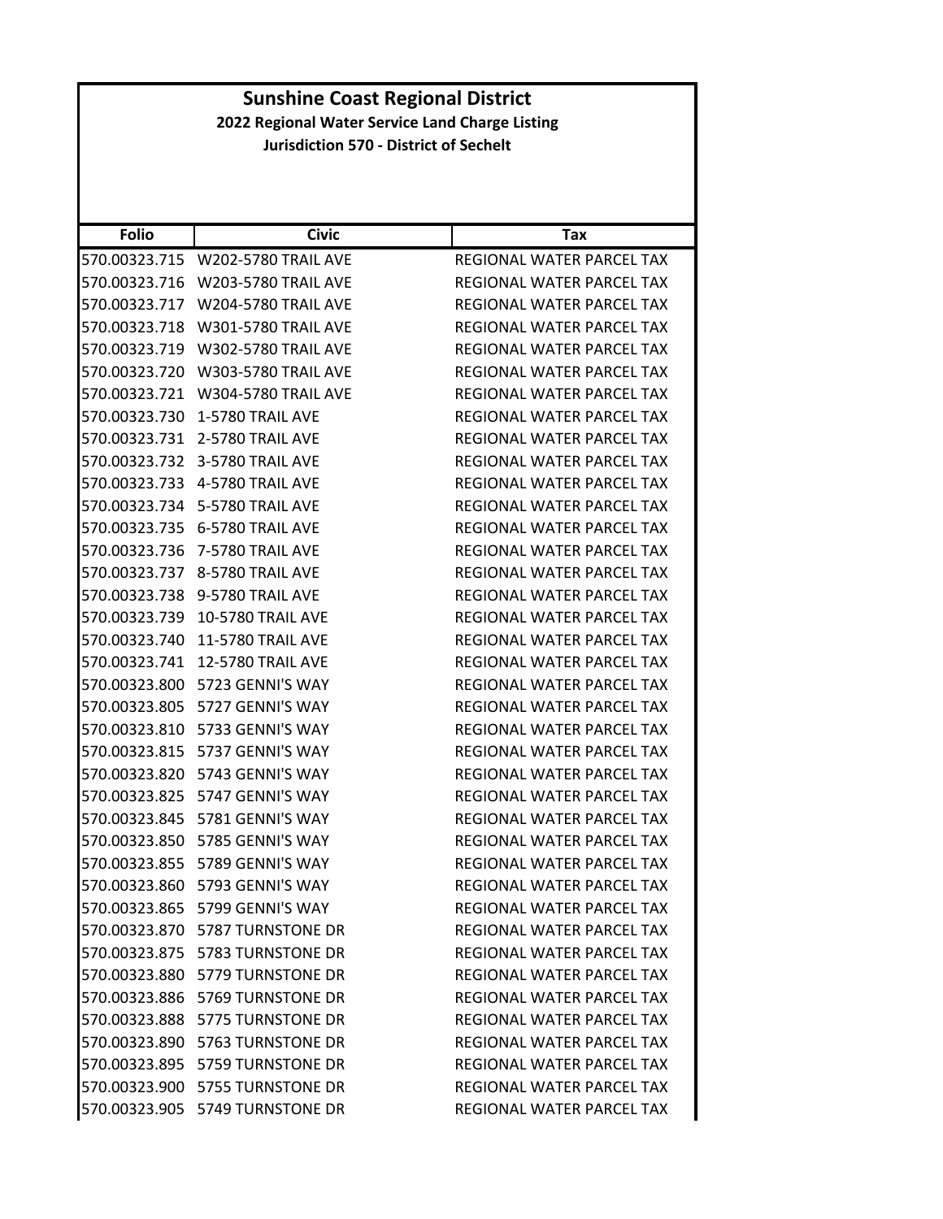| <b>Folio</b>  | <b>Civic</b>                       | Tax                              |
|---------------|------------------------------------|----------------------------------|
| 570.00323.715 | <b>W202-5780 TRAIL AVE</b>         | REGIONAL WATER PARCEL TAX        |
| 570.00323.716 | <b>W203-5780 TRAIL AVE</b>         | REGIONAL WATER PARCEL TAX        |
| 570.00323.717 | <b>W204-5780 TRAIL AVE</b>         | REGIONAL WATER PARCEL TAX        |
| 570.00323.718 | <b>W301-5780 TRAIL AVE</b>         | REGIONAL WATER PARCEL TAX        |
| 570.00323.719 | <b>W302-5780 TRAIL AVE</b>         | REGIONAL WATER PARCEL TAX        |
| 570.00323.720 | <b>W303-5780 TRAIL AVE</b>         | <b>REGIONAL WATER PARCEL TAX</b> |
| 570.00323.721 | <b>W304-5780 TRAIL AVE</b>         | REGIONAL WATER PARCEL TAX        |
| 570.00323.730 | 1-5780 TRAIL AVE                   | REGIONAL WATER PARCEL TAX        |
| 570.00323.731 | 2-5780 TRAIL AVE                   | REGIONAL WATER PARCEL TAX        |
| 570.00323.732 | 3-5780 TRAIL AVE                   | REGIONAL WATER PARCEL TAX        |
| 570.00323.733 | 4-5780 TRAIL AVE                   | REGIONAL WATER PARCEL TAX        |
|               | 570.00323.734 5-5780 TRAIL AVE     | REGIONAL WATER PARCEL TAX        |
| 570.00323.735 | 6-5780 TRAIL AVE                   | REGIONAL WATER PARCEL TAX        |
| 570.00323.736 | 7-5780 TRAIL AVE                   | REGIONAL WATER PARCEL TAX        |
| 570.00323.737 | 8-5780 TRAIL AVE                   | REGIONAL WATER PARCEL TAX        |
| 570.00323.738 | 9-5780 TRAIL AVE                   | REGIONAL WATER PARCEL TAX        |
| 570.00323.739 | <b>10-5780 TRAIL AVE</b>           | REGIONAL WATER PARCEL TAX        |
| 570.00323.740 | <b>11-5780 TRAIL AVE</b>           | REGIONAL WATER PARCEL TAX        |
| 570.00323.741 | <b>12-5780 TRAIL AVE</b>           | REGIONAL WATER PARCEL TAX        |
| 570.00323.800 | 5723 GENNI'S WAY                   | REGIONAL WATER PARCEL TAX        |
| 570.00323.805 | 5727 GENNI'S WAY                   | REGIONAL WATER PARCEL TAX        |
| 570.00323.810 | 5733 GENNI'S WAY                   | REGIONAL WATER PARCEL TAX        |
| 570.00323.815 | 5737 GENNI'S WAY                   | REGIONAL WATER PARCEL TAX        |
| 570.00323.820 | 5743 GENNI'S WAY                   | REGIONAL WATER PARCEL TAX        |
| 570.00323.825 | 5747 GENNI'S WAY                   | REGIONAL WATER PARCEL TAX        |
| 570.00323.845 | 5781 GENNI'S WAY                   | REGIONAL WATER PARCEL TAX        |
| 570.00323.850 | 5785 GENNI'S WAY                   | REGIONAL WATER PARCEL TAX        |
| 570.00323.855 | 5789 GENNI'S WAY                   | REGIONAL WATER PARCEL TAX        |
| 570.00323.860 | 5793 GENNI'S WAY                   | REGIONAL WATER PARCEL TAX        |
|               | 570.00323.865 5799 GENNI'S WAY     | REGIONAL WATER PARCEL TAX        |
|               | 570.00323.870    5787 TURNSTONE DR | REGIONAL WATER PARCEL TAX        |
|               | 570.00323.875    5783 TURNSTONE DR | REGIONAL WATER PARCEL TAX        |
|               | 570.00323.880    5779 TURNSTONE DR | REGIONAL WATER PARCEL TAX        |
|               | 570.00323.886    5769 TURNSTONE DR | REGIONAL WATER PARCEL TAX        |
|               | 570.00323.888 5775 TURNSTONE DR    | REGIONAL WATER PARCEL TAX        |
|               | 570.00323.890    5763 TURNSTONE DR | REGIONAL WATER PARCEL TAX        |
|               | 570.00323.895    5759 TURNSTONE DR | REGIONAL WATER PARCEL TAX        |
|               | 570.00323.900 5755 TURNSTONE DR    | REGIONAL WATER PARCEL TAX        |
|               | 570.00323.905    5749 TURNSTONE DR | REGIONAL WATER PARCEL TAX        |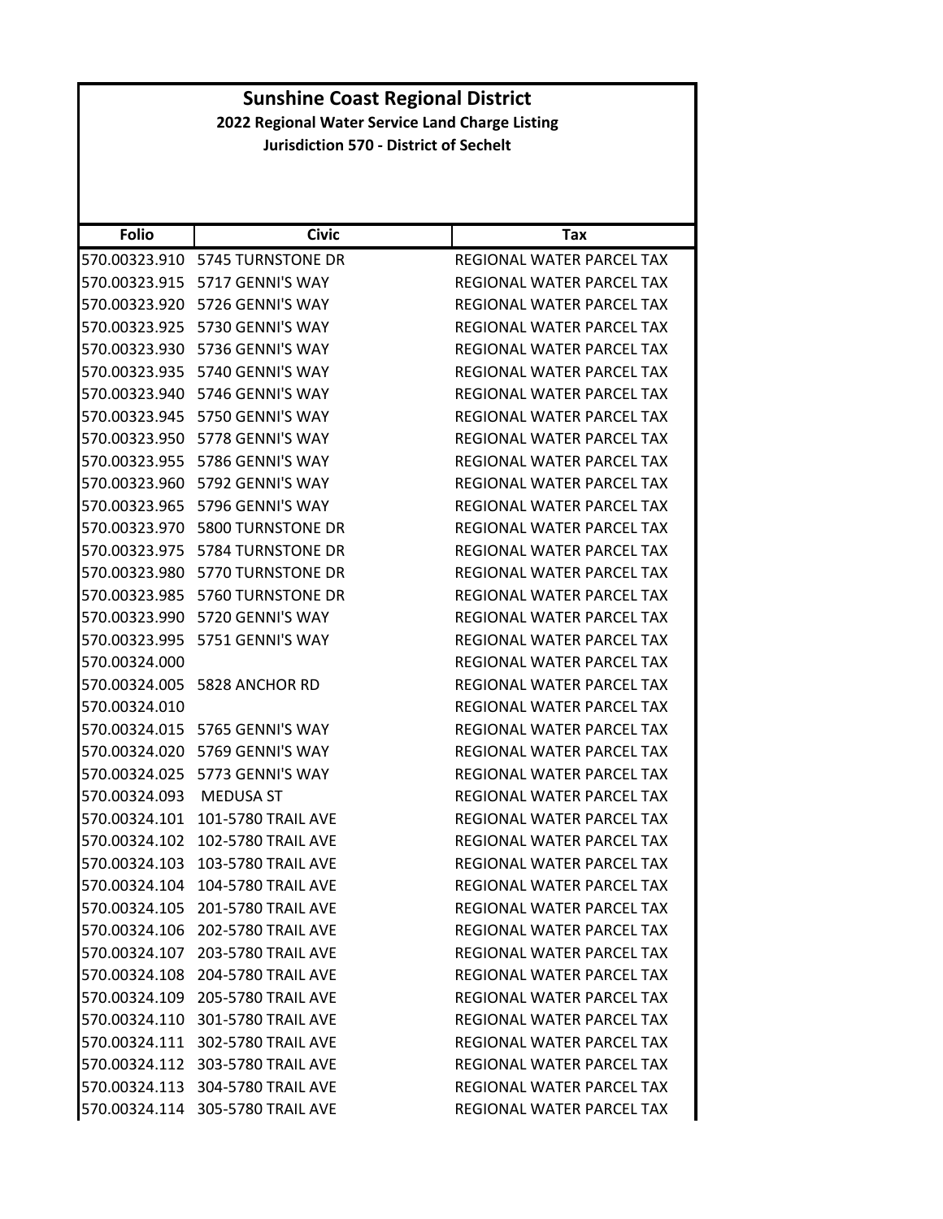| <b>Folio</b>  | <b>Civic</b>                     | Tax                              |
|---------------|----------------------------------|----------------------------------|
| 570.00323.910 | 5745 TURNSTONE DR                | REGIONAL WATER PARCEL TAX        |
| 570.00323.915 | 5717 GENNI'S WAY                 | REGIONAL WATER PARCEL TAX        |
| 570.00323.920 | 5726 GENNI'S WAY                 | REGIONAL WATER PARCEL TAX        |
| 570.00323.925 | 5730 GENNI'S WAY                 | REGIONAL WATER PARCEL TAX        |
| 570.00323.930 | 5736 GENNI'S WAY                 | REGIONAL WATER PARCEL TAX        |
| 570.00323.935 | 5740 GENNI'S WAY                 | REGIONAL WATER PARCEL TAX        |
| 570.00323.940 | 5746 GENNI'S WAY                 | REGIONAL WATER PARCEL TAX        |
| 570.00323.945 | 5750 GENNI'S WAY                 | <b>REGIONAL WATER PARCEL TAX</b> |
| 570.00323.950 | 5778 GENNI'S WAY                 | REGIONAL WATER PARCEL TAX        |
| 570.00323.955 | 5786 GENNI'S WAY                 | REGIONAL WATER PARCEL TAX        |
| 570.00323.960 | 5792 GENNI'S WAY                 | REGIONAL WATER PARCEL TAX        |
| 570.00323.965 | 5796 GENNI'S WAY                 | REGIONAL WATER PARCEL TAX        |
| 570.00323.970 | <b>5800 TURNSTONE DR</b>         | REGIONAL WATER PARCEL TAX        |
| 570.00323.975 | 5784 TURNSTONE DR                | REGIONAL WATER PARCEL TAX        |
| 570.00323.980 | 5770 TURNSTONE DR                | REGIONAL WATER PARCEL TAX        |
| 570.00323.985 | 5760 TURNSTONE DR                | REGIONAL WATER PARCEL TAX        |
| 570.00323.990 | 5720 GENNI'S WAY                 | REGIONAL WATER PARCEL TAX        |
| 570.00323.995 | 5751 GENNI'S WAY                 | REGIONAL WATER PARCEL TAX        |
| 570.00324.000 |                                  | REGIONAL WATER PARCEL TAX        |
| 570.00324.005 | 5828 ANCHOR RD                   | REGIONAL WATER PARCEL TAX        |
| 570.00324.010 |                                  | REGIONAL WATER PARCEL TAX        |
|               |                                  | REGIONAL WATER PARCEL TAX        |
| 570.00324.020 | 5769 GENNI'S WAY                 | REGIONAL WATER PARCEL TAX        |
| 570.00324.025 | 5773 GENNI'S WAY                 | REGIONAL WATER PARCEL TAX        |
| 570.00324.093 | <b>MEDUSA ST</b>                 | REGIONAL WATER PARCEL TAX        |
| 570.00324.101 | <b>101-5780 TRAIL AVE</b>        | REGIONAL WATER PARCEL TAX        |
| 570.00324.102 | 102-5780 TRAIL AVE               | REGIONAL WATER PARCEL TAX        |
| 570.00324.103 | 103-5780 TRAIL AVE               | REGIONAL WATER PARCEL TAX        |
| 570.00324.104 | 104-5780 TRAIL AVE               | REGIONAL WATER PARCEL TAX        |
|               | 570.00324.105 201-5780 TRAIL AVE | REGIONAL WATER PARCEL TAX        |
|               | 570.00324.106 202-5780 TRAIL AVE | REGIONAL WATER PARCEL TAX        |
|               | 570.00324.107 203-5780 TRAIL AVE | <b>REGIONAL WATER PARCEL TAX</b> |
|               | 570.00324.108 204-5780 TRAIL AVE | REGIONAL WATER PARCEL TAX        |
|               | 570.00324.109 205-5780 TRAIL AVE | REGIONAL WATER PARCEL TAX        |
|               | 570.00324.110 301-5780 TRAIL AVE | <b>REGIONAL WATER PARCEL TAX</b> |
|               | 570.00324.111 302-5780 TRAIL AVE | REGIONAL WATER PARCEL TAX        |
|               | 570.00324.112 303-5780 TRAIL AVE | REGIONAL WATER PARCEL TAX        |
|               | 570.00324.113 304-5780 TRAIL AVE | REGIONAL WATER PARCEL TAX        |
|               | 570.00324.114 305-5780 TRAIL AVE | REGIONAL WATER PARCEL TAX        |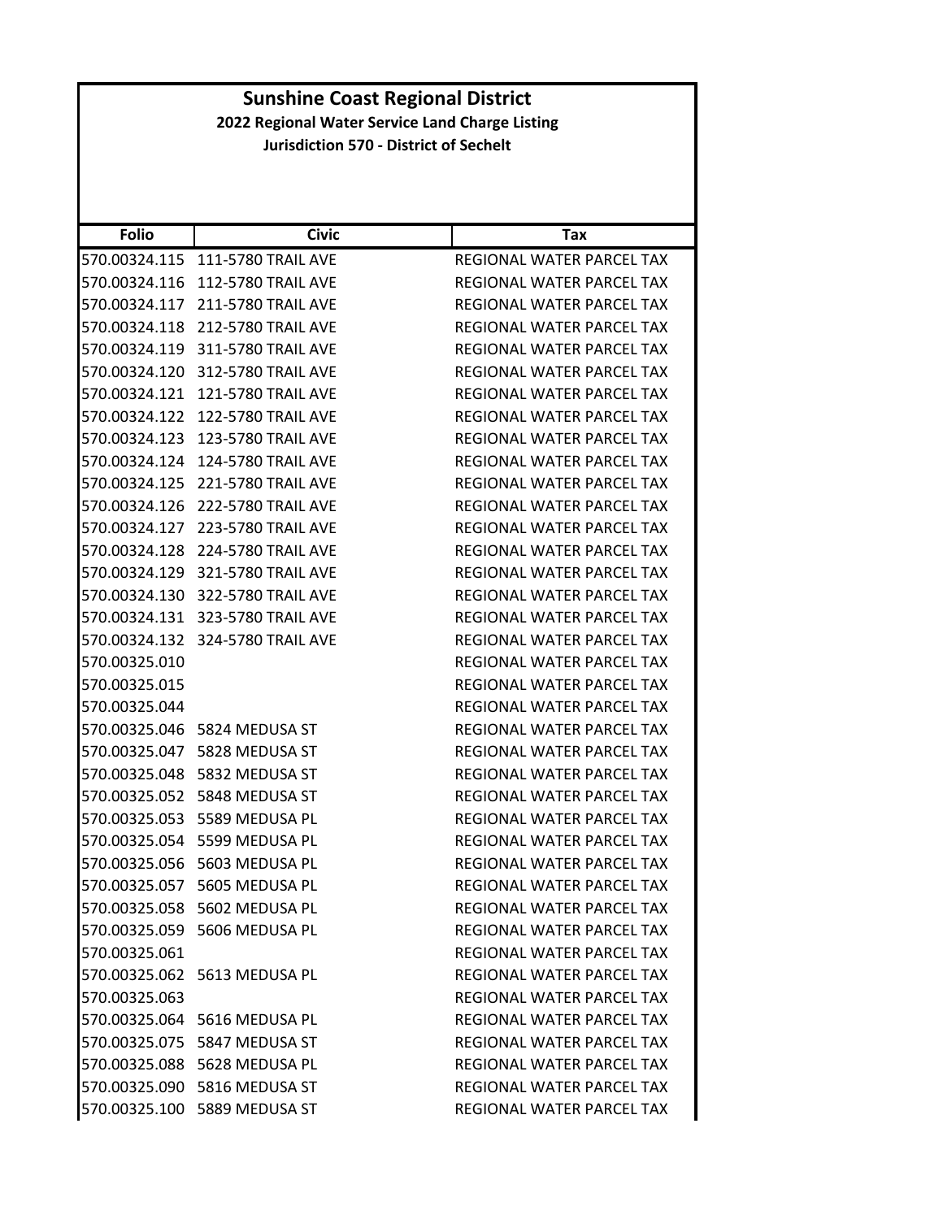| <b>Folio</b>  | <b>Civic</b>                     | Tax                              |
|---------------|----------------------------------|----------------------------------|
| 570.00324.115 | <b>111-5780 TRAIL AVE</b>        | <b>REGIONAL WATER PARCEL TAX</b> |
| 570.00324.116 | <b>112-5780 TRAIL AVE</b>        | REGIONAL WATER PARCEL TAX        |
| 570.00324.117 | <b>211-5780 TRAIL AVE</b>        | REGIONAL WATER PARCEL TAX        |
| 570.00324.118 | 212-5780 TRAIL AVE               | REGIONAL WATER PARCEL TAX        |
| 570.00324.119 | 311-5780 TRAIL AVE               | REGIONAL WATER PARCEL TAX        |
| 570.00324.120 | 312-5780 TRAIL AVE               | REGIONAL WATER PARCEL TAX        |
| 570.00324.121 | <b>121-5780 TRAIL AVE</b>        | REGIONAL WATER PARCEL TAX        |
| 570.00324.122 | <b>122-5780 TRAIL AVE</b>        | REGIONAL WATER PARCEL TAX        |
| 570.00324.123 | <b>123-5780 TRAIL AVE</b>        | REGIONAL WATER PARCEL TAX        |
| 570.00324.124 | 124-5780 TRAIL AVE               | REGIONAL WATER PARCEL TAX        |
| 570.00324.125 | 221-5780 TRAIL AVE               | REGIONAL WATER PARCEL TAX        |
| 570.00324.126 | <b>222-5780 TRAIL AVE</b>        | REGIONAL WATER PARCEL TAX        |
| 570.00324.127 | <b>223-5780 TRAIL AVE</b>        | REGIONAL WATER PARCEL TAX        |
| 570.00324.128 | 224-5780 TRAIL AVE               | REGIONAL WATER PARCEL TAX        |
|               | 570.00324.129 321-5780 TRAIL AVE | REGIONAL WATER PARCEL TAX        |
| 570.00324.130 | 322-5780 TRAIL AVE               | REGIONAL WATER PARCEL TAX        |
| 570.00324.131 | 323-5780 TRAIL AVE               | REGIONAL WATER PARCEL TAX        |
| 570.00324.132 | 324-5780 TRAIL AVE               | REGIONAL WATER PARCEL TAX        |
| 570.00325.010 |                                  | REGIONAL WATER PARCEL TAX        |
| 570.00325.015 |                                  | REGIONAL WATER PARCEL TAX        |
| 570.00325.044 |                                  | REGIONAL WATER PARCEL TAX        |
|               | 570.00325.046    5824 MEDUSA ST  | REGIONAL WATER PARCEL TAX        |
| 570.00325.047 | 5828 MEDUSA ST                   | REGIONAL WATER PARCEL TAX        |
| 570.00325.048 | 5832 MEDUSA ST                   | REGIONAL WATER PARCEL TAX        |
|               | 570.00325.052 5848 MEDUSA ST     | REGIONAL WATER PARCEL TAX        |
| 570.00325.053 | 5589 MEDUSA PL                   | REGIONAL WATER PARCEL TAX        |
| 570.00325.054 | 5599 MEDUSA PL                   | REGIONAL WATER PARCEL TAX        |
| 570.00325.056 | 5603 MEDUSA PL                   | REGIONAL WATER PARCEL TAX        |
| 570.00325.057 | 5605 MEDUSA PL                   | REGIONAL WATER PARCEL TAX        |
|               | 570.00325.058 5602 MEDUSA PL     | REGIONAL WATER PARCEL TAX        |
|               | 570.00325.059 5606 MEDUSA PL     | REGIONAL WATER PARCEL TAX        |
| 570.00325.061 |                                  | REGIONAL WATER PARCEL TAX        |
|               | 570.00325.062 5613 MEDUSA PL     | REGIONAL WATER PARCEL TAX        |
| 570.00325.063 |                                  | <b>REGIONAL WATER PARCEL TAX</b> |
|               | 570.00325.064 5616 MEDUSA PL     | REGIONAL WATER PARCEL TAX        |
|               | 570.00325.075 5847 MEDUSA ST     | REGIONAL WATER PARCEL TAX        |
|               | 570.00325.088 5628 MEDUSA PL     | REGIONAL WATER PARCEL TAX        |
|               | 570.00325.090 5816 MEDUSA ST     | REGIONAL WATER PARCEL TAX        |
|               | 570.00325.100 5889 MEDUSA ST     | REGIONAL WATER PARCEL TAX        |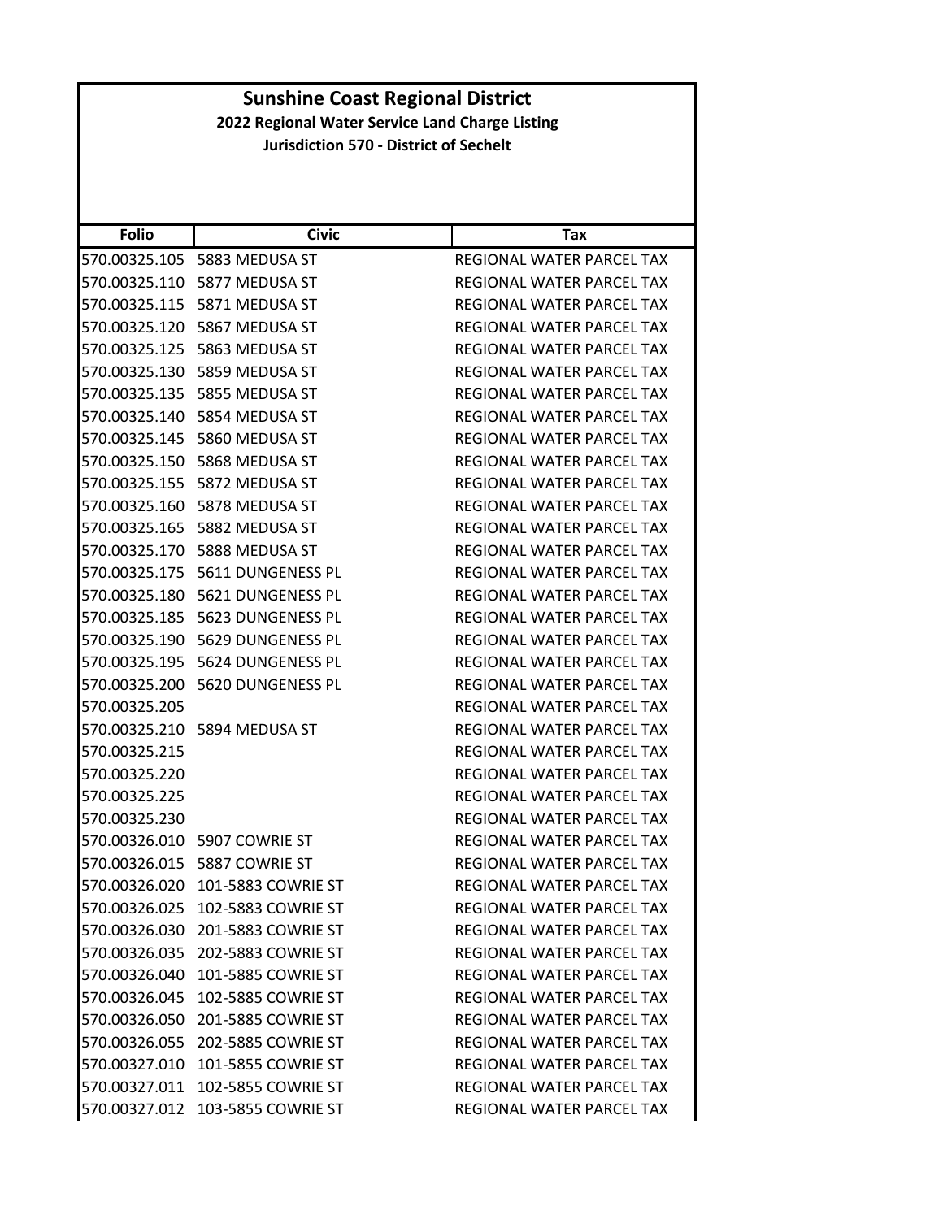| <b>Folio</b>  | <b>Civic</b>                     | Tax                              |
|---------------|----------------------------------|----------------------------------|
| 570.00325.105 | 5883 MEDUSA ST                   | REGIONAL WATER PARCEL TAX        |
| 570.00325.110 | 5877 MEDUSA ST                   | REGIONAL WATER PARCEL TAX        |
| 570.00325.115 | 5871 MEDUSA ST                   | REGIONAL WATER PARCEL TAX        |
| 570.00325.120 | 5867 MEDUSA ST                   | REGIONAL WATER PARCEL TAX        |
| 570.00325.125 | 5863 MEDUSA ST                   | REGIONAL WATER PARCEL TAX        |
| 570.00325.130 | 5859 MEDUSA ST                   | REGIONAL WATER PARCEL TAX        |
| 570.00325.135 | 5855 MEDUSA ST                   | REGIONAL WATER PARCEL TAX        |
| 570.00325.140 | 5854 MEDUSA ST                   | REGIONAL WATER PARCEL TAX        |
| 570.00325.145 | 5860 MEDUSA ST                   | REGIONAL WATER PARCEL TAX        |
| 570.00325.150 | 5868 MEDUSA ST                   | REGIONAL WATER PARCEL TAX        |
| 570.00325.155 | 5872 MEDUSA ST                   | REGIONAL WATER PARCEL TAX        |
| 570.00325.160 | 5878 MEDUSA ST                   | REGIONAL WATER PARCEL TAX        |
| 570.00325.165 | 5882 MEDUSA ST                   | REGIONAL WATER PARCEL TAX        |
| 570.00325.170 | 5888 MEDUSA ST                   | REGIONAL WATER PARCEL TAX        |
| 570.00325.175 | 5611 DUNGENESS PL                | REGIONAL WATER PARCEL TAX        |
| 570.00325.180 | 5621 DUNGENESS PL                | <b>REGIONAL WATER PARCEL TAX</b> |
| 570.00325.185 | 5623 DUNGENESS PL                | REGIONAL WATER PARCEL TAX        |
| 570.00325.190 | 5629 DUNGENESS PL                | <b>REGIONAL WATER PARCEL TAX</b> |
| 570.00325.195 | 5624 DUNGENESS PL                | REGIONAL WATER PARCEL TAX        |
| 570.00325.200 | 5620 DUNGENESS PL                | REGIONAL WATER PARCEL TAX        |
| 570.00325.205 |                                  | REGIONAL WATER PARCEL TAX        |
|               | 570.00325.210 5894 MEDUSA ST     | REGIONAL WATER PARCEL TAX        |
| 570.00325.215 |                                  | REGIONAL WATER PARCEL TAX        |
| 570.00325.220 |                                  | REGIONAL WATER PARCEL TAX        |
| 570.00325.225 |                                  | REGIONAL WATER PARCEL TAX        |
| 570.00325.230 |                                  | REGIONAL WATER PARCEL TAX        |
| 570.00326.010 | 5907 COWRIE ST                   | REGIONAL WATER PARCEL TAX        |
| 570.00326.015 | 5887 COWRIE ST                   | REGIONAL WATER PARCEL TAX        |
| 570.00326.020 | 101-5883 COWRIE ST               | REGIONAL WATER PARCEL TAX        |
| 570.00326.025 | 102-5883 COWRIE ST               | <b>REGIONAL WATER PARCEL TAX</b> |
|               | 570.00326.030 201-5883 COWRIE ST | REGIONAL WATER PARCEL TAX        |
|               | 570.00326.035 202-5883 COWRIE ST | REGIONAL WATER PARCEL TAX        |
| 570.00326.040 | 101-5885 COWRIE ST               | REGIONAL WATER PARCEL TAX        |
|               | 570.00326.045 102-5885 COWRIE ST | REGIONAL WATER PARCEL TAX        |
|               | 570.00326.050 201-5885 COWRIE ST | REGIONAL WATER PARCEL TAX        |
|               | 570.00326.055 202-5885 COWRIE ST | REGIONAL WATER PARCEL TAX        |
| 570.00327.010 | 101-5855 COWRIE ST               | REGIONAL WATER PARCEL TAX        |
| 570.00327.011 | 102-5855 COWRIE ST               | REGIONAL WATER PARCEL TAX        |
| 570.00327.012 | 103-5855 COWRIE ST               | REGIONAL WATER PARCEL TAX        |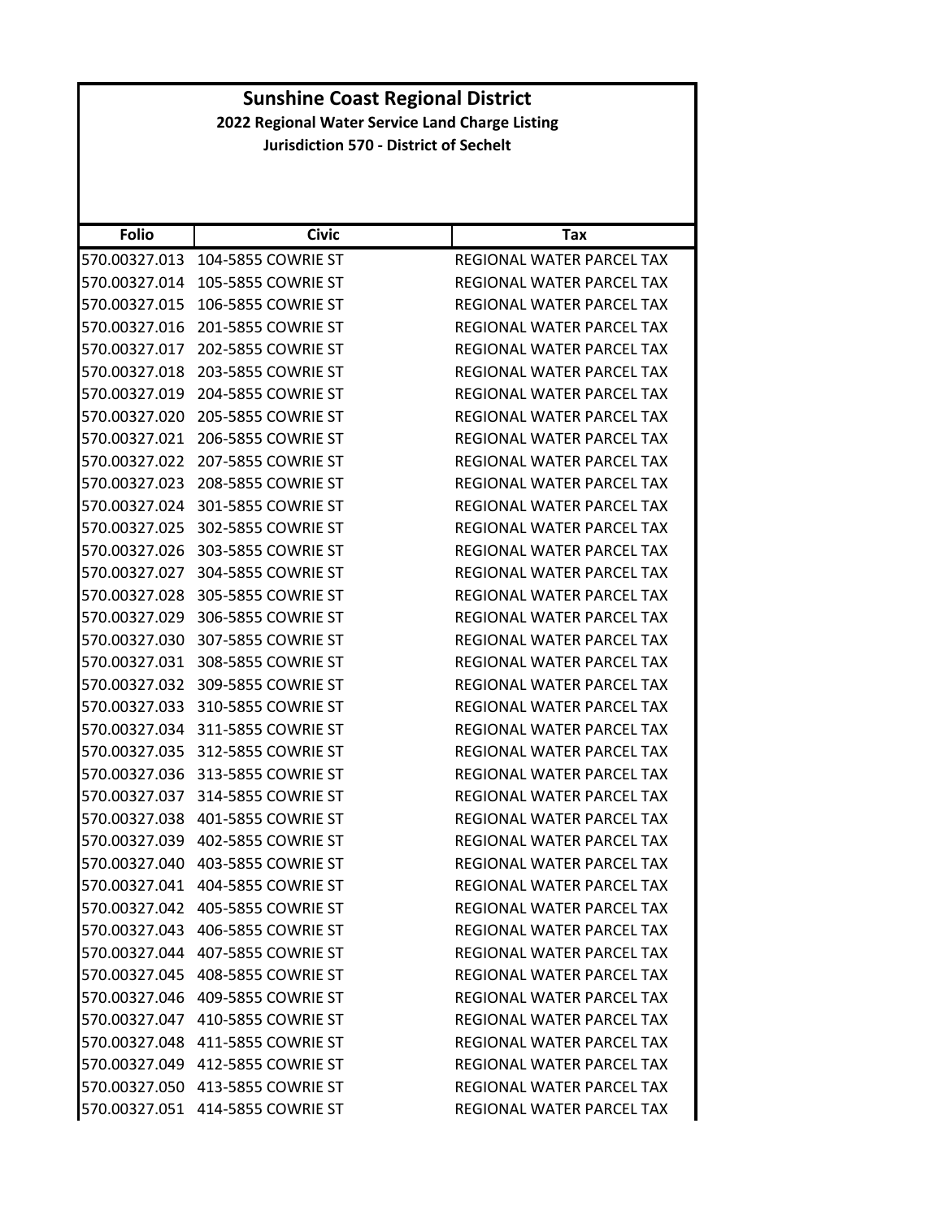| <b>Folio</b>  | <b>Civic</b>                     | <b>Tax</b>                       |
|---------------|----------------------------------|----------------------------------|
| 570.00327.013 | 104-5855 COWRIE ST               | REGIONAL WATER PARCEL TAX        |
| 570.00327.014 | 105-5855 COWRIE ST               | REGIONAL WATER PARCEL TAX        |
| 570.00327.015 | 106-5855 COWRIE ST               | REGIONAL WATER PARCEL TAX        |
| 570.00327.016 | 201-5855 COWRIE ST               | REGIONAL WATER PARCEL TAX        |
| 570.00327.017 | 202-5855 COWRIE ST               | REGIONAL WATER PARCEL TAX        |
| 570.00327.018 | 203-5855 COWRIE ST               | REGIONAL WATER PARCEL TAX        |
| 570.00327.019 | 204-5855 COWRIE ST               | <b>REGIONAL WATER PARCEL TAX</b> |
| 570.00327.020 | 205-5855 COWRIE ST               | <b>REGIONAL WATER PARCEL TAX</b> |
| 570.00327.021 | 206-5855 COWRIE ST               | REGIONAL WATER PARCEL TAX        |
| 570.00327.022 | 207-5855 COWRIE ST               | REGIONAL WATER PARCEL TAX        |
| 570.00327.023 | 208-5855 COWRIE ST               | REGIONAL WATER PARCEL TAX        |
| 570.00327.024 | 301-5855 COWRIE ST               | REGIONAL WATER PARCEL TAX        |
| 570.00327.025 | 302-5855 COWRIE ST               | REGIONAL WATER PARCEL TAX        |
| 570.00327.026 | 303-5855 COWRIE ST               | <b>REGIONAL WATER PARCEL TAX</b> |
| 570.00327.027 | 304-5855 COWRIE ST               | REGIONAL WATER PARCEL TAX        |
| 570.00327.028 | 305-5855 COWRIE ST               | <b>REGIONAL WATER PARCEL TAX</b> |
| 570.00327.029 | 306-5855 COWRIE ST               | REGIONAL WATER PARCEL TAX        |
| 570.00327.030 | 307-5855 COWRIE ST               | REGIONAL WATER PARCEL TAX        |
| 570.00327.031 | 308-5855 COWRIE ST               | REGIONAL WATER PARCEL TAX        |
| 570.00327.032 | 309-5855 COWRIE ST               | REGIONAL WATER PARCEL TAX        |
| 570.00327.033 | 310-5855 COWRIE ST               | REGIONAL WATER PARCEL TAX        |
| 570.00327.034 | 311-5855 COWRIE ST               | REGIONAL WATER PARCEL TAX        |
| 570.00327.035 | 312-5855 COWRIE ST               | REGIONAL WATER PARCEL TAX        |
| 570.00327.036 | 313-5855 COWRIE ST               | REGIONAL WATER PARCEL TAX        |
| 570.00327.037 | 314-5855 COWRIE ST               | REGIONAL WATER PARCEL TAX        |
| 570.00327.038 | 401-5855 COWRIE ST               | REGIONAL WATER PARCEL TAX        |
| 570.00327.039 | 402-5855 COWRIE ST               | REGIONAL WATER PARCEL TAX        |
| 570.00327.040 | 403-5855 COWRIE ST               | <b>REGIONAL WATER PARCEL TAX</b> |
| 570.00327.041 | 404-5855 COWRIE ST               | REGIONAL WATER PARCEL TAX        |
|               | 570.00327.042 405-5855 COWRIE ST | <b>REGIONAL WATER PARCEL TAX</b> |
|               | 570.00327.043 406-5855 COWRIE ST | REGIONAL WATER PARCEL TAX        |
|               | 570.00327.044 407-5855 COWRIE ST | REGIONAL WATER PARCEL TAX        |
|               | 570.00327.045 408-5855 COWRIE ST | REGIONAL WATER PARCEL TAX        |
|               | 570.00327.046 409-5855 COWRIE ST | REGIONAL WATER PARCEL TAX        |
|               | 570.00327.047 410-5855 COWRIE ST | REGIONAL WATER PARCEL TAX        |
|               | 570.00327.048 411-5855 COWRIE ST | REGIONAL WATER PARCEL TAX        |
|               | 570.00327.049 412-5855 COWRIE ST | REGIONAL WATER PARCEL TAX        |
|               | 570.00327.050 413-5855 COWRIE ST | REGIONAL WATER PARCEL TAX        |
|               | 570.00327.051 414-5855 COWRIE ST | REGIONAL WATER PARCEL TAX        |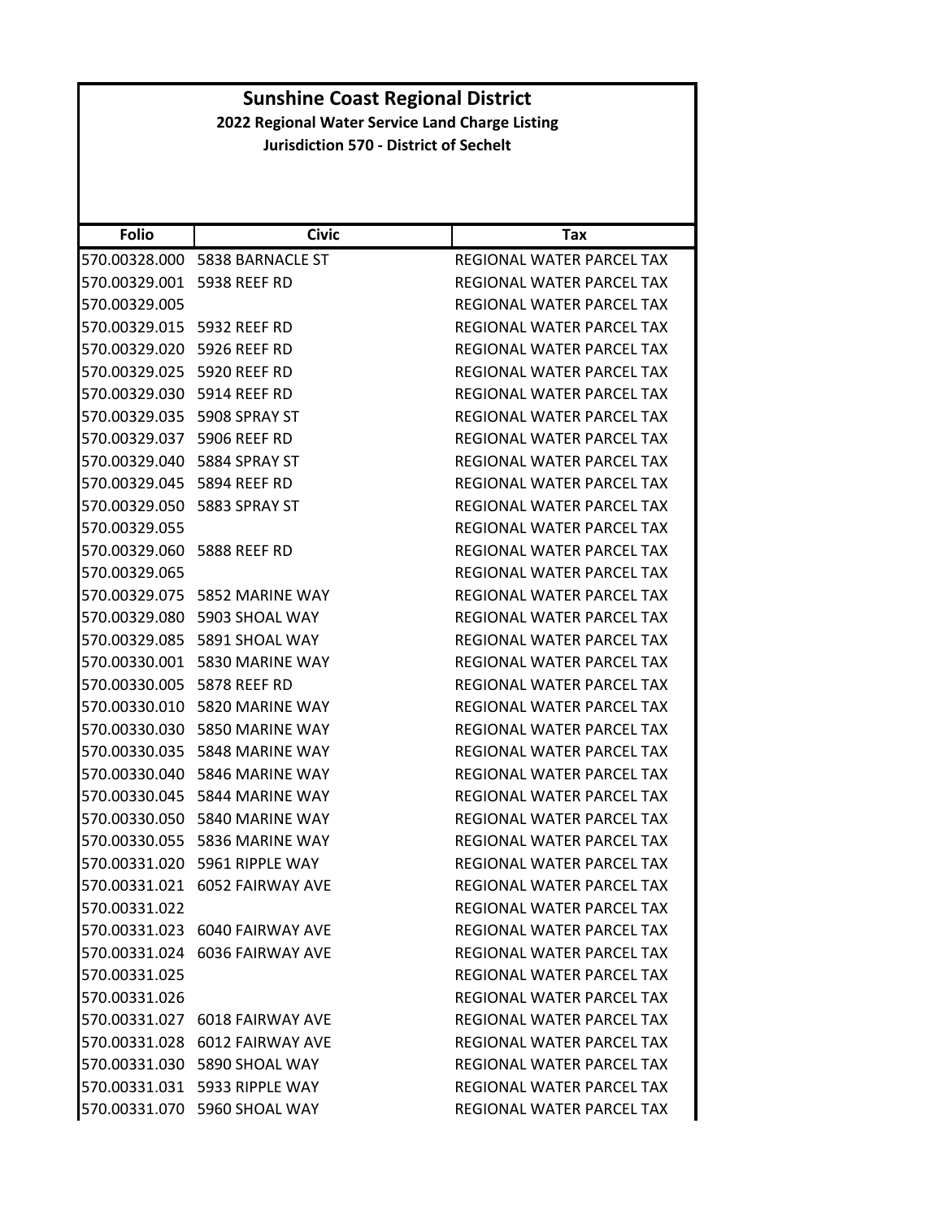| <b>Folio</b>               | <b>Civic</b>                   | Tax                              |
|----------------------------|--------------------------------|----------------------------------|
| 570.00328.000              | 5838 BARNACLE ST               | REGIONAL WATER PARCEL TAX        |
| 570.00329.001              | 5938 REEF RD                   | <b>REGIONAL WATER PARCEL TAX</b> |
| 570.00329.005              |                                | REGIONAL WATER PARCEL TAX        |
| 570.00329.015 5932 REEF RD |                                | REGIONAL WATER PARCEL TAX        |
| 570.00329.020 5926 REEF RD |                                | REGIONAL WATER PARCEL TAX        |
| 570.00329.025              | <b>5920 REEF RD</b>            | REGIONAL WATER PARCEL TAX        |
| 570.00329.030 5914 REEF RD |                                | REGIONAL WATER PARCEL TAX        |
| 570.00329.035              | 5908 SPRAY ST                  | <b>REGIONAL WATER PARCEL TAX</b> |
| 570.00329.037              | 5906 REEF RD                   | REGIONAL WATER PARCEL TAX        |
| 570.00329.040              | 5884 SPRAY ST                  | REGIONAL WATER PARCEL TAX        |
| 570.00329.045              | 5894 REEF RD                   | REGIONAL WATER PARCEL TAX        |
| 570.00329.050              | 5883 SPRAY ST                  | REGIONAL WATER PARCEL TAX        |
| 570.00329.055              |                                | REGIONAL WATER PARCEL TAX        |
| 570.00329.060 5888 REEF RD |                                | REGIONAL WATER PARCEL TAX        |
| 570.00329.065              |                                | REGIONAL WATER PARCEL TAX        |
|                            | 570.00329.075 5852 MARINE WAY  | REGIONAL WATER PARCEL TAX        |
| 570.00329.080              | 5903 SHOAL WAY                 | REGIONAL WATER PARCEL TAX        |
| 570.00329.085              | 5891 SHOAL WAY                 | REGIONAL WATER PARCEL TAX        |
| 570.00330.001              | 5830 MARINE WAY                | REGIONAL WATER PARCEL TAX        |
| 570.00330.005              | 5878 REEF RD                   | REGIONAL WATER PARCEL TAX        |
| 570.00330.010              | 5820 MARINE WAY                | REGIONAL WATER PARCEL TAX        |
| 570.00330.030              | 5850 MARINE WAY                | REGIONAL WATER PARCEL TAX        |
| 570.00330.035              | 5848 MARINE WAY                | REGIONAL WATER PARCEL TAX        |
| 570.00330.040              | 5846 MARINE WAY                | REGIONAL WATER PARCEL TAX        |
| 570.00330.045              | 5844 MARINE WAY                | REGIONAL WATER PARCEL TAX        |
| 570.00330.050              | 5840 MARINE WAY                | REGIONAL WATER PARCEL TAX        |
| 570.00330.055              | 5836 MARINE WAY                | <b>REGIONAL WATER PARCEL TAX</b> |
| 570.00331.020              | 5961 RIPPLE WAY                | REGIONAL WATER PARCEL TAX        |
|                            | 570.00331.021 6052 FAIRWAY AVE | REGIONAL WATER PARCEL TAX        |
| 570.00331.022              |                                | <b>REGIONAL WATER PARCEL TAX</b> |
|                            | 570.00331.023 6040 FAIRWAY AVE | REGIONAL WATER PARCEL TAX        |
|                            | 570.00331.024 6036 FAIRWAY AVE | <b>REGIONAL WATER PARCEL TAX</b> |
| 570.00331.025              |                                | <b>REGIONAL WATER PARCEL TAX</b> |
| 570.00331.026              |                                | REGIONAL WATER PARCEL TAX        |
|                            | 570.00331.027 6018 FAIRWAY AVE | REGIONAL WATER PARCEL TAX        |
|                            | 570.00331.028 6012 FAIRWAY AVE | REGIONAL WATER PARCEL TAX        |
|                            | 570.00331.030 5890 SHOAL WAY   | REGIONAL WATER PARCEL TAX        |
|                            | 570.00331.031 5933 RIPPLE WAY  | REGIONAL WATER PARCEL TAX        |
|                            | 570.00331.070 5960 SHOAL WAY   | REGIONAL WATER PARCEL TAX        |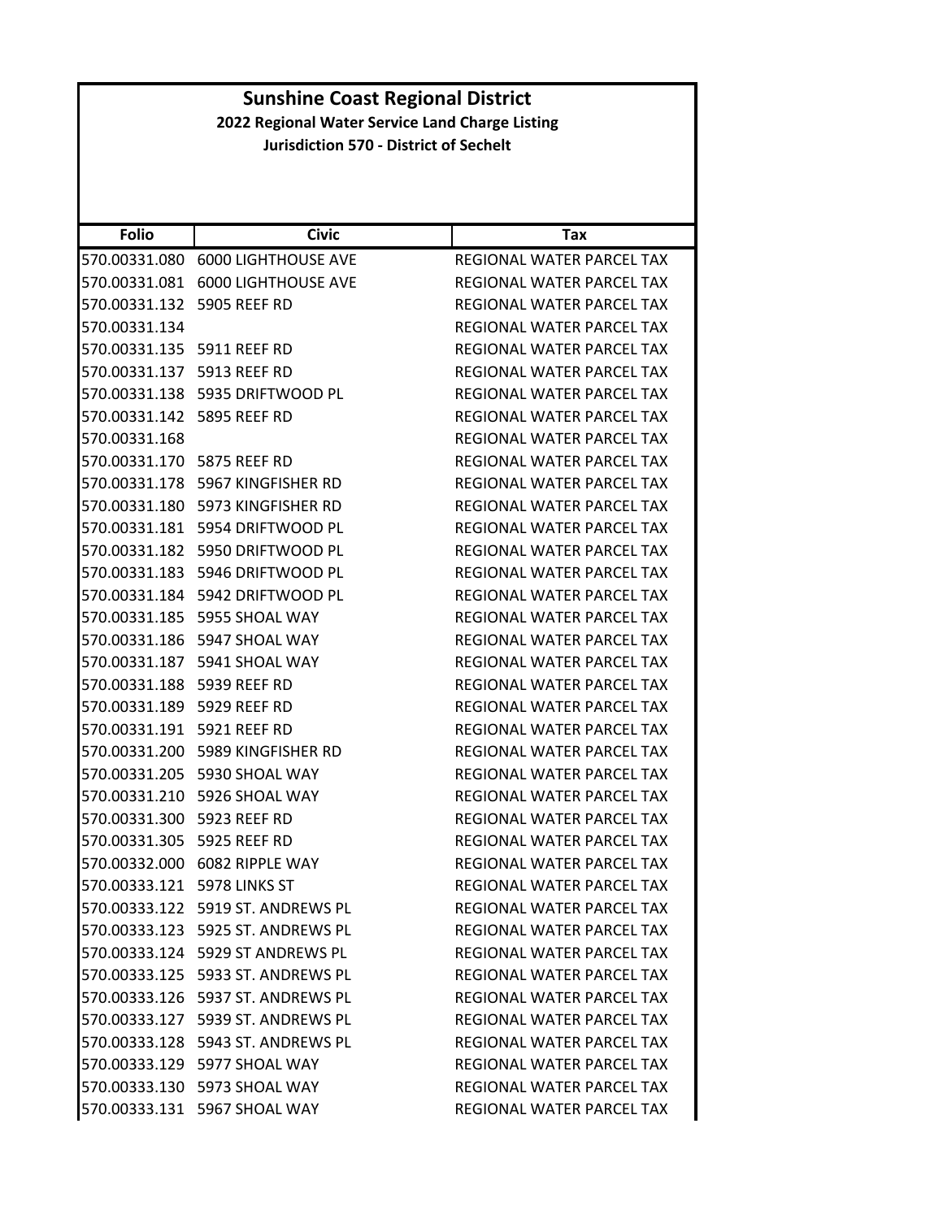| <b>Sunshine Coast Regional District</b> |                                      |                                                 |
|-----------------------------------------|--------------------------------------|-------------------------------------------------|
|                                         |                                      | 2022 Regional Water Service Land Charge Listing |
|                                         |                                      | <b>Jurisdiction 570 - District of Sechelt</b>   |
|                                         |                                      |                                                 |
|                                         |                                      |                                                 |
| <b>Folio</b>                            | <b>Civic</b>                         | Tax                                             |
|                                         | 570.00331.080 6000 LIGHTHOUSE AVE    | <b>REGIONAL WATER PARCEL TAX</b>                |
|                                         | 570.00331.081 6000 LIGHTHOUSE AVE    | REGIONAL WATER PARCEL TAX                       |
| 570.00331.132 5905 REEF RD              |                                      | REGIONAL WATER PARCEL TAX                       |
| 570.00331.134                           |                                      | REGIONAL WATER PARCEL TAX                       |
| 570.00331.135 5911 REEF RD              |                                      | REGIONAL WATER PARCEL TAX                       |
| 570.00331.137 5913 REEF RD              |                                      | REGIONAL WATER PARCEL TAX                       |
|                                         | 570.00331.138    5935 DRIFTWOOD PL   | REGIONAL WATER PARCEL TAX                       |
| 570.00331.142 5895 REEF RD              |                                      | REGIONAL WATER PARCEL TAX                       |
| 570.00331.168                           |                                      | <b>REGIONAL WATER PARCEL TAX</b>                |
| 570.00331.170 5875 REEF RD              |                                      | REGIONAL WATER PARCEL TAX                       |
|                                         | 570.00331.178 5967 KINGFISHER RD     | <b>REGIONAL WATER PARCEL TAX</b>                |
|                                         | 570.00331.180 5973 KINGFISHER RD     | REGIONAL WATER PARCEL TAX                       |
|                                         | 570.00331.181    5954 DRIFTWOOD PL   | REGIONAL WATER PARCEL TAX                       |
|                                         | 570.00331.182 5950 DRIFTWOOD PL      | REGIONAL WATER PARCEL TAX                       |
|                                         | 570.00331.183    5946 DRIFTWOOD PL   | REGIONAL WATER PARCEL TAX                       |
|                                         | 570.00331.184 5942 DRIFTWOOD PL      | REGIONAL WATER PARCEL TAX                       |
|                                         | 570.00331.185    5955 SHOAL WAY      | REGIONAL WATER PARCEL TAX                       |
|                                         | 570.00331.186    5947 SHOAL WAY      | REGIONAL WATER PARCEL TAX                       |
|                                         | 570.00331.187 5941 SHOAL WAY         | REGIONAL WATER PARCEL TAX                       |
| 570.00331.188 5939 REEF RD              |                                      | <b>REGIONAL WATER PARCEL TAX</b>                |
| 570.00331.189 5929 REEF RD              |                                      | REGIONAL WATER PARCEL TAX                       |
| 570.00331.191 5921 REEF RD              |                                      | REGIONAL WATER PARCEL TAX                       |
|                                         | 570.00331.200 5989 KINGFISHER RD     | REGIONAL WATER PARCEL TAX                       |
|                                         | 570.00331.205 5930 SHOAL WAY         | REGIONAL WATER PARCEL TAX                       |
|                                         | 570.00331.210 5926 SHOAL WAY         | REGIONAL WATER PARCEL TAX                       |
| 570.00331.300 5923 REEF RD              |                                      | REGIONAL WATER PARCEL TAX                       |
| 570.00331.305 5925 REEF RD              |                                      | REGIONAL WATER PARCEL TAX                       |
|                                         | 570.00332.000 6082 RIPPLE WAY        | REGIONAL WATER PARCEL TAX                       |
| 570.00333.121 5978 LINKS ST             |                                      | REGIONAL WATER PARCEL TAX                       |
|                                         | 570.00333.122 5919 ST. ANDREWS PL    | REGIONAL WATER PARCEL TAX                       |
|                                         | 570.00333.123    5925 ST. ANDREWS PL | <b>REGIONAL WATER PARCEL TAX</b>                |
|                                         | 570.00333.124 5929 ST ANDREWS PL     | REGIONAL WATER PARCEL TAX                       |
|                                         | 570.00333.125    5933 ST. ANDREWS PL | REGIONAL WATER PARCEL TAX                       |
|                                         | 570.00333.126    5937 ST. ANDREWS PL | REGIONAL WATER PARCEL TAX                       |
|                                         | 570.00333.127 5939 ST. ANDREWS PL    | REGIONAL WATER PARCEL TAX                       |
|                                         | 570.00333.128 5943 ST. ANDREWS PL    | REGIONAL WATER PARCEL TAX                       |
|                                         | 570.00333.129 5977 SHOAL WAY         | REGIONAL WATER PARCEL TAX                       |
|                                         | 570.00333.130 5973 SHOAL WAY         | REGIONAL WATER PARCEL TAX                       |
|                                         | 570.00333.131 5967 SHOAL WAY         | REGIONAL WATER PARCEL TAX                       |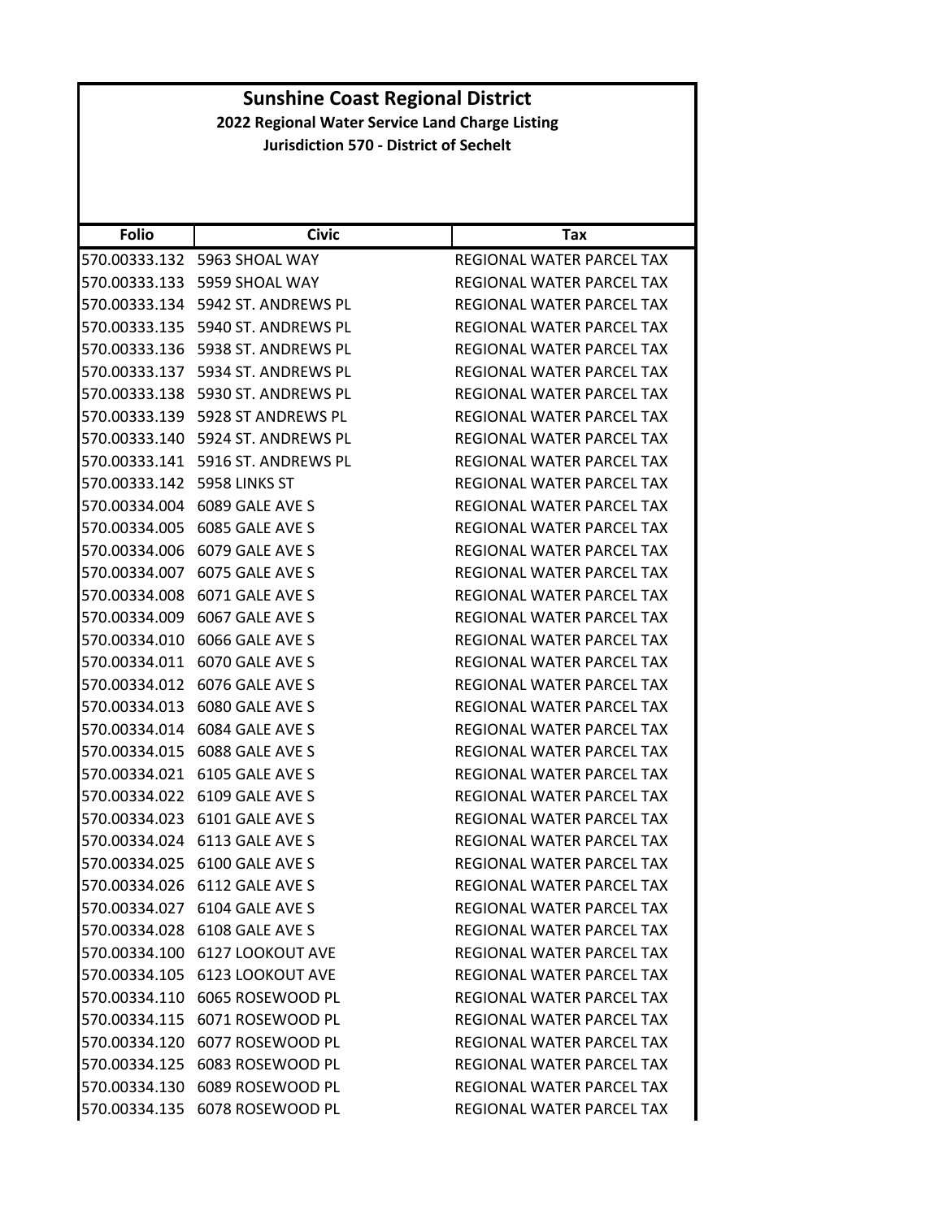| <b>Folio</b>  | <b>Civic</b>                         | Tax                              |
|---------------|--------------------------------------|----------------------------------|
| 570.00333.132 | 5963 SHOAL WAY                       | REGIONAL WATER PARCEL TAX        |
|               | 570.00333.133 5959 SHOAL WAY         | REGIONAL WATER PARCEL TAX        |
|               | 570.00333.134    5942 ST. ANDREWS PL | REGIONAL WATER PARCEL TAX        |
|               | 570.00333.135    5940 ST. ANDREWS PL | REGIONAL WATER PARCEL TAX        |
|               | 570.00333.136    5938 ST. ANDREWS PL | REGIONAL WATER PARCEL TAX        |
| 570.00333.137 | 5934 ST. ANDREWS PL                  | REGIONAL WATER PARCEL TAX        |
|               | 570.00333.138 5930 ST. ANDREWS PL    | REGIONAL WATER PARCEL TAX        |
|               | 570.00333.139    5928 ST ANDREWS PL  | <b>REGIONAL WATER PARCEL TAX</b> |
|               | 570.00333.140    5924 ST. ANDREWS PL | REGIONAL WATER PARCEL TAX        |
| 570.00333.141 | 5916 ST. ANDREWS PL                  | REGIONAL WATER PARCEL TAX        |
| 570.00333.142 | 5958 LINKS ST                        | REGIONAL WATER PARCEL TAX        |
|               | 570.00334.004 6089 GALE AVE S        | REGIONAL WATER PARCEL TAX        |
| 570.00334.005 | 6085 GALE AVE S                      | <b>REGIONAL WATER PARCEL TAX</b> |
| 570.00334.006 | 6079 GALE AVE S                      | REGIONAL WATER PARCEL TAX        |
| 570.00334.007 | 6075 GALE AVE S                      | <b>REGIONAL WATER PARCEL TAX</b> |
| 570.00334.008 | 6071 GALE AVE S                      | REGIONAL WATER PARCEL TAX        |
| 570.00334.009 | 6067 GALE AVE S                      | REGIONAL WATER PARCEL TAX        |
|               | 570.00334.010 6066 GALE AVE S        | REGIONAL WATER PARCEL TAX        |
|               | 570.00334.011 6070 GALE AVE S        | REGIONAL WATER PARCEL TAX        |
| 570.00334.012 | 6076 GALE AVE S                      | REGIONAL WATER PARCEL TAX        |
| 570.00334.013 | 6080 GALE AVE S                      | REGIONAL WATER PARCEL TAX        |
| 570.00334.014 | 6084 GALE AVE S                      | REGIONAL WATER PARCEL TAX        |
| 570.00334.015 | 6088 GALE AVE S                      | REGIONAL WATER PARCEL TAX        |
| 570.00334.021 | 6105 GALE AVE S                      | REGIONAL WATER PARCEL TAX        |
| 570.00334.022 | 6109 GALE AVE S                      | REGIONAL WATER PARCEL TAX        |
|               | 570.00334.023 6101 GALE AVE S        | REGIONAL WATER PARCEL TAX        |
| 570.00334.024 | 6113 GALE AVE S                      | REGIONAL WATER PARCEL TAX        |
|               | 570.00334.025 6100 GALE AVE S        | REGIONAL WATER PARCEL TAX        |
|               | 570.00334.026 6112 GALE AVE S        | REGIONAL WATER PARCEL TAX        |
|               | 570.00334.027 6104 GALE AVE S        | REGIONAL WATER PARCEL TAX        |
|               | 570.00334.028 6108 GALE AVE S        | REGIONAL WATER PARCEL TAX        |
|               | 570.00334.100 6127 LOOKOUT AVE       | REGIONAL WATER PARCEL TAX        |
|               | 570.00334.105 6123 LOOKOUT AVE       | REGIONAL WATER PARCEL TAX        |
|               | 570.00334.110 6065 ROSEWOOD PL       | REGIONAL WATER PARCEL TAX        |
|               | 570.00334.115 6071 ROSEWOOD PL       | REGIONAL WATER PARCEL TAX        |
|               | 570.00334.120 6077 ROSEWOOD PL       | REGIONAL WATER PARCEL TAX        |
|               | 570.00334.125 6083 ROSEWOOD PL       | REGIONAL WATER PARCEL TAX        |
|               | 570.00334.130 6089 ROSEWOOD PL       | REGIONAL WATER PARCEL TAX        |
|               | 570.00334.135 6078 ROSEWOOD PL       | REGIONAL WATER PARCEL TAX        |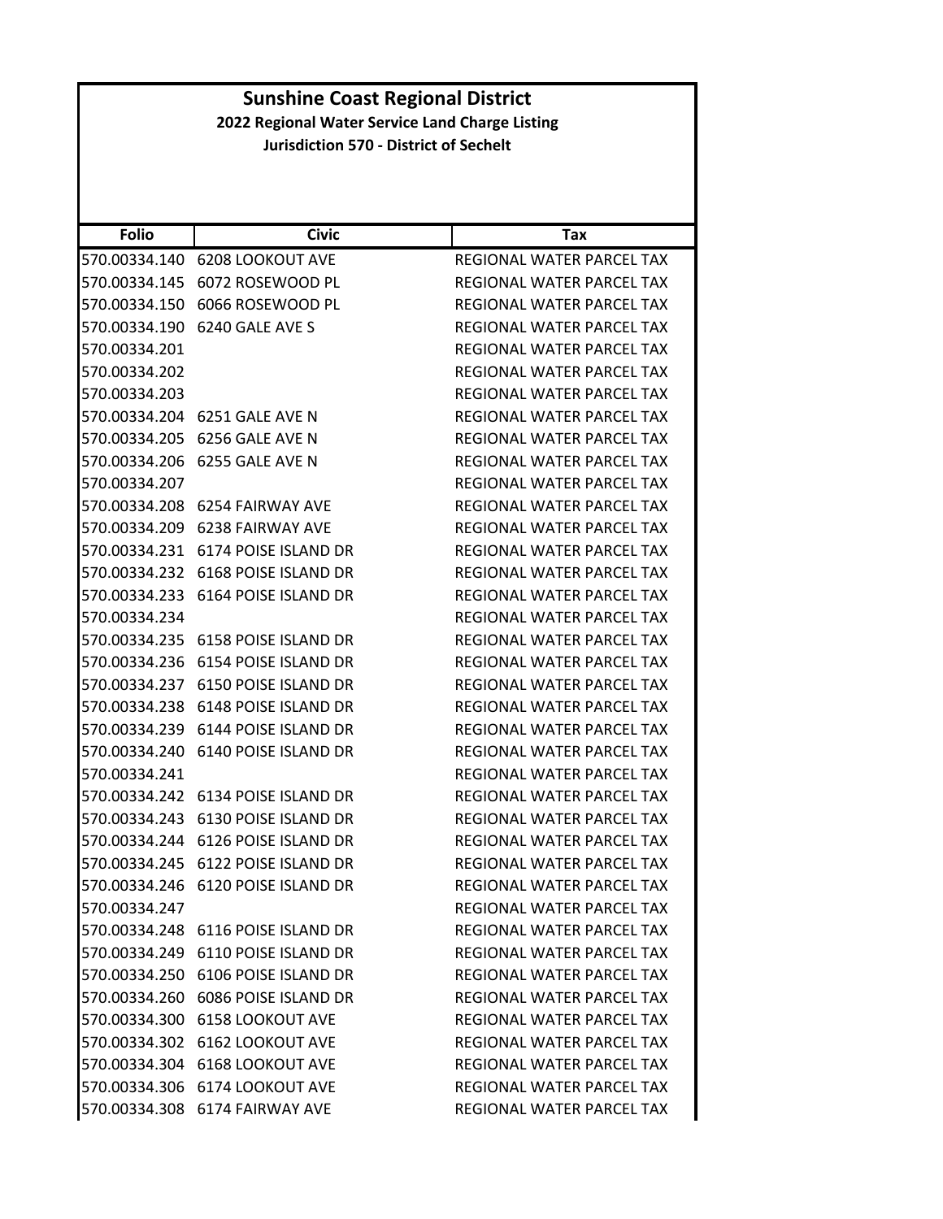|                                               | <b>Sunshine Coast Regional District</b><br>2022 Regional Water Service Land Charge Listing |                                  |  |
|-----------------------------------------------|--------------------------------------------------------------------------------------------|----------------------------------|--|
| <b>Jurisdiction 570 - District of Sechelt</b> |                                                                                            |                                  |  |
|                                               |                                                                                            |                                  |  |
|                                               |                                                                                            |                                  |  |
|                                               |                                                                                            |                                  |  |
| <b>Folio</b>                                  | <b>Civic</b>                                                                               | Tax                              |  |
|                                               | 570.00334.140 6208 LOOKOUT AVE                                                             | REGIONAL WATER PARCEL TAX        |  |
|                                               | 570.00334.145 6072 ROSEWOOD PL                                                             | REGIONAL WATER PARCEL TAX        |  |
|                                               | 570.00334.150 6066 ROSEWOOD PL                                                             | REGIONAL WATER PARCEL TAX        |  |
| 570.00334.190                                 | 6240 GALE AVE S                                                                            | REGIONAL WATER PARCEL TAX        |  |
| 570.00334.201                                 |                                                                                            | REGIONAL WATER PARCEL TAX        |  |
| 570.00334.202                                 |                                                                                            | REGIONAL WATER PARCEL TAX        |  |
| 570.00334.203                                 |                                                                                            | REGIONAL WATER PARCEL TAX        |  |
|                                               | 570.00334.204 6251 GALE AVE N                                                              | REGIONAL WATER PARCEL TAX        |  |
| 570.00334.205                                 | 6256 GALE AVE N                                                                            | REGIONAL WATER PARCEL TAX        |  |
|                                               | 570.00334.206 6255 GALE AVE N                                                              | <b>REGIONAL WATER PARCEL TAX</b> |  |
| 570.00334.207                                 |                                                                                            | REGIONAL WATER PARCEL TAX        |  |
|                                               | 570.00334.208 6254 FAIRWAY AVE                                                             | REGIONAL WATER PARCEL TAX        |  |
|                                               | 570.00334.209 6238 FAIRWAY AVE                                                             | REGIONAL WATER PARCEL TAX        |  |
|                                               | 570.00334.231 6174 POISE ISLAND DR                                                         | REGIONAL WATER PARCEL TAX        |  |
|                                               | 570.00334.232 6168 POISE ISLAND DR                                                         | REGIONAL WATER PARCEL TAX        |  |
|                                               | 570.00334.233 6164 POISE ISLAND DR                                                         | REGIONAL WATER PARCEL TAX        |  |
| 570.00334.234                                 |                                                                                            | REGIONAL WATER PARCEL TAX        |  |
|                                               | 570.00334.235 6158 POISE ISLAND DR                                                         | REGIONAL WATER PARCEL TAX        |  |
|                                               | 570.00334.236 6154 POISE ISLAND DR                                                         | REGIONAL WATER PARCEL TAX        |  |
|                                               | 570.00334.237 6150 POISE ISLAND DR                                                         | REGIONAL WATER PARCEL TAX        |  |
|                                               | 570.00334.238 6148 POISE ISLAND DR                                                         | REGIONAL WATER PARCEL TAX        |  |
|                                               | 570.00334.239 6144 POISE ISLAND DR                                                         | REGIONAL WATER PARCEL TAX        |  |
|                                               | 570.00334.240 6140 POISE ISLAND DR                                                         | REGIONAL WATER PARCEL TAX        |  |
| 570.00334.241                                 |                                                                                            | REGIONAL WATER PARCEL TAX        |  |
|                                               | 570.00334.242 6134 POISE ISLAND DR                                                         | REGIONAL WATER PARCEL TAX        |  |
|                                               | 570.00334.243 6130 POISE ISLAND DR                                                         | REGIONAL WATER PARCEL TAX        |  |
|                                               | 570.00334.244 6126 POISE ISLAND DR                                                         | REGIONAL WATER PARCEL TAX        |  |
|                                               | 570.00334.245 6122 POISE ISLAND DR                                                         | REGIONAL WATER PARCEL TAX        |  |
|                                               | 570.00334.246 6120 POISE ISLAND DR                                                         | REGIONAL WATER PARCEL TAX        |  |
| 570.00334.247                                 |                                                                                            | REGIONAL WATER PARCEL TAX        |  |
|                                               | 570.00334.248 6116 POISE ISLAND DR                                                         | REGIONAL WATER PARCEL TAX        |  |
|                                               | 570.00334.249 6110 POISE ISLAND DR                                                         | REGIONAL WATER PARCEL TAX        |  |
|                                               | 570.00334.250 6106 POISE ISLAND DR                                                         | REGIONAL WATER PARCEL TAX        |  |
|                                               | 570.00334.260 6086 POISE ISLAND DR                                                         | REGIONAL WATER PARCEL TAX        |  |
|                                               | 570.00334.300 6158 LOOKOUT AVE                                                             | REGIONAL WATER PARCEL TAX        |  |
|                                               | 570.00334.302 6162 LOOKOUT AVE                                                             | REGIONAL WATER PARCEL TAX        |  |
|                                               | 570.00334.304 6168 LOOKOUT AVE                                                             | REGIONAL WATER PARCEL TAX        |  |
|                                               | 570.00334.306 6174 LOOKOUT AVE                                                             | REGIONAL WATER PARCEL TAX        |  |
|                                               | 570.00334.308 6174 FAIRWAY AVE                                                             | REGIONAL WATER PARCEL TAX        |  |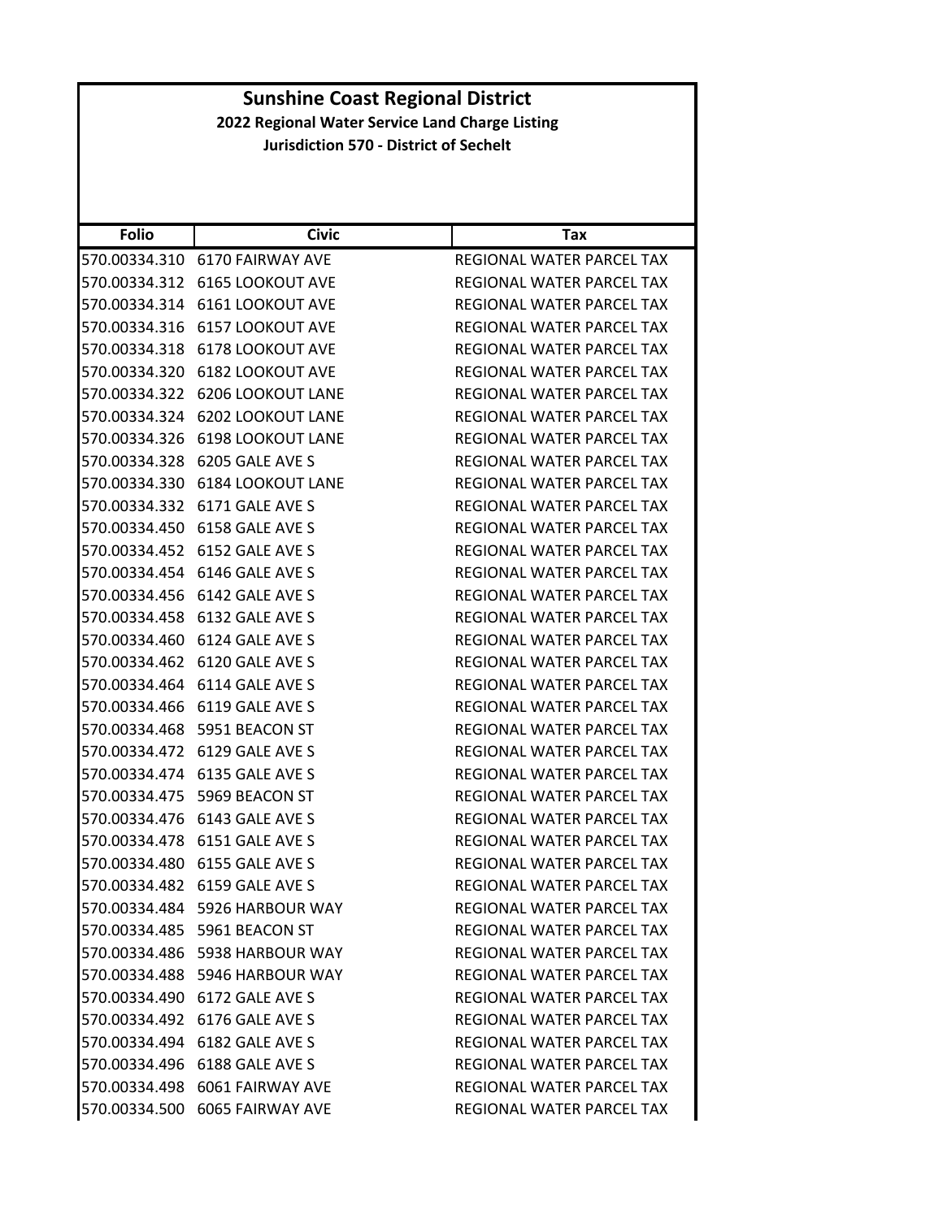| <b>Folio</b>  | <b>Civic</b>                      | Tax                              |
|---------------|-----------------------------------|----------------------------------|
| 570.00334.310 | 6170 FAIRWAY AVE                  | REGIONAL WATER PARCEL TAX        |
| 570.00334.312 | <b>6165 LOOKOUT AVE</b>           | REGIONAL WATER PARCEL TAX        |
| 570.00334.314 | 6161 LOOKOUT AVE                  | REGIONAL WATER PARCEL TAX        |
| 570.00334.316 | <b>6157 LOOKOUT AVE</b>           | REGIONAL WATER PARCEL TAX        |
|               | 570.00334.318 6178 LOOKOUT AVE    | REGIONAL WATER PARCEL TAX        |
| 570.00334.320 | 6182 LOOKOUT AVE                  | REGIONAL WATER PARCEL TAX        |
|               | 570.00334.322 6206 LOOKOUT LANE   | REGIONAL WATER PARCEL TAX        |
| 570.00334.324 | <b>6202 LOOKOUT LANE</b>          | REGIONAL WATER PARCEL TAX        |
|               | 570.00334.326 6198 LOOKOUT LANE   | REGIONAL WATER PARCEL TAX        |
| 570.00334.328 | 6205 GALE AVE S                   | REGIONAL WATER PARCEL TAX        |
| 570.00334.330 | <b>6184 LOOKOUT LANE</b>          | REGIONAL WATER PARCEL TAX        |
|               | 570.00334.332 6171 GALE AVE S     | REGIONAL WATER PARCEL TAX        |
| 570.00334.450 | 6158 GALE AVE S                   | REGIONAL WATER PARCEL TAX        |
|               | 570.00334.452 6152 GALE AVE S     | REGIONAL WATER PARCEL TAX        |
| 570.00334.454 | 6146 GALE AVE S                   | <b>REGIONAL WATER PARCEL TAX</b> |
|               | 570.00334.456 6142 GALE AVE S     | REGIONAL WATER PARCEL TAX        |
|               | 570.00334.458 6132 GALE AVE S     | REGIONAL WATER PARCEL TAX        |
|               | 570.00334.460 6124 GALE AVE S     | REGIONAL WATER PARCEL TAX        |
|               | 570.00334.462 6120 GALE AVE S     | REGIONAL WATER PARCEL TAX        |
| 570.00334.464 | 6114 GALE AVE S                   | REGIONAL WATER PARCEL TAX        |
|               | 570.00334.466 6119 GALE AVE S     | REGIONAL WATER PARCEL TAX        |
| 570.00334.468 | 5951 BEACON ST                    | REGIONAL WATER PARCEL TAX        |
| 570.00334.472 | 6129 GALE AVE S                   | REGIONAL WATER PARCEL TAX        |
|               | 570.00334.474 6135 GALE AVE S     | REGIONAL WATER PARCEL TAX        |
| 570.00334.475 | 5969 BEACON ST                    | REGIONAL WATER PARCEL TAX        |
|               | 570.00334.476 6143 GALE AVE S     | REGIONAL WATER PARCEL TAX        |
| 570.00334.478 | 6151 GALE AVE S                   | <b>REGIONAL WATER PARCEL TAX</b> |
|               | 570.00334.480 6155 GALE AVE S     | <b>REGIONAL WATER PARCEL TAX</b> |
| 570.00334.482 | 6159 GALE AVE S                   | REGIONAL WATER PARCEL TAX        |
|               | 570.00334.484 5926 HARBOUR WAY    | REGIONAL WATER PARCEL TAX        |
|               | 570.00334.485 5961 BEACON ST      | REGIONAL WATER PARCEL TAX        |
|               | 570.00334.486    5938 HARBOUR WAY | REGIONAL WATER PARCEL TAX        |
|               | 570.00334.488 5946 HARBOUR WAY    | REGIONAL WATER PARCEL TAX        |
|               | 570.00334.490 6172 GALE AVE S     | REGIONAL WATER PARCEL TAX        |
|               | 570.00334.492 6176 GALE AVE S     | REGIONAL WATER PARCEL TAX        |
|               | 570.00334.494 6182 GALE AVE S     | REGIONAL WATER PARCEL TAX        |
|               | 570.00334.496 6188 GALE AVE S     | REGIONAL WATER PARCEL TAX        |
|               | 570.00334.498 6061 FAIRWAY AVE    | REGIONAL WATER PARCEL TAX        |
|               | 570.00334.500 6065 FAIRWAY AVE    | REGIONAL WATER PARCEL TAX        |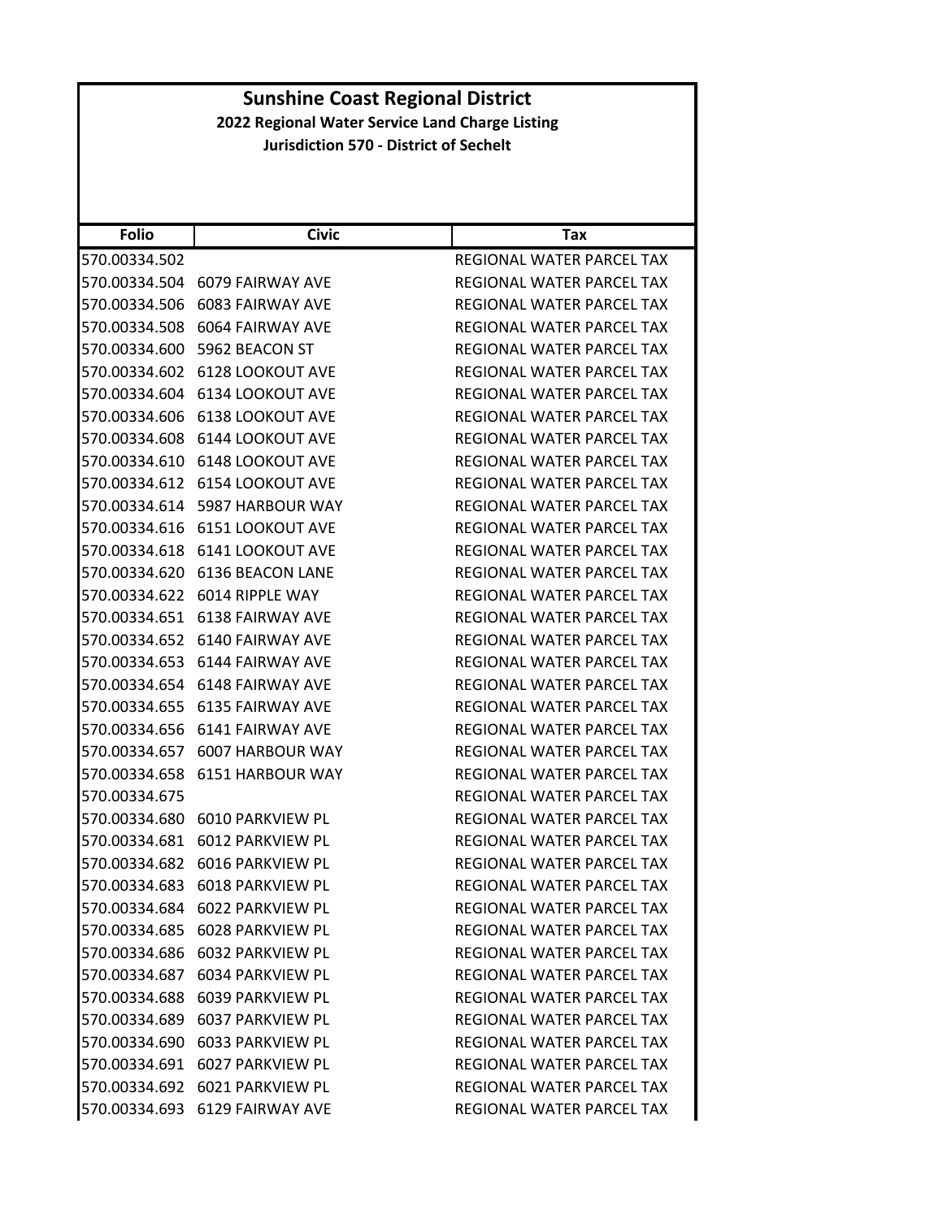| <b>Folio</b>  | <b>Civic</b>                   | Tax                       |
|---------------|--------------------------------|---------------------------|
| 570.00334.502 |                                | REGIONAL WATER PARCEL TAX |
| 570.00334.504 | 6079 FAIRWAY AVE               | REGIONAL WATER PARCEL TAX |
| 570.00334.506 | <b>6083 FAIRWAY AVE</b>        | REGIONAL WATER PARCEL TAX |
| 570.00334.508 | 6064 FAIRWAY AVE               | REGIONAL WATER PARCEL TAX |
| 570.00334.600 | 5962 BEACON ST                 | REGIONAL WATER PARCEL TAX |
| 570.00334.602 | <b>6128 LOOKOUT AVE</b>        | REGIONAL WATER PARCEL TAX |
| 570.00334.604 | <b>6134 LOOKOUT AVE</b>        | REGIONAL WATER PARCEL TAX |
| 570.00334.606 | <b>6138 LOOKOUT AVE</b>        | REGIONAL WATER PARCEL TAX |
| 570.00334.608 | <b>6144 LOOKOUT AVE</b>        | REGIONAL WATER PARCEL TAX |
| 570.00334.610 | <b>6148 LOOKOUT AVE</b>        | REGIONAL WATER PARCEL TAX |
| 570.00334.612 | <b>6154 LOOKOUT AVE</b>        | REGIONAL WATER PARCEL TAX |
| 570.00334.614 | 5987 HARBOUR WAY               | REGIONAL WATER PARCEL TAX |
| 570.00334.616 | 6151 LOOKOUT AVE               | REGIONAL WATER PARCEL TAX |
| 570.00334.618 | <b>6141 LOOKOUT AVE</b>        | REGIONAL WATER PARCEL TAX |
| 570.00334.620 | 6136 BEACON LANE               | REGIONAL WATER PARCEL TAX |
| 570.00334.622 | 6014 RIPPLE WAY                | REGIONAL WATER PARCEL TAX |
| 570.00334.651 | <b>6138 FAIRWAY AVE</b>        | REGIONAL WATER PARCEL TAX |
| 570.00334.652 | 6140 FAIRWAY AVE               | REGIONAL WATER PARCEL TAX |
| 570.00334.653 | 6144 FAIRWAY AVE               | REGIONAL WATER PARCEL TAX |
| 570.00334.654 | 6148 FAIRWAY AVE               | REGIONAL WATER PARCEL TAX |
| 570.00334.655 | <b>6135 FAIRWAY AVE</b>        | REGIONAL WATER PARCEL TAX |
| 570.00334.656 | 6141 FAIRWAY AVE               | REGIONAL WATER PARCEL TAX |
| 570.00334.657 | 6007 HARBOUR WAY               | REGIONAL WATER PARCEL TAX |
| 570.00334.658 | 6151 HARBOUR WAY               | REGIONAL WATER PARCEL TAX |
| 570.00334.675 |                                | REGIONAL WATER PARCEL TAX |
| 570.00334.680 | 6010 PARKVIEW PL               | REGIONAL WATER PARCEL TAX |
| 570.00334.681 | 6012 PARKVIEW PL               | REGIONAL WATER PARCEL TAX |
| 570.00334.682 | 6016 PARKVIEW PL               | REGIONAL WATER PARCEL TAX |
| 570.00334.683 | 6018 PARKVIEW PL               | REGIONAL WATER PARCEL TAX |
|               | 570.00334.684 6022 PARKVIEW PL | REGIONAL WATER PARCEL TAX |
|               | 570.00334.685 6028 PARKVIEW PL | REGIONAL WATER PARCEL TAX |
|               | 570.00334.686 6032 PARKVIEW PL | REGIONAL WATER PARCEL TAX |
|               | 570.00334.687 6034 PARKVIEW PL | REGIONAL WATER PARCEL TAX |
|               | 570.00334.688 6039 PARKVIEW PL | REGIONAL WATER PARCEL TAX |
|               | 570.00334.689 6037 PARKVIEW PL | REGIONAL WATER PARCEL TAX |
|               | 570.00334.690 6033 PARKVIEW PL | REGIONAL WATER PARCEL TAX |
|               | 570.00334.691 6027 PARKVIEW PL | REGIONAL WATER PARCEL TAX |
| 570.00334.692 | 6021 PARKVIEW PL               | REGIONAL WATER PARCEL TAX |
|               | 570.00334.693 6129 FAIRWAY AVE | REGIONAL WATER PARCEL TAX |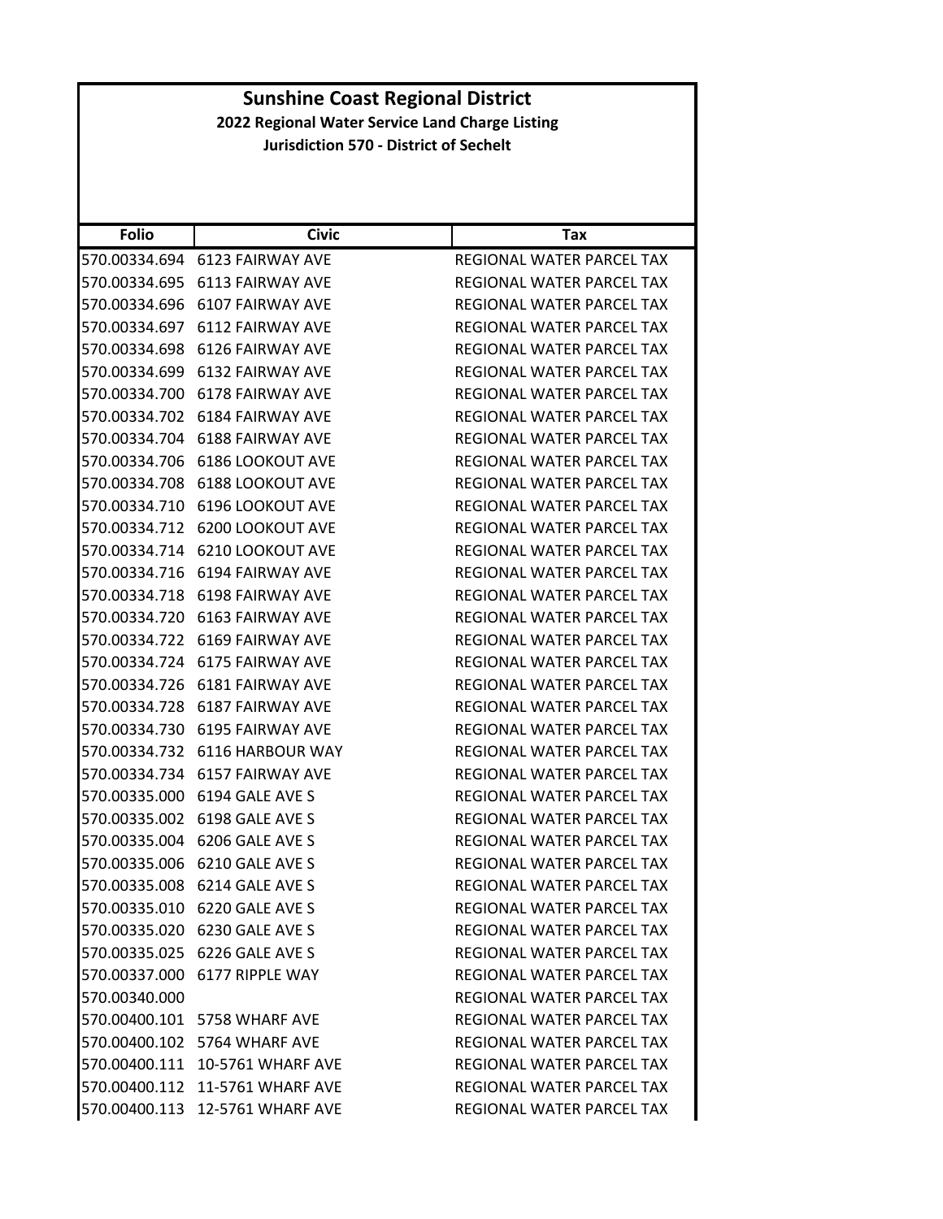| <b>Folio</b>  | <b>Civic</b>                    | Tax                              |
|---------------|---------------------------------|----------------------------------|
| 570.00334.694 | 6123 FAIRWAY AVE                | REGIONAL WATER PARCEL TAX        |
| 570.00334.695 | <b>6113 FAIRWAY AVE</b>         | REGIONAL WATER PARCEL TAX        |
| 570.00334.696 | 6107 FAIRWAY AVE                | REGIONAL WATER PARCEL TAX        |
| 570.00334.697 | <b>6112 FAIRWAY AVE</b>         | REGIONAL WATER PARCEL TAX        |
| 570.00334.698 | 6126 FAIRWAY AVE                | REGIONAL WATER PARCEL TAX        |
| 570.00334.699 | <b>6132 FAIRWAY AVE</b>         | REGIONAL WATER PARCEL TAX        |
| 570.00334.700 | 6178 FAIRWAY AVE                | <b>REGIONAL WATER PARCEL TAX</b> |
|               | 570.00334.702 6184 FAIRWAY AVE  | REGIONAL WATER PARCEL TAX        |
| 570.00334.704 | <b>6188 FAIRWAY AVE</b>         | REGIONAL WATER PARCEL TAX        |
| 570.00334.706 | 6186 LOOKOUT AVE                | REGIONAL WATER PARCEL TAX        |
| 570.00334.708 | <b>6188 LOOKOUT AVE</b>         | REGIONAL WATER PARCEL TAX        |
| 570.00334.710 | <b>6196 LOOKOUT AVE</b>         | REGIONAL WATER PARCEL TAX        |
| 570.00334.712 | <b>6200 LOOKOUT AVE</b>         | REGIONAL WATER PARCEL TAX        |
| 570.00334.714 | <b>6210 LOOKOUT AVE</b>         | REGIONAL WATER PARCEL TAX        |
| 570.00334.716 | 6194 FAIRWAY AVE                | <b>REGIONAL WATER PARCEL TAX</b> |
| 570.00334.718 | <b>6198 FAIRWAY AVE</b>         | REGIONAL WATER PARCEL TAX        |
|               | 570.00334.720 6163 FAIRWAY AVE  | REGIONAL WATER PARCEL TAX        |
| 570.00334.722 | <b>6169 FAIRWAY AVE</b>         | REGIONAL WATER PARCEL TAX        |
| 570.00334.724 | 6175 FAIRWAY AVE                | REGIONAL WATER PARCEL TAX        |
| 570.00334.726 | <b>6181 FAIRWAY AVE</b>         | REGIONAL WATER PARCEL TAX        |
| 570.00334.728 | <b>6187 FAIRWAY AVE</b>         | REGIONAL WATER PARCEL TAX        |
| 570.00334.730 | 6195 FAIRWAY AVE                | REGIONAL WATER PARCEL TAX        |
| 570.00334.732 | 6116 HARBOUR WAY                | REGIONAL WATER PARCEL TAX        |
| 570.00334.734 | <b>6157 FAIRWAY AVE</b>         | REGIONAL WATER PARCEL TAX        |
| 570.00335.000 | 6194 GALE AVE S                 | REGIONAL WATER PARCEL TAX        |
| 570.00335.002 | 6198 GALE AVE S                 | REGIONAL WATER PARCEL TAX        |
| 570.00335.004 | 6206 GALE AVE S                 | <b>REGIONAL WATER PARCEL TAX</b> |
| 570.00335.006 | 6210 GALE AVE S                 | REGIONAL WATER PARCEL TAX        |
| 570.00335.008 | 6214 GALE AVE S                 | REGIONAL WATER PARCEL TAX        |
|               | 570.00335.010 6220 GALE AVE S   | REGIONAL WATER PARCEL TAX        |
|               | 570.00335.020 6230 GALE AVE S   | REGIONAL WATER PARCEL TAX        |
|               | 570.00335.025 6226 GALE AVE S   | REGIONAL WATER PARCEL TAX        |
|               | 570.00337.000 6177 RIPPLE WAY   | REGIONAL WATER PARCEL TAX        |
| 570.00340.000 |                                 | REGIONAL WATER PARCEL TAX        |
|               | 570.00400.101 5758 WHARF AVE    | REGIONAL WATER PARCEL TAX        |
|               | 570.00400.102 5764 WHARF AVE    | REGIONAL WATER PARCEL TAX        |
|               | 570.00400.111 10-5761 WHARF AVE | REGIONAL WATER PARCEL TAX        |
|               | 570.00400.112 11-5761 WHARF AVE | REGIONAL WATER PARCEL TAX        |
|               | 570.00400.113 12-5761 WHARF AVE | REGIONAL WATER PARCEL TAX        |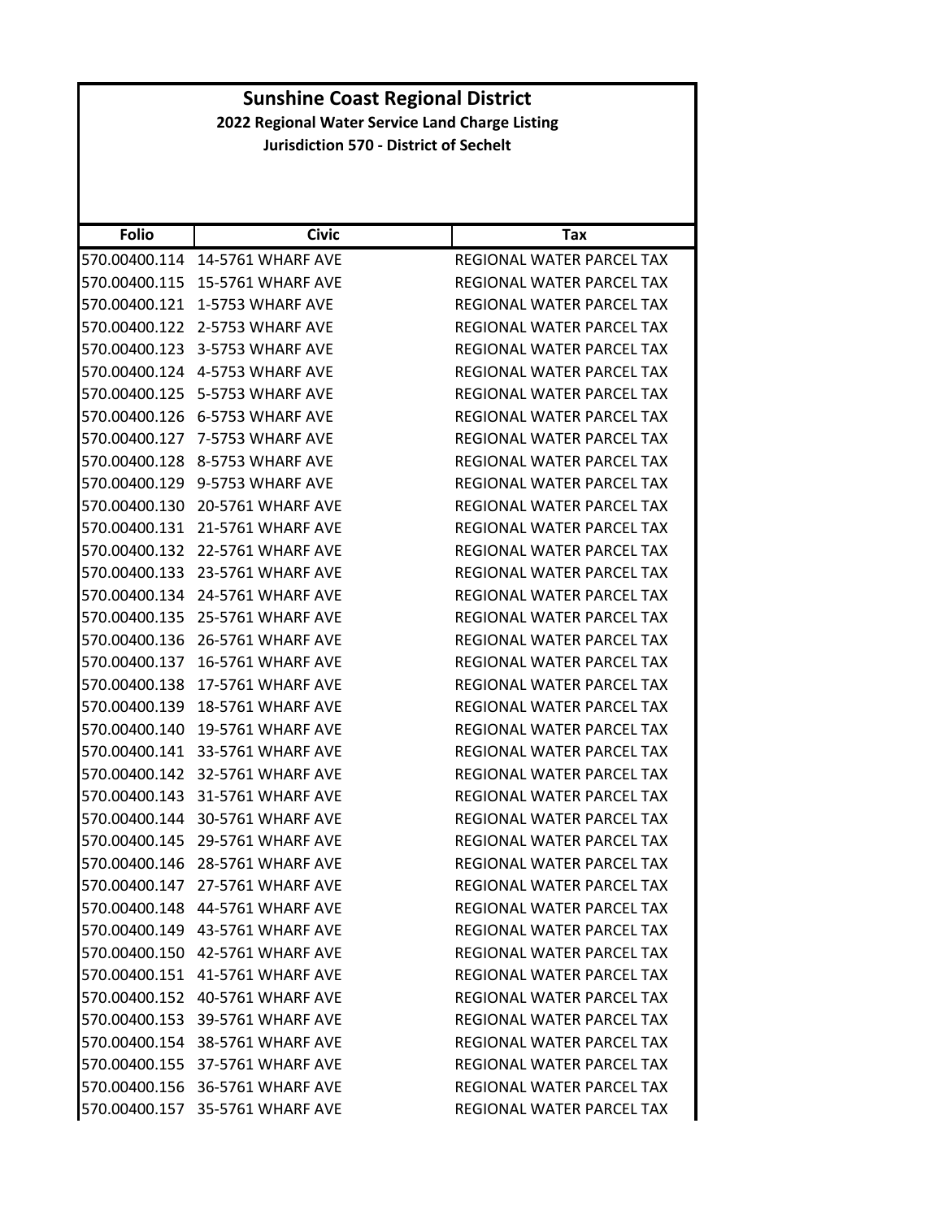| <b>Folio</b>  | <b>Civic</b>                    | Tax                              |
|---------------|---------------------------------|----------------------------------|
| 570.00400.114 | 14-5761 WHARF AVE               | REGIONAL WATER PARCEL TAX        |
| 570.00400.115 | 15-5761 WHARF AVE               | REGIONAL WATER PARCEL TAX        |
| 570.00400.121 | 1-5753 WHARF AVE                | REGIONAL WATER PARCEL TAX        |
| 570.00400.122 | 2-5753 WHARF AVE                | REGIONAL WATER PARCEL TAX        |
| 570.00400.123 | 3-5753 WHARF AVE                | REGIONAL WATER PARCEL TAX        |
| 570.00400.124 | 4-5753 WHARF AVE                | REGIONAL WATER PARCEL TAX        |
| 570.00400.125 | 5-5753 WHARF AVE                | REGIONAL WATER PARCEL TAX        |
| 570.00400.126 | 6-5753 WHARF AVE                | REGIONAL WATER PARCEL TAX        |
| 570.00400.127 | 7-5753 WHARF AVE                | REGIONAL WATER PARCEL TAX        |
| 570.00400.128 | 8-5753 WHARF AVE                | REGIONAL WATER PARCEL TAX        |
| 570.00400.129 | 9-5753 WHARF AVE                | REGIONAL WATER PARCEL TAX        |
| 570.00400.130 | 20-5761 WHARF AVE               | <b>REGIONAL WATER PARCEL TAX</b> |
| 570.00400.131 | 21-5761 WHARF AVE               | REGIONAL WATER PARCEL TAX        |
| 570.00400.132 | 22-5761 WHARF AVE               | REGIONAL WATER PARCEL TAX        |
| 570.00400.133 | 23-5761 WHARF AVE               | <b>REGIONAL WATER PARCEL TAX</b> |
| 570.00400.134 | 24-5761 WHARF AVE               | REGIONAL WATER PARCEL TAX        |
| 570.00400.135 | 25-5761 WHARF AVE               | REGIONAL WATER PARCEL TAX        |
| 570.00400.136 | 26-5761 WHARF AVE               | REGIONAL WATER PARCEL TAX        |
| 570.00400.137 | <b>16-5761 WHARF AVE</b>        | REGIONAL WATER PARCEL TAX        |
| 570.00400.138 | 17-5761 WHARF AVE               | REGIONAL WATER PARCEL TAX        |
| 570.00400.139 | <b>18-5761 WHARF AVE</b>        | REGIONAL WATER PARCEL TAX        |
| 570.00400.140 | 19-5761 WHARF AVE               | REGIONAL WATER PARCEL TAX        |
| 570.00400.141 | 33-5761 WHARF AVE               | REGIONAL WATER PARCEL TAX        |
| 570.00400.142 | 32-5761 WHARF AVE               | REGIONAL WATER PARCEL TAX        |
| 570.00400.143 | 31-5761 WHARF AVE               | REGIONAL WATER PARCEL TAX        |
| 570.00400.144 | 30-5761 WHARF AVE               | REGIONAL WATER PARCEL TAX        |
| 570.00400.145 | 29-5761 WHARF AVE               | REGIONAL WATER PARCEL TAX        |
| 570.00400.146 | 28-5761 WHARF AVE               | REGIONAL WATER PARCEL TAX        |
| 570.00400.147 | 27-5761 WHARF AVE               | REGIONAL WATER PARCEL TAX        |
|               | 570.00400.148 44-5761 WHARF AVE | REGIONAL WATER PARCEL TAX        |
|               | 570.00400.149 43-5761 WHARF AVE | REGIONAL WATER PARCEL TAX        |
|               | 570.00400.150 42-5761 WHARF AVE | REGIONAL WATER PARCEL TAX        |
|               | 570.00400.151 41-5761 WHARF AVE | REGIONAL WATER PARCEL TAX        |
|               | 570.00400.152 40-5761 WHARF AVE | REGIONAL WATER PARCEL TAX        |
|               | 570.00400.153 39-5761 WHARF AVE | REGIONAL WATER PARCEL TAX        |
|               | 570.00400.154 38-5761 WHARF AVE | REGIONAL WATER PARCEL TAX        |
|               | 570.00400.155 37-5761 WHARF AVE | REGIONAL WATER PARCEL TAX        |
|               | 570.00400.156 36-5761 WHARF AVE | REGIONAL WATER PARCEL TAX        |
|               | 570.00400.157 35-5761 WHARF AVE | REGIONAL WATER PARCEL TAX        |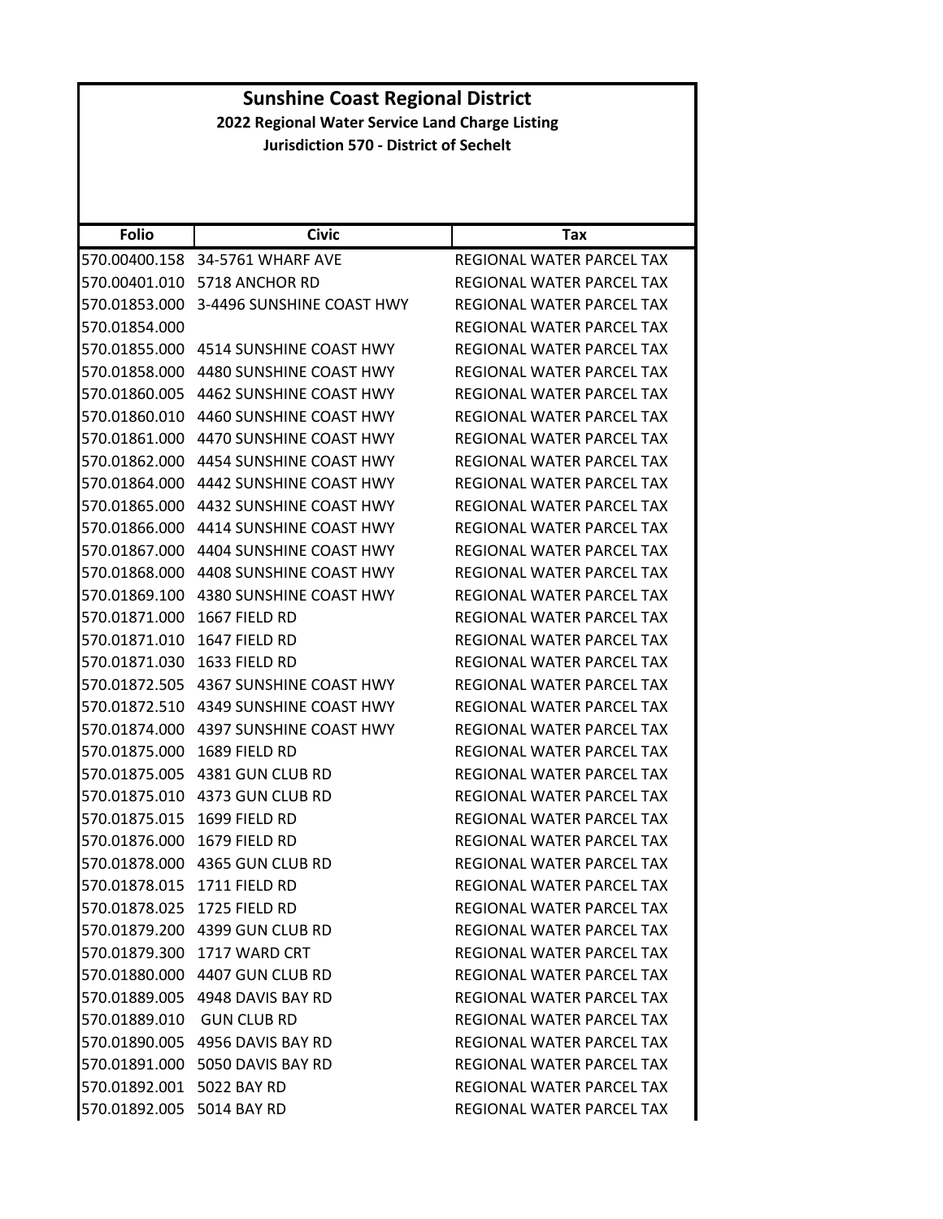|                                                 | <b>Sunshine Coast Regional District</b>  |                                  |  |
|-------------------------------------------------|------------------------------------------|----------------------------------|--|
| 2022 Regional Water Service Land Charge Listing |                                          |                                  |  |
| <b>Jurisdiction 570 - District of Sechelt</b>   |                                          |                                  |  |
|                                                 |                                          |                                  |  |
|                                                 |                                          |                                  |  |
| <b>Folio</b>                                    | <b>Civic</b>                             | Tax                              |  |
|                                                 | 570.00400.158 34-5761 WHARF AVE          | REGIONAL WATER PARCEL TAX        |  |
|                                                 | 570.00401.010 5718 ANCHOR RD             | REGIONAL WATER PARCEL TAX        |  |
|                                                 | 570.01853.000 3-4496 SUNSHINE COAST HWY  | REGIONAL WATER PARCEL TAX        |  |
| 570.01854.000                                   |                                          | REGIONAL WATER PARCEL TAX        |  |
| 570.01855.000                                   | 4514 SUNSHINE COAST HWY                  | REGIONAL WATER PARCEL TAX        |  |
|                                                 | 570.01858.000    4480 SUNSHINE COAST HWY | REGIONAL WATER PARCEL TAX        |  |
|                                                 | 570.01860.005 4462 SUNSHINE COAST HWY    | REGIONAL WATER PARCEL TAX        |  |
|                                                 | 570.01860.010 4460 SUNSHINE COAST HWY    | REGIONAL WATER PARCEL TAX        |  |
| 570.01861.000                                   | 4470 SUNSHINE COAST HWY                  | REGIONAL WATER PARCEL TAX        |  |
|                                                 | 570.01862.000 4454 SUNSHINE COAST HWY    | REGIONAL WATER PARCEL TAX        |  |
|                                                 | 570.01864.000   4442 SUNSHINE COAST HWY  | REGIONAL WATER PARCEL TAX        |  |
|                                                 | 570.01865.000 4432 SUNSHINE COAST HWY    | <b>REGIONAL WATER PARCEL TAX</b> |  |
|                                                 | 570.01866.000 4414 SUNSHINE COAST HWY    | REGIONAL WATER PARCEL TAX        |  |
| 570.01867.000                                   | 4404 SUNSHINE COAST HWY                  | REGIONAL WATER PARCEL TAX        |  |
|                                                 | 570.01868.000 4408 SUNSHINE COAST HWY    | REGIONAL WATER PARCEL TAX        |  |
| 570.01869.100                                   | 4380 SUNSHINE COAST HWY                  | REGIONAL WATER PARCEL TAX        |  |
| 570.01871.000                                   | 1667 FIELD RD                            | REGIONAL WATER PARCEL TAX        |  |
| 570.01871.010                                   | 1647 FIELD RD                            | REGIONAL WATER PARCEL TAX        |  |
| 570.01871.030                                   | 1633 FIELD RD                            | REGIONAL WATER PARCEL TAX        |  |
|                                                 | 570.01872.505 4367 SUNSHINE COAST HWY    | REGIONAL WATER PARCEL TAX        |  |
|                                                 | 570.01872.510 4349 SUNSHINE COAST HWY    | REGIONAL WATER PARCEL TAX        |  |
|                                                 | 570.01874.000 4397 SUNSHINE COAST HWY    | REGIONAL WATER PARCEL TAX        |  |
| 570.01875.000                                   | 1689 FIELD RD                            | <b>REGIONAL WATER PARCEL TAX</b> |  |
|                                                 | 570.01875.005 4381 GUN CLUB RD           | REGIONAL WATER PARCEL TAX        |  |
|                                                 | 570.01875.010 4373 GUN CLUB RD           | REGIONAL WATER PARCEL TAX        |  |
| 570.01875.015 1699 FIELD RD                     |                                          | REGIONAL WATER PARCEL TAX        |  |
| 570.01876.000 1679 FIELD RD                     |                                          | REGIONAL WATER PARCEL TAX        |  |
|                                                 |                                          | REGIONAL WATER PARCEL TAX        |  |
| 570.01878.015 1711 FIELD RD                     |                                          | REGIONAL WATER PARCEL TAX        |  |
| 570.01878.025 1725 FIELD RD                     |                                          | REGIONAL WATER PARCEL TAX        |  |
|                                                 | 570.01879.200 4399 GUN CLUB RD           | <b>REGIONAL WATER PARCEL TAX</b> |  |
|                                                 | 570.01879.300 1717 WARD CRT              | REGIONAL WATER PARCEL TAX        |  |
|                                                 | 570.01880.000 4407 GUN CLUB RD           | REGIONAL WATER PARCEL TAX        |  |
|                                                 | 570.01889.005 4948 DAVIS BAY RD          | REGIONAL WATER PARCEL TAX        |  |
| 570.01889.010 GUN CLUB RD                       |                                          | REGIONAL WATER PARCEL TAX        |  |
|                                                 | 570.01890.005 4956 DAVIS BAY RD          | REGIONAL WATER PARCEL TAX        |  |
|                                                 | 570.01891.000 5050 DAVIS BAY RD          | REGIONAL WATER PARCEL TAX        |  |
| 570.01892.001 5022 BAY RD                       |                                          | REGIONAL WATER PARCEL TAX        |  |
| 570.01892.005 5014 BAY RD                       |                                          | REGIONAL WATER PARCEL TAX        |  |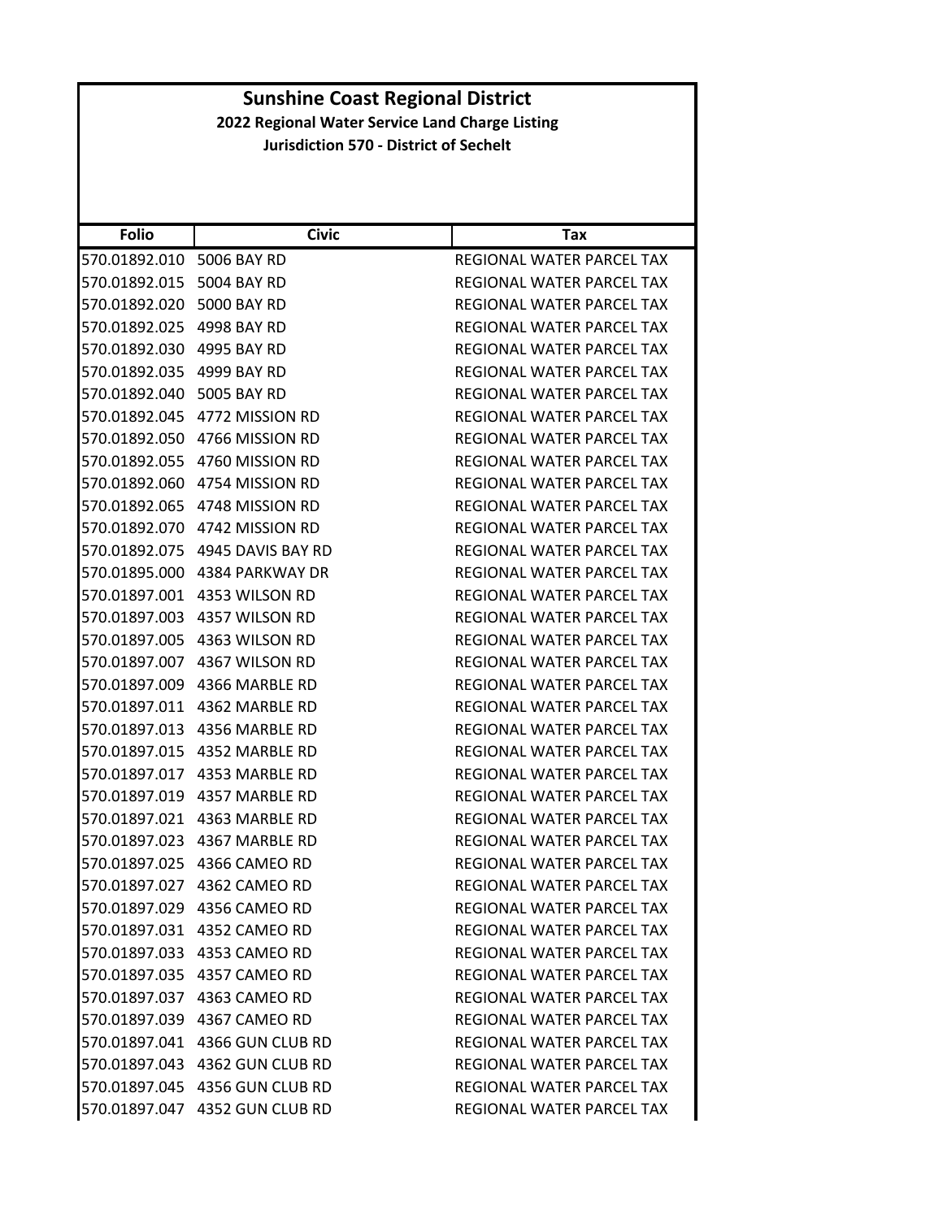| <b>Folio</b>              | <b>Civic</b>                          | Tax                              |
|---------------------------|---------------------------------------|----------------------------------|
| 570.01892.010             | 5006 BAY RD                           | REGIONAL WATER PARCEL TAX        |
| 570.01892.015             | 5004 BAY RD                           | REGIONAL WATER PARCEL TAX        |
| 570.01892.020 5000 BAY RD |                                       | <b>REGIONAL WATER PARCEL TAX</b> |
| 570.01892.025             | 4998 BAY RD                           | REGIONAL WATER PARCEL TAX        |
| 570.01892.030 4995 BAY RD |                                       | REGIONAL WATER PARCEL TAX        |
| 570.01892.035             | 4999 BAY RD                           | <b>REGIONAL WATER PARCEL TAX</b> |
| 570.01892.040             | 5005 BAY RD                           | <b>REGIONAL WATER PARCEL TAX</b> |
|                           | 570.01892.045   4772   MISSION RD     | <b>REGIONAL WATER PARCEL TAX</b> |
|                           | 570.01892.050    4766 MISSION RD      | REGIONAL WATER PARCEL TAX        |
|                           | 570.01892.055 4760 MISSION RD         | REGIONAL WATER PARCEL TAX        |
| 570.01892.060             | 4754 MISSION RD                       | REGIONAL WATER PARCEL TAX        |
|                           | 570.01892.065 4748 MISSION RD         | <b>REGIONAL WATER PARCEL TAX</b> |
|                           | 570.01892.070    4742    MISSION RD   | REGIONAL WATER PARCEL TAX        |
|                           | 570.01892.075    4945    DAVIS BAY RD | REGIONAL WATER PARCEL TAX        |
|                           | 570.01895.000 4384 PARKWAY DR         | REGIONAL WATER PARCEL TAX        |
| 570.01897.001             | 4353 WILSON RD                        | REGIONAL WATER PARCEL TAX        |
|                           | 570.01897.003 4357 WILSON RD          | REGIONAL WATER PARCEL TAX        |
|                           | 570.01897.005 4363 WILSON RD          | REGIONAL WATER PARCEL TAX        |
|                           | 570.01897.007 4367 WILSON RD          | REGIONAL WATER PARCEL TAX        |
| 570.01897.009             | 4366 MARBLE RD                        | REGIONAL WATER PARCEL TAX        |
| 570.01897.011             | 4362 MARBLE RD                        | REGIONAL WATER PARCEL TAX        |
|                           |                                       | REGIONAL WATER PARCEL TAX        |
| 570.01897.015             | 4352 MARBLE RD                        | REGIONAL WATER PARCEL TAX        |
|                           | 570.01897.017 4353 MARBLE RD          | REGIONAL WATER PARCEL TAX        |
| 570.01897.019             | 4357 MARBLE RD                        | REGIONAL WATER PARCEL TAX        |
| 570.01897.021             | 4363 MARBLE RD                        | REGIONAL WATER PARCEL TAX        |
|                           | 570.01897.023    4367 MARBLE RD       | REGIONAL WATER PARCEL TAX        |
| 570.01897.025             | 4366 CAMEO RD                         | REGIONAL WATER PARCEL TAX        |
|                           | 570.01897.027 4362 CAMEO RD           | <b>REGIONAL WATER PARCEL TAX</b> |
|                           | 570.01897.029 4356 CAMEO RD           | REGIONAL WATER PARCEL TAX        |
|                           | 570.01897.031 4352 CAMEO RD           | REGIONAL WATER PARCEL TAX        |
|                           |                                       | REGIONAL WATER PARCEL TAX        |
|                           | 570.01897.035 4357 CAMEO RD           | REGIONAL WATER PARCEL TAX        |
|                           | 570.01897.037 4363 CAMEO RD           | REGIONAL WATER PARCEL TAX        |
|                           | 570.01897.039 4367 CAMEO RD           | REGIONAL WATER PARCEL TAX        |
|                           | 570.01897.041 4366 GUN CLUB RD        | REGIONAL WATER PARCEL TAX        |
|                           | 570.01897.043 4362 GUN CLUB RD        | REGIONAL WATER PARCEL TAX        |
|                           | 570.01897.045 4356 GUN CLUB RD        | REGIONAL WATER PARCEL TAX        |
|                           | 570.01897.047 4352 GUN CLUB RD        | REGIONAL WATER PARCEL TAX        |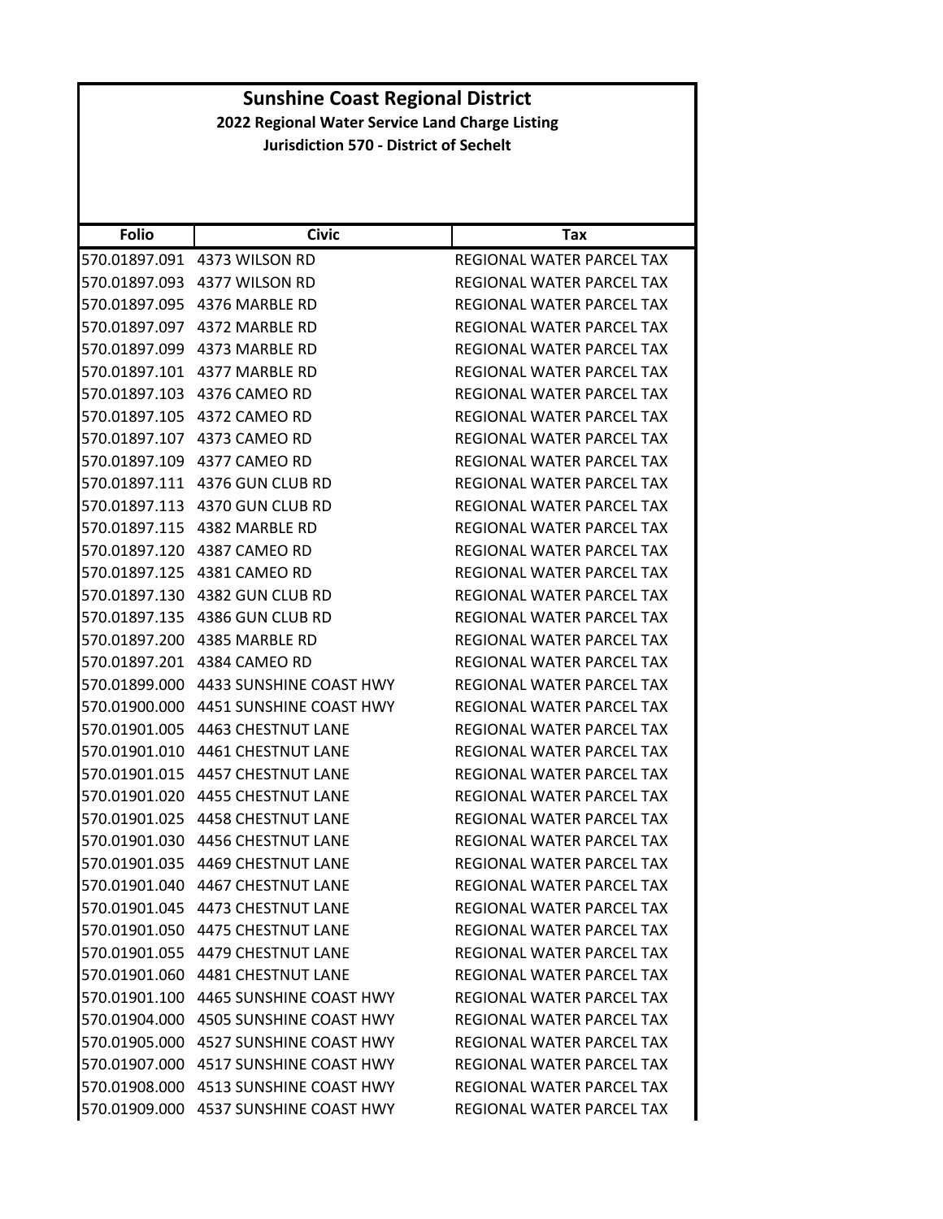| <b>Folio</b>  | <b>Civic</b>                          | Tax                              |
|---------------|---------------------------------------|----------------------------------|
| 570.01897.091 | 4373 WILSON RD                        | REGIONAL WATER PARCEL TAX        |
| 570.01897.093 | 4377 WILSON RD                        | REGIONAL WATER PARCEL TAX        |
| 570.01897.095 | 4376 MARBLE RD                        | REGIONAL WATER PARCEL TAX        |
| 570.01897.097 | 4372 MARBLE RD                        | REGIONAL WATER PARCEL TAX        |
|               | 570.01897.099 4373 MARBLE RD          | REGIONAL WATER PARCEL TAX        |
| 570.01897.101 | 4377 MARBLE RD                        | <b>REGIONAL WATER PARCEL TAX</b> |
| 570.01897.103 | 4376 CAMEO RD                         | <b>REGIONAL WATER PARCEL TAX</b> |
| 570.01897.105 | 4372 CAMEO RD                         | <b>REGIONAL WATER PARCEL TAX</b> |
|               | 570.01897.107 4373 CAMEO RD           | REGIONAL WATER PARCEL TAX        |
| 570.01897.109 | 4377 CAMEO RD                         | REGIONAL WATER PARCEL TAX        |
| 570.01897.111 | 4376 GUN CLUB RD                      | REGIONAL WATER PARCEL TAX        |
| 570.01897.113 | 4370 GUN CLUB RD                      | REGIONAL WATER PARCEL TAX        |
| 570.01897.115 | 4382 MARBLE RD                        | REGIONAL WATER PARCEL TAX        |
| 570.01897.120 | 4387 CAMEO RD                         | REGIONAL WATER PARCEL TAX        |
| 570.01897.125 | 4381 CAMEO RD                         | REGIONAL WATER PARCEL TAX        |
| 570.01897.130 | 4382 GUN CLUB RD                      | REGIONAL WATER PARCEL TAX        |
| 570.01897.135 | 4386 GUN CLUB RD                      | REGIONAL WATER PARCEL TAX        |
| 570.01897.200 | 4385 MARBLE RD                        | <b>REGIONAL WATER PARCEL TAX</b> |
| 570.01897.201 | 4384 CAMEO RD                         | REGIONAL WATER PARCEL TAX        |
| 570.01899.000 | 4433 SUNSHINE COAST HWY               | REGIONAL WATER PARCEL TAX        |
| 570.01900.000 | 4451 SUNSHINE COAST HWY               | REGIONAL WATER PARCEL TAX        |
| 570.01901.005 | 4463 CHESTNUT LANE                    | REGIONAL WATER PARCEL TAX        |
| 570.01901.010 | 4461 CHESTNUT LANE                    | REGIONAL WATER PARCEL TAX        |
| 570.01901.015 | 4457 CHESTNUT LANE                    | REGIONAL WATER PARCEL TAX        |
| 570.01901.020 | <b>4455 CHESTNUT LANE</b>             | REGIONAL WATER PARCEL TAX        |
| 570.01901.025 | <b>4458 CHESTNUT LANE</b>             | REGIONAL WATER PARCEL TAX        |
| 570.01901.030 | <b>4456 CHESTNUT LANE</b>             | REGIONAL WATER PARCEL TAX        |
| 570.01901.035 | 4469 CHESTNUT LANE                    | REGIONAL WATER PARCEL TAX        |
| 570.01901.040 | 4467 CHESTNUT LANE                    | REGIONAL WATER PARCEL TAX        |
| 570.01901.045 | 4473 CHESTNUT LANE                    | REGIONAL WATER PARCEL TAX        |
|               | 570.01901.050 4475 CHESTNUT LANE      | REGIONAL WATER PARCEL TAX        |
|               | 570.01901.055 4479 CHESTNUT LANE      | <b>REGIONAL WATER PARCEL TAX</b> |
| 570.01901.060 | <b>4481 CHESTNUT LANE</b>             | REGIONAL WATER PARCEL TAX        |
|               | 570.01901.100 4465 SUNSHINE COAST HWY | REGIONAL WATER PARCEL TAX        |
|               | 570.01904.000 4505 SUNSHINE COAST HWY | REGIONAL WATER PARCEL TAX        |
|               | 570.01905.000 4527 SUNSHINE COAST HWY | REGIONAL WATER PARCEL TAX        |
| 570.01907.000 | <b>4517 SUNSHINE COAST HWY</b>        | <b>REGIONAL WATER PARCEL TAX</b> |
| 570.01908.000 | 4513 SUNSHINE COAST HWY               | <b>REGIONAL WATER PARCEL TAX</b> |
| 570.01909.000 | 4537 SUNSHINE COAST HWY               | REGIONAL WATER PARCEL TAX        |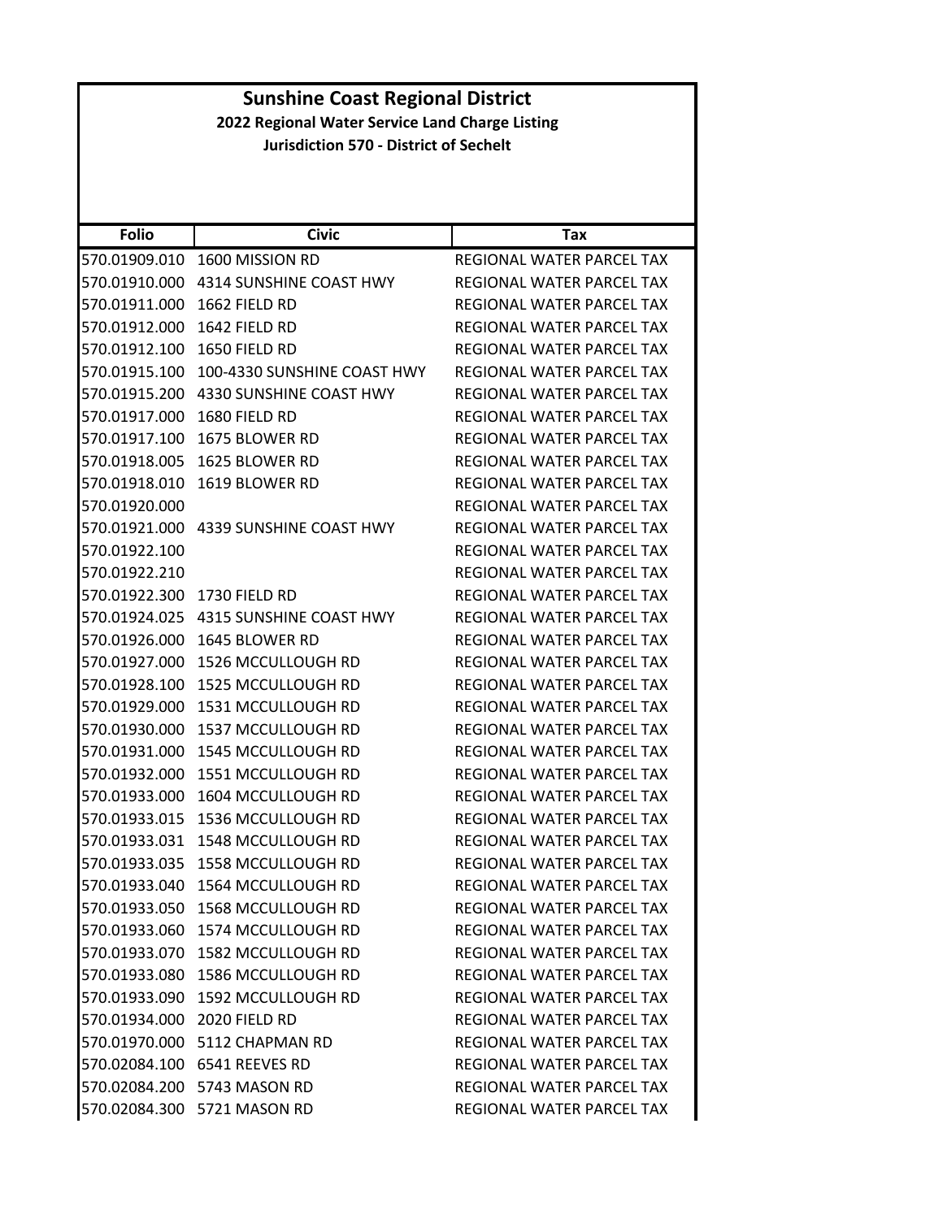|                                                 | <b>Sunshine Coast Regional District</b>       |                                  |  |
|-------------------------------------------------|-----------------------------------------------|----------------------------------|--|
| 2022 Regional Water Service Land Charge Listing |                                               |                                  |  |
|                                                 | <b>Jurisdiction 570 - District of Sechelt</b> |                                  |  |
|                                                 |                                               |                                  |  |
|                                                 |                                               |                                  |  |
| <b>Folio</b>                                    | <b>Civic</b>                                  | Tax                              |  |
|                                                 | 570.01909.010 1600 MISSION RD                 | REGIONAL WATER PARCEL TAX        |  |
|                                                 | 570.01910.000 4314 SUNSHINE COAST HWY         | REGIONAL WATER PARCEL TAX        |  |
| 570.01911.000                                   | 1662 FIELD RD                                 | REGIONAL WATER PARCEL TAX        |  |
| 570.01912.000                                   | 1642 FIELD RD                                 | REGIONAL WATER PARCEL TAX        |  |
| 570.01912.100 1650 FIELD RD                     |                                               | REGIONAL WATER PARCEL TAX        |  |
| 570.01915.100                                   | 100-4330 SUNSHINE COAST HWY                   | REGIONAL WATER PARCEL TAX        |  |
|                                                 | 570.01915.200 4330 SUNSHINE COAST HWY         | REGIONAL WATER PARCEL TAX        |  |
| 570.01917.000                                   | 1680 FIELD RD                                 | REGIONAL WATER PARCEL TAX        |  |
| 570.01917.100                                   | 1675 BLOWER RD                                | <b>REGIONAL WATER PARCEL TAX</b> |  |
|                                                 | 570.01918.005 1625 BLOWER RD                  | REGIONAL WATER PARCEL TAX        |  |
| 570.01918.010                                   | 1619 BLOWER RD                                | REGIONAL WATER PARCEL TAX        |  |
| 570.01920.000                                   |                                               | REGIONAL WATER PARCEL TAX        |  |
| 570.01921.000                                   | 4339 SUNSHINE COAST HWY                       | REGIONAL WATER PARCEL TAX        |  |
| 570.01922.100                                   |                                               | REGIONAL WATER PARCEL TAX        |  |
| 570.01922.210                                   |                                               | REGIONAL WATER PARCEL TAX        |  |
| 570.01922.300 1730 FIELD RD                     |                                               | REGIONAL WATER PARCEL TAX        |  |
|                                                 | 570.01924.025 4315 SUNSHINE COAST HWY         | REGIONAL WATER PARCEL TAX        |  |
| 570.01926.000                                   | 1645 BLOWER RD                                | REGIONAL WATER PARCEL TAX        |  |
|                                                 | 570.01927.000 1526 MCCULLOUGH RD              | REGIONAL WATER PARCEL TAX        |  |
| 570.01928.100                                   | 1525 MCCULLOUGH RD                            | REGIONAL WATER PARCEL TAX        |  |
|                                                 | 570.01929.000 1531 MCCULLOUGH RD              | <b>REGIONAL WATER PARCEL TAX</b> |  |
|                                                 | 570.01930.000 1537 MCCULLOUGH RD              | REGIONAL WATER PARCEL TAX        |  |
|                                                 | 570.01931.000 1545 MCCULLOUGH RD              | REGIONAL WATER PARCEL TAX        |  |
|                                                 | 570.01932.000 1551 MCCULLOUGH RD              | REGIONAL WATER PARCEL TAX        |  |
| 570.01933.000                                   | 1604 MCCULLOUGH RD                            | REGIONAL WATER PARCEL TAX        |  |
|                                                 | 570.01933.015 1536 MCCULLOUGH RD              | REGIONAL WATER PARCEL TAX        |  |
| 570.01933.031                                   | 1548 MCCULLOUGH RD                            | REGIONAL WATER PARCEL TAX        |  |
|                                                 | 570.01933.035 1558 MCCULLOUGH RD              | REGIONAL WATER PARCEL TAX        |  |
|                                                 | 570.01933.040 1564 MCCULLOUGH RD              | REGIONAL WATER PARCEL TAX        |  |
| 570.01933.050                                   | 1568 MCCULLOUGH RD                            | REGIONAL WATER PARCEL TAX        |  |
|                                                 | 570.01933.060 1574 MCCULLOUGH RD              | REGIONAL WATER PARCEL TAX        |  |
|                                                 | 570.01933.070 1582 MCCULLOUGH RD              | <b>REGIONAL WATER PARCEL TAX</b> |  |
|                                                 | 570.01933.080 1586 MCCULLOUGH RD              | REGIONAL WATER PARCEL TAX        |  |
|                                                 | 570.01933.090 1592 MCCULLOUGH RD              | REGIONAL WATER PARCEL TAX        |  |
| 570.01934.000                                   | 2020 FIELD RD                                 | REGIONAL WATER PARCEL TAX        |  |
|                                                 | 570.01970.000 5112 CHAPMAN RD                 | REGIONAL WATER PARCEL TAX        |  |
|                                                 | 570.02084.100 6541 REEVES RD                  | REGIONAL WATER PARCEL TAX        |  |
|                                                 | 570.02084.200 5743 MASON RD                   | REGIONAL WATER PARCEL TAX        |  |
|                                                 | 570.02084.300 5721 MASON RD                   | REGIONAL WATER PARCEL TAX        |  |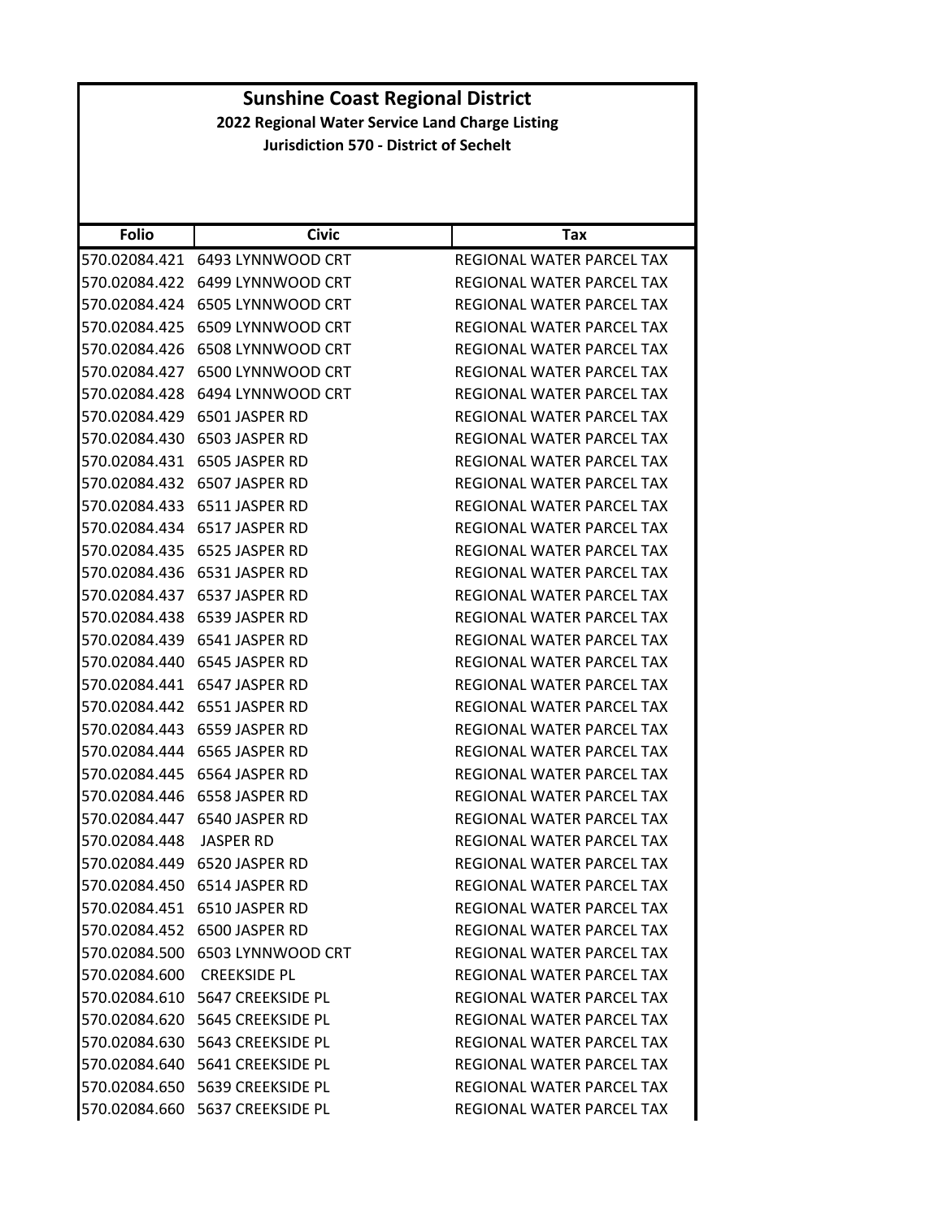### **Folio Civic Tax Sunshine Coast Regional District 2022 Regional Water Service Land Charge Listing Jurisdiction 570 ‐ District of Sechelt** 570.02084.421 6493 LYNNWOOD CRT REGIONAL WATER PARCEL TAX 570.02084.422 6499 LYNNWOOD CRT REGIONAL WATER PARCEL TAX 570.02084.424 6505 LYNNWOOD CRT REGIONAL WATER PARCEL TAX 570.02084.425 6509 LYNNWOOD CRT REGIONAL WATER PARCEL TAX 570.02084.426 6508 LYNNWOOD CRT REGIONAL WATER PARCEL TAX 570.02084.427 6500 LYNNWOOD CRT REGIONAL WATER PARCEL TAX 570.02084.428 6494 LYNNWOOD CRT REGIONAL WATER PARCEL TAX 570.02084.429 6501 JASPER RD REGIONAL WATER PARCEL TAX 570.02084.430 6503 JASPER RD REGIONAL WATER PARCEL TAX 570.02084.431 6505 JASPER RD REGIONAL WATER PARCEL TAX 570.02084.432 6507 JASPER RD REGIONAL WATER PARCEL TAX 570.02084.433 6511 JASPER RD REGIONAL WATER PARCEL TAX 570.02084.434 6517 JASPER RD REGIONAL WATER PARCEL TAX 570.02084.435 6525 JASPER RD REGIONAL WATER PARCEL TAX 570.02084.436 6531 JASPER RD REGIONAL WATER PARCEL TAX 570.02084.437 6537 JASPER RD REGIONAL WATER PARCEL TAX 570.02084.438 6539 JASPER RD REGIONAL WATER PARCEL TAX 570.02084.439 6541 JASPER RD REGIONAL WATER PARCEL TAX 570.02084.440 6545 JASPER RD REGIONAL WATER PARCEL TAX 570.02084.441 6547 JASPER RD REGIONAL WATER PARCEL TAX 570.02084.442 6551 JASPER RD REGIONAL WATER PARCEL TAX 570.02084.443 6559 JASPER RD REGIONAL WATER PARCEL TAX 570.02084.444 6565 JASPER RD REGIONAL WATER PARCEL TAX 570.02084.445 6564 JASPER RD REGIONAL WATER PARCEL TAX 570.02084.446 6558 JASPER RD REGIONAL WATER PARCEL TAX 570.02084.447 6540 JASPER RD REGIONAL WATER PARCEL TAX 570.02084.448 JASPER RD REGIONAL WATER PARCEL TAX 570.02084.449 6520 JASPER RD REGIONAL WATER PARCEL TAX 570.02084.450 6514 JASPER RD REGIONAL WATER PARCEL TAX 570.02084.451 6510 JASPER RD REGIONAL WATER PARCEL TAX 570.02084.452 6500 JASPER RD REGIONAL WATER PARCEL TAX 570.02084.500 6503 LYNNWOOD CRT REGIONAL WATER PARCEL TAX 570.02084.600 CREEKSIDE PL REGIONAL WATER PARCEL TAX 570.02084.610 5647 CREEKSIDE PL REGIONAL WATER PARCEL TAX 570.02084.620 5645 CREEKSIDE PL REGIONAL WATER PARCEL TAX 570.02084.630 5643 CREEKSIDE PL REGIONAL WATER PARCEL TAX 570.02084.640 5641 CREEKSIDE PL REGIONAL WATER PARCEL TAX 570.02084.650 5639 CREEKSIDE PL REGIONAL WATER PARCEL TAX 570.02084.660 5637 CREEKSIDE PL REGIONAL WATER PARCEL TAX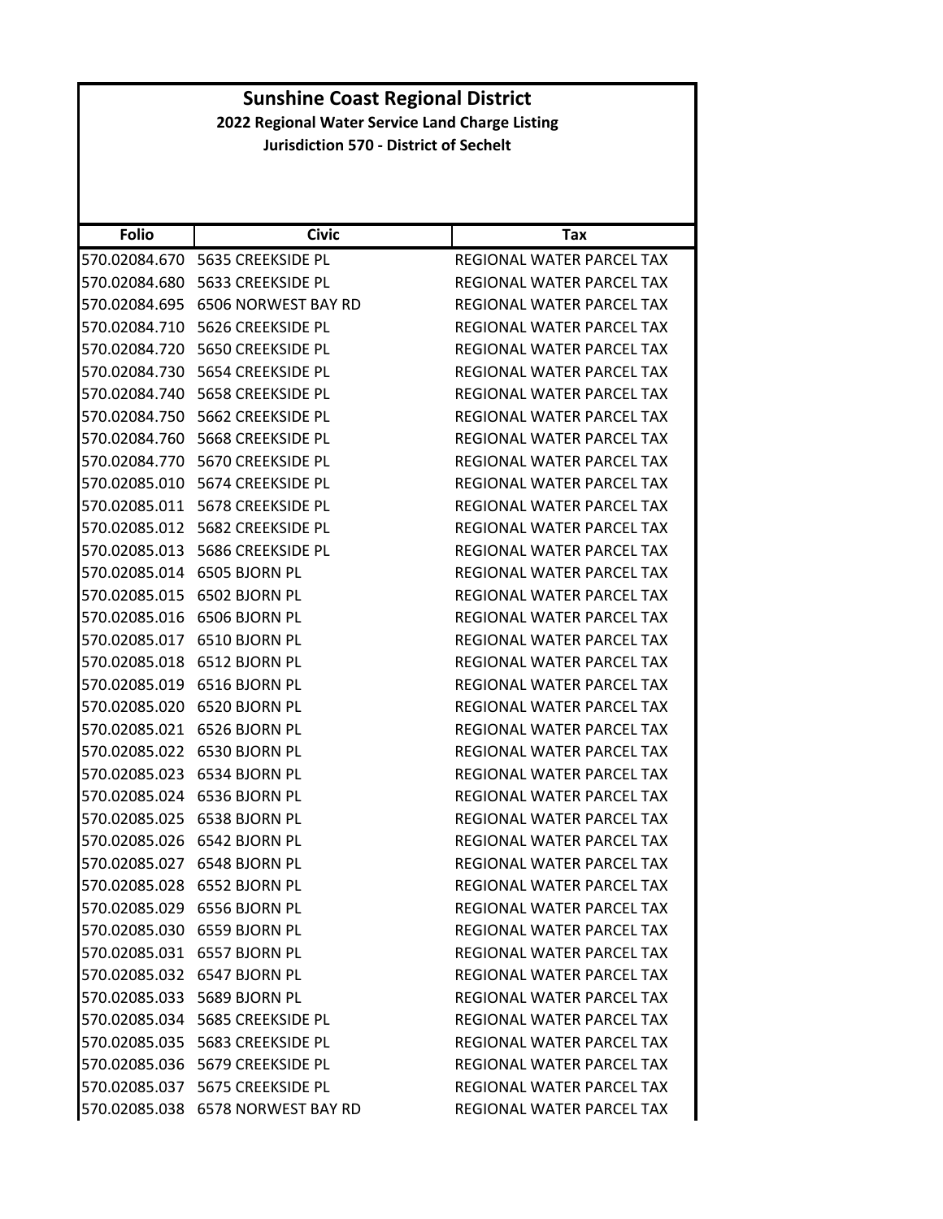| <b>Folio</b>  | <b>Civic</b>                       | Tax                              |
|---------------|------------------------------------|----------------------------------|
| 570.02084.670 | 5635 CREEKSIDE PL                  | REGIONAL WATER PARCEL TAX        |
| 570.02084.680 | 5633 CREEKSIDE PL                  | REGIONAL WATER PARCEL TAX        |
| 570.02084.695 | 6506 NORWEST BAY RD                | REGIONAL WATER PARCEL TAX        |
|               | 570.02084.710 5626 CREEKSIDE PL    | REGIONAL WATER PARCEL TAX        |
| 570.02084.720 | 5650 CREEKSIDE PL                  | REGIONAL WATER PARCEL TAX        |
| 570.02084.730 | 5654 CREEKSIDE PL                  | REGIONAL WATER PARCEL TAX        |
|               |                                    | REGIONAL WATER PARCEL TAX        |
|               |                                    | REGIONAL WATER PARCEL TAX        |
|               | 570.02084.760    5668 CREEKSIDE PL | REGIONAL WATER PARCEL TAX        |
| 570.02084.770 | 5670 CREEKSIDE PL                  | REGIONAL WATER PARCEL TAX        |
|               | 570.02085.010 5674 CREEKSIDE PL    | REGIONAL WATER PARCEL TAX        |
|               |                                    | REGIONAL WATER PARCEL TAX        |
|               |                                    | REGIONAL WATER PARCEL TAX        |
|               |                                    | REGIONAL WATER PARCEL TAX        |
| 570.02085.014 | 6505 BJORN PL                      | REGIONAL WATER PARCEL TAX        |
|               | 570.02085.015 6502 BJORN PL        | REGIONAL WATER PARCEL TAX        |
| 570.02085.016 | 6506 BJORN PL                      | REGIONAL WATER PARCEL TAX        |
| 570.02085.017 | 6510 BJORN PL                      | REGIONAL WATER PARCEL TAX        |
|               | 570.02085.018 6512 BJORN PL        | REGIONAL WATER PARCEL TAX        |
| 570.02085.019 | 6516 BJORN PL                      | REGIONAL WATER PARCEL TAX        |
|               | 570.02085.020 6520 BJORN PL        | REGIONAL WATER PARCEL TAX        |
| 570.02085.021 | 6526 BJORN PL                      | REGIONAL WATER PARCEL TAX        |
| 570.02085.022 | 6530 BJORN PL                      | REGIONAL WATER PARCEL TAX        |
| 570.02085.023 | 6534 BJORN PL                      | REGIONAL WATER PARCEL TAX        |
| 570.02085.024 | 6536 BJORN PL                      | REGIONAL WATER PARCEL TAX        |
| 570.02085.025 | 6538 BJORN PL                      | REGIONAL WATER PARCEL TAX        |
| 570.02085.026 | 6542 BJORN PL                      | <b>REGIONAL WATER PARCEL TAX</b> |
|               | 570.02085.027 6548 BJORN PL        | REGIONAL WATER PARCEL TAX        |
| 570.02085.028 | 6552 BJORN PL                      | REGIONAL WATER PARCEL TAX        |
|               | 570.02085.029 6556 BJORN PL        | REGIONAL WATER PARCEL TAX        |
|               | 570.02085.030 6559 BJORN PL        | REGIONAL WATER PARCEL TAX        |
|               | 570.02085.031    6557    BJORN PL  | REGIONAL WATER PARCEL TAX        |
|               | 570.02085.032 6547 BJORN PL        | REGIONAL WATER PARCEL TAX        |
|               | 570.02085.033 5689 BJORN PL        | REGIONAL WATER PARCEL TAX        |
|               | 570.02085.034    5685 CREEKSIDE PL | REGIONAL WATER PARCEL TAX        |
|               | 570.02085.035    5683 CREEKSIDE PL | REGIONAL WATER PARCEL TAX        |
|               | 570.02085.036    5679 CREEKSIDE PL | REGIONAL WATER PARCEL TAX        |
|               | 570.02085.037    5675 CREEKSIDE PL | REGIONAL WATER PARCEL TAX        |
|               | 570.02085.038 6578 NORWEST BAY RD  | REGIONAL WATER PARCEL TAX        |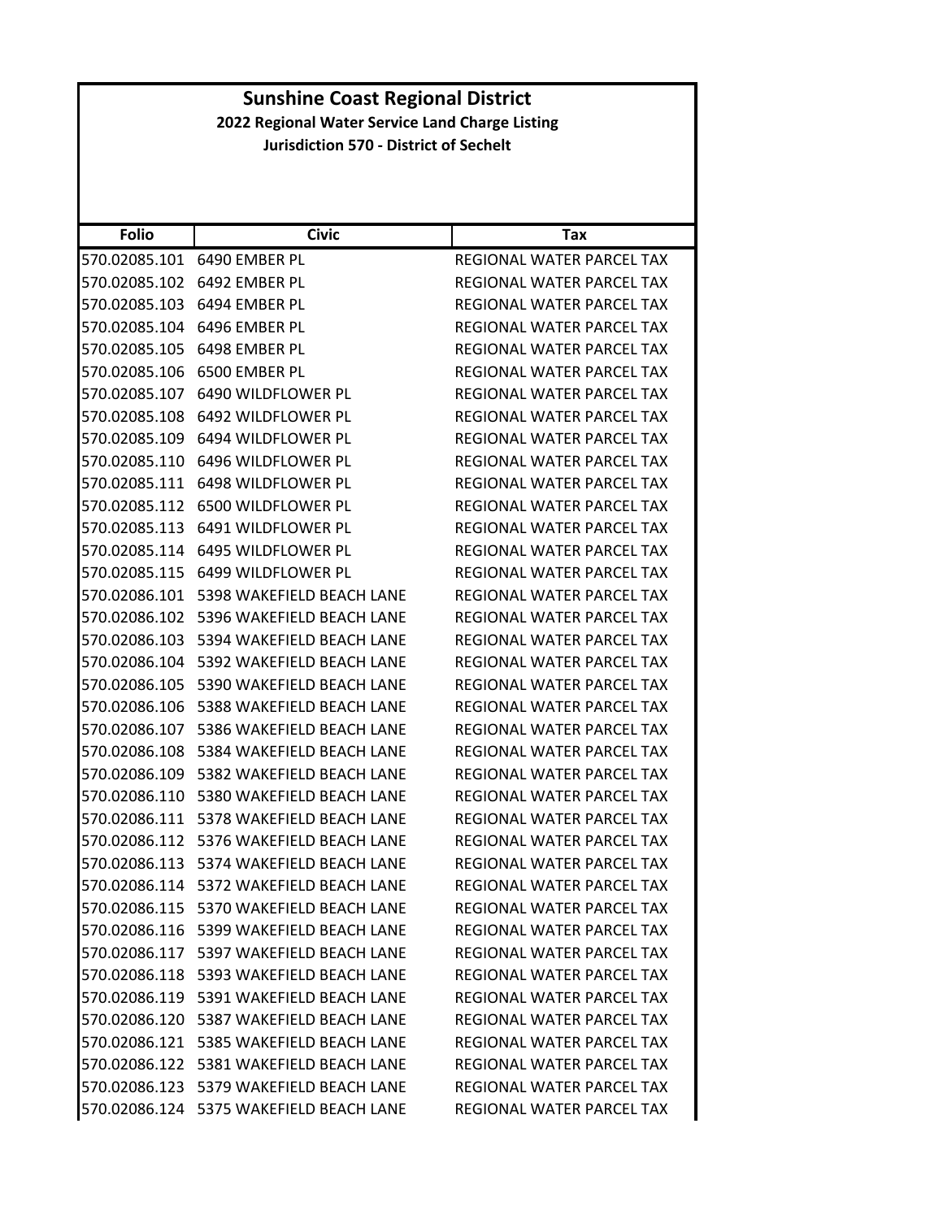|                                                 | <b>Sunshine Coast Regional District</b>       |                                  |  |  |
|-------------------------------------------------|-----------------------------------------------|----------------------------------|--|--|
| 2022 Regional Water Service Land Charge Listing |                                               |                                  |  |  |
|                                                 | <b>Jurisdiction 570 - District of Sechelt</b> |                                  |  |  |
|                                                 |                                               |                                  |  |  |
|                                                 |                                               |                                  |  |  |
|                                                 |                                               |                                  |  |  |
| <b>Folio</b>                                    | <b>Civic</b>                                  | Tax                              |  |  |
|                                                 | 570.02085.101 6490 EMBER PL                   | REGIONAL WATER PARCEL TAX        |  |  |
| 570.02085.102                                   | 6492 EMBER PL                                 | REGIONAL WATER PARCEL TAX        |  |  |
| 570.02085.103                                   | 6494 EMBER PL                                 | REGIONAL WATER PARCEL TAX        |  |  |
| 570.02085.104                                   | 6496 EMBER PL                                 | REGIONAL WATER PARCEL TAX        |  |  |
| 570.02085.105                                   | 6498 EMBER PL                                 | REGIONAL WATER PARCEL TAX        |  |  |
| 570.02085.106                                   | 6500 EMBER PL                                 | REGIONAL WATER PARCEL TAX        |  |  |
| 570.02085.107                                   | 6490 WILDFLOWER PL                            | REGIONAL WATER PARCEL TAX        |  |  |
| 570.02085.108                                   | 6492 WILDFLOWER PL                            | REGIONAL WATER PARCEL TAX        |  |  |
| 570.02085.109                                   | 6494 WILDFLOWER PL                            | REGIONAL WATER PARCEL TAX        |  |  |
| 570.02085.110                                   | 6496 WILDFLOWER PL                            | REGIONAL WATER PARCEL TAX        |  |  |
| 570.02085.111                                   | 6498 WILDFLOWER PL                            | REGIONAL WATER PARCEL TAX        |  |  |
| 570.02085.112                                   | 6500 WILDFLOWER PL                            | REGIONAL WATER PARCEL TAX        |  |  |
| 570.02085.113                                   | 6491 WILDFLOWER PL                            | <b>REGIONAL WATER PARCEL TAX</b> |  |  |
| 570.02085.114                                   | 6495 WILDFLOWER PL                            | REGIONAL WATER PARCEL TAX        |  |  |
| 570.02085.115                                   | 6499 WILDFLOWER PL                            | REGIONAL WATER PARCEL TAX        |  |  |
| 570.02086.101                                   | 5398 WAKEFIELD BEACH LANE                     | REGIONAL WATER PARCEL TAX        |  |  |
| 570.02086.102                                   | 5396 WAKEFIELD BEACH LANE                     | REGIONAL WATER PARCEL TAX        |  |  |
| 570.02086.103                                   | 5394 WAKEFIELD BEACH LANE                     | REGIONAL WATER PARCEL TAX        |  |  |
| 570.02086.104                                   | 5392 WAKEFIELD BEACH LANE                     | REGIONAL WATER PARCEL TAX        |  |  |
| 570.02086.105                                   | 5390 WAKEFIELD BEACH LANE                     | REGIONAL WATER PARCEL TAX        |  |  |
| 570.02086.106                                   | 5388 WAKEFIELD BEACH LANE                     | <b>REGIONAL WATER PARCEL TAX</b> |  |  |
|                                                 | 570.02086.107    5386 WAKEFIELD BEACH LANE    | <b>REGIONAL WATER PARCEL TAX</b> |  |  |
| 570.02086.108                                   | 5384 WAKEFIELD BEACH LANE                     | REGIONAL WATER PARCEL TAX        |  |  |
| 570.02086.109                                   | 5382 WAKEFIELD BEACH LANE                     | REGIONAL WATER PARCEL TAX        |  |  |
|                                                 | 570.02086.110 5380 WAKEFIELD BEACH LANE       | REGIONAL WATER PARCEL TAX        |  |  |
|                                                 | 570.02086.111    5378 WAKEFIELD BEACH LANE    | <b>REGIONAL WATER PARCEL TAX</b> |  |  |
|                                                 | 570.02086.112 5376 WAKEFIELD BEACH LANE       | REGIONAL WATER PARCEL TAX        |  |  |
|                                                 | 570.02086.113    5374 WAKEFIELD BEACH LANE    | REGIONAL WATER PARCEL TAX        |  |  |
|                                                 | 570.02086.114 5372 WAKEFIELD BEACH LANE       | REGIONAL WATER PARCEL TAX        |  |  |
|                                                 | 570.02086.115 5370 WAKEFIELD BEACH LANE       | REGIONAL WATER PARCEL TAX        |  |  |
|                                                 | 570.02086.116    5399 WAKEFIELD BEACH LANE    | REGIONAL WATER PARCEL TAX        |  |  |
|                                                 | 570.02086.117    5397 WAKEFIELD BEACH LANE    | REGIONAL WATER PARCEL TAX        |  |  |
|                                                 | 570.02086.118    5393 WAKEFIELD BEACH LANE    | REGIONAL WATER PARCEL TAX        |  |  |
|                                                 | 570.02086.119 5391 WAKEFIELD BEACH LANE       |                                  |  |  |
|                                                 |                                               | REGIONAL WATER PARCEL TAX        |  |  |
|                                                 | 570.02086.120 5387 WAKEFIELD BEACH LANE       | REGIONAL WATER PARCEL TAX        |  |  |
|                                                 | 570.02086.121    5385 WAKEFIELD BEACH LANE    | REGIONAL WATER PARCEL TAX        |  |  |
|                                                 | 570.02086.122    5381 WAKEFIELD BEACH LANE    | REGIONAL WATER PARCEL TAX        |  |  |
|                                                 | 570.02086.123 5379 WAKEFIELD BEACH LANE       | REGIONAL WATER PARCEL TAX        |  |  |
|                                                 | 570.02086.124 5375 WAKEFIELD BEACH LANE       | REGIONAL WATER PARCEL TAX        |  |  |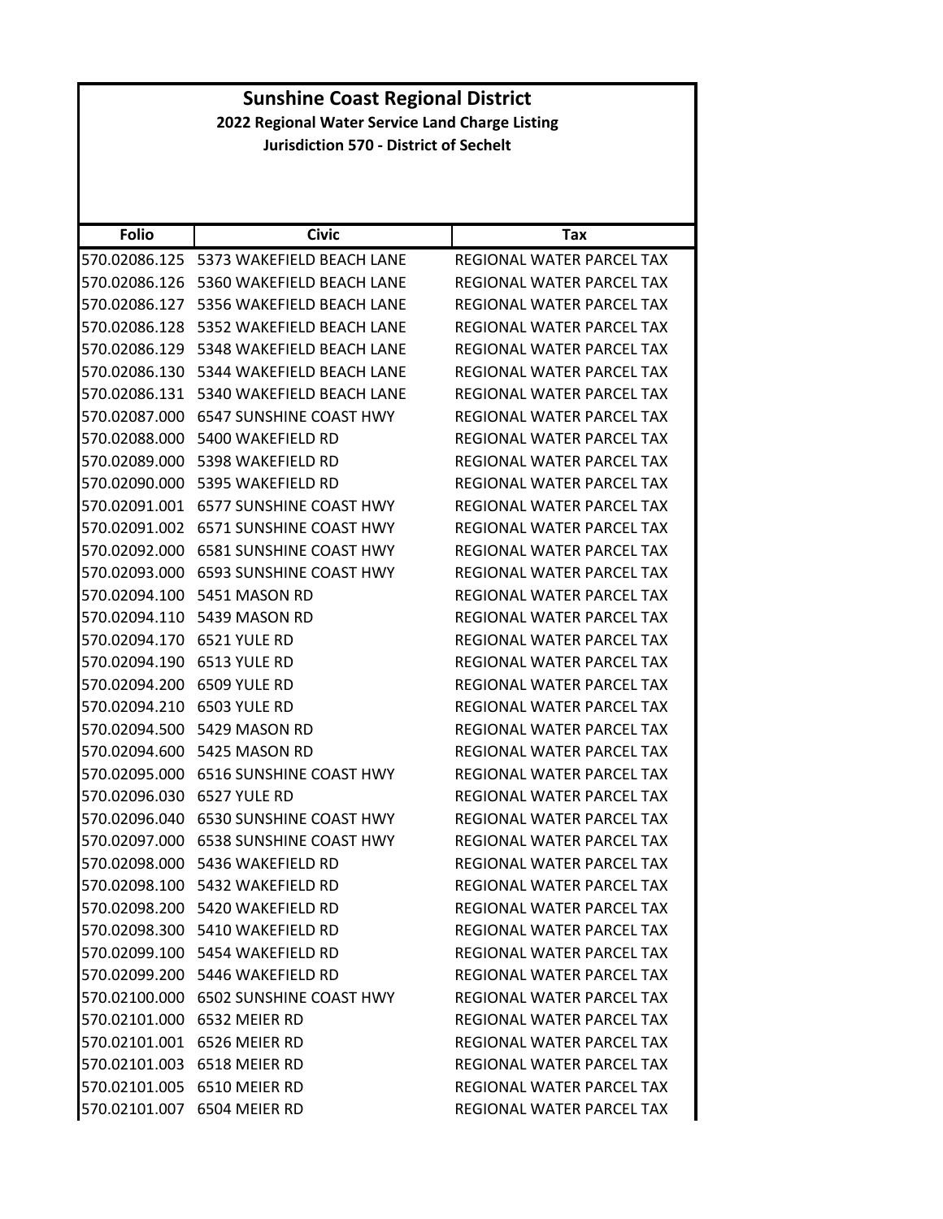| <b>Sunshine Coast Regional District</b>         |                                            |                                  |
|-------------------------------------------------|--------------------------------------------|----------------------------------|
| 2022 Regional Water Service Land Charge Listing |                                            |                                  |
| <b>Jurisdiction 570 - District of Sechelt</b>   |                                            |                                  |
|                                                 |                                            |                                  |
|                                                 |                                            |                                  |
|                                                 |                                            |                                  |
| <b>Folio</b>                                    | <b>Civic</b>                               | Tax                              |
|                                                 | 570.02086.125    5373 WAKEFIELD BEACH LANE | REGIONAL WATER PARCEL TAX        |
|                                                 | 570.02086.126 5360 WAKEFIELD BEACH LANE    | <b>REGIONAL WATER PARCEL TAX</b> |
|                                                 | 570.02086.127 5356 WAKEFIELD BEACH LANE    | REGIONAL WATER PARCEL TAX        |
| 570.02086.128                                   | 5352 WAKEFIELD BEACH LANE                  | REGIONAL WATER PARCEL TAX        |
|                                                 | 570.02086.129    5348 WAKEFIELD BEACH LANE | REGIONAL WATER PARCEL TAX        |
|                                                 | 570.02086.130    5344 WAKEFIELD BEACH LANE | REGIONAL WATER PARCEL TAX        |
|                                                 | 570.02086.131    5340 WAKEFIELD BEACH LANE | REGIONAL WATER PARCEL TAX        |
|                                                 | 570.02087.000 6547 SUNSHINE COAST HWY      | REGIONAL WATER PARCEL TAX        |
| 570.02088.000                                   | 5400 WAKEFIELD RD                          | REGIONAL WATER PARCEL TAX        |
|                                                 | 570.02089.000    5398 WAKEFIELD RD         | <b>REGIONAL WATER PARCEL TAX</b> |
|                                                 | 570.02090.000    5395 WAKEFIELD RD         | REGIONAL WATER PARCEL TAX        |
|                                                 | 570.02091.001 6577 SUNSHINE COAST HWY      | REGIONAL WATER PARCEL TAX        |
|                                                 | 570.02091.002    6571 SUNSHINE COAST HWY   | REGIONAL WATER PARCEL TAX        |
| 570.02092.000                                   | <b>6581 SUNSHINE COAST HWY</b>             | REGIONAL WATER PARCEL TAX        |
|                                                 | 570.02093.000 6593 SUNSHINE COAST HWY      | REGIONAL WATER PARCEL TAX        |
|                                                 | 570.02094.100    5451 MASON RD             | REGIONAL WATER PARCEL TAX        |
|                                                 | 570.02094.110    5439 MASON RD             | REGIONAL WATER PARCEL TAX        |
| 570.02094.170                                   | 6521 YULE RD                               | REGIONAL WATER PARCEL TAX        |
| 570.02094.190                                   | 6513 YULE RD                               | REGIONAL WATER PARCEL TAX        |
| 570.02094.200 6509 YULE RD                      |                                            | REGIONAL WATER PARCEL TAX        |
| 570.02094.210 6503 YULE RD                      |                                            | <b>REGIONAL WATER PARCEL TAX</b> |
|                                                 | 570.02094.500    5429 MASON RD             | <b>REGIONAL WATER PARCEL TAX</b> |
|                                                 | 570.02094.600    5425 MASON RD             | REGIONAL WATER PARCEL TAX        |
|                                                 | 570.02095.000 6516 SUNSHINE COAST HWY      | REGIONAL WATER PARCEL TAX        |
| 570.02096.030 6527 YULE RD                      |                                            | REGIONAL WATER PARCEL TAX        |
|                                                 | 570.02096.040 6530 SUNSHINE COAST HWY      | REGIONAL WATER PARCEL TAX        |
|                                                 | 570.02097.000    6538 SUNSHINE COAST HWY   | REGIONAL WATER PARCEL TAX        |
|                                                 | 570.02098.000    5436 WAKEFIELD RD         | REGIONAL WATER PARCEL TAX        |
|                                                 | 570.02098.100    5432 WAKEFIELD RD         | REGIONAL WATER PARCEL TAX        |
|                                                 | 570.02098.200 5420 WAKEFIELD RD            | REGIONAL WATER PARCEL TAX        |
|                                                 | 570.02098.300    5410 WAKEFIELD RD         | REGIONAL WATER PARCEL TAX        |
|                                                 | 570.02099.100 5454 WAKEFIELD RD            | REGIONAL WATER PARCEL TAX        |
|                                                 |                                            |                                  |
|                                                 | 570.02099.200    5446 WAKEFIELD RD         | REGIONAL WATER PARCEL TAX        |
|                                                 | 570.02100.000 6502 SUNSHINE COAST HWY      | REGIONAL WATER PARCEL TAX        |
|                                                 | 570.02101.000 6532 MEIER RD                | REGIONAL WATER PARCEL TAX        |
|                                                 | 570.02101.001 6526 MEIER RD                | REGIONAL WATER PARCEL TAX        |
|                                                 | 570.02101.003 6518 MEIER RD                | REGIONAL WATER PARCEL TAX        |
|                                                 | 570.02101.005 6510 MEIER RD                | REGIONAL WATER PARCEL TAX        |
|                                                 | 570.02101.007 6504 MEIER RD                | REGIONAL WATER PARCEL TAX        |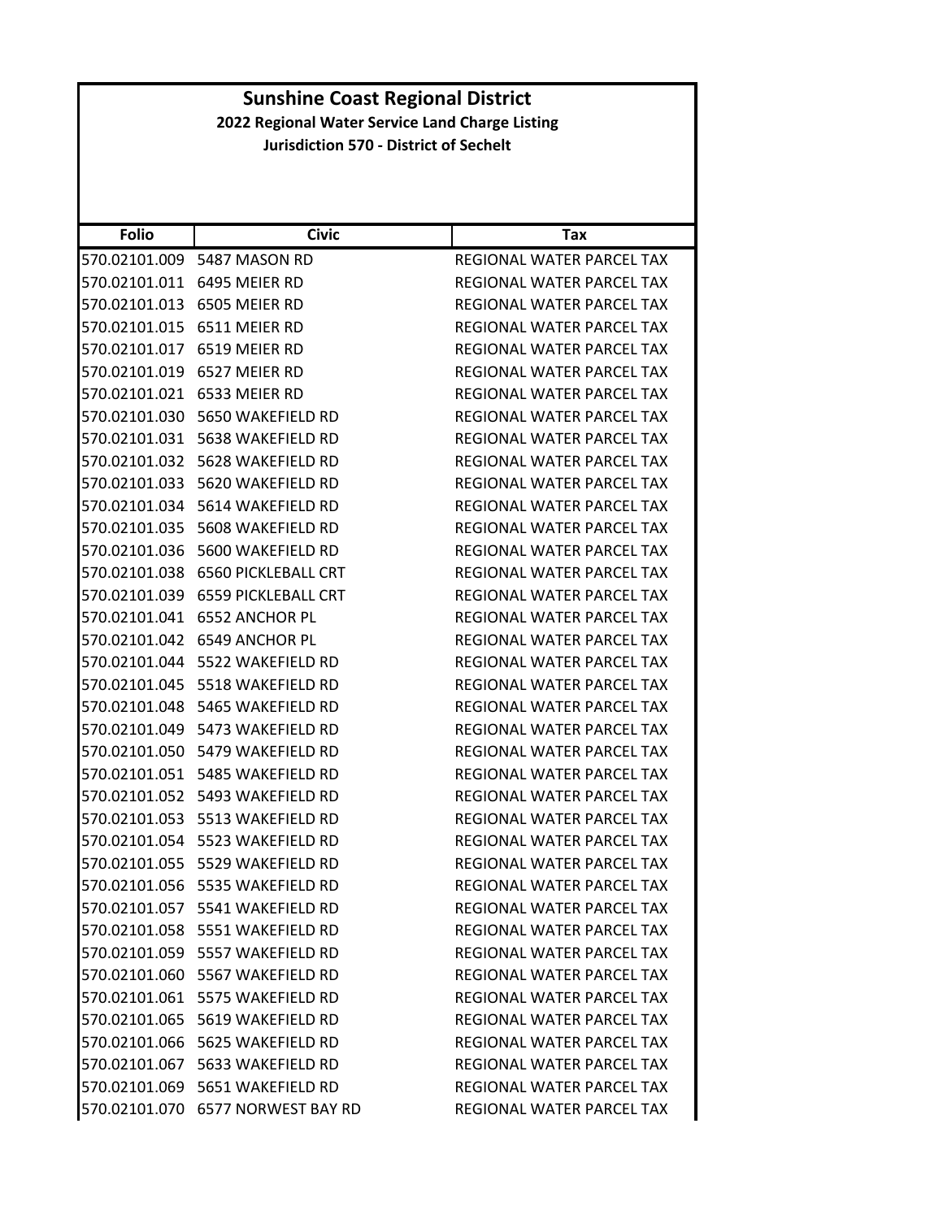| <b>Folio</b>  | <b>Civic</b>                       | Tax                       |
|---------------|------------------------------------|---------------------------|
| 570.02101.009 | 5487 MASON RD                      | REGIONAL WATER PARCEL TAX |
| 570.02101.011 | 6495 MEIER RD                      | REGIONAL WATER PARCEL TAX |
| 570.02101.013 | 6505 MEIER RD                      | REGIONAL WATER PARCEL TAX |
| 570.02101.015 | 6511 MEIER RD                      | REGIONAL WATER PARCEL TAX |
|               | 570.02101.017 6519 MEIER RD        | REGIONAL WATER PARCEL TAX |
| 570.02101.019 | 6527 MEIER RD                      | REGIONAL WATER PARCEL TAX |
| 570.02101.021 | 6533 MEIER RD                      | REGIONAL WATER PARCEL TAX |
| 570.02101.030 | 5650 WAKEFIELD RD                  | REGIONAL WATER PARCEL TAX |
| 570.02101.031 | 5638 WAKEFIELD RD                  | REGIONAL WATER PARCEL TAX |
| 570.02101.032 | 5628 WAKEFIELD RD                  | REGIONAL WATER PARCEL TAX |
| 570.02101.033 | 5620 WAKEFIELD RD                  | REGIONAL WATER PARCEL TAX |
|               | 570.02101.034 5614 WAKEFIELD RD    | REGIONAL WATER PARCEL TAX |
| 570.02101.035 | 5608 WAKEFIELD RD                  | REGIONAL WATER PARCEL TAX |
|               |                                    | REGIONAL WATER PARCEL TAX |
| 570.02101.038 | <b>6560 PICKLEBALL CRT</b>         | REGIONAL WATER PARCEL TAX |
| 570.02101.039 | <b>6559 PICKLEBALL CRT</b>         | REGIONAL WATER PARCEL TAX |
| 570.02101.041 | 6552 ANCHOR PL                     | REGIONAL WATER PARCEL TAX |
| 570.02101.042 | 6549 ANCHOR PL                     | REGIONAL WATER PARCEL TAX |
|               |                                    | REGIONAL WATER PARCEL TAX |
| 570.02101.045 | 5518 WAKEFIELD RD                  | REGIONAL WATER PARCEL TAX |
| 570.02101.048 | 5465 WAKEFIELD RD                  | REGIONAL WATER PARCEL TAX |
|               | 570.02101.049    5473 WAKEFIELD RD | REGIONAL WATER PARCEL TAX |
|               | 570.02101.050 5479 WAKEFIELD RD    | REGIONAL WATER PARCEL TAX |
| 570.02101.051 | 5485 WAKEFIELD RD                  | REGIONAL WATER PARCEL TAX |
| 570.02101.052 | 5493 WAKEFIELD RD                  | REGIONAL WATER PARCEL TAX |
| 570.02101.053 | 5513 WAKEFIELD RD                  | REGIONAL WATER PARCEL TAX |
| 570.02101.054 | 5523 WAKEFIELD RD                  | REGIONAL WATER PARCEL TAX |
|               |                                    | REGIONAL WATER PARCEL TAX |
| 570.02101.056 | 5535 WAKEFIELD RD                  | REGIONAL WATER PARCEL TAX |
|               | 570.02101.057 5541 WAKEFIELD RD    | REGIONAL WATER PARCEL TAX |
|               | 570.02101.058 5551 WAKEFIELD RD    | REGIONAL WATER PARCEL TAX |
|               |                                    | REGIONAL WATER PARCEL TAX |
|               | 570.02101.060 5567 WAKEFIELD RD    | REGIONAL WATER PARCEL TAX |
|               | 570.02101.061 5575 WAKEFIELD RD    | REGIONAL WATER PARCEL TAX |
|               | 570.02101.065 5619 WAKEFIELD RD    | REGIONAL WATER PARCEL TAX |
|               | 570.02101.066 5625 WAKEFIELD RD    | REGIONAL WATER PARCEL TAX |
|               | 570.02101.067    5633 WAKEFIELD RD | REGIONAL WATER PARCEL TAX |
|               | 570.02101.069    5651 WAKEFIELD RD | REGIONAL WATER PARCEL TAX |
|               | 570.02101.070 6577 NORWEST BAY RD  | REGIONAL WATER PARCEL TAX |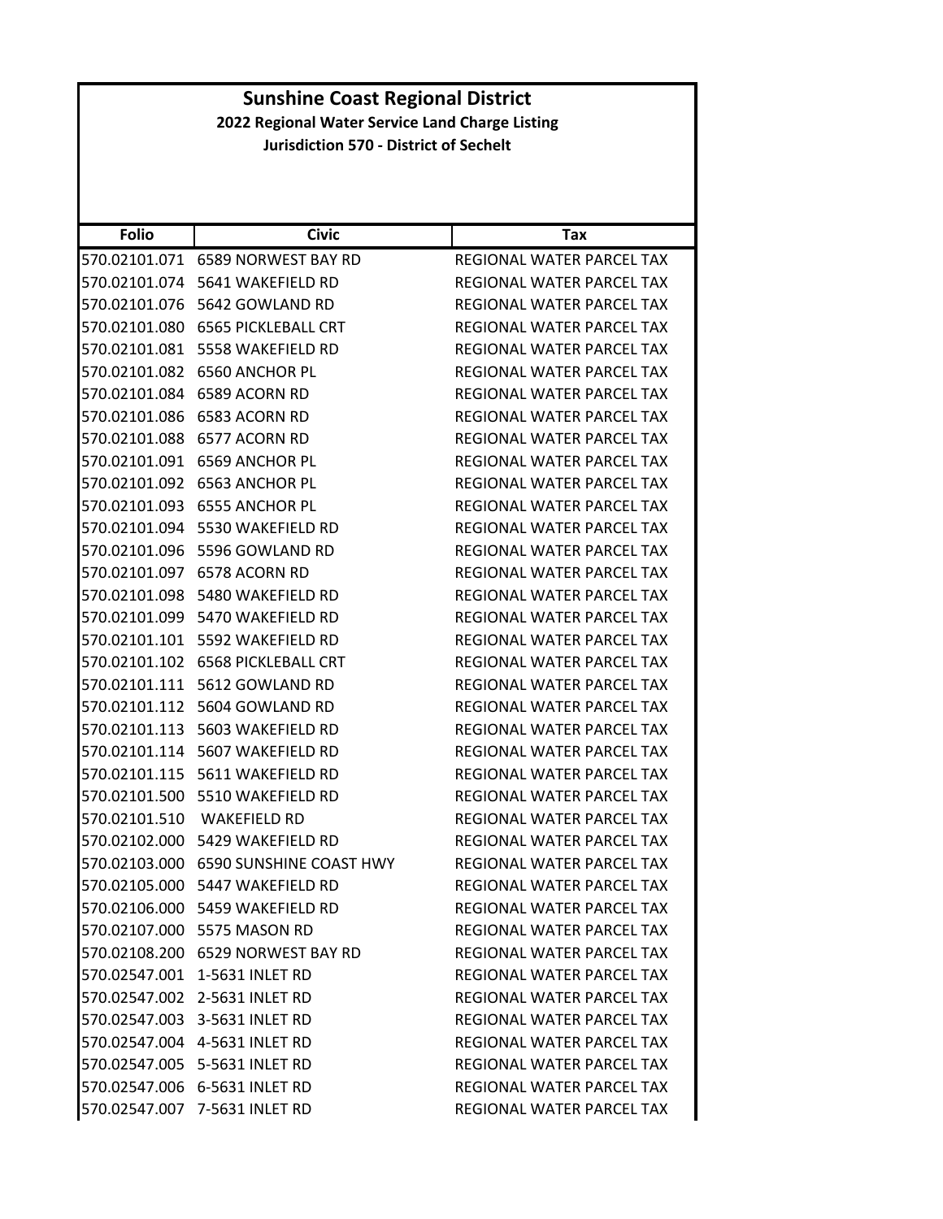|              | <b>Sunshine Coast Regional District</b>         |                                  |  |
|--------------|-------------------------------------------------|----------------------------------|--|
|              | 2022 Regional Water Service Land Charge Listing |                                  |  |
|              | <b>Jurisdiction 570 - District of Sechelt</b>   |                                  |  |
|              |                                                 |                                  |  |
|              |                                                 |                                  |  |
|              |                                                 |                                  |  |
| <b>Folio</b> | <b>Civic</b>                                    | Tax                              |  |
|              | 570.02101.071 6589 NORWEST BAY RD               | REGIONAL WATER PARCEL TAX        |  |
|              | 570.02101.074 5641 WAKEFIELD RD                 | REGIONAL WATER PARCEL TAX        |  |
|              | 570.02101.076    5642    GOWLAND RD             | REGIONAL WATER PARCEL TAX        |  |
|              | 570.02101.080 6565 PICKLEBALL CRT               | REGIONAL WATER PARCEL TAX        |  |
|              | 570.02101.081 5558 WAKEFIELD RD                 | REGIONAL WATER PARCEL TAX        |  |
|              | 570.02101.082 6560 ANCHOR PL                    | REGIONAL WATER PARCEL TAX        |  |
|              | 570.02101.084 6589 ACORN RD                     | <b>REGIONAL WATER PARCEL TAX</b> |  |
|              | 570.02101.086 6583 ACORN RD                     | REGIONAL WATER PARCEL TAX        |  |
|              | 570.02101.088 6577 ACORN RD                     | REGIONAL WATER PARCEL TAX        |  |
|              | 570.02101.091 6569 ANCHOR PL                    | REGIONAL WATER PARCEL TAX        |  |
|              | 570.02101.092 6563 ANCHOR PL                    | REGIONAL WATER PARCEL TAX        |  |
|              | 570.02101.093 6555 ANCHOR PL                    | REGIONAL WATER PARCEL TAX        |  |
|              | 570.02101.094 5530 WAKEFIELD RD                 | <b>REGIONAL WATER PARCEL TAX</b> |  |
|              | 570.02101.096 5596 GOWLAND RD                   | REGIONAL WATER PARCEL TAX        |  |
|              | 570.02101.097 6578 ACORN RD                     | REGIONAL WATER PARCEL TAX        |  |
|              | 570.02101.098 5480 WAKEFIELD RD                 | REGIONAL WATER PARCEL TAX        |  |
|              | 570.02101.099 5470 WAKEFIELD RD                 | REGIONAL WATER PARCEL TAX        |  |
|              | 570.02101.101    5592 WAKEFIELD RD              | REGIONAL WATER PARCEL TAX        |  |
|              | 570.02101.102 6568 PICKLEBALL CRT               | REGIONAL WATER PARCEL TAX        |  |
|              | 570.02101.111    5612    GOWLAND RD             | <b>REGIONAL WATER PARCEL TAX</b> |  |
|              | 570.02101.112 5604 GOWLAND RD                   | REGIONAL WATER PARCEL TAX        |  |
|              | 570.02101.113    5603 WAKEFIELD RD              | REGIONAL WATER PARCEL TAX        |  |
|              | 570.02101.114    5607 WAKEFIELD RD              | REGIONAL WATER PARCEL TAX        |  |
|              | 570.02101.115    5611 WAKEFIELD RD              | <b>REGIONAL WATER PARCEL TAX</b> |  |
|              | 570.02101.500    5510 WAKEFIELD RD              | REGIONAL WATER PARCEL TAX        |  |
|              |                                                 | REGIONAL WATER PARCEL TAX        |  |
|              | 570.02102.000 5429 WAKEFIELD RD                 | REGIONAL WATER PARCEL TAX        |  |
|              | 570.02103.000    6590 SUNSHINE COAST HWY        | REGIONAL WATER PARCEL TAX        |  |
|              | 570.02105.000    5447 WAKEFIELD RD              | REGIONAL WATER PARCEL TAX        |  |
|              | 570.02106.000    5459 WAKEFIELD RD              | REGIONAL WATER PARCEL TAX        |  |
|              | 570.02107.000 5575 MASON RD                     | REGIONAL WATER PARCEL TAX        |  |
|              | 570.02108.200    6529 NORWEST BAY RD            | REGIONAL WATER PARCEL TAX        |  |
|              | 570.02547.001 1-5631 INLET RD                   | REGIONAL WATER PARCEL TAX        |  |
|              | 570.02547.002 2-5631 INLET RD                   | REGIONAL WATER PARCEL TAX        |  |
|              | 570.02547.003 3-5631 INLET RD                   | REGIONAL WATER PARCEL TAX        |  |
|              |                                                 |                                  |  |
|              | 570.02547.004 4-5631 INLET RD                   | REGIONAL WATER PARCEL TAX        |  |
|              | 570.02547.005 5-5631 INLET RD                   | REGIONAL WATER PARCEL TAX        |  |
|              | 570.02547.006 6-5631 INLET RD                   | REGIONAL WATER PARCEL TAX        |  |
|              | 570.02547.007 7-5631 INLET RD                   | REGIONAL WATER PARCEL TAX        |  |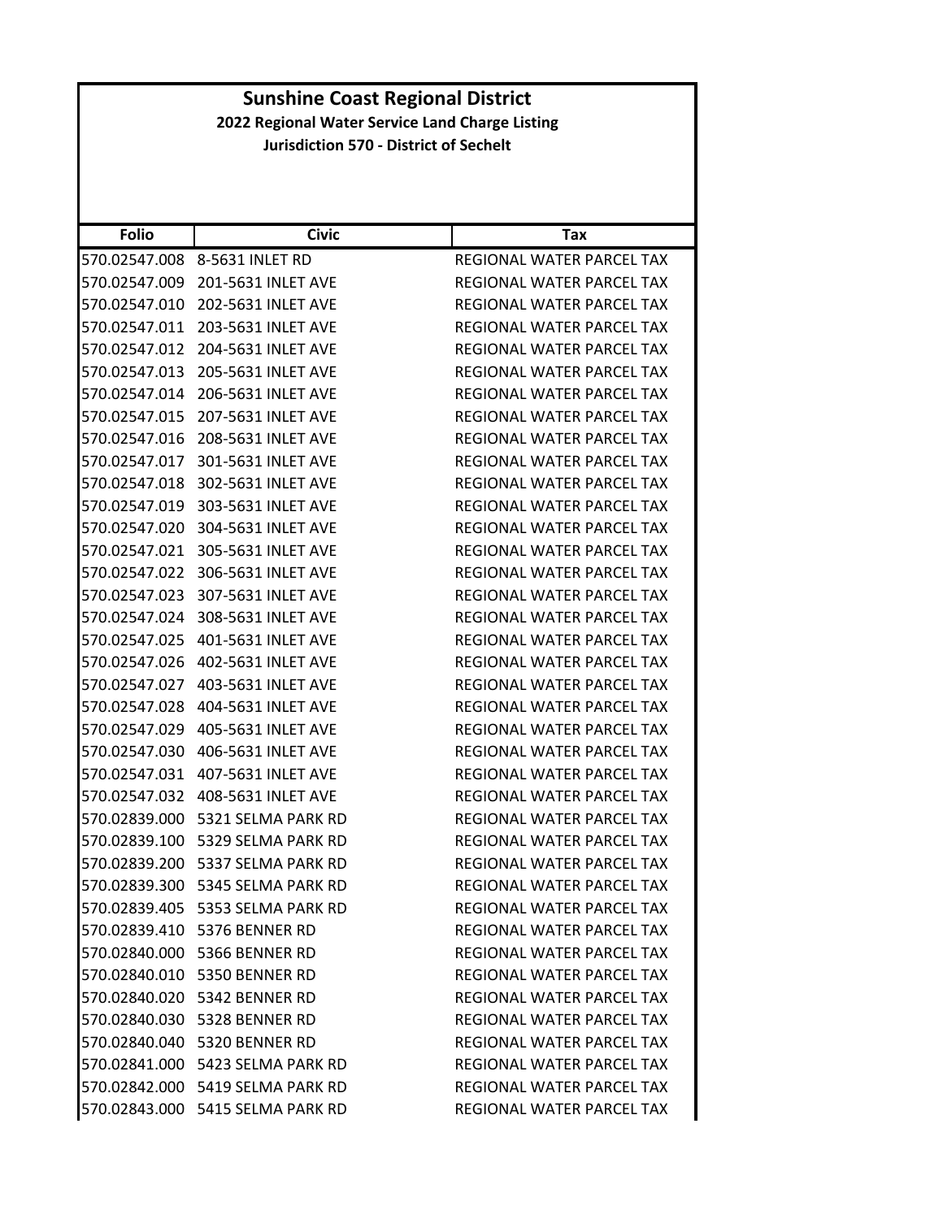| <b>Folio</b>  | <b>Civic</b>                     | Tax                              |
|---------------|----------------------------------|----------------------------------|
| 570.02547.008 | 8-5631 INLET RD                  | REGIONAL WATER PARCEL TAX        |
| 570.02547.009 | 201-5631 INLET AVE               | REGIONAL WATER PARCEL TAX        |
| 570.02547.010 | 202-5631 INLET AVE               | REGIONAL WATER PARCEL TAX        |
| 570.02547.011 | 203-5631 INLET AVE               | REGIONAL WATER PARCEL TAX        |
| 570.02547.012 | 204-5631 INLET AVE               | REGIONAL WATER PARCEL TAX        |
| 570.02547.013 | 205-5631 INLET AVE               | REGIONAL WATER PARCEL TAX        |
| 570.02547.014 | 206-5631 INLET AVE               | <b>REGIONAL WATER PARCEL TAX</b> |
| 570.02547.015 | 207-5631 INLET AVE               | REGIONAL WATER PARCEL TAX        |
| 570.02547.016 | 208-5631 INLET AVE               | REGIONAL WATER PARCEL TAX        |
| 570.02547.017 | 301-5631 INLET AVE               | REGIONAL WATER PARCEL TAX        |
| 570.02547.018 | 302-5631 INLET AVE               | REGIONAL WATER PARCEL TAX        |
| 570.02547.019 | 303-5631 INLET AVE               | <b>REGIONAL WATER PARCEL TAX</b> |
| 570.02547.020 | 304-5631 INLET AVE               | REGIONAL WATER PARCEL TAX        |
| 570.02547.021 | 305-5631 INLET AVE               | REGIONAL WATER PARCEL TAX        |
| 570.02547.022 | 306-5631 INLET AVE               | REGIONAL WATER PARCEL TAX        |
| 570.02547.023 | 307-5631 INLET AVE               | REGIONAL WATER PARCEL TAX        |
| 570.02547.024 | 308-5631 INLET AVE               | REGIONAL WATER PARCEL TAX        |
| 570.02547.025 | 401-5631 INLET AVE               | REGIONAL WATER PARCEL TAX        |
| 570.02547.026 | 402-5631 INLET AVE               | REGIONAL WATER PARCEL TAX        |
| 570.02547.027 | 403-5631 INLET AVE               | REGIONAL WATER PARCEL TAX        |
| 570.02547.028 | 404-5631 INLET AVE               | REGIONAL WATER PARCEL TAX        |
| 570.02547.029 | 405-5631 INLET AVE               | REGIONAL WATER PARCEL TAX        |
| 570.02547.030 | 406-5631 INLET AVE               | REGIONAL WATER PARCEL TAX        |
| 570.02547.031 | 407-5631 INLET AVE               | REGIONAL WATER PARCEL TAX        |
| 570.02547.032 | 408-5631 INLET AVE               | REGIONAL WATER PARCEL TAX        |
| 570.02839.000 | 5321 SELMA PARK RD               | REGIONAL WATER PARCEL TAX        |
| 570.02839.100 | 5329 SELMA PARK RD               | REGIONAL WATER PARCEL TAX        |
| 570.02839.200 | 5337 SELMA PARK RD               | REGIONAL WATER PARCEL TAX        |
| 570.02839.300 | 5345 SELMA PARK RD               | <b>REGIONAL WATER PARCEL TAX</b> |
|               | 570.02839.405 5353 SELMA PARK RD | REGIONAL WATER PARCEL TAX        |
|               | 570.02839.410 5376 BENNER RD     | REGIONAL WATER PARCEL TAX        |
|               | 570.02840.000 5366 BENNER RD     | REGIONAL WATER PARCEL TAX        |
|               | 570.02840.010 5350 BENNER RD     | REGIONAL WATER PARCEL TAX        |
|               | 570.02840.020 5342 BENNER RD     | REGIONAL WATER PARCEL TAX        |
|               | 570.02840.030    5328 BENNER RD  | REGIONAL WATER PARCEL TAX        |
|               | 570.02840.040 5320 BENNER RD     | REGIONAL WATER PARCEL TAX        |
|               | 570.02841.000 5423 SELMA PARK RD | REGIONAL WATER PARCEL TAX        |
|               | 570.02842.000 5419 SELMA PARK RD | REGIONAL WATER PARCEL TAX        |
|               | 570.02843.000 5415 SELMA PARK RD | REGIONAL WATER PARCEL TAX        |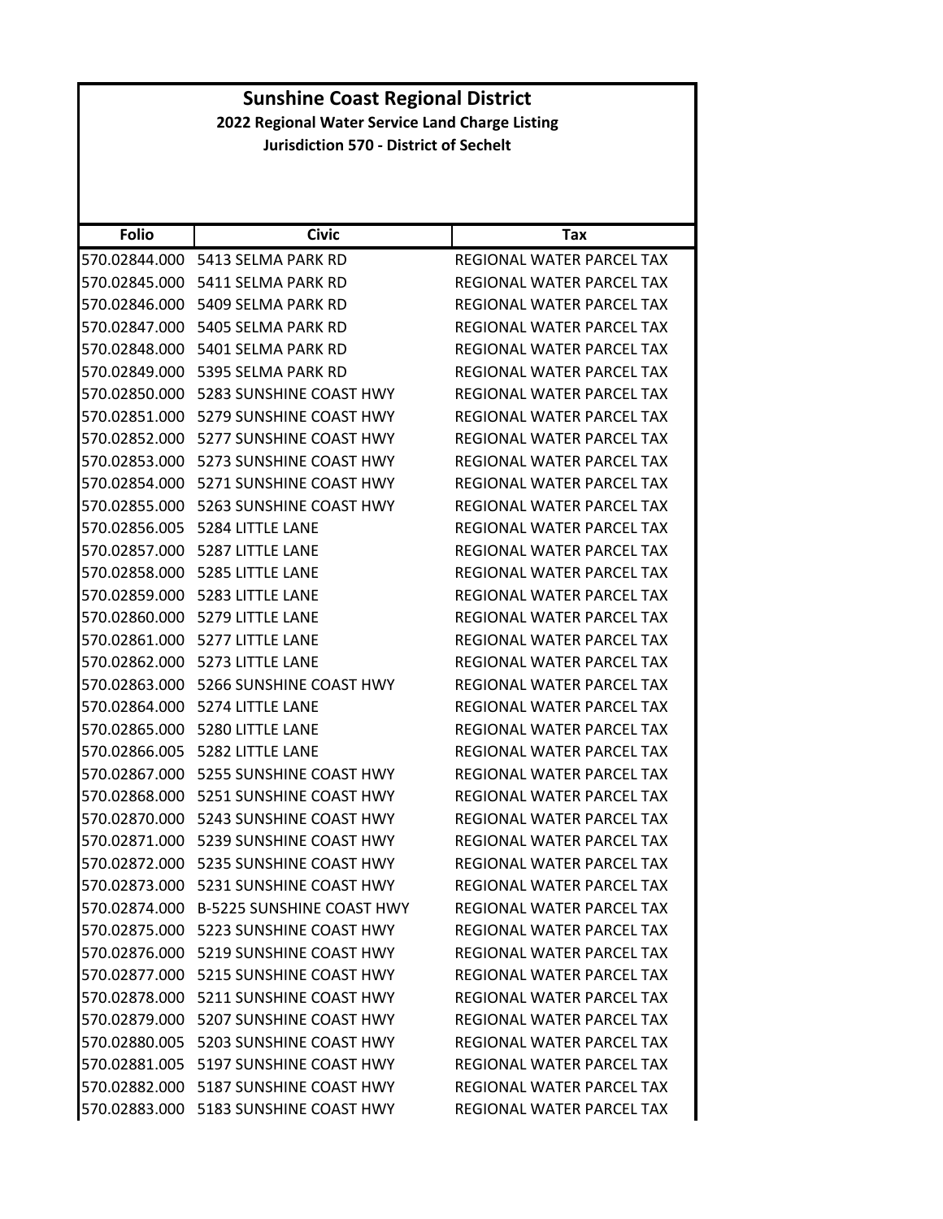|                                                 | <b>Sunshine Coast Regional District</b>  |                                  |  |
|-------------------------------------------------|------------------------------------------|----------------------------------|--|
| 2022 Regional Water Service Land Charge Listing |                                          |                                  |  |
| <b>Jurisdiction 570 - District of Sechelt</b>   |                                          |                                  |  |
|                                                 |                                          |                                  |  |
|                                                 |                                          |                                  |  |
|                                                 |                                          |                                  |  |
| <b>Folio</b>                                    | <b>Civic</b>                             | Tax                              |  |
|                                                 | 570.02844.000 5413 SELMA PARK RD         | REGIONAL WATER PARCEL TAX        |  |
|                                                 | 570.02845.000    5411 SELMA PARK RD      | REGIONAL WATER PARCEL TAX        |  |
|                                                 | 570.02846.000 5409 SELMA PARK RD         | REGIONAL WATER PARCEL TAX        |  |
|                                                 | 570.02847.000 5405 SELMA PARK RD         | REGIONAL WATER PARCEL TAX        |  |
|                                                 | 570.02848.000 5401 SELMA PARK RD         | REGIONAL WATER PARCEL TAX        |  |
|                                                 | 570.02849.000    5395 SELMA PARK RD      | REGIONAL WATER PARCEL TAX        |  |
|                                                 | 570.02850.000 5283 SUNSHINE COAST HWY    | REGIONAL WATER PARCEL TAX        |  |
|                                                 | 570.02851.000 5279 SUNSHINE COAST HWY    | REGIONAL WATER PARCEL TAX        |  |
| 570.02852.000                                   | 5277 SUNSHINE COAST HWY                  | <b>REGIONAL WATER PARCEL TAX</b> |  |
|                                                 | 570.02853.000    5273 SUNSHINE COAST HWY | <b>REGIONAL WATER PARCEL TAX</b> |  |
|                                                 | 570.02854.000    5271 SUNSHINE COAST HWY | REGIONAL WATER PARCEL TAX        |  |
|                                                 | 570.02855.000    5263 SUNSHINE COAST HWY | REGIONAL WATER PARCEL TAX        |  |
|                                                 | 570.02856.005    5284 LITTLE LANE        | REGIONAL WATER PARCEL TAX        |  |
| 570.02857.000                                   | 5287 LITTLE LANE                         | REGIONAL WATER PARCEL TAX        |  |
|                                                 | 570.02858.000 5285 LITTLE LANE           | REGIONAL WATER PARCEL TAX        |  |
|                                                 | 570.02859.000    5283 LITTLE LANE        | REGIONAL WATER PARCEL TAX        |  |
|                                                 | 570.02860.000 5279 LITTLE LANE           | REGIONAL WATER PARCEL TAX        |  |
|                                                 | 570.02861.000 5277 LITTLE LANE           | REGIONAL WATER PARCEL TAX        |  |
|                                                 | 570.02862.000 5273 LITTLE LANE           | REGIONAL WATER PARCEL TAX        |  |
|                                                 | 570.02863.000 5266 SUNSHINE COAST HWY    | <b>REGIONAL WATER PARCEL TAX</b> |  |
|                                                 | 570.02864.000 5274 LITTLE LANE           | REGIONAL WATER PARCEL TAX        |  |
|                                                 | 570.02865.000 5280 LITTLE LANE           | <b>REGIONAL WATER PARCEL TAX</b> |  |
| 570.02866.005                                   | 5282 LITTLE LANE                         | <b>REGIONAL WATER PARCEL TAX</b> |  |
|                                                 | 570.02867.000 5255 SUNSHINE COAST HWY    | REGIONAL WATER PARCEL TAX        |  |
|                                                 | 570.02868.000    5251 SUNSHINE COAST HWY | REGIONAL WATER PARCEL TAX        |  |
|                                                 | 570.02870.000    5243 SUNSHINE COAST HWY | REGIONAL WATER PARCEL TAX        |  |
|                                                 | 570.02871.000    5239 SUNSHINE COAST HWY | REGIONAL WATER PARCEL TAX        |  |
|                                                 | 570.02872.000    5235 SUNSHINE COAST HWY | <b>REGIONAL WATER PARCEL TAX</b> |  |
|                                                 | 570.02873.000    5231 SUNSHINE COAST HWY | REGIONAL WATER PARCEL TAX        |  |
|                                                 | 570.02874.000 B-5225 SUNSHINE COAST HWY  | REGIONAL WATER PARCEL TAX        |  |
|                                                 | 570.02875.000    5223 SUNSHINE COAST HWY | <b>REGIONAL WATER PARCEL TAX</b> |  |
|                                                 | 570.02876.000    5219 SUNSHINE COAST HWY | REGIONAL WATER PARCEL TAX        |  |
|                                                 | 570.02877.000 5215 SUNSHINE COAST HWY    | REGIONAL WATER PARCEL TAX        |  |
|                                                 | 570.02878.000    5211 SUNSHINE COAST HWY | REGIONAL WATER PARCEL TAX        |  |
| 570.02879.000                                   | 5207 SUNSHINE COAST HWY                  | REGIONAL WATER PARCEL TAX        |  |
|                                                 | 570.02880.005    5203 SUNSHINE COAST HWY | REGIONAL WATER PARCEL TAX        |  |
|                                                 | 570.02881.005    5197 SUNSHINE COAST HWY | REGIONAL WATER PARCEL TAX        |  |
|                                                 | 570.02882.000    5187 SUNSHINE COAST HWY | REGIONAL WATER PARCEL TAX        |  |
|                                                 | 570.02883.000 5183 SUNSHINE COAST HWY    |                                  |  |
|                                                 |                                          | REGIONAL WATER PARCEL TAX        |  |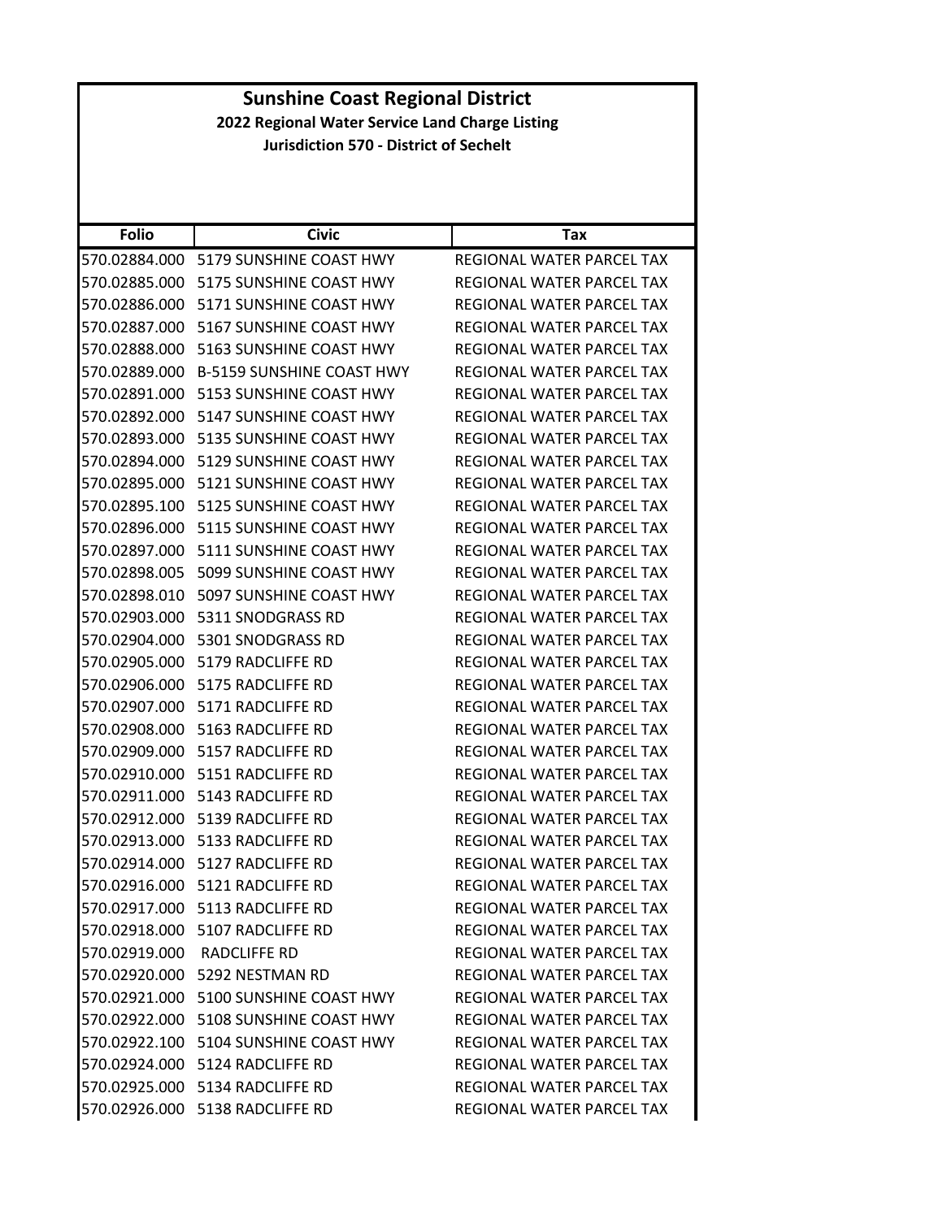| <b>Sunshine Coast Regional District</b>         |                                          |                                  |
|-------------------------------------------------|------------------------------------------|----------------------------------|
| 2022 Regional Water Service Land Charge Listing |                                          |                                  |
| <b>Jurisdiction 570 - District of Sechelt</b>   |                                          |                                  |
|                                                 |                                          |                                  |
|                                                 |                                          |                                  |
|                                                 |                                          |                                  |
| <b>Folio</b>                                    | <b>Civic</b>                             | Tax                              |
|                                                 | 570.02884.000 5179 SUNSHINE COAST HWY    | <b>REGIONAL WATER PARCEL TAX</b> |
|                                                 | 570.02885.000 5175 SUNSHINE COAST HWY    | REGIONAL WATER PARCEL TAX        |
|                                                 | 570.02886.000 5171 SUNSHINE COAST HWY    | REGIONAL WATER PARCEL TAX        |
|                                                 | 570.02887.000 5167 SUNSHINE COAST HWY    | REGIONAL WATER PARCEL TAX        |
|                                                 | 570.02888.000 5163 SUNSHINE COAST HWY    | REGIONAL WATER PARCEL TAX        |
|                                                 | 570.02889.000 B-5159 SUNSHINE COAST HWY  | <b>REGIONAL WATER PARCEL TAX</b> |
|                                                 | 570.02891.000    5153 SUNSHINE COAST HWY | REGIONAL WATER PARCEL TAX        |
| 570.02892.000                                   | 5147 SUNSHINE COAST HWY                  | <b>REGIONAL WATER PARCEL TAX</b> |
|                                                 | 570.02893.000 5135 SUNSHINE COAST HWY    | <b>REGIONAL WATER PARCEL TAX</b> |
|                                                 | 570.02894.000 5129 SUNSHINE COAST HWY    | REGIONAL WATER PARCEL TAX        |
|                                                 | 570.02895.000 5121 SUNSHINE COAST HWY    | REGIONAL WATER PARCEL TAX        |
|                                                 | 570.02895.100 5125 SUNSHINE COAST HWY    | <b>REGIONAL WATER PARCEL TAX</b> |
| 570.02896.000                                   | 5115 SUNSHINE COAST HWY                  | <b>REGIONAL WATER PARCEL TAX</b> |
|                                                 | 570.02897.000 5111 SUNSHINE COAST HWY    | REGIONAL WATER PARCEL TAX        |
|                                                 | 570.02898.005    5099 SUNSHINE COAST HWY | REGIONAL WATER PARCEL TAX        |
|                                                 | 570.02898.010    5097 SUNSHINE COAST HWY | REGIONAL WATER PARCEL TAX        |
|                                                 | 570.02903.000    5311 SNODGRASS RD       | REGIONAL WATER PARCEL TAX        |
| 570.02904.000                                   | 5301 SNODGRASS RD                        | REGIONAL WATER PARCEL TAX        |
|                                                 | 570.02905.000 5179 RADCLIFFE RD          | REGIONAL WATER PARCEL TAX        |
|                                                 | 570.02906.000    5175 RADCLIFFE RD       | REGIONAL WATER PARCEL TAX        |
|                                                 | 570.02907.000 5171 RADCLIFFE RD          | REGIONAL WATER PARCEL TAX        |
|                                                 | 570.02908.000 5163 RADCLIFFE RD          | REGIONAL WATER PARCEL TAX        |
|                                                 | 570.02909.000 5157 RADCLIFFE RD          | REGIONAL WATER PARCEL TAX        |
|                                                 | 570.02910.000    5151 RADCLIFFE RD       | REGIONAL WATER PARCEL TAX        |
|                                                 |                                          | REGIONAL WATER PARCEL TAX        |
|                                                 | 570.02912.000    5139 RADCLIFFE RD       | <b>REGIONAL WATER PARCEL TAX</b> |
|                                                 | 570.02913.000 5133 RADCLIFFE RD          | REGIONAL WATER PARCEL TAX        |
|                                                 | 570.02914.000 5127 RADCLIFFE RD          | REGIONAL WATER PARCEL TAX        |
|                                                 |                                          |                                  |
|                                                 | 570.02916.000 5121 RADCLIFFE RD          | REGIONAL WATER PARCEL TAX        |
|                                                 | 570.02917.000 5113 RADCLIFFE RD          | REGIONAL WATER PARCEL TAX        |
|                                                 | 570.02918.000 5107 RADCLIFFE RD          | REGIONAL WATER PARCEL TAX        |
|                                                 | 570.02919.000 RADCLIFFE RD               | <b>REGIONAL WATER PARCEL TAX</b> |
|                                                 | 570.02920.000 5292 NESTMAN RD            | REGIONAL WATER PARCEL TAX        |
|                                                 | 570.02921.000 5100 SUNSHINE COAST HWY    | REGIONAL WATER PARCEL TAX        |
|                                                 | 570.02922.000 5108 SUNSHINE COAST HWY    | REGIONAL WATER PARCEL TAX        |
|                                                 | 570.02922.100 5104 SUNSHINE COAST HWY    | REGIONAL WATER PARCEL TAX        |
|                                                 | 570.02924.000    5124 RADCLIFFE RD       | REGIONAL WATER PARCEL TAX        |
|                                                 | 570.02925.000 5134 RADCLIFFE RD          | REGIONAL WATER PARCEL TAX        |
|                                                 | 570.02926.000 5138 RADCLIFFE RD          | REGIONAL WATER PARCEL TAX        |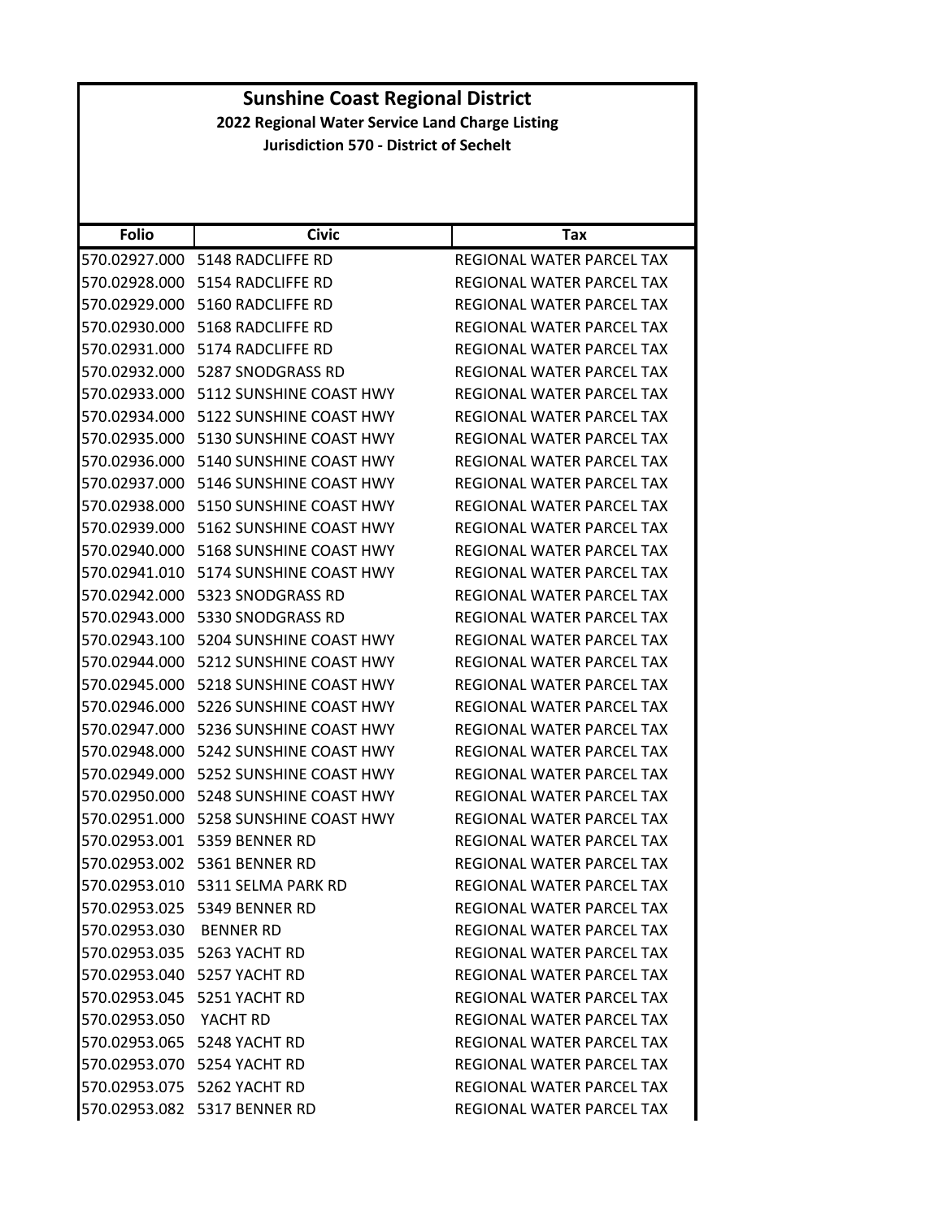|                                                 | <b>Sunshine Coast Regional District</b>  |                                  |  |
|-------------------------------------------------|------------------------------------------|----------------------------------|--|
| 2022 Regional Water Service Land Charge Listing |                                          |                                  |  |
| <b>Jurisdiction 570 - District of Sechelt</b>   |                                          |                                  |  |
|                                                 |                                          |                                  |  |
|                                                 |                                          |                                  |  |
| <b>Folio</b>                                    | <b>Civic</b>                             | Tax                              |  |
|                                                 | 570.02927.000    5148 RADCLIFFE RD       | REGIONAL WATER PARCEL TAX        |  |
|                                                 | 570.02928.000 5154 RADCLIFFE RD          | REGIONAL WATER PARCEL TAX        |  |
|                                                 | 570.02929.000 5160 RADCLIFFE RD          | REGIONAL WATER PARCEL TAX        |  |
|                                                 | 570.02930.000 5168 RADCLIFFE RD          | REGIONAL WATER PARCEL TAX        |  |
|                                                 | 570.02931.000 5174 RADCLIFFE RD          | REGIONAL WATER PARCEL TAX        |  |
|                                                 | 570.02932.000    5287 SNODGRASS RD       | REGIONAL WATER PARCEL TAX        |  |
|                                                 | 570.02933.000 5112 SUNSHINE COAST HWY    | REGIONAL WATER PARCEL TAX        |  |
|                                                 | 570.02934.000 5122 SUNSHINE COAST HWY    | REGIONAL WATER PARCEL TAX        |  |
|                                                 | 570.02935.000 5130 SUNSHINE COAST HWY    | REGIONAL WATER PARCEL TAX        |  |
|                                                 | 570.02936.000 5140 SUNSHINE COAST HWY    | REGIONAL WATER PARCEL TAX        |  |
|                                                 | 570.02937.000 5146 SUNSHINE COAST HWY    | REGIONAL WATER PARCEL TAX        |  |
|                                                 | 570.02938.000 5150 SUNSHINE COAST HWY    | <b>REGIONAL WATER PARCEL TAX</b> |  |
|                                                 | 570.02939.000 5162 SUNSHINE COAST HWY    | REGIONAL WATER PARCEL TAX        |  |
|                                                 | 570.02940.000 5168 SUNSHINE COAST HWY    | REGIONAL WATER PARCEL TAX        |  |
|                                                 | 570.02941.010 5174 SUNSHINE COAST HWY    | REGIONAL WATER PARCEL TAX        |  |
|                                                 | 570.02942.000    5323 SNODGRASS RD       | REGIONAL WATER PARCEL TAX        |  |
|                                                 | 570.02943.000 5330 SNODGRASS RD          | <b>REGIONAL WATER PARCEL TAX</b> |  |
|                                                 | 570.02943.100 5204 SUNSHINE COAST HWY    | REGIONAL WATER PARCEL TAX        |  |
|                                                 | 570.02944.000 5212 SUNSHINE COAST HWY    | REGIONAL WATER PARCEL TAX        |  |
|                                                 | 570.02945.000 5218 SUNSHINE COAST HWY    | REGIONAL WATER PARCEL TAX        |  |
|                                                 | 570.02946.000 5226 SUNSHINE COAST HWY    | REGIONAL WATER PARCEL TAX        |  |
|                                                 | 570.02947.000 5236 SUNSHINE COAST HWY    | REGIONAL WATER PARCEL TAX        |  |
| 570.02948.000                                   | 5242 SUNSHINE COAST HWY                  | REGIONAL WATER PARCEL TAX        |  |
|                                                 | 570.02949.000 5252 SUNSHINE COAST HWY    | REGIONAL WATER PARCEL TAX        |  |
|                                                 | 570.02950.000    5248 SUNSHINE COAST HWY | REGIONAL WATER PARCEL TAX        |  |
|                                                 | 570.02951.000 5258 SUNSHINE COAST HWY    | REGIONAL WATER PARCEL TAX        |  |
|                                                 | 570.02953.001 5359 BENNER RD             | REGIONAL WATER PARCEL TAX        |  |
|                                                 | 570.02953.002 5361 BENNER RD             | REGIONAL WATER PARCEL TAX        |  |
|                                                 |                                          | REGIONAL WATER PARCEL TAX        |  |
|                                                 | 570.02953.025 5349 BENNER RD             | <b>REGIONAL WATER PARCEL TAX</b> |  |
| 570.02953.030 BENNER RD                         |                                          | REGIONAL WATER PARCEL TAX        |  |
|                                                 | 570.02953.035 5263 YACHT RD              | REGIONAL WATER PARCEL TAX        |  |
|                                                 | 570.02953.040 5257 YACHT RD              | REGIONAL WATER PARCEL TAX        |  |
|                                                 | 570.02953.045 5251 YACHT RD              | REGIONAL WATER PARCEL TAX        |  |
| 570.02953.050 YACHT RD                          |                                          | REGIONAL WATER PARCEL TAX        |  |
|                                                 | 570.02953.065 5248 YACHT RD              | REGIONAL WATER PARCEL TAX        |  |
|                                                 | 570.02953.070 5254 YACHT RD              | REGIONAL WATER PARCEL TAX        |  |
|                                                 | 570.02953.075    5262 YACHT RD           | REGIONAL WATER PARCEL TAX        |  |
|                                                 | 570.02953.082 5317 BENNER RD             | REGIONAL WATER PARCEL TAX        |  |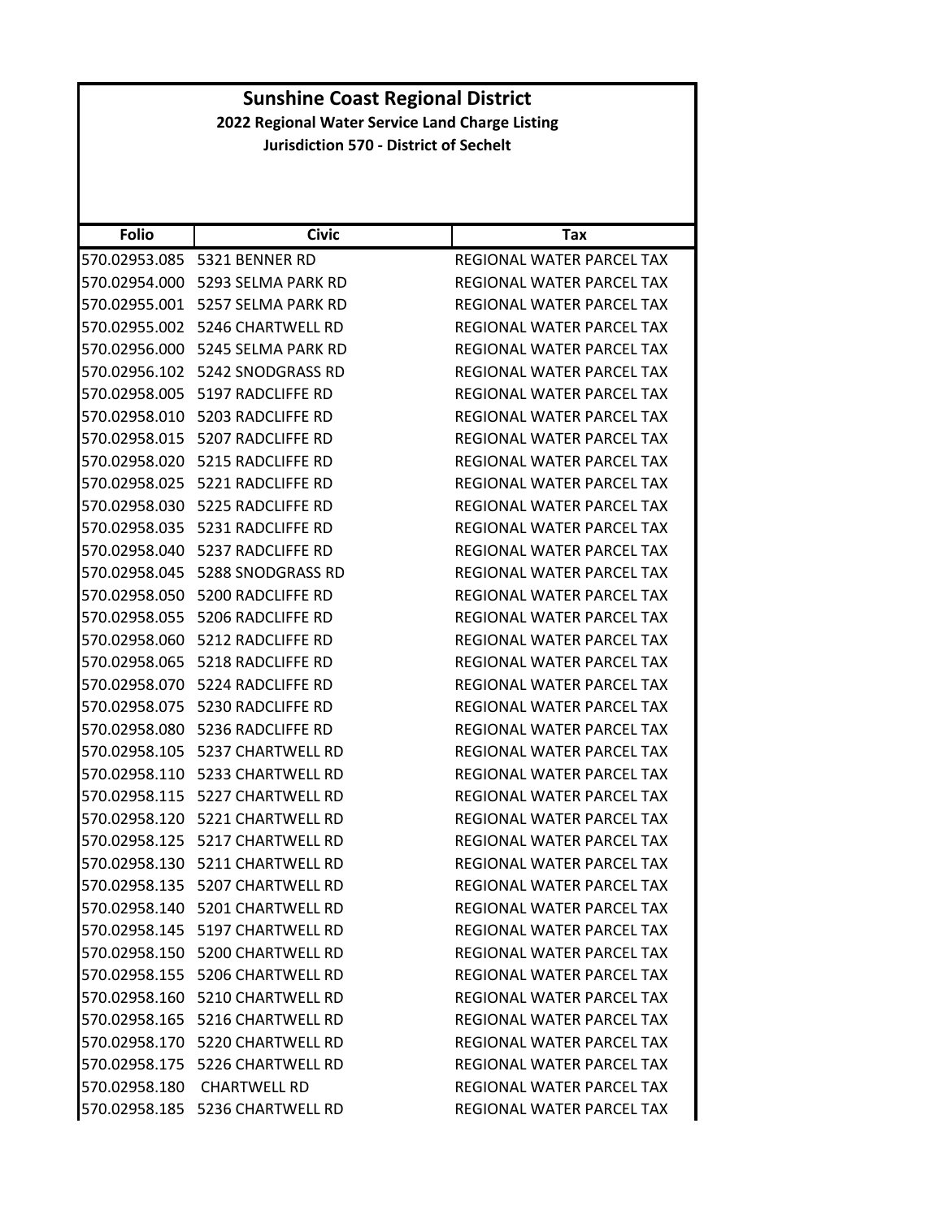| <b>Folio</b>                   | <b>Civic</b>                           | <b>Tax</b>                                             |
|--------------------------------|----------------------------------------|--------------------------------------------------------|
| 570.02953.085                  | 5321 BENNER RD                         | REGIONAL WATER PARCEL TAX                              |
| 570.02954.000                  | 5293 SELMA PARK RD                     | <b>REGIONAL WATER PARCEL TAX</b>                       |
| 570.02955.001                  | 5257 SELMA PARK RD                     | REGIONAL WATER PARCEL TAX                              |
| 570.02955.002                  | 5246 CHARTWELL RD                      | REGIONAL WATER PARCEL TAX                              |
| 570.02956.000                  | 5245 SELMA PARK RD                     | REGIONAL WATER PARCEL TAX                              |
| 570.02956.102                  | 5242 SNODGRASS RD                      | REGIONAL WATER PARCEL TAX                              |
| 570.02958.005                  | 5197 RADCLIFFE RD                      | REGIONAL WATER PARCEL TAX                              |
| 570.02958.010                  | 5203 RADCLIFFE RD                      | REGIONAL WATER PARCEL TAX                              |
| 570.02958.015                  | 5207 RADCLIFFE RD                      | REGIONAL WATER PARCEL TAX                              |
|                                |                                        |                                                        |
| 570.02958.020<br>570.02958.025 | 5215 RADCLIFFE RD<br>5221 RADCLIFFE RD | REGIONAL WATER PARCEL TAX<br>REGIONAL WATER PARCEL TAX |
| 570.02958.030                  | 5225 RADCLIFFE RD                      | REGIONAL WATER PARCEL TAX                              |
| 570.02958.035                  | 5231 RADCLIFFE RD                      | REGIONAL WATER PARCEL TAX                              |
| 570.02958.040                  | 5237 RADCLIFFE RD                      | REGIONAL WATER PARCEL TAX                              |
| 570.02958.045                  | 5288 SNODGRASS RD                      | REGIONAL WATER PARCEL TAX                              |
| 570.02958.050                  | 5200 RADCLIFFE RD                      | REGIONAL WATER PARCEL TAX                              |
| 570.02958.055                  | 5206 RADCLIFFE RD                      | REGIONAL WATER PARCEL TAX                              |
| 570.02958.060                  | 5212 RADCLIFFE RD                      | REGIONAL WATER PARCEL TAX                              |
| 570.02958.065                  | 5218 RADCLIFFE RD                      | REGIONAL WATER PARCEL TAX                              |
| 570.02958.070                  | 5224 RADCLIFFE RD                      | REGIONAL WATER PARCEL TAX                              |
| 570.02958.075                  | 5230 RADCLIFFE RD                      | REGIONAL WATER PARCEL TAX                              |
| 570.02958.080                  | 5236 RADCLIFFE RD                      | REGIONAL WATER PARCEL TAX                              |
| 570.02958.105                  | 5237 CHARTWELL RD                      | REGIONAL WATER PARCEL TAX                              |
| 570.02958.110                  | 5233 CHARTWELL RD                      | REGIONAL WATER PARCEL TAX                              |
| 570.02958.115                  | 5227 CHARTWELL RD                      | REGIONAL WATER PARCEL TAX                              |
| 570.02958.120                  | 5221 CHARTWELL RD                      | REGIONAL WATER PARCEL TAX                              |
| 570.02958.125                  | 5217 CHARTWELL RD                      | REGIONAL WATER PARCEL TAX                              |
| 570.02958.130                  | 5211 CHARTWELL RD                      | REGIONAL WATER PARCEL TAX                              |
| 570.02958.135                  | 5207 CHARTWELL RD                      | REGIONAL WATER PARCEL TAX                              |
|                                | 570.02958.140 5201 CHARTWELL RD        | <b>REGIONAL WATER PARCEL TAX</b>                       |
|                                | 570.02958.145    5197 CHARTWELL RD     | REGIONAL WATER PARCEL TAX                              |
|                                | 570.02958.150 5200 CHARTWELL RD        | <b>REGIONAL WATER PARCEL TAX</b>                       |
|                                | 570.02958.155 5206 CHARTWELL RD        | REGIONAL WATER PARCEL TAX                              |
|                                | 570.02958.160 5210 CHARTWELL RD        | REGIONAL WATER PARCEL TAX                              |
|                                | 570.02958.165 5216 CHARTWELL RD        | REGIONAL WATER PARCEL TAX                              |
|                                | 570.02958.170 5220 CHARTWELL RD        | REGIONAL WATER PARCEL TAX                              |
|                                | 570.02958.175    5226 CHARTWELL RD     | REGIONAL WATER PARCEL TAX                              |
|                                | 570.02958.180 CHARTWELL RD             | REGIONAL WATER PARCEL TAX                              |
|                                | 570.02958.185 5236 CHARTWELL RD        | REGIONAL WATER PARCEL TAX                              |
|                                |                                        |                                                        |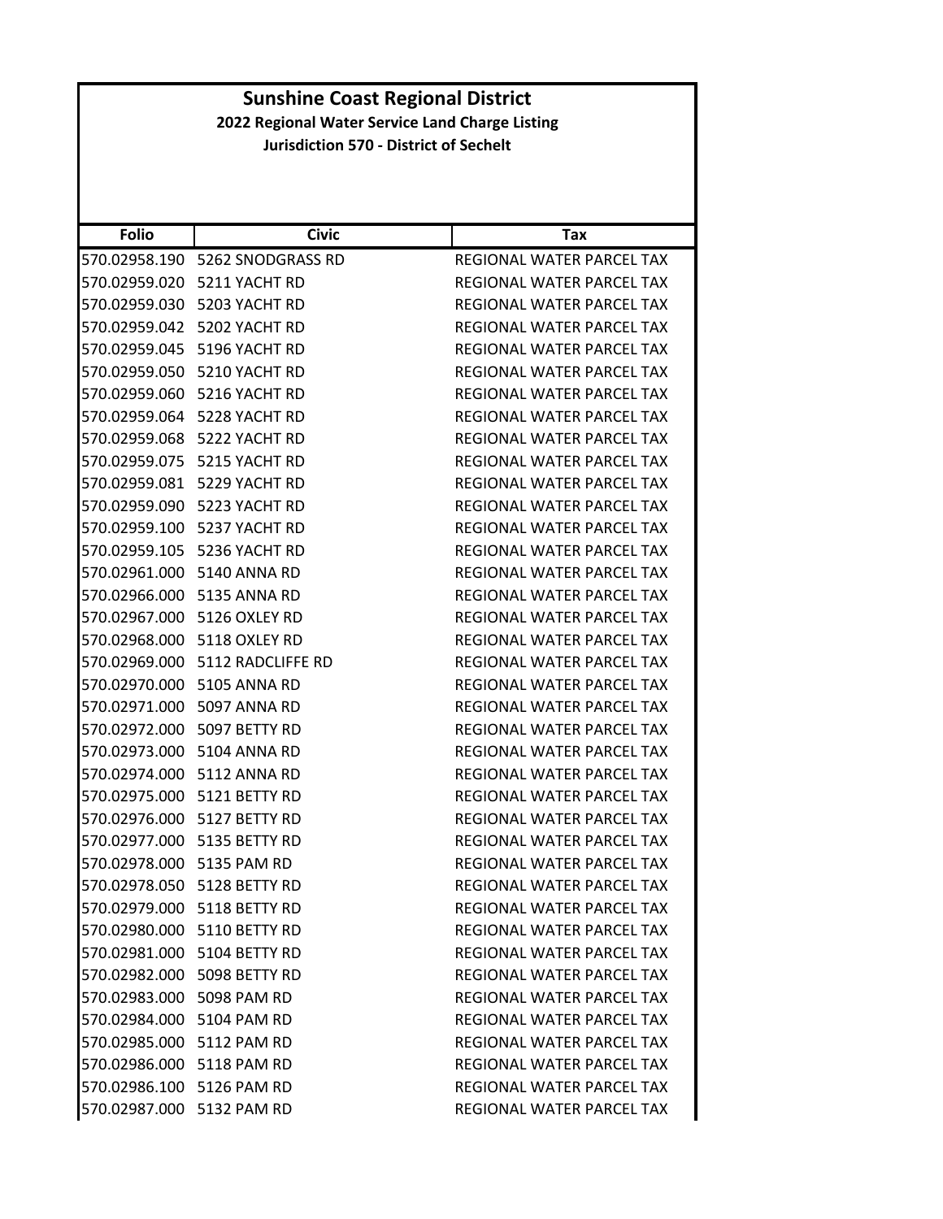| <b>Folio</b>              | <b>Civic</b>                       | Tax                       |
|---------------------------|------------------------------------|---------------------------|
|                           | 570.02958.190    5262 SNODGRASS RD | REGIONAL WATER PARCEL TAX |
|                           | 570.02959.020 5211 YACHT RD        | REGIONAL WATER PARCEL TAX |
|                           | 570.02959.030 5203 YACHT RD        | REGIONAL WATER PARCEL TAX |
|                           | 570.02959.042 5202 YACHT RD        | REGIONAL WATER PARCEL TAX |
|                           | 570.02959.045 5196 YACHT RD        | REGIONAL WATER PARCEL TAX |
|                           | 570.02959.050 5210 YACHT RD        | REGIONAL WATER PARCEL TAX |
|                           | 570.02959.060 5216 YACHT RD        | REGIONAL WATER PARCEL TAX |
|                           | 570.02959.064 5228 YACHT RD        | REGIONAL WATER PARCEL TAX |
|                           | 570.02959.068 5222 YACHT RD        | REGIONAL WATER PARCEL TAX |
| 570.02959.075             | 5215 YACHT RD                      | REGIONAL WATER PARCEL TAX |
|                           | 570.02959.081 5229 YACHT RD        | REGIONAL WATER PARCEL TAX |
|                           | 570.02959.090    5223 YACHT RD     | REGIONAL WATER PARCEL TAX |
|                           | 570.02959.100 5237 YACHT RD        | REGIONAL WATER PARCEL TAX |
|                           | 570.02959.105 5236 YACHT RD        | REGIONAL WATER PARCEL TAX |
|                           | 570.02961.000 5140 ANNA RD         | REGIONAL WATER PARCEL TAX |
|                           | 570.02966.000 5135 ANNA RD         | REGIONAL WATER PARCEL TAX |
|                           |                                    | REGIONAL WATER PARCEL TAX |
|                           | 570.02968.000 5118 OXLEY RD        | REGIONAL WATER PARCEL TAX |
|                           |                                    | REGIONAL WATER PARCEL TAX |
|                           | 570.02970.000 5105 ANNA RD         | REGIONAL WATER PARCEL TAX |
|                           | 570.02971.000 5097 ANNA RD         | REGIONAL WATER PARCEL TAX |
|                           | 570.02972.000    5097 BETTY RD     | REGIONAL WATER PARCEL TAX |
|                           | 570.02973.000 5104 ANNA RD         | REGIONAL WATER PARCEL TAX |
|                           | 570.02974.000 5112 ANNA RD         | REGIONAL WATER PARCEL TAX |
|                           | 570.02975.000 5121 BETTY RD        | REGIONAL WATER PARCEL TAX |
|                           | 570.02976.000 5127 BETTY RD        | REGIONAL WATER PARCEL TAX |
|                           | 570.02977.000 5135 BETTY RD        | REGIONAL WATER PARCEL TAX |
| 570.02978.000 5135 PAM RD |                                    | REGIONAL WATER PARCEL TAX |
|                           | 570.02978.050 5128 BETTY RD        | REGIONAL WATER PARCEL TAX |
|                           | 570.02979.000 5118 BETTY RD        | REGIONAL WATER PARCEL TAX |
|                           | 570.02980.000 5110 BETTY RD        | REGIONAL WATER PARCEL TAX |
|                           | 570.02981.000 5104 BETTY RD        | REGIONAL WATER PARCEL TAX |
|                           | 570.02982.000 5098 BETTY RD        | REGIONAL WATER PARCEL TAX |
| 570.02983.000 5098 PAM RD |                                    | REGIONAL WATER PARCEL TAX |
| 570.02984.000 5104 PAM RD |                                    | REGIONAL WATER PARCEL TAX |
| 570.02985.000 5112 PAM RD |                                    | REGIONAL WATER PARCEL TAX |
| 570.02986.000 5118 PAM RD |                                    | REGIONAL WATER PARCEL TAX |
| 570.02986.100 5126 PAM RD |                                    | REGIONAL WATER PARCEL TAX |
| 570.02987.000 5132 PAM RD |                                    | REGIONAL WATER PARCEL TAX |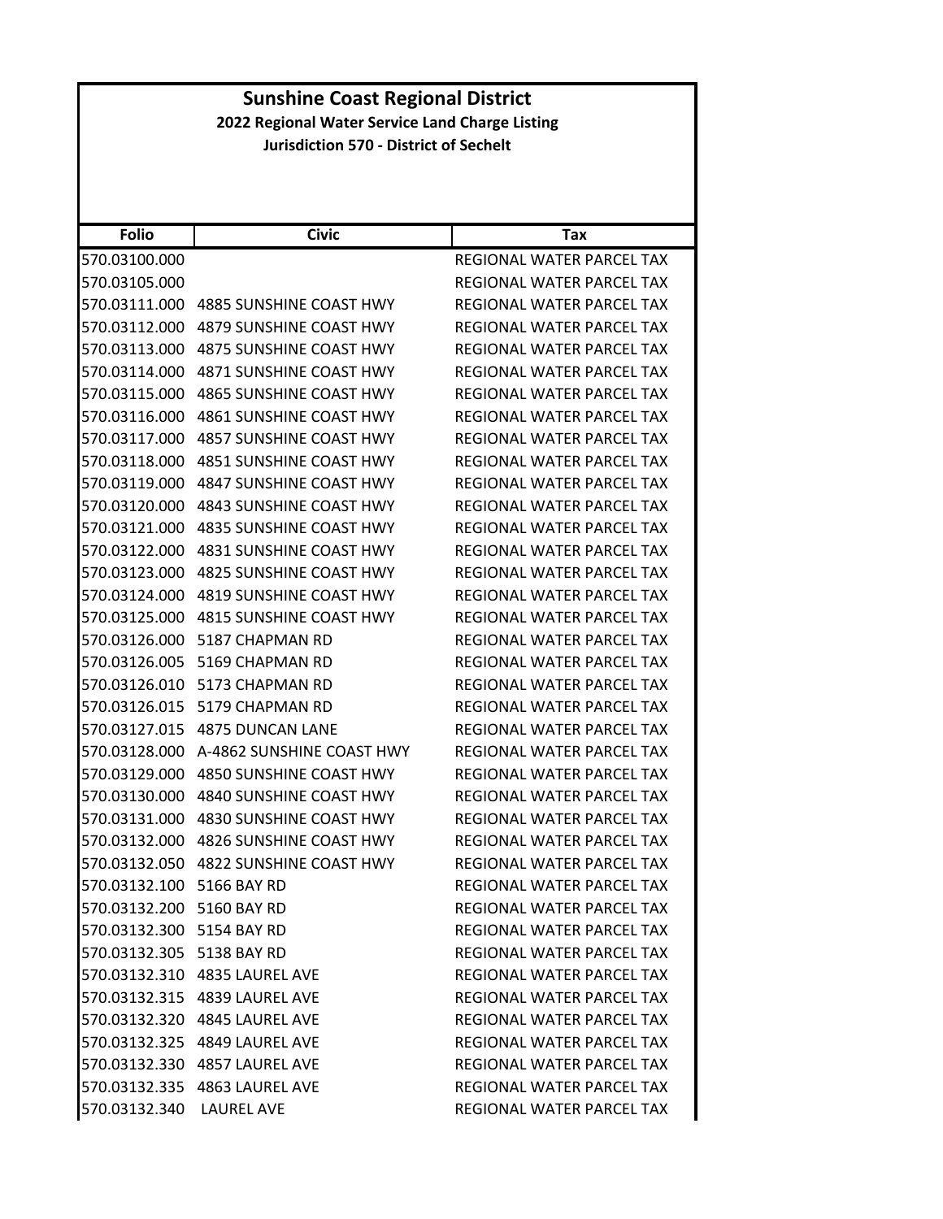| <b>Folio</b>              | <b>Civic</b>                   | Tax                       |
|---------------------------|--------------------------------|---------------------------|
| 570.03100.000             |                                | REGIONAL WATER PARCEL TAX |
| 570.03105.000             |                                | REGIONAL WATER PARCEL TAX |
| 570.03111.000             | 4885 SUNSHINE COAST HWY        | REGIONAL WATER PARCEL TAX |
| 570.03112.000             | 4879 SUNSHINE COAST HWY        | REGIONAL WATER PARCEL TAX |
| 570.03113.000             | 4875 SUNSHINE COAST HWY        | REGIONAL WATER PARCEL TAX |
| 570.03114.000             | <b>4871 SUNSHINE COAST HWY</b> | REGIONAL WATER PARCEL TAX |
| 570.03115.000             | <b>4865 SUNSHINE COAST HWY</b> | REGIONAL WATER PARCEL TAX |
| 570.03116.000             | 4861 SUNSHINE COAST HWY        | REGIONAL WATER PARCEL TAX |
| 570.03117.000             | <b>4857 SUNSHINE COAST HWY</b> | REGIONAL WATER PARCEL TAX |
| 570.03118.000             | 4851 SUNSHINE COAST HWY        | REGIONAL WATER PARCEL TAX |
| 570.03119.000             | 4847 SUNSHINE COAST HWY        | REGIONAL WATER PARCEL TAX |
| 570.03120.000             | 4843 SUNSHINE COAST HWY        | REGIONAL WATER PARCEL TAX |
| 570.03121.000             | 4835 SUNSHINE COAST HWY        | REGIONAL WATER PARCEL TAX |
| 570.03122.000             | 4831 SUNSHINE COAST HWY        | REGIONAL WATER PARCEL TAX |
| 570.03123.000             | 4825 SUNSHINE COAST HWY        | REGIONAL WATER PARCEL TAX |
| 570.03124.000             | 4819 SUNSHINE COAST HWY        | REGIONAL WATER PARCEL TAX |
| 570.03125.000             | 4815 SUNSHINE COAST HWY        | REGIONAL WATER PARCEL TAX |
| 570.03126.000             | 5187 CHAPMAN RD                | REGIONAL WATER PARCEL TAX |
| 570.03126.005             | 5169 CHAPMAN RD                | REGIONAL WATER PARCEL TAX |
| 570.03126.010             | 5173 CHAPMAN RD                | REGIONAL WATER PARCEL TAX |
| 570.03126.015             | 5179 CHAPMAN RD                | REGIONAL WATER PARCEL TAX |
| 570.03127.015             | <b>4875 DUNCAN LANE</b>        | REGIONAL WATER PARCEL TAX |
| 570.03128.000             | A-4862 SUNSHINE COAST HWY      | REGIONAL WATER PARCEL TAX |
| 570.03129.000             | 4850 SUNSHINE COAST HWY        | REGIONAL WATER PARCEL TAX |
| 570.03130.000             | 4840 SUNSHINE COAST HWY        | REGIONAL WATER PARCEL TAX |
| 570.03131.000             | 4830 SUNSHINE COAST HWY        | REGIONAL WATER PARCEL TAX |
| 570.03132.000             | 4826 SUNSHINE COAST HWY        | REGIONAL WATER PARCEL TAX |
| 570.03132.050             | <b>4822 SUNSHINE COAST HWY</b> | REGIONAL WATER PARCEL TAX |
| 570.03132.100             | 5166 BAY RD                    | REGIONAL WATER PARCEL TAX |
| 570.03132.200 5160 BAY RD |                                | REGIONAL WATER PARCEL TAX |
| 570.03132.300 5154 BAY RD |                                | REGIONAL WATER PARCEL TAX |
| 570.03132.305 5138 BAY RD |                                | REGIONAL WATER PARCEL TAX |
|                           | 570.03132.310 4835 LAUREL AVE  | REGIONAL WATER PARCEL TAX |
|                           | 570.03132.315 4839 LAUREL AVE  | REGIONAL WATER PARCEL TAX |
|                           | 570.03132.320 4845 LAUREL AVE  | REGIONAL WATER PARCEL TAX |
|                           | 570.03132.325 4849 LAUREL AVE  | REGIONAL WATER PARCEL TAX |
|                           | 570.03132.330 4857 LAUREL AVE  | REGIONAL WATER PARCEL TAX |
|                           | 570.03132.335 4863 LAUREL AVE  | REGIONAL WATER PARCEL TAX |
| 570.03132.340 LAUREL AVE  |                                | REGIONAL WATER PARCEL TAX |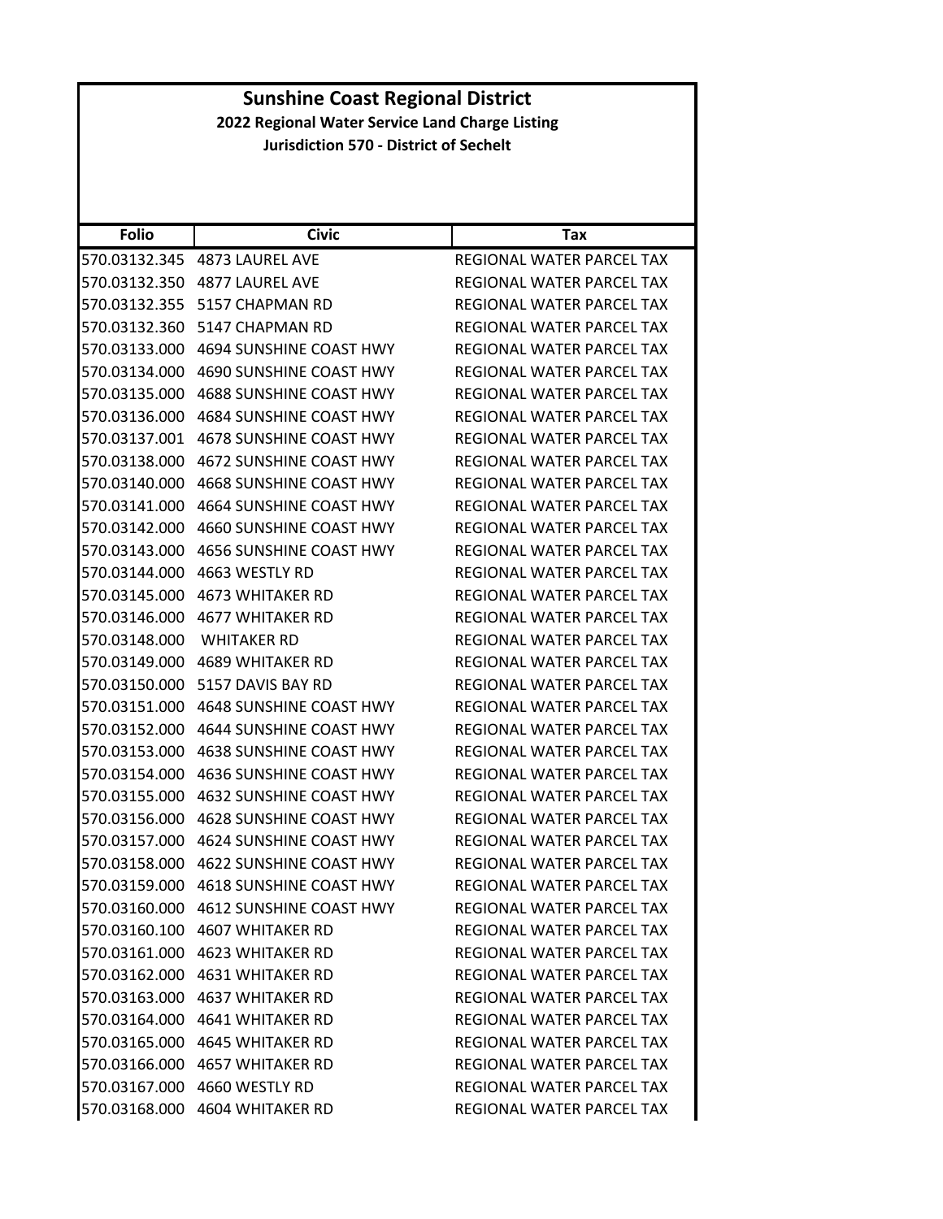|               | <b>Sunshine Coast Regional District</b>         |                                  |  |
|---------------|-------------------------------------------------|----------------------------------|--|
|               | 2022 Regional Water Service Land Charge Listing |                                  |  |
|               | <b>Jurisdiction 570 - District of Sechelt</b>   |                                  |  |
|               |                                                 |                                  |  |
|               |                                                 |                                  |  |
|               |                                                 |                                  |  |
| <b>Folio</b>  | <b>Civic</b>                                    | Tax                              |  |
|               | 570.03132.345 4873 LAUREL AVE                   | <b>REGIONAL WATER PARCEL TAX</b> |  |
| 570.03132.350 | <b>4877 LAUREL AVE</b>                          | REGIONAL WATER PARCEL TAX        |  |
|               | 570.03132.355 5157 CHAPMAN RD                   | <b>REGIONAL WATER PARCEL TAX</b> |  |
| 570.03132.360 | 5147 CHAPMAN RD                                 | REGIONAL WATER PARCEL TAX        |  |
| 570.03133.000 | 4694 SUNSHINE COAST HWY                         | REGIONAL WATER PARCEL TAX        |  |
|               | 570.03134.000 4690 SUNSHINE COAST HWY           | REGIONAL WATER PARCEL TAX        |  |
| 570.03135.000 | 4688 SUNSHINE COAST HWY                         | REGIONAL WATER PARCEL TAX        |  |
|               | 570.03136.000 4684 SUNSHINE COAST HWY           | REGIONAL WATER PARCEL TAX        |  |
| 570.03137.001 | <b>4678 SUNSHINE COAST HWY</b>                  | <b>REGIONAL WATER PARCEL TAX</b> |  |
|               | 570.03138.000 4672 SUNSHINE COAST HWY           | <b>REGIONAL WATER PARCEL TAX</b> |  |
| 570.03140.000 | 4668 SUNSHINE COAST HWY                         | REGIONAL WATER PARCEL TAX        |  |
| 570.03141.000 | 4664 SUNSHINE COAST HWY                         | REGIONAL WATER PARCEL TAX        |  |
|               | 570.03142.000 4660 SUNSHINE COAST HWY           | REGIONAL WATER PARCEL TAX        |  |
| 570.03143.000 | 4656 SUNSHINE COAST HWY                         | REGIONAL WATER PARCEL TAX        |  |
|               | 570.03144.000 4663 WESTLY RD                    | REGIONAL WATER PARCEL TAX        |  |
| 570.03145.000 | 4673 WHITAKER RD                                | REGIONAL WATER PARCEL TAX        |  |
|               | 570.03146.000 4677 WHITAKER RD                  | REGIONAL WATER PARCEL TAX        |  |
|               | 570.03148.000 WHITAKER RD                       | REGIONAL WATER PARCEL TAX        |  |
| 570.03149.000 | <b>4689 WHITAKER RD</b>                         | REGIONAL WATER PARCEL TAX        |  |
|               | 570.03150.000 5157 DAVIS BAY RD                 | REGIONAL WATER PARCEL TAX        |  |
|               | 570.03151.000 4648 SUNSHINE COAST HWY           | REGIONAL WATER PARCEL TAX        |  |
|               | 570.03152.000 4644 SUNSHINE COAST HWY           | REGIONAL WATER PARCEL TAX        |  |
| 570.03153.000 | 4638 SUNSHINE COAST HWY                         | REGIONAL WATER PARCEL TAX        |  |
|               | 570.03154.000 4636 SUNSHINE COAST HWY           | <b>REGIONAL WATER PARCEL TAX</b> |  |
|               | 570.03155.000 4632 SUNSHINE COAST HWY           | REGIONAL WATER PARCEL TAX        |  |
|               | 570.03156.000 4628 SUNSHINE COAST HWY           | REGIONAL WATER PARCEL TAX        |  |
|               | 570.03157.000 4624 SUNSHINE COAST HWY           | REGIONAL WATER PARCEL TAX        |  |
|               |                                                 | REGIONAL WATER PARCEL TAX        |  |
|               | 570.03159.000 4618 SUNSHINE COAST HWY           | REGIONAL WATER PARCEL TAX        |  |
|               | 570.03160.000 4612 SUNSHINE COAST HWY           | REGIONAL WATER PARCEL TAX        |  |
| 570.03160.100 | 4607 WHITAKER RD                                | REGIONAL WATER PARCEL TAX        |  |
|               | 570.03161.000 4623 WHITAKER RD                  | REGIONAL WATER PARCEL TAX        |  |
|               | 570.03162.000 4631 WHITAKER RD                  | REGIONAL WATER PARCEL TAX        |  |
|               | 570.03163.000 4637 WHITAKER RD                  | REGIONAL WATER PARCEL TAX        |  |
|               | 570.03164.000 4641 WHITAKER RD                  | REGIONAL WATER PARCEL TAX        |  |
|               | 570.03165.000 4645 WHITAKER RD                  | REGIONAL WATER PARCEL TAX        |  |
|               | 570.03166.000 4657 WHITAKER RD                  | REGIONAL WATER PARCEL TAX        |  |
|               | 570.03167.000 4660 WESTLY RD                    | REGIONAL WATER PARCEL TAX        |  |
|               |                                                 |                                  |  |
|               | 570.03168.000 4604 WHITAKER RD                  | REGIONAL WATER PARCEL TAX        |  |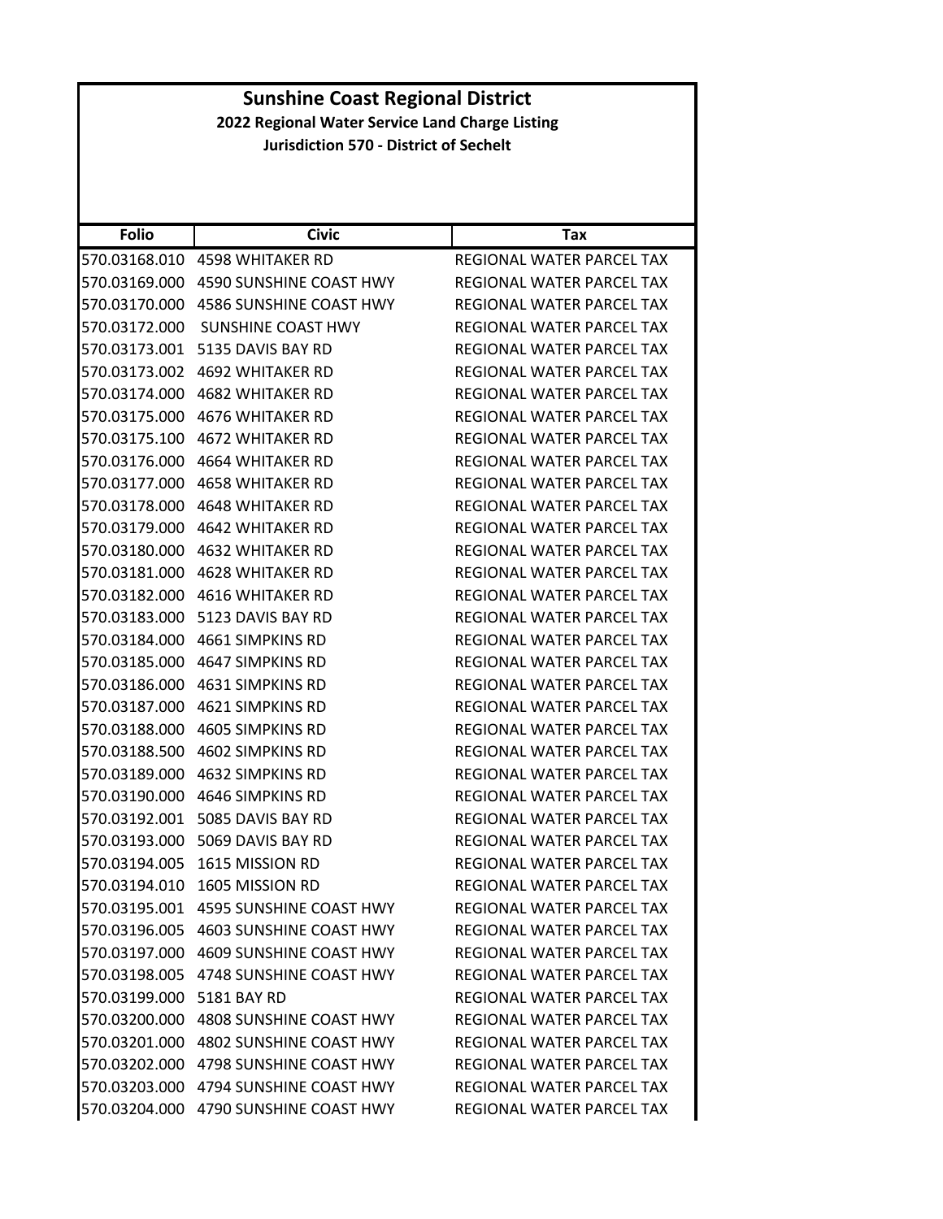| <b>Folio</b>  | <b>Civic</b>                          | Tax                       |
|---------------|---------------------------------------|---------------------------|
| 570.03168.010 | <b>4598 WHITAKER RD</b>               | REGIONAL WATER PARCEL TAX |
| 570.03169.000 | 4590 SUNSHINE COAST HWY               | REGIONAL WATER PARCEL TAX |
| 570.03170.000 | 4586 SUNSHINE COAST HWY               | REGIONAL WATER PARCEL TAX |
| 570.03172.000 | SUNSHINE COAST HWY                    | REGIONAL WATER PARCEL TAX |
| 570.03173.001 | 5135 DAVIS BAY RD                     | REGIONAL WATER PARCEL TAX |
| 570.03173.002 | 4692 WHITAKER RD                      | REGIONAL WATER PARCEL TAX |
| 570.03174.000 | 4682 WHITAKER RD                      | REGIONAL WATER PARCEL TAX |
| 570.03175.000 | <b>4676 WHITAKER RD</b>               | REGIONAL WATER PARCEL TAX |
| 570.03175.100 | 4672 WHITAKER RD                      | REGIONAL WATER PARCEL TAX |
| 570.03176.000 | 4664 WHITAKER RD                      | REGIONAL WATER PARCEL TAX |
| 570.03177.000 | <b>4658 WHITAKER RD</b>               | REGIONAL WATER PARCEL TAX |
| 570.03178.000 | 4648 WHITAKER RD                      | REGIONAL WATER PARCEL TAX |
| 570.03179.000 | 4642 WHITAKER RD                      | REGIONAL WATER PARCEL TAX |
| 570.03180.000 | 4632 WHITAKER RD                      | REGIONAL WATER PARCEL TAX |
| 570.03181.000 | <b>4628 WHITAKER RD</b>               | REGIONAL WATER PARCEL TAX |
| 570.03182.000 | 4616 WHITAKER RD                      | REGIONAL WATER PARCEL TAX |
| 570.03183.000 | 5123 DAVIS BAY RD                     | REGIONAL WATER PARCEL TAX |
|               | 570.03184.000 4661 SIMPKINS RD        | REGIONAL WATER PARCEL TAX |
| 570.03185.000 | 4647 SIMPKINS RD                      | REGIONAL WATER PARCEL TAX |
| 570.03186.000 | 4631 SIMPKINS RD                      | REGIONAL WATER PARCEL TAX |
| 570.03187.000 | 4621 SIMPKINS RD                      | REGIONAL WATER PARCEL TAX |
| 570.03188.000 | 4605 SIMPKINS RD                      | REGIONAL WATER PARCEL TAX |
| 570.03188.500 | 4602 SIMPKINS RD                      | REGIONAL WATER PARCEL TAX |
| 570.03189.000 | 4632 SIMPKINS RD                      | REGIONAL WATER PARCEL TAX |
| 570.03190.000 | 4646 SIMPKINS RD                      | REGIONAL WATER PARCEL TAX |
| 570.03192.001 | 5085 DAVIS BAY RD                     | REGIONAL WATER PARCEL TAX |
| 570.03193.000 | 5069 DAVIS BAY RD                     | REGIONAL WATER PARCEL TAX |
| 570.03194.005 | 1615 MISSION RD                       | REGIONAL WATER PARCEL TAX |
| 570.03194.010 | 1605 MISSION RD                       | REGIONAL WATER PARCEL TAX |
|               | 570.03195.001 4595 SUNSHINE COAST HWY | REGIONAL WATER PARCEL TAX |
| 570.03196.005 | 4603 SUNSHINE COAST HWY               | REGIONAL WATER PARCEL TAX |
| 570.03197.000 | <b>4609 SUNSHINE COAST HWY</b>        | REGIONAL WATER PARCEL TAX |
|               | 570.03198.005 4748 SUNSHINE COAST HWY | REGIONAL WATER PARCEL TAX |
| 570.03199.000 | 5181 BAY RD                           | REGIONAL WATER PARCEL TAX |
|               | 570.03200.000 4808 SUNSHINE COAST HWY | REGIONAL WATER PARCEL TAX |
| 570.03201.000 | 4802 SUNSHINE COAST HWY               | REGIONAL WATER PARCEL TAX |
| 570.03202.000 | 4798 SUNSHINE COAST HWY               | REGIONAL WATER PARCEL TAX |
|               | 570.03203.000 4794 SUNSHINE COAST HWY | REGIONAL WATER PARCEL TAX |
| 570.03204.000 | 4790 SUNSHINE COAST HWY               | REGIONAL WATER PARCEL TAX |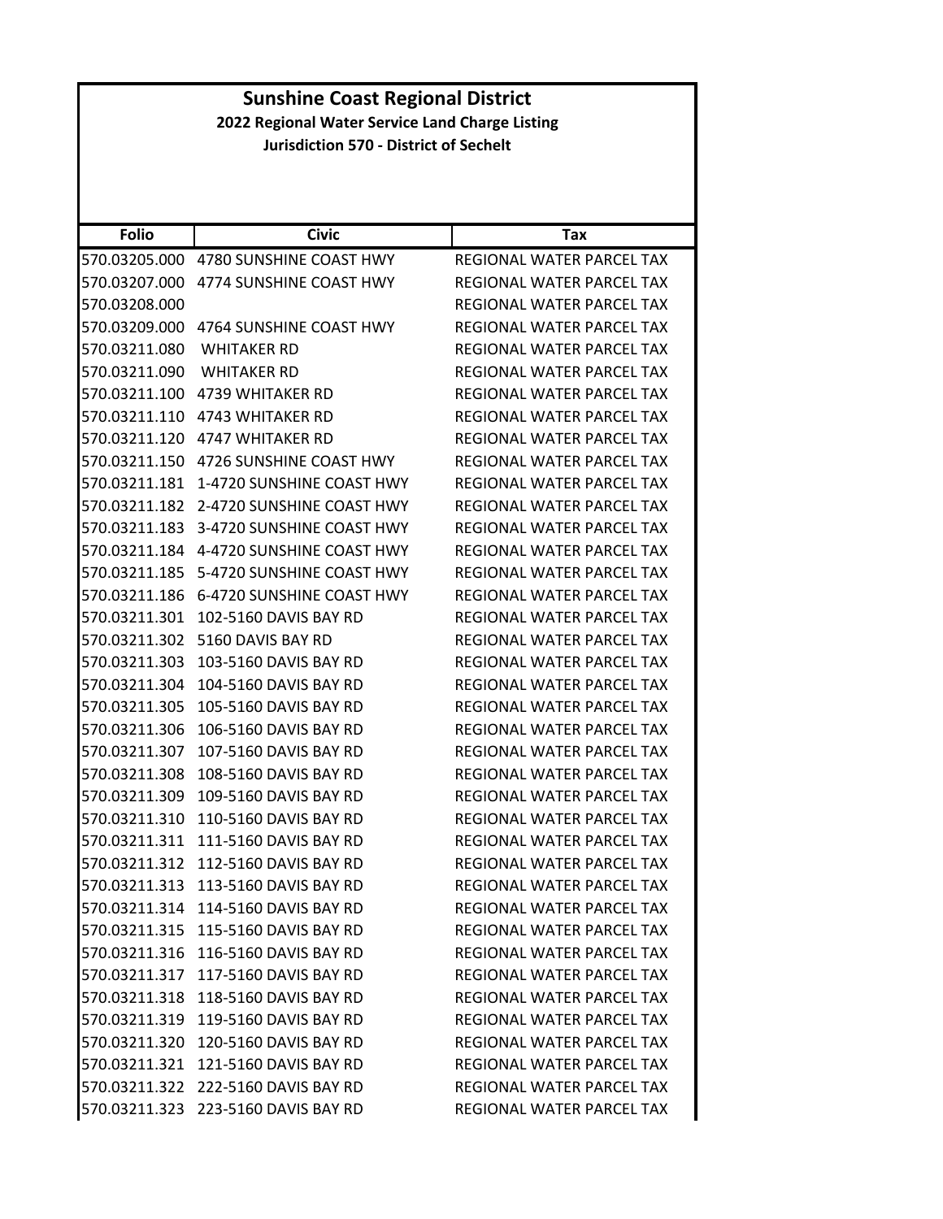| <b>Sunshine Coast Regional District</b><br>2022 Regional Water Service Land Charge Listing |                                               |                                                        |  |  |
|--------------------------------------------------------------------------------------------|-----------------------------------------------|--------------------------------------------------------|--|--|
|                                                                                            | <b>Jurisdiction 570 - District of Sechelt</b> |                                                        |  |  |
|                                                                                            |                                               |                                                        |  |  |
|                                                                                            |                                               |                                                        |  |  |
|                                                                                            |                                               |                                                        |  |  |
| <b>Folio</b>                                                                               | <b>Civic</b>                                  | Tax                                                    |  |  |
| 570.03205.000                                                                              | 4780 SUNSHINE COAST HWY                       | REGIONAL WATER PARCEL TAX<br>REGIONAL WATER PARCEL TAX |  |  |
| 570.03207.000<br>570.03208.000                                                             | 4774 SUNSHINE COAST HWY                       |                                                        |  |  |
| 570.03209.000                                                                              | 4764 SUNSHINE COAST HWY                       | REGIONAL WATER PARCEL TAX<br>REGIONAL WATER PARCEL TAX |  |  |
|                                                                                            |                                               |                                                        |  |  |
| 570.03211.080                                                                              | WHITAKER RD                                   | REGIONAL WATER PARCEL TAX                              |  |  |
| 570.03211.090                                                                              | <b>WHITAKER RD</b>                            | REGIONAL WATER PARCEL TAX                              |  |  |
| 570.03211.100                                                                              | 4739 WHITAKER RD                              | REGIONAL WATER PARCEL TAX                              |  |  |
| 570.03211.110                                                                              | 4743 WHITAKER RD                              | REGIONAL WATER PARCEL TAX                              |  |  |
| 570.03211.120                                                                              | <b>4747 WHITAKER RD</b>                       | REGIONAL WATER PARCEL TAX                              |  |  |
|                                                                                            | 570.03211.150 4726 SUNSHINE COAST HWY         | REGIONAL WATER PARCEL TAX                              |  |  |
| 570.03211.181                                                                              | 1-4720 SUNSHINE COAST HWY                     | REGIONAL WATER PARCEL TAX                              |  |  |
| 570.03211.182                                                                              | 2-4720 SUNSHINE COAST HWY                     | <b>REGIONAL WATER PARCEL TAX</b>                       |  |  |
| 570.03211.183                                                                              | 3-4720 SUNSHINE COAST HWY                     | REGIONAL WATER PARCEL TAX                              |  |  |
|                                                                                            | 570.03211.184  4-4720 SUNSHINE COAST HWY      | REGIONAL WATER PARCEL TAX                              |  |  |
|                                                                                            | 570.03211.185    5-4720 SUNSHINE COAST HWY    | REGIONAL WATER PARCEL TAX                              |  |  |
| 570.03211.186                                                                              | 6-4720 SUNSHINE COAST HWY                     | REGIONAL WATER PARCEL TAX                              |  |  |
| 570.03211.301                                                                              | 102-5160 DAVIS BAY RD                         | REGIONAL WATER PARCEL TAX                              |  |  |
| 570.03211.302                                                                              | 5160 DAVIS BAY RD                             | REGIONAL WATER PARCEL TAX                              |  |  |
| 570.03211.303                                                                              | 103-5160 DAVIS BAY RD                         | REGIONAL WATER PARCEL TAX                              |  |  |
| 570.03211.304                                                                              | 104-5160 DAVIS BAY RD                         | REGIONAL WATER PARCEL TAX                              |  |  |
| 570.03211.305                                                                              | 105-5160 DAVIS BAY RD                         | REGIONAL WATER PARCEL TAX                              |  |  |
| 570.03211.306                                                                              | 106-5160 DAVIS BAY RD                         | <b>REGIONAL WATER PARCEL TAX</b>                       |  |  |
| 570.03211.307                                                                              | 107-5160 DAVIS BAY RD                         | REGIONAL WATER PARCEL TAX                              |  |  |
|                                                                                            | 570.03211.308 108-5160 DAVIS BAY RD           | REGIONAL WATER PARCEL TAX                              |  |  |
|                                                                                            | 570.03211.309 109-5160 DAVIS BAY RD           | REGIONAL WATER PARCEL TAX                              |  |  |
|                                                                                            | 570.03211.310 110-5160 DAVIS BAY RD           | REGIONAL WATER PARCEL TAX                              |  |  |
|                                                                                            |                                               | REGIONAL WATER PARCEL TAX                              |  |  |
|                                                                                            | 570.03211.312 112-5160 DAVIS BAY RD           | REGIONAL WATER PARCEL TAX                              |  |  |
|                                                                                            | 570.03211.313 113-5160 DAVIS BAY RD           | REGIONAL WATER PARCEL TAX                              |  |  |
| 570.03211.314                                                                              | 114-5160 DAVIS BAY RD                         | REGIONAL WATER PARCEL TAX                              |  |  |
|                                                                                            | 570.03211.315 115-5160 DAVIS BAY RD           | REGIONAL WATER PARCEL TAX                              |  |  |
|                                                                                            | 570.03211.316 116-5160 DAVIS BAY RD           | REGIONAL WATER PARCEL TAX                              |  |  |
|                                                                                            | 570.03211.317 117-5160 DAVIS BAY RD           | REGIONAL WATER PARCEL TAX                              |  |  |
|                                                                                            | 570.03211.318 118-5160 DAVIS BAY RD           | REGIONAL WATER PARCEL TAX                              |  |  |
| 570.03211.319                                                                              | 119-5160 DAVIS BAY RD                         | REGIONAL WATER PARCEL TAX                              |  |  |
|                                                                                            | 570.03211.320 120-5160 DAVIS BAY RD           | REGIONAL WATER PARCEL TAX                              |  |  |
| 570.03211.321                                                                              | 121-5160 DAVIS BAY RD                         | REGIONAL WATER PARCEL TAX                              |  |  |
|                                                                                            | 570.03211.322 222-5160 DAVIS BAY RD           | REGIONAL WATER PARCEL TAX                              |  |  |
|                                                                                            | 570.03211.323 223-5160 DAVIS BAY RD           | REGIONAL WATER PARCEL TAX                              |  |  |
|                                                                                            |                                               |                                                        |  |  |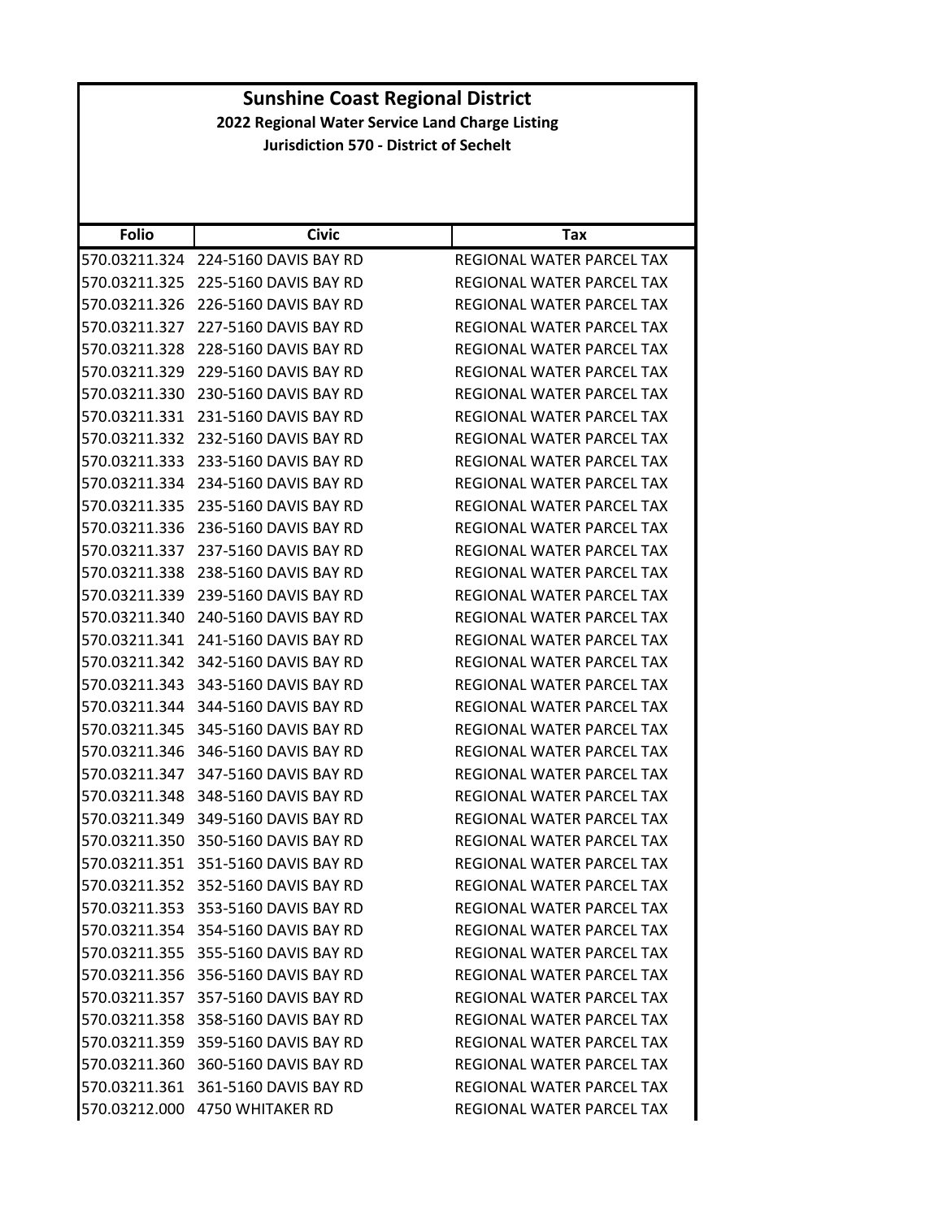| <b>Folio</b>  | <b>Civic</b>                        | Tax                              |
|---------------|-------------------------------------|----------------------------------|
| 570.03211.324 | 224-5160 DAVIS BAY RD               | REGIONAL WATER PARCEL TAX        |
| 570.03211.325 | 225-5160 DAVIS BAY RD               | REGIONAL WATER PARCEL TAX        |
| 570.03211.326 | 226-5160 DAVIS BAY RD               | <b>REGIONAL WATER PARCEL TAX</b> |
| 570.03211.327 | 227-5160 DAVIS BAY RD               | REGIONAL WATER PARCEL TAX        |
| 570.03211.328 | 228-5160 DAVIS BAY RD               | REGIONAL WATER PARCEL TAX        |
| 570.03211.329 | 229-5160 DAVIS BAY RD               | REGIONAL WATER PARCEL TAX        |
| 570.03211.330 | 230-5160 DAVIS BAY RD               | REGIONAL WATER PARCEL TAX        |
| 570.03211.331 | 231-5160 DAVIS BAY RD               | REGIONAL WATER PARCEL TAX        |
| 570.03211.332 | 232-5160 DAVIS BAY RD               | REGIONAL WATER PARCEL TAX        |
| 570.03211.333 | 233-5160 DAVIS BAY RD               | REGIONAL WATER PARCEL TAX        |
| 570.03211.334 | 234-5160 DAVIS BAY RD               | REGIONAL WATER PARCEL TAX        |
| 570.03211.335 | 235-5160 DAVIS BAY RD               | REGIONAL WATER PARCEL TAX        |
| 570.03211.336 | 236-5160 DAVIS BAY RD               | REGIONAL WATER PARCEL TAX        |
| 570.03211.337 | 237-5160 DAVIS BAY RD               | REGIONAL WATER PARCEL TAX        |
| 570.03211.338 | 238-5160 DAVIS BAY RD               | REGIONAL WATER PARCEL TAX        |
| 570.03211.339 | 239-5160 DAVIS BAY RD               | REGIONAL WATER PARCEL TAX        |
| 570.03211.340 | 240-5160 DAVIS BAY RD               | REGIONAL WATER PARCEL TAX        |
| 570.03211.341 | 241-5160 DAVIS BAY RD               | REGIONAL WATER PARCEL TAX        |
| 570.03211.342 | 342-5160 DAVIS BAY RD               | REGIONAL WATER PARCEL TAX        |
| 570.03211.343 | 343-5160 DAVIS BAY RD               | REGIONAL WATER PARCEL TAX        |
| 570.03211.344 | 344-5160 DAVIS BAY RD               | REGIONAL WATER PARCEL TAX        |
| 570.03211.345 | 345-5160 DAVIS BAY RD               | REGIONAL WATER PARCEL TAX        |
| 570.03211.346 | 346-5160 DAVIS BAY RD               | REGIONAL WATER PARCEL TAX        |
| 570.03211.347 | 347-5160 DAVIS BAY RD               | REGIONAL WATER PARCEL TAX        |
| 570.03211.348 | 348-5160 DAVIS BAY RD               | REGIONAL WATER PARCEL TAX        |
| 570.03211.349 | 349-5160 DAVIS BAY RD               | REGIONAL WATER PARCEL TAX        |
| 570.03211.350 | 350-5160 DAVIS BAY RD               | REGIONAL WATER PARCEL TAX        |
| 570.03211.351 | 351-5160 DAVIS BAY RD               | <b>REGIONAL WATER PARCEL TAX</b> |
| 570.03211.352 | 352-5160 DAVIS BAY RD               | REGIONAL WATER PARCEL TAX        |
|               | 570.03211.353 353-5160 DAVIS BAY RD | REGIONAL WATER PARCEL TAX        |
|               | 570.03211.354 354-5160 DAVIS BAY RD | REGIONAL WATER PARCEL TAX        |
|               | 570.03211.355 355-5160 DAVIS BAY RD | REGIONAL WATER PARCEL TAX        |
|               | 570.03211.356 356-5160 DAVIS BAY RD | REGIONAL WATER PARCEL TAX        |
|               | 570.03211.357 357-5160 DAVIS BAY RD | REGIONAL WATER PARCEL TAX        |
|               | 570.03211.358 358-5160 DAVIS BAY RD | <b>REGIONAL WATER PARCEL TAX</b> |
|               | 570.03211.359 359-5160 DAVIS BAY RD | REGIONAL WATER PARCEL TAX        |
|               | 570.03211.360 360-5160 DAVIS BAY RD | <b>REGIONAL WATER PARCEL TAX</b> |
|               | 570.03211.361 361-5160 DAVIS BAY RD | REGIONAL WATER PARCEL TAX        |
|               | 570.03212.000 4750 WHITAKER RD      | REGIONAL WATER PARCEL TAX        |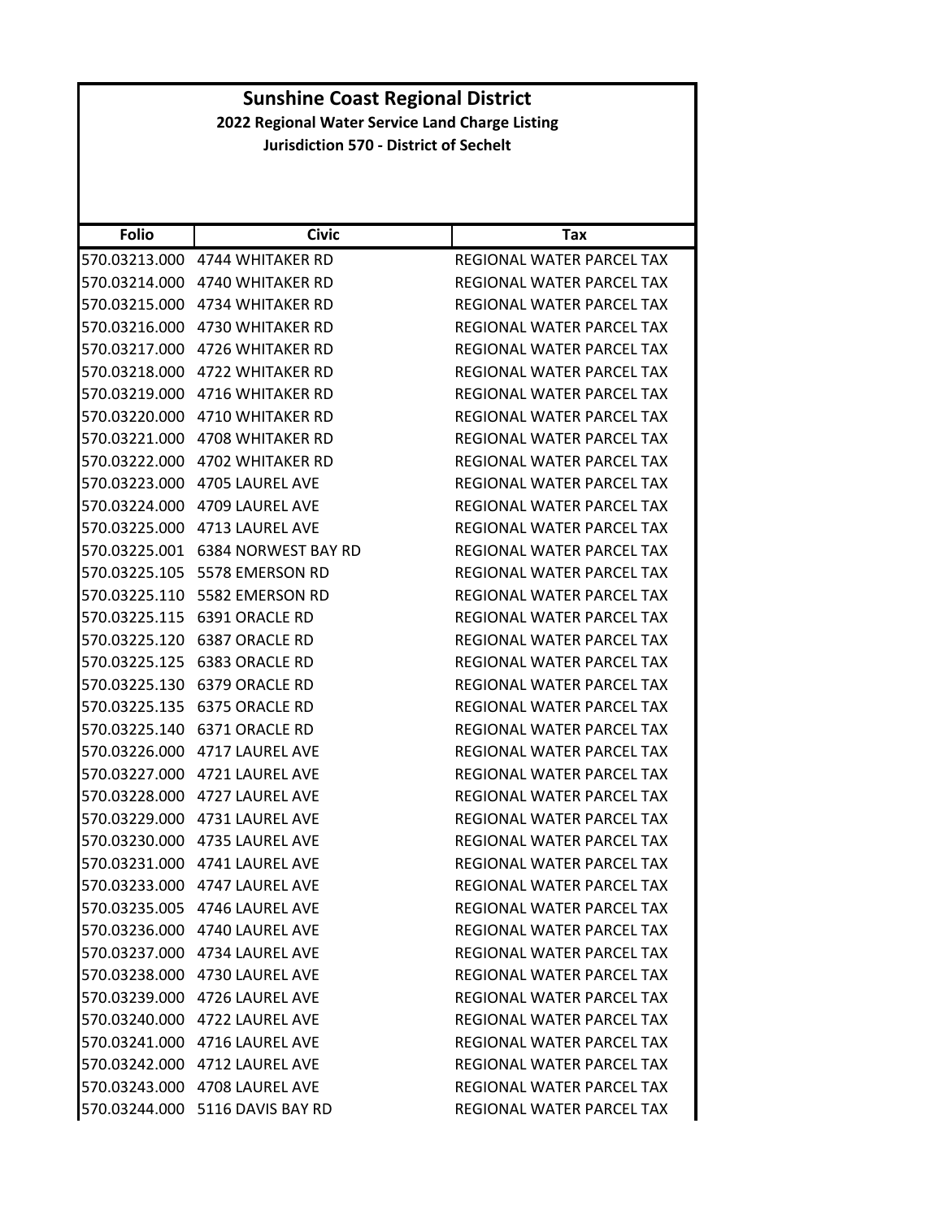| <b>Folio</b>  | <b>Civic</b>                     | Tax                              |
|---------------|----------------------------------|----------------------------------|
|               | 570.03213.000 4744 WHITAKER RD   | REGIONAL WATER PARCEL TAX        |
|               | 570.03214.000 4740 WHITAKER RD   | REGIONAL WATER PARCEL TAX        |
| 570.03215.000 | 4734 WHITAKER RD                 | REGIONAL WATER PARCEL TAX        |
|               | 570.03216.000 4730 WHITAKER RD   | REGIONAL WATER PARCEL TAX        |
|               | 570.03217.000 4726 WHITAKER RD   | REGIONAL WATER PARCEL TAX        |
| 570.03218.000 | 4722 WHITAKER RD                 | REGIONAL WATER PARCEL TAX        |
|               | 570.03219.000 4716 WHITAKER RD   | REGIONAL WATER PARCEL TAX        |
| 570.03220.000 | 4710 WHITAKER RD                 | REGIONAL WATER PARCEL TAX        |
|               | 570.03221.000 4708 WHITAKER RD   | REGIONAL WATER PARCEL TAX        |
|               |                                  | REGIONAL WATER PARCEL TAX        |
| 570.03223.000 | 4705 LAUREL AVE                  | REGIONAL WATER PARCEL TAX        |
|               | 570.03224.000    4709 LAUREL AVE | REGIONAL WATER PARCEL TAX        |
| 570.03225.000 | 4713 LAUREL AVE                  | REGIONAL WATER PARCEL TAX        |
|               |                                  | REGIONAL WATER PARCEL TAX        |
| 570.03225.105 | 5578 EMERSON RD                  | REGIONAL WATER PARCEL TAX        |
| 570.03225.110 | 5582 EMERSON RD                  | REGIONAL WATER PARCEL TAX        |
|               |                                  | REGIONAL WATER PARCEL TAX        |
| 570.03225.120 | 6387 ORACLE RD                   | REGIONAL WATER PARCEL TAX        |
|               |                                  | REGIONAL WATER PARCEL TAX        |
| 570.03225.130 | 6379 ORACLE RD                   | REGIONAL WATER PARCEL TAX        |
| 570.03225.135 | 6375 ORACLE RD                   | REGIONAL WATER PARCEL TAX        |
| 570.03225.140 | 6371 ORACLE RD                   | REGIONAL WATER PARCEL TAX        |
|               | 570.03226.000 4717 LAUREL AVE    | REGIONAL WATER PARCEL TAX        |
|               |                                  | REGIONAL WATER PARCEL TAX        |
| 570.03228.000 | 4727 LAUREL AVE                  | REGIONAL WATER PARCEL TAX        |
|               | 570.03229.000 4731 LAUREL AVE    | REGIONAL WATER PARCEL TAX        |
|               | 570.03230.000 4735 LAUREL AVE    | <b>REGIONAL WATER PARCEL TAX</b> |
|               | 570.03231.000 4741 LAUREL AVE    | REGIONAL WATER PARCEL TAX        |
|               | 570.03233.000 4747 LAUREL AVE    | REGIONAL WATER PARCEL TAX        |
|               | 570.03235.005 4746 LAUREL AVE    | REGIONAL WATER PARCEL TAX        |
|               | 570.03236.000 4740 LAUREL AVE    | REGIONAL WATER PARCEL TAX        |
|               | 570.03237.000 4734 LAUREL AVE    | REGIONAL WATER PARCEL TAX        |
|               | 570.03238.000 4730 LAUREL AVE    | REGIONAL WATER PARCEL TAX        |
|               | 570.03239.000 4726 LAUREL AVE    | REGIONAL WATER PARCEL TAX        |
|               | 570.03240.000 4722 LAUREL AVE    | REGIONAL WATER PARCEL TAX        |
|               | 570.03241.000 4716 LAUREL AVE    | REGIONAL WATER PARCEL TAX        |
|               | 570.03242.000 4712 LAUREL AVE    | REGIONAL WATER PARCEL TAX        |
|               | 570.03243.000 4708 LAUREL AVE    | REGIONAL WATER PARCEL TAX        |
|               | 570.03244.000 5116 DAVIS BAY RD  | REGIONAL WATER PARCEL TAX        |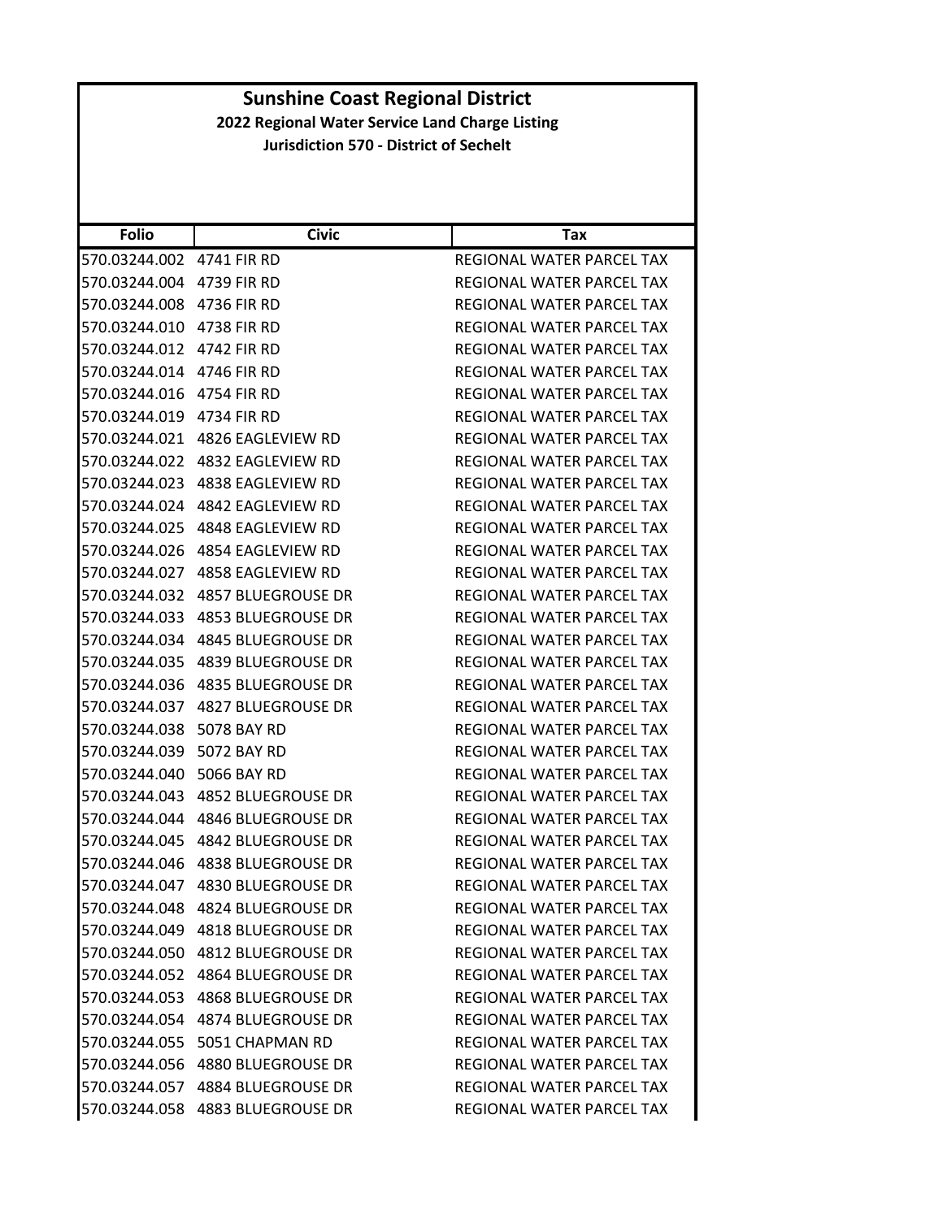| <b>Folio</b>              | <b>Civic</b>                     | <b>Tax</b>                       |
|---------------------------|----------------------------------|----------------------------------|
| 570.03244.002             | 4741 FIR RD                      | REGIONAL WATER PARCEL TAX        |
| 570.03244.004             | 4739 FIR RD                      | REGIONAL WATER PARCEL TAX        |
| 570.03244.008             | 4736 FIR RD                      | REGIONAL WATER PARCEL TAX        |
| 570.03244.010             | 4738 FIR RD                      | REGIONAL WATER PARCEL TAX        |
| 570.03244.012             | 4742 FIR RD                      | REGIONAL WATER PARCEL TAX        |
| 570.03244.014 4746 FIR RD |                                  | REGIONAL WATER PARCEL TAX        |
| 570.03244.016             | 4754 FIR RD                      | REGIONAL WATER PARCEL TAX        |
| 570.03244.019             | 4734 FIR RD                      | REGIONAL WATER PARCEL TAX        |
| 570.03244.021             | 4826 EAGLEVIEW RD                | REGIONAL WATER PARCEL TAX        |
| 570.03244.022             | 4832 EAGLEVIEW RD                | REGIONAL WATER PARCEL TAX        |
| 570.03244.023             | 4838 EAGLEVIEW RD                | REGIONAL WATER PARCEL TAX        |
| 570.03244.024             | 4842 EAGLEVIEW RD                | REGIONAL WATER PARCEL TAX        |
| 570.03244.025             | 4848 EAGLEVIEW RD                | REGIONAL WATER PARCEL TAX        |
| 570.03244.026             | 4854 EAGLEVIEW RD                | <b>REGIONAL WATER PARCEL TAX</b> |
| 570.03244.027             | 4858 EAGLEVIEW RD                | REGIONAL WATER PARCEL TAX        |
| 570.03244.032             | 4857 BLUEGROUSE DR               | REGIONAL WATER PARCEL TAX        |
| 570.03244.033             | 4853 BLUEGROUSE DR               | REGIONAL WATER PARCEL TAX        |
| 570.03244.034             | 4845 BLUEGROUSE DR               | REGIONAL WATER PARCEL TAX        |
| 570.03244.035             | 4839 BLUEGROUSE DR               | REGIONAL WATER PARCEL TAX        |
| 570.03244.036             | 4835 BLUEGROUSE DR               | REGIONAL WATER PARCEL TAX        |
| 570.03244.037             | 4827 BLUEGROUSE DR               | REGIONAL WATER PARCEL TAX        |
| 570.03244.038             | 5078 BAY RD                      | REGIONAL WATER PARCEL TAX        |
| 570.03244.039             | 5072 BAY RD                      | REGIONAL WATER PARCEL TAX        |
| 570.03244.040             | 5066 BAY RD                      | REGIONAL WATER PARCEL TAX        |
| 570.03244.043             | 4852 BLUEGROUSE DR               | REGIONAL WATER PARCEL TAX        |
| 570.03244.044             | 4846 BLUEGROUSE DR               | REGIONAL WATER PARCEL TAX        |
| 570.03244.045             | 4842 BLUEGROUSE DR               | REGIONAL WATER PARCEL TAX        |
| 570.03244.046             | 4838 BLUEGROUSE DR               | REGIONAL WATER PARCEL TAX        |
| 570.03244.047             | <b>4830 BLUEGROUSE DR</b>        | REGIONAL WATER PARCEL TAX        |
| 570.03244.048             | 4824 BLUEGROUSE DR               | REGIONAL WATER PARCEL TAX        |
|                           | 570.03244.049 4818 BLUEGROUSE DR | REGIONAL WATER PARCEL TAX        |
|                           | 570.03244.050 4812 BLUEGROUSE DR | REGIONAL WATER PARCEL TAX        |
|                           | 570.03244.052 4864 BLUEGROUSE DR | REGIONAL WATER PARCEL TAX        |
| 570.03244.053             | 4868 BLUEGROUSE DR               | REGIONAL WATER PARCEL TAX        |
| 570.03244.054             | 4874 BLUEGROUSE DR               | REGIONAL WATER PARCEL TAX        |
| 570.03244.055             | 5051 CHAPMAN RD                  | REGIONAL WATER PARCEL TAX        |
| 570.03244.056             | 4880 BLUEGROUSE DR               | REGIONAL WATER PARCEL TAX        |
| 570.03244.057             | 4884 BLUEGROUSE DR               | REGIONAL WATER PARCEL TAX        |
| 570.03244.058             | 4883 BLUEGROUSE DR               | REGIONAL WATER PARCEL TAX        |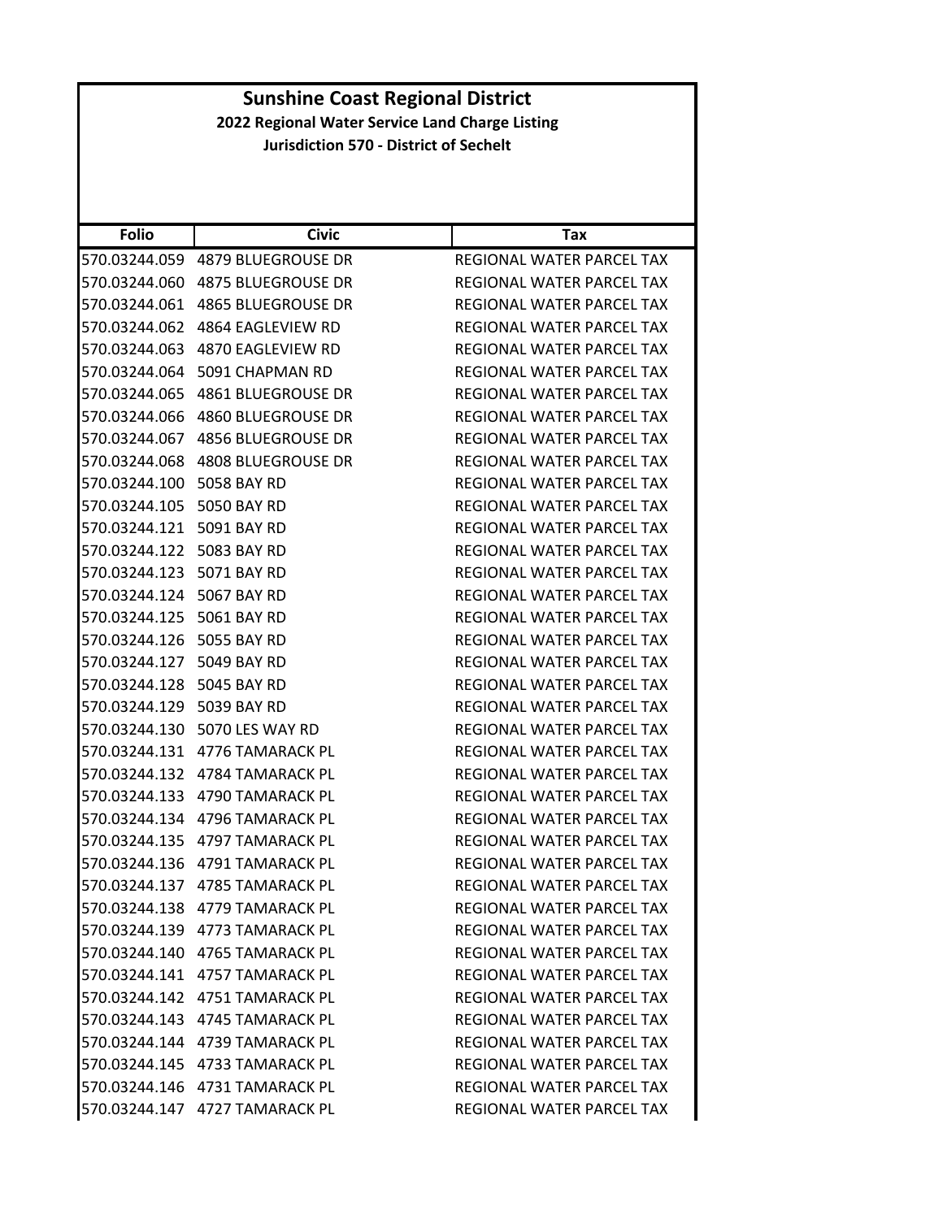| <b>Sunshine Coast Regional District</b>                                                          |                                  |                                  |
|--------------------------------------------------------------------------------------------------|----------------------------------|----------------------------------|
| 2022 Regional Water Service Land Charge Listing<br><b>Jurisdiction 570 - District of Sechelt</b> |                                  |                                  |
|                                                                                                  |                                  |                                  |
|                                                                                                  |                                  |                                  |
|                                                                                                  |                                  |                                  |
| <b>Folio</b>                                                                                     | <b>Civic</b>                     | <b>Tax</b>                       |
|                                                                                                  | 570.03244.059 4879 BLUEGROUSE DR | REGIONAL WATER PARCEL TAX        |
|                                                                                                  | 570.03244.060 4875 BLUEGROUSE DR | REGIONAL WATER PARCEL TAX        |
|                                                                                                  | 570.03244.061 4865 BLUEGROUSE DR | REGIONAL WATER PARCEL TAX        |
|                                                                                                  | 570.03244.062 4864 EAGLEVIEW RD  | REGIONAL WATER PARCEL TAX        |
|                                                                                                  | 570.03244.063 4870 EAGLEVIEW RD  | REGIONAL WATER PARCEL TAX        |
|                                                                                                  | 570.03244.064 5091 CHAPMAN RD    | REGIONAL WATER PARCEL TAX        |
|                                                                                                  | 570.03244.065 4861 BLUEGROUSE DR | <b>REGIONAL WATER PARCEL TAX</b> |
|                                                                                                  | 570.03244.066 4860 BLUEGROUSE DR | REGIONAL WATER PARCEL TAX        |
| 570.03244.067                                                                                    | <b>4856 BLUEGROUSE DR</b>        | REGIONAL WATER PARCEL TAX        |
|                                                                                                  | 570.03244.068 4808 BLUEGROUSE DR | REGIONAL WATER PARCEL TAX        |
| 570.03244.100 5058 BAY RD                                                                        |                                  | REGIONAL WATER PARCEL TAX        |
| 570.03244.105 5050 BAY RD                                                                        |                                  | REGIONAL WATER PARCEL TAX        |
| 570.03244.121 5091 BAY RD                                                                        |                                  | REGIONAL WATER PARCEL TAX        |
| 570.03244.122 5083 BAY RD                                                                        |                                  | REGIONAL WATER PARCEL TAX        |
| 570.03244.123 5071 BAY RD                                                                        |                                  | REGIONAL WATER PARCEL TAX        |
| 570.03244.124 5067 BAY RD                                                                        |                                  | <b>REGIONAL WATER PARCEL TAX</b> |
| 570.03244.125 5061 BAY RD                                                                        |                                  | REGIONAL WATER PARCEL TAX        |
| 570.03244.126 5055 BAY RD                                                                        |                                  | REGIONAL WATER PARCEL TAX        |
| 570.03244.127 5049 BAY RD                                                                        |                                  | REGIONAL WATER PARCEL TAX        |
| 570.03244.128 5045 BAY RD                                                                        |                                  | REGIONAL WATER PARCEL TAX        |
| 570.03244.129 5039 BAY RD                                                                        |                                  | REGIONAL WATER PARCEL TAX        |
|                                                                                                  | 570.03244.130 5070 LES WAY RD    | REGIONAL WATER PARCEL TAX        |
|                                                                                                  | 570.03244.131 4776 TAMARACK PL   | <b>REGIONAL WATER PARCEL TAX</b> |
|                                                                                                  | 570.03244.132 4784 TAMARACK PL   | REGIONAL WATER PARCEL TAX        |
|                                                                                                  | 570.03244.133 4790 TAMARACK PL   | REGIONAL WATER PARCEL TAX        |
|                                                                                                  | 570.03244.134 4796 TAMARACK PL   | REGIONAL WATER PARCEL TAX        |
|                                                                                                  | 570.03244.135 4797 TAMARACK PL   | REGIONAL WATER PARCEL TAX        |
|                                                                                                  | 570.03244.136 4791 TAMARACK PL   | REGIONAL WATER PARCEL TAX        |
|                                                                                                  | 570.03244.137 4785 TAMARACK PL   | REGIONAL WATER PARCEL TAX        |
|                                                                                                  | 570.03244.138 4779 TAMARACK PL   | REGIONAL WATER PARCEL TAX        |
|                                                                                                  | 570.03244.139 4773 TAMARACK PL   | REGIONAL WATER PARCEL TAX        |
|                                                                                                  | 570.03244.140 4765 TAMARACK PL   | REGIONAL WATER PARCEL TAX        |
|                                                                                                  | 570.03244.141 4757 TAMARACK PL   | REGIONAL WATER PARCEL TAX        |
|                                                                                                  | 570.03244.142 4751 TAMARACK PL   | REGIONAL WATER PARCEL TAX        |
|                                                                                                  | 570.03244.143  4745 TAMARACK PL  | REGIONAL WATER PARCEL TAX        |
|                                                                                                  | 570.03244.144 4739 TAMARACK PL   | REGIONAL WATER PARCEL TAX        |
|                                                                                                  | 570.03244.145 4733 TAMARACK PL   | REGIONAL WATER PARCEL TAX        |
|                                                                                                  | 570.03244.146 4731 TAMARACK PL   | REGIONAL WATER PARCEL TAX        |
|                                                                                                  | 570.03244.147 4727 TAMARACK PL   | REGIONAL WATER PARCEL TAX        |
|                                                                                                  |                                  |                                  |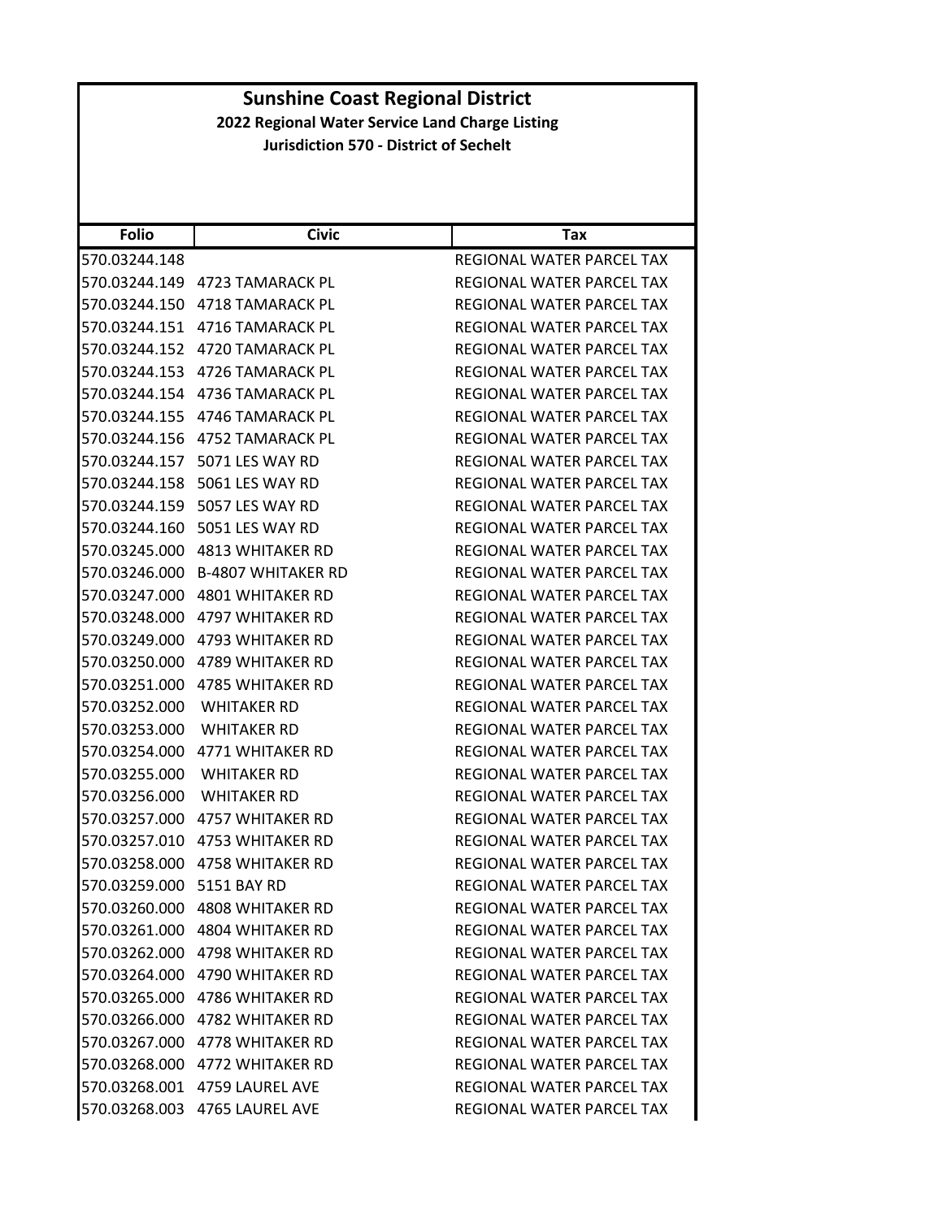| <b>Folio</b>  | <b>Civic</b>                     | Tax                              |
|---------------|----------------------------------|----------------------------------|
| 570.03244.148 |                                  | <b>REGIONAL WATER PARCEL TAX</b> |
| 570.03244.149 | 4723 TAMARACK PL                 | REGIONAL WATER PARCEL TAX        |
|               | 570.03244.150 4718 TAMARACK PL   | REGIONAL WATER PARCEL TAX        |
|               | 570.03244.151 4716 TAMARACK PL   | REGIONAL WATER PARCEL TAX        |
|               | 570.03244.152 4720 TAMARACK PL   | REGIONAL WATER PARCEL TAX        |
|               | 570.03244.153 4726 TAMARACK PL   | REGIONAL WATER PARCEL TAX        |
| 570.03244.154 | 4736 TAMARACK PL                 | REGIONAL WATER PARCEL TAX        |
|               | 570.03244.155 4746 TAMARACK PL   | REGIONAL WATER PARCEL TAX        |
| 570.03244.156 | 4752 TAMARACK PL                 | REGIONAL WATER PARCEL TAX        |
|               | 570.03244.157 5071 LES WAY RD    | REGIONAL WATER PARCEL TAX        |
|               | 570.03244.158 5061 LES WAY RD    | REGIONAL WATER PARCEL TAX        |
| 570.03244.159 | 5057 LES WAY RD                  | REGIONAL WATER PARCEL TAX        |
|               | 570.03244.160 5051 LES WAY RD    | REGIONAL WATER PARCEL TAX        |
| 570.03245.000 | <b>4813 WHITAKER RD</b>          | REGIONAL WATER PARCEL TAX        |
|               | 570.03246.000 B-4807 WHITAKER RD | REGIONAL WATER PARCEL TAX        |
|               | 570.03247.000 4801 WHITAKER RD   | REGIONAL WATER PARCEL TAX        |
| 570.03248.000 | 4797 WHITAKER RD                 | <b>REGIONAL WATER PARCEL TAX</b> |
|               | 570.03249.000 4793 WHITAKER RD   | REGIONAL WATER PARCEL TAX        |
|               | 570.03250.000 4789 WHITAKER RD   | REGIONAL WATER PARCEL TAX        |
|               | 570.03251.000 4785 WHITAKER RD   | REGIONAL WATER PARCEL TAX        |
| 570.03252.000 | <b>WHITAKER RD</b>               | REGIONAL WATER PARCEL TAX        |
| 570.03253.000 | <b>WHITAKER RD</b>               | REGIONAL WATER PARCEL TAX        |
|               | 570.03254.000 4771 WHITAKER RD   | REGIONAL WATER PARCEL TAX        |
| 570.03255.000 | WHITAKER RD                      | REGIONAL WATER PARCEL TAX        |
| 570.03256.000 | WHITAKER RD                      | REGIONAL WATER PARCEL TAX        |
| 570.03257.000 | 4757 WHITAKER RD                 | REGIONAL WATER PARCEL TAX        |
|               |                                  | REGIONAL WATER PARCEL TAX        |
| 570.03258.000 | <b>4758 WHITAKER RD</b>          | <b>REGIONAL WATER PARCEL TAX</b> |
| 570.03259.000 | 5151 BAY RD                      | REGIONAL WATER PARCEL TAX        |
|               | 570.03260.000 4808 WHITAKER RD   | <b>REGIONAL WATER PARCEL TAX</b> |
|               | 570.03261.000 4804 WHITAKER RD   | REGIONAL WATER PARCEL TAX        |
|               |                                  | REGIONAL WATER PARCEL TAX        |
|               | 570.03264.000 4790 WHITAKER RD   | REGIONAL WATER PARCEL TAX        |
|               | 570.03265.000 4786 WHITAKER RD   | REGIONAL WATER PARCEL TAX        |
|               | 570.03266.000 4782 WHITAKER RD   | REGIONAL WATER PARCEL TAX        |
|               | 570.03267.000 4778 WHITAKER RD   | REGIONAL WATER PARCEL TAX        |
|               | 570.03268.000 4772 WHITAKER RD   | REGIONAL WATER PARCEL TAX        |
| 570.03268.001 | 4759 LAUREL AVE                  | <b>REGIONAL WATER PARCEL TAX</b> |
|               | 570.03268.003 4765 LAUREL AVE    | REGIONAL WATER PARCEL TAX        |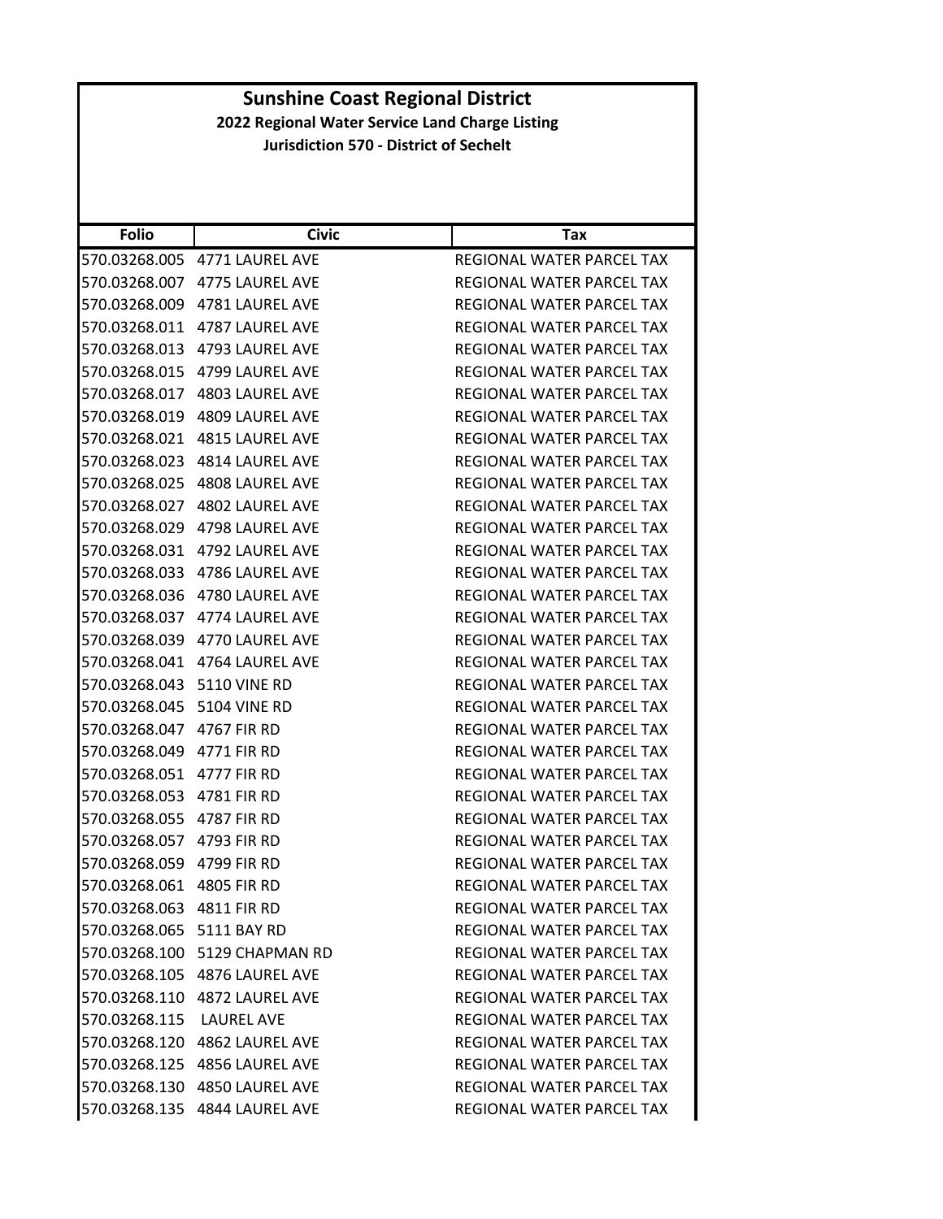| <b>Folio</b>               | Civic                         | Tax                              |
|----------------------------|-------------------------------|----------------------------------|
|                            | 570.03268.005 4771 LAUREL AVE | REGIONAL WATER PARCEL TAX        |
| 570.03268.007              | 4775 LAUREL AVE               | REGIONAL WATER PARCEL TAX        |
|                            | 570.03268.009 4781 LAUREL AVE | REGIONAL WATER PARCEL TAX        |
|                            | 570.03268.011 4787 LAUREL AVE | REGIONAL WATER PARCEL TAX        |
|                            | 570.03268.013 4793 LAUREL AVE | REGIONAL WATER PARCEL TAX        |
| 570.03268.015              | 4799 LAUREL AVE               | REGIONAL WATER PARCEL TAX        |
| 570.03268.017              | <b>4803 LAUREL AVE</b>        | REGIONAL WATER PARCEL TAX        |
|                            | 570.03268.019 4809 LAUREL AVE | REGIONAL WATER PARCEL TAX        |
| 570.03268.021              | <b>4815 LAUREL AVE</b>        | REGIONAL WATER PARCEL TAX        |
|                            | 570.03268.023 4814 LAUREL AVE | REGIONAL WATER PARCEL TAX        |
| 570.03268.025              | <b>4808 LAUREL AVE</b>        | REGIONAL WATER PARCEL TAX        |
| 570.03268.027              | <b>4802 LAUREL AVE</b>        | <b>REGIONAL WATER PARCEL TAX</b> |
| 570.03268.029              | 4798 LAUREL AVE               | REGIONAL WATER PARCEL TAX        |
|                            | 570.03268.031 4792 LAUREL AVE | REGIONAL WATER PARCEL TAX        |
|                            | 570.03268.033 4786 LAUREL AVE | REGIONAL WATER PARCEL TAX        |
| 570.03268.036              | 4780 LAUREL AVE               | REGIONAL WATER PARCEL TAX        |
|                            | 570.03268.037 4774 LAUREL AVE | REGIONAL WATER PARCEL TAX        |
|                            | 570.03268.039 4770 LAUREL AVE | REGIONAL WATER PARCEL TAX        |
|                            | 570.03268.041 4764 LAUREL AVE | REGIONAL WATER PARCEL TAX        |
| 570.03268.043 5110 VINE RD |                               | REGIONAL WATER PARCEL TAX        |
| 570.03268.045              | <b>5104 VINE RD</b>           | REGIONAL WATER PARCEL TAX        |
| 570.03268.047 4767 FIR RD  |                               | REGIONAL WATER PARCEL TAX        |
| 570.03268.049 4771 FIR RD  |                               | REGIONAL WATER PARCEL TAX        |
| 570.03268.051 4777 FIR RD  |                               | REGIONAL WATER PARCEL TAX        |
| 570.03268.053              | 4781 FIR RD                   | REGIONAL WATER PARCEL TAX        |
| 570.03268.055              | 4787 FIR RD                   | REGIONAL WATER PARCEL TAX        |
| 570.03268.057 4793 FIR RD  |                               | REGIONAL WATER PARCEL TAX        |
| 570.03268.059              | 4799 FIR RD                   | REGIONAL WATER PARCEL TAX        |
| 570.03268.061 4805 FIR RD  |                               | REGIONAL WATER PARCEL TAX        |
| 570.03268.063 4811 FIR RD  |                               | REGIONAL WATER PARCEL TAX        |
| 570.03268.065 5111 BAY RD  |                               | REGIONAL WATER PARCEL TAX        |
|                            | 570.03268.100 5129 CHAPMAN RD | REGIONAL WATER PARCEL TAX        |
|                            | 570.03268.105 4876 LAUREL AVE | REGIONAL WATER PARCEL TAX        |
|                            | 570.03268.110 4872 LAUREL AVE | REGIONAL WATER PARCEL TAX        |
| 570.03268.115              | LAUREL AVE                    | REGIONAL WATER PARCEL TAX        |
|                            | 570.03268.120 4862 LAUREL AVE | REGIONAL WATER PARCEL TAX        |
|                            | 570.03268.125 4856 LAUREL AVE | REGIONAL WATER PARCEL TAX        |
|                            | 570.03268.130 4850 LAUREL AVE | REGIONAL WATER PARCEL TAX        |
|                            | 570.03268.135 4844 LAUREL AVE | REGIONAL WATER PARCEL TAX        |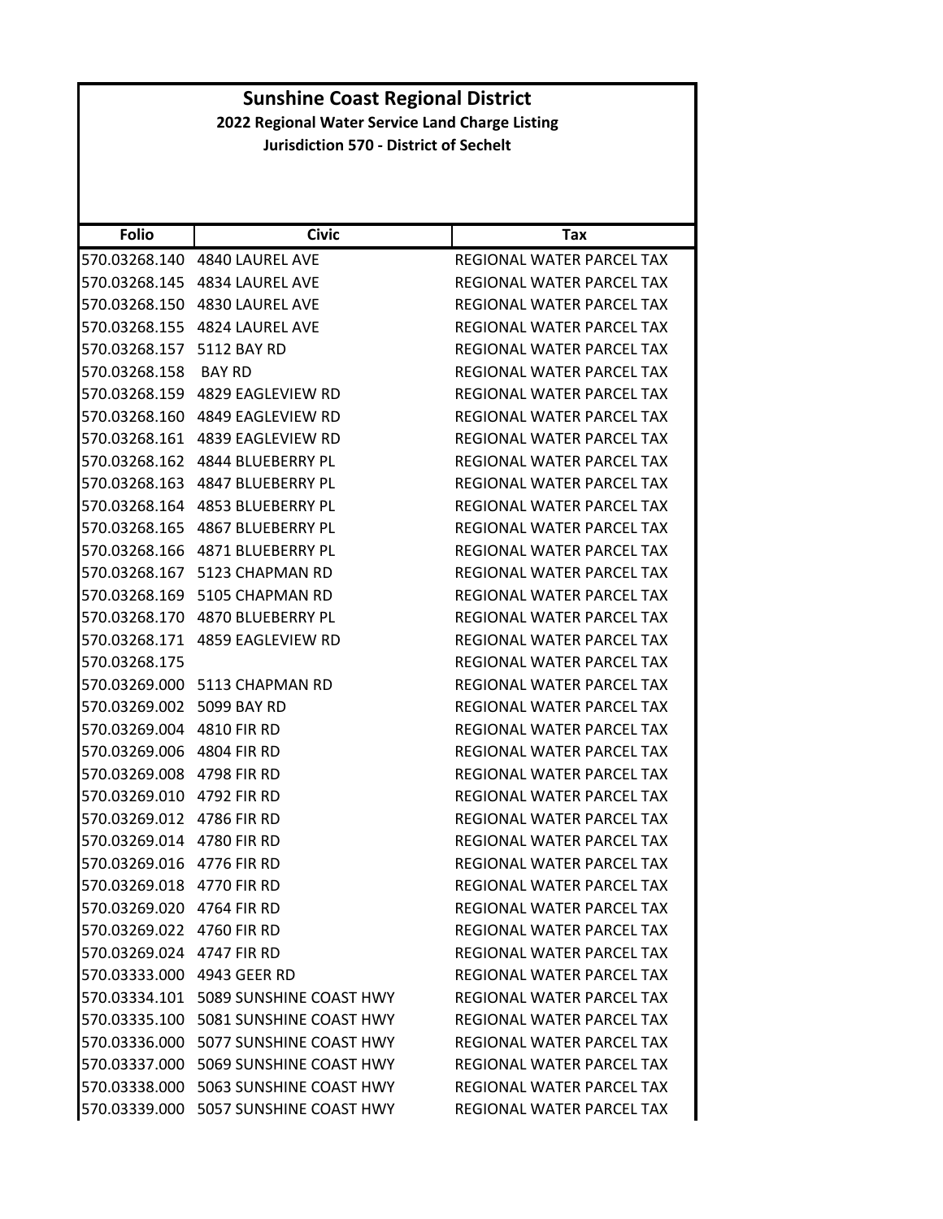| <b>Folio</b>               | <b>Civic</b>                             | Tax                              |
|----------------------------|------------------------------------------|----------------------------------|
| 570.03268.140              | 4840 LAUREL AVE                          | REGIONAL WATER PARCEL TAX        |
| 570.03268.145              | 4834 LAUREL AVE                          | REGIONAL WATER PARCEL TAX        |
| 570.03268.150              | 4830 LAUREL AVE                          | REGIONAL WATER PARCEL TAX        |
| 570.03268.155              | 4824 LAUREL AVE                          | REGIONAL WATER PARCEL TAX        |
| 570.03268.157              | 5112 BAY RD                              | REGIONAL WATER PARCEL TAX        |
| 570.03268.158              | <b>BAY RD</b>                            | REGIONAL WATER PARCEL TAX        |
| 570.03268.159              | 4829 EAGLEVIEW RD                        | REGIONAL WATER PARCEL TAX        |
|                            |                                          | REGIONAL WATER PARCEL TAX        |
| 570.03268.161              | 4839 EAGLEVIEW RD                        | REGIONAL WATER PARCEL TAX        |
|                            |                                          | REGIONAL WATER PARCEL TAX        |
| 570.03268.163              | 4847 BLUEBERRY PL                        | REGIONAL WATER PARCEL TAX        |
| 570.03268.164              | 4853 BLUEBERRY PL                        | REGIONAL WATER PARCEL TAX        |
| 570.03268.165              | 4867 BLUEBERRY PL                        | REGIONAL WATER PARCEL TAX        |
|                            |                                          | REGIONAL WATER PARCEL TAX        |
|                            | 570.03268.167    5123 CHAPMAN RD         | REGIONAL WATER PARCEL TAX        |
| 570.03268.169              | 5105 CHAPMAN RD                          | REGIONAL WATER PARCEL TAX        |
|                            |                                          | REGIONAL WATER PARCEL TAX        |
| 570.03268.171              | 4859 EAGLEVIEW RD                        | REGIONAL WATER PARCEL TAX        |
| 570.03268.175              |                                          | REGIONAL WATER PARCEL TAX        |
| 570.03269.000              | 5113 CHAPMAN RD                          | REGIONAL WATER PARCEL TAX        |
| 570.03269.002              | 5099 BAY RD                              | REGIONAL WATER PARCEL TAX        |
| 570.03269.004 4810 FIR RD  |                                          | REGIONAL WATER PARCEL TAX        |
| 570.03269.006              | 4804 FIR RD                              | REGIONAL WATER PARCEL TAX        |
| 570.03269.008 4798 FIR RD  |                                          | REGIONAL WATER PARCEL TAX        |
| 570.03269.010              | 4792 FIR RD                              | REGIONAL WATER PARCEL TAX        |
| 570.03269.012              | 4786 FIR RD                              | REGIONAL WATER PARCEL TAX        |
| 570.03269.014 4780 FIR RD  |                                          | <b>REGIONAL WATER PARCEL TAX</b> |
| 570.03269.016              | 4776 FIR RD                              | REGIONAL WATER PARCEL TAX        |
| 570.03269.018 4770 FIR RD  |                                          | REGIONAL WATER PARCEL TAX        |
| 570.03269.020 4764 FIR RD  |                                          | REGIONAL WATER PARCEL TAX        |
| 570.03269.022 4760 FIR RD  |                                          | REGIONAL WATER PARCEL TAX        |
| 570.03269.024 4747 FIR RD  |                                          | REGIONAL WATER PARCEL TAX        |
| 570.03333.000 4943 GEER RD |                                          | REGIONAL WATER PARCEL TAX        |
|                            | 570.03334.101    5089 SUNSHINE COAST HWY | REGIONAL WATER PARCEL TAX        |
|                            | 570.03335.100    5081 SUNSHINE COAST HWY | REGIONAL WATER PARCEL TAX        |
|                            | 570.03336.000    5077 SUNSHINE COAST HWY | REGIONAL WATER PARCEL TAX        |
|                            | 570.03337.000    5069 SUNSHINE COAST HWY | REGIONAL WATER PARCEL TAX        |
|                            | 570.03338.000 5063 SUNSHINE COAST HWY    | REGIONAL WATER PARCEL TAX        |
|                            | 570.03339.000 5057 SUNSHINE COAST HWY    | REGIONAL WATER PARCEL TAX        |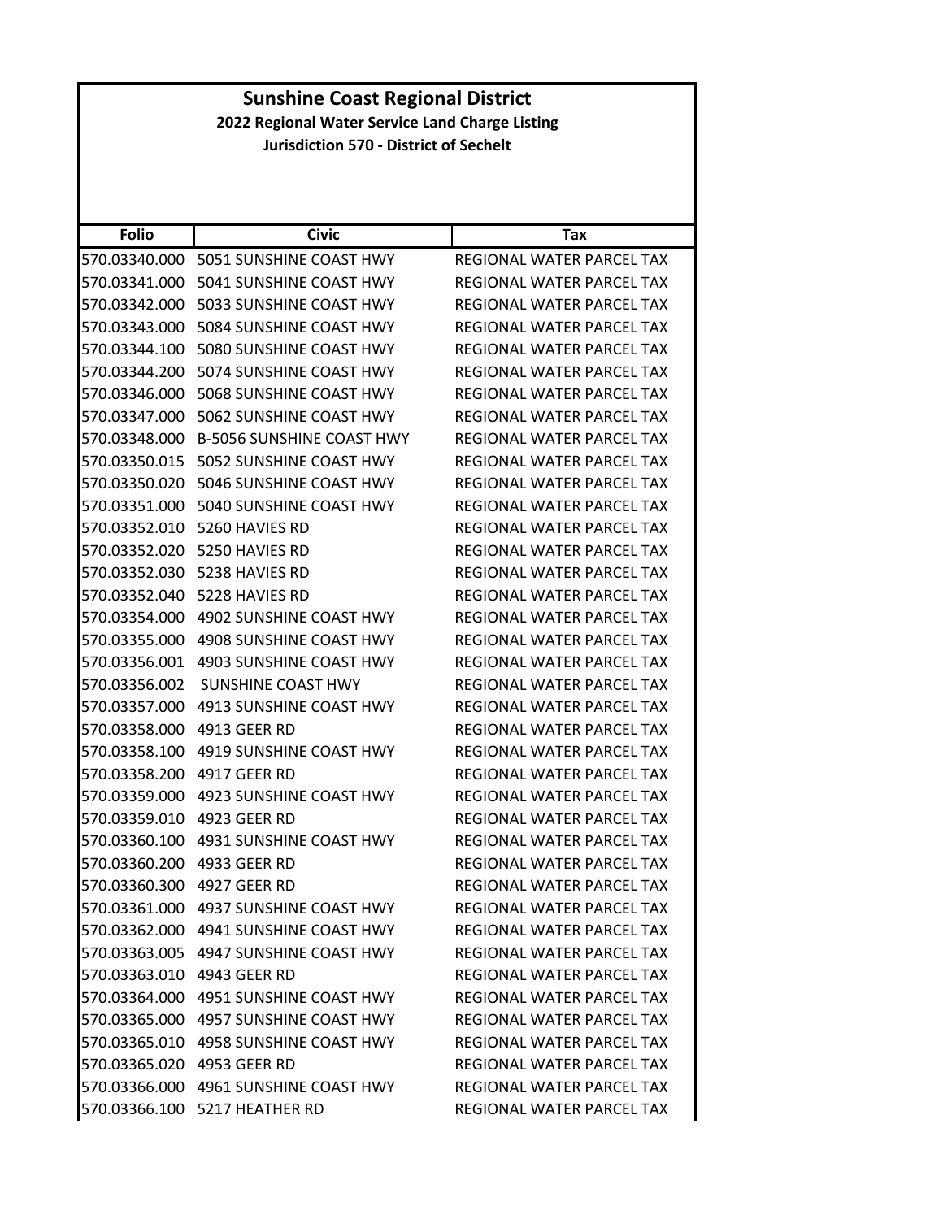|                            | <b>Sunshine Coast Regional District</b>         |                                  |  |
|----------------------------|-------------------------------------------------|----------------------------------|--|
|                            | 2022 Regional Water Service Land Charge Listing |                                  |  |
|                            | <b>Jurisdiction 570 - District of Sechelt</b>   |                                  |  |
|                            |                                                 |                                  |  |
|                            |                                                 |                                  |  |
|                            |                                                 |                                  |  |
| <b>Folio</b>               | <b>Civic</b>                                    | Tax                              |  |
|                            | 570.03340.000 5051 SUNSHINE COAST HWY           | REGIONAL WATER PARCEL TAX        |  |
| 570.03341.000              | 5041 SUNSHINE COAST HWY                         | REGIONAL WATER PARCEL TAX        |  |
|                            | 570.03342.000 5033 SUNSHINE COAST HWY           | <b>REGIONAL WATER PARCEL TAX</b> |  |
| 570.03343.000              | 5084 SUNSHINE COAST HWY                         | REGIONAL WATER PARCEL TAX        |  |
| 570.03344.100              | 5080 SUNSHINE COAST HWY                         | REGIONAL WATER PARCEL TAX        |  |
|                            | 570.03344.200 5074 SUNSHINE COAST HWY           | REGIONAL WATER PARCEL TAX        |  |
| 570.03346.000              | 5068 SUNSHINE COAST HWY                         | <b>REGIONAL WATER PARCEL TAX</b> |  |
|                            | 570.03347.000 5062 SUNSHINE COAST HWY           | <b>REGIONAL WATER PARCEL TAX</b> |  |
| 570.03348.000              | <b>B-5056 SUNSHINE COAST HWY</b>                | REGIONAL WATER PARCEL TAX        |  |
|                            | 570.03350.015    5052 SUNSHINE COAST HWY        | REGIONAL WATER PARCEL TAX        |  |
|                            | 570.03350.020 5046 SUNSHINE COAST HWY           | REGIONAL WATER PARCEL TAX        |  |
|                            | 570.03351.000 5040 SUNSHINE COAST HWY           | REGIONAL WATER PARCEL TAX        |  |
|                            | 570.03352.010 5260 HAVIES RD                    | REGIONAL WATER PARCEL TAX        |  |
| 570.03352.020              | 5250 HAVIES RD                                  | REGIONAL WATER PARCEL TAX        |  |
|                            | 570.03352.030 5238 HAVIES RD                    | REGIONAL WATER PARCEL TAX        |  |
|                            | 570.03352.040 5228 HAVIES RD                    | REGIONAL WATER PARCEL TAX        |  |
|                            | 570.03354.000 4902 SUNSHINE COAST HWY           | REGIONAL WATER PARCEL TAX        |  |
| 570.03355.000              | 4908 SUNSHINE COAST HWY                         | REGIONAL WATER PARCEL TAX        |  |
| 570.03356.001              | 4903 SUNSHINE COAST HWY                         | REGIONAL WATER PARCEL TAX        |  |
| 570.03356.002              | <b>SUNSHINE COAST HWY</b>                       | <b>REGIONAL WATER PARCEL TAX</b> |  |
| 570.03357.000              | 4913 SUNSHINE COAST HWY                         | REGIONAL WATER PARCEL TAX        |  |
| 570.03358.000 4913 GEER RD |                                                 | REGIONAL WATER PARCEL TAX        |  |
| 570.03358.100              | 4919 SUNSHINE COAST HWY                         | REGIONAL WATER PARCEL TAX        |  |
|                            | 570.03358.200 4917 GEER RD                      | REGIONAL WATER PARCEL TAX        |  |
|                            | 570.03359.000 4923 SUNSHINE COAST HWY           | REGIONAL WATER PARCEL TAX        |  |
| 570.03359.010 4923 GEER RD |                                                 | REGIONAL WATER PARCEL TAX        |  |
|                            | 570.03360.100 4931 SUNSHINE COAST HWY           | REGIONAL WATER PARCEL TAX        |  |
| 570.03360.200 4933 GEER RD |                                                 | REGIONAL WATER PARCEL TAX        |  |
| 570.03360.300 4927 GEER RD |                                                 | REGIONAL WATER PARCEL TAX        |  |
|                            | 570.03361.000 4937 SUNSHINE COAST HWY           | REGIONAL WATER PARCEL TAX        |  |
|                            | 570.03362.000 4941 SUNSHINE COAST HWY           | REGIONAL WATER PARCEL TAX        |  |
|                            | 570.03363.005 4947 SUNSHINE COAST HWY           | REGIONAL WATER PARCEL TAX        |  |
| 570.03363.010 4943 GEER RD |                                                 | REGIONAL WATER PARCEL TAX        |  |
|                            | 570.03364.000 4951 SUNSHINE COAST HWY           | REGIONAL WATER PARCEL TAX        |  |
|                            | 570.03365.000 4957 SUNSHINE COAST HWY           | REGIONAL WATER PARCEL TAX        |  |
|                            | 570.03365.010 4958 SUNSHINE COAST HWY           | REGIONAL WATER PARCEL TAX        |  |
| 570.03365.020 4953 GEER RD |                                                 | REGIONAL WATER PARCEL TAX        |  |
|                            | 570.03366.000 4961 SUNSHINE COAST HWY           | REGIONAL WATER PARCEL TAX        |  |
|                            | 570.03366.100 5217 HEATHER RD                   | REGIONAL WATER PARCEL TAX        |  |
|                            |                                                 |                                  |  |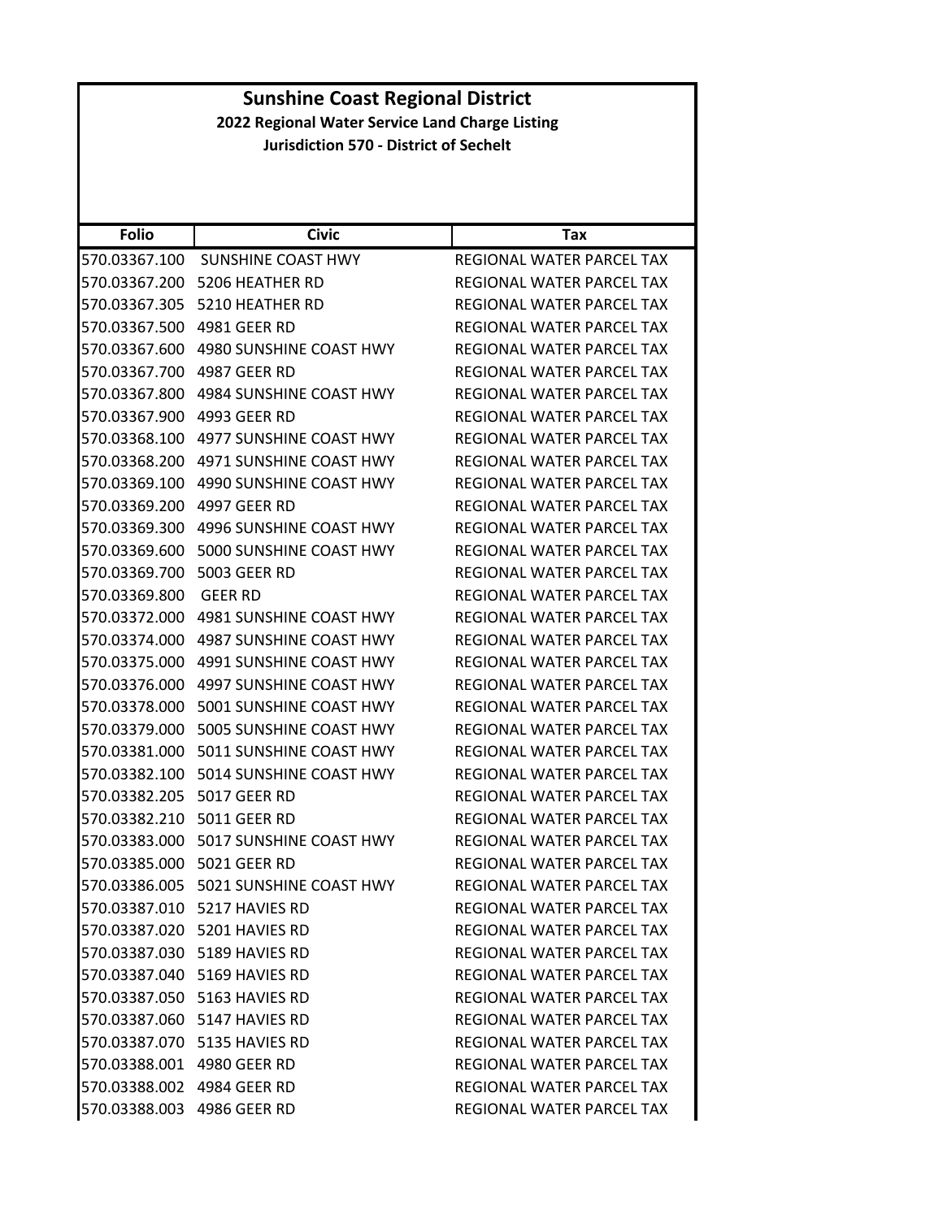| <b>Sunshine Coast Regional District</b>                                                          |                                          |                                  |  |
|--------------------------------------------------------------------------------------------------|------------------------------------------|----------------------------------|--|
| 2022 Regional Water Service Land Charge Listing<br><b>Jurisdiction 570 - District of Sechelt</b> |                                          |                                  |  |
|                                                                                                  |                                          |                                  |  |
|                                                                                                  |                                          |                                  |  |
|                                                                                                  |                                          |                                  |  |
| <b>Folio</b>                                                                                     | <b>Civic</b>                             | Tax                              |  |
| 570.03367.100                                                                                    | SUNSHINE COAST HWY                       | REGIONAL WATER PARCEL TAX        |  |
|                                                                                                  | 570.03367.200 5206 HEATHER RD            | REGIONAL WATER PARCEL TAX        |  |
|                                                                                                  | 570.03367.305 5210 HEATHER RD            | REGIONAL WATER PARCEL TAX        |  |
| 570.03367.500                                                                                    | 4981 GEER RD                             | REGIONAL WATER PARCEL TAX        |  |
|                                                                                                  | 570.03367.600 4980 SUNSHINE COAST HWY    | REGIONAL WATER PARCEL TAX        |  |
| 570.03367.700 4987 GEER RD                                                                       |                                          | REGIONAL WATER PARCEL TAX        |  |
|                                                                                                  | 570.03367.800 4984 SUNSHINE COAST HWY    | REGIONAL WATER PARCEL TAX        |  |
| 570.03367.900 4993 GEER RD                                                                       |                                          | REGIONAL WATER PARCEL TAX        |  |
| 570.03368.100                                                                                    | 4977 SUNSHINE COAST HWY                  | REGIONAL WATER PARCEL TAX        |  |
|                                                                                                  | 570.03368.200 4971 SUNSHINE COAST HWY    | REGIONAL WATER PARCEL TAX        |  |
| 570.03369.100                                                                                    | 4990 SUNSHINE COAST HWY                  | <b>REGIONAL WATER PARCEL TAX</b> |  |
| 570.03369.200 4997 GEER RD                                                                       |                                          | <b>REGIONAL WATER PARCEL TAX</b> |  |
| 570.03369.300                                                                                    | 4996 SUNSHINE COAST HWY                  | REGIONAL WATER PARCEL TAX        |  |
| 570.03369.600                                                                                    | 5000 SUNSHINE COAST HWY                  | REGIONAL WATER PARCEL TAX        |  |
| 570.03369.700 5003 GEER RD                                                                       |                                          | REGIONAL WATER PARCEL TAX        |  |
| 570.03369.800                                                                                    | <b>GEER RD</b>                           | REGIONAL WATER PARCEL TAX        |  |
|                                                                                                  | 570.03372.000 4981 SUNSHINE COAST HWY    | REGIONAL WATER PARCEL TAX        |  |
| 570.03374.000                                                                                    | 4987 SUNSHINE COAST HWY                  | REGIONAL WATER PARCEL TAX        |  |
| 570.03375.000                                                                                    | 4991 SUNSHINE COAST HWY                  | REGIONAL WATER PARCEL TAX        |  |
| 570.03376.000                                                                                    | 4997 SUNSHINE COAST HWY                  | REGIONAL WATER PARCEL TAX        |  |
|                                                                                                  | 570.03378.000 5001 SUNSHINE COAST HWY    | REGIONAL WATER PARCEL TAX        |  |
|                                                                                                  | 570.03379.000 5005 SUNSHINE COAST HWY    | REGIONAL WATER PARCEL TAX        |  |
| 570.03381.000                                                                                    | 5011 SUNSHINE COAST HWY                  | <b>REGIONAL WATER PARCEL TAX</b> |  |
|                                                                                                  | 570.03382.100 5014 SUNSHINE COAST HWY    | REGIONAL WATER PARCEL TAX        |  |
| 570.03382.205 5017 GEER RD                                                                       |                                          | REGIONAL WATER PARCEL TAX        |  |
| 570.03382.210 5011 GEER RD                                                                       |                                          | REGIONAL WATER PARCEL TAX        |  |
|                                                                                                  | 570.03383.000    5017 SUNSHINE COAST HWY | REGIONAL WATER PARCEL TAX        |  |
| 570.03385.000 5021 GEER RD                                                                       |                                          | REGIONAL WATER PARCEL TAX        |  |
|                                                                                                  | 570.03386.005    5021 SUNSHINE COAST HWY | REGIONAL WATER PARCEL TAX        |  |
|                                                                                                  | 570.03387.010    5217 HAVIES RD          | REGIONAL WATER PARCEL TAX        |  |
|                                                                                                  | 570.03387.020 5201 HAVIES RD             | REGIONAL WATER PARCEL TAX        |  |
|                                                                                                  | 570.03387.030    5189 HAVIES RD          | REGIONAL WATER PARCEL TAX        |  |
|                                                                                                  | 570.03387.040 5169 HAVIES RD             | REGIONAL WATER PARCEL TAX        |  |
|                                                                                                  | 570.03387.050 5163 HAVIES RD             | REGIONAL WATER PARCEL TAX        |  |
|                                                                                                  | 570.03387.060    5147 HAVIES RD          | REGIONAL WATER PARCEL TAX        |  |
|                                                                                                  | 570.03387.070    5135 HAVIES RD          | REGIONAL WATER PARCEL TAX        |  |
| 570.03388.001 4980 GEER RD                                                                       |                                          | REGIONAL WATER PARCEL TAX        |  |
| 570.03388.002 4984 GEER RD                                                                       |                                          | REGIONAL WATER PARCEL TAX        |  |
| 570.03388.003 4986 GEER RD                                                                       |                                          | REGIONAL WATER PARCEL TAX        |  |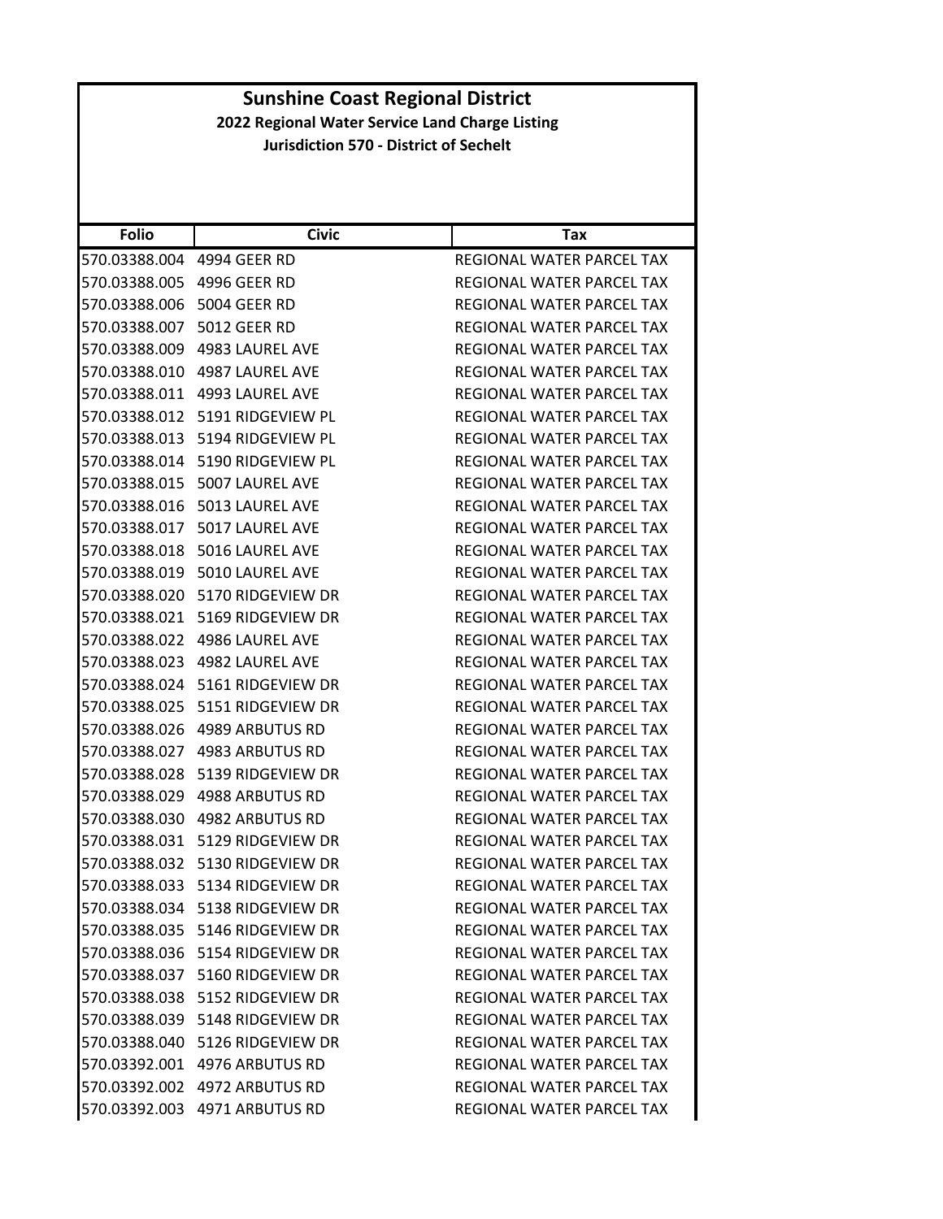| <b>Folio</b>                   | <b>Civic</b>                          | Tax                                                    |
|--------------------------------|---------------------------------------|--------------------------------------------------------|
|                                |                                       |                                                        |
| 570.03388.004<br>570.03388.005 | 4994 GEER RD                          | REGIONAL WATER PARCEL TAX<br>REGIONAL WATER PARCEL TAX |
|                                | 4996 GEER RD                          |                                                        |
| 570.03388.006                  | 5004 GEER RD                          | REGIONAL WATER PARCEL TAX                              |
| 570.03388.007                  | <b>5012 GEER RD</b>                   | REGIONAL WATER PARCEL TAX                              |
| 570.03388.009                  | 4983 LAUREL AVE                       | REGIONAL WATER PARCEL TAX                              |
| 570.03388.010                  | 4987 LAUREL AVE                       | REGIONAL WATER PARCEL TAX                              |
| 570.03388.011                  | 4993 LAUREL AVE                       | REGIONAL WATER PARCEL TAX                              |
|                                | 570.03388.012 5191 RIDGEVIEW PL       | REGIONAL WATER PARCEL TAX                              |
| 570.03388.013                  | 5194 RIDGEVIEW PL                     | REGIONAL WATER PARCEL TAX                              |
| 570.03388.014                  | 5190 RIDGEVIEW PL                     | REGIONAL WATER PARCEL TAX                              |
| 570.03388.015                  | 5007 LAUREL AVE                       | REGIONAL WATER PARCEL TAX                              |
| 570.03388.016                  | 5013 LAUREL AVE                       | REGIONAL WATER PARCEL TAX                              |
| 570.03388.017                  | 5017 LAUREL AVE                       | REGIONAL WATER PARCEL TAX                              |
| 570.03388.018                  | 5016 LAUREL AVE                       | REGIONAL WATER PARCEL TAX                              |
|                                | 570.03388.019 5010 LAUREL AVE         | REGIONAL WATER PARCEL TAX                              |
| 570.03388.020                  | 5170 RIDGEVIEW DR                     | REGIONAL WATER PARCEL TAX                              |
| 570.03388.021                  | 5169 RIDGEVIEW DR                     | REGIONAL WATER PARCEL TAX                              |
| 570.03388.022                  | 4986 LAUREL AVE                       | REGIONAL WATER PARCEL TAX                              |
| 570.03388.023                  | 4982 LAUREL AVE                       | REGIONAL WATER PARCEL TAX                              |
| 570.03388.024                  | 5161 RIDGEVIEW DR                     | REGIONAL WATER PARCEL TAX                              |
| 570.03388.025                  | 5151 RIDGEVIEW DR                     | REGIONAL WATER PARCEL TAX                              |
| 570.03388.026                  | 4989 ARBUTUS RD                       | REGIONAL WATER PARCEL TAX                              |
| 570.03388.027                  | 4983 ARBUTUS RD                       | REGIONAL WATER PARCEL TAX                              |
| 570.03388.028                  | 5139 RIDGEVIEW DR                     | REGIONAL WATER PARCEL TAX                              |
| 570.03388.029                  | 4988 ARBUTUS RD                       | REGIONAL WATER PARCEL TAX                              |
| 570.03388.030                  | 4982 ARBUTUS RD                       | REGIONAL WATER PARCEL TAX                              |
| 570.03388.031                  | 5129 RIDGEVIEW DR                     | <b>REGIONAL WATER PARCEL TAX</b>                       |
| 570.03388.032                  | 5130 RIDGEVIEW DR                     | REGIONAL WATER PARCEL TAX                              |
|                                |                                       | REGIONAL WATER PARCEL TAX                              |
|                                | 570.03388.034 5138 RIDGEVIEW DR       | REGIONAL WATER PARCEL TAX                              |
|                                | 570.03388.035 5146 RIDGEVIEW DR       | REGIONAL WATER PARCEL TAX                              |
|                                | 570.03388.036 5154 RIDGEVIEW DR       | REGIONAL WATER PARCEL TAX                              |
|                                | 570.03388.037 5160 RIDGEVIEW DR       | REGIONAL WATER PARCEL TAX                              |
|                                | 570.03388.038 5152 RIDGEVIEW DR       | REGIONAL WATER PARCEL TAX                              |
|                                | 570.03388.039    5148    RIDGEVIEW DR | REGIONAL WATER PARCEL TAX                              |
|                                | 570.03388.040 5126 RIDGEVIEW DR       | REGIONAL WATER PARCEL TAX                              |
|                                | 570.03392.001 4976 ARBUTUS RD         | REGIONAL WATER PARCEL TAX                              |
|                                | 570.03392.002 4972 ARBUTUS RD         | REGIONAL WATER PARCEL TAX                              |
|                                | 570.03392.003 4971 ARBUTUS RD         | REGIONAL WATER PARCEL TAX                              |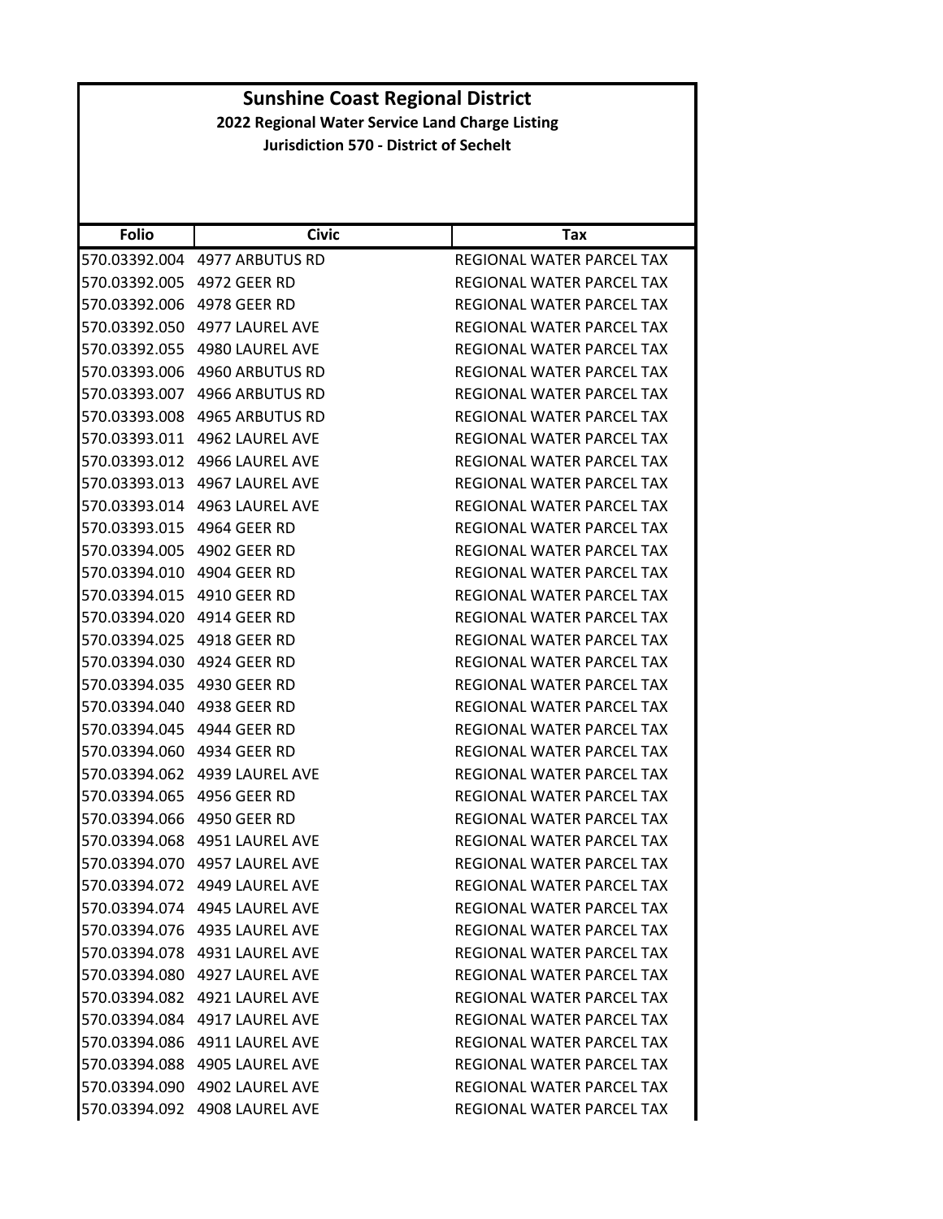| <b>Folio</b>               | <b>Civic</b>                     | Tax                              |
|----------------------------|----------------------------------|----------------------------------|
|                            | 570.03392.004 4977 ARBUTUS RD    | REGIONAL WATER PARCEL TAX        |
| 570.03392.005 4972 GEER RD |                                  | REGIONAL WATER PARCEL TAX        |
| 570.03392.006 4978 GEER RD |                                  | REGIONAL WATER PARCEL TAX        |
|                            |                                  | REGIONAL WATER PARCEL TAX        |
|                            |                                  | REGIONAL WATER PARCEL TAX        |
| 570.03393.006              | 4960 ARBUTUS RD                  | <b>REGIONAL WATER PARCEL TAX</b> |
|                            | 570.03393.007 4966 ARBUTUS RD    | REGIONAL WATER PARCEL TAX        |
| 570.03393.008              | 4965 ARBUTUS RD                  | <b>REGIONAL WATER PARCEL TAX</b> |
| 570.03393.011              | 4962 LAUREL AVE                  | REGIONAL WATER PARCEL TAX        |
|                            |                                  | REGIONAL WATER PARCEL TAX        |
| 570.03393.013              | 4967 LAUREL AVE                  | REGIONAL WATER PARCEL TAX        |
|                            | 570.03393.014 4963 LAUREL AVE    | REGIONAL WATER PARCEL TAX        |
| 570.03393.015              | 4964 GEER RD                     | REGIONAL WATER PARCEL TAX        |
| 570.03394.005 4902 GEER RD |                                  | REGIONAL WATER PARCEL TAX        |
| 570.03394.010 4904 GEER RD |                                  | REGIONAL WATER PARCEL TAX        |
| 570.03394.015              | 4910 GEER RD                     | REGIONAL WATER PARCEL TAX        |
|                            |                                  | REGIONAL WATER PARCEL TAX        |
| 570.03394.025 4918 GEER RD |                                  | REGIONAL WATER PARCEL TAX        |
| 570.03394.030 4924 GEER RD |                                  | REGIONAL WATER PARCEL TAX        |
| 570.03394.035              | 4930 GEER RD                     | REGIONAL WATER PARCEL TAX        |
|                            |                                  | REGIONAL WATER PARCEL TAX        |
|                            |                                  | REGIONAL WATER PARCEL TAX        |
|                            |                                  | REGIONAL WATER PARCEL TAX        |
|                            | 570.03394.062    4939 LAUREL AVE | REGIONAL WATER PARCEL TAX        |
| 570.03394.065              | 4956 GEER RD                     | REGIONAL WATER PARCEL TAX        |
| 570.03394.066 4950 GEER RD |                                  | REGIONAL WATER PARCEL TAX        |
|                            | 570.03394.068 4951 LAUREL AVE    | REGIONAL WATER PARCEL TAX        |
|                            | 570.03394.070    4957 LAUREL AVE | REGIONAL WATER PARCEL TAX        |
| 570.03394.072              | 4949 LAUREL AVE                  | REGIONAL WATER PARCEL TAX        |
|                            | 570.03394.074 4945 LAUREL AVE    | REGIONAL WATER PARCEL TAX        |
|                            |                                  | REGIONAL WATER PARCEL TAX        |
|                            | 570.03394.078 4931 LAUREL AVE    | REGIONAL WATER PARCEL TAX        |
|                            | 570.03394.080 4927 LAUREL AVE    | REGIONAL WATER PARCEL TAX        |
|                            | 570.03394.082 4921 LAUREL AVE    | REGIONAL WATER PARCEL TAX        |
|                            | 570.03394.084 4917 LAUREL AVE    | REGIONAL WATER PARCEL TAX        |
|                            | 570.03394.086 4911 LAUREL AVE    | REGIONAL WATER PARCEL TAX        |
|                            | 570.03394.088 4905 LAUREL AVE    | REGIONAL WATER PARCEL TAX        |
|                            | 570.03394.090 4902 LAUREL AVE    | REGIONAL WATER PARCEL TAX        |
|                            | 570.03394.092 4908 LAUREL AVE    | REGIONAL WATER PARCEL TAX        |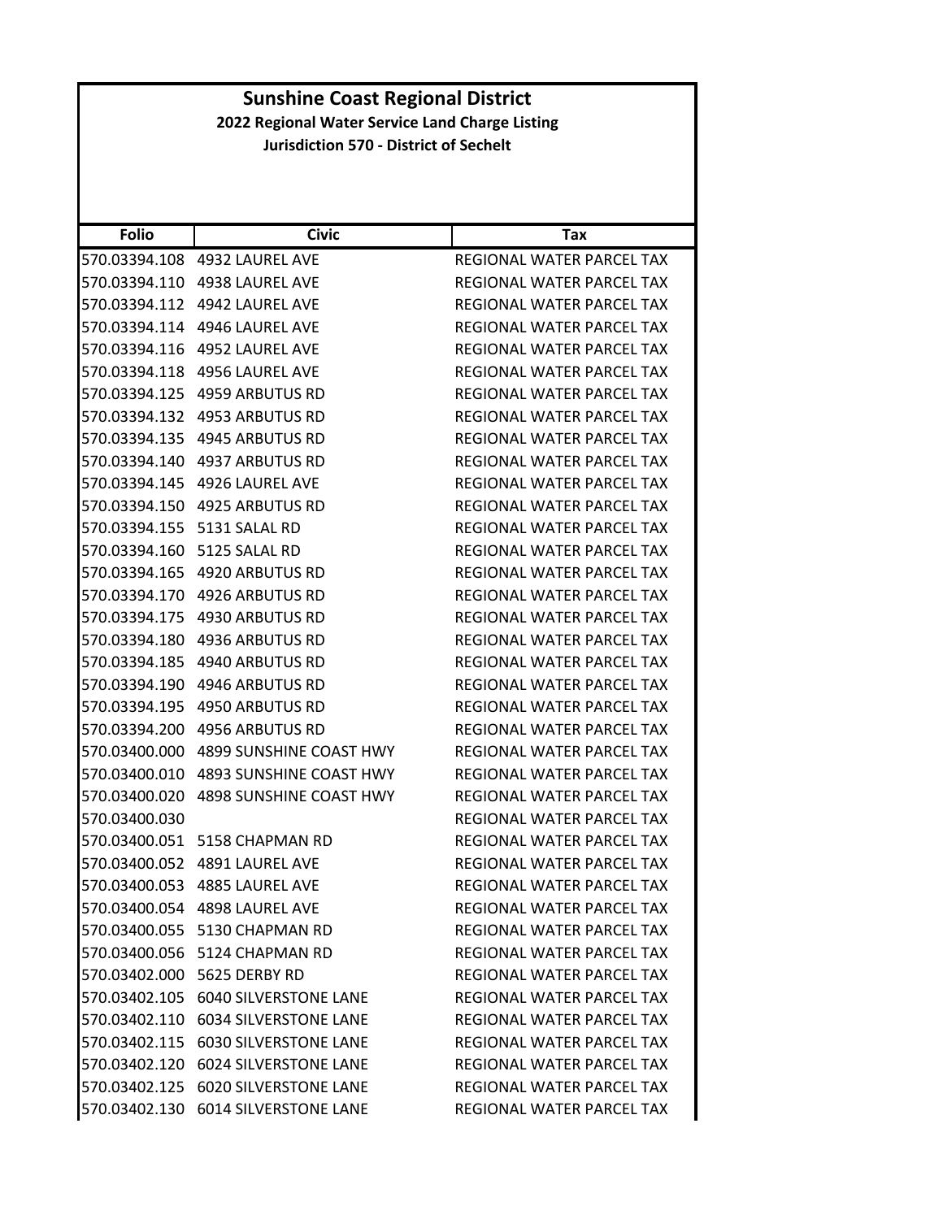| <b>Folio</b>  | <b>Civic</b>                           | Tax                              |
|---------------|----------------------------------------|----------------------------------|
| 570.03394.108 | 4932 LAUREL AVE                        | REGIONAL WATER PARCEL TAX        |
| 570.03394.110 | 4938 LAUREL AVE                        | REGIONAL WATER PARCEL TAX        |
| 570.03394.112 | 4942 LAUREL AVE                        | REGIONAL WATER PARCEL TAX        |
| 570.03394.114 | 4946 LAUREL AVE                        | REGIONAL WATER PARCEL TAX        |
| 570.03394.116 | 4952 LAUREL AVE                        | REGIONAL WATER PARCEL TAX        |
| 570.03394.118 | 4956 LAUREL AVE                        | REGIONAL WATER PARCEL TAX        |
| 570.03394.125 | <b>4959 ARBUTUS RD</b>                 | REGIONAL WATER PARCEL TAX        |
| 570.03394.132 | 4953 ARBUTUS RD                        | REGIONAL WATER PARCEL TAX        |
| 570.03394.135 | 4945 ARBUTUS RD                        | REGIONAL WATER PARCEL TAX        |
|               | 570.03394.140 4937 ARBUTUS RD          | REGIONAL WATER PARCEL TAX        |
| 570.03394.145 | 4926 LAUREL AVE                        | REGIONAL WATER PARCEL TAX        |
| 570.03394.150 | 4925 ARBUTUS RD                        | REGIONAL WATER PARCEL TAX        |
| 570.03394.155 | 5131 SALAL RD                          | REGIONAL WATER PARCEL TAX        |
| 570.03394.160 | 5125 SALAL RD                          | REGIONAL WATER PARCEL TAX        |
|               | 570.03394.165 4920 ARBUTUS RD          | <b>REGIONAL WATER PARCEL TAX</b> |
| 570.03394.170 | 4926 ARBUTUS RD                        | REGIONAL WATER PARCEL TAX        |
| 570.03394.175 | 4930 ARBUTUS RD                        | REGIONAL WATER PARCEL TAX        |
| 570.03394.180 | 4936 ARBUTUS RD                        | REGIONAL WATER PARCEL TAX        |
| 570.03394.185 | 4940 ARBUTUS RD                        | REGIONAL WATER PARCEL TAX        |
| 570.03394.190 | 4946 ARBUTUS RD                        | REGIONAL WATER PARCEL TAX        |
| 570.03394.195 | 4950 ARBUTUS RD                        | REGIONAL WATER PARCEL TAX        |
| 570.03394.200 | 4956 ARBUTUS RD                        | REGIONAL WATER PARCEL TAX        |
| 570.03400.000 | 4899 SUNSHINE COAST HWY                | REGIONAL WATER PARCEL TAX        |
|               | 570.03400.010 4893 SUNSHINE COAST HWY  | REGIONAL WATER PARCEL TAX        |
| 570.03400.020 | 4898 SUNSHINE COAST HWY                | REGIONAL WATER PARCEL TAX        |
| 570.03400.030 |                                        | REGIONAL WATER PARCEL TAX        |
| 570.03400.051 | 5158 CHAPMAN RD                        | REGIONAL WATER PARCEL TAX        |
| 570.03400.052 | <b>4891 LAUREL AVE</b>                 | REGIONAL WATER PARCEL TAX        |
| 570.03400.053 | 4885 LAUREL AVE                        | <b>REGIONAL WATER PARCEL TAX</b> |
|               | 570.03400.054 4898 LAUREL AVE          | <b>REGIONAL WATER PARCEL TAX</b> |
|               | 570.03400.055 5130 CHAPMAN RD          | REGIONAL WATER PARCEL TAX        |
|               | 570.03400.056 5124 CHAPMAN RD          | REGIONAL WATER PARCEL TAX        |
|               | 570.03402.000 5625 DERBY RD            | REGIONAL WATER PARCEL TAX        |
|               | 570.03402.105 6040 SILVERSTONE LANE    | REGIONAL WATER PARCEL TAX        |
|               | 570.03402.110    6034 SILVERSTONE LANE | REGIONAL WATER PARCEL TAX        |
|               | 570.03402.115    6030 SILVERSTONE LANE | REGIONAL WATER PARCEL TAX        |
|               | 570.03402.120 6024 SILVERSTONE LANE    | REGIONAL WATER PARCEL TAX        |
| 570.03402.125 | <b>6020 SILVERSTONE LANE</b>           | <b>REGIONAL WATER PARCEL TAX</b> |
|               | 570.03402.130 6014 SILVERSTONE LANE    | REGIONAL WATER PARCEL TAX        |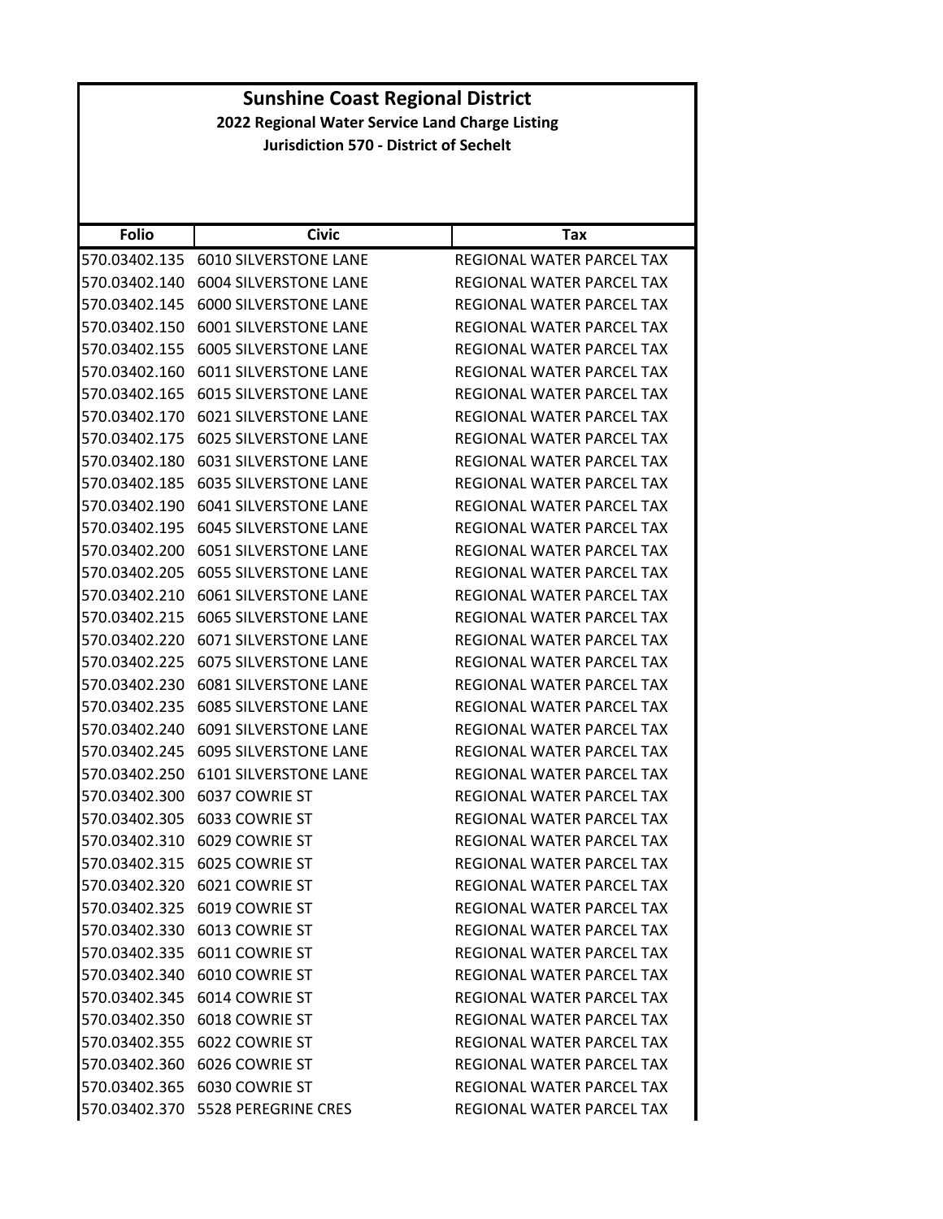|               | <b>Sunshine Coast Regional District</b>         |                                  |  |
|---------------|-------------------------------------------------|----------------------------------|--|
|               | 2022 Regional Water Service Land Charge Listing |                                  |  |
|               | <b>Jurisdiction 570 - District of Sechelt</b>   |                                  |  |
|               |                                                 |                                  |  |
|               |                                                 |                                  |  |
| <b>Folio</b>  | <b>Civic</b>                                    | Tax                              |  |
| 570.03402.135 | <b>6010 SILVERSTONE LANE</b>                    | REGIONAL WATER PARCEL TAX        |  |
| 570.03402.140 | <b>6004 SILVERSTONE LANE</b>                    | REGIONAL WATER PARCEL TAX        |  |
| 570.03402.145 | <b>6000 SILVERSTONE LANE</b>                    | REGIONAL WATER PARCEL TAX        |  |
| 570.03402.150 | <b>6001 SILVERSTONE LANE</b>                    | REGIONAL WATER PARCEL TAX        |  |
| 570.03402.155 | <b>6005 SILVERSTONE LANE</b>                    | REGIONAL WATER PARCEL TAX        |  |
| 570.03402.160 | <b>6011 SILVERSTONE LANE</b>                    | REGIONAL WATER PARCEL TAX        |  |
| 570.03402.165 | <b>6015 SILVERSTONE LANE</b>                    | <b>REGIONAL WATER PARCEL TAX</b> |  |
|               | 570.03402.170    6021 SILVERSTONE LANE          | REGIONAL WATER PARCEL TAX        |  |
| 570.03402.175 | <b>6025 SILVERSTONE LANE</b>                    | REGIONAL WATER PARCEL TAX        |  |
|               | 570.03402.180    6031 SILVERSTONE LANE          | REGIONAL WATER PARCEL TAX        |  |
| 570.03402.185 | <b>6035 SILVERSTONE LANE</b>                    | REGIONAL WATER PARCEL TAX        |  |
|               | 570.03402.190    6041 SILVERSTONE LANE          | <b>REGIONAL WATER PARCEL TAX</b> |  |
| 570.03402.195 | <b>6045 SILVERSTONE LANE</b>                    | REGIONAL WATER PARCEL TAX        |  |
| 570.03402.200 | <b>6051 SILVERSTONE LANE</b>                    | REGIONAL WATER PARCEL TAX        |  |
|               | 570.03402.205    6055 SILVERSTONE LANE          | REGIONAL WATER PARCEL TAX        |  |
| 570.03402.210 | <b>6061 SILVERSTONE LANE</b>                    | REGIONAL WATER PARCEL TAX        |  |
|               | 570.03402.215    6065 SILVERSTONE LANE          | REGIONAL WATER PARCEL TAX        |  |
| 570.03402.220 | <b>6071 SILVERSTONE LANE</b>                    | REGIONAL WATER PARCEL TAX        |  |
| 570.03402.225 | <b>6075 SILVERSTONE LANE</b>                    | REGIONAL WATER PARCEL TAX        |  |
| 570.03402.230 | <b>6081 SILVERSTONE LANE</b>                    | <b>REGIONAL WATER PARCEL TAX</b> |  |
| 570.03402.235 | <b>6085 SILVERSTONE LANE</b>                    | <b>REGIONAL WATER PARCEL TAX</b> |  |
|               | 570.03402.240    6091 SILVERSTONE LANE          | REGIONAL WATER PARCEL TAX        |  |
| 570.03402.245 | <b>6095 SILVERSTONE LANE</b>                    | REGIONAL WATER PARCEL TAX        |  |
|               | 570.03402.250 6101 SILVERSTONE LANE             | REGIONAL WATER PARCEL TAX        |  |
|               | 570.03402.300 6037 COWRIE ST                    | <b>REGIONAL WATER PARCEL TAX</b> |  |
|               | 570.03402.305 6033 COWRIE ST                    | REGIONAL WATER PARCEL TAX        |  |
|               | 570.03402.310 6029 COWRIE ST                    | REGIONAL WATER PARCEL TAX        |  |
|               | 570.03402.315 6025 COWRIE ST                    | REGIONAL WATER PARCEL TAX        |  |
|               | 570.03402.320 6021 COWRIE ST                    | REGIONAL WATER PARCEL TAX        |  |
|               | 570.03402.325 6019 COWRIE ST                    | REGIONAL WATER PARCEL TAX        |  |
|               | 570.03402.330 6013 COWRIE ST                    | REGIONAL WATER PARCEL TAX        |  |
|               | 570.03402.335 6011 COWRIE ST                    | REGIONAL WATER PARCEL TAX        |  |
|               | 570.03402.340 6010 COWRIE ST                    | <b>REGIONAL WATER PARCEL TAX</b> |  |
|               | 570.03402.345 6014 COWRIE ST                    | REGIONAL WATER PARCEL TAX        |  |
| 570.03402.350 | 6018 COWRIE ST                                  | REGIONAL WATER PARCEL TAX        |  |
|               | 570.03402.355 6022 COWRIE ST                    | REGIONAL WATER PARCEL TAX        |  |
|               | 570.03402.360 6026 COWRIE ST                    | REGIONAL WATER PARCEL TAX        |  |
|               | 570.03402.365 6030 COWRIE ST                    | REGIONAL WATER PARCEL TAX        |  |
|               | 570.03402.370 5528 PEREGRINE CRES               | REGIONAL WATER PARCEL TAX        |  |
|               |                                                 |                                  |  |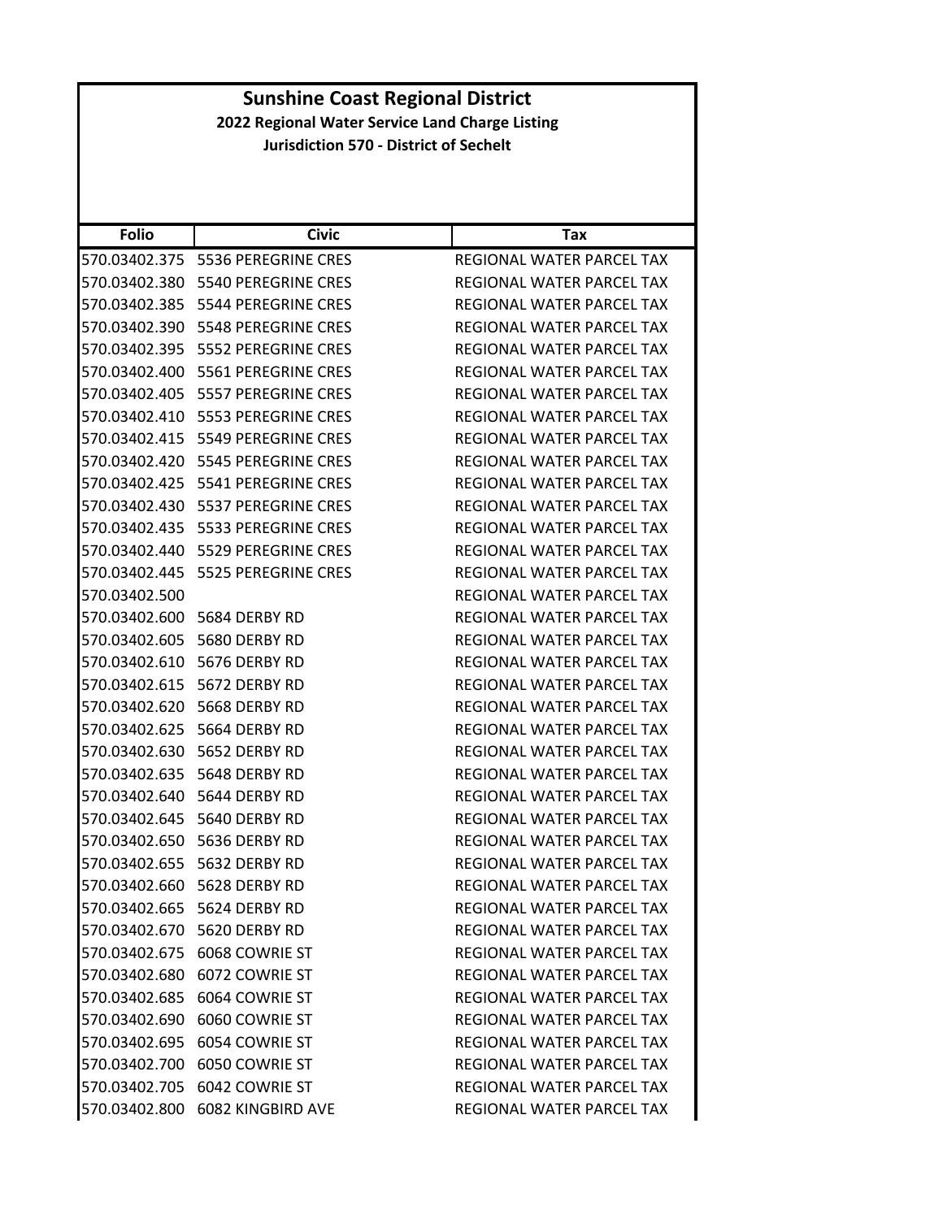| <b>Folio</b>  | <b>Civic</b>                         | Tax                              |
|---------------|--------------------------------------|----------------------------------|
| 570.03402.375 | 5536 PEREGRINE CRES                  | REGIONAL WATER PARCEL TAX        |
| 570.03402.380 | 5540 PEREGRINE CRES                  | REGIONAL WATER PARCEL TAX        |
| 570.03402.385 | 5544 PEREGRINE CRES                  | REGIONAL WATER PARCEL TAX        |
| 570.03402.390 | 5548 PEREGRINE CRES                  | REGIONAL WATER PARCEL TAX        |
| 570.03402.395 | 5552 PEREGRINE CRES                  | REGIONAL WATER PARCEL TAX        |
| 570.03402.400 | 5561 PEREGRINE CRES                  | REGIONAL WATER PARCEL TAX        |
| 570.03402.405 | 5557 PEREGRINE CRES                  | REGIONAL WATER PARCEL TAX        |
| 570.03402.410 | 5553 PEREGRINE CRES                  | REGIONAL WATER PARCEL TAX        |
| 570.03402.415 | 5549 PEREGRINE CRES                  | REGIONAL WATER PARCEL TAX        |
|               | 570.03402.420    5545 PEREGRINE CRES | REGIONAL WATER PARCEL TAX        |
| 570.03402.425 | 5541 PEREGRINE CRES                  | REGIONAL WATER PARCEL TAX        |
|               | 570.03402.430    5537 PEREGRINE CRES | REGIONAL WATER PARCEL TAX        |
| 570.03402.435 | 5533 PEREGRINE CRES                  | <b>REGIONAL WATER PARCEL TAX</b> |
|               | 570.03402.440    5529 PEREGRINE CRES | REGIONAL WATER PARCEL TAX        |
| 570.03402.445 | 5525 PEREGRINE CRES                  | REGIONAL WATER PARCEL TAX        |
| 570.03402.500 |                                      | REGIONAL WATER PARCEL TAX        |
|               | 570.03402.600 5684 DERBY RD          | REGIONAL WATER PARCEL TAX        |
| 570.03402.605 | 5680 DERBY RD                        | REGIONAL WATER PARCEL TAX        |
|               | 570.03402.610 5676 DERBY RD          | REGIONAL WATER PARCEL TAX        |
| 570.03402.615 | 5672 DERBY RD                        | REGIONAL WATER PARCEL TAX        |
| 570.03402.620 | 5668 DERBY RD                        | REGIONAL WATER PARCEL TAX        |
|               | 570.03402.625 5664 DERBY RD          | REGIONAL WATER PARCEL TAX        |
| 570.03402.630 | 5652 DERBY RD                        | REGIONAL WATER PARCEL TAX        |
| 570.03402.635 | 5648 DERBY RD                        | REGIONAL WATER PARCEL TAX        |
| 570.03402.640 | 5644 DERBY RD                        | REGIONAL WATER PARCEL TAX        |
| 570.03402.645 | 5640 DERBY RD                        | REGIONAL WATER PARCEL TAX        |
| 570.03402.650 | 5636 DERBY RD                        | REGIONAL WATER PARCEL TAX        |
| 570.03402.655 | 5632 DERBY RD                        | REGIONAL WATER PARCEL TAX        |
|               | 570.03402.660 5628 DERBY RD          | REGIONAL WATER PARCEL TAX        |
|               | 570.03402.665 5624 DERBY RD          | REGIONAL WATER PARCEL TAX        |
|               | 570.03402.670 5620 DERBY RD          | REGIONAL WATER PARCEL TAX        |
|               | 570.03402.675 6068 COWRIE ST         | REGIONAL WATER PARCEL TAX        |
|               | 570.03402.680 6072 COWRIE ST         | REGIONAL WATER PARCEL TAX        |
|               | 570.03402.685 6064 COWRIE ST         | REGIONAL WATER PARCEL TAX        |
|               | 570.03402.690 6060 COWRIE ST         | REGIONAL WATER PARCEL TAX        |
|               | 570.03402.695 6054 COWRIE ST         | REGIONAL WATER PARCEL TAX        |
|               | 570.03402.700 6050 COWRIE ST         | REGIONAL WATER PARCEL TAX        |
|               | 570.03402.705 6042 COWRIE ST         | REGIONAL WATER PARCEL TAX        |
| 570.03402.800 | <b>6082 KINGBIRD AVE</b>             | REGIONAL WATER PARCEL TAX        |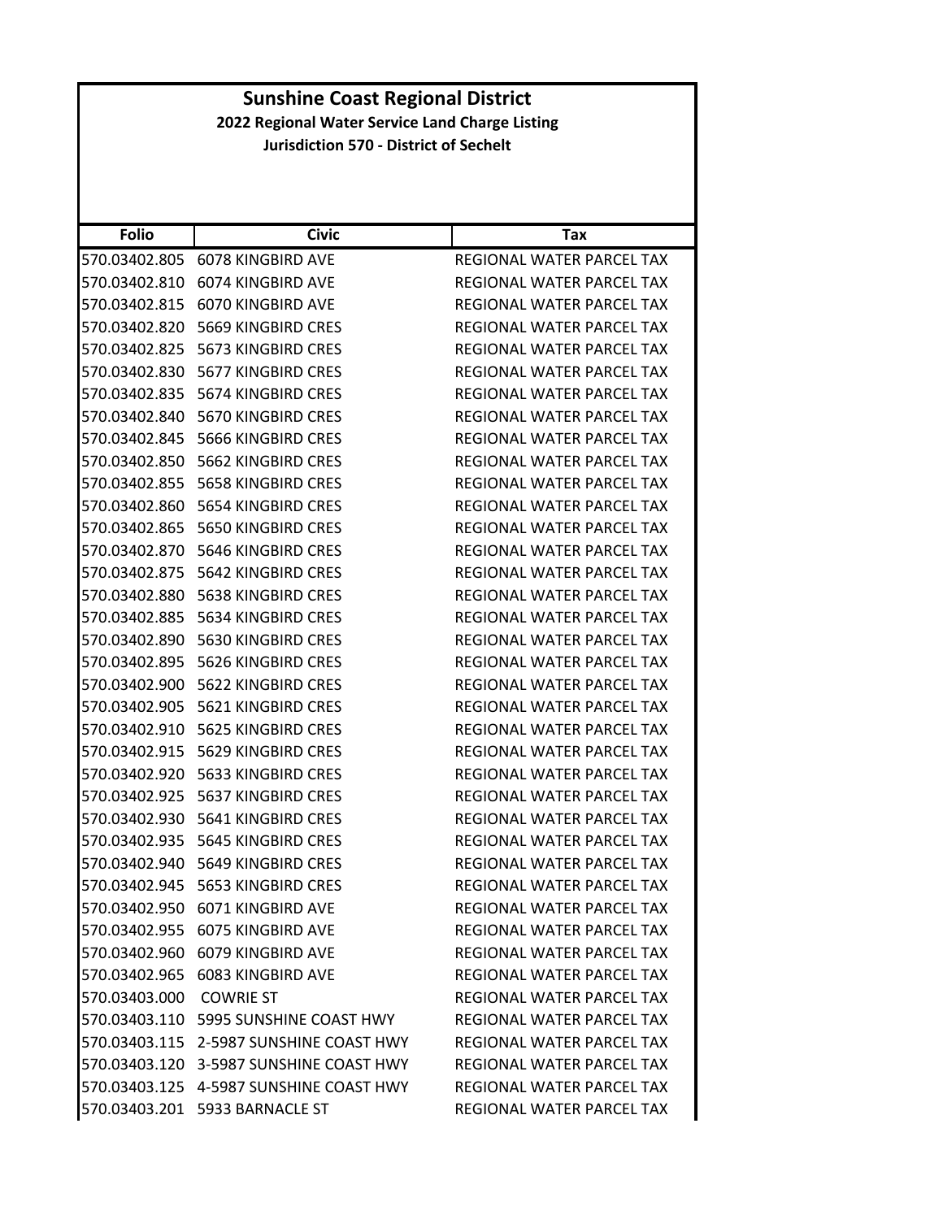| <b>Folio</b>  | <b>Civic</b>                             | Tax                              |
|---------------|------------------------------------------|----------------------------------|
| 570.03402.805 | <b>6078 KINGBIRD AVE</b>                 | REGIONAL WATER PARCEL TAX        |
| 570.03402.810 | 6074 KINGBIRD AVE                        | REGIONAL WATER PARCEL TAX        |
| 570.03402.815 | 6070 KINGBIRD AVE                        | <b>REGIONAL WATER PARCEL TAX</b> |
| 570.03402.820 | 5669 KINGBIRD CRES                       | REGIONAL WATER PARCEL TAX        |
| 570.03402.825 | 5673 KINGBIRD CRES                       | REGIONAL WATER PARCEL TAX        |
| 570.03402.830 | 5677 KINGBIRD CRES                       | REGIONAL WATER PARCEL TAX        |
| 570.03402.835 | 5674 KINGBIRD CRES                       | REGIONAL WATER PARCEL TAX        |
| 570.03402.840 | <b>5670 KINGBIRD CRES</b>                | REGIONAL WATER PARCEL TAX        |
| 570.03402.845 | 5666 KINGBIRD CRES                       | REGIONAL WATER PARCEL TAX        |
| 570.03402.850 | 5662 KINGBIRD CRES                       | REGIONAL WATER PARCEL TAX        |
| 570.03402.855 | <b>5658 KINGBIRD CRES</b>                | REGIONAL WATER PARCEL TAX        |
| 570.03402.860 | 5654 KINGBIRD CRES                       | REGIONAL WATER PARCEL TAX        |
| 570.03402.865 | <b>5650 KINGBIRD CRES</b>                | <b>REGIONAL WATER PARCEL TAX</b> |
| 570.03402.870 | 5646 KINGBIRD CRES                       | REGIONAL WATER PARCEL TAX        |
| 570.03402.875 | 5642 KINGBIRD CRES                       | REGIONAL WATER PARCEL TAX        |
| 570.03402.880 | <b>5638 KINGBIRD CRES</b>                | REGIONAL WATER PARCEL TAX        |
| 570.03402.885 | 5634 KINGBIRD CRES                       | REGIONAL WATER PARCEL TAX        |
| 570.03402.890 | 5630 KINGBIRD CRES                       | REGIONAL WATER PARCEL TAX        |
| 570.03402.895 | 5626 KINGBIRD CRES                       | REGIONAL WATER PARCEL TAX        |
| 570.03402.900 | 5622 KINGBIRD CRES                       | REGIONAL WATER PARCEL TAX        |
| 570.03402.905 | 5621 KINGBIRD CRES                       | REGIONAL WATER PARCEL TAX        |
| 570.03402.910 | 5625 KINGBIRD CRES                       | REGIONAL WATER PARCEL TAX        |
| 570.03402.915 | 5629 KINGBIRD CRES                       | REGIONAL WATER PARCEL TAX        |
| 570.03402.920 | 5633 KINGBIRD CRES                       | REGIONAL WATER PARCEL TAX        |
| 570.03402.925 | 5637 KINGBIRD CRES                       | REGIONAL WATER PARCEL TAX        |
| 570.03402.930 | 5641 KINGBIRD CRES                       | REGIONAL WATER PARCEL TAX        |
| 570.03402.935 | 5645 KINGBIRD CRES                       | <b>REGIONAL WATER PARCEL TAX</b> |
| 570.03402.940 | 5649 KINGBIRD CRES                       | <b>REGIONAL WATER PARCEL TAX</b> |
| 570.03402.945 | 5653 KINGBIRD CRES                       | REGIONAL WATER PARCEL TAX        |
|               | 570.03402.950 6071 KINGBIRD AVE          | REGIONAL WATER PARCEL TAX        |
|               | 570.03402.955    6075    KINGBIRD AVE    | REGIONAL WATER PARCEL TAX        |
|               | 570.03402.960 6079 KINGBIRD AVE          | REGIONAL WATER PARCEL TAX        |
|               | 570.03402.965 6083 KINGBIRD AVE          | REGIONAL WATER PARCEL TAX        |
| 570.03403.000 | <b>COWRIE ST</b>                         | REGIONAL WATER PARCEL TAX        |
|               | 570.03403.110    5995 SUNSHINE COAST HWY | REGIONAL WATER PARCEL TAX        |
|               | 570.03403.115 2-5987 SUNSHINE COAST HWY  | REGIONAL WATER PARCEL TAX        |
|               | 570.03403.120 3-5987 SUNSHINE COAST HWY  | REGIONAL WATER PARCEL TAX        |
|               | 570.03403.125  4-5987 SUNSHINE COAST HWY | REGIONAL WATER PARCEL TAX        |
|               | 570.03403.201    5933 BARNACLE ST        | REGIONAL WATER PARCEL TAX        |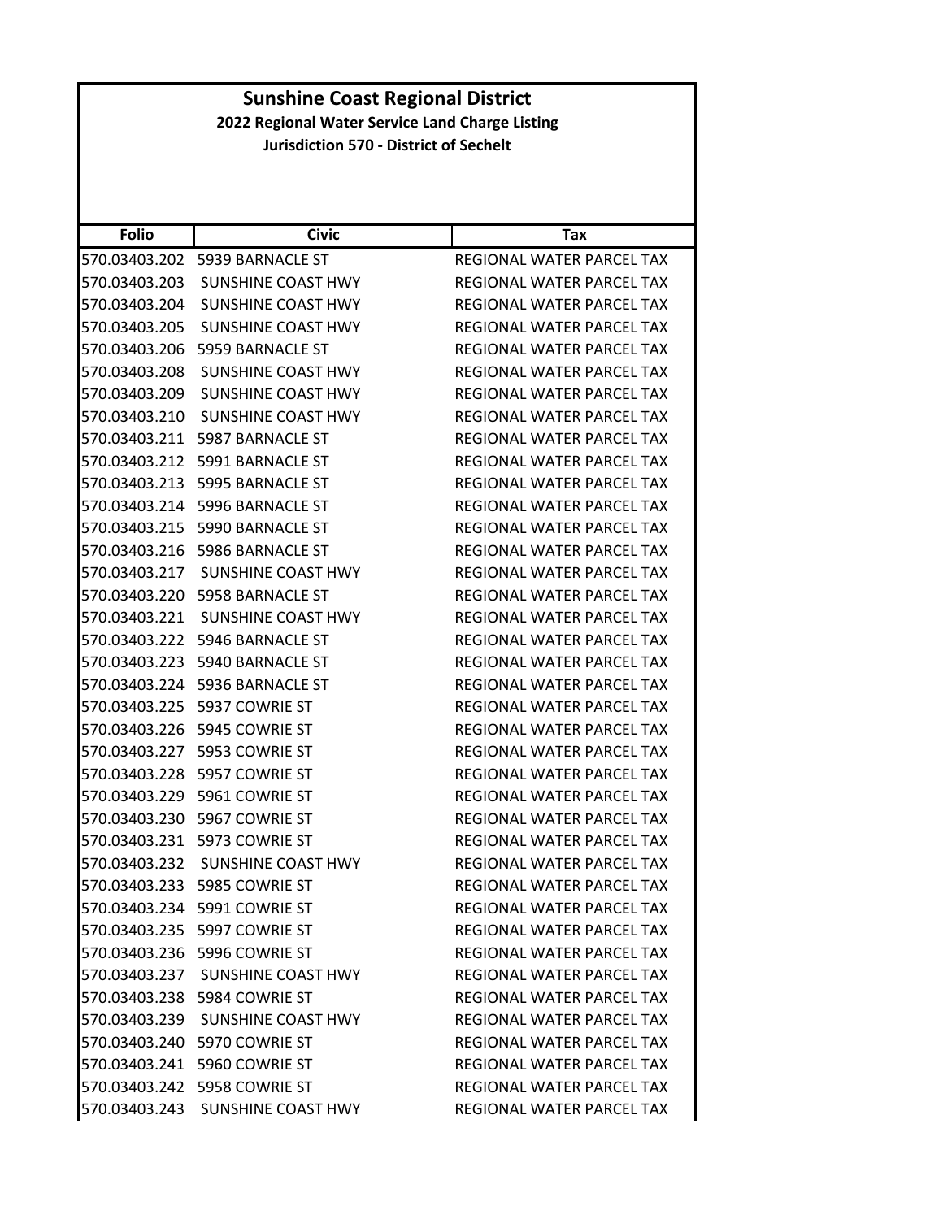| 2022 Regional Water Service Land Charge Listing<br><b>Jurisdiction 570 - District of Sechelt</b><br><b>Folio</b><br><b>Civic</b><br>Tax<br>570.03403.202 5939 BARNACLE ST<br>REGIONAL WATER PARCEL TAX<br>570.03403.203 SUNSHINE COAST HWY<br>REGIONAL WATER PARCEL TAX<br>570.03403.204 SUNSHINE COAST HWY<br>REGIONAL WATER PARCEL TAX<br>570.03403.205<br>SUNSHINE COAST HWY<br>REGIONAL WATER PARCEL TAX<br>570.03403.206    5959 BARNACLE ST<br>REGIONAL WATER PARCEL TAX<br>570.03403.208 SUNSHINE COAST HWY<br>REGIONAL WATER PARCEL TAX<br>570.03403.209 SUNSHINE COAST HWY<br>REGIONAL WATER PARCEL TAX<br>570.03403.210 SUNSHINE COAST HWY<br>REGIONAL WATER PARCEL TAX<br>570.03403.211    5987 BARNACLE ST<br>REGIONAL WATER PARCEL TAX<br>570.03403.212    5991    BARNACLE ST<br>REGIONAL WATER PARCEL TAX<br>570.03403.213    5995    BARNACLE ST<br>REGIONAL WATER PARCEL TAX<br>570.03403.214 5996 BARNACLE ST<br>REGIONAL WATER PARCEL TAX<br>570.03403.215    5990 BARNACLE ST<br>REGIONAL WATER PARCEL TAX<br>570.03403.216    5986 BARNACLE ST<br>REGIONAL WATER PARCEL TAX<br>570.03403.217 SUNSHINE COAST HWY<br>REGIONAL WATER PARCEL TAX<br>570.03403.220 5958 BARNACLE ST<br>REGIONAL WATER PARCEL TAX<br>570.03403.221 SUNSHINE COAST HWY<br><b>REGIONAL WATER PARCEL TAX</b><br>570.03403.222 5946 BARNACLE ST<br>REGIONAL WATER PARCEL TAX<br>570.03403.223 5940 BARNACLE ST<br>REGIONAL WATER PARCEL TAX<br>570.03403.224 5936 BARNACLE ST<br>REGIONAL WATER PARCEL TAX<br>570.03403.225    5937    COWRIE ST<br>REGIONAL WATER PARCEL TAX<br>570.03403.226    5945    COWRIE ST<br><b>REGIONAL WATER PARCEL TAX</b><br>570.03403.227    5953    COWRIE ST<br>REGIONAL WATER PARCEL TAX<br>570.03403.228    5957    COWRIE ST<br>REGIONAL WATER PARCEL TAX<br>570.03403.229 5961 COWRIE ST<br>REGIONAL WATER PARCEL TAX<br>REGIONAL WATER PARCEL TAX<br>570.03403.230 5967 COWRIE ST<br>570.03403.231 5973 COWRIE ST<br>REGIONAL WATER PARCEL TAX<br>570.03403.232 SUNSHINE COAST HWY<br>REGIONAL WATER PARCEL TAX<br>570.03403.233    5985    COWRIE ST<br>REGIONAL WATER PARCEL TAX<br>570.03403.234 5991 COWRIE ST<br>REGIONAL WATER PARCEL TAX<br>570.03403.235    5997    COWRIE ST<br>REGIONAL WATER PARCEL TAX<br>570.03403.236 5996 COWRIE ST<br>REGIONAL WATER PARCEL TAX<br>570.03403.237 SUNSHINE COAST HWY<br>REGIONAL WATER PARCEL TAX<br>570.03403.238 5984 COWRIE ST<br>REGIONAL WATER PARCEL TAX<br>570.03403.239 SUNSHINE COAST HWY<br>REGIONAL WATER PARCEL TAX<br>570.03403.240 5970 COWRIE ST<br>REGIONAL WATER PARCEL TAX<br>570.03403.241 5960 COWRIE ST<br>REGIONAL WATER PARCEL TAX<br>570.03403.242    5958 COWRIE ST<br>REGIONAL WATER PARCEL TAX | <b>Sunshine Coast Regional District</b> |  |  |
|-----------------------------------------------------------------------------------------------------------------------------------------------------------------------------------------------------------------------------------------------------------------------------------------------------------------------------------------------------------------------------------------------------------------------------------------------------------------------------------------------------------------------------------------------------------------------------------------------------------------------------------------------------------------------------------------------------------------------------------------------------------------------------------------------------------------------------------------------------------------------------------------------------------------------------------------------------------------------------------------------------------------------------------------------------------------------------------------------------------------------------------------------------------------------------------------------------------------------------------------------------------------------------------------------------------------------------------------------------------------------------------------------------------------------------------------------------------------------------------------------------------------------------------------------------------------------------------------------------------------------------------------------------------------------------------------------------------------------------------------------------------------------------------------------------------------------------------------------------------------------------------------------------------------------------------------------------------------------------------------------------------------------------------------------------------------------------------------------------------------------------------------------------------------------------------------------------------------------------------------------------------------------------------------------------------------------------------------------------------------------------------------------------------------------------------------------------------------------------------------------------------------------------------------------------------------------------------------------------------------------------------------------------------------------------------------------------------|-----------------------------------------|--|--|
|                                                                                                                                                                                                                                                                                                                                                                                                                                                                                                                                                                                                                                                                                                                                                                                                                                                                                                                                                                                                                                                                                                                                                                                                                                                                                                                                                                                                                                                                                                                                                                                                                                                                                                                                                                                                                                                                                                                                                                                                                                                                                                                                                                                                                                                                                                                                                                                                                                                                                                                                                                                                                                                                                                           |                                         |  |  |
|                                                                                                                                                                                                                                                                                                                                                                                                                                                                                                                                                                                                                                                                                                                                                                                                                                                                                                                                                                                                                                                                                                                                                                                                                                                                                                                                                                                                                                                                                                                                                                                                                                                                                                                                                                                                                                                                                                                                                                                                                                                                                                                                                                                                                                                                                                                                                                                                                                                                                                                                                                                                                                                                                                           |                                         |  |  |
|                                                                                                                                                                                                                                                                                                                                                                                                                                                                                                                                                                                                                                                                                                                                                                                                                                                                                                                                                                                                                                                                                                                                                                                                                                                                                                                                                                                                                                                                                                                                                                                                                                                                                                                                                                                                                                                                                                                                                                                                                                                                                                                                                                                                                                                                                                                                                                                                                                                                                                                                                                                                                                                                                                           |                                         |  |  |
|                                                                                                                                                                                                                                                                                                                                                                                                                                                                                                                                                                                                                                                                                                                                                                                                                                                                                                                                                                                                                                                                                                                                                                                                                                                                                                                                                                                                                                                                                                                                                                                                                                                                                                                                                                                                                                                                                                                                                                                                                                                                                                                                                                                                                                                                                                                                                                                                                                                                                                                                                                                                                                                                                                           |                                         |  |  |
|                                                                                                                                                                                                                                                                                                                                                                                                                                                                                                                                                                                                                                                                                                                                                                                                                                                                                                                                                                                                                                                                                                                                                                                                                                                                                                                                                                                                                                                                                                                                                                                                                                                                                                                                                                                                                                                                                                                                                                                                                                                                                                                                                                                                                                                                                                                                                                                                                                                                                                                                                                                                                                                                                                           |                                         |  |  |
|                                                                                                                                                                                                                                                                                                                                                                                                                                                                                                                                                                                                                                                                                                                                                                                                                                                                                                                                                                                                                                                                                                                                                                                                                                                                                                                                                                                                                                                                                                                                                                                                                                                                                                                                                                                                                                                                                                                                                                                                                                                                                                                                                                                                                                                                                                                                                                                                                                                                                                                                                                                                                                                                                                           |                                         |  |  |
|                                                                                                                                                                                                                                                                                                                                                                                                                                                                                                                                                                                                                                                                                                                                                                                                                                                                                                                                                                                                                                                                                                                                                                                                                                                                                                                                                                                                                                                                                                                                                                                                                                                                                                                                                                                                                                                                                                                                                                                                                                                                                                                                                                                                                                                                                                                                                                                                                                                                                                                                                                                                                                                                                                           |                                         |  |  |
|                                                                                                                                                                                                                                                                                                                                                                                                                                                                                                                                                                                                                                                                                                                                                                                                                                                                                                                                                                                                                                                                                                                                                                                                                                                                                                                                                                                                                                                                                                                                                                                                                                                                                                                                                                                                                                                                                                                                                                                                                                                                                                                                                                                                                                                                                                                                                                                                                                                                                                                                                                                                                                                                                                           |                                         |  |  |
|                                                                                                                                                                                                                                                                                                                                                                                                                                                                                                                                                                                                                                                                                                                                                                                                                                                                                                                                                                                                                                                                                                                                                                                                                                                                                                                                                                                                                                                                                                                                                                                                                                                                                                                                                                                                                                                                                                                                                                                                                                                                                                                                                                                                                                                                                                                                                                                                                                                                                                                                                                                                                                                                                                           |                                         |  |  |
|                                                                                                                                                                                                                                                                                                                                                                                                                                                                                                                                                                                                                                                                                                                                                                                                                                                                                                                                                                                                                                                                                                                                                                                                                                                                                                                                                                                                                                                                                                                                                                                                                                                                                                                                                                                                                                                                                                                                                                                                                                                                                                                                                                                                                                                                                                                                                                                                                                                                                                                                                                                                                                                                                                           |                                         |  |  |
|                                                                                                                                                                                                                                                                                                                                                                                                                                                                                                                                                                                                                                                                                                                                                                                                                                                                                                                                                                                                                                                                                                                                                                                                                                                                                                                                                                                                                                                                                                                                                                                                                                                                                                                                                                                                                                                                                                                                                                                                                                                                                                                                                                                                                                                                                                                                                                                                                                                                                                                                                                                                                                                                                                           |                                         |  |  |
|                                                                                                                                                                                                                                                                                                                                                                                                                                                                                                                                                                                                                                                                                                                                                                                                                                                                                                                                                                                                                                                                                                                                                                                                                                                                                                                                                                                                                                                                                                                                                                                                                                                                                                                                                                                                                                                                                                                                                                                                                                                                                                                                                                                                                                                                                                                                                                                                                                                                                                                                                                                                                                                                                                           |                                         |  |  |
|                                                                                                                                                                                                                                                                                                                                                                                                                                                                                                                                                                                                                                                                                                                                                                                                                                                                                                                                                                                                                                                                                                                                                                                                                                                                                                                                                                                                                                                                                                                                                                                                                                                                                                                                                                                                                                                                                                                                                                                                                                                                                                                                                                                                                                                                                                                                                                                                                                                                                                                                                                                                                                                                                                           |                                         |  |  |
|                                                                                                                                                                                                                                                                                                                                                                                                                                                                                                                                                                                                                                                                                                                                                                                                                                                                                                                                                                                                                                                                                                                                                                                                                                                                                                                                                                                                                                                                                                                                                                                                                                                                                                                                                                                                                                                                                                                                                                                                                                                                                                                                                                                                                                                                                                                                                                                                                                                                                                                                                                                                                                                                                                           |                                         |  |  |
|                                                                                                                                                                                                                                                                                                                                                                                                                                                                                                                                                                                                                                                                                                                                                                                                                                                                                                                                                                                                                                                                                                                                                                                                                                                                                                                                                                                                                                                                                                                                                                                                                                                                                                                                                                                                                                                                                                                                                                                                                                                                                                                                                                                                                                                                                                                                                                                                                                                                                                                                                                                                                                                                                                           |                                         |  |  |
|                                                                                                                                                                                                                                                                                                                                                                                                                                                                                                                                                                                                                                                                                                                                                                                                                                                                                                                                                                                                                                                                                                                                                                                                                                                                                                                                                                                                                                                                                                                                                                                                                                                                                                                                                                                                                                                                                                                                                                                                                                                                                                                                                                                                                                                                                                                                                                                                                                                                                                                                                                                                                                                                                                           |                                         |  |  |
|                                                                                                                                                                                                                                                                                                                                                                                                                                                                                                                                                                                                                                                                                                                                                                                                                                                                                                                                                                                                                                                                                                                                                                                                                                                                                                                                                                                                                                                                                                                                                                                                                                                                                                                                                                                                                                                                                                                                                                                                                                                                                                                                                                                                                                                                                                                                                                                                                                                                                                                                                                                                                                                                                                           |                                         |  |  |
|                                                                                                                                                                                                                                                                                                                                                                                                                                                                                                                                                                                                                                                                                                                                                                                                                                                                                                                                                                                                                                                                                                                                                                                                                                                                                                                                                                                                                                                                                                                                                                                                                                                                                                                                                                                                                                                                                                                                                                                                                                                                                                                                                                                                                                                                                                                                                                                                                                                                                                                                                                                                                                                                                                           |                                         |  |  |
|                                                                                                                                                                                                                                                                                                                                                                                                                                                                                                                                                                                                                                                                                                                                                                                                                                                                                                                                                                                                                                                                                                                                                                                                                                                                                                                                                                                                                                                                                                                                                                                                                                                                                                                                                                                                                                                                                                                                                                                                                                                                                                                                                                                                                                                                                                                                                                                                                                                                                                                                                                                                                                                                                                           |                                         |  |  |
|                                                                                                                                                                                                                                                                                                                                                                                                                                                                                                                                                                                                                                                                                                                                                                                                                                                                                                                                                                                                                                                                                                                                                                                                                                                                                                                                                                                                                                                                                                                                                                                                                                                                                                                                                                                                                                                                                                                                                                                                                                                                                                                                                                                                                                                                                                                                                                                                                                                                                                                                                                                                                                                                                                           |                                         |  |  |
|                                                                                                                                                                                                                                                                                                                                                                                                                                                                                                                                                                                                                                                                                                                                                                                                                                                                                                                                                                                                                                                                                                                                                                                                                                                                                                                                                                                                                                                                                                                                                                                                                                                                                                                                                                                                                                                                                                                                                                                                                                                                                                                                                                                                                                                                                                                                                                                                                                                                                                                                                                                                                                                                                                           |                                         |  |  |
|                                                                                                                                                                                                                                                                                                                                                                                                                                                                                                                                                                                                                                                                                                                                                                                                                                                                                                                                                                                                                                                                                                                                                                                                                                                                                                                                                                                                                                                                                                                                                                                                                                                                                                                                                                                                                                                                                                                                                                                                                                                                                                                                                                                                                                                                                                                                                                                                                                                                                                                                                                                                                                                                                                           |                                         |  |  |
|                                                                                                                                                                                                                                                                                                                                                                                                                                                                                                                                                                                                                                                                                                                                                                                                                                                                                                                                                                                                                                                                                                                                                                                                                                                                                                                                                                                                                                                                                                                                                                                                                                                                                                                                                                                                                                                                                                                                                                                                                                                                                                                                                                                                                                                                                                                                                                                                                                                                                                                                                                                                                                                                                                           |                                         |  |  |
|                                                                                                                                                                                                                                                                                                                                                                                                                                                                                                                                                                                                                                                                                                                                                                                                                                                                                                                                                                                                                                                                                                                                                                                                                                                                                                                                                                                                                                                                                                                                                                                                                                                                                                                                                                                                                                                                                                                                                                                                                                                                                                                                                                                                                                                                                                                                                                                                                                                                                                                                                                                                                                                                                                           |                                         |  |  |
|                                                                                                                                                                                                                                                                                                                                                                                                                                                                                                                                                                                                                                                                                                                                                                                                                                                                                                                                                                                                                                                                                                                                                                                                                                                                                                                                                                                                                                                                                                                                                                                                                                                                                                                                                                                                                                                                                                                                                                                                                                                                                                                                                                                                                                                                                                                                                                                                                                                                                                                                                                                                                                                                                                           |                                         |  |  |
|                                                                                                                                                                                                                                                                                                                                                                                                                                                                                                                                                                                                                                                                                                                                                                                                                                                                                                                                                                                                                                                                                                                                                                                                                                                                                                                                                                                                                                                                                                                                                                                                                                                                                                                                                                                                                                                                                                                                                                                                                                                                                                                                                                                                                                                                                                                                                                                                                                                                                                                                                                                                                                                                                                           |                                         |  |  |
|                                                                                                                                                                                                                                                                                                                                                                                                                                                                                                                                                                                                                                                                                                                                                                                                                                                                                                                                                                                                                                                                                                                                                                                                                                                                                                                                                                                                                                                                                                                                                                                                                                                                                                                                                                                                                                                                                                                                                                                                                                                                                                                                                                                                                                                                                                                                                                                                                                                                                                                                                                                                                                                                                                           |                                         |  |  |
|                                                                                                                                                                                                                                                                                                                                                                                                                                                                                                                                                                                                                                                                                                                                                                                                                                                                                                                                                                                                                                                                                                                                                                                                                                                                                                                                                                                                                                                                                                                                                                                                                                                                                                                                                                                                                                                                                                                                                                                                                                                                                                                                                                                                                                                                                                                                                                                                                                                                                                                                                                                                                                                                                                           |                                         |  |  |
|                                                                                                                                                                                                                                                                                                                                                                                                                                                                                                                                                                                                                                                                                                                                                                                                                                                                                                                                                                                                                                                                                                                                                                                                                                                                                                                                                                                                                                                                                                                                                                                                                                                                                                                                                                                                                                                                                                                                                                                                                                                                                                                                                                                                                                                                                                                                                                                                                                                                                                                                                                                                                                                                                                           |                                         |  |  |
|                                                                                                                                                                                                                                                                                                                                                                                                                                                                                                                                                                                                                                                                                                                                                                                                                                                                                                                                                                                                                                                                                                                                                                                                                                                                                                                                                                                                                                                                                                                                                                                                                                                                                                                                                                                                                                                                                                                                                                                                                                                                                                                                                                                                                                                                                                                                                                                                                                                                                                                                                                                                                                                                                                           |                                         |  |  |
|                                                                                                                                                                                                                                                                                                                                                                                                                                                                                                                                                                                                                                                                                                                                                                                                                                                                                                                                                                                                                                                                                                                                                                                                                                                                                                                                                                                                                                                                                                                                                                                                                                                                                                                                                                                                                                                                                                                                                                                                                                                                                                                                                                                                                                                                                                                                                                                                                                                                                                                                                                                                                                                                                                           |                                         |  |  |
|                                                                                                                                                                                                                                                                                                                                                                                                                                                                                                                                                                                                                                                                                                                                                                                                                                                                                                                                                                                                                                                                                                                                                                                                                                                                                                                                                                                                                                                                                                                                                                                                                                                                                                                                                                                                                                                                                                                                                                                                                                                                                                                                                                                                                                                                                                                                                                                                                                                                                                                                                                                                                                                                                                           |                                         |  |  |
|                                                                                                                                                                                                                                                                                                                                                                                                                                                                                                                                                                                                                                                                                                                                                                                                                                                                                                                                                                                                                                                                                                                                                                                                                                                                                                                                                                                                                                                                                                                                                                                                                                                                                                                                                                                                                                                                                                                                                                                                                                                                                                                                                                                                                                                                                                                                                                                                                                                                                                                                                                                                                                                                                                           |                                         |  |  |
|                                                                                                                                                                                                                                                                                                                                                                                                                                                                                                                                                                                                                                                                                                                                                                                                                                                                                                                                                                                                                                                                                                                                                                                                                                                                                                                                                                                                                                                                                                                                                                                                                                                                                                                                                                                                                                                                                                                                                                                                                                                                                                                                                                                                                                                                                                                                                                                                                                                                                                                                                                                                                                                                                                           |                                         |  |  |
|                                                                                                                                                                                                                                                                                                                                                                                                                                                                                                                                                                                                                                                                                                                                                                                                                                                                                                                                                                                                                                                                                                                                                                                                                                                                                                                                                                                                                                                                                                                                                                                                                                                                                                                                                                                                                                                                                                                                                                                                                                                                                                                                                                                                                                                                                                                                                                                                                                                                                                                                                                                                                                                                                                           |                                         |  |  |
|                                                                                                                                                                                                                                                                                                                                                                                                                                                                                                                                                                                                                                                                                                                                                                                                                                                                                                                                                                                                                                                                                                                                                                                                                                                                                                                                                                                                                                                                                                                                                                                                                                                                                                                                                                                                                                                                                                                                                                                                                                                                                                                                                                                                                                                                                                                                                                                                                                                                                                                                                                                                                                                                                                           |                                         |  |  |
|                                                                                                                                                                                                                                                                                                                                                                                                                                                                                                                                                                                                                                                                                                                                                                                                                                                                                                                                                                                                                                                                                                                                                                                                                                                                                                                                                                                                                                                                                                                                                                                                                                                                                                                                                                                                                                                                                                                                                                                                                                                                                                                                                                                                                                                                                                                                                                                                                                                                                                                                                                                                                                                                                                           |                                         |  |  |
|                                                                                                                                                                                                                                                                                                                                                                                                                                                                                                                                                                                                                                                                                                                                                                                                                                                                                                                                                                                                                                                                                                                                                                                                                                                                                                                                                                                                                                                                                                                                                                                                                                                                                                                                                                                                                                                                                                                                                                                                                                                                                                                                                                                                                                                                                                                                                                                                                                                                                                                                                                                                                                                                                                           |                                         |  |  |
|                                                                                                                                                                                                                                                                                                                                                                                                                                                                                                                                                                                                                                                                                                                                                                                                                                                                                                                                                                                                                                                                                                                                                                                                                                                                                                                                                                                                                                                                                                                                                                                                                                                                                                                                                                                                                                                                                                                                                                                                                                                                                                                                                                                                                                                                                                                                                                                                                                                                                                                                                                                                                                                                                                           |                                         |  |  |
|                                                                                                                                                                                                                                                                                                                                                                                                                                                                                                                                                                                                                                                                                                                                                                                                                                                                                                                                                                                                                                                                                                                                                                                                                                                                                                                                                                                                                                                                                                                                                                                                                                                                                                                                                                                                                                                                                                                                                                                                                                                                                                                                                                                                                                                                                                                                                                                                                                                                                                                                                                                                                                                                                                           |                                         |  |  |
|                                                                                                                                                                                                                                                                                                                                                                                                                                                                                                                                                                                                                                                                                                                                                                                                                                                                                                                                                                                                                                                                                                                                                                                                                                                                                                                                                                                                                                                                                                                                                                                                                                                                                                                                                                                                                                                                                                                                                                                                                                                                                                                                                                                                                                                                                                                                                                                                                                                                                                                                                                                                                                                                                                           |                                         |  |  |
|                                                                                                                                                                                                                                                                                                                                                                                                                                                                                                                                                                                                                                                                                                                                                                                                                                                                                                                                                                                                                                                                                                                                                                                                                                                                                                                                                                                                                                                                                                                                                                                                                                                                                                                                                                                                                                                                                                                                                                                                                                                                                                                                                                                                                                                                                                                                                                                                                                                                                                                                                                                                                                                                                                           |                                         |  |  |
|                                                                                                                                                                                                                                                                                                                                                                                                                                                                                                                                                                                                                                                                                                                                                                                                                                                                                                                                                                                                                                                                                                                                                                                                                                                                                                                                                                                                                                                                                                                                                                                                                                                                                                                                                                                                                                                                                                                                                                                                                                                                                                                                                                                                                                                                                                                                                                                                                                                                                                                                                                                                                                                                                                           |                                         |  |  |
| 570.03403.243 SUNSHINE COAST HWY<br>REGIONAL WATER PARCEL TAX                                                                                                                                                                                                                                                                                                                                                                                                                                                                                                                                                                                                                                                                                                                                                                                                                                                                                                                                                                                                                                                                                                                                                                                                                                                                                                                                                                                                                                                                                                                                                                                                                                                                                                                                                                                                                                                                                                                                                                                                                                                                                                                                                                                                                                                                                                                                                                                                                                                                                                                                                                                                                                             |                                         |  |  |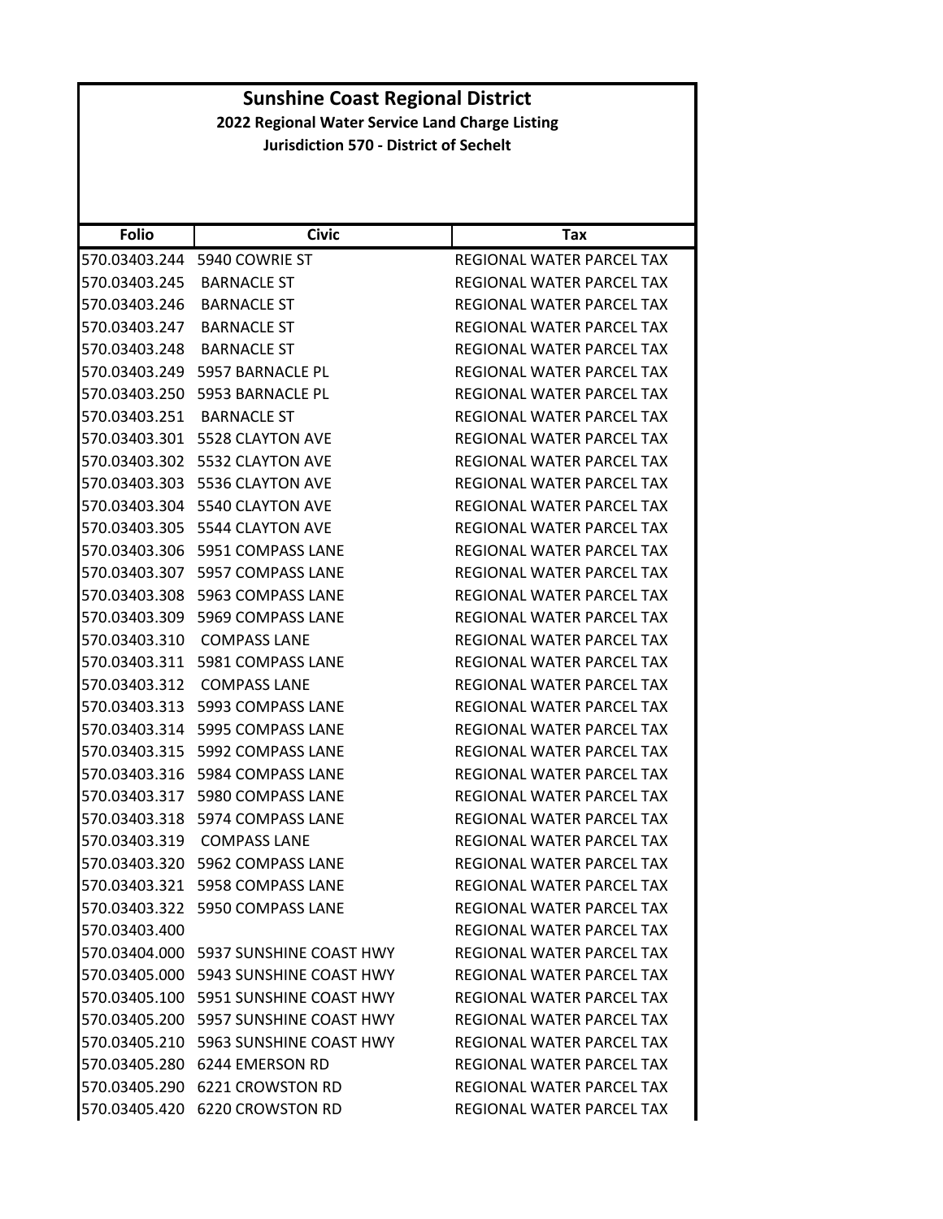| <b>Folio</b>  | <b>Civic</b>                             | Tax                              |
|---------------|------------------------------------------|----------------------------------|
| 570.03403.244 | 5940 COWRIE ST                           | REGIONAL WATER PARCEL TAX        |
| 570.03403.245 | <b>BARNACLE ST</b>                       | REGIONAL WATER PARCEL TAX        |
| 570.03403.246 | <b>BARNACLE ST</b>                       | REGIONAL WATER PARCEL TAX        |
| 570.03403.247 | <b>BARNACLE ST</b>                       | REGIONAL WATER PARCEL TAX        |
| 570.03403.248 | <b>BARNACLE ST</b>                       | REGIONAL WATER PARCEL TAX        |
| 570.03403.249 | 5957 BARNACLE PL                         | <b>REGIONAL WATER PARCEL TAX</b> |
| 570.03403.250 | 5953 BARNACLE PL                         | REGIONAL WATER PARCEL TAX        |
| 570.03403.251 | <b>BARNACLE ST</b>                       | REGIONAL WATER PARCEL TAX        |
| 570.03403.301 | 5528 CLAYTON AVE                         | REGIONAL WATER PARCEL TAX        |
|               | 570.03403.302    5532 CLAYTON AVE        | REGIONAL WATER PARCEL TAX        |
| 570.03403.303 | 5536 CLAYTON AVE                         | REGIONAL WATER PARCEL TAX        |
| 570.03403.304 | 5540 CLAYTON AVE                         | REGIONAL WATER PARCEL TAX        |
| 570.03403.305 | 5544 CLAYTON AVE                         | REGIONAL WATER PARCEL TAX        |
|               |                                          | REGIONAL WATER PARCEL TAX        |
| 570.03403.307 | 5957 COMPASS LANE                        | REGIONAL WATER PARCEL TAX        |
| 570.03403.308 | 5963 COMPASS LANE                        | REGIONAL WATER PARCEL TAX        |
| 570.03403.309 | 5969 COMPASS LANE                        | REGIONAL WATER PARCEL TAX        |
| 570.03403.310 | <b>COMPASS LANE</b>                      | REGIONAL WATER PARCEL TAX        |
|               |                                          | REGIONAL WATER PARCEL TAX        |
| 570.03403.312 | <b>COMPASS LANE</b>                      | REGIONAL WATER PARCEL TAX        |
| 570.03403.313 | 5993 COMPASS LANE                        | REGIONAL WATER PARCEL TAX        |
| 570.03403.314 | 5995 COMPASS LANE                        | REGIONAL WATER PARCEL TAX        |
| 570.03403.315 | 5992 COMPASS LANE                        | REGIONAL WATER PARCEL TAX        |
| 570.03403.316 | 5984 COMPASS LANE                        | REGIONAL WATER PARCEL TAX        |
| 570.03403.317 | 5980 COMPASS LANE                        | REGIONAL WATER PARCEL TAX        |
| 570.03403.318 | 5974 COMPASS LANE                        | REGIONAL WATER PARCEL TAX        |
| 570.03403.319 | <b>COMPASS LANE</b>                      | REGIONAL WATER PARCEL TAX        |
| 570.03403.320 | 5962 COMPASS LANE                        | REGIONAL WATER PARCEL TAX        |
| 570.03403.321 | 5958 COMPASS LANE                        | <b>REGIONAL WATER PARCEL TAX</b> |
|               | 570.03403.322    5950 COMPASS LANE       | REGIONAL WATER PARCEL TAX        |
| 570.03403.400 |                                          | REGIONAL WATER PARCEL TAX        |
|               | 570.03404.000    5937 SUNSHINE COAST HWY | REGIONAL WATER PARCEL TAX        |
|               | 570.03405.000 5943 SUNSHINE COAST HWY    | REGIONAL WATER PARCEL TAX        |
|               | 570.03405.100    5951 SUNSHINE COAST HWY | REGIONAL WATER PARCEL TAX        |
|               | 570.03405.200    5957 SUNSHINE COAST HWY | REGIONAL WATER PARCEL TAX        |
|               | 570.03405.210    5963 SUNSHINE COAST HWY | REGIONAL WATER PARCEL TAX        |
| 570.03405.280 | 6244 EMERSON RD                          | REGIONAL WATER PARCEL TAX        |
|               | 570.03405.290 6221 CROWSTON RD           | REGIONAL WATER PARCEL TAX        |
|               | 570.03405.420 6220 CROWSTON RD           | REGIONAL WATER PARCEL TAX        |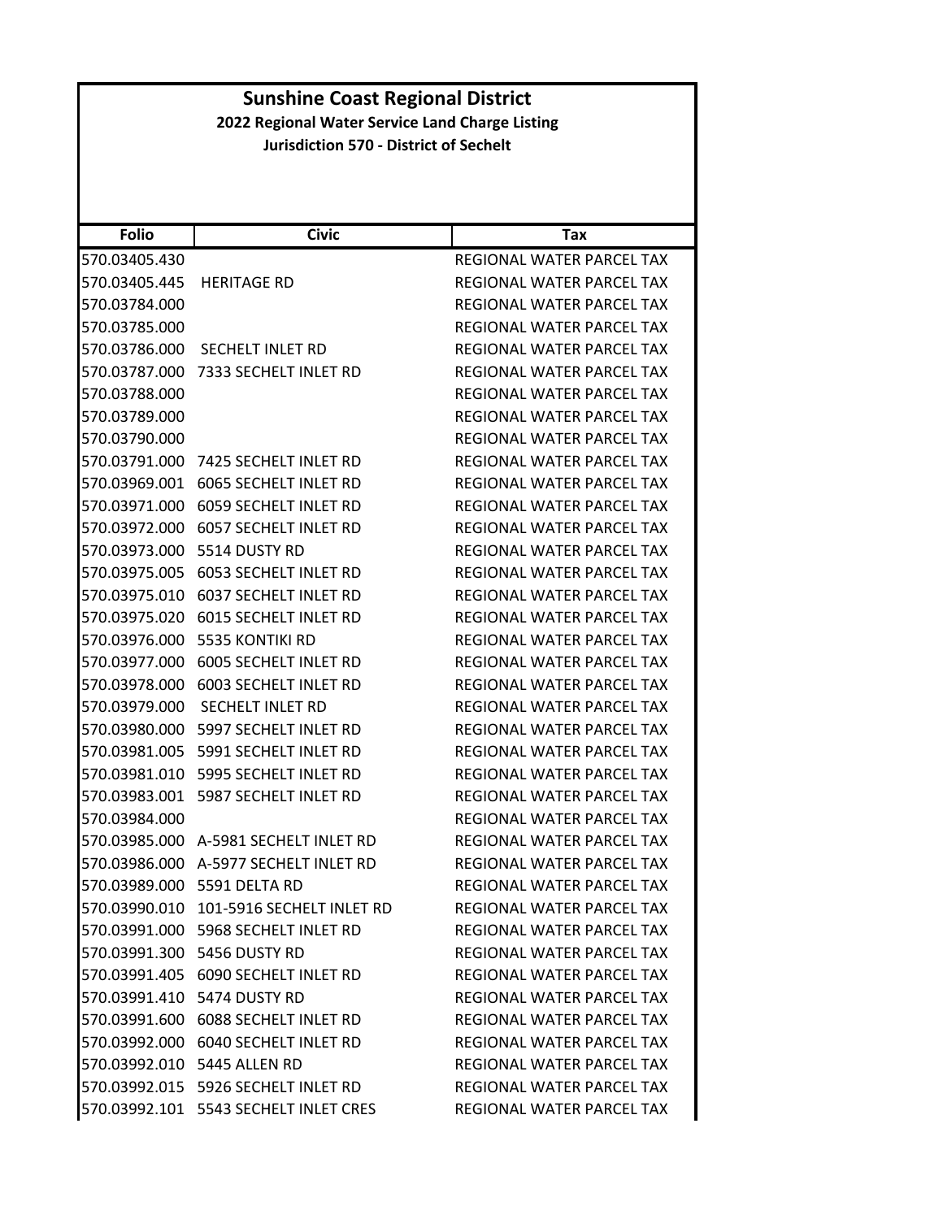| <b>Sunshine Coast Regional District</b><br>2022 Regional Water Service Land Charge Listing |                                               |                                  |  |  |
|--------------------------------------------------------------------------------------------|-----------------------------------------------|----------------------------------|--|--|
|                                                                                            | <b>Jurisdiction 570 - District of Sechelt</b> |                                  |  |  |
|                                                                                            |                                               |                                  |  |  |
|                                                                                            |                                               |                                  |  |  |
|                                                                                            |                                               |                                  |  |  |
| <b>Folio</b>                                                                               | <b>Civic</b>                                  | <b>Tax</b>                       |  |  |
| 570.03405.430                                                                              |                                               | REGIONAL WATER PARCEL TAX        |  |  |
| 570.03405.445                                                                              | <b>HERITAGE RD</b>                            | <b>REGIONAL WATER PARCEL TAX</b> |  |  |
| 570.03784.000                                                                              |                                               | REGIONAL WATER PARCEL TAX        |  |  |
| 570.03785.000                                                                              |                                               | <b>REGIONAL WATER PARCEL TAX</b> |  |  |
| 570.03786.000                                                                              | <b>SECHELT INLET RD</b>                       | REGIONAL WATER PARCEL TAX        |  |  |
| 570.03787.000                                                                              | 7333 SECHELT INLET RD                         | REGIONAL WATER PARCEL TAX        |  |  |
| 570.03788.000                                                                              |                                               | REGIONAL WATER PARCEL TAX        |  |  |
| 570.03789.000                                                                              |                                               | REGIONAL WATER PARCEL TAX        |  |  |
| 570.03790.000                                                                              |                                               | <b>REGIONAL WATER PARCEL TAX</b> |  |  |
|                                                                                            | 570.03791.000 7425 SECHELT INLET RD           | REGIONAL WATER PARCEL TAX        |  |  |
| 570.03969.001                                                                              | 6065 SECHELT INLET RD                         | REGIONAL WATER PARCEL TAX        |  |  |
|                                                                                            | 570.03971.000 6059 SECHELT INLET RD           | REGIONAL WATER PARCEL TAX        |  |  |
| 570.03972.000                                                                              | 6057 SECHELT INLET RD                         | REGIONAL WATER PARCEL TAX        |  |  |
|                                                                                            | 570.03973.000 5514 DUSTY RD                   | REGIONAL WATER PARCEL TAX        |  |  |
|                                                                                            | 570.03975.005 6053 SECHELT INLET RD           | REGIONAL WATER PARCEL TAX        |  |  |
| 570.03975.010                                                                              | 6037 SECHELT INLET RD                         | REGIONAL WATER PARCEL TAX        |  |  |
|                                                                                            | 570.03975.020 6015 SECHELT INLET RD           | REGIONAL WATER PARCEL TAX        |  |  |
| 570.03976.000                                                                              | 5535 KONTIKI RD                               | REGIONAL WATER PARCEL TAX        |  |  |
| 570.03977.000                                                                              | 6005 SECHELT INLET RD                         | REGIONAL WATER PARCEL TAX        |  |  |
| 570.03978.000                                                                              | 6003 SECHELT INLET RD                         | REGIONAL WATER PARCEL TAX        |  |  |
|                                                                                            | 570.03979.000 SECHELT INLET RD                | <b>REGIONAL WATER PARCEL TAX</b> |  |  |
|                                                                                            | 570.03980.000 5997 SECHELT INLET RD           | REGIONAL WATER PARCEL TAX        |  |  |
| 570.03981.005                                                                              | 5991 SECHELT INLET RD                         | REGIONAL WATER PARCEL TAX        |  |  |
|                                                                                            | 570.03981.010 5995 SECHELT INLET RD           | REGIONAL WATER PARCEL TAX        |  |  |
|                                                                                            | 570.03983.001 5987 SECHELT INLET RD           | REGIONAL WATER PARCEL TAX        |  |  |
| 570.03984.000                                                                              |                                               | REGIONAL WATER PARCEL TAX        |  |  |
|                                                                                            | 570.03985.000 A-5981 SECHELT INLET RD         | REGIONAL WATER PARCEL TAX        |  |  |
|                                                                                            | 570.03986.000 A-5977 SECHELT INLET RD         | REGIONAL WATER PARCEL TAX        |  |  |
|                                                                                            | 570.03989.000 5591 DELTA RD                   | REGIONAL WATER PARCEL TAX        |  |  |
|                                                                                            | 570.03990.010 101-5916 SECHELT INLET RD       | REGIONAL WATER PARCEL TAX        |  |  |
|                                                                                            | 570.03991.000 5968 SECHELT INLET RD           | <b>REGIONAL WATER PARCEL TAX</b> |  |  |
|                                                                                            | 570.03991.300    5456 DUSTY RD                | REGIONAL WATER PARCEL TAX        |  |  |
|                                                                                            | 570.03991.405 6090 SECHELT INLET RD           | REGIONAL WATER PARCEL TAX        |  |  |
|                                                                                            | 570.03991.410 5474 DUSTY RD                   | REGIONAL WATER PARCEL TAX        |  |  |
|                                                                                            | 570.03991.600 6088 SECHELT INLET RD           | REGIONAL WATER PARCEL TAX        |  |  |
|                                                                                            | 570.03992.000 6040 SECHELT INLET RD           | REGIONAL WATER PARCEL TAX        |  |  |
|                                                                                            | 570.03992.010 5445 ALLEN RD                   | REGIONAL WATER PARCEL TAX        |  |  |
|                                                                                            | 570.03992.015    5926 SECHELT INLET RD        | REGIONAL WATER PARCEL TAX        |  |  |
|                                                                                            | 570.03992.101 5543 SECHELT INLET CRES         | REGIONAL WATER PARCEL TAX        |  |  |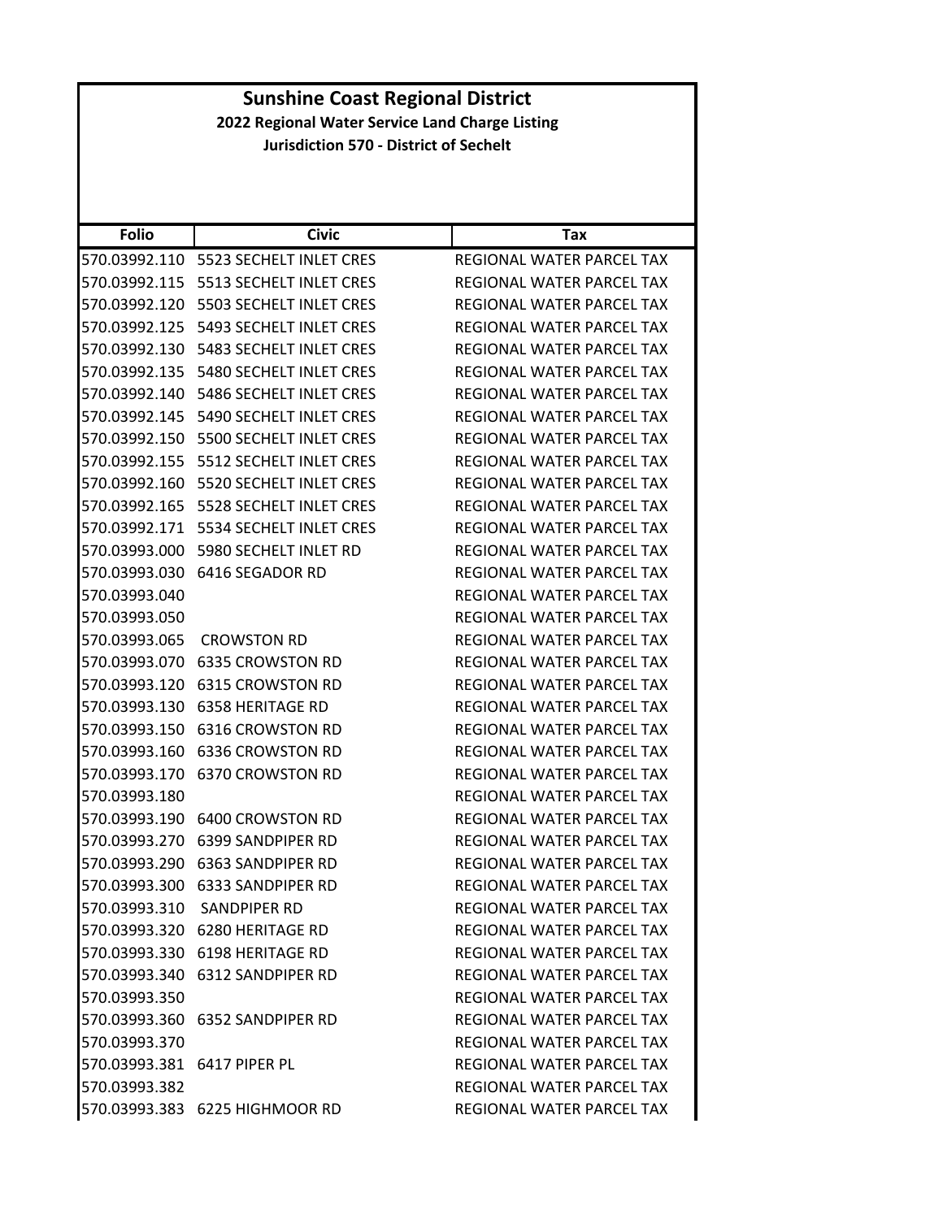### **Folio Civic Tax Sunshine Coast Regional District 2022 Regional Water Service Land Charge Listing Jurisdiction 570 ‐ District of Sechelt** 570.03992.110 5523 SECHELT INLET CRES REGIONAL WATER PARCEL TAX 570.03992.115 5513 SECHELT INLET CRES REGIONAL WATER PARCEL TAX 570.03992.120 5503 SECHELT INLET CRES REGIONAL WATER PARCEL TAX 570.03992.125 5493 SECHELT INLET CRES REGIONAL WATER PARCEL TAX 570.03992.130 5483 SECHELT INLET CRES REGIONAL WATER PARCEL TAX 570.03992.135 5480 SECHELT INLET CRES REGIONAL WATER PARCEL TAX 570.03992.140 5486 SECHELT INLET CRES REGIONAL WATER PARCEL TAX 570.03992.145 5490 SECHELT INLET CRES REGIONAL WATER PARCEL TAX 570.03992.150 5500 SECHELT INLET CRES REGIONAL WATER PARCEL TAX 570.03992.155 5512 SECHELT INLET CRES REGIONAL WATER PARCEL TAX 570.03992.160 5520 SECHELT INLET CRES REGIONAL WATER PARCEL TAX 570.03992.165 5528 SECHELT INLET CRES REGIONAL WATER PARCEL TAX 570.03992.171 5534 SECHELT INLET CRES REGIONAL WATER PARCEL TAX 570.03993.000 5980 SECHELT INLET RD REGIONAL WATER PARCEL TAX 570.03993.030 6416 SEGADOR RD REGIONAL WATER PARCEL TAX 570.03993.040 REGIONAL WATER PARCEL TAX 570.03993.050 REGIONAL WATER PARCEL TAX 570.03993.065 CROWSTON RD REGIONAL WATER PARCEL TAX 570.03993.070 6335 CROWSTON RD REGIONAL WATER PARCEL TAX 570.03993.120 6315 CROWSTON RD REGIONAL WATER PARCEL TAX 570.03993.130 6358 HERITAGE RD REGIONAL WATER PARCEL TAX 570.03993.150 6316 CROWSTON RD REGIONAL WATER PARCEL TAX 570.03993.160 6336 CROWSTON RD REGIONAL WATER PARCEL TAX 570.03993.170 6370 CROWSTON RD REGIONAL WATER PARCEL TAX 570.03993.180 REGIONAL WATER PARCEL TAX 570.03993.190 6400 CROWSTON RD REGIONAL WATER PARCEL TAX 570.03993.270 6399 SANDPIPER RD REGIONAL WATER PARCEL TAX 570.03993.290 6363 SANDPIPER RD REGIONAL WATER PARCEL TAX 570.03993.300 6333 SANDPIPER RD REGIONAL WATER PARCEL TAX 570.03993.310 SANDPIPER RD REGIONAL WATER PARCEL TAX 570.03993.320 6280 HERITAGE RD REGIONAL WATER PARCEL TAX 570.03993.330 6198 HERITAGE RD REGIONAL WATER PARCEL TAX 570.03993.340 6312 SANDPIPER RD REGIONAL WATER PARCEL TAX 570.03993.350 REGIONAL WATER PARCEL TAX 570.03993.360 6352 SANDPIPER RD REGIONAL WATER PARCEL TAX 570.03993.370 REGIONAL WATER PARCEL TAX 570.03993.381 6417 PIPER PL REGIONAL WATER PARCEL TAX 570.03993.382 REGIONAL WATER PARCEL TAX 570.03993.383 6225 HIGHMOOR RD REGIONAL WATER PARCEL TAX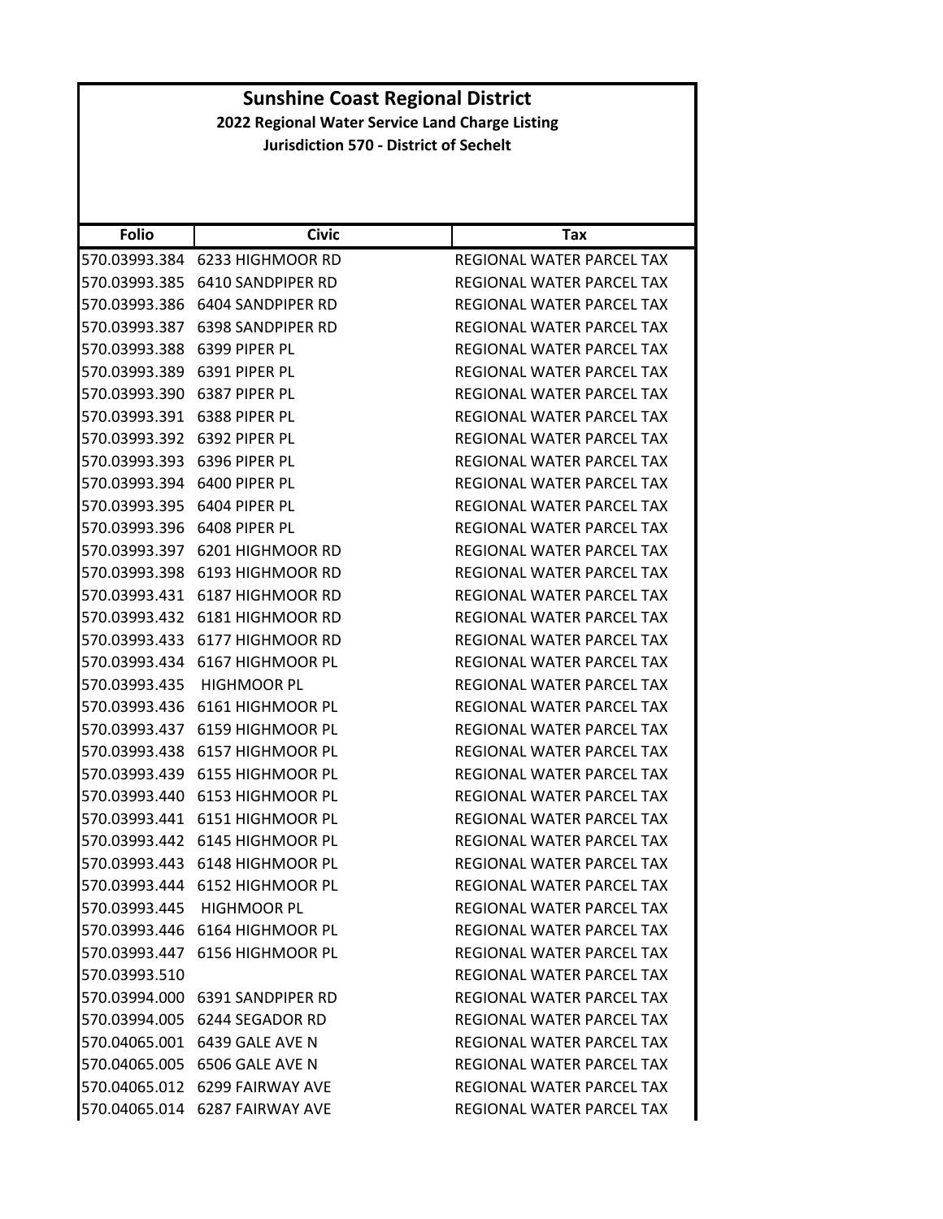| <b>Folio</b>  | <b>Civic</b>                    | Tax                              |
|---------------|---------------------------------|----------------------------------|
| 570.03993.384 | 6233 HIGHMOOR RD                | REGIONAL WATER PARCEL TAX        |
| 570.03993.385 | 6410 SANDPIPER RD               | REGIONAL WATER PARCEL TAX        |
| 570.03993.386 | 6404 SANDPIPER RD               | REGIONAL WATER PARCEL TAX        |
| 570.03993.387 | <b>6398 SANDPIPER RD</b>        | REGIONAL WATER PARCEL TAX        |
| 570.03993.388 | 6399 PIPER PL                   | REGIONAL WATER PARCEL TAX        |
| 570.03993.389 | 6391 PIPER PL                   | REGIONAL WATER PARCEL TAX        |
| 570.03993.390 | 6387 PIPER PL                   | REGIONAL WATER PARCEL TAX        |
| 570.03993.391 | 6388 PIPER PL                   | REGIONAL WATER PARCEL TAX        |
| 570.03993.392 | 6392 PIPER PL                   | REGIONAL WATER PARCEL TAX        |
| 570.03993.393 | 6396 PIPER PL                   | REGIONAL WATER PARCEL TAX        |
| 570.03993.394 | 6400 PIPER PL                   | REGIONAL WATER PARCEL TAX        |
| 570.03993.395 | 6404 PIPER PL                   | REGIONAL WATER PARCEL TAX        |
| 570.03993.396 | 6408 PIPER PL                   | REGIONAL WATER PARCEL TAX        |
| 570.03993.397 | 6201 HIGHMOOR RD                | REGIONAL WATER PARCEL TAX        |
| 570.03993.398 | 6193 HIGHMOOR RD                | REGIONAL WATER PARCEL TAX        |
| 570.03993.431 | 6187 HIGHMOOR RD                | REGIONAL WATER PARCEL TAX        |
|               | 570.03993.432 6181 HIGHMOOR RD  | REGIONAL WATER PARCEL TAX        |
| 570.03993.433 | 6177 HIGHMOOR RD                | REGIONAL WATER PARCEL TAX        |
|               | 570.03993.434 6167 HIGHMOOR PL  | REGIONAL WATER PARCEL TAX        |
| 570.03993.435 | <b>HIGHMOOR PL</b>              | REGIONAL WATER PARCEL TAX        |
| 570.03993.436 | 6161 HIGHMOOR PL                | REGIONAL WATER PARCEL TAX        |
| 570.03993.437 | 6159 HIGHMOOR PL                | REGIONAL WATER PARCEL TAX        |
| 570.03993.438 | 6157 HIGHMOOR PL                | REGIONAL WATER PARCEL TAX        |
| 570.03993.439 | 6155 HIGHMOOR PL                | REGIONAL WATER PARCEL TAX        |
| 570.03993.440 | 6153 HIGHMOOR PL                | REGIONAL WATER PARCEL TAX        |
| 570.03993.441 | 6151 HIGHMOOR PL                | REGIONAL WATER PARCEL TAX        |
| 570.03993.442 | 6145 HIGHMOOR PL                | <b>REGIONAL WATER PARCEL TAX</b> |
| 570.03993.443 | 6148 HIGHMOOR PL                | REGIONAL WATER PARCEL TAX        |
|               | 570.03993.444 6152 HIGHMOOR PL  | REGIONAL WATER PARCEL TAX        |
|               | 570.03993.445 HIGHMOOR PL       | REGIONAL WATER PARCEL TAX        |
|               | 570.03993.446 6164 HIGHMOOR PL  | REGIONAL WATER PARCEL TAX        |
|               | 570.03993.447 6156 HIGHMOOR PL  | REGIONAL WATER PARCEL TAX        |
| 570.03993.510 |                                 | REGIONAL WATER PARCEL TAX        |
|               | 570.03994.000 6391 SANDPIPER RD | REGIONAL WATER PARCEL TAX        |
|               | 570.03994.005 6244 SEGADOR RD   | REGIONAL WATER PARCEL TAX        |
|               | 570.04065.001 6439 GALE AVE N   | REGIONAL WATER PARCEL TAX        |
|               | 570.04065.005 6506 GALE AVE N   | REGIONAL WATER PARCEL TAX        |
|               | 570.04065.012 6299 FAIRWAY AVE  | <b>REGIONAL WATER PARCEL TAX</b> |
|               | 570.04065.014 6287 FAIRWAY AVE  | REGIONAL WATER PARCEL TAX        |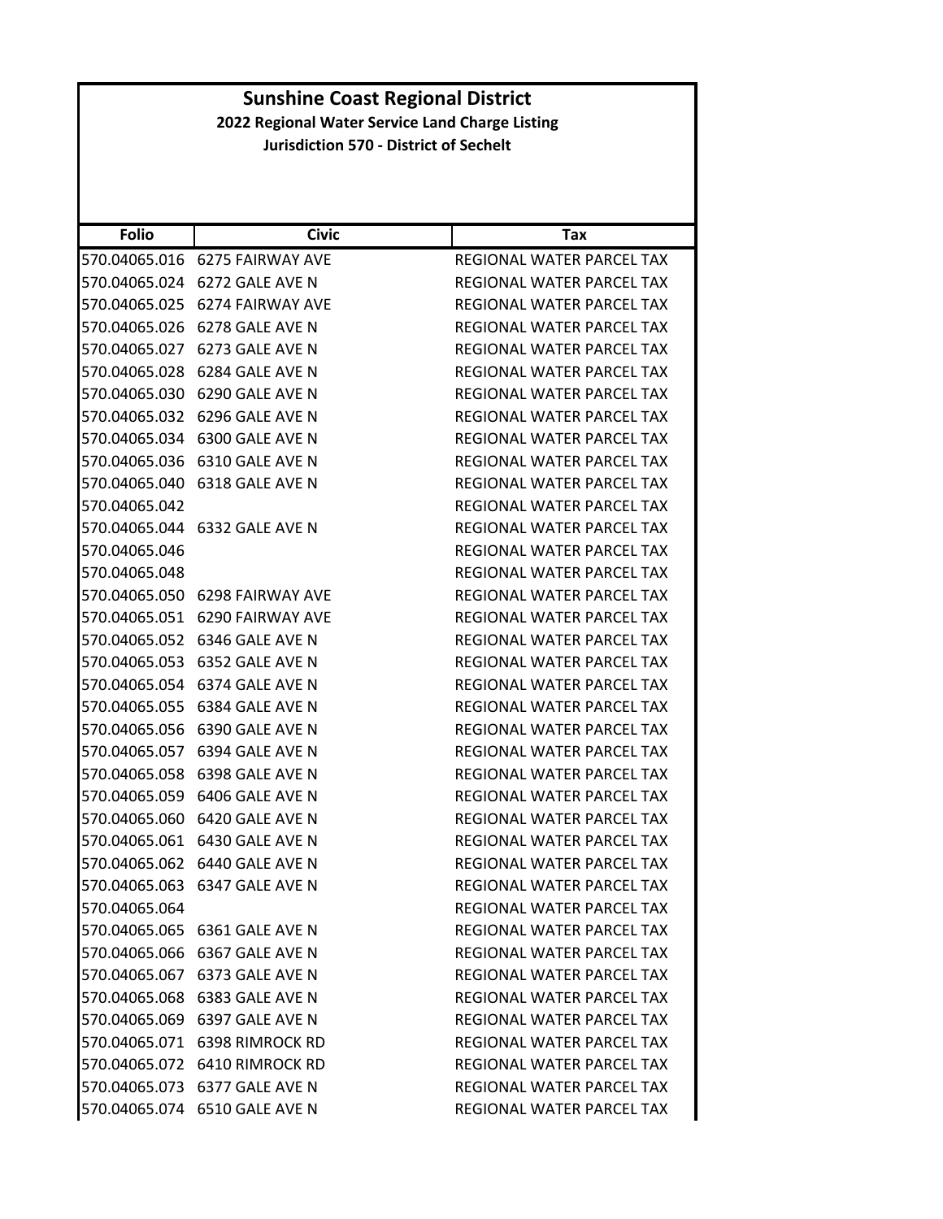| <b>Folio</b>  | <b>Civic</b>                   | Tax                              |
|---------------|--------------------------------|----------------------------------|
|               | 570.04065.016 6275 FAIRWAY AVE | REGIONAL WATER PARCEL TAX        |
|               | 570.04065.024 6272 GALE AVE N  | REGIONAL WATER PARCEL TAX        |
| 570.04065.025 | 6274 FAIRWAY AVE               | REGIONAL WATER PARCEL TAX        |
|               | 570.04065.026 6278 GALE AVE N  | REGIONAL WATER PARCEL TAX        |
| 570.04065.027 | 6273 GALE AVE N                | REGIONAL WATER PARCEL TAX        |
| 570.04065.028 | 6284 GALE AVE N                | <b>REGIONAL WATER PARCEL TAX</b> |
|               | 570.04065.030 6290 GALE AVE N  | REGIONAL WATER PARCEL TAX        |
| 570.04065.032 | 6296 GALE AVE N                | <b>REGIONAL WATER PARCEL TAX</b> |
|               | 570.04065.034 6300 GALE AVE N  | REGIONAL WATER PARCEL TAX        |
| 570.04065.036 | 6310 GALE AVE N                | REGIONAL WATER PARCEL TAX        |
| 570.04065.040 | 6318 GALE AVE N                | REGIONAL WATER PARCEL TAX        |
| 570.04065.042 |                                | REGIONAL WATER PARCEL TAX        |
|               | 570.04065.044 6332 GALE AVE N  | <b>REGIONAL WATER PARCEL TAX</b> |
| 570.04065.046 |                                | REGIONAL WATER PARCEL TAX        |
| 570.04065.048 |                                | <b>REGIONAL WATER PARCEL TAX</b> |
|               | 570.04065.050 6298 FAIRWAY AVE | REGIONAL WATER PARCEL TAX        |
| 570.04065.051 | 6290 FAIRWAY AVE               | REGIONAL WATER PARCEL TAX        |
|               | 570.04065.052 6346 GALE AVE N  | REGIONAL WATER PARCEL TAX        |
|               | 570.04065.053 6352 GALE AVE N  | REGIONAL WATER PARCEL TAX        |
| 570.04065.054 | 6374 GALE AVE N                | REGIONAL WATER PARCEL TAX        |
|               | 570.04065.055 6384 GALE AVE N  | REGIONAL WATER PARCEL TAX        |
|               | 570.04065.056 6390 GALE AVE N  | REGIONAL WATER PARCEL TAX        |
|               | 570.04065.057 6394 GALE AVE N  | REGIONAL WATER PARCEL TAX        |
| 570.04065.058 | 6398 GALE AVE N                | REGIONAL WATER PARCEL TAX        |
| 570.04065.059 | 6406 GALE AVE N                | REGIONAL WATER PARCEL TAX        |
|               | 570.04065.060 6420 GALE AVE N  | REGIONAL WATER PARCEL TAX        |
| 570.04065.061 | 6430 GALE AVE N                | <b>REGIONAL WATER PARCEL TAX</b> |
|               | 570.04065.062 6440 GALE AVE N  | REGIONAL WATER PARCEL TAX        |
| 570.04065.063 | 6347 GALE AVE N                | REGIONAL WATER PARCEL TAX        |
| 570.04065.064 |                                | REGIONAL WATER PARCEL TAX        |
|               | 570.04065.065 6361 GALE AVE N  | REGIONAL WATER PARCEL TAX        |
|               | 570.04065.066 6367 GALE AVE N  | <b>REGIONAL WATER PARCEL TAX</b> |
|               | 570.04065.067 6373 GALE AVE N  | REGIONAL WATER PARCEL TAX        |
|               | 570.04065.068 6383 GALE AVE N  | REGIONAL WATER PARCEL TAX        |
|               | 570.04065.069 6397 GALE AVE N  | REGIONAL WATER PARCEL TAX        |
|               | 570.04065.071 6398 RIMROCK RD  | REGIONAL WATER PARCEL TAX        |
| 570.04065.072 | 6410 RIMROCK RD                | REGIONAL WATER PARCEL TAX        |
|               | 570.04065.073 6377 GALE AVE N  | REGIONAL WATER PARCEL TAX        |
|               | 570.04065.074 6510 GALE AVE N  | REGIONAL WATER PARCEL TAX        |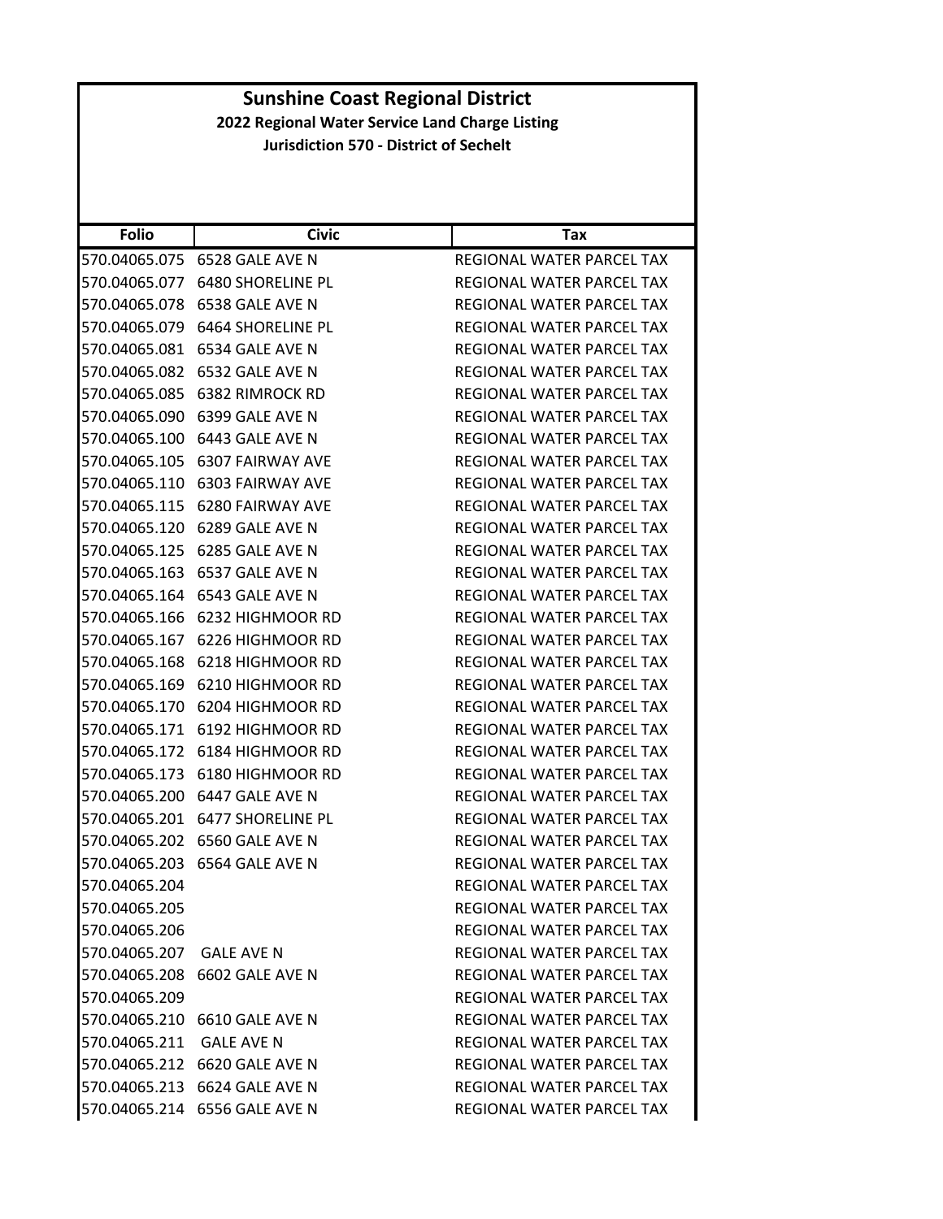| <b>Folio</b>             | <b>Civic</b>                    | Tax                              |
|--------------------------|---------------------------------|----------------------------------|
| 570.04065.075            | 6528 GALE AVE N                 | REGIONAL WATER PARCEL TAX        |
| 570.04065.077            | <b>6480 SHORELINE PL</b>        | REGIONAL WATER PARCEL TAX        |
| 570.04065.078            | 6538 GALE AVE N                 | REGIONAL WATER PARCEL TAX        |
| 570.04065.079            | 6464 SHORELINE PL               | REGIONAL WATER PARCEL TAX        |
|                          | 570.04065.081 6534 GALE AVE N   | REGIONAL WATER PARCEL TAX        |
| 570.04065.082            | 6532 GALE AVE N                 | REGIONAL WATER PARCEL TAX        |
| 570.04065.085            | <b>6382 RIMROCK RD</b>          | REGIONAL WATER PARCEL TAX        |
| 570.04065.090            | 6399 GALE AVE N                 | REGIONAL WATER PARCEL TAX        |
|                          | 570.04065.100 6443 GALE AVE N   | REGIONAL WATER PARCEL TAX        |
|                          | 570.04065.105 6307 FAIRWAY AVE  | REGIONAL WATER PARCEL TAX        |
| 570.04065.110            | <b>6303 FAIRWAY AVE</b>         | REGIONAL WATER PARCEL TAX        |
|                          | 570.04065.115 6280 FAIRWAY AVE  | REGIONAL WATER PARCEL TAX        |
| 570.04065.120            | 6289 GALE AVE N                 | REGIONAL WATER PARCEL TAX        |
|                          | 570.04065.125 6285 GALE AVE N   | REGIONAL WATER PARCEL TAX        |
| 570.04065.163            | 6537 GALE AVE N                 | REGIONAL WATER PARCEL TAX        |
| 570.04065.164            | 6543 GALE AVE N                 | REGIONAL WATER PARCEL TAX        |
|                          | 570.04065.166 6232 HIGHMOOR RD  | REGIONAL WATER PARCEL TAX        |
| 570.04065.167            | 6226 HIGHMOOR RD                | REGIONAL WATER PARCEL TAX        |
|                          | 570.04065.168 6218 HIGHMOOR RD  | REGIONAL WATER PARCEL TAX        |
| 570.04065.169            | 6210 HIGHMOOR RD                | REGIONAL WATER PARCEL TAX        |
| 570.04065.170            | 6204 HIGHMOOR RD                | REGIONAL WATER PARCEL TAX        |
|                          | 570.04065.171 6192 HIGHMOOR RD  | REGIONAL WATER PARCEL TAX        |
| 570.04065.172            | 6184 HIGHMOOR RD                | REGIONAL WATER PARCEL TAX        |
| 570.04065.173            | 6180 HIGHMOOR RD                | REGIONAL WATER PARCEL TAX        |
| 570.04065.200            | 6447 GALE AVE N                 | REGIONAL WATER PARCEL TAX        |
|                          | 570.04065.201 6477 SHORELINE PL | REGIONAL WATER PARCEL TAX        |
| 570.04065.202            | 6560 GALE AVE N                 | REGIONAL WATER PARCEL TAX        |
| 570.04065.203            | 6564 GALE AVE N                 | REGIONAL WATER PARCEL TAX        |
| 570.04065.204            |                                 | REGIONAL WATER PARCEL TAX        |
| 570.04065.205            |                                 | <b>REGIONAL WATER PARCEL TAX</b> |
| 570.04065.206            |                                 | REGIONAL WATER PARCEL TAX        |
| 570.04065.207            | <b>GALE AVE N</b>               | REGIONAL WATER PARCEL TAX        |
|                          | 570.04065.208 6602 GALE AVE N   | REGIONAL WATER PARCEL TAX        |
| 570.04065.209            |                                 | REGIONAL WATER PARCEL TAX        |
|                          | 570.04065.210 6610 GALE AVE N   | REGIONAL WATER PARCEL TAX        |
| 570.04065.211 GALE AVE N |                                 | REGIONAL WATER PARCEL TAX        |
|                          | 570.04065.212 6620 GALE AVE N   | REGIONAL WATER PARCEL TAX        |
|                          | 570.04065.213 6624 GALE AVE N   | REGIONAL WATER PARCEL TAX        |
|                          | 570.04065.214 6556 GALE AVE N   | REGIONAL WATER PARCEL TAX        |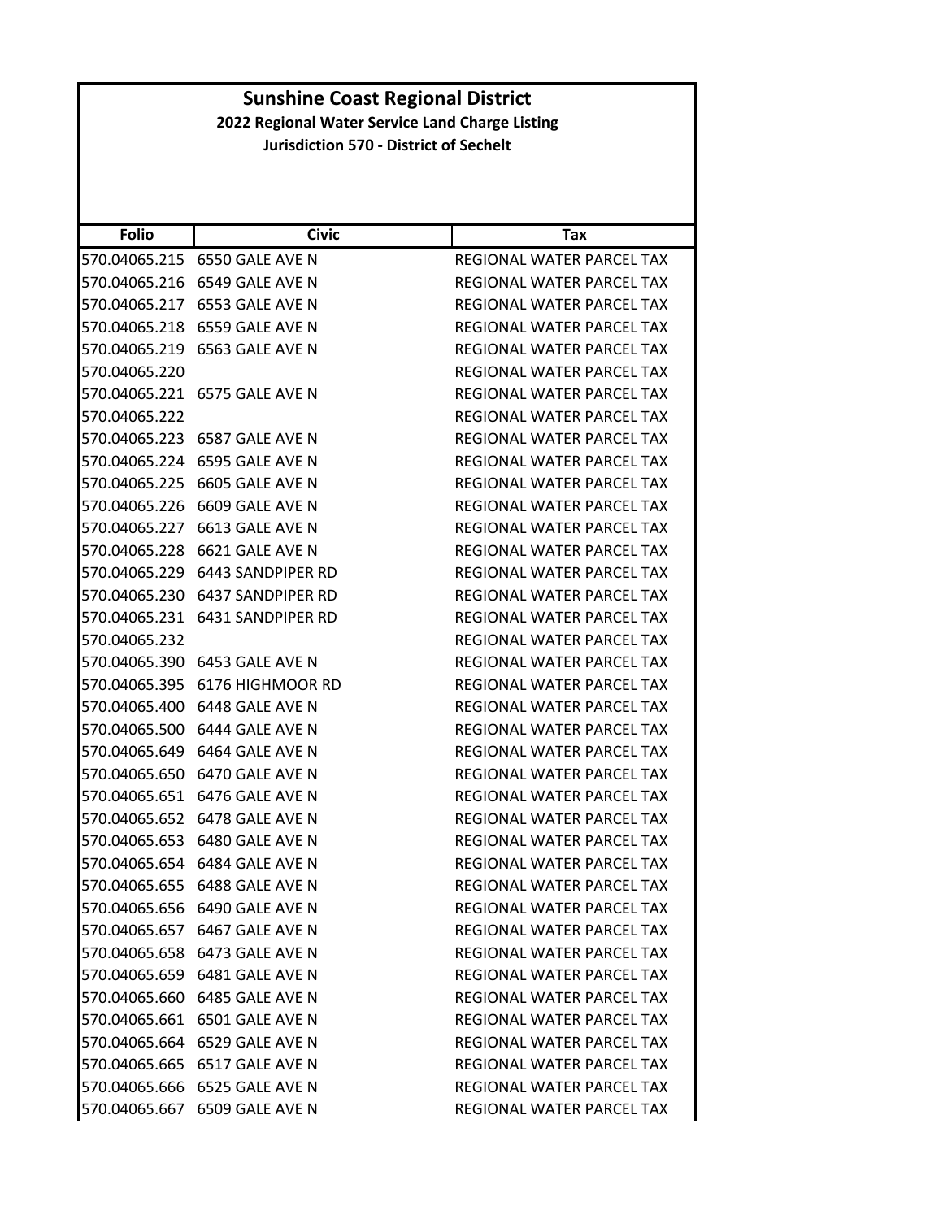| <b>Folio</b>  | <b>Civic</b>                        | Tax                       |
|---------------|-------------------------------------|---------------------------|
|               |                                     | REGIONAL WATER PARCEL TAX |
| 570.04065.216 | 6549 GALE AVE N                     | REGIONAL WATER PARCEL TAX |
| 570.04065.217 | 6553 GALE AVE N                     | REGIONAL WATER PARCEL TAX |
| 570.04065.218 | 6559 GALE AVE N                     | REGIONAL WATER PARCEL TAX |
|               | 570.04065.219    6563    GALE AVE N | REGIONAL WATER PARCEL TAX |
| 570.04065.220 |                                     | REGIONAL WATER PARCEL TAX |
|               | 570.04065.221    6575    GALE AVE N | REGIONAL WATER PARCEL TAX |
| 570.04065.222 |                                     | REGIONAL WATER PARCEL TAX |
|               | 570.04065.223    6587    GALE AVE N | REGIONAL WATER PARCEL TAX |
|               | 570.04065.224    6595    GALE AVE N | REGIONAL WATER PARCEL TAX |
| 570.04065.225 | 6605 GALE AVE N                     | REGIONAL WATER PARCEL TAX |
| 570.04065.226 | 6609 GALE AVE N                     | REGIONAL WATER PARCEL TAX |
| 570.04065.227 | 6613 GALE AVE N                     | REGIONAL WATER PARCEL TAX |
|               | 570.04065.228    6621    GALE AVE N | REGIONAL WATER PARCEL TAX |
|               | 570.04065.229    6443 SANDPIPER RD  | REGIONAL WATER PARCEL TAX |
| 570.04065.230 | 6437 SANDPIPER RD                   | REGIONAL WATER PARCEL TAX |
|               |                                     | REGIONAL WATER PARCEL TAX |
| 570.04065.232 |                                     | REGIONAL WATER PARCEL TAX |
|               | 570.04065.390    6453    GALE AVE N | REGIONAL WATER PARCEL TAX |
|               |                                     | REGIONAL WATER PARCEL TAX |
|               | 570.04065.400    6448    GALE AVE N | REGIONAL WATER PARCEL TAX |
|               | 570.04065.500    6444    GALE AVE N | REGIONAL WATER PARCEL TAX |
|               | 570.04065.649    6464    GALE AVE N | REGIONAL WATER PARCEL TAX |
|               | 570.04065.650 6470 GALE AVE N       | REGIONAL WATER PARCEL TAX |
|               | 570.04065.651    6476    GALE AVE N | REGIONAL WATER PARCEL TAX |
| 570.04065.652 | 6478 GALE AVE N                     | REGIONAL WATER PARCEL TAX |
|               | 570.04065.653    6480    GALE AVE N | REGIONAL WATER PARCEL TAX |
| 570.04065.654 | 6484 GALE AVE N                     | REGIONAL WATER PARCEL TAX |
|               | 570.04065.655    6488    GALE AVE N | REGIONAL WATER PARCEL TAX |
|               | 570.04065.656 6490 GALE AVE N       | REGIONAL WATER PARCEL TAX |
|               | 570.04065.657 6467 GALE AVE N       | REGIONAL WATER PARCEL TAX |
|               | 570.04065.658 6473 GALE AVE N       | REGIONAL WATER PARCEL TAX |
|               | 570.04065.659    6481    GALE AVE N | REGIONAL WATER PARCEL TAX |
|               |                                     | REGIONAL WATER PARCEL TAX |
|               | 570.04065.661    6501    GALE AVE N | REGIONAL WATER PARCEL TAX |
|               | 570.04065.664 6529 GALE AVE N       | REGIONAL WATER PARCEL TAX |
|               | 570.04065.665 6517 GALE AVE N       | REGIONAL WATER PARCEL TAX |
|               | 570.04065.666 6525 GALE AVE N       | REGIONAL WATER PARCEL TAX |
|               | 570.04065.667 6509 GALE AVE N       | REGIONAL WATER PARCEL TAX |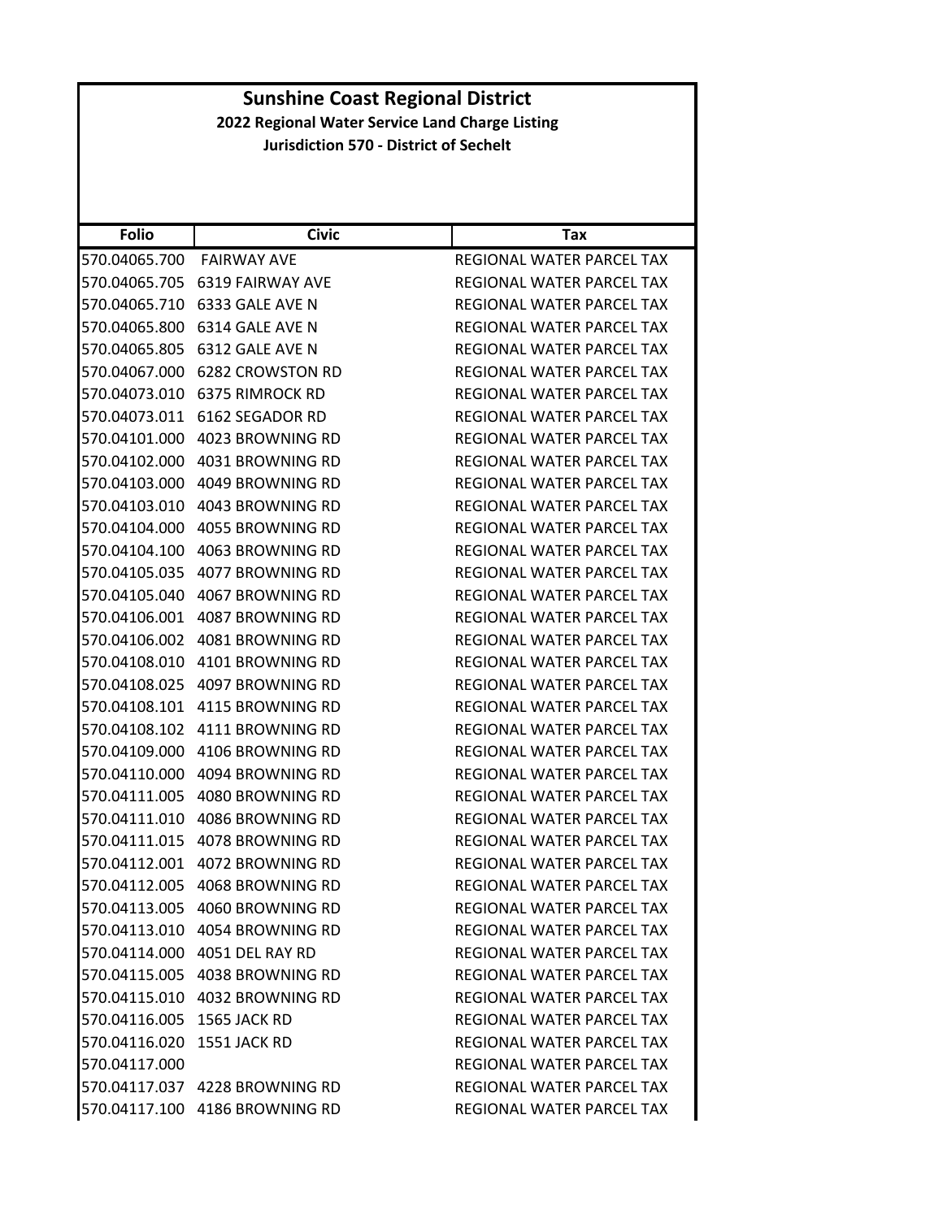| <b>Folio</b>               | <b>Civic</b>                   | Tax                              |
|----------------------------|--------------------------------|----------------------------------|
| 570.04065.700              | <b>FAIRWAY AVE</b>             | REGIONAL WATER PARCEL TAX        |
| 570.04065.705              | <b>6319 FAIRWAY AVE</b>        | REGIONAL WATER PARCEL TAX        |
| 570.04065.710              | 6333 GALE AVE N                | REGIONAL WATER PARCEL TAX        |
| 570.04065.800              | 6314 GALE AVE N                | REGIONAL WATER PARCEL TAX        |
| 570.04065.805              | 6312 GALE AVE N                | REGIONAL WATER PARCEL TAX        |
| 570.04067.000              | 6282 CROWSTON RD               | REGIONAL WATER PARCEL TAX        |
| 570.04073.010              | 6375 RIMROCK RD                | REGIONAL WATER PARCEL TAX        |
| 570.04073.011              | 6162 SEGADOR RD                | REGIONAL WATER PARCEL TAX        |
| 570.04101.000              | 4023 BROWNING RD               | REGIONAL WATER PARCEL TAX        |
| 570.04102.000              | 4031 BROWNING RD               | REGIONAL WATER PARCEL TAX        |
| 570.04103.000              | 4049 BROWNING RD               | REGIONAL WATER PARCEL TAX        |
| 570.04103.010              | 4043 BROWNING RD               | REGIONAL WATER PARCEL TAX        |
| 570.04104.000              | 4055 BROWNING RD               | REGIONAL WATER PARCEL TAX        |
| 570.04104.100              | 4063 BROWNING RD               | REGIONAL WATER PARCEL TAX        |
| 570.04105.035              | 4077 BROWNING RD               | REGIONAL WATER PARCEL TAX        |
| 570.04105.040              | 4067 BROWNING RD               | <b>REGIONAL WATER PARCEL TAX</b> |
| 570.04106.001              | 4087 BROWNING RD               | REGIONAL WATER PARCEL TAX        |
| 570.04106.002              | 4081 BROWNING RD               | <b>REGIONAL WATER PARCEL TAX</b> |
| 570.04108.010              | 4101 BROWNING RD               | REGIONAL WATER PARCEL TAX        |
| 570.04108.025              | 4097 BROWNING RD               | REGIONAL WATER PARCEL TAX        |
| 570.04108.101              | 4115 BROWNING RD               | REGIONAL WATER PARCEL TAX        |
| 570.04108.102              | 4111 BROWNING RD               | REGIONAL WATER PARCEL TAX        |
| 570.04109.000              | 4106 BROWNING RD               | REGIONAL WATER PARCEL TAX        |
| 570.04110.000              | 4094 BROWNING RD               | REGIONAL WATER PARCEL TAX        |
| 570.04111.005              | 4080 BROWNING RD               | REGIONAL WATER PARCEL TAX        |
| 570.04111.010              | 4086 BROWNING RD               | REGIONAL WATER PARCEL TAX        |
| 570.04111.015              | 4078 BROWNING RD               | <b>REGIONAL WATER PARCEL TAX</b> |
| 570.04112.001              | 4072 BROWNING RD               | REGIONAL WATER PARCEL TAX        |
| 570.04112.005              | 4068 BROWNING RD               | REGIONAL WATER PARCEL TAX        |
|                            | 570.04113.005 4060 BROWNING RD | REGIONAL WATER PARCEL TAX        |
|                            | 570.04113.010 4054 BROWNING RD | REGIONAL WATER PARCEL TAX        |
|                            | 570.04114.000 4051 DEL RAY RD  | REGIONAL WATER PARCEL TAX        |
|                            | 570.04115.005 4038 BROWNING RD | REGIONAL WATER PARCEL TAX        |
|                            | 570.04115.010 4032 BROWNING RD | REGIONAL WATER PARCEL TAX        |
| 570.04116.005 1565 JACK RD |                                | REGIONAL WATER PARCEL TAX        |
| 570.04116.020 1551 JACK RD |                                | REGIONAL WATER PARCEL TAX        |
| 570.04117.000              |                                | REGIONAL WATER PARCEL TAX        |
|                            | 570.04117.037 4228 BROWNING RD | REGIONAL WATER PARCEL TAX        |
|                            | 570.04117.100 4186 BROWNING RD | REGIONAL WATER PARCEL TAX        |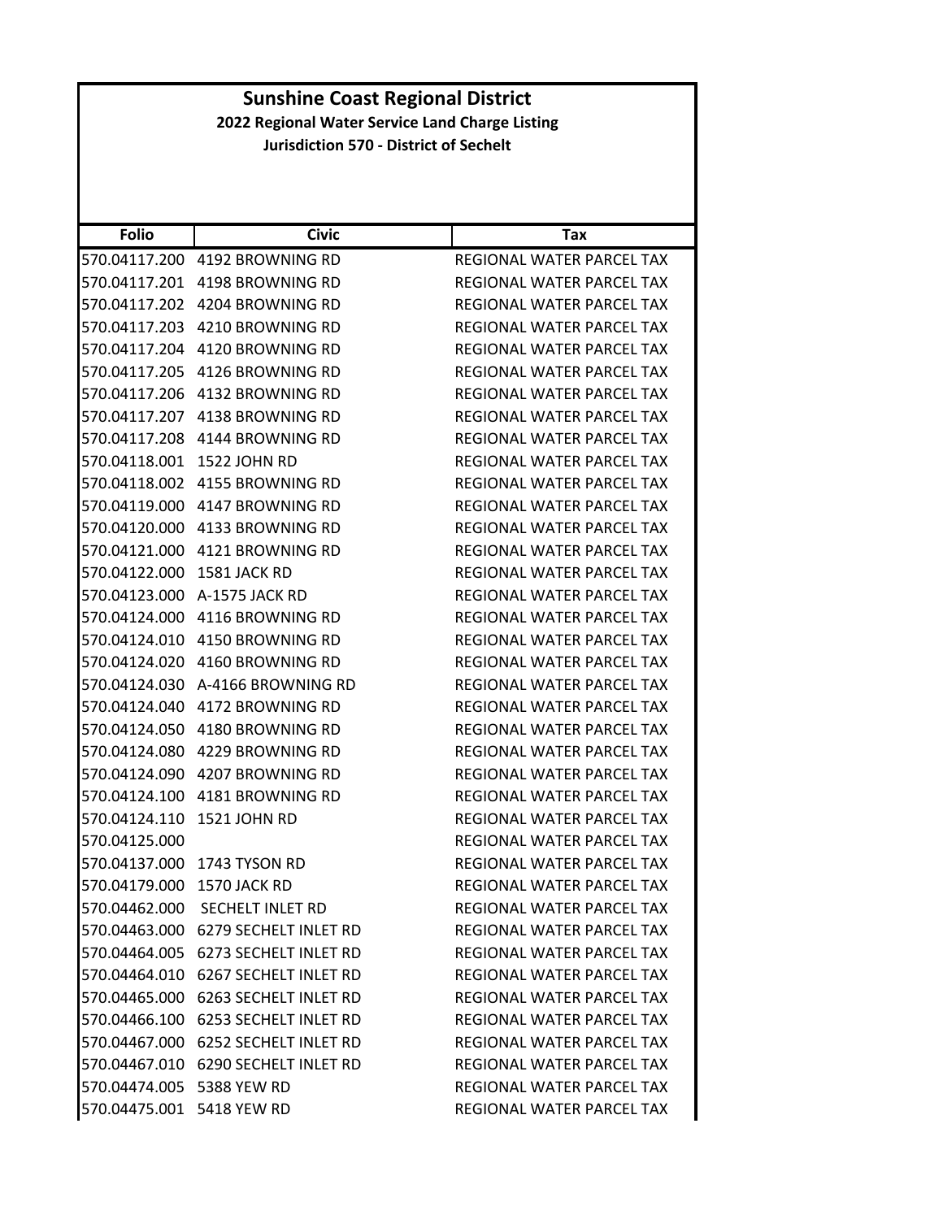| <b>Folio</b>               | <b>Civic</b>                           | Tax                              |
|----------------------------|----------------------------------------|----------------------------------|
| 570.04117.200              | 4192 BROWNING RD                       | REGIONAL WATER PARCEL TAX        |
| 570.04117.201              | 4198 BROWNING RD                       | REGIONAL WATER PARCEL TAX        |
| 570.04117.202              | 4204 BROWNING RD                       | REGIONAL WATER PARCEL TAX        |
| 570.04117.203              | 4210 BROWNING RD                       | REGIONAL WATER PARCEL TAX        |
|                            |                                        | REGIONAL WATER PARCEL TAX        |
| 570.04117.205              | 4126 BROWNING RD                       | REGIONAL WATER PARCEL TAX        |
|                            | 570.04117.206 4132 BROWNING RD         | REGIONAL WATER PARCEL TAX        |
|                            |                                        | REGIONAL WATER PARCEL TAX        |
|                            | 570.04117.208 4144 BROWNING RD         | REGIONAL WATER PARCEL TAX        |
| 570.04118.001 1522 JOHN RD |                                        | REGIONAL WATER PARCEL TAX        |
| 570.04118.002              | 4155 BROWNING RD                       | REGIONAL WATER PARCEL TAX        |
|                            |                                        | REGIONAL WATER PARCEL TAX        |
|                            |                                        | REGIONAL WATER PARCEL TAX        |
|                            |                                        | <b>REGIONAL WATER PARCEL TAX</b> |
| 570.04122.000              | 1581 JACK RD                           | REGIONAL WATER PARCEL TAX        |
| 570.04123.000              | A-1575 JACK RD                         | <b>REGIONAL WATER PARCEL TAX</b> |
|                            |                                        | REGIONAL WATER PARCEL TAX        |
|                            |                                        | REGIONAL WATER PARCEL TAX        |
|                            | 570.04124.020 4160 BROWNING RD         | REGIONAL WATER PARCEL TAX        |
| 570.04124.030              | A-4166 BROWNING RD                     | REGIONAL WATER PARCEL TAX        |
| 570.04124.040              | 4172 BROWNING RD                       | REGIONAL WATER PARCEL TAX        |
|                            |                                        | REGIONAL WATER PARCEL TAX        |
| 570.04124.080              | 4229 BROWNING RD                       | REGIONAL WATER PARCEL TAX        |
| 570.04124.090              | 4207 BROWNING RD                       | REGIONAL WATER PARCEL TAX        |
| 570.04124.100              | 4181 BROWNING RD                       | REGIONAL WATER PARCEL TAX        |
| 570.04124.110              | 1521 JOHN RD                           | REGIONAL WATER PARCEL TAX        |
| 570.04125.000              |                                        | REGIONAL WATER PARCEL TAX        |
|                            | 570.04137.000 1743 TYSON RD            | REGIONAL WATER PARCEL TAX        |
| 570.04179.000              | 1570 JACK RD                           | REGIONAL WATER PARCEL TAX        |
|                            | 570.04462.000 SECHELT INLET RD         | <b>REGIONAL WATER PARCEL TAX</b> |
|                            | 570.04463.000 6279 SECHELT INLET RD    | REGIONAL WATER PARCEL TAX        |
|                            | 570.04464.005 6273 SECHELT INLET RD    | REGIONAL WATER PARCEL TAX        |
|                            | 570.04464.010 6267 SECHELT INLET RD    | REGIONAL WATER PARCEL TAX        |
|                            | 570.04465.000    6263 SECHELT INLET RD | REGIONAL WATER PARCEL TAX        |
|                            | 570.04466.100 6253 SECHELT INLET RD    | REGIONAL WATER PARCEL TAX        |
|                            | 570.04467.000 6252 SECHELT INLET RD    | REGIONAL WATER PARCEL TAX        |
|                            | 570.04467.010 6290 SECHELT INLET RD    | REGIONAL WATER PARCEL TAX        |
| 570.04474.005 5388 YEW RD  |                                        | REGIONAL WATER PARCEL TAX        |
| 570.04475.001 5418 YEW RD  |                                        | REGIONAL WATER PARCEL TAX        |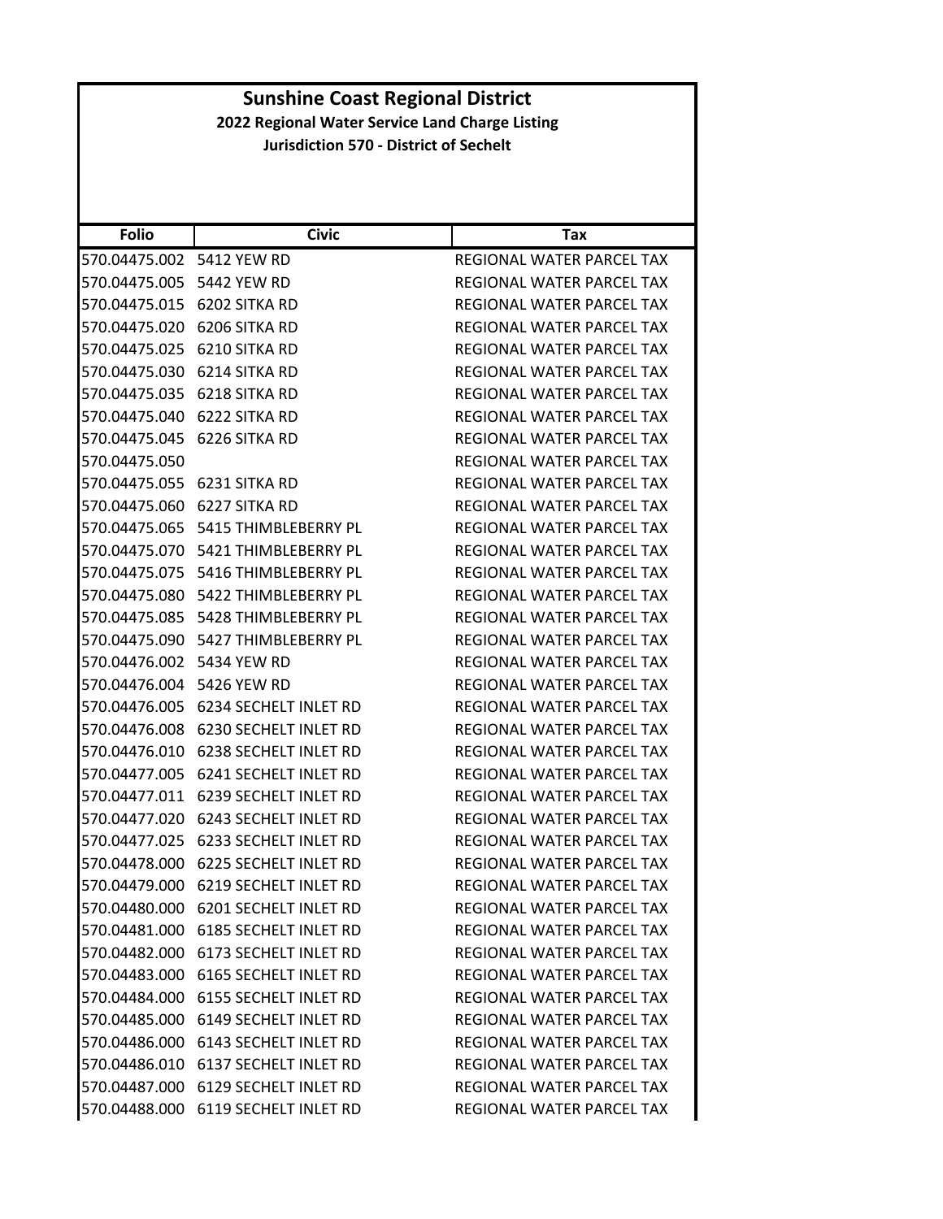| <b>Folio</b>  | <b>Civic</b>                        | <b>Tax</b>                       |
|---------------|-------------------------------------|----------------------------------|
| 570.04475.002 | 5412 YEW RD                         | REGIONAL WATER PARCEL TAX        |
| 570.04475.005 | 5442 YEW RD                         | REGIONAL WATER PARCEL TAX        |
| 570.04475.015 | 6202 SITKA RD                       | REGIONAL WATER PARCEL TAX        |
| 570.04475.020 | 6206 SITKA RD                       | REGIONAL WATER PARCEL TAX        |
| 570.04475.025 | 6210 SITKA RD                       | REGIONAL WATER PARCEL TAX        |
| 570.04475.030 | 6214 SITKA RD                       | REGIONAL WATER PARCEL TAX        |
| 570.04475.035 | 6218 SITKA RD                       | <b>REGIONAL WATER PARCEL TAX</b> |
| 570.04475.040 | 6222 SITKA RD                       | REGIONAL WATER PARCEL TAX        |
| 570.04475.045 | 6226 SITKA RD                       | REGIONAL WATER PARCEL TAX        |
| 570.04475.050 |                                     | REGIONAL WATER PARCEL TAX        |
| 570.04475.055 | 6231 SITKA RD                       | REGIONAL WATER PARCEL TAX        |
| 570.04475.060 | 6227 SITKA RD                       | <b>REGIONAL WATER PARCEL TAX</b> |
| 570.04475.065 | 5415 THIMBLEBERRY PL                | REGIONAL WATER PARCEL TAX        |
| 570.04475.070 | 5421 THIMBLEBERRY PL                | REGIONAL WATER PARCEL TAX        |
| 570.04475.075 | 5416 THIMBLEBERRY PL                | <b>REGIONAL WATER PARCEL TAX</b> |
| 570.04475.080 | 5422 THIMBLEBERRY PL                | REGIONAL WATER PARCEL TAX        |
| 570.04475.085 | 5428 THIMBLEBERRY PL                | REGIONAL WATER PARCEL TAX        |
| 570.04475.090 | 5427 THIMBLEBERRY PL                | REGIONAL WATER PARCEL TAX        |
| 570.04476.002 | 5434 YEW RD                         | REGIONAL WATER PARCEL TAX        |
| 570.04476.004 | 5426 YEW RD                         | REGIONAL WATER PARCEL TAX        |
| 570.04476.005 | 6234 SECHELT INLET RD               | REGIONAL WATER PARCEL TAX        |
| 570.04476.008 | 6230 SECHELT INLET RD               | REGIONAL WATER PARCEL TAX        |
| 570.04476.010 | 6238 SECHELT INLET RD               | REGIONAL WATER PARCEL TAX        |
| 570.04477.005 | 6241 SECHELT INLET RD               | REGIONAL WATER PARCEL TAX        |
| 570.04477.011 | 6239 SECHELT INLET RD               | REGIONAL WATER PARCEL TAX        |
| 570.04477.020 | 6243 SECHELT INLET RD               | REGIONAL WATER PARCEL TAX        |
| 570.04477.025 | 6233 SECHELT INLET RD               | REGIONAL WATER PARCEL TAX        |
| 570.04478.000 | 6225 SECHELT INLET RD               | REGIONAL WATER PARCEL TAX        |
| 570.04479.000 | 6219 SECHELT INLET RD               | REGIONAL WATER PARCEL TAX        |
|               | 570.04480.000 6201 SECHELT INLET RD | <b>REGIONAL WATER PARCEL TAX</b> |
|               | 570.04481.000 6185 SECHELT INLET RD | REGIONAL WATER PARCEL TAX        |
|               | 570.04482.000 6173 SECHELT INLET RD | REGIONAL WATER PARCEL TAX        |
|               | 570.04483.000 6165 SECHELT INLET RD | REGIONAL WATER PARCEL TAX        |
|               | 570.04484.000 6155 SECHELT INLET RD | REGIONAL WATER PARCEL TAX        |
|               | 570.04485.000 6149 SECHELT INLET RD | REGIONAL WATER PARCEL TAX        |
|               | 570.04486.000 6143 SECHELT INLET RD | REGIONAL WATER PARCEL TAX        |
|               | 570.04486.010 6137 SECHELT INLET RD | REGIONAL WATER PARCEL TAX        |
|               | 570.04487.000 6129 SECHELT INLET RD | REGIONAL WATER PARCEL TAX        |
|               | 570.04488.000 6119 SECHELT INLET RD | REGIONAL WATER PARCEL TAX        |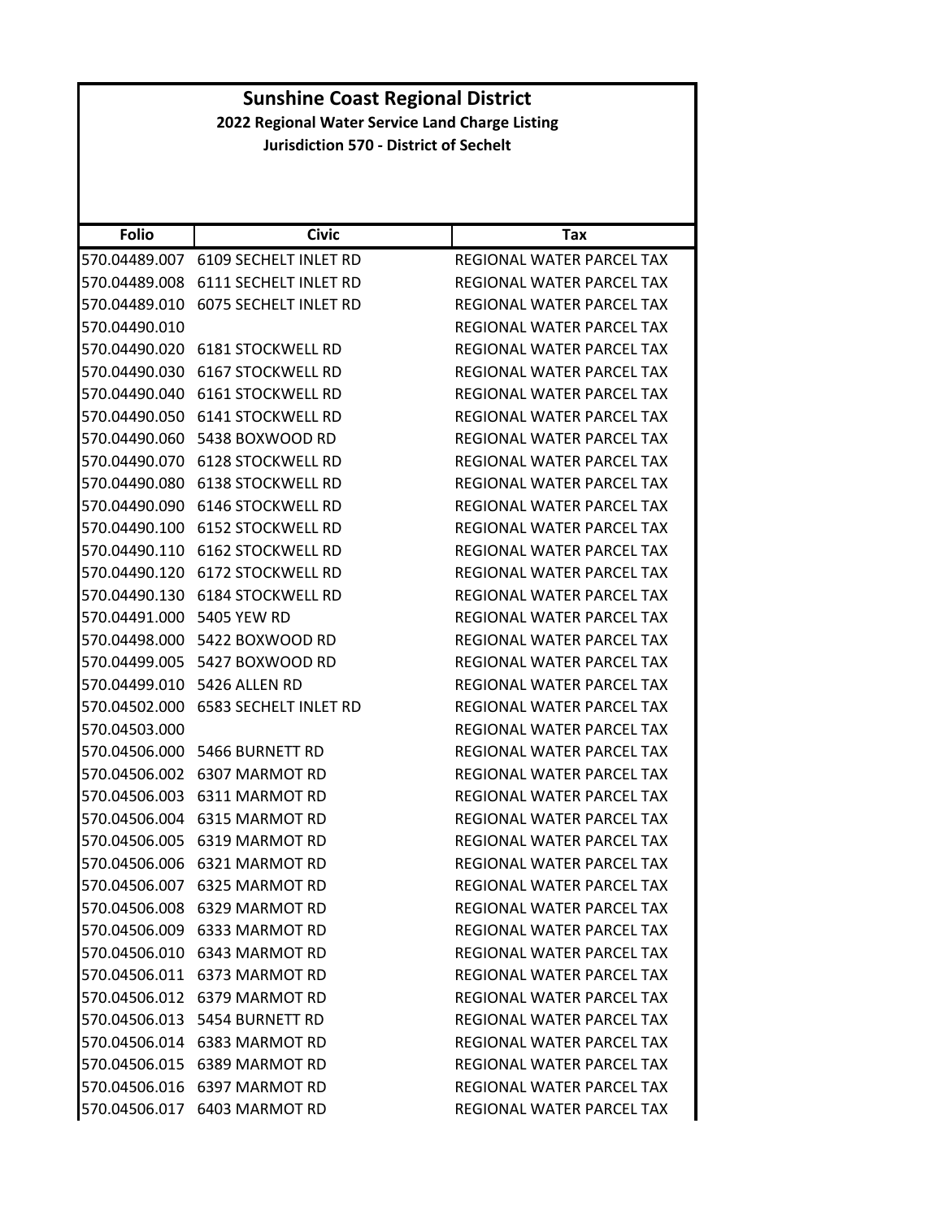| <b>Sunshine Coast Regional District</b><br>2022 Regional Water Service Land Charge Listing |                                     |                                  |
|--------------------------------------------------------------------------------------------|-------------------------------------|----------------------------------|
|                                                                                            |                                     |                                  |
|                                                                                            |                                     |                                  |
|                                                                                            |                                     |                                  |
| <b>Folio</b>                                                                               | <b>Civic</b>                        | Tax                              |
|                                                                                            | 570.04489.007 6109 SECHELT INLET RD | <b>REGIONAL WATER PARCEL TAX</b> |
|                                                                                            | 570.04489.008 6111 SECHELT INLET RD | REGIONAL WATER PARCEL TAX        |
|                                                                                            | 570.04489.010 6075 SECHELT INLET RD | REGIONAL WATER PARCEL TAX        |
| 570.04490.010                                                                              |                                     | REGIONAL WATER PARCEL TAX        |
|                                                                                            | 570.04490.020 6181 STOCKWELL RD     | REGIONAL WATER PARCEL TAX        |
|                                                                                            | 570.04490.030 6167 STOCKWELL RD     | REGIONAL WATER PARCEL TAX        |
|                                                                                            | 570.04490.040 6161 STOCKWELL RD     | REGIONAL WATER PARCEL TAX        |
|                                                                                            | 570.04490.050 6141 STOCKWELL RD     | REGIONAL WATER PARCEL TAX        |
|                                                                                            | 570.04490.060    5438    BOXWOOD RD | REGIONAL WATER PARCEL TAX        |
|                                                                                            | 570.04490.070 6128 STOCKWELL RD     | REGIONAL WATER PARCEL TAX        |
|                                                                                            | 570.04490.080 6138 STOCKWELL RD     | REGIONAL WATER PARCEL TAX        |
|                                                                                            | 570.04490.090 6146 STOCKWELL RD     | REGIONAL WATER PARCEL TAX        |
|                                                                                            | 570.04490.100 6152 STOCKWELL RD     | REGIONAL WATER PARCEL TAX        |
|                                                                                            | 570.04490.110 6162 STOCKWELL RD     | REGIONAL WATER PARCEL TAX        |
|                                                                                            | 570.04490.120 6172 STOCKWELL RD     | REGIONAL WATER PARCEL TAX        |
|                                                                                            | 570.04490.130 6184 STOCKWELL RD     | REGIONAL WATER PARCEL TAX        |
| 570.04491.000 5405 YEW RD                                                                  |                                     | REGIONAL WATER PARCEL TAX        |
|                                                                                            | 570.04498.000 5422 BOXWOOD RD       | REGIONAL WATER PARCEL TAX        |
|                                                                                            | 570.04499.005    5427    BOXWOOD RD | REGIONAL WATER PARCEL TAX        |
|                                                                                            | 570.04499.010 5426 ALLEN RD         | REGIONAL WATER PARCEL TAX        |
|                                                                                            | 570.04502.000 6583 SECHELT INLET RD | REGIONAL WATER PARCEL TAX        |
| 570.04503.000                                                                              |                                     | <b>REGIONAL WATER PARCEL TAX</b> |
|                                                                                            | 570.04506.000 5466 BURNETT RD       | REGIONAL WATER PARCEL TAX        |
|                                                                                            | 570.04506.002 6307 MARMOT RD        | REGIONAL WATER PARCEL TAX        |
|                                                                                            |                                     | REGIONAL WATER PARCEL TAX        |
|                                                                                            | 570.04506.003 6311 MARMOT RD        |                                  |
|                                                                                            | 570.04506.004 6315 MARMOT RD        | REGIONAL WATER PARCEL TAX        |
|                                                                                            | 570.04506.005 6319 MARMOT RD        | REGIONAL WATER PARCEL TAX        |
|                                                                                            | 570.04506.006 6321 MARMOT RD        | REGIONAL WATER PARCEL TAX        |
|                                                                                            | 570.04506.007 6325 MARMOT RD        | REGIONAL WATER PARCEL TAX        |
|                                                                                            | 570.04506.008 6329 MARMOT RD        | <b>REGIONAL WATER PARCEL TAX</b> |
|                                                                                            | 570.04506.009 6333 MARMOT RD        | REGIONAL WATER PARCEL TAX        |
|                                                                                            | 570.04506.010 6343 MARMOT RD        | REGIONAL WATER PARCEL TAX        |
|                                                                                            | 570.04506.011 6373 MARMOT RD        | REGIONAL WATER PARCEL TAX        |
|                                                                                            | 570.04506.012 6379 MARMOT RD        | REGIONAL WATER PARCEL TAX        |
|                                                                                            | 570.04506.013    5454    BURNETT RD | REGIONAL WATER PARCEL TAX        |
|                                                                                            | 570.04506.014 6383 MARMOT RD        | REGIONAL WATER PARCEL TAX        |
|                                                                                            | 570.04506.015 6389 MARMOT RD        | REGIONAL WATER PARCEL TAX        |
|                                                                                            | 570.04506.016 6397 MARMOT RD        | REGIONAL WATER PARCEL TAX        |
|                                                                                            | 570.04506.017 6403 MARMOT RD        | REGIONAL WATER PARCEL TAX        |
|                                                                                            |                                     |                                  |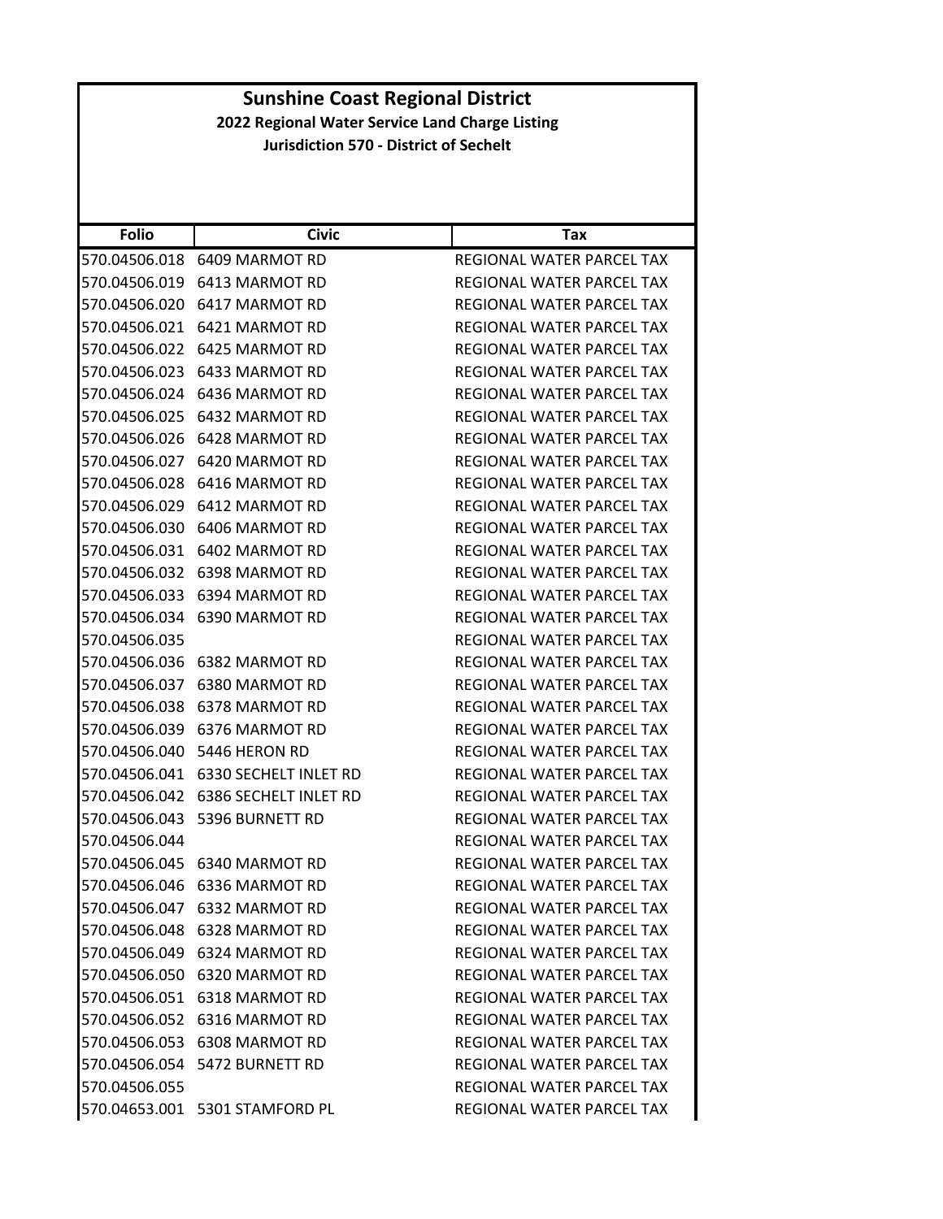| <b>Folio</b>  | <b>Civic</b>                   | Tax                              |
|---------------|--------------------------------|----------------------------------|
| 570.04506.018 | 6409 MARMOT RD                 | REGIONAL WATER PARCEL TAX        |
| 570.04506.019 | 6413 MARMOT RD                 | REGIONAL WATER PARCEL TAX        |
| 570.04506.020 | 6417 MARMOT RD                 | REGIONAL WATER PARCEL TAX        |
| 570.04506.021 | 6421 MARMOT RD                 | REGIONAL WATER PARCEL TAX        |
|               | 570.04506.022 6425 MARMOT RD   | REGIONAL WATER PARCEL TAX        |
| 570.04506.023 | 6433 MARMOT RD                 | REGIONAL WATER PARCEL TAX        |
|               | 570.04506.024 6436 MARMOT RD   | <b>REGIONAL WATER PARCEL TAX</b> |
| 570.04506.025 | 6432 MARMOT RD                 | REGIONAL WATER PARCEL TAX        |
| 570.04506.026 | 6428 MARMOT RD                 | REGIONAL WATER PARCEL TAX        |
| 570.04506.027 | 6420 MARMOT RD                 | REGIONAL WATER PARCEL TAX        |
| 570.04506.028 | 6416 MARMOT RD                 | REGIONAL WATER PARCEL TAX        |
|               | 570.04506.029 6412 MARMOT RD   | REGIONAL WATER PARCEL TAX        |
| 570.04506.030 | 6406 MARMOT RD                 | REGIONAL WATER PARCEL TAX        |
| 570.04506.031 | 6402 MARMOT RD                 | <b>REGIONAL WATER PARCEL TAX</b> |
| 570.04506.032 | 6398 MARMOT RD                 | REGIONAL WATER PARCEL TAX        |
| 570.04506.033 | 6394 MARMOT RD                 | REGIONAL WATER PARCEL TAX        |
|               | 570.04506.034 6390 MARMOT RD   | REGIONAL WATER PARCEL TAX        |
| 570.04506.035 |                                | REGIONAL WATER PARCEL TAX        |
|               | 570.04506.036 6382 MARMOT RD   | REGIONAL WATER PARCEL TAX        |
| 570.04506.037 | 6380 MARMOT RD                 | REGIONAL WATER PARCEL TAX        |
| 570.04506.038 | 6378 MARMOT RD                 | REGIONAL WATER PARCEL TAX        |
| 570.04506.039 | 6376 MARMOT RD                 | REGIONAL WATER PARCEL TAX        |
| 570.04506.040 | 5446 HERON RD                  | REGIONAL WATER PARCEL TAX        |
| 570.04506.041 | 6330 SECHELT INLET RD          | REGIONAL WATER PARCEL TAX        |
| 570.04506.042 | <b>6386 SECHELT INLET RD</b>   | REGIONAL WATER PARCEL TAX        |
| 570.04506.043 | 5396 BURNETT RD                | REGIONAL WATER PARCEL TAX        |
| 570.04506.044 |                                | REGIONAL WATER PARCEL TAX        |
|               | 570.04506.045 6340 MARMOT RD   | REGIONAL WATER PARCEL TAX        |
|               | 570.04506.046 6336 MARMOT RD   | REGIONAL WATER PARCEL TAX        |
|               | 570.04506.047 6332 MARMOT RD   | REGIONAL WATER PARCEL TAX        |
|               | 570.04506.048 6328 MARMOT RD   | REGIONAL WATER PARCEL TAX        |
|               | 570.04506.049 6324 MARMOT RD   | REGIONAL WATER PARCEL TAX        |
|               | 570.04506.050 6320 MARMOT RD   | REGIONAL WATER PARCEL TAX        |
|               | 570.04506.051 6318 MARMOT RD   | REGIONAL WATER PARCEL TAX        |
|               | 570.04506.052 6316 MARMOT RD   | REGIONAL WATER PARCEL TAX        |
|               | 570.04506.053 6308 MARMOT RD   | REGIONAL WATER PARCEL TAX        |
|               | 570.04506.054 5472 BURNETT RD  | REGIONAL WATER PARCEL TAX        |
| 570.04506.055 |                                | REGIONAL WATER PARCEL TAX        |
|               | 570.04653.001 5301 STAMFORD PL | REGIONAL WATER PARCEL TAX        |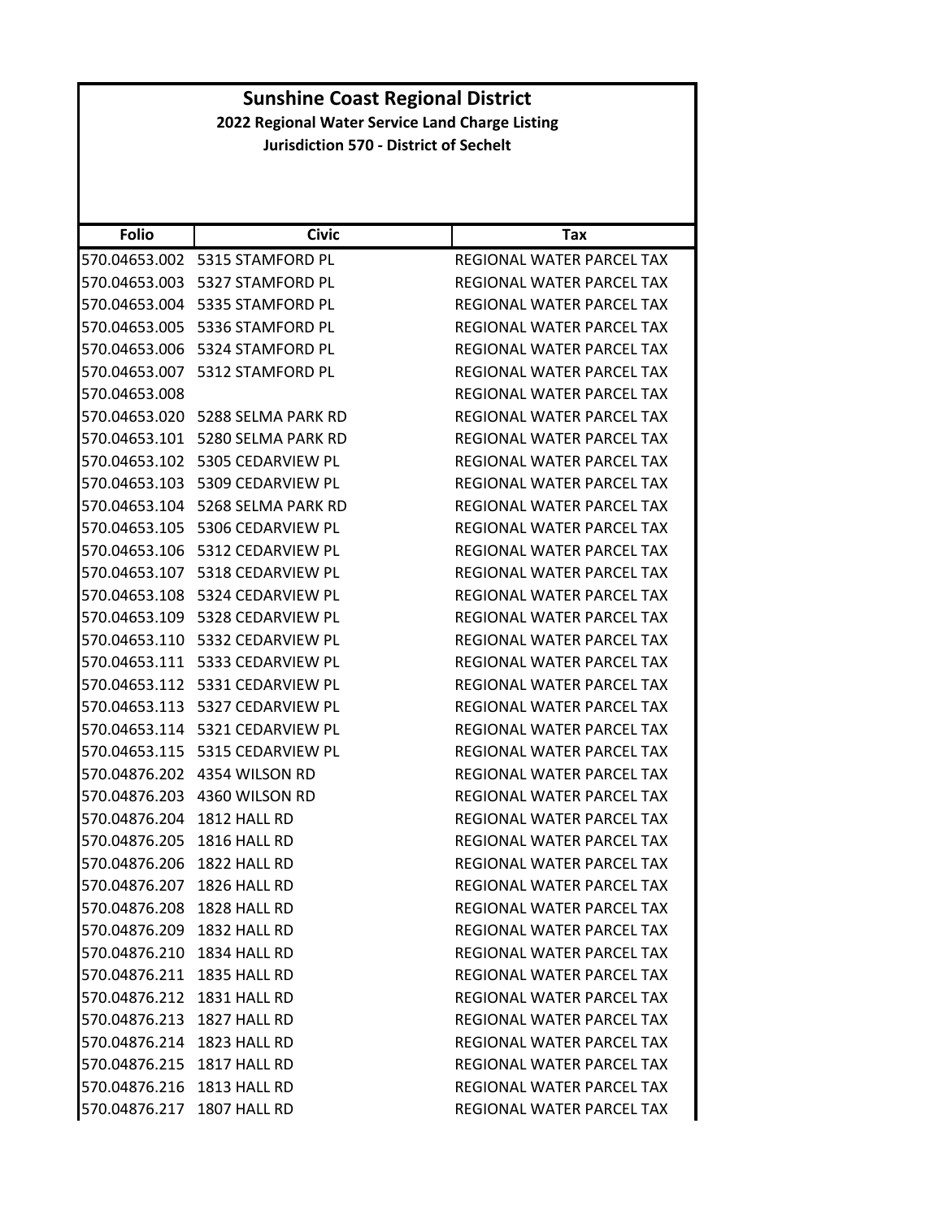| <b>Folio</b>               | <b>Civic</b>                      | Tax                              |
|----------------------------|-----------------------------------|----------------------------------|
|                            | 570.04653.002 5315 STAMFORD PL    | REGIONAL WATER PARCEL TAX        |
|                            | 570.04653.003    5327 STAMFORD PL | REGIONAL WATER PARCEL TAX        |
| 570.04653.004              | 5335 STAMFORD PL                  | REGIONAL WATER PARCEL TAX        |
| 570.04653.005              | 5336 STAMFORD PL                  | REGIONAL WATER PARCEL TAX        |
| 570.04653.006              | 5324 STAMFORD PL                  | REGIONAL WATER PARCEL TAX        |
| 570.04653.007              | 5312 STAMFORD PL                  | REGIONAL WATER PARCEL TAX        |
| 570.04653.008              |                                   | REGIONAL WATER PARCEL TAX        |
|                            | 570.04653.020 5288 SELMA PARK RD  | REGIONAL WATER PARCEL TAX        |
|                            | 570.04653.101 5280 SELMA PARK RD  | REGIONAL WATER PARCEL TAX        |
| 570.04653.102              | 5305 CEDARVIEW PL                 | REGIONAL WATER PARCEL TAX        |
| 570.04653.103              | 5309 CEDARVIEW PL                 | REGIONAL WATER PARCEL TAX        |
| 570.04653.104              | 5268 SELMA PARK RD                | REGIONAL WATER PARCEL TAX        |
| 570.04653.105              | 5306 CEDARVIEW PL                 | REGIONAL WATER PARCEL TAX        |
| 570.04653.106              | 5312 CEDARVIEW PL                 | REGIONAL WATER PARCEL TAX        |
| 570.04653.107              | 5318 CEDARVIEW PL                 | <b>REGIONAL WATER PARCEL TAX</b> |
|                            | 570.04653.108 5324 CEDARVIEW PL   | REGIONAL WATER PARCEL TAX        |
| 570.04653.109              | 5328 CEDARVIEW PL                 | REGIONAL WATER PARCEL TAX        |
|                            | 570.04653.110 5332 CEDARVIEW PL   | REGIONAL WATER PARCEL TAX        |
| 570.04653.111              | 5333 CEDARVIEW PL                 | REGIONAL WATER PARCEL TAX        |
| 570.04653.112              | 5331 CEDARVIEW PL                 | REGIONAL WATER PARCEL TAX        |
| 570.04653.113              | 5327 CEDARVIEW PL                 | REGIONAL WATER PARCEL TAX        |
| 570.04653.114              | 5321 CEDARVIEW PL                 | REGIONAL WATER PARCEL TAX        |
| 570.04653.115              | 5315 CEDARVIEW PL                 | REGIONAL WATER PARCEL TAX        |
| 570.04876.202              | 4354 WILSON RD                    | REGIONAL WATER PARCEL TAX        |
| 570.04876.203              | 4360 WILSON RD                    | REGIONAL WATER PARCEL TAX        |
| 570.04876.204              | 1812 HALL RD                      | REGIONAL WATER PARCEL TAX        |
| 570.04876.205              | 1816 HALL RD                      | REGIONAL WATER PARCEL TAX        |
| 570.04876.206              | 1822 HALL RD                      | <b>REGIONAL WATER PARCEL TAX</b> |
| 570.04876.207              | 1826 HALL RD                      | REGIONAL WATER PARCEL TAX        |
| 570.04876.208 1828 HALL RD |                                   | REGIONAL WATER PARCEL TAX        |
| 570.04876.209 1832 HALL RD |                                   | REGIONAL WATER PARCEL TAX        |
| 570.04876.210 1834 HALL RD |                                   | REGIONAL WATER PARCEL TAX        |
| 570.04876.211 1835 HALL RD |                                   | REGIONAL WATER PARCEL TAX        |
| 570.04876.212              | 1831 HALL RD                      | REGIONAL WATER PARCEL TAX        |
| 570.04876.213 1827 HALL RD |                                   | REGIONAL WATER PARCEL TAX        |
| 570.04876.214 1823 HALL RD |                                   | REGIONAL WATER PARCEL TAX        |
| 570.04876.215              | 1817 HALL RD                      | REGIONAL WATER PARCEL TAX        |
| 570.04876.216 1813 HALL RD |                                   | REGIONAL WATER PARCEL TAX        |
| 570.04876.217              | 1807 HALL RD                      | REGIONAL WATER PARCEL TAX        |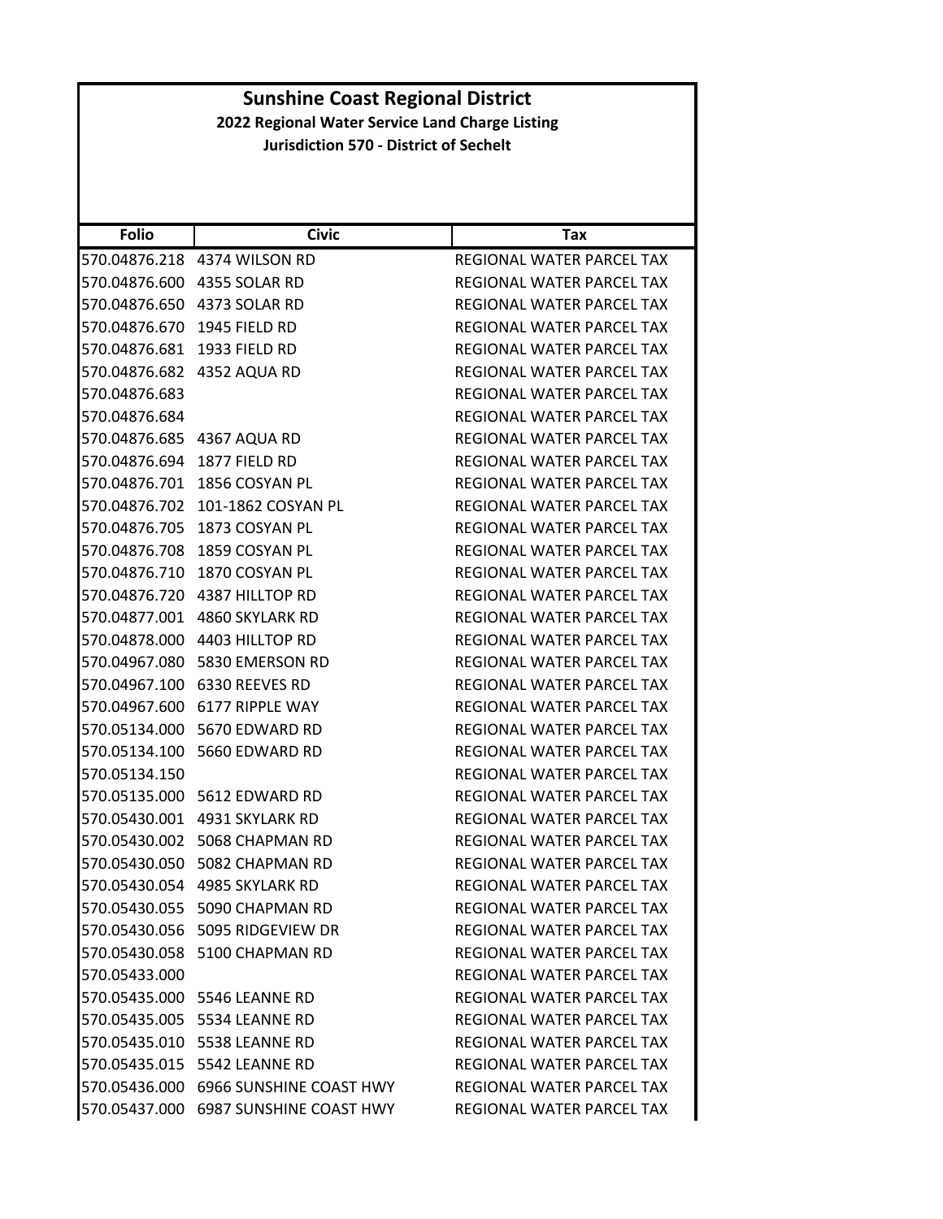| <b>Folio</b>  | <b>Civic</b>                          | Tax                              |
|---------------|---------------------------------------|----------------------------------|
|               | 570.04876.218 4374 WILSON RD          | REGIONAL WATER PARCEL TAX        |
| 570.04876.600 | 4355 SOLAR RD                         | REGIONAL WATER PARCEL TAX        |
|               | 570.04876.650 4373 SOLAR RD           | REGIONAL WATER PARCEL TAX        |
| 570.04876.670 | 1945 FIELD RD                         | REGIONAL WATER PARCEL TAX        |
| 570.04876.681 | 1933 FIELD RD                         | REGIONAL WATER PARCEL TAX        |
| 570.04876.682 | 4352 AQUA RD                          | REGIONAL WATER PARCEL TAX        |
| 570.04876.683 |                                       | REGIONAL WATER PARCEL TAX        |
| 570.04876.684 |                                       | REGIONAL WATER PARCEL TAX        |
| 570.04876.685 | 4367 AQUA RD                          | REGIONAL WATER PARCEL TAX        |
| 570.04876.694 | 1877 FIELD RD                         | REGIONAL WATER PARCEL TAX        |
| 570.04876.701 | 1856 COSYAN PL                        | REGIONAL WATER PARCEL TAX        |
| 570.04876.702 | 101-1862 COSYAN PL                    | REGIONAL WATER PARCEL TAX        |
| 570.04876.705 | 1873 COSYAN PL                        | REGIONAL WATER PARCEL TAX        |
| 570.04876.708 | 1859 COSYAN PL                        | REGIONAL WATER PARCEL TAX        |
|               | 570.04876.710 1870 COSYAN PL          | REGIONAL WATER PARCEL TAX        |
| 570.04876.720 | 4387 HILLTOP RD                       | REGIONAL WATER PARCEL TAX        |
|               | 570.04877.001 4860 SKYLARK RD         | REGIONAL WATER PARCEL TAX        |
|               | 570.04878.000 4403 HILLTOP RD         | REGIONAL WATER PARCEL TAX        |
|               | 570.04967.080 5830 EMERSON RD         | REGIONAL WATER PARCEL TAX        |
|               | 570.04967.100 6330 REEVES RD          | REGIONAL WATER PARCEL TAX        |
| 570.04967.600 | 6177 RIPPLE WAY                       | REGIONAL WATER PARCEL TAX        |
|               | 570.05134.000 5670 EDWARD RD          | REGIONAL WATER PARCEL TAX        |
| 570.05134.100 | 5660 EDWARD RD                        | REGIONAL WATER PARCEL TAX        |
| 570.05134.150 |                                       | REGIONAL WATER PARCEL TAX        |
| 570.05135.000 | 5612 EDWARD RD                        | REGIONAL WATER PARCEL TAX        |
| 570.05430.001 | 4931 SKYLARK RD                       | <b>REGIONAL WATER PARCEL TAX</b> |
|               | 570.05430.002 5068 CHAPMAN RD         | REGIONAL WATER PARCEL TAX        |
| 570.05430.050 | 5082 CHAPMAN RD                       | REGIONAL WATER PARCEL TAX        |
|               | 570.05430.054 4985 SKYLARK RD         | <b>REGIONAL WATER PARCEL TAX</b> |
|               | 570.05430.055 5090 CHAPMAN RD         | REGIONAL WATER PARCEL TAX        |
|               | 570.05430.056 5095 RIDGEVIEW DR       | REGIONAL WATER PARCEL TAX        |
|               | 570.05430.058 5100 CHAPMAN RD         | REGIONAL WATER PARCEL TAX        |
| 570.05433.000 |                                       | <b>REGIONAL WATER PARCEL TAX</b> |
|               | 570.05435.000 5546 LEANNE RD          | REGIONAL WATER PARCEL TAX        |
|               | 570.05435.005    5534 LEANNE RD       | REGIONAL WATER PARCEL TAX        |
|               | 570.05435.010 5538 LEANNE RD          | REGIONAL WATER PARCEL TAX        |
|               | 570.05435.015    5542 LEANNE RD       | REGIONAL WATER PARCEL TAX        |
|               | 570.05436.000 6966 SUNSHINE COAST HWY | REGIONAL WATER PARCEL TAX        |
|               | 570.05437.000 6987 SUNSHINE COAST HWY | REGIONAL WATER PARCEL TAX        |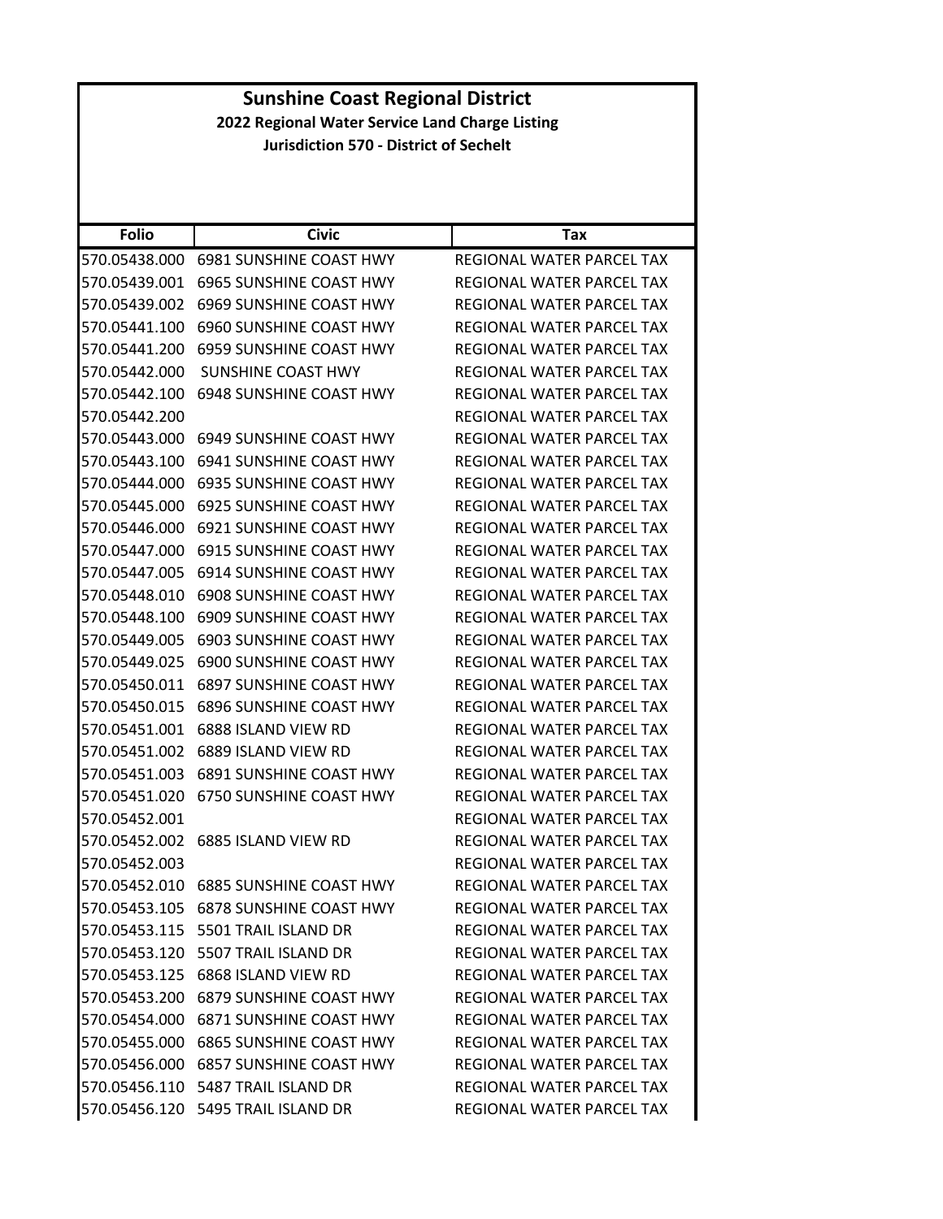|                                                 | <b>Sunshine Coast Regional District</b>       |                                  |  |
|-------------------------------------------------|-----------------------------------------------|----------------------------------|--|
| 2022 Regional Water Service Land Charge Listing |                                               |                                  |  |
|                                                 | <b>Jurisdiction 570 - District of Sechelt</b> |                                  |  |
|                                                 |                                               |                                  |  |
|                                                 |                                               |                                  |  |
| <b>Folio</b>                                    | <b>Civic</b>                                  | Tax                              |  |
| 570.05438.000                                   | 6981 SUNSHINE COAST HWY                       | <b>REGIONAL WATER PARCEL TAX</b> |  |
| 570.05439.001                                   | 6965 SUNSHINE COAST HWY                       | REGIONAL WATER PARCEL TAX        |  |
| 570.05439.002                                   | 6969 SUNSHINE COAST HWY                       | REGIONAL WATER PARCEL TAX        |  |
| 570.05441.100                                   | 6960 SUNSHINE COAST HWY                       | REGIONAL WATER PARCEL TAX        |  |
| 570.05441.200                                   | 6959 SUNSHINE COAST HWY                       | REGIONAL WATER PARCEL TAX        |  |
| 570.05442.000                                   | <b>SUNSHINE COAST HWY</b>                     | REGIONAL WATER PARCEL TAX        |  |
| 570.05442.100                                   | 6948 SUNSHINE COAST HWY                       | REGIONAL WATER PARCEL TAX        |  |
| 570.05442.200                                   |                                               | REGIONAL WATER PARCEL TAX        |  |
| 570.05443.000                                   | 6949 SUNSHINE COAST HWY                       | <b>REGIONAL WATER PARCEL TAX</b> |  |
| 570.05443.100                                   | 6941 SUNSHINE COAST HWY                       | REGIONAL WATER PARCEL TAX        |  |
| 570.05444.000                                   | <b>6935 SUNSHINE COAST HWY</b>                | REGIONAL WATER PARCEL TAX        |  |
| 570.05445.000                                   | 6925 SUNSHINE COAST HWY                       | REGIONAL WATER PARCEL TAX        |  |
| 570.05446.000                                   | 6921 SUNSHINE COAST HWY                       | REGIONAL WATER PARCEL TAX        |  |
| 570.05447.000                                   | 6915 SUNSHINE COAST HWY                       | REGIONAL WATER PARCEL TAX        |  |
| 570.05447.005                                   | 6914 SUNSHINE COAST HWY                       | REGIONAL WATER PARCEL TAX        |  |
| 570.05448.010                                   | 6908 SUNSHINE COAST HWY                       | REGIONAL WATER PARCEL TAX        |  |
| 570.05448.100                                   | 6909 SUNSHINE COAST HWY                       | REGIONAL WATER PARCEL TAX        |  |
| 570.05449.005                                   | 6903 SUNSHINE COAST HWY                       | REGIONAL WATER PARCEL TAX        |  |
| 570.05449.025                                   | 6900 SUNSHINE COAST HWY                       | REGIONAL WATER PARCEL TAX        |  |
| 570.05450.011                                   | <b>6897 SUNSHINE COAST HWY</b>                | REGIONAL WATER PARCEL TAX        |  |
| 570.05450.015                                   | 6896 SUNSHINE COAST HWY                       | REGIONAL WATER PARCEL TAX        |  |
| 570.05451.001                                   | 6888 ISLAND VIEW RD                           | <b>REGIONAL WATER PARCEL TAX</b> |  |
| 570.05451.002                                   | 6889 ISLAND VIEW RD                           | <b>REGIONAL WATER PARCEL TAX</b> |  |
| 570.05451.003                                   | <b>6891 SUNSHINE COAST HWY</b>                | REGIONAL WATER PARCEL TAX        |  |
|                                                 | 570.05451.020 6750 SUNSHINE COAST HWY         | REGIONAL WATER PARCEL TAX        |  |
| 570.05452.001                                   |                                               | REGIONAL WATER PARCEL TAX        |  |
|                                                 |                                               | REGIONAL WATER PARCEL TAX        |  |
| 570.05452.003                                   |                                               | REGIONAL WATER PARCEL TAX        |  |
|                                                 | 570.05452.010 6885 SUNSHINE COAST HWY         | REGIONAL WATER PARCEL TAX        |  |
|                                                 | 570.05453.105 6878 SUNSHINE COAST HWY         | REGIONAL WATER PARCEL TAX        |  |
|                                                 | 570.05453.115 5501 TRAIL ISLAND DR            | <b>REGIONAL WATER PARCEL TAX</b> |  |
|                                                 | 570.05453.120    5507 TRAIL ISLAND DR         | REGIONAL WATER PARCEL TAX        |  |
|                                                 | 570.05453.125 6868 ISLAND VIEW RD             | REGIONAL WATER PARCEL TAX        |  |
|                                                 | 570.05453.200 6879 SUNSHINE COAST HWY         | REGIONAL WATER PARCEL TAX        |  |
|                                                 | 570.05454.000    6871 SUNSHINE COAST HWY      | REGIONAL WATER PARCEL TAX        |  |
| 570.05455.000                                   | <b>6865 SUNSHINE COAST HWY</b>                | REGIONAL WATER PARCEL TAX        |  |
|                                                 | 570.05456.000 6857 SUNSHINE COAST HWY         | REGIONAL WATER PARCEL TAX        |  |
|                                                 | 570.05456.110    5487 TRAIL ISLAND DR         | REGIONAL WATER PARCEL TAX        |  |
|                                                 | 570.05456.120 5495 TRAIL ISLAND DR            | REGIONAL WATER PARCEL TAX        |  |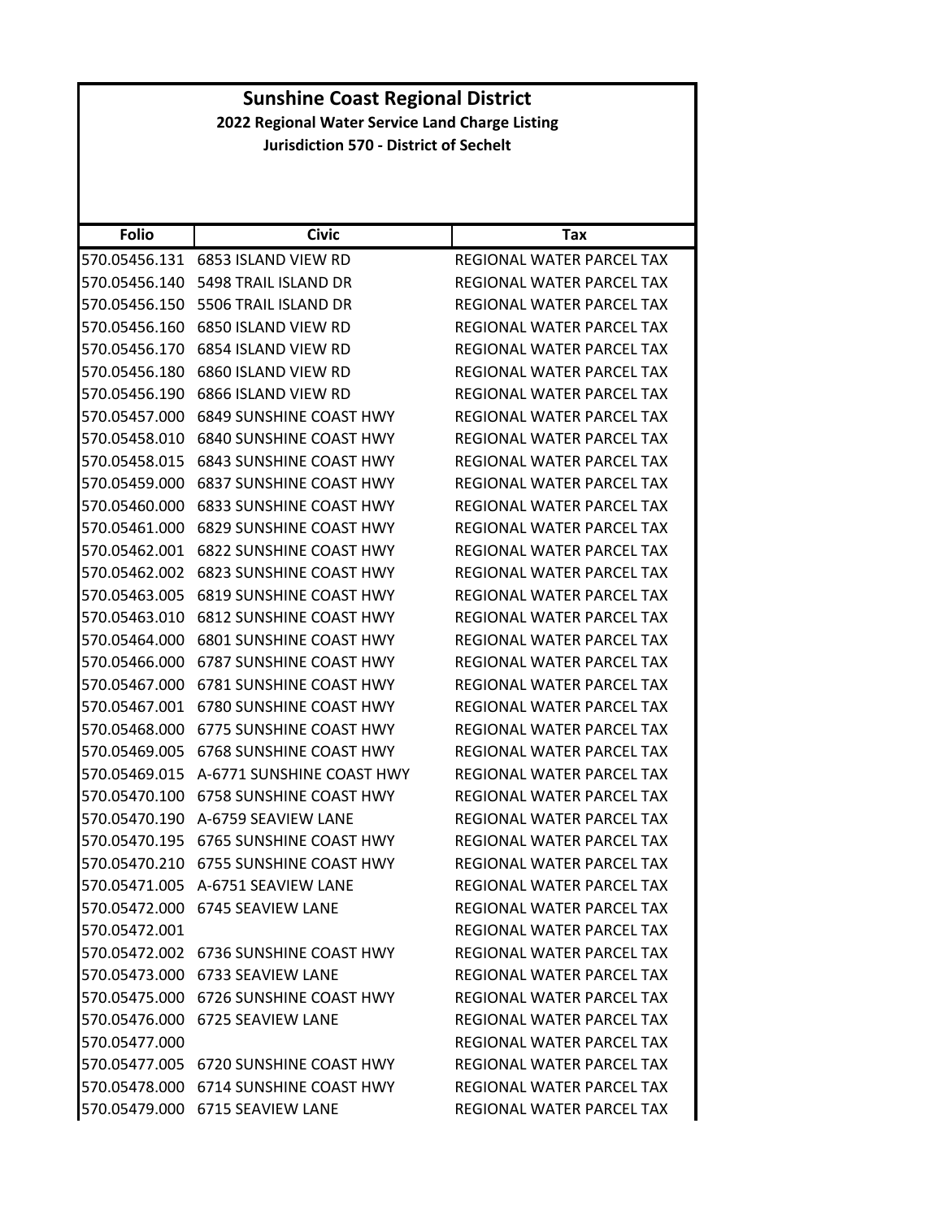|               | <b>Sunshine Coast Regional District</b>         |                                  |  |
|---------------|-------------------------------------------------|----------------------------------|--|
|               | 2022 Regional Water Service Land Charge Listing |                                  |  |
|               | <b>Jurisdiction 570 - District of Sechelt</b>   |                                  |  |
|               |                                                 |                                  |  |
|               |                                                 |                                  |  |
|               |                                                 |                                  |  |
| <b>Folio</b>  | <b>Civic</b>                                    | Tax                              |  |
|               | 570.05456.131 6853 ISLAND VIEW RD               | REGIONAL WATER PARCEL TAX        |  |
| 570.05456.140 | 5498 TRAIL ISLAND DR                            | REGIONAL WATER PARCEL TAX        |  |
|               | 570.05456.150    5506 TRAIL ISLAND DR           | REGIONAL WATER PARCEL TAX        |  |
| 570.05456.160 | 6850 ISLAND VIEW RD                             | REGIONAL WATER PARCEL TAX        |  |
| 570.05456.170 | 6854 ISLAND VIEW RD                             | REGIONAL WATER PARCEL TAX        |  |
| 570.05456.180 | 6860 ISLAND VIEW RD                             | REGIONAL WATER PARCEL TAX        |  |
| 570.05456.190 | 6866 ISLAND VIEW RD                             | REGIONAL WATER PARCEL TAX        |  |
| 570.05457.000 | <b>6849 SUNSHINE COAST HWY</b>                  | REGIONAL WATER PARCEL TAX        |  |
| 570.05458.010 | 6840 SUNSHINE COAST HWY                         | <b>REGIONAL WATER PARCEL TAX</b> |  |
| 570.05458.015 | <b>6843 SUNSHINE COAST HWY</b>                  | REGIONAL WATER PARCEL TAX        |  |
| 570.05459.000 | <b>6837 SUNSHINE COAST HWY</b>                  | <b>REGIONAL WATER PARCEL TAX</b> |  |
| 570.05460.000 | <b>6833 SUNSHINE COAST HWY</b>                  | REGIONAL WATER PARCEL TAX        |  |
| 570.05461.000 | 6829 SUNSHINE COAST HWY                         | REGIONAL WATER PARCEL TAX        |  |
| 570.05462.001 | <b>6822 SUNSHINE COAST HWY</b>                  | REGIONAL WATER PARCEL TAX        |  |
| 570.05462.002 | <b>6823 SUNSHINE COAST HWY</b>                  | REGIONAL WATER PARCEL TAX        |  |
| 570.05463.005 | 6819 SUNSHINE COAST HWY                         | REGIONAL WATER PARCEL TAX        |  |
| 570.05463.010 | <b>6812 SUNSHINE COAST HWY</b>                  | REGIONAL WATER PARCEL TAX        |  |
| 570.05464.000 | 6801 SUNSHINE COAST HWY                         | REGIONAL WATER PARCEL TAX        |  |
| 570.05466.000 | 6787 SUNSHINE COAST HWY                         | REGIONAL WATER PARCEL TAX        |  |
| 570.05467.000 | 6781 SUNSHINE COAST HWY                         | REGIONAL WATER PARCEL TAX        |  |
| 570.05467.001 | 6780 SUNSHINE COAST HWY                         | REGIONAL WATER PARCEL TAX        |  |
|               | 570.05468.000 6775 SUNSHINE COAST HWY           | REGIONAL WATER PARCEL TAX        |  |
| 570.05469.005 | 6768 SUNSHINE COAST HWY                         | REGIONAL WATER PARCEL TAX        |  |
|               | 570.05469.015 A-6771 SUNSHINE COAST HWY         | REGIONAL WATER PARCEL TAX        |  |
|               | 570.05470.100 6758 SUNSHINE COAST HWY           | REGIONAL WATER PARCEL TAX        |  |
|               | 570.05470.190 A-6759 SEAVIEW LANE               | REGIONAL WATER PARCEL TAX        |  |
|               | 570.05470.195 6765 SUNSHINE COAST HWY           | REGIONAL WATER PARCEL TAX        |  |
|               | 570.05470.210 6755 SUNSHINE COAST HWY           | REGIONAL WATER PARCEL TAX        |  |
|               | 570.05471.005 A-6751 SEAVIEW LANE               | REGIONAL WATER PARCEL TAX        |  |
|               | 570.05472.000 6745 SEAVIEW LANE                 | REGIONAL WATER PARCEL TAX        |  |
| 570.05472.001 |                                                 | REGIONAL WATER PARCEL TAX        |  |
|               | 570.05472.002 6736 SUNSHINE COAST HWY           | REGIONAL WATER PARCEL TAX        |  |
|               | 570.05473.000 6733 SEAVIEW LANE                 | REGIONAL WATER PARCEL TAX        |  |
|               | 570.05475.000 6726 SUNSHINE COAST HWY           | REGIONAL WATER PARCEL TAX        |  |
| 570.05476.000 | 6725 SEAVIEW LANE                               | REGIONAL WATER PARCEL TAX        |  |
| 570.05477.000 |                                                 | REGIONAL WATER PARCEL TAX        |  |
|               | 570.05477.005 6720 SUNSHINE COAST HWY           | REGIONAL WATER PARCEL TAX        |  |
|               | 570.05478.000 6714 SUNSHINE COAST HWY           | REGIONAL WATER PARCEL TAX        |  |
|               |                                                 |                                  |  |
|               | 570.05479.000 6715 SEAVIEW LANE                 | REGIONAL WATER PARCEL TAX        |  |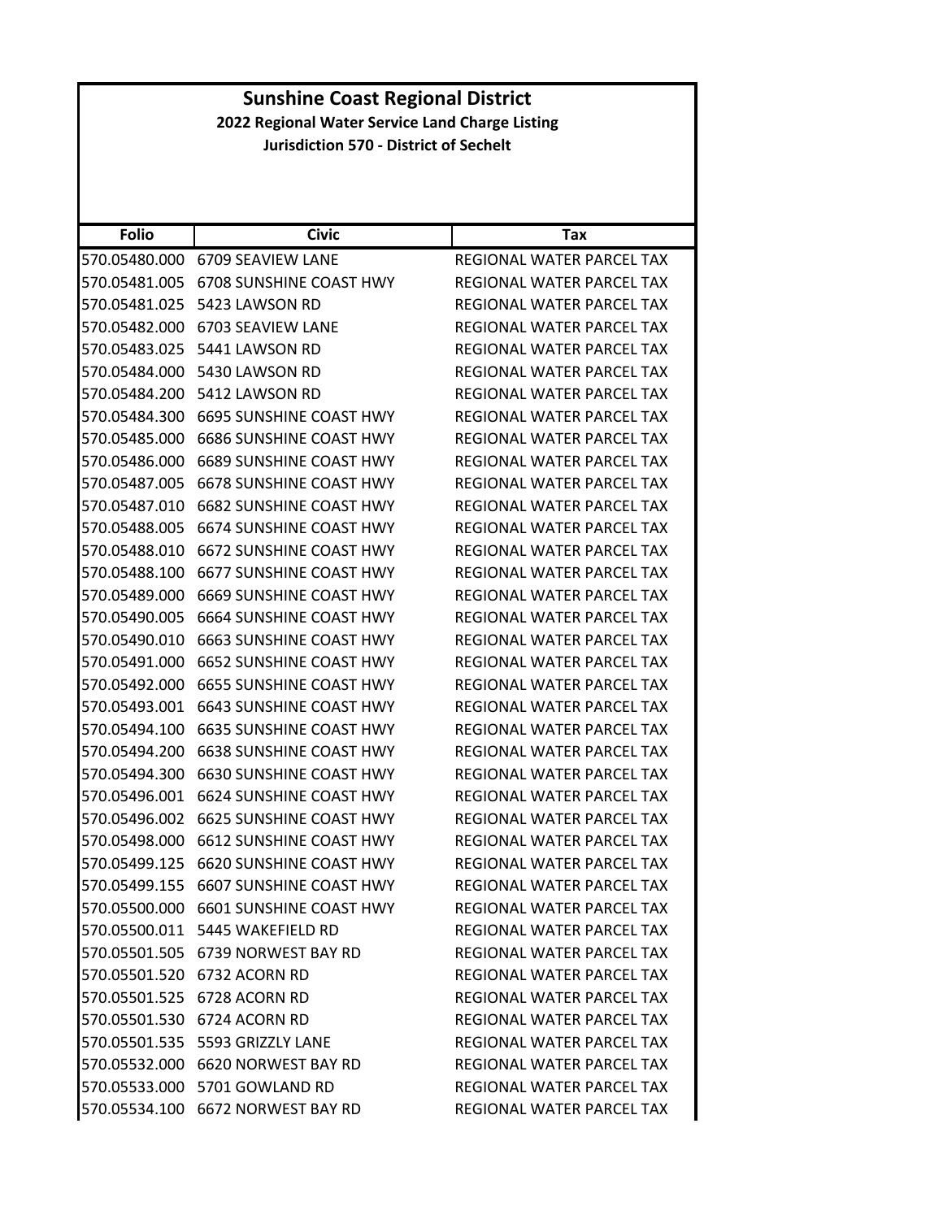|               | <b>Sunshine Coast Regional District</b>         |                                  |  |
|---------------|-------------------------------------------------|----------------------------------|--|
|               | 2022 Regional Water Service Land Charge Listing |                                  |  |
|               | <b>Jurisdiction 570 - District of Sechelt</b>   |                                  |  |
|               |                                                 |                                  |  |
|               |                                                 |                                  |  |
| <b>Folio</b>  | <b>Civic</b>                                    | Tax                              |  |
| 570.05480.000 | 6709 SEAVIEW LANE                               | REGIONAL WATER PARCEL TAX        |  |
| 570.05481.005 | 6708 SUNSHINE COAST HWY                         | <b>REGIONAL WATER PARCEL TAX</b> |  |
|               | 570.05481.025    5423 LAWSON RD                 | REGIONAL WATER PARCEL TAX        |  |
| 570.05482.000 | 6703 SEAVIEW LANE                               | REGIONAL WATER PARCEL TAX        |  |
| 570.05483.025 | 5441 LAWSON RD                                  | REGIONAL WATER PARCEL TAX        |  |
|               | 570.05484.000 5430 LAWSON RD                    | REGIONAL WATER PARCEL TAX        |  |
|               | 570.05484.200 5412 LAWSON RD                    | <b>REGIONAL WATER PARCEL TAX</b> |  |
|               | 570.05484.300 6695 SUNSHINE COAST HWY           | REGIONAL WATER PARCEL TAX        |  |
| 570.05485.000 | <b>6686 SUNSHINE COAST HWY</b>                  | REGIONAL WATER PARCEL TAX        |  |
| 570.05486.000 | 6689 SUNSHINE COAST HWY                         | <b>REGIONAL WATER PARCEL TAX</b> |  |
| 570.05487.005 | 6678 SUNSHINE COAST HWY                         | REGIONAL WATER PARCEL TAX        |  |
| 570.05487.010 | <b>6682 SUNSHINE COAST HWY</b>                  | REGIONAL WATER PARCEL TAX        |  |
| 570.05488.005 | 6674 SUNSHINE COAST HWY                         | REGIONAL WATER PARCEL TAX        |  |
| 570.05488.010 | 6672 SUNSHINE COAST HWY                         | REGIONAL WATER PARCEL TAX        |  |
| 570.05488.100 | 6677 SUNSHINE COAST HWY                         | REGIONAL WATER PARCEL TAX        |  |
| 570.05489.000 | 6669 SUNSHINE COAST HWY                         | REGIONAL WATER PARCEL TAX        |  |
| 570.05490.005 | 6664 SUNSHINE COAST HWY                         | REGIONAL WATER PARCEL TAX        |  |
| 570.05490.010 | <b>6663 SUNSHINE COAST HWY</b>                  | REGIONAL WATER PARCEL TAX        |  |
| 570.05491.000 | 6652 SUNSHINE COAST HWY                         | REGIONAL WATER PARCEL TAX        |  |
| 570.05492.000 | <b>6655 SUNSHINE COAST HWY</b>                  | REGIONAL WATER PARCEL TAX        |  |
| 570.05493.001 | <b>6643 SUNSHINE COAST HWY</b>                  | <b>REGIONAL WATER PARCEL TAX</b> |  |
|               | 570.05494.100 6635 SUNSHINE COAST HWY           | REGIONAL WATER PARCEL TAX        |  |
| 570.05494.200 | <b>6638 SUNSHINE COAST HWY</b>                  | REGIONAL WATER PARCEL TAX        |  |
|               | 570.05494.300 6630 SUNSHINE COAST HWY           | REGIONAL WATER PARCEL TAX        |  |
|               | 570.05496.001 6624 SUNSHINE COAST HWY           | REGIONAL WATER PARCEL TAX        |  |
|               | 570.05496.002 6625 SUNSHINE COAST HWY           | <b>REGIONAL WATER PARCEL TAX</b> |  |
|               | 570.05498.000 6612 SUNSHINE COAST HWY           | REGIONAL WATER PARCEL TAX        |  |
|               | 570.05499.125 6620 SUNSHINE COAST HWY           | REGIONAL WATER PARCEL TAX        |  |
|               | 570.05499.155 6607 SUNSHINE COAST HWY           | REGIONAL WATER PARCEL TAX        |  |
|               | 570.05500.000 6601 SUNSHINE COAST HWY           | REGIONAL WATER PARCEL TAX        |  |
|               | 570.05500.011 5445 WAKEFIELD RD                 | REGIONAL WATER PARCEL TAX        |  |
|               | 570.05501.505 6739 NORWEST BAY RD               | REGIONAL WATER PARCEL TAX        |  |
|               | 570.05501.520 6732 ACORN RD                     | REGIONAL WATER PARCEL TAX        |  |
|               | 570.05501.525 6728 ACORN RD                     | REGIONAL WATER PARCEL TAX        |  |
|               | 570.05501.530 6724 ACORN RD                     | REGIONAL WATER PARCEL TAX        |  |
|               | 570.05501.535    5593    GRIZZLY LANE           | REGIONAL WATER PARCEL TAX        |  |
|               | 570.05532.000 6620 NORWEST BAY RD               | REGIONAL WATER PARCEL TAX        |  |
|               | 570.05533.000 5701 GOWLAND RD                   | REGIONAL WATER PARCEL TAX        |  |
|               | 570.05534.100 6672 NORWEST BAY RD               | REGIONAL WATER PARCEL TAX        |  |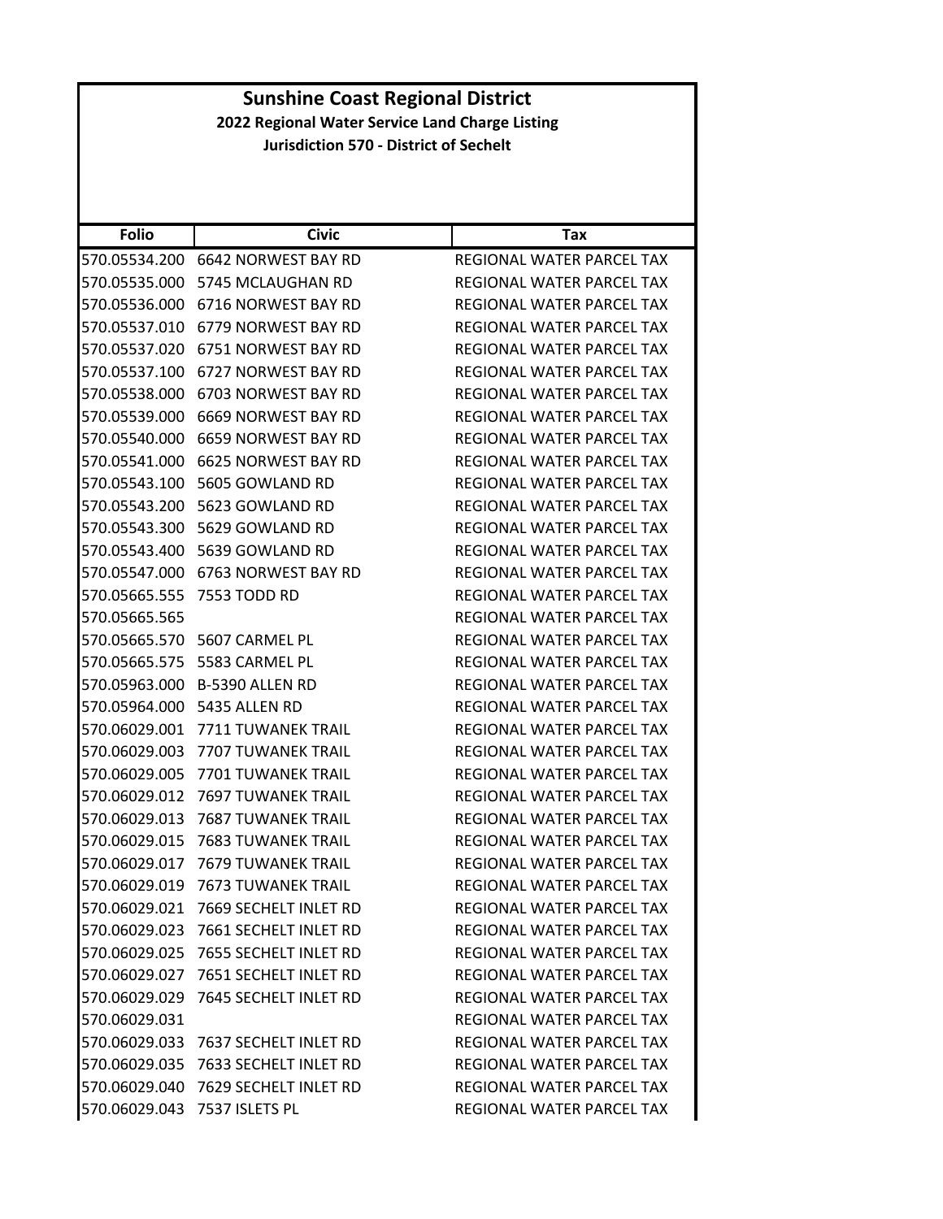|               | <b>Sunshine Coast Regional District</b>         |                                  |  |
|---------------|-------------------------------------------------|----------------------------------|--|
|               | 2022 Regional Water Service Land Charge Listing |                                  |  |
|               | <b>Jurisdiction 570 - District of Sechelt</b>   |                                  |  |
|               |                                                 |                                  |  |
|               |                                                 |                                  |  |
|               |                                                 |                                  |  |
| <b>Folio</b>  | <b>Civic</b>                                    | Tax                              |  |
|               | 570.05534.200 6642 NORWEST BAY RD               | REGIONAL WATER PARCEL TAX        |  |
|               | 570.05535.000 5745 MCLAUGHAN RD                 | <b>REGIONAL WATER PARCEL TAX</b> |  |
|               | 570.05536.000 6716 NORWEST BAY RD               | REGIONAL WATER PARCEL TAX        |  |
|               | 570.05537.010 6779 NORWEST BAY RD               | REGIONAL WATER PARCEL TAX        |  |
|               | 570.05537.020 6751 NORWEST BAY RD               | REGIONAL WATER PARCEL TAX        |  |
|               | 570.05537.100 6727 NORWEST BAY RD               | REGIONAL WATER PARCEL TAX        |  |
|               | 570.05538.000 6703 NORWEST BAY RD               | REGIONAL WATER PARCEL TAX        |  |
|               | 570.05539.000 6669 NORWEST BAY RD               | <b>REGIONAL WATER PARCEL TAX</b> |  |
| 570.05540.000 | 6659 NORWEST BAY RD                             | REGIONAL WATER PARCEL TAX        |  |
|               | 570.05541.000 6625 NORWEST BAY RD               | REGIONAL WATER PARCEL TAX        |  |
|               | 570.05543.100 5605 GOWLAND RD                   | <b>REGIONAL WATER PARCEL TAX</b> |  |
|               | 570.05543.200 5623 GOWLAND RD                   | <b>REGIONAL WATER PARCEL TAX</b> |  |
|               | 570.05543.300 5629 GOWLAND RD                   | REGIONAL WATER PARCEL TAX        |  |
|               | 570.05543.400 5639 GOWLAND RD                   | REGIONAL WATER PARCEL TAX        |  |
|               | 570.05547.000 6763 NORWEST BAY RD               | REGIONAL WATER PARCEL TAX        |  |
|               | 570.05665.555 7553 TODD RD                      | REGIONAL WATER PARCEL TAX        |  |
| 570.05665.565 |                                                 | REGIONAL WATER PARCEL TAX        |  |
| 570.05665.570 | 5607 CARMEL PL                                  | REGIONAL WATER PARCEL TAX        |  |
|               | 570.05665.575    5583 CARMEL PL                 | REGIONAL WATER PARCEL TAX        |  |
|               | 570.05963.000 B-5390 ALLEN RD                   | REGIONAL WATER PARCEL TAX        |  |
|               | 570.05964.000 5435 ALLEN RD                     | REGIONAL WATER PARCEL TAX        |  |
|               | 570.06029.001 7711 TUWANEK TRAIL                | REGIONAL WATER PARCEL TAX        |  |
| 570.06029.003 | 7707 TUWANEK TRAIL                              | REGIONAL WATER PARCEL TAX        |  |
|               | 570.06029.005 7701 TUWANEK TRAIL                | REGIONAL WATER PARCEL TAX        |  |
| 570.06029.012 | 7697 TUWANEK TRAIL                              | REGIONAL WATER PARCEL TAX        |  |
|               | 570.06029.013 7687 TUWANEK TRAIL                | REGIONAL WATER PARCEL TAX        |  |
|               | 570.06029.015 7683 TUWANEK TRAIL                | REGIONAL WATER PARCEL TAX        |  |
|               | 570.06029.017 7679 TUWANEK TRAIL                | REGIONAL WATER PARCEL TAX        |  |
|               | 570.06029.019 7673 TUWANEK TRAIL                | REGIONAL WATER PARCEL TAX        |  |
| 570.06029.021 | 7669 SECHELT INLET RD                           | REGIONAL WATER PARCEL TAX        |  |
|               | 570.06029.023 7661 SECHELT INLET RD             | REGIONAL WATER PARCEL TAX        |  |
|               |                                                 | REGIONAL WATER PARCEL TAX        |  |
|               | 570.06029.027 7651 SECHELT INLET RD             | REGIONAL WATER PARCEL TAX        |  |
|               | 570.06029.029 7645 SECHELT INLET RD             | REGIONAL WATER PARCEL TAX        |  |
| 570.06029.031 |                                                 | REGIONAL WATER PARCEL TAX        |  |
|               | 570.06029.033 7637 SECHELT INLET RD             | REGIONAL WATER PARCEL TAX        |  |
|               | 570.06029.035 7633 SECHELT INLET RD             | REGIONAL WATER PARCEL TAX        |  |
|               | 570.06029.040 7629 SECHELT INLET RD             |                                  |  |
|               |                                                 | REGIONAL WATER PARCEL TAX        |  |
|               | 570.06029.043 7537 ISLETS PL                    | REGIONAL WATER PARCEL TAX        |  |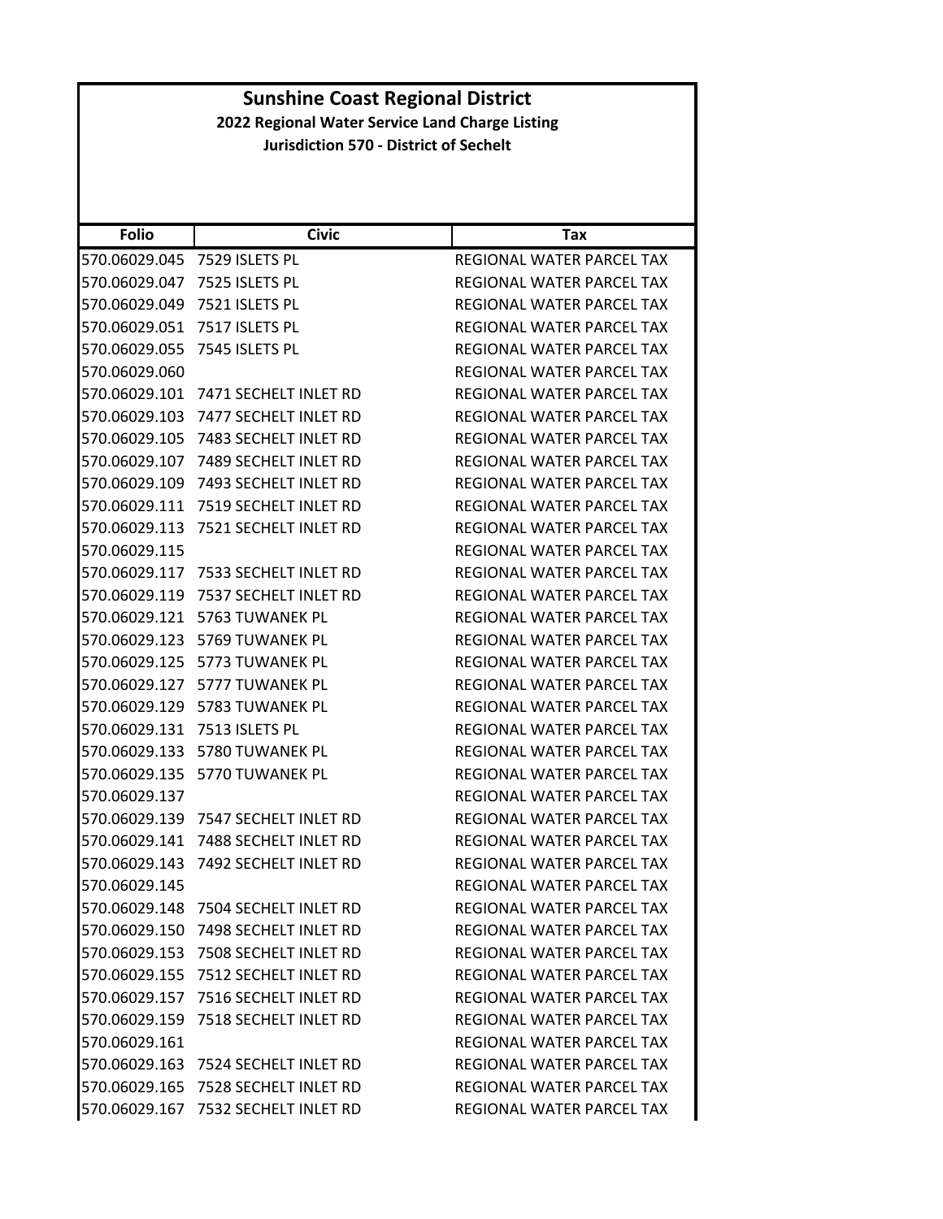| <b>Folio</b>  | <b>Civic</b>                        | Tax                              |
|---------------|-------------------------------------|----------------------------------|
| 570.06029.045 | 7529 ISLETS PL                      | REGIONAL WATER PARCEL TAX        |
| 570.06029.047 | 7525 ISLETS PL                      | REGIONAL WATER PARCEL TAX        |
| 570.06029.049 | 7521 ISLETS PL                      | REGIONAL WATER PARCEL TAX        |
| 570.06029.051 | 7517 ISLETS PL                      | REGIONAL WATER PARCEL TAX        |
| 570.06029.055 | 7545 ISLETS PL                      | REGIONAL WATER PARCEL TAX        |
| 570.06029.060 |                                     | REGIONAL WATER PARCEL TAX        |
| 570.06029.101 | 7471 SECHELT INLET RD               | <b>REGIONAL WATER PARCEL TAX</b> |
| 570.06029.103 | 7477 SECHELT INLET RD               | REGIONAL WATER PARCEL TAX        |
| 570.06029.105 | 7483 SECHELT INLET RD               | REGIONAL WATER PARCEL TAX        |
| 570.06029.107 | 7489 SECHELT INLET RD               | REGIONAL WATER PARCEL TAX        |
| 570.06029.109 | 7493 SECHELT INLET RD               | REGIONAL WATER PARCEL TAX        |
| 570.06029.111 | 7519 SECHELT INLET RD               | REGIONAL WATER PARCEL TAX        |
| 570.06029.113 | 7521 SECHELT INLET RD               | REGIONAL WATER PARCEL TAX        |
| 570.06029.115 |                                     | <b>REGIONAL WATER PARCEL TAX</b> |
| 570.06029.117 | 7533 SECHELT INLET RD               | <b>REGIONAL WATER PARCEL TAX</b> |
| 570.06029.119 | 7537 SECHELT INLET RD               | REGIONAL WATER PARCEL TAX        |
| 570.06029.121 | 5763 TUWANEK PL                     | REGIONAL WATER PARCEL TAX        |
| 570.06029.123 | 5769 TUWANEK PL                     | REGIONAL WATER PARCEL TAX        |
| 570.06029.125 | 5773 TUWANEK PL                     | REGIONAL WATER PARCEL TAX        |
| 570.06029.127 | 5777 TUWANEK PL                     | REGIONAL WATER PARCEL TAX        |
| 570.06029.129 | 5783 TUWANEK PL                     | REGIONAL WATER PARCEL TAX        |
| 570.06029.131 | 7513 ISLETS PL                      | REGIONAL WATER PARCEL TAX        |
| 570.06029.133 | 5780 TUWANEK PL                     | REGIONAL WATER PARCEL TAX        |
| 570.06029.135 | 5770 TUWANEK PL                     | REGIONAL WATER PARCEL TAX        |
| 570.06029.137 |                                     | REGIONAL WATER PARCEL TAX        |
| 570.06029.139 | 7547 SECHELT INLET RD               | REGIONAL WATER PARCEL TAX        |
| 570.06029.141 | 7488 SECHELT INLET RD               | REGIONAL WATER PARCEL TAX        |
| 570.06029.143 | 7492 SECHELT INLET RD               | REGIONAL WATER PARCEL TAX        |
| 570.06029.145 |                                     | REGIONAL WATER PARCEL TAX        |
|               | 570.06029.148 7504 SECHELT INLET RD | REGIONAL WATER PARCEL TAX        |
|               | 570.06029.150 7498 SECHELT INLET RD | REGIONAL WATER PARCEL TAX        |
|               | 570.06029.153 7508 SECHELT INLET RD | <b>REGIONAL WATER PARCEL TAX</b> |
|               | 570.06029.155 7512 SECHELT INLET RD | <b>REGIONAL WATER PARCEL TAX</b> |
|               | 570.06029.157 7516 SECHELT INLET RD | REGIONAL WATER PARCEL TAX        |
|               | 570.06029.159 7518 SECHELT INLET RD | <b>REGIONAL WATER PARCEL TAX</b> |
| 570.06029.161 |                                     | REGIONAL WATER PARCEL TAX        |
|               | 570.06029.163 7524 SECHELT INLET RD | REGIONAL WATER PARCEL TAX        |
|               | 570.06029.165 7528 SECHELT INLET RD | REGIONAL WATER PARCEL TAX        |
|               | 570.06029.167 7532 SECHELT INLET RD | REGIONAL WATER PARCEL TAX        |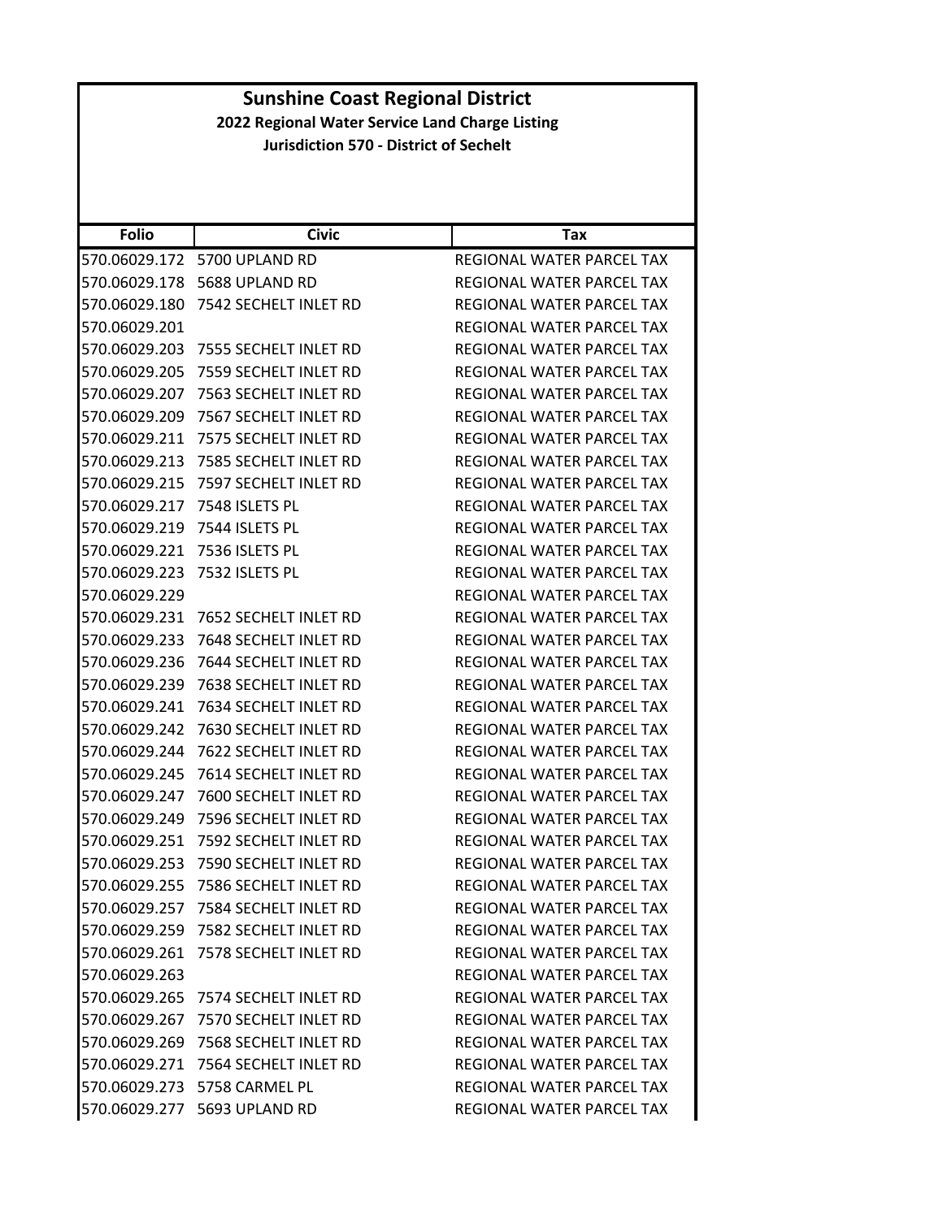| <b>Sunshine Coast Regional District</b>         |                                               |                                  |  |
|-------------------------------------------------|-----------------------------------------------|----------------------------------|--|
| 2022 Regional Water Service Land Charge Listing |                                               |                                  |  |
|                                                 | <b>Jurisdiction 570 - District of Sechelt</b> |                                  |  |
|                                                 |                                               |                                  |  |
|                                                 |                                               |                                  |  |
|                                                 |                                               |                                  |  |
| <b>Folio</b>                                    | <b>Civic</b>                                  | Tax                              |  |
|                                                 | 570.06029.172 5700 UPLAND RD                  | REGIONAL WATER PARCEL TAX        |  |
|                                                 | 570.06029.178    5688 UPLAND RD               | REGIONAL WATER PARCEL TAX        |  |
|                                                 | 570.06029.180 7542 SECHELT INLET RD           | REGIONAL WATER PARCEL TAX        |  |
| 570.06029.201                                   |                                               | REGIONAL WATER PARCEL TAX        |  |
| 570.06029.203                                   | 7555 SECHELT INLET RD                         | REGIONAL WATER PARCEL TAX        |  |
|                                                 | 570.06029.205 7559 SECHELT INLET RD           | REGIONAL WATER PARCEL TAX        |  |
|                                                 | 570.06029.207 7563 SECHELT INLET RD           | <b>REGIONAL WATER PARCEL TAX</b> |  |
| 570.06029.209                                   | 7567 SECHELT INLET RD                         | REGIONAL WATER PARCEL TAX        |  |
| 570.06029.211                                   | 7575 SECHELT INLET RD                         | REGIONAL WATER PARCEL TAX        |  |
|                                                 | 570.06029.213 7585 SECHELT INLET RD           | REGIONAL WATER PARCEL TAX        |  |
|                                                 | 570.06029.215 7597 SECHELT INLET RD           | REGIONAL WATER PARCEL TAX        |  |
|                                                 | 570.06029.217 7548 ISLETS PL                  | REGIONAL WATER PARCEL TAX        |  |
|                                                 | 570.06029.219 7544 ISLETS PL                  | <b>REGIONAL WATER PARCEL TAX</b> |  |
| 570.06029.221                                   | 7536 ISLETS PL                                | REGIONAL WATER PARCEL TAX        |  |
| 570.06029.223                                   | 7532 ISLETS PL                                | REGIONAL WATER PARCEL TAX        |  |
| 570.06029.229                                   |                                               | REGIONAL WATER PARCEL TAX        |  |
| 570.06029.231                                   | 7652 SECHELT INLET RD                         | REGIONAL WATER PARCEL TAX        |  |
| 570.06029.233                                   | 7648 SECHELT INLET RD                         | REGIONAL WATER PARCEL TAX        |  |
| 570.06029.236                                   | 7644 SECHELT INLET RD                         | REGIONAL WATER PARCEL TAX        |  |
|                                                 | 570.06029.239 7638 SECHELT INLET RD           | REGIONAL WATER PARCEL TAX        |  |
|                                                 | 570.06029.241 7634 SECHELT INLET RD           | <b>REGIONAL WATER PARCEL TAX</b> |  |
|                                                 | 570.06029.242 7630 SECHELT INLET RD           | <b>REGIONAL WATER PARCEL TAX</b> |  |
|                                                 | 570.06029.244 7622 SECHELT INLET RD           | REGIONAL WATER PARCEL TAX        |  |
|                                                 | 570.06029.245 7614 SECHELT INLET RD           | REGIONAL WATER PARCEL TAX        |  |
|                                                 | 570.06029.247 7600 SECHELT INLET RD           | REGIONAL WATER PARCEL TAX        |  |
|                                                 | 570.06029.249 7596 SECHELT INLET RD           | REGIONAL WATER PARCEL TAX        |  |
|                                                 |                                               |                                  |  |
|                                                 |                                               | REGIONAL WATER PARCEL TAX        |  |
|                                                 |                                               | REGIONAL WATER PARCEL TAX        |  |
|                                                 | 570.06029.255 7586 SECHELT INLET RD           | REGIONAL WATER PARCEL TAX        |  |
| 570.06029.257                                   | 7584 SECHELT INLET RD                         | REGIONAL WATER PARCEL TAX        |  |
| 570.06029.259                                   | 7582 SECHELT INLET RD                         | <b>REGIONAL WATER PARCEL TAX</b> |  |
| 570.06029.261                                   | 7578 SECHELT INLET RD                         | REGIONAL WATER PARCEL TAX        |  |
| 570.06029.263                                   |                                               | <b>REGIONAL WATER PARCEL TAX</b> |  |
|                                                 | 570.06029.265 7574 SECHELT INLET RD           | REGIONAL WATER PARCEL TAX        |  |
| 570.06029.267                                   | 7570 SECHELT INLET RD                         | REGIONAL WATER PARCEL TAX        |  |
|                                                 | 570.06029.269 7568 SECHELT INLET RD           | REGIONAL WATER PARCEL TAX        |  |
|                                                 | 570.06029.271 7564 SECHELT INLET RD           | REGIONAL WATER PARCEL TAX        |  |
|                                                 | 570.06029.273 5758 CARMEL PL                  | REGIONAL WATER PARCEL TAX        |  |
|                                                 | 570.06029.277 5693 UPLAND RD                  | REGIONAL WATER PARCEL TAX        |  |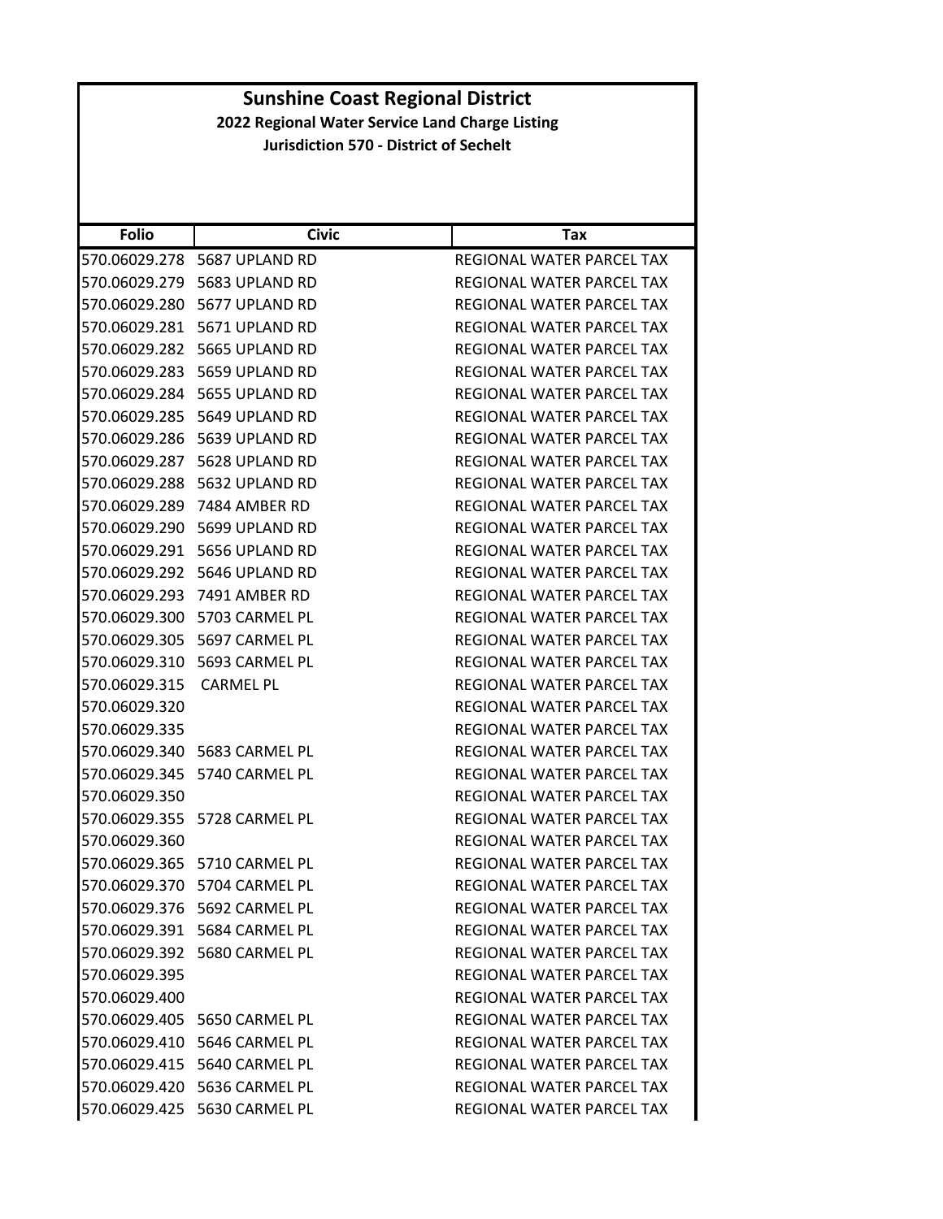| <b>Folio</b>  | <b>Civic</b>                    | Tax                              |
|---------------|---------------------------------|----------------------------------|
| 570.06029.278 | 5687 UPLAND RD                  | REGIONAL WATER PARCEL TAX        |
|               | 570.06029.279 5683 UPLAND RD    | REGIONAL WATER PARCEL TAX        |
| 570.06029.280 | 5677 UPLAND RD                  | REGIONAL WATER PARCEL TAX        |
|               | 570.06029.281 5671 UPLAND RD    | REGIONAL WATER PARCEL TAX        |
|               | 570.06029.282 5665 UPLAND RD    | REGIONAL WATER PARCEL TAX        |
| 570.06029.283 | 5659 UPLAND RD                  | REGIONAL WATER PARCEL TAX        |
|               | 570.06029.284 5655 UPLAND RD    | REGIONAL WATER PARCEL TAX        |
| 570.06029.285 | 5649 UPLAND RD                  | REGIONAL WATER PARCEL TAX        |
|               | 570.06029.286 5639 UPLAND RD    | REGIONAL WATER PARCEL TAX        |
| 570.06029.287 | 5628 UPLAND RD                  | REGIONAL WATER PARCEL TAX        |
| 570.06029.288 | 5632 UPLAND RD                  | REGIONAL WATER PARCEL TAX        |
|               | 570.06029.289 7484 AMBER RD     | <b>REGIONAL WATER PARCEL TAX</b> |
| 570.06029.290 | 5699 UPLAND RD                  | REGIONAL WATER PARCEL TAX        |
| 570.06029.291 | 5656 UPLAND RD                  | REGIONAL WATER PARCEL TAX        |
| 570.06029.292 | 5646 UPLAND RD                  | REGIONAL WATER PARCEL TAX        |
| 570.06029.293 | 7491 AMBER RD                   | REGIONAL WATER PARCEL TAX        |
|               | 570.06029.300 5703 CARMEL PL    | REGIONAL WATER PARCEL TAX        |
|               | 570.06029.305    5697 CARMEL PL | REGIONAL WATER PARCEL TAX        |
|               | 570.06029.310 5693 CARMEL PL    | REGIONAL WATER PARCEL TAX        |
| 570.06029.315 | <b>CARMEL PL</b>                | REGIONAL WATER PARCEL TAX        |
| 570.06029.320 |                                 | REGIONAL WATER PARCEL TAX        |
| 570.06029.335 |                                 | REGIONAL WATER PARCEL TAX        |
|               | 570.06029.340 5683 CARMEL PL    | REGIONAL WATER PARCEL TAX        |
|               | 570.06029.345    5740 CARMEL PL | REGIONAL WATER PARCEL TAX        |
| 570.06029.350 |                                 | REGIONAL WATER PARCEL TAX        |
|               | 570.06029.355 5728 CARMEL PL    | REGIONAL WATER PARCEL TAX        |
| 570.06029.360 |                                 | <b>REGIONAL WATER PARCEL TAX</b> |
|               | 570.06029.365 5710 CARMEL PL    | REGIONAL WATER PARCEL TAX        |
|               | 570.06029.370 5704 CARMEL PL    | REGIONAL WATER PARCEL TAX        |
|               | 570.06029.376 5692 CARMEL PL    | REGIONAL WATER PARCEL TAX        |
|               | 570.06029.391 5684 CARMEL PL    | REGIONAL WATER PARCEL TAX        |
|               | 570.06029.392 5680 CARMEL PL    | <b>REGIONAL WATER PARCEL TAX</b> |
| 570.06029.395 |                                 | REGIONAL WATER PARCEL TAX        |
| 570.06029.400 |                                 | REGIONAL WATER PARCEL TAX        |
|               | 570.06029.405 5650 CARMEL PL    | REGIONAL WATER PARCEL TAX        |
|               | 570.06029.410 5646 CARMEL PL    | REGIONAL WATER PARCEL TAX        |
|               | 570.06029.415 5640 CARMEL PL    | REGIONAL WATER PARCEL TAX        |
|               | 570.06029.420 5636 CARMEL PL    | REGIONAL WATER PARCEL TAX        |
|               | 570.06029.425 5630 CARMEL PL    | REGIONAL WATER PARCEL TAX        |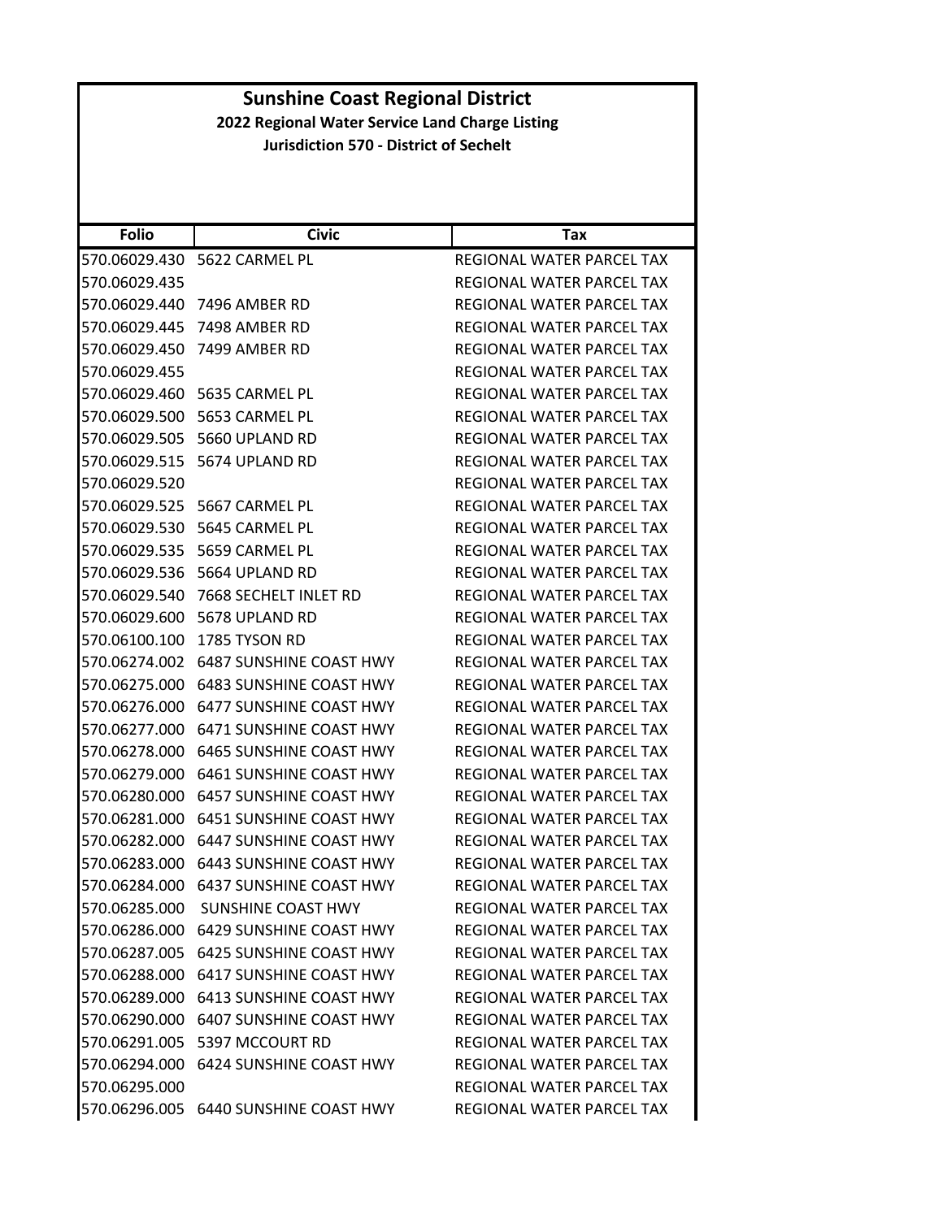### **Folio Civic Tax Sunshine Coast Regional District 2022 Regional Water Service Land Charge Listing Jurisdiction 570 ‐ District of Sechelt** 570.06029.430 5622 CARMEL PL REGIONAL WATER PARCEL TAX 570.06029.435 REGIONAL WATER PARCEL TAX 570.06029.440 7496 AMBER RD REGIONAL WATER PARCEL TAX 570.06029.445 7498 AMBER RD REGIONAL WATER PARCEL TAX 570.06029.450 7499 AMBER RD REGIONAL WATER PARCEL TAX 570.06029.455 REGIONAL WATER PARCEL TAX 570.06029.460 5635 CARMEL PL REGIONAL WATER PARCEL TAX 570.06029.500 5653 CARMEL PL REGIONAL WATER PARCEL TAX 570.06029.505 5660 UPLAND RD REGIONAL WATER PARCEL TAX 570.06029.515 5674 UPLAND RD REGIONAL WATER PARCEL TAX 570.06029.520 REGIONAL WATER PARCEL TAX 570.06029.525 5667 CARMEL PL REGIONAL WATER PARCEL TAX 570.06029.530 5645 CARMEL PL REGIONAL WATER PARCEL TAX 570.06029.535 5659 CARMEL PL REGIONAL WATER PARCEL TAX 570.06029.536 5664 UPLAND RD REGIONAL WATER PARCEL TAX 570.06029.540 7668 SECHELT INLET RD REGIONAL WATER PARCEL TAX 570.06029.600 5678 UPLAND RD REGIONAL WATER PARCEL TAX 570.06100.100 1785 TYSON RD REGIONAL WATER PARCEL TAX 570.06274.002 6487 SUNSHINE COAST HWY REGIONAL WATER PARCEL TAX 570.06275.000 6483 SUNSHINE COAST HWY REGIONAL WATER PARCEL TAX 570.06276.000 6477 SUNSHINE COAST HWY REGIONAL WATER PARCEL TAX 570.06277.000 6471 SUNSHINE COAST HWY REGIONAL WATER PARCEL TAX 570.06278.000 6465 SUNSHINE COAST HWY REGIONAL WATER PARCEL TAX 570.06279.000 6461 SUNSHINE COAST HWY REGIONAL WATER PARCEL TAX 570.06280.000 6457 SUNSHINE COAST HWY REGIONAL WATER PARCEL TAX 570.06281.000 6451 SUNSHINE COAST HWY REGIONAL WATER PARCEL TAX 570.06282.000 6447 SUNSHINE COAST HWY REGIONAL WATER PARCEL TAX 570.06283.000 6443 SUNSHINE COAST HWY REGIONAL WATER PARCEL TAX 570.06284.000 6437 SUNSHINE COAST HWY REGIONAL WATER PARCEL TAX 570.06285.000 SUNSHINE COAST HWY REGIONAL WATER PARCEL TAX 570.06286.000 6429 SUNSHINE COAST HWY REGIONAL WATER PARCEL TAX 570.06287.005 6425 SUNSHINE COAST HWY REGIONAL WATER PARCEL TAX 570.06288.000 6417 SUNSHINE COAST HWY REGIONAL WATER PARCEL TAX 570.06289.000 6413 SUNSHINE COAST HWY REGIONAL WATER PARCEL TAX 570.06290.000 6407 SUNSHINE COAST HWY REGIONAL WATER PARCEL TAX 570.06291.005 5397 MCCOURT RD REGIONAL WATER PARCEL TAX 570.06294.000 6424 SUNSHINE COAST HWY REGIONAL WATER PARCEL TAX 570.06295.000 REGIONAL WATER PARCEL TAX 570.06296.005 6440 SUNSHINE COAST HWY REGIONAL WATER PARCEL TAX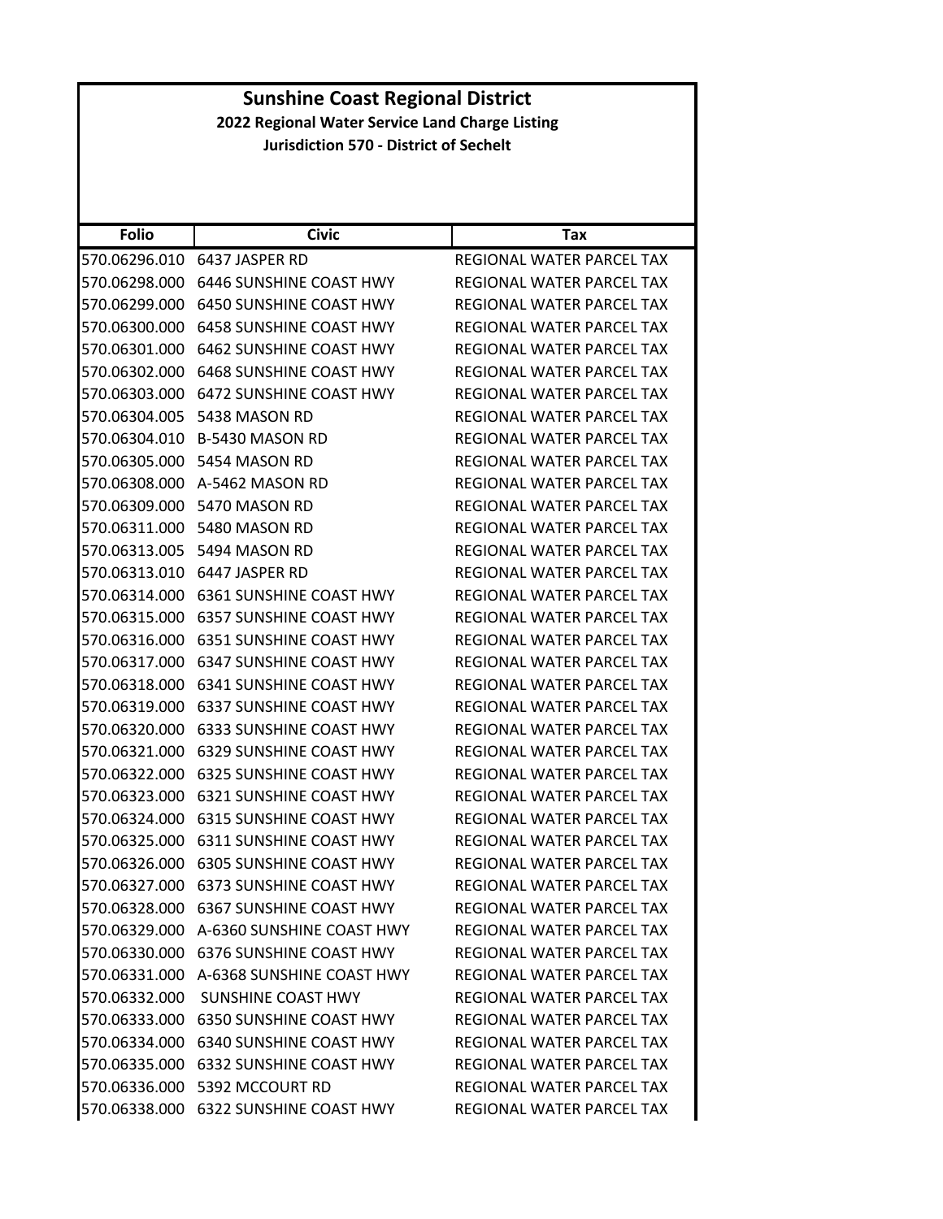| <b>Sunshine Coast Regional District</b>                                                          |                                         |                                  |  |  |
|--------------------------------------------------------------------------------------------------|-----------------------------------------|----------------------------------|--|--|
| 2022 Regional Water Service Land Charge Listing<br><b>Jurisdiction 570 - District of Sechelt</b> |                                         |                                  |  |  |
|                                                                                                  |                                         |                                  |  |  |
|                                                                                                  |                                         |                                  |  |  |
|                                                                                                  |                                         |                                  |  |  |
| <b>Folio</b>                                                                                     | <b>Civic</b>                            | <b>Tax</b>                       |  |  |
| 570.06296.010                                                                                    | 6437 JASPER RD                          | REGIONAL WATER PARCEL TAX        |  |  |
| 570.06298.000                                                                                    | 6446 SUNSHINE COAST HWY                 | <b>REGIONAL WATER PARCEL TAX</b> |  |  |
|                                                                                                  | 570.06299.000 6450 SUNSHINE COAST HWY   | REGIONAL WATER PARCEL TAX        |  |  |
| 570.06300.000                                                                                    | 6458 SUNSHINE COAST HWY                 | REGIONAL WATER PARCEL TAX        |  |  |
|                                                                                                  | 570.06301.000 6462 SUNSHINE COAST HWY   | REGIONAL WATER PARCEL TAX        |  |  |
| 570.06302.000                                                                                    | 6468 SUNSHINE COAST HWY                 | REGIONAL WATER PARCEL TAX        |  |  |
| 570.06303.000                                                                                    | 6472 SUNSHINE COAST HWY                 | REGIONAL WATER PARCEL TAX        |  |  |
|                                                                                                  | 570.06304.005 5438 MASON RD             | REGIONAL WATER PARCEL TAX        |  |  |
| 570.06304.010                                                                                    | B-5430 MASON RD                         | REGIONAL WATER PARCEL TAX        |  |  |
|                                                                                                  | 570.06305.000 5454 MASON RD             | REGIONAL WATER PARCEL TAX        |  |  |
|                                                                                                  | 570.06308.000 A-5462 MASON RD           | REGIONAL WATER PARCEL TAX        |  |  |
|                                                                                                  | 570.06309.000 5470 MASON RD             | REGIONAL WATER PARCEL TAX        |  |  |
|                                                                                                  | 570.06311.000 5480 MASON RD             | REGIONAL WATER PARCEL TAX        |  |  |
|                                                                                                  | 570.06313.005 5494 MASON RD             | REGIONAL WATER PARCEL TAX        |  |  |
|                                                                                                  | 570.06313.010 6447 JASPER RD            | REGIONAL WATER PARCEL TAX        |  |  |
| 570.06314.000                                                                                    | 6361 SUNSHINE COAST HWY                 | REGIONAL WATER PARCEL TAX        |  |  |
|                                                                                                  | 570.06315.000 6357 SUNSHINE COAST HWY   | REGIONAL WATER PARCEL TAX        |  |  |
| 570.06316.000                                                                                    | 6351 SUNSHINE COAST HWY                 | REGIONAL WATER PARCEL TAX        |  |  |
| 570.06317.000                                                                                    | 6347 SUNSHINE COAST HWY                 | REGIONAL WATER PARCEL TAX        |  |  |
| 570.06318.000                                                                                    | <b>6341 SUNSHINE COAST HWY</b>          | REGIONAL WATER PARCEL TAX        |  |  |
| 570.06319.000                                                                                    | <b>6337 SUNSHINE COAST HWY</b>          | REGIONAL WATER PARCEL TAX        |  |  |
|                                                                                                  | 570.06320.000 6333 SUNSHINE COAST HWY   | REGIONAL WATER PARCEL TAX        |  |  |
| 570.06321.000                                                                                    | 6329 SUNSHINE COAST HWY                 | <b>REGIONAL WATER PARCEL TAX</b> |  |  |
|                                                                                                  | 570.06322.000 6325 SUNSHINE COAST HWY   | REGIONAL WATER PARCEL TAX        |  |  |
| 570.06323.000                                                                                    | 6321 SUNSHINE COAST HWY                 | REGIONAL WATER PARCEL TAX        |  |  |
|                                                                                                  | 570.06324.000 6315 SUNSHINE COAST HWY   | REGIONAL WATER PARCEL TAX        |  |  |
|                                                                                                  | 570.06325.000 6311 SUNSHINE COAST HWY   | REGIONAL WATER PARCEL TAX        |  |  |
|                                                                                                  | 570.06326.000 6305 SUNSHINE COAST HWY   | REGIONAL WATER PARCEL TAX        |  |  |
|                                                                                                  | 570.06327.000 6373 SUNSHINE COAST HWY   | REGIONAL WATER PARCEL TAX        |  |  |
| 570.06328.000                                                                                    | 6367 SUNSHINE COAST HWY                 | REGIONAL WATER PARCEL TAX        |  |  |
|                                                                                                  | 570.06329.000 A-6360 SUNSHINE COAST HWY | REGIONAL WATER PARCEL TAX        |  |  |
| 570.06330.000                                                                                    | 6376 SUNSHINE COAST HWY                 | REGIONAL WATER PARCEL TAX        |  |  |
|                                                                                                  | 570.06331.000 A-6368 SUNSHINE COAST HWY | REGIONAL WATER PARCEL TAX        |  |  |
|                                                                                                  | 570.06332.000 SUNSHINE COAST HWY        | REGIONAL WATER PARCEL TAX        |  |  |
| 570.06333.000                                                                                    | <b>6350 SUNSHINE COAST HWY</b>          | REGIONAL WATER PARCEL TAX        |  |  |
|                                                                                                  | 570.06334.000 6340 SUNSHINE COAST HWY   | REGIONAL WATER PARCEL TAX        |  |  |
| 570.06335.000                                                                                    | <b>6332 SUNSHINE COAST HWY</b>          | REGIONAL WATER PARCEL TAX        |  |  |
|                                                                                                  | 570.06336.000 5392 MCCOURT RD           | REGIONAL WATER PARCEL TAX        |  |  |
| 570.06338.000                                                                                    | 6322 SUNSHINE COAST HWY                 | REGIONAL WATER PARCEL TAX        |  |  |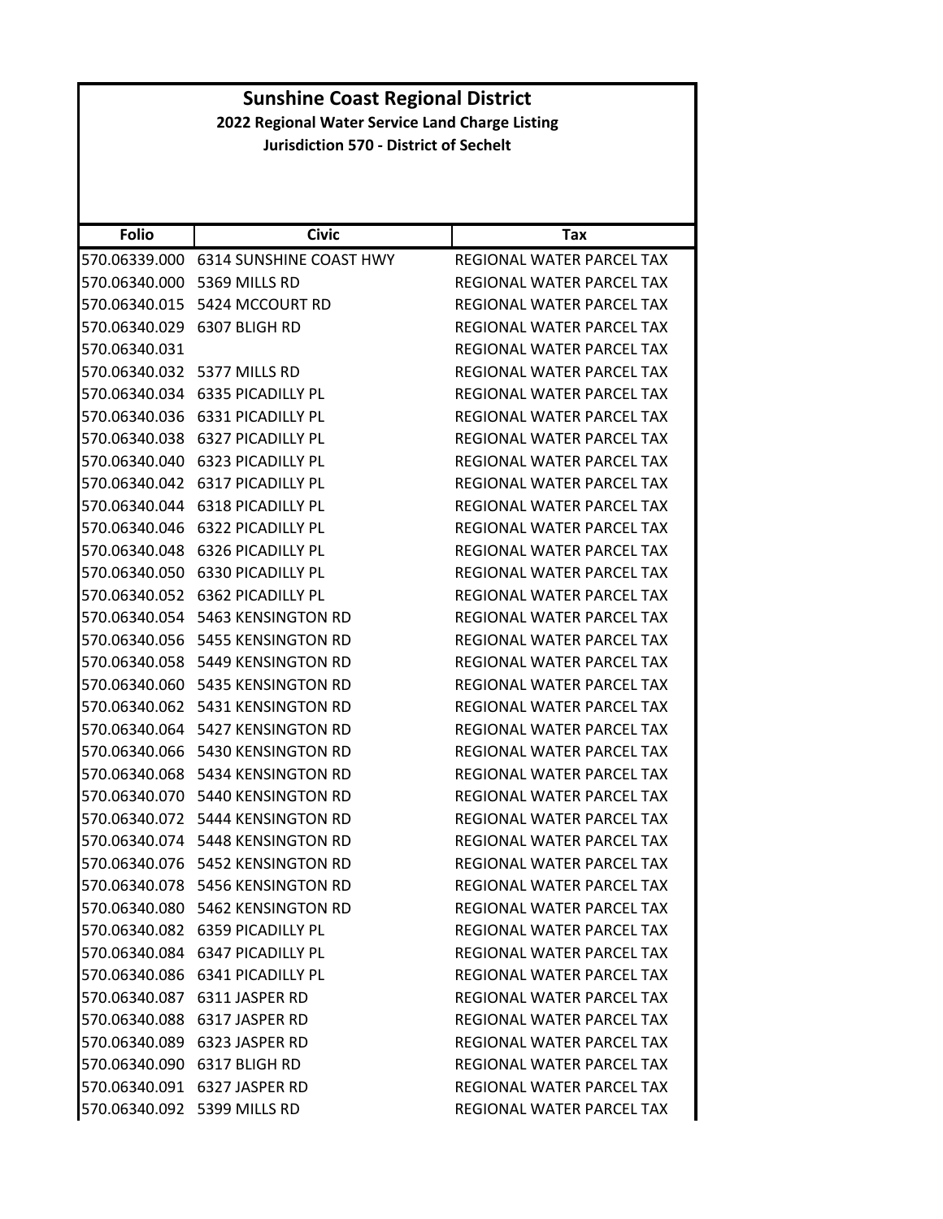|                                                 | <b>Sunshine Coast Regional District</b> |                                  |  |
|-------------------------------------------------|-----------------------------------------|----------------------------------|--|
| 2022 Regional Water Service Land Charge Listing |                                         |                                  |  |
| <b>Jurisdiction 570 - District of Sechelt</b>   |                                         |                                  |  |
|                                                 |                                         |                                  |  |
|                                                 |                                         |                                  |  |
|                                                 |                                         |                                  |  |
| <b>Folio</b>                                    | <b>Civic</b>                            | Tax                              |  |
|                                                 | 570.06339.000 6314 SUNSHINE COAST HWY   | REGIONAL WATER PARCEL TAX        |  |
|                                                 | 570.06340.000 5369 MILLS RD             | REGIONAL WATER PARCEL TAX        |  |
|                                                 | 570.06340.015 5424 MCCOURT RD           | REGIONAL WATER PARCEL TAX        |  |
| 570.06340.029                                   | 6307 BLIGH RD                           | REGIONAL WATER PARCEL TAX        |  |
| 570.06340.031                                   |                                         | REGIONAL WATER PARCEL TAX        |  |
|                                                 | 570.06340.032 5377 MILLS RD             | REGIONAL WATER PARCEL TAX        |  |
|                                                 | 570.06340.034 6335 PICADILLY PL         | REGIONAL WATER PARCEL TAX        |  |
|                                                 | 570.06340.036 6331 PICADILLY PL         | REGIONAL WATER PARCEL TAX        |  |
| 570.06340.038                                   | 6327 PICADILLY PL                       | REGIONAL WATER PARCEL TAX        |  |
|                                                 | 570.06340.040 6323 PICADILLY PL         | REGIONAL WATER PARCEL TAX        |  |
|                                                 | 570.06340.042 6317 PICADILLY PL         | REGIONAL WATER PARCEL TAX        |  |
|                                                 | 570.06340.044 6318 PICADILLY PL         | <b>REGIONAL WATER PARCEL TAX</b> |  |
|                                                 | 570.06340.046 6322 PICADILLY PL         | <b>REGIONAL WATER PARCEL TAX</b> |  |
| 570.06340.048                                   | 6326 PICADILLY PL                       | REGIONAL WATER PARCEL TAX        |  |
|                                                 | 570.06340.050 6330 PICADILLY PL         | REGIONAL WATER PARCEL TAX        |  |
|                                                 | 570.06340.052 6362 PICADILLY PL         | REGIONAL WATER PARCEL TAX        |  |
|                                                 | 570.06340.054 5463 KENSINGTON RD        | REGIONAL WATER PARCEL TAX        |  |
|                                                 | 570.06340.056    5455 KENSINGTON RD     | REGIONAL WATER PARCEL TAX        |  |
|                                                 | 570.06340.058 5449 KENSINGTON RD        | REGIONAL WATER PARCEL TAX        |  |
|                                                 | 570.06340.060 5435 KENSINGTON RD        | REGIONAL WATER PARCEL TAX        |  |
|                                                 | 570.06340.062 5431 KENSINGTON RD        | REGIONAL WATER PARCEL TAX        |  |
|                                                 | 570.06340.064 5427 KENSINGTON RD        | <b>REGIONAL WATER PARCEL TAX</b> |  |
|                                                 | 570.06340.066    5430 KENSINGTON RD     | REGIONAL WATER PARCEL TAX        |  |
|                                                 | 570.06340.068 5434 KENSINGTON RD        | REGIONAL WATER PARCEL TAX        |  |
|                                                 | 570.06340.070 5440 KENSINGTON RD        | REGIONAL WATER PARCEL TAX        |  |
|                                                 | 570.06340.072    5444 KENSINGTON RD     | REGIONAL WATER PARCEL TAX        |  |
|                                                 | 570.06340.074 5448 KENSINGTON RD        | REGIONAL WATER PARCEL TAX        |  |
|                                                 | 570.06340.076    5452    KENSINGTON RD  | REGIONAL WATER PARCEL TAX        |  |
|                                                 | 570.06340.078 5456 KENSINGTON RD        | REGIONAL WATER PARCEL TAX        |  |
|                                                 | 570.06340.080 5462 KENSINGTON RD        | <b>REGIONAL WATER PARCEL TAX</b> |  |
|                                                 | 570.06340.082 6359 PICADILLY PL         | REGIONAL WATER PARCEL TAX        |  |
|                                                 | 570.06340.084 6347 PICADILLY PL         | REGIONAL WATER PARCEL TAX        |  |
|                                                 | 570.06340.086 6341 PICADILLY PL         | REGIONAL WATER PARCEL TAX        |  |
|                                                 | 570.06340.087 6311 JASPER RD            | REGIONAL WATER PARCEL TAX        |  |
|                                                 | 570.06340.088 6317 JASPER RD            | REGIONAL WATER PARCEL TAX        |  |
|                                                 | 570.06340.089 6323 JASPER RD            | REGIONAL WATER PARCEL TAX        |  |
|                                                 |                                         |                                  |  |
|                                                 | 570.06340.090 6317 BLIGH RD             | REGIONAL WATER PARCEL TAX        |  |
|                                                 | 570.06340.091 6327 JASPER RD            | REGIONAL WATER PARCEL TAX        |  |
| 570.06340.092 5399 MILLS RD                     |                                         | REGIONAL WATER PARCEL TAX        |  |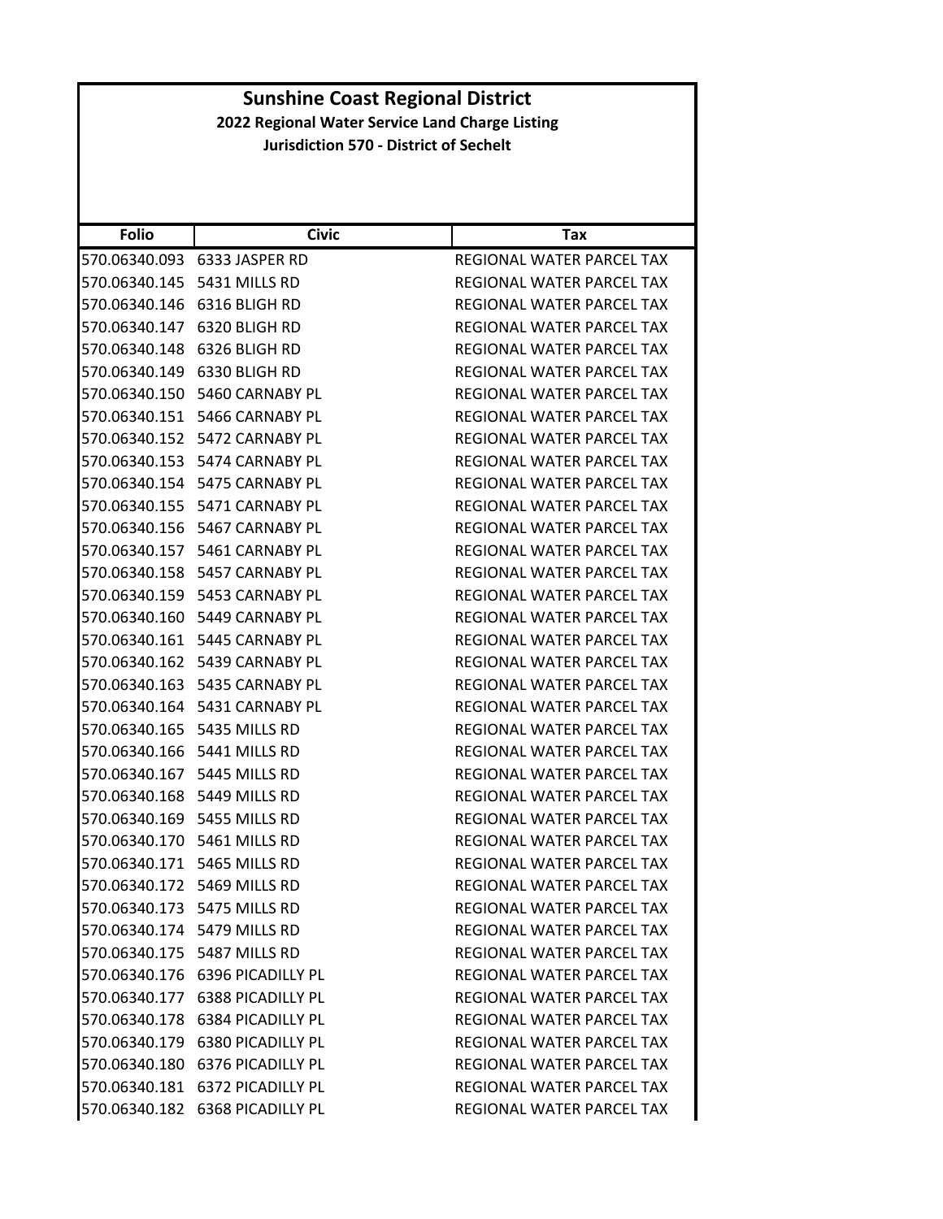| <b>Folio</b>                   | <b>Civic</b>                     | Tax                              |
|--------------------------------|----------------------------------|----------------------------------|
|                                | 570.06340.093 6333 JASPER RD     | REGIONAL WATER PARCEL TAX        |
| 570.06340.145                  | 5431 MILLS RD                    | REGIONAL WATER PARCEL TAX        |
|                                | 570.06340.146 6316 BLIGH RD      | REGIONAL WATER PARCEL TAX        |
| 570.06340.147                  | 6320 BLIGH RD                    | REGIONAL WATER PARCEL TAX        |
|                                | 570.06340.148 6326 BLIGH RD      | REGIONAL WATER PARCEL TAX        |
|                                | 570.06340.149 6330 BLIGH RD      | REGIONAL WATER PARCEL TAX        |
| 570.06340.150                  | 5460 CARNABY PL                  | REGIONAL WATER PARCEL TAX        |
|                                | 570.06340.151 5466 CARNABY PL    | REGIONAL WATER PARCEL TAX        |
|                                | 570.06340.152 5472 CARNABY PL    | REGIONAL WATER PARCEL TAX        |
|                                | 570.06340.153 5474 CARNABY PL    | REGIONAL WATER PARCEL TAX        |
| 570.06340.154                  | 5475 CARNABY PL                  | REGIONAL WATER PARCEL TAX        |
| 570.06340.155                  | 5471 CARNABY PL                  | REGIONAL WATER PARCEL TAX        |
|                                | 570.06340.156 5467 CARNABY PL    | REGIONAL WATER PARCEL TAX        |
|                                | 570.06340.157 5461 CARNABY PL    | REGIONAL WATER PARCEL TAX        |
|                                | 570.06340.158 5457 CARNABY PL    | REGIONAL WATER PARCEL TAX        |
| 570.06340.159                  | 5453 CARNABY PL                  | REGIONAL WATER PARCEL TAX        |
|                                | 570.06340.160 5449 CARNABY PL    | REGIONAL WATER PARCEL TAX        |
|                                | 570.06340.161 5445 CARNABY PL    | <b>REGIONAL WATER PARCEL TAX</b> |
|                                | 570.06340.162 5439 CARNABY PL    | REGIONAL WATER PARCEL TAX        |
|                                | 570.06340.163    5435 CARNABY PL | REGIONAL WATER PARCEL TAX        |
|                                | 570.06340.164 5431 CARNABY PL    | REGIONAL WATER PARCEL TAX        |
| 570.06340.165    5435 MILLS RD |                                  | REGIONAL WATER PARCEL TAX        |
| 570.06340.166    5441 MILLS RD |                                  | REGIONAL WATER PARCEL TAX        |
|                                | 570.06340.167 5445 MILLS RD      | REGIONAL WATER PARCEL TAX        |
|                                | 570.06340.168 5449 MILLS RD      | REGIONAL WATER PARCEL TAX        |
| 570.06340.169                  | 5455 MILLS RD                    | REGIONAL WATER PARCEL TAX        |
| 570.06340.170 5461 MILLS RD    |                                  | REGIONAL WATER PARCEL TAX        |
|                                | 570.06340.171    5465 MILLS RD   | REGIONAL WATER PARCEL TAX        |
| 570.06340.172 5469 MILLS RD    |                                  | REGIONAL WATER PARCEL TAX        |
| 570.06340.173 5475 MILLS RD    |                                  | REGIONAL WATER PARCEL TAX        |
|                                | 570.06340.174 5479 MILLS RD      | REGIONAL WATER PARCEL TAX        |
|                                | 570.06340.175 5487 MILLS RD      | REGIONAL WATER PARCEL TAX        |
|                                | 570.06340.176 6396 PICADILLY PL  | <b>REGIONAL WATER PARCEL TAX</b> |
|                                | 570.06340.177 6388 PICADILLY PL  | REGIONAL WATER PARCEL TAX        |
|                                | 570.06340.178 6384 PICADILLY PL  | REGIONAL WATER PARCEL TAX        |
|                                | 570.06340.179 6380 PICADILLY PL  | REGIONAL WATER PARCEL TAX        |
|                                | 570.06340.180 6376 PICADILLY PL  | REGIONAL WATER PARCEL TAX        |
| 570.06340.181                  | 6372 PICADILLY PL                | <b>REGIONAL WATER PARCEL TAX</b> |
|                                | 570.06340.182 6368 PICADILLY PL  | REGIONAL WATER PARCEL TAX        |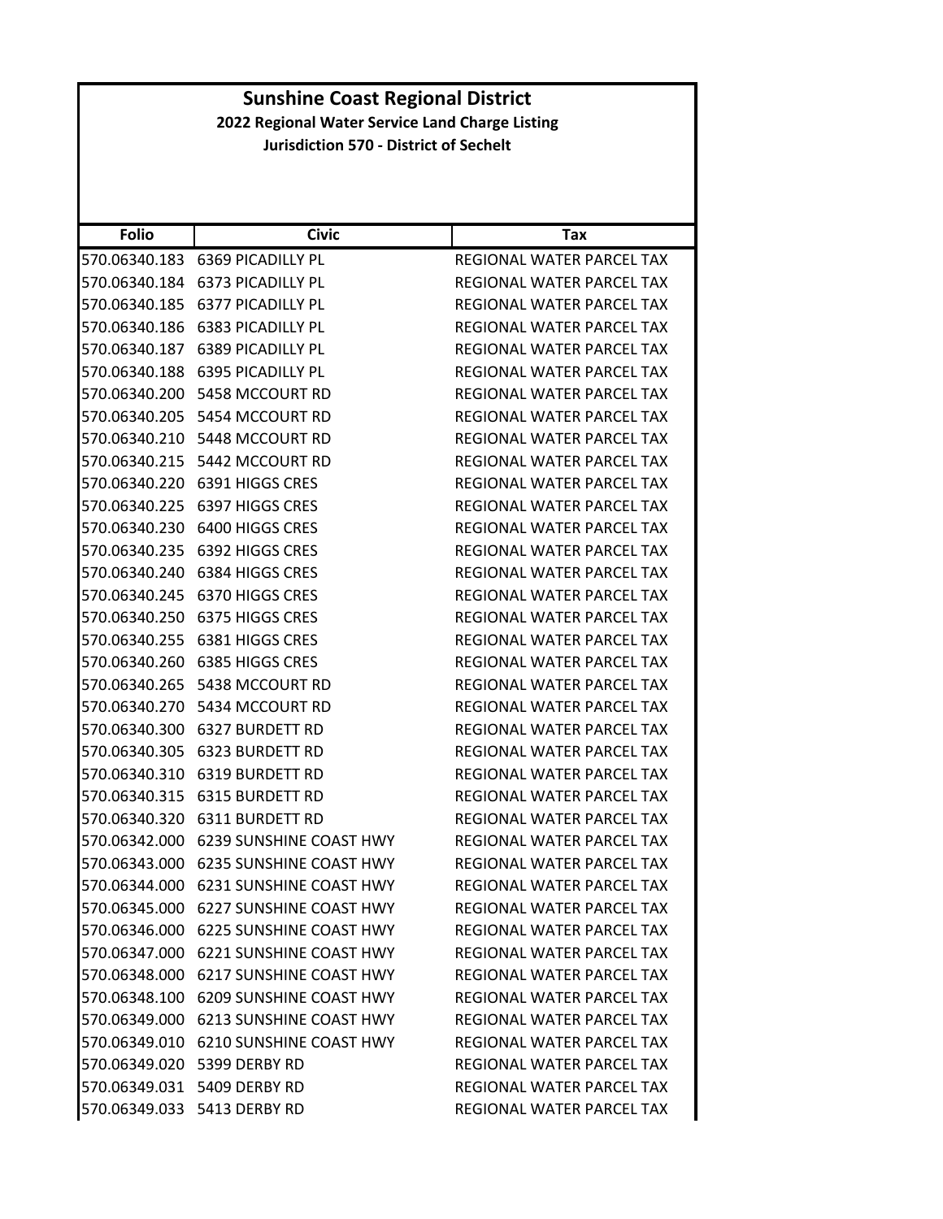| <b>Folio</b>  | <b>Civic</b>                          | Тах                              |
|---------------|---------------------------------------|----------------------------------|
| 570.06340.183 | 6369 PICADILLY PL                     | REGIONAL WATER PARCEL TAX        |
| 570.06340.184 | 6373 PICADILLY PL                     | REGIONAL WATER PARCEL TAX        |
| 570.06340.185 | 6377 PICADILLY PL                     | REGIONAL WATER PARCEL TAX        |
| 570.06340.186 | 6383 PICADILLY PL                     | REGIONAL WATER PARCEL TAX        |
|               | 570.06340.187 6389 PICADILLY PL       | REGIONAL WATER PARCEL TAX        |
| 570.06340.188 | <b>6395 PICADILLY PL</b>              | REGIONAL WATER PARCEL TAX        |
| 570.06340.200 | 5458 MCCOURT RD                       | REGIONAL WATER PARCEL TAX        |
| 570.06340.205 | 5454 MCCOURT RD                       | REGIONAL WATER PARCEL TAX        |
| 570.06340.210 | 5448 MCCOURT RD                       | REGIONAL WATER PARCEL TAX        |
| 570.06340.215 | 5442 MCCOURT RD                       | REGIONAL WATER PARCEL TAX        |
| 570.06340.220 | 6391 HIGGS CRES                       | REGIONAL WATER PARCEL TAX        |
| 570.06340.225 | 6397 HIGGS CRES                       | REGIONAL WATER PARCEL TAX        |
| 570.06340.230 | 6400 HIGGS CRES                       | REGIONAL WATER PARCEL TAX        |
| 570.06340.235 | 6392 HIGGS CRES                       | REGIONAL WATER PARCEL TAX        |
| 570.06340.240 | 6384 HIGGS CRES                       | REGIONAL WATER PARCEL TAX        |
| 570.06340.245 | 6370 HIGGS CRES                       | REGIONAL WATER PARCEL TAX        |
| 570.06340.250 | 6375 HIGGS CRES                       | REGIONAL WATER PARCEL TAX        |
| 570.06340.255 | 6381 HIGGS CRES                       | <b>REGIONAL WATER PARCEL TAX</b> |
| 570.06340.260 | 6385 HIGGS CRES                       | REGIONAL WATER PARCEL TAX        |
| 570.06340.265 | 5438 MCCOURT RD                       | REGIONAL WATER PARCEL TAX        |
| 570.06340.270 | 5434 MCCOURT RD                       | REGIONAL WATER PARCEL TAX        |
| 570.06340.300 | 6327 BURDETT RD                       | REGIONAL WATER PARCEL TAX        |
| 570.06340.305 | <b>6323 BURDETT RD</b>                | REGIONAL WATER PARCEL TAX        |
| 570.06340.310 | 6319 BURDETT RD                       | REGIONAL WATER PARCEL TAX        |
| 570.06340.315 | <b>6315 BURDETT RD</b>                | REGIONAL WATER PARCEL TAX        |
| 570.06340.320 | 6311 BURDETT RD                       | REGIONAL WATER PARCEL TAX        |
| 570.06342.000 | 6239 SUNSHINE COAST HWY               | REGIONAL WATER PARCEL TAX        |
| 570.06343.000 | 6235 SUNSHINE COAST HWY               | REGIONAL WATER PARCEL TAX        |
| 570.06344.000 | 6231 SUNSHINE COAST HWY               | REGIONAL WATER PARCEL TAX        |
|               | 570.06345.000 6227 SUNSHINE COAST HWY | <b>REGIONAL WATER PARCEL TAX</b> |
|               | 570.06346.000 6225 SUNSHINE COAST HWY | REGIONAL WATER PARCEL TAX        |
|               | 570.06347.000 6221 SUNSHINE COAST HWY | REGIONAL WATER PARCEL TAX        |
|               | 570.06348.000 6217 SUNSHINE COAST HWY | REGIONAL WATER PARCEL TAX        |
|               | 570.06348.100 6209 SUNSHINE COAST HWY | REGIONAL WATER PARCEL TAX        |
|               | 570.06349.000 6213 SUNSHINE COAST HWY | REGIONAL WATER PARCEL TAX        |
|               | 570.06349.010 6210 SUNSHINE COAST HWY | REGIONAL WATER PARCEL TAX        |
|               | 570.06349.020 5399 DERBY RD           | <b>REGIONAL WATER PARCEL TAX</b> |
|               | 570.06349.031 5409 DERBY RD           | REGIONAL WATER PARCEL TAX        |
|               | 570.06349.033 5413 DERBY RD           | REGIONAL WATER PARCEL TAX        |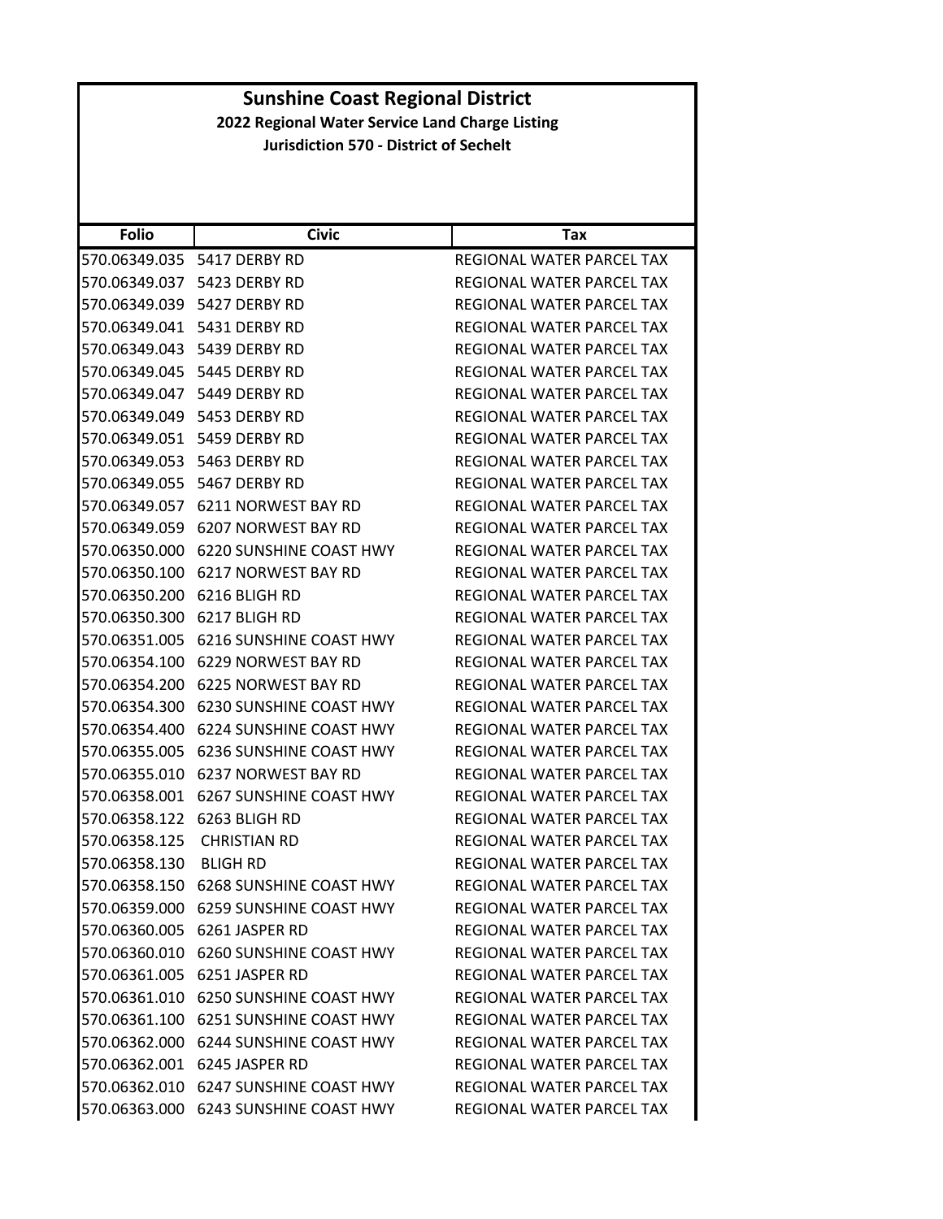| <b>Folio</b>  | <b>Civic</b>                          | Tax                              |
|---------------|---------------------------------------|----------------------------------|
| 570.06349.035 | 5417 DERBY RD                         | REGIONAL WATER PARCEL TAX        |
| 570.06349.037 | 5423 DERBY RD                         | REGIONAL WATER PARCEL TAX        |
| 570.06349.039 | 5427 DERBY RD                         | <b>REGIONAL WATER PARCEL TAX</b> |
| 570.06349.041 | 5431 DERBY RD                         | REGIONAL WATER PARCEL TAX        |
| 570.06349.043 | 5439 DERBY RD                         | REGIONAL WATER PARCEL TAX        |
| 570.06349.045 | 5445 DERBY RD                         | REGIONAL WATER PARCEL TAX        |
| 570.06349.047 | 5449 DERBY RD                         | REGIONAL WATER PARCEL TAX        |
| 570.06349.049 | 5453 DERBY RD                         | <b>REGIONAL WATER PARCEL TAX</b> |
| 570.06349.051 | 5459 DERBY RD                         | REGIONAL WATER PARCEL TAX        |
| 570.06349.053 | 5463 DERBY RD                         | REGIONAL WATER PARCEL TAX        |
| 570.06349.055 | 5467 DERBY RD                         | REGIONAL WATER PARCEL TAX        |
| 570.06349.057 | 6211 NORWEST BAY RD                   | REGIONAL WATER PARCEL TAX        |
| 570.06349.059 | 6207 NORWEST BAY RD                   | REGIONAL WATER PARCEL TAX        |
| 570.06350.000 | <b>6220 SUNSHINE COAST HWY</b>        | REGIONAL WATER PARCEL TAX        |
| 570.06350.100 | 6217 NORWEST BAY RD                   | REGIONAL WATER PARCEL TAX        |
| 570.06350.200 | 6216 BLIGH RD                         | REGIONAL WATER PARCEL TAX        |
| 570.06350.300 | 6217 BLIGH RD                         | REGIONAL WATER PARCEL TAX        |
| 570.06351.005 | <b>6216 SUNSHINE COAST HWY</b>        | REGIONAL WATER PARCEL TAX        |
| 570.06354.100 | 6229 NORWEST BAY RD                   | REGIONAL WATER PARCEL TAX        |
| 570.06354.200 | 6225 NORWEST BAY RD                   | REGIONAL WATER PARCEL TAX        |
| 570.06354.300 | <b>6230 SUNSHINE COAST HWY</b>        | REGIONAL WATER PARCEL TAX        |
| 570.06354.400 | <b>6224 SUNSHINE COAST HWY</b>        | REGIONAL WATER PARCEL TAX        |
| 570.06355.005 | 6236 SUNSHINE COAST HWY               | REGIONAL WATER PARCEL TAX        |
| 570.06355.010 | 6237 NORWEST BAY RD                   | REGIONAL WATER PARCEL TAX        |
| 570.06358.001 | <b>6267 SUNSHINE COAST HWY</b>        | REGIONAL WATER PARCEL TAX        |
| 570.06358.122 | 6263 BLIGH RD                         | REGIONAL WATER PARCEL TAX        |
| 570.06358.125 | <b>CHRISTIAN RD</b>                   | REGIONAL WATER PARCEL TAX        |
| 570.06358.130 | <b>BLIGH RD</b>                       | REGIONAL WATER PARCEL TAX        |
| 570.06358.150 | <b>6268 SUNSHINE COAST HWY</b>        | <b>REGIONAL WATER PARCEL TAX</b> |
| 570.06359.000 | <b>6259 SUNSHINE COAST HWY</b>        | REGIONAL WATER PARCEL TAX        |
| 570.06360.005 | 6261 JASPER RD                        | REGIONAL WATER PARCEL TAX        |
|               | 570.06360.010 6260 SUNSHINE COAST HWY | REGIONAL WATER PARCEL TAX        |
| 570.06361.005 | 6251 JASPER RD                        | REGIONAL WATER PARCEL TAX        |
| 570.06361.010 | 6250 SUNSHINE COAST HWY               | REGIONAL WATER PARCEL TAX        |
|               | 570.06361.100 6251 SUNSHINE COAST HWY | REGIONAL WATER PARCEL TAX        |
|               | 570.06362.000 6244 SUNSHINE COAST HWY | REGIONAL WATER PARCEL TAX        |
|               | 570.06362.001 6245 JASPER RD          | REGIONAL WATER PARCEL TAX        |
|               | 570.06362.010 6247 SUNSHINE COAST HWY | <b>REGIONAL WATER PARCEL TAX</b> |
|               | 570.06363.000 6243 SUNSHINE COAST HWY | REGIONAL WATER PARCEL TAX        |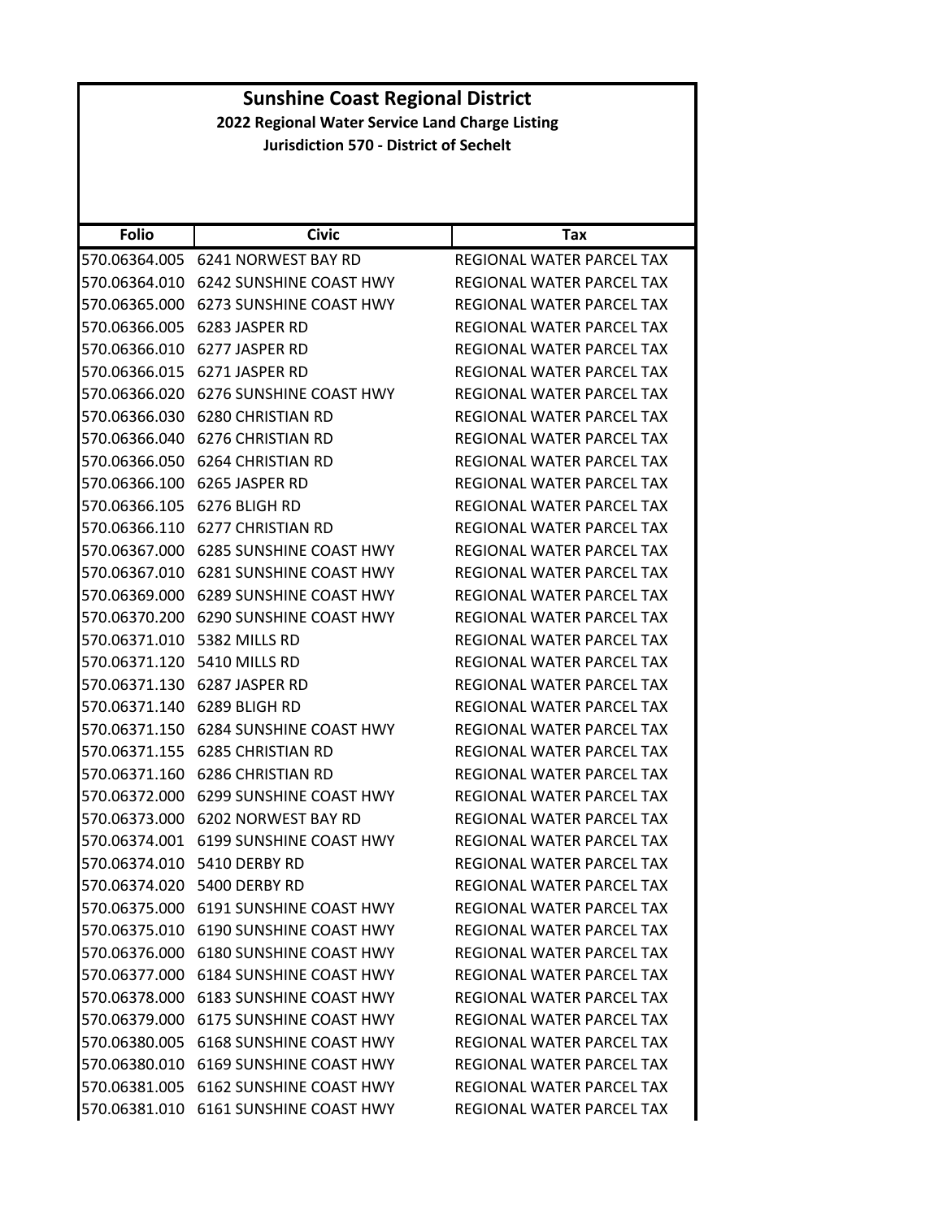| <b>Sunshine Coast Regional District</b>         |                                       |                                  |  |
|-------------------------------------------------|---------------------------------------|----------------------------------|--|
| 2022 Regional Water Service Land Charge Listing |                                       |                                  |  |
| <b>Jurisdiction 570 - District of Sechelt</b>   |                                       |                                  |  |
|                                                 |                                       |                                  |  |
|                                                 |                                       |                                  |  |
|                                                 |                                       |                                  |  |
| <b>Folio</b>                                    | <b>Civic</b>                          | Tax                              |  |
|                                                 | 570.06364.005 6241 NORWEST BAY RD     | REGIONAL WATER PARCEL TAX        |  |
| 570.06364.010                                   | 6242 SUNSHINE COAST HWY               | REGIONAL WATER PARCEL TAX        |  |
|                                                 | 570.06365.000 6273 SUNSHINE COAST HWY | <b>REGIONAL WATER PARCEL TAX</b> |  |
| 570.06366.005                                   | 6283 JASPER RD                        | REGIONAL WATER PARCEL TAX        |  |
| 570.06366.010                                   | 6277 JASPER RD                        | REGIONAL WATER PARCEL TAX        |  |
|                                                 | 570.06366.015 6271 JASPER RD          | REGIONAL WATER PARCEL TAX        |  |
| 570.06366.020                                   | <b>6276 SUNSHINE COAST HWY</b>        | <b>REGIONAL WATER PARCEL TAX</b> |  |
|                                                 | 570.06366.030 6280 CHRISTIAN RD       | REGIONAL WATER PARCEL TAX        |  |
| 570.06366.040                                   | <b>6276 CHRISTIAN RD</b>              | <b>REGIONAL WATER PARCEL TAX</b> |  |
|                                                 | 570.06366.050 6264 CHRISTIAN RD       | REGIONAL WATER PARCEL TAX        |  |
| 570.06366.100                                   | 6265 JASPER RD                        | REGIONAL WATER PARCEL TAX        |  |
|                                                 | 570.06366.105 6276 BLIGH RD           | REGIONAL WATER PARCEL TAX        |  |
|                                                 | 570.06366.110 6277 CHRISTIAN RD       | REGIONAL WATER PARCEL TAX        |  |
|                                                 | 570.06367.000 6285 SUNSHINE COAST HWY | REGIONAL WATER PARCEL TAX        |  |
|                                                 | 570.06367.010 6281 SUNSHINE COAST HWY | REGIONAL WATER PARCEL TAX        |  |
| 570.06369.000                                   | 6289 SUNSHINE COAST HWY               | REGIONAL WATER PARCEL TAX        |  |
|                                                 | 570.06370.200 6290 SUNSHINE COAST HWY | REGIONAL WATER PARCEL TAX        |  |
|                                                 | 570.06371.010 5382 MILLS RD           | REGIONAL WATER PARCEL TAX        |  |
| 570.06371.120                                   | 5410 MILLS RD                         | REGIONAL WATER PARCEL TAX        |  |
|                                                 | 570.06371.130 6287 JASPER RD          | REGIONAL WATER PARCEL TAX        |  |
| 570.06371.140                                   | 6289 BLIGH RD                         | <b>REGIONAL WATER PARCEL TAX</b> |  |
|                                                 | 570.06371.150 6284 SUNSHINE COAST HWY | <b>REGIONAL WATER PARCEL TAX</b> |  |
| 570.06371.155                                   | <b>6285 CHRISTIAN RD</b>              | REGIONAL WATER PARCEL TAX        |  |
|                                                 | 570.06371.160 6286 CHRISTIAN RD       | <b>REGIONAL WATER PARCEL TAX</b> |  |
|                                                 | 570.06372.000 6299 SUNSHINE COAST HWY | REGIONAL WATER PARCEL TAX        |  |
|                                                 | 570.06373.000 6202 NORWEST BAY RD     | REGIONAL WATER PARCEL TAX        |  |
|                                                 | 570.06374.001 6199 SUNSHINE COAST HWY | REGIONAL WATER PARCEL TAX        |  |
|                                                 | 570.06374.010 5410 DERBY RD           | REGIONAL WATER PARCEL TAX        |  |
|                                                 | 570.06374.020 5400 DERBY RD           | REGIONAL WATER PARCEL TAX        |  |
|                                                 | 570.06375.000 6191 SUNSHINE COAST HWY | REGIONAL WATER PARCEL TAX        |  |
|                                                 | 570.06375.010 6190 SUNSHINE COAST HWY | REGIONAL WATER PARCEL TAX        |  |
|                                                 | 570.06376.000 6180 SUNSHINE COAST HWY | REGIONAL WATER PARCEL TAX        |  |
|                                                 | 570.06377.000 6184 SUNSHINE COAST HWY | <b>REGIONAL WATER PARCEL TAX</b> |  |
|                                                 | 570.06378.000 6183 SUNSHINE COAST HWY | REGIONAL WATER PARCEL TAX        |  |
| 570.06379.000                                   | 6175 SUNSHINE COAST HWY               | REGIONAL WATER PARCEL TAX        |  |
| 570.06380.005                                   | <b>6168 SUNSHINE COAST HWY</b>        | REGIONAL WATER PARCEL TAX        |  |
|                                                 | 570.06380.010 6169 SUNSHINE COAST HWY | REGIONAL WATER PARCEL TAX        |  |
|                                                 | 570.06381.005 6162 SUNSHINE COAST HWY | REGIONAL WATER PARCEL TAX        |  |
|                                                 | 570.06381.010 6161 SUNSHINE COAST HWY | REGIONAL WATER PARCEL TAX        |  |
|                                                 |                                       |                                  |  |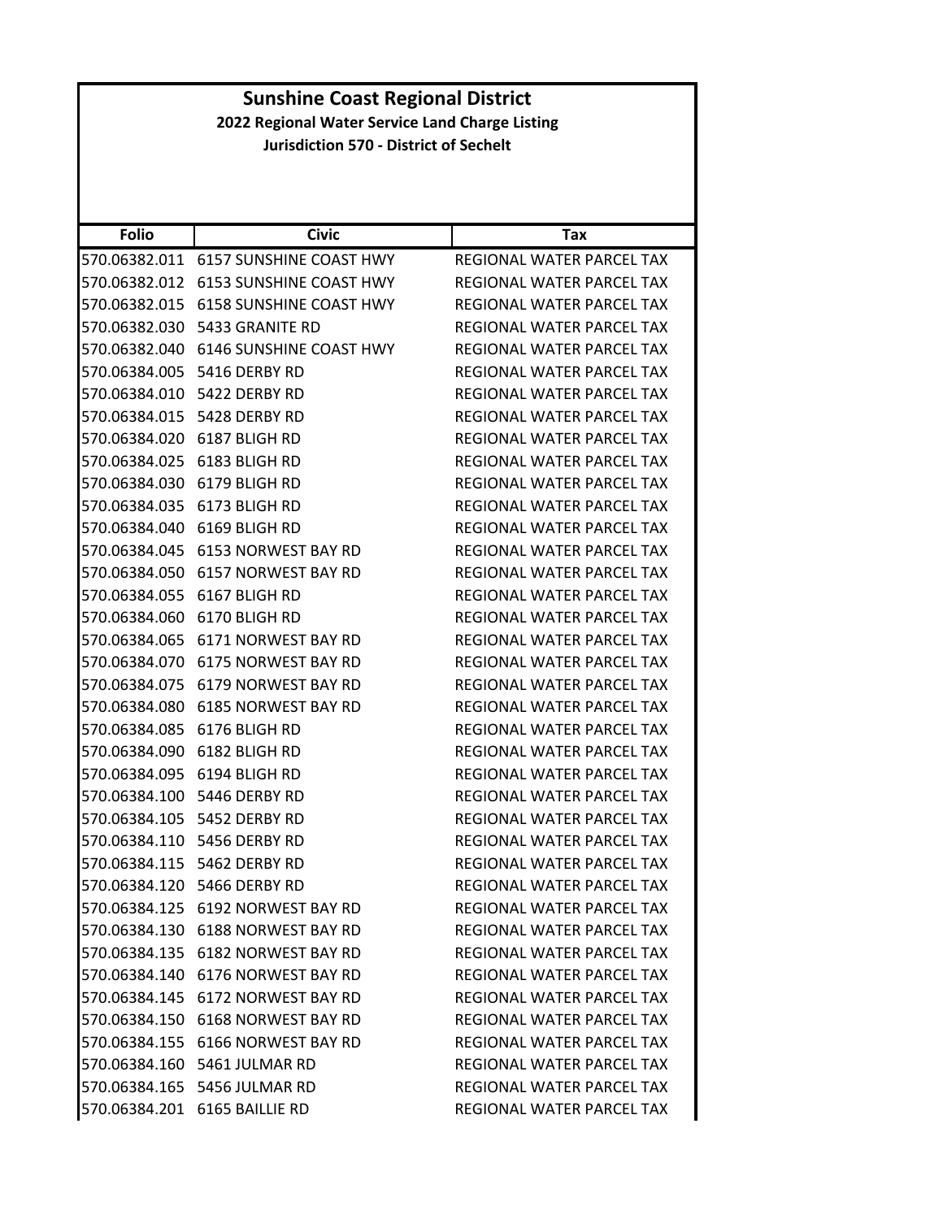| <b>Sunshine Coast Regional District</b>         |                                       |                                  |
|-------------------------------------------------|---------------------------------------|----------------------------------|
| 2022 Regional Water Service Land Charge Listing |                                       |                                  |
| <b>Jurisdiction 570 - District of Sechelt</b>   |                                       |                                  |
|                                                 |                                       |                                  |
|                                                 |                                       |                                  |
| <b>Folio</b>                                    | <b>Civic</b>                          | <b>Tax</b>                       |
| 570.06382.011                                   | <b>6157 SUNSHINE COAST HWY</b>        | REGIONAL WATER PARCEL TAX        |
| 570.06382.012                                   | <b>6153 SUNSHINE COAST HWY</b>        | <b>REGIONAL WATER PARCEL TAX</b> |
| 570.06382.015                                   | 6158 SUNSHINE COAST HWY               | <b>REGIONAL WATER PARCEL TAX</b> |
|                                                 | 570.06382.030 5433 GRANITE RD         | REGIONAL WATER PARCEL TAX        |
|                                                 | 570.06382.040 6146 SUNSHINE COAST HWY | REGIONAL WATER PARCEL TAX        |
|                                                 | 570.06384.005 5416 DERBY RD           | REGIONAL WATER PARCEL TAX        |
|                                                 | 570.06384.010 5422 DERBY RD           | REGIONAL WATER PARCEL TAX        |
|                                                 | 570.06384.015 5428 DERBY RD           | REGIONAL WATER PARCEL TAX        |
|                                                 | 570.06384.020 6187 BLIGH RD           | REGIONAL WATER PARCEL TAX        |
| 570.06384.025                                   |                                       |                                  |
|                                                 | 6183 BLIGH RD                         | REGIONAL WATER PARCEL TAX        |
|                                                 | 570.06384.030 6179 BLIGH RD           | REGIONAL WATER PARCEL TAX        |
|                                                 | 570.06384.035 6173 BLIGH RD           | REGIONAL WATER PARCEL TAX        |
| 570.06384.040                                   | 6169 BLIGH RD                         | <b>REGIONAL WATER PARCEL TAX</b> |
|                                                 | 570.06384.045 6153 NORWEST BAY RD     | <b>REGIONAL WATER PARCEL TAX</b> |
| 570.06384.050                                   | 6157 NORWEST BAY RD                   | REGIONAL WATER PARCEL TAX        |
|                                                 | 570.06384.055 6167 BLIGH RD           | REGIONAL WATER PARCEL TAX        |
|                                                 | 570.06384.060 6170 BLIGH RD           | REGIONAL WATER PARCEL TAX        |
| 570.06384.065                                   | 6171 NORWEST BAY RD                   | REGIONAL WATER PARCEL TAX        |
|                                                 | 570.06384.070 6175 NORWEST BAY RD     | REGIONAL WATER PARCEL TAX        |
| 570.06384.075                                   | 6179 NORWEST BAY RD                   | REGIONAL WATER PARCEL TAX        |
|                                                 | 570.06384.080 6185 NORWEST BAY RD     | <b>REGIONAL WATER PARCEL TAX</b> |
| 570.06384.085                                   | 6176 BLIGH RD                         | REGIONAL WATER PARCEL TAX        |
|                                                 | 570.06384.090 6182 BLIGH RD           | REGIONAL WATER PARCEL TAX        |
|                                                 | 570.06384.095 6194 BLIGH RD           | REGIONAL WATER PARCEL TAX        |
|                                                 | 570.06384.100    5446 DERBY RD        | REGIONAL WATER PARCEL TAX        |
|                                                 | 570.06384.105 5452 DERBY RD           | REGIONAL WATER PARCEL TAX        |
|                                                 | 570.06384.110    5456 DERBY RD        | REGIONAL WATER PARCEL TAX        |
|                                                 | 570.06384.115    5462 DERBY RD        | REGIONAL WATER PARCEL TAX        |
|                                                 | 570.06384.120 5466 DERBY RD           | REGIONAL WATER PARCEL TAX        |
|                                                 | 570.06384.125 6192 NORWEST BAY RD     | <b>REGIONAL WATER PARCEL TAX</b> |
|                                                 | 570.06384.130 6188 NORWEST BAY RD     | REGIONAL WATER PARCEL TAX        |
|                                                 | 570.06384.135 6182 NORWEST BAY RD     | REGIONAL WATER PARCEL TAX        |
|                                                 | 570.06384.140 6176 NORWEST BAY RD     | REGIONAL WATER PARCEL TAX        |
| 570.06384.145                                   | 6172 NORWEST BAY RD                   | REGIONAL WATER PARCEL TAX        |
|                                                 |                                       | REGIONAL WATER PARCEL TAX        |
|                                                 | 570.06384.155 6166 NORWEST BAY RD     | REGIONAL WATER PARCEL TAX        |
|                                                 |                                       | REGIONAL WATER PARCEL TAX        |
|                                                 | 570.06384.165 5456 JULMAR RD          | REGIONAL WATER PARCEL TAX        |
|                                                 | 570.06384.201 6165 BAILLIE RD         | REGIONAL WATER PARCEL TAX        |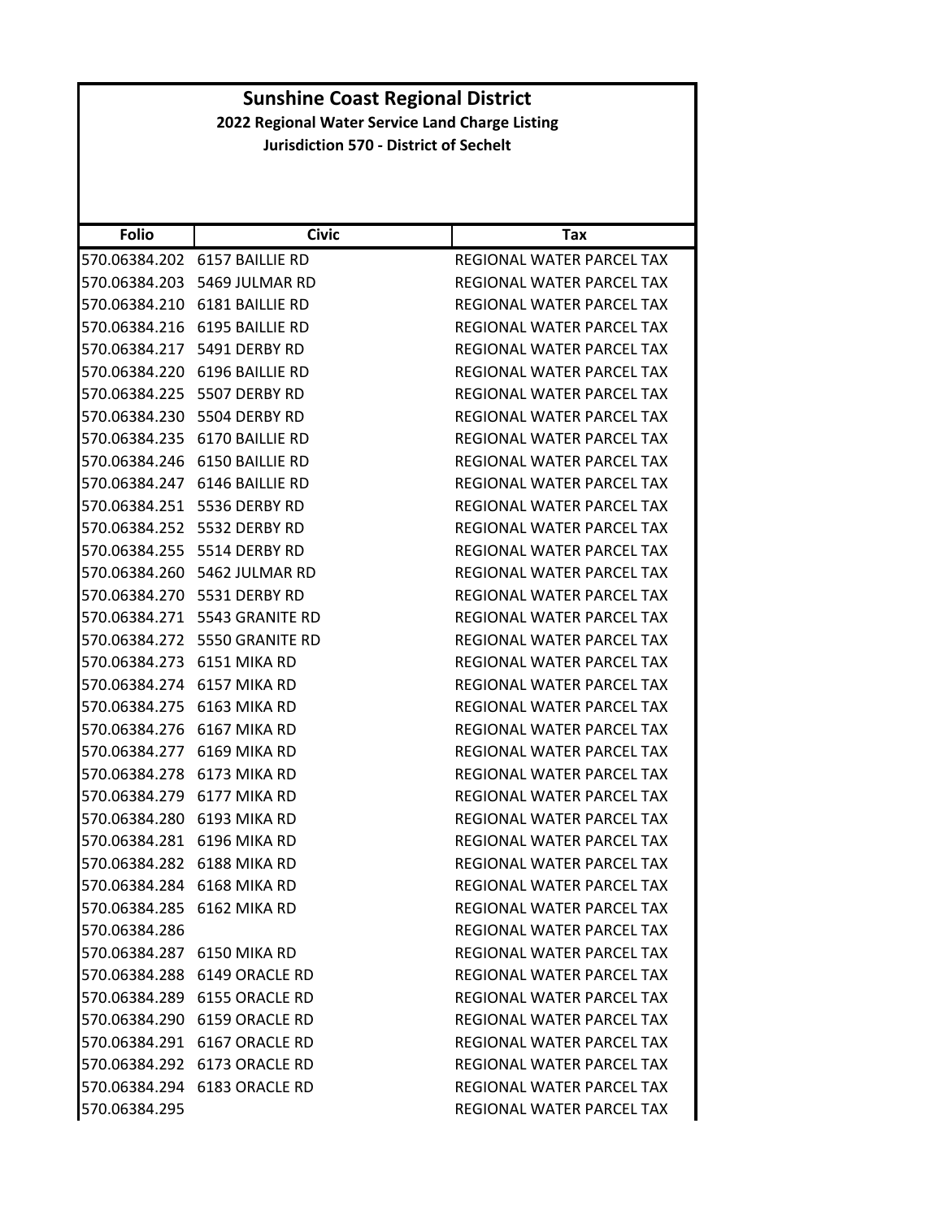| <b>Folio</b>               | <b>Civic</b>                   | Tax                              |
|----------------------------|--------------------------------|----------------------------------|
|                            | 570.06384.202 6157 BAILLIE RD  | REGIONAL WATER PARCEL TAX        |
|                            | 570.06384.203 5469 JULMAR RD   | <b>REGIONAL WATER PARCEL TAX</b> |
|                            | 570.06384.210 6181 BAILLIE RD  | REGIONAL WATER PARCEL TAX        |
|                            | 570.06384.216 6195 BAILLIE RD  | REGIONAL WATER PARCEL TAX        |
|                            | 570.06384.217    5491 DERBY RD | REGIONAL WATER PARCEL TAX        |
| 570.06384.220              | 6196 BAILLIE RD                | REGIONAL WATER PARCEL TAX        |
|                            | 570.06384.225 5507 DERBY RD    | REGIONAL WATER PARCEL TAX        |
|                            | 570.06384.230 5504 DERBY RD    | REGIONAL WATER PARCEL TAX        |
|                            | 570.06384.235 6170 BAILLIE RD  | REGIONAL WATER PARCEL TAX        |
|                            | 570.06384.246 6150 BAILLIE RD  | REGIONAL WATER PARCEL TAX        |
| 570.06384.247              | 6146 BAILLIE RD                | REGIONAL WATER PARCEL TAX        |
|                            | 570.06384.251 5536 DERBY RD    | REGIONAL WATER PARCEL TAX        |
| 570.06384.252              | 5532 DERBY RD                  | REGIONAL WATER PARCEL TAX        |
|                            | 570.06384.255 5514 DERBY RD    | <b>REGIONAL WATER PARCEL TAX</b> |
|                            | 570.06384.260 5462 JULMAR RD   | REGIONAL WATER PARCEL TAX        |
|                            | 570.06384.270 5531 DERBY RD    | REGIONAL WATER PARCEL TAX        |
|                            | 570.06384.271 5543 GRANITE RD  | REGIONAL WATER PARCEL TAX        |
| 570.06384.272              | 5550 GRANITE RD                | REGIONAL WATER PARCEL TAX        |
| 570.06384.273 6151 MIKA RD |                                | REGIONAL WATER PARCEL TAX        |
| 570.06384.274              | 6157 MIKA RD                   | REGIONAL WATER PARCEL TAX        |
| 570.06384.275 6163 MIKA RD |                                | REGIONAL WATER PARCEL TAX        |
| 570.06384.276 6167 MIKA RD |                                | REGIONAL WATER PARCEL TAX        |
| 570.06384.277              | 6169 MIKA RD                   | REGIONAL WATER PARCEL TAX        |
| 570.06384.278 6173 MIKA RD |                                | REGIONAL WATER PARCEL TAX        |
| 570.06384.279              | 6177 MIKA RD                   | REGIONAL WATER PARCEL TAX        |
| 570.06384.280 6193 MIKA RD |                                | REGIONAL WATER PARCEL TAX        |
| 570.06384.281              | 6196 MIKA RD                   | REGIONAL WATER PARCEL TAX        |
| 570.06384.282 6188 MIKA RD |                                | REGIONAL WATER PARCEL TAX        |
| 570.06384.284 6168 MIKA RD |                                | REGIONAL WATER PARCEL TAX        |
| 570.06384.285 6162 MIKA RD |                                | REGIONAL WATER PARCEL TAX        |
| 570.06384.286              |                                | REGIONAL WATER PARCEL TAX        |
| 570.06384.287 6150 MIKA RD |                                | REGIONAL WATER PARCEL TAX        |
|                            | 570.06384.288 6149 ORACLE RD   | REGIONAL WATER PARCEL TAX        |
|                            | 570.06384.289 6155 ORACLE RD   | REGIONAL WATER PARCEL TAX        |
|                            | 570.06384.290 6159 ORACLE RD   | REGIONAL WATER PARCEL TAX        |
|                            | 570.06384.291 6167 ORACLE RD   | REGIONAL WATER PARCEL TAX        |
|                            | 570.06384.292 6173 ORACLE RD   | REGIONAL WATER PARCEL TAX        |
|                            | 570.06384.294 6183 ORACLE RD   | REGIONAL WATER PARCEL TAX        |
| 570.06384.295              |                                | REGIONAL WATER PARCEL TAX        |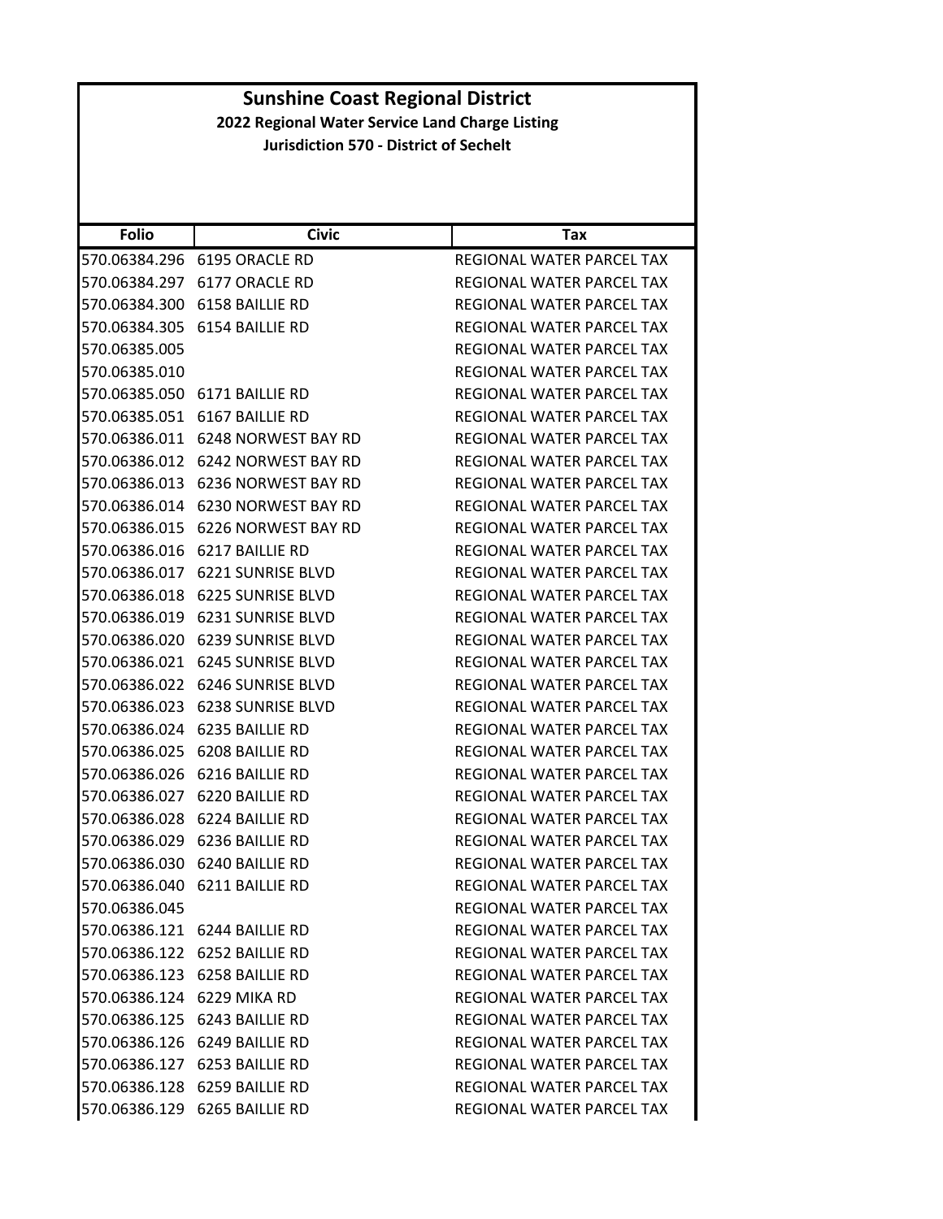|                                               | <b>Sunshine Coast Regional District</b>                        |                                  |  |
|-----------------------------------------------|----------------------------------------------------------------|----------------------------------|--|
|                                               | 2022 Regional Water Service Land Charge Listing                |                                  |  |
| <b>Jurisdiction 570 - District of Sechelt</b> |                                                                |                                  |  |
|                                               |                                                                |                                  |  |
|                                               |                                                                |                                  |  |
| <b>Folio</b>                                  | <b>Civic</b>                                                   | <b>Tax</b>                       |  |
|                                               |                                                                | REGIONAL WATER PARCEL TAX        |  |
|                                               | 570.06384.297 6177 ORACLE RD                                   | REGIONAL WATER PARCEL TAX        |  |
|                                               | 570.06384.300 6158 BAILLIE RD                                  | REGIONAL WATER PARCEL TAX        |  |
| 570.06384.305                                 | 6154 BAILLIE RD                                                | REGIONAL WATER PARCEL TAX        |  |
| 570.06385.005                                 |                                                                | REGIONAL WATER PARCEL TAX        |  |
| 570.06385.010                                 |                                                                | REGIONAL WATER PARCEL TAX        |  |
|                                               | 570.06385.050 6171 BAILLIE RD                                  | REGIONAL WATER PARCEL TAX        |  |
|                                               | 570.06385.051 6167 BAILLIE RD                                  | REGIONAL WATER PARCEL TAX        |  |
|                                               | 570.06386.011 6248 NORWEST BAY RD                              | REGIONAL WATER PARCEL TAX        |  |
|                                               | 570.06386.012 6242 NORWEST BAY RD                              | REGIONAL WATER PARCEL TAX        |  |
|                                               | 570.06386.013 6236 NORWEST BAY RD                              | <b>REGIONAL WATER PARCEL TAX</b> |  |
|                                               | 570.06386.014 6230 NORWEST BAY RD                              | REGIONAL WATER PARCEL TAX        |  |
|                                               | 570.06386.015 6226 NORWEST BAY RD                              | <b>REGIONAL WATER PARCEL TAX</b> |  |
|                                               | 570.06386.016 6217 BAILLIE RD                                  | REGIONAL WATER PARCEL TAX        |  |
|                                               | 570.06386.017 6221 SUNRISE BLVD                                | REGIONAL WATER PARCEL TAX        |  |
|                                               | 570.06386.018 6225 SUNRISE BLVD                                | <b>REGIONAL WATER PARCEL TAX</b> |  |
|                                               | 570.06386.019 6231 SUNRISE BLVD                                | REGIONAL WATER PARCEL TAX        |  |
|                                               | 570.06386.020 6239 SUNRISE BLVD                                | REGIONAL WATER PARCEL TAX        |  |
|                                               | 570.06386.021 6245 SUNRISE BLVD                                | REGIONAL WATER PARCEL TAX        |  |
|                                               | 570.06386.022 6246 SUNRISE BLVD                                | REGIONAL WATER PARCEL TAX        |  |
|                                               | 570.06386.023 6238 SUNRISE BLVD                                | REGIONAL WATER PARCEL TAX        |  |
|                                               | 570.06386.024 6235 BAILLIE RD                                  | REGIONAL WATER PARCEL TAX        |  |
|                                               | 570.06386.025 6208 BAILLIE RD                                  | REGIONAL WATER PARCEL TAX        |  |
|                                               | 570.06386.026 6216 BAILLIE RD                                  | REGIONAL WATER PARCEL TAX        |  |
|                                               | 570.06386.027 6220 BAILLIE RD                                  | <b>REGIONAL WATER PARCEL TAX</b> |  |
|                                               | 570.06386.028 6224 BAILLIE RD                                  | REGIONAL WATER PARCEL TAX        |  |
|                                               | 570.06386.029 6236 BAILLIE RD                                  | REGIONAL WATER PARCEL TAX        |  |
|                                               | 570.06386.030 6240 BAILLIE RD                                  | REGIONAL WATER PARCEL TAX        |  |
|                                               |                                                                | REGIONAL WATER PARCEL TAX        |  |
|                                               |                                                                | REGIONAL WATER PARCEL TAX        |  |
|                                               |                                                                | REGIONAL WATER PARCEL TAX        |  |
|                                               | 570.06386.122 6252 BAILLIE RD                                  | REGIONAL WATER PARCEL TAX        |  |
|                                               | 570.06386.123 6258 BAILLIE RD                                  | REGIONAL WATER PARCEL TAX        |  |
| 570.06386.124 6229 MIKA RD                    |                                                                | REGIONAL WATER PARCEL TAX        |  |
|                                               | 570.06386.125 6243 BAILLIE RD                                  | REGIONAL WATER PARCEL TAX        |  |
|                                               | 570.06386.126 6249 BAILLIE RD                                  | REGIONAL WATER PARCEL TAX        |  |
|                                               | 570.06386.127 6253 BAILLIE RD                                  | REGIONAL WATER PARCEL TAX        |  |
|                                               | 570.06386.128 6259 BAILLIE RD                                  | REGIONAL WATER PARCEL TAX        |  |
|                                               | 570.06386.129 6265 BAILLIE RD                                  | REGIONAL WATER PARCEL TAX        |  |
| 570.06386.045                                 | 570.06386.040 6211 BAILLIE RD<br>570.06386.121 6244 BAILLIE RD |                                  |  |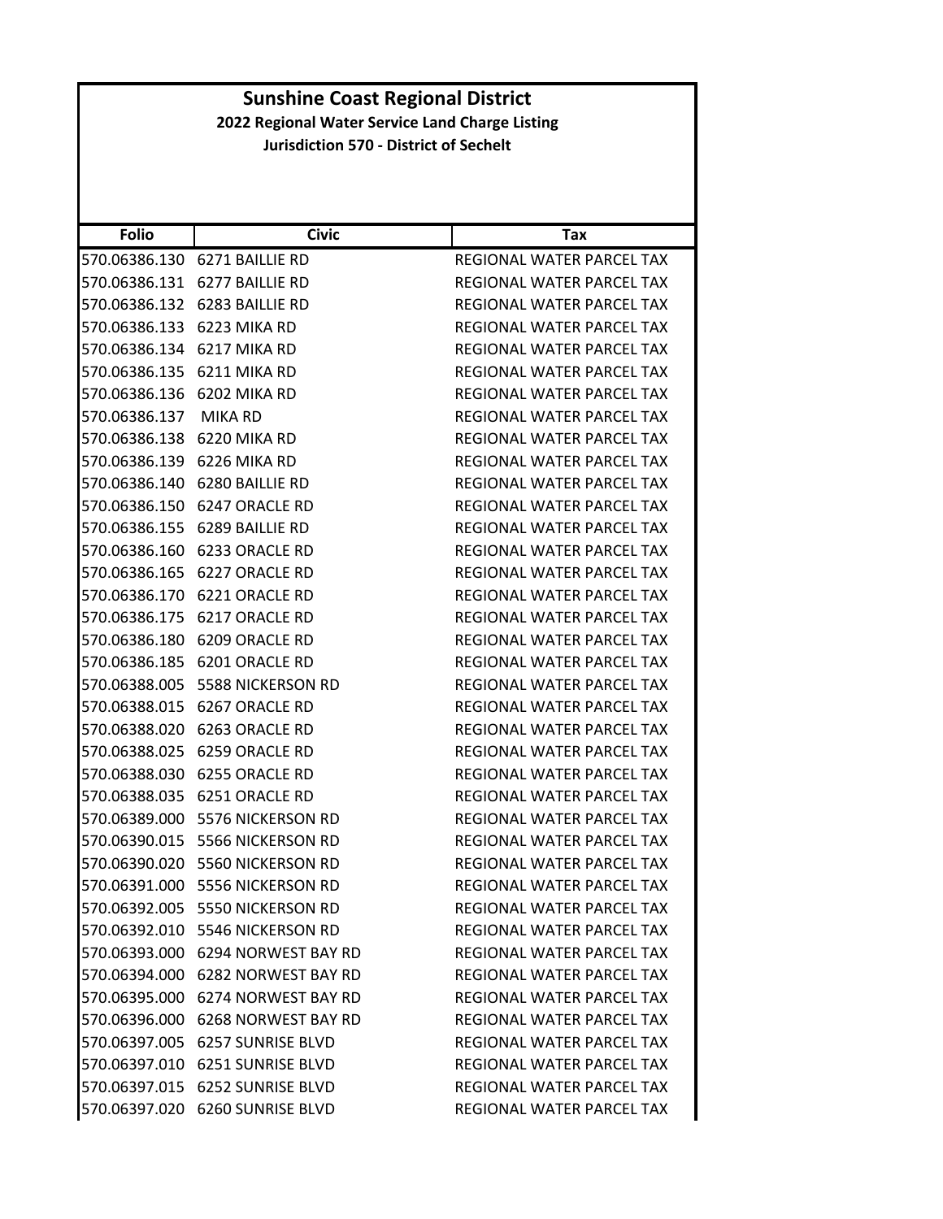| <b>Folio</b>               | <b>Civic</b>                      | Tax                              |
|----------------------------|-----------------------------------|----------------------------------|
|                            | 570.06386.130 6271 BAILLIE RD     | REGIONAL WATER PARCEL TAX        |
| 570.06386.131              | 6277 BAILLIE RD                   | REGIONAL WATER PARCEL TAX        |
|                            | 570.06386.132 6283 BAILLIE RD     | REGIONAL WATER PARCEL TAX        |
| 570.06386.133 6223 MIKA RD |                                   | REGIONAL WATER PARCEL TAX        |
| 570.06386.134 6217 MIKA RD |                                   | REGIONAL WATER PARCEL TAX        |
| 570.06386.135              | 6211 MIKA RD                      | REGIONAL WATER PARCEL TAX        |
| 570.06386.136 6202 MIKA RD |                                   | REGIONAL WATER PARCEL TAX        |
| 570.06386.137              | <b>MIKA RD</b>                    | <b>REGIONAL WATER PARCEL TAX</b> |
| 570.06386.138 6220 MIKA RD |                                   | REGIONAL WATER PARCEL TAX        |
| 570.06386.139 6226 MIKA RD |                                   | REGIONAL WATER PARCEL TAX        |
| 570.06386.140              | 6280 BAILLIE RD                   | REGIONAL WATER PARCEL TAX        |
|                            | 570.06386.150 6247 ORACLE RD      | REGIONAL WATER PARCEL TAX        |
| 570.06386.155              | 6289 BAILLIE RD                   | REGIONAL WATER PARCEL TAX        |
|                            | 570.06386.160 6233 ORACLE RD      | REGIONAL WATER PARCEL TAX        |
| 570.06386.165              | 6227 ORACLE RD                    | REGIONAL WATER PARCEL TAX        |
| 570.06386.170              | 6221 ORACLE RD                    | REGIONAL WATER PARCEL TAX        |
|                            | 570.06386.175 6217 ORACLE RD      | REGIONAL WATER PARCEL TAX        |
| 570.06386.180              | 6209 ORACLE RD                    | REGIONAL WATER PARCEL TAX        |
|                            | 570.06386.185 6201 ORACLE RD      | REGIONAL WATER PARCEL TAX        |
| 570.06388.005              | 5588 NICKERSON RD                 | REGIONAL WATER PARCEL TAX        |
| 570.06388.015              | 6267 ORACLE RD                    | REGIONAL WATER PARCEL TAX        |
|                            | 570.06388.020 6263 ORACLE RD      | REGIONAL WATER PARCEL TAX        |
| 570.06388.025              | 6259 ORACLE RD                    | REGIONAL WATER PARCEL TAX        |
| 570.06388.030              | 6255 ORACLE RD                    | REGIONAL WATER PARCEL TAX        |
| 570.06388.035              | 6251 ORACLE RD                    | REGIONAL WATER PARCEL TAX        |
| 570.06389.000              | 5576 NICKERSON RD                 | REGIONAL WATER PARCEL TAX        |
| 570.06390.015              | 5566 NICKERSON RD                 | <b>REGIONAL WATER PARCEL TAX</b> |
|                            | 570.06390.020 5560 NICKERSON RD   | <b>REGIONAL WATER PARCEL TAX</b> |
|                            | 570.06391.000 5556 NICKERSON RD   | REGIONAL WATER PARCEL TAX        |
|                            | 570.06392.005 5550 NICKERSON RD   | REGIONAL WATER PARCEL TAX        |
|                            | 570.06392.010 5546 NICKERSON RD   | REGIONAL WATER PARCEL TAX        |
|                            | 570.06393.000 6294 NORWEST BAY RD | REGIONAL WATER PARCEL TAX        |
|                            | 570.06394.000 6282 NORWEST BAY RD | REGIONAL WATER PARCEL TAX        |
|                            | 570.06395.000 6274 NORWEST BAY RD | REGIONAL WATER PARCEL TAX        |
|                            | 570.06396.000 6268 NORWEST BAY RD | REGIONAL WATER PARCEL TAX        |
|                            | 570.06397.005 6257 SUNRISE BLVD   | REGIONAL WATER PARCEL TAX        |
|                            | 570.06397.010 6251 SUNRISE BLVD   | REGIONAL WATER PARCEL TAX        |
|                            | 570.06397.015 6252 SUNRISE BLVD   | REGIONAL WATER PARCEL TAX        |
|                            | 570.06397.020 6260 SUNRISE BLVD   | REGIONAL WATER PARCEL TAX        |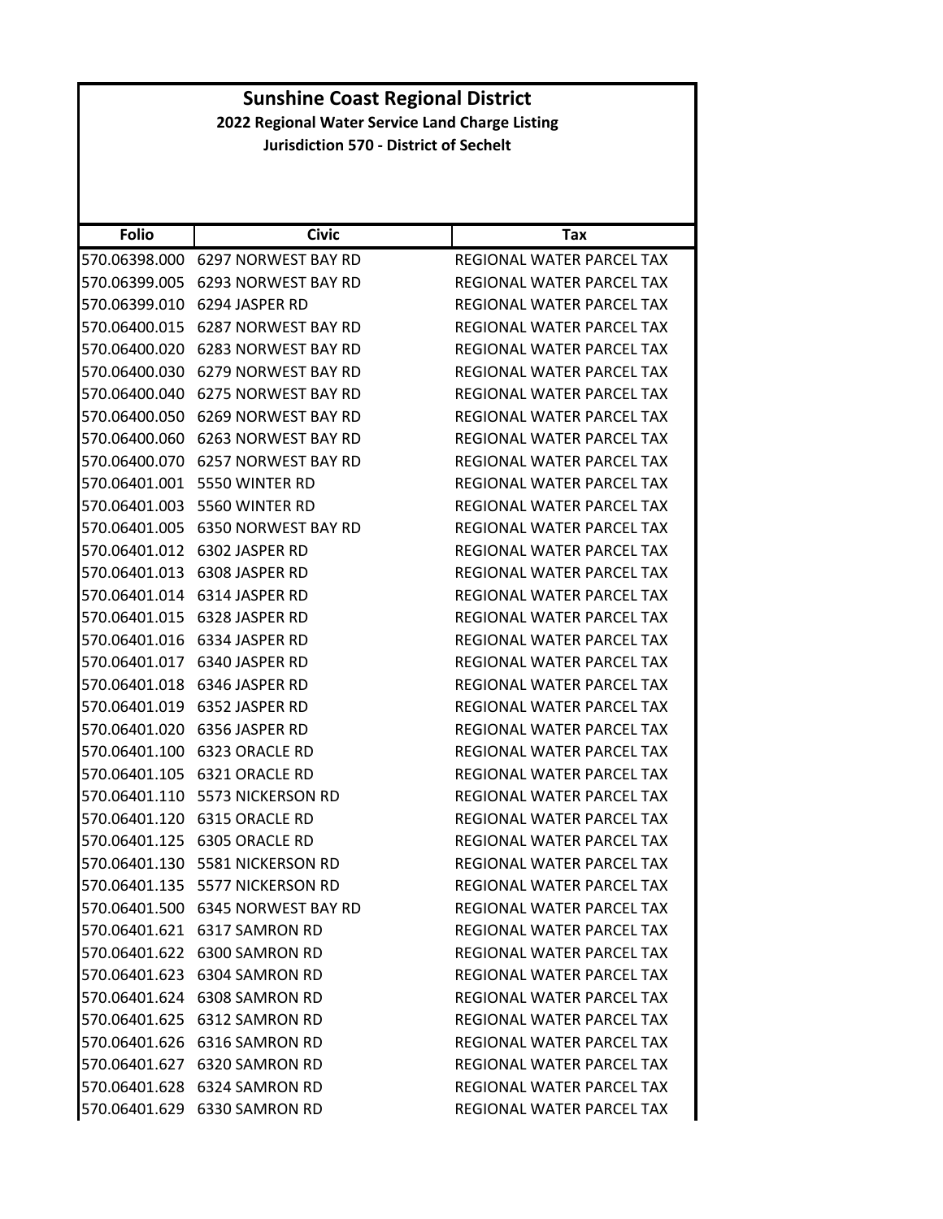|                                               | <b>Sunshine Coast Regional District</b>         |                                  |  |
|-----------------------------------------------|-------------------------------------------------|----------------------------------|--|
|                                               | 2022 Regional Water Service Land Charge Listing |                                  |  |
| <b>Jurisdiction 570 - District of Sechelt</b> |                                                 |                                  |  |
|                                               |                                                 |                                  |  |
|                                               |                                                 |                                  |  |
|                                               |                                                 |                                  |  |
| <b>Folio</b>                                  | <b>Civic</b>                                    | Tax                              |  |
|                                               | 570.06398.000 6297 NORWEST BAY RD               | REGIONAL WATER PARCEL TAX        |  |
|                                               | 570.06399.005 6293 NORWEST BAY RD               | REGIONAL WATER PARCEL TAX        |  |
|                                               | 570.06399.010 6294 JASPER RD                    | REGIONAL WATER PARCEL TAX        |  |
|                                               | 570.06400.015 6287 NORWEST BAY RD               | REGIONAL WATER PARCEL TAX        |  |
|                                               | 570.06400.020 6283 NORWEST BAY RD               | REGIONAL WATER PARCEL TAX        |  |
|                                               | 570.06400.030 6279 NORWEST BAY RD               | REGIONAL WATER PARCEL TAX        |  |
|                                               | 570.06400.040 6275 NORWEST BAY RD               | REGIONAL WATER PARCEL TAX        |  |
|                                               | 570.06400.050 6269 NORWEST BAY RD               | REGIONAL WATER PARCEL TAX        |  |
|                                               | 570.06400.060 6263 NORWEST BAY RD               | <b>REGIONAL WATER PARCEL TAX</b> |  |
|                                               | 570.06400.070 6257 NORWEST BAY RD               | <b>REGIONAL WATER PARCEL TAX</b> |  |
|                                               | 570.06401.001 5550 WINTER RD                    | REGIONAL WATER PARCEL TAX        |  |
|                                               | 570.06401.003 5560 WINTER RD                    | <b>REGIONAL WATER PARCEL TAX</b> |  |
|                                               | 570.06401.005 6350 NORWEST BAY RD               | REGIONAL WATER PARCEL TAX        |  |
|                                               | 570.06401.012 6302 JASPER RD                    | REGIONAL WATER PARCEL TAX        |  |
|                                               | 570.06401.013 6308 JASPER RD                    | REGIONAL WATER PARCEL TAX        |  |
|                                               | 570.06401.014 6314 JASPER RD                    | REGIONAL WATER PARCEL TAX        |  |
|                                               | 570.06401.015 6328 JASPER RD                    | REGIONAL WATER PARCEL TAX        |  |
|                                               | 570.06401.016 6334 JASPER RD                    | REGIONAL WATER PARCEL TAX        |  |
|                                               | 570.06401.017 6340 JASPER RD                    | REGIONAL WATER PARCEL TAX        |  |
|                                               | 570.06401.018 6346 JASPER RD                    | REGIONAL WATER PARCEL TAX        |  |
|                                               | 570.06401.019 6352 JASPER RD                    | <b>REGIONAL WATER PARCEL TAX</b> |  |
|                                               | 570.06401.020 6356 JASPER RD                    | REGIONAL WATER PARCEL TAX        |  |
|                                               | 570.06401.100 6323 ORACLE RD                    | REGIONAL WATER PARCEL TAX        |  |
|                                               | 570.06401.105 6321 ORACLE RD                    | REGIONAL WATER PARCEL TAX        |  |
|                                               | 570.06401.110 5573 NICKERSON RD                 | REGIONAL WATER PARCEL TAX        |  |
|                                               | 570.06401.120 6315 ORACLE RD                    | REGIONAL WATER PARCEL TAX        |  |
|                                               | 570.06401.125 6305 ORACLE RD                    | REGIONAL WATER PARCEL TAX        |  |
|                                               | 570.06401.130    5581 NICKERSON RD              | REGIONAL WATER PARCEL TAX        |  |
|                                               | 570.06401.135    5577 NICKERSON RD              | REGIONAL WATER PARCEL TAX        |  |
|                                               |                                                 | REGIONAL WATER PARCEL TAX        |  |
|                                               | 570.06401.621 6317 SAMRON RD                    | REGIONAL WATER PARCEL TAX        |  |
|                                               | 570.06401.622 6300 SAMRON RD                    | REGIONAL WATER PARCEL TAX        |  |
|                                               | 570.06401.623 6304 SAMRON RD                    | REGIONAL WATER PARCEL TAX        |  |
|                                               | 570.06401.624 6308 SAMRON RD                    | REGIONAL WATER PARCEL TAX        |  |
|                                               | 570.06401.625 6312 SAMRON RD                    | REGIONAL WATER PARCEL TAX        |  |
|                                               | 570.06401.626 6316 SAMRON RD                    | REGIONAL WATER PARCEL TAX        |  |
|                                               | 570.06401.627 6320 SAMRON RD                    | REGIONAL WATER PARCEL TAX        |  |
|                                               | 570.06401.628 6324 SAMRON RD                    | REGIONAL WATER PARCEL TAX        |  |
|                                               |                                                 |                                  |  |
|                                               | 570.06401.629 6330 SAMRON RD                    | REGIONAL WATER PARCEL TAX        |  |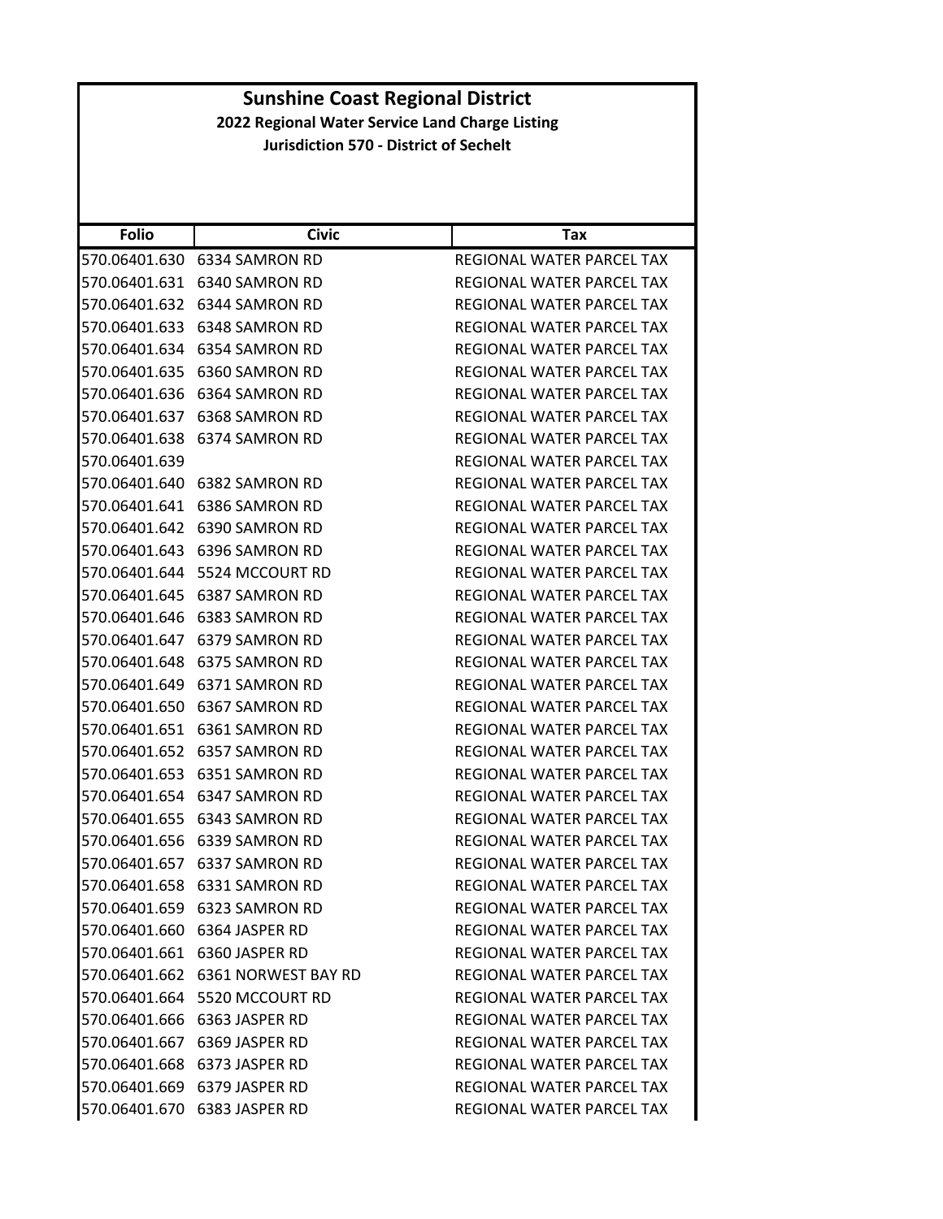| <b>Folio</b>  | <b>Civic</b>                      | Tax                              |
|---------------|-----------------------------------|----------------------------------|
| 570.06401.630 | 6334 SAMRON RD                    | REGIONAL WATER PARCEL TAX        |
| 570.06401.631 | 6340 SAMRON RD                    | REGIONAL WATER PARCEL TAX        |
|               | 570.06401.632    6344 SAMRON RD   | REGIONAL WATER PARCEL TAX        |
| 570.06401.633 | 6348 SAMRON RD                    | REGIONAL WATER PARCEL TAX        |
|               | 570.06401.634 6354 SAMRON RD      | REGIONAL WATER PARCEL TAX        |
| 570.06401.635 | 6360 SAMRON RD                    | REGIONAL WATER PARCEL TAX        |
| 570.06401.636 | 6364 SAMRON RD                    | REGIONAL WATER PARCEL TAX        |
| 570.06401.637 | 6368 SAMRON RD                    | REGIONAL WATER PARCEL TAX        |
| 570.06401.638 | 6374 SAMRON RD                    | REGIONAL WATER PARCEL TAX        |
| 570.06401.639 |                                   | REGIONAL WATER PARCEL TAX        |
| 570.06401.640 | 6382 SAMRON RD                    | REGIONAL WATER PARCEL TAX        |
| 570.06401.641 | 6386 SAMRON RD                    | <b>REGIONAL WATER PARCEL TAX</b> |
| 570.06401.642 | 6390 SAMRON RD                    | REGIONAL WATER PARCEL TAX        |
| 570.06401.643 | 6396 SAMRON RD                    | REGIONAL WATER PARCEL TAX        |
| 570.06401.644 | 5524 MCCOURT RD                   | REGIONAL WATER PARCEL TAX        |
| 570.06401.645 | 6387 SAMRON RD                    | REGIONAL WATER PARCEL TAX        |
| 570.06401.646 | 6383 SAMRON RD                    | <b>REGIONAL WATER PARCEL TAX</b> |
| 570.06401.647 | 6379 SAMRON RD                    | REGIONAL WATER PARCEL TAX        |
| 570.06401.648 | 6375 SAMRON RD                    | REGIONAL WATER PARCEL TAX        |
| 570.06401.649 | 6371 SAMRON RD                    | REGIONAL WATER PARCEL TAX        |
| 570.06401.650 | 6367 SAMRON RD                    | REGIONAL WATER PARCEL TAX        |
| 570.06401.651 | 6361 SAMRON RD                    | REGIONAL WATER PARCEL TAX        |
| 570.06401.652 | 6357 SAMRON RD                    | REGIONAL WATER PARCEL TAX        |
| 570.06401.653 | 6351 SAMRON RD                    | REGIONAL WATER PARCEL TAX        |
| 570.06401.654 | 6347 SAMRON RD                    | REGIONAL WATER PARCEL TAX        |
| 570.06401.655 | 6343 SAMRON RD                    | REGIONAL WATER PARCEL TAX        |
| 570.06401.656 | 6339 SAMRON RD                    | REGIONAL WATER PARCEL TAX        |
| 570.06401.657 | 6337 SAMRON RD                    | REGIONAL WATER PARCEL TAX        |
|               | 570.06401.658 6331 SAMRON RD      | REGIONAL WATER PARCEL TAX        |
|               | 570.06401.659 6323 SAMRON RD      | REGIONAL WATER PARCEL TAX        |
|               | 570.06401.660 6364 JASPER RD      | REGIONAL WATER PARCEL TAX        |
|               | 570.06401.661 6360 JASPER RD      | REGIONAL WATER PARCEL TAX        |
|               | 570.06401.662 6361 NORWEST BAY RD | <b>REGIONAL WATER PARCEL TAX</b> |
|               | 570.06401.664 5520 MCCOURT RD     | REGIONAL WATER PARCEL TAX        |
|               | 570.06401.666 6363 JASPER RD      | REGIONAL WATER PARCEL TAX        |
|               | 570.06401.667 6369 JASPER RD      | REGIONAL WATER PARCEL TAX        |
|               | 570.06401.668 6373 JASPER RD      | <b>REGIONAL WATER PARCEL TAX</b> |
|               | 570.06401.669 6379 JASPER RD      | REGIONAL WATER PARCEL TAX        |
|               | 570.06401.670 6383 JASPER RD      | REGIONAL WATER PARCEL TAX        |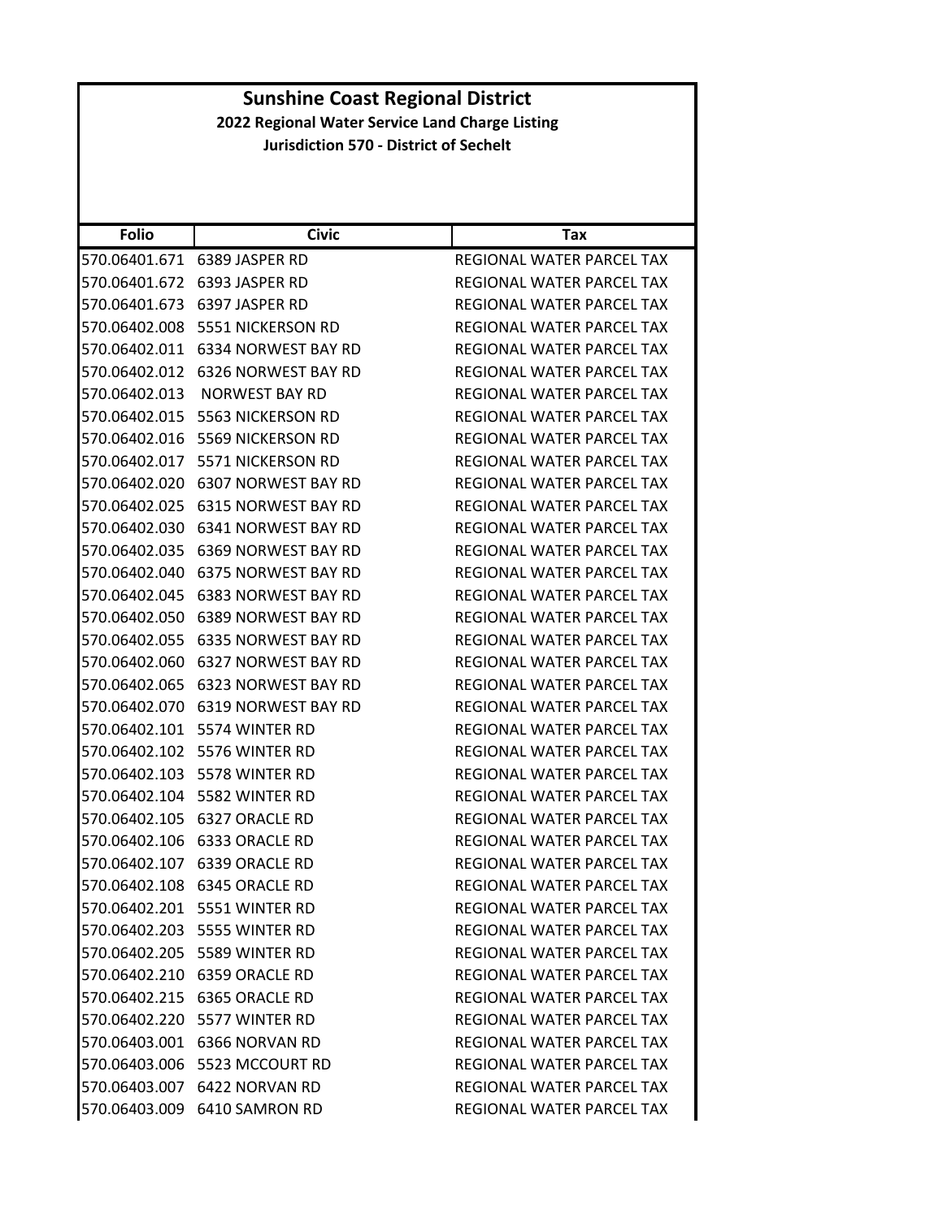|               | <b>Sunshine Coast Regional District</b>         |                                  |  |
|---------------|-------------------------------------------------|----------------------------------|--|
|               | 2022 Regional Water Service Land Charge Listing |                                  |  |
|               | <b>Jurisdiction 570 - District of Sechelt</b>   |                                  |  |
|               |                                                 |                                  |  |
|               |                                                 |                                  |  |
|               |                                                 |                                  |  |
| <b>Folio</b>  | <b>Civic</b>                                    | Tax                              |  |
|               | 570.06401.671 6389 JASPER RD                    | REGIONAL WATER PARCEL TAX        |  |
| 570.06401.672 | 6393 JASPER RD                                  | REGIONAL WATER PARCEL TAX        |  |
|               | 570.06401.673 6397 JASPER RD                    | REGIONAL WATER PARCEL TAX        |  |
|               | 570.06402.008 5551 NICKERSON RD                 | REGIONAL WATER PARCEL TAX        |  |
|               | 570.06402.011 6334 NORWEST BAY RD               | REGIONAL WATER PARCEL TAX        |  |
|               | 570.06402.012 6326 NORWEST BAY RD               | REGIONAL WATER PARCEL TAX        |  |
| 570.06402.013 | <b>NORWEST BAY RD</b>                           | <b>REGIONAL WATER PARCEL TAX</b> |  |
|               | 570.06402.015 5563 NICKERSON RD                 | REGIONAL WATER PARCEL TAX        |  |
| 570.06402.016 | 5569 NICKERSON RD                               | REGIONAL WATER PARCEL TAX        |  |
|               | 570.06402.017 5571 NICKERSON RD                 | REGIONAL WATER PARCEL TAX        |  |
|               | 570.06402.020 6307 NORWEST BAY RD               | REGIONAL WATER PARCEL TAX        |  |
|               | 570.06402.025 6315 NORWEST BAY RD               | <b>REGIONAL WATER PARCEL TAX</b> |  |
|               | 570.06402.030 6341 NORWEST BAY RD               | REGIONAL WATER PARCEL TAX        |  |
| 570.06402.035 | 6369 NORWEST BAY RD                             | REGIONAL WATER PARCEL TAX        |  |
|               | 570.06402.040 6375 NORWEST BAY RD               | REGIONAL WATER PARCEL TAX        |  |
|               | 570.06402.045    6383 NORWEST BAY RD            | REGIONAL WATER PARCEL TAX        |  |
|               | 570.06402.050 6389 NORWEST BAY RD               | REGIONAL WATER PARCEL TAX        |  |
|               | 570.06402.055 6335 NORWEST BAY RD               | REGIONAL WATER PARCEL TAX        |  |
| 570.06402.060 | 6327 NORWEST BAY RD                             | REGIONAL WATER PARCEL TAX        |  |
|               | 570.06402.065 6323 NORWEST BAY RD               | REGIONAL WATER PARCEL TAX        |  |
|               | 570.06402.070 6319 NORWEST BAY RD               | REGIONAL WATER PARCEL TAX        |  |
|               | 570.06402.101 5574 WINTER RD                    | REGIONAL WATER PARCEL TAX        |  |
|               | 570.06402.102 5576 WINTER RD                    | REGIONAL WATER PARCEL TAX        |  |
|               | 570.06402.103 5578 WINTER RD                    | REGIONAL WATER PARCEL TAX        |  |
|               | 570.06402.104 5582 WINTER RD                    | REGIONAL WATER PARCEL TAX        |  |
|               | 570.06402.105 6327 ORACLE RD                    | REGIONAL WATER PARCEL TAX        |  |
|               | 570.06402.106 6333 ORACLE RD                    | REGIONAL WATER PARCEL TAX        |  |
|               | 570.06402.107 6339 ORACLE RD                    | <b>REGIONAL WATER PARCEL TAX</b> |  |
|               |                                                 |                                  |  |
|               | 570.06402.108 6345 ORACLE RD                    | REGIONAL WATER PARCEL TAX        |  |
|               | 570.06402.201    5551 WINTER RD                 | REGIONAL WATER PARCEL TAX        |  |
|               | 570.06402.203 5555 WINTER RD                    | <b>REGIONAL WATER PARCEL TAX</b> |  |
|               | 570.06402.205 5589 WINTER RD                    | REGIONAL WATER PARCEL TAX        |  |
|               | 570.06402.210 6359 ORACLE RD                    | REGIONAL WATER PARCEL TAX        |  |
|               | 570.06402.215 6365 ORACLE RD                    | REGIONAL WATER PARCEL TAX        |  |
|               | 570.06402.220 5577 WINTER RD                    | REGIONAL WATER PARCEL TAX        |  |
|               | 570.06403.001 6366 NORVAN RD                    | REGIONAL WATER PARCEL TAX        |  |
|               | 570.06403.006    5523 MCCOURT RD                | REGIONAL WATER PARCEL TAX        |  |
|               | 570.06403.007 6422 NORVAN RD                    | REGIONAL WATER PARCEL TAX        |  |
|               | 570.06403.009 6410 SAMRON RD                    | REGIONAL WATER PARCEL TAX        |  |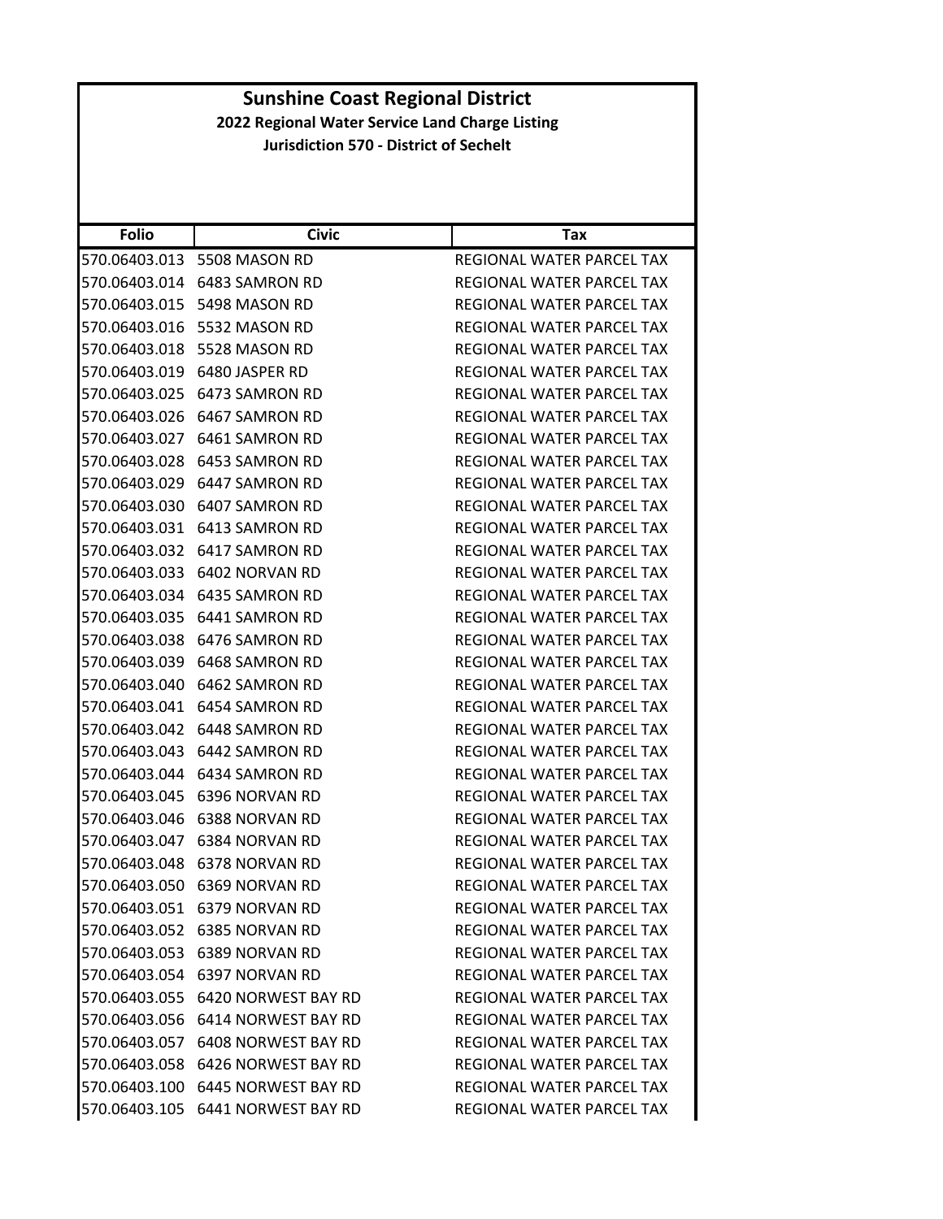| <b>Folio</b>  | <b>Civic</b>                         | Tax                              |
|---------------|--------------------------------------|----------------------------------|
| 570.06403.013 | 5508 MASON RD                        | REGIONAL WATER PARCEL TAX        |
|               | 570.06403.014 6483 SAMRON RD         | REGIONAL WATER PARCEL TAX        |
| 570.06403.015 | 5498 MASON RD                        | <b>REGIONAL WATER PARCEL TAX</b> |
| 570.06403.016 | 5532 MASON RD                        | REGIONAL WATER PARCEL TAX        |
| 570.06403.018 | 5528 MASON RD                        | REGIONAL WATER PARCEL TAX        |
| 570.06403.019 | 6480 JASPER RD                       | <b>REGIONAL WATER PARCEL TAX</b> |
|               | 570.06403.025 6473 SAMRON RD         | REGIONAL WATER PARCEL TAX        |
| 570.06403.026 | 6467 SAMRON RD                       | REGIONAL WATER PARCEL TAX        |
| 570.06403.027 | 6461 SAMRON RD                       | REGIONAL WATER PARCEL TAX        |
| 570.06403.028 | 6453 SAMRON RD                       | REGIONAL WATER PARCEL TAX        |
| 570.06403.029 | 6447 SAMRON RD                       | REGIONAL WATER PARCEL TAX        |
|               | 570.06403.030 6407 SAMRON RD         | REGIONAL WATER PARCEL TAX        |
| 570.06403.031 | 6413 SAMRON RD                       | REGIONAL WATER PARCEL TAX        |
|               | 570.06403.032 6417 SAMRON RD         | REGIONAL WATER PARCEL TAX        |
| 570.06403.033 | 6402 NORVAN RD                       | REGIONAL WATER PARCEL TAX        |
| 570.06403.034 | 6435 SAMRON RD                       | REGIONAL WATER PARCEL TAX        |
| 570.06403.035 | 6441 SAMRON RD                       | REGIONAL WATER PARCEL TAX        |
|               | 570.06403.038 6476 SAMRON RD         | REGIONAL WATER PARCEL TAX        |
|               | 570.06403.039 6468 SAMRON RD         | REGIONAL WATER PARCEL TAX        |
| 570.06403.040 | 6462 SAMRON RD                       | REGIONAL WATER PARCEL TAX        |
| 570.06403.041 | 6454 SAMRON RD                       | REGIONAL WATER PARCEL TAX        |
| 570.06403.042 | 6448 SAMRON RD                       | REGIONAL WATER PARCEL TAX        |
| 570.06403.043 | 6442 SAMRON RD                       | REGIONAL WATER PARCEL TAX        |
| 570.06403.044 | 6434 SAMRON RD                       | REGIONAL WATER PARCEL TAX        |
| 570.06403.045 | 6396 NORVAN RD                       | REGIONAL WATER PARCEL TAX        |
| 570.06403.046 | 6388 NORVAN RD                       | REGIONAL WATER PARCEL TAX        |
| 570.06403.047 | 6384 NORVAN RD                       | REGIONAL WATER PARCEL TAX        |
|               | 570.06403.048 6378 NORVAN RD         | REGIONAL WATER PARCEL TAX        |
| 570.06403.050 | 6369 NORVAN RD                       | REGIONAL WATER PARCEL TAX        |
|               | 570.06403.051 6379 NORVAN RD         | <b>REGIONAL WATER PARCEL TAX</b> |
|               | 570.06403.052 6385 NORVAN RD         | REGIONAL WATER PARCEL TAX        |
|               | 570.06403.053 6389 NORVAN RD         | REGIONAL WATER PARCEL TAX        |
|               | 570.06403.054 6397 NORVAN RD         | <b>REGIONAL WATER PARCEL TAX</b> |
|               | 570.06403.055    6420 NORWEST BAY RD | REGIONAL WATER PARCEL TAX        |
|               | 570.06403.056    6414 NORWEST BAY RD | REGIONAL WATER PARCEL TAX        |
|               | 570.06403.057 6408 NORWEST BAY RD    | REGIONAL WATER PARCEL TAX        |
|               | 570.06403.058 6426 NORWEST BAY RD    | REGIONAL WATER PARCEL TAX        |
|               | 570.06403.100 6445 NORWEST BAY RD    | REGIONAL WATER PARCEL TAX        |
|               | 570.06403.105 6441 NORWEST BAY RD    | REGIONAL WATER PARCEL TAX        |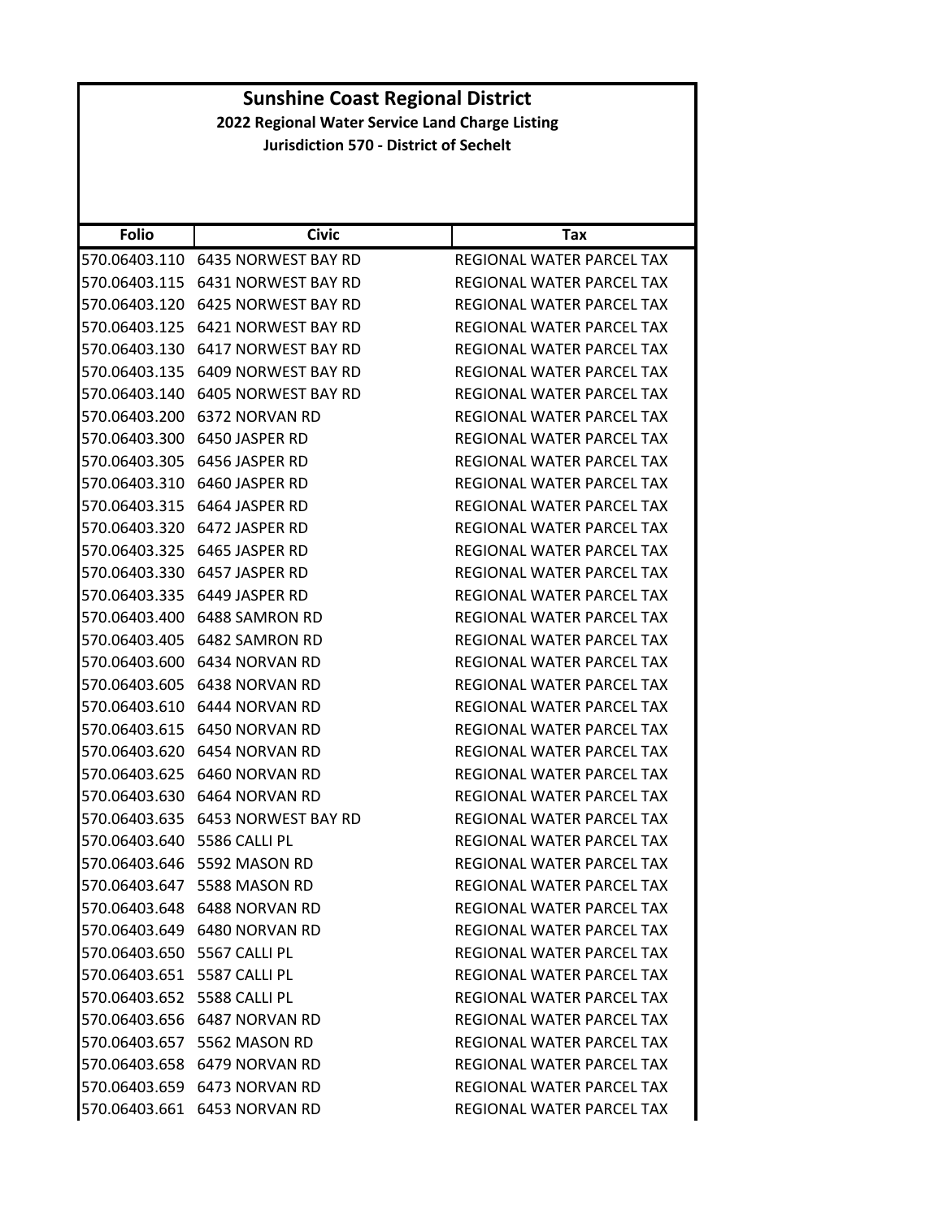#### **Folio Civic Tax Sunshine Coast Regional District 2022 Regional Water Service Land Charge Listing Jurisdiction 570 ‐ District of Sechelt** 570.06403.110 6435 NORWEST BAY RD REGIONAL WATER PARCEL TAX 570.06403.115 6431 NORWEST BAY RD REGIONAL WATER PARCEL TAX 570.06403.120 6425 NORWEST BAY RD REGIONAL WATER PARCEL TAX 570.06403.125 6421 NORWEST BAY RD REGIONAL WATER PARCEL TAX 570.06403.130 6417 NORWEST BAY RD REGIONAL WATER PARCEL TAX 570.06403.135 6409 NORWEST BAY RD REGIONAL WATER PARCEL TAX 570.06403.140 6405 NORWEST BAY RD REGIONAL WATER PARCEL TAX 570.06403.200 6372 NORVAN RD REGIONAL WATER PARCEL TAX 570.06403.300 6450 JASPER RD REGIONAL WATER PARCEL TAX 570.06403.305 6456 JASPER RD REGIONAL WATER PARCEL TAX 570.06403.310 6460 JASPER RD REGIONAL WATER PARCEL TAX 570.06403.315 6464 JASPER RD REGIONAL WATER PARCEL TAX 570.06403.320 6472 JASPER RD REGIONAL WATER PARCEL TAX 570.06403.325 6465 JASPER RD REGIONAL WATER PARCEL TAX 570.06403.330 6457 JASPER RD REGIONAL WATER PARCEL TAX 570.06403.335 6449 JASPER RD REGIONAL WATER PARCEL TAX 570.06403.400 6488 SAMRON RD REGIONAL WATER PARCEL TAX 570.06403.405 6482 SAMRON RD REGIONAL WATER PARCEL TAX 570.06403.600 6434 NORVAN RD REGIONAL WATER PARCEL TAX 570.06403.605 6438 NORVAN RD REGIONAL WATER PARCEL TAX 570.06403.610 6444 NORVAN RD REGIONAL WATER PARCEL TAX 570.06403.615 6450 NORVAN RD REGIONAL WATER PARCEL TAX 570.06403.620 6454 NORVAN RD REGIONAL WATER PARCEL TAX 570.06403.625 6460 NORVAN RD REGIONAL WATER PARCEL TAX 570.06403.630 6464 NORVAN RD REGIONAL WATER PARCEL TAX 570.06403.635 6453 NORWEST BAY RD REGIONAL WATER PARCEL TAX 570.06403.640 5586 CALLI PL REGIONAL WATER PARCEL TAX 570.06403.646 5592 MASON RD REGIONAL WATER PARCEL TAX 570.06403.647 5588 MASON RD REGIONAL WATER PARCEL TAX 570.06403.648 6488 NORVAN RD REGIONAL WATER PARCEL TAX 570.06403.649 6480 NORVAN RD REGIONAL WATER PARCEL TAX 570.06403.650 5567 CALLI PL REGIONAL WATER PARCEL TAX 570.06403.651 5587 CALLI PL **REGIONAL WATER PARCEL TAX** 570.06403.652 5588 CALLI PL **REGIONAL WATER PARCEL TAX** 570.06403.656 6487 NORVAN RD REGIONAL WATER PARCEL TAX 570.06403.657 5562 MASON RD REGIONAL WATER PARCEL TAX 570.06403.658 6479 NORVAN RD REGIONAL WATER PARCEL TAX 570.06403.659 6473 NORVAN RD REGIONAL WATER PARCEL TAX 570.06403.661 6453 NORVAN RD REGIONAL WATER PARCEL TAX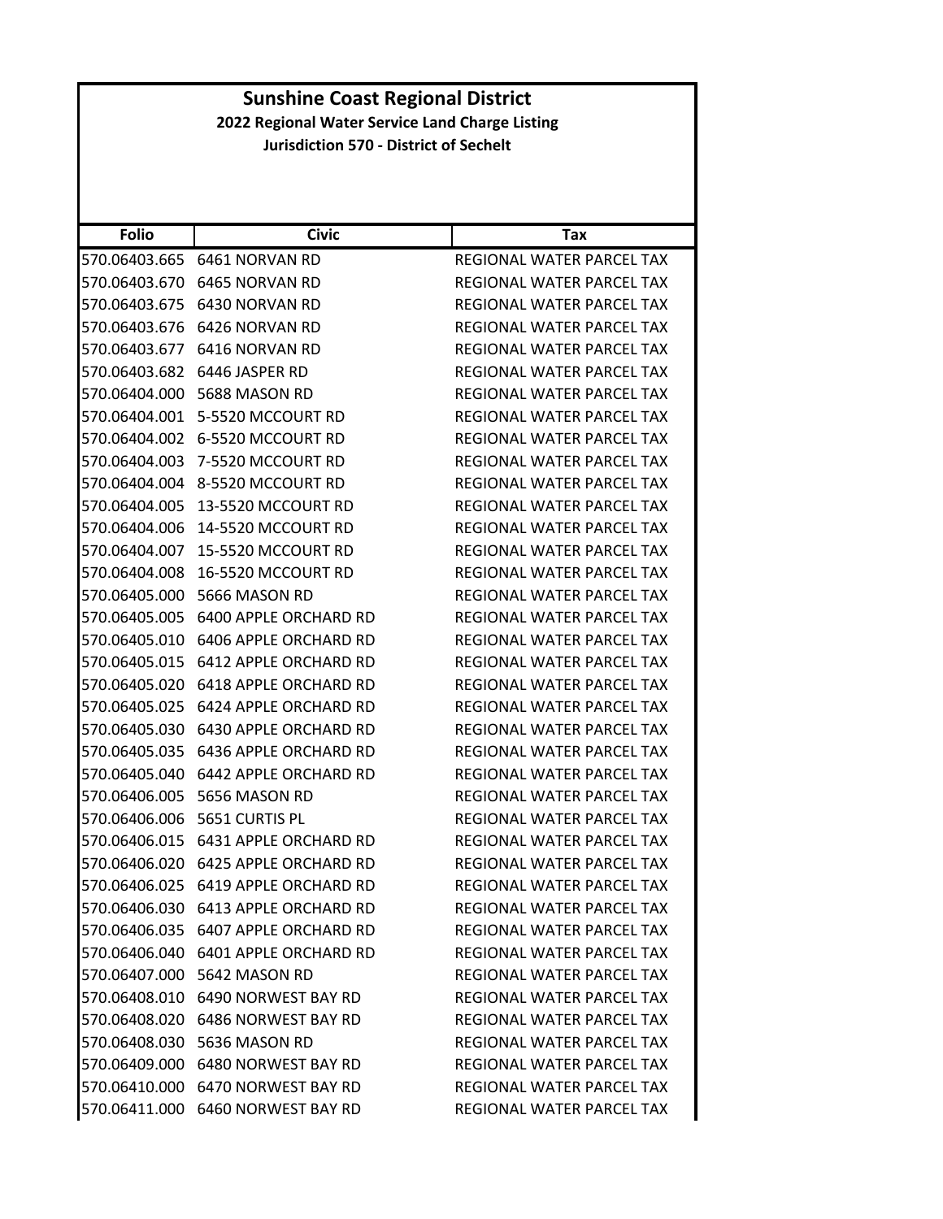|                                                 | <b>Sunshine Coast Regional District</b>        |                                                        |  |
|-------------------------------------------------|------------------------------------------------|--------------------------------------------------------|--|
| 2022 Regional Water Service Land Charge Listing |                                                |                                                        |  |
|                                                 | <b>Jurisdiction 570 - District of Sechelt</b>  |                                                        |  |
|                                                 |                                                |                                                        |  |
|                                                 |                                                |                                                        |  |
| <b>Folio</b>                                    | <b>Civic</b>                                   |                                                        |  |
|                                                 |                                                | Tax                                                    |  |
| 570.06403.665                                   | 6461 NORVAN RD<br>570.06403.670 6465 NORVAN RD | REGIONAL WATER PARCEL TAX<br>REGIONAL WATER PARCEL TAX |  |
| 570.06403.675                                   | 6430 NORVAN RD                                 | REGIONAL WATER PARCEL TAX                              |  |
| 570.06403.676                                   | 6426 NORVAN RD                                 | REGIONAL WATER PARCEL TAX                              |  |
|                                                 |                                                |                                                        |  |
| 570.06403.677                                   | 6416 NORVAN RD                                 | REGIONAL WATER PARCEL TAX                              |  |
| 570.06403.682                                   | 6446 JASPER RD                                 | REGIONAL WATER PARCEL TAX                              |  |
|                                                 | 570.06404.000 5688 MASON RD                    | REGIONAL WATER PARCEL TAX                              |  |
| 570.06404.001                                   | 5-5520 MCCOURT RD                              | REGIONAL WATER PARCEL TAX                              |  |
| 570.06404.002                                   | 6-5520 MCCOURT RD                              | REGIONAL WATER PARCEL TAX                              |  |
| 570.06404.003                                   | 7-5520 MCCOURT RD                              | REGIONAL WATER PARCEL TAX                              |  |
| 570.06404.004                                   | 8-5520 MCCOURT RD                              | REGIONAL WATER PARCEL TAX                              |  |
| 570.06404.005                                   | 13-5520 MCCOURT RD                             | REGIONAL WATER PARCEL TAX                              |  |
| 570.06404.006                                   | 14-5520 MCCOURT RD                             | REGIONAL WATER PARCEL TAX                              |  |
| 570.06404.007                                   | 15-5520 MCCOURT RD                             | REGIONAL WATER PARCEL TAX                              |  |
| 570.06404.008                                   | 16-5520 MCCOURT RD                             | REGIONAL WATER PARCEL TAX                              |  |
| 570.06405.000                                   | 5666 MASON RD                                  | REGIONAL WATER PARCEL TAX                              |  |
| 570.06405.005                                   | 6400 APPLE ORCHARD RD                          | REGIONAL WATER PARCEL TAX                              |  |
| 570.06405.010                                   | 6406 APPLE ORCHARD RD                          | REGIONAL WATER PARCEL TAX                              |  |
| 570.06405.015                                   | 6412 APPLE ORCHARD RD                          | REGIONAL WATER PARCEL TAX                              |  |
| 570.06405.020                                   | 6418 APPLE ORCHARD RD                          | REGIONAL WATER PARCEL TAX                              |  |
|                                                 | 570.06405.025 6424 APPLE ORCHARD RD            | REGIONAL WATER PARCEL TAX                              |  |
|                                                 | 570.06405.030    6430 APPLE ORCHARD RD         | <b>REGIONAL WATER PARCEL TAX</b>                       |  |
| 570.06405.035                                   | 6436 APPLE ORCHARD RD                          | REGIONAL WATER PARCEL TAX                              |  |
|                                                 | 570.06405.040 6442 APPLE ORCHARD RD            | REGIONAL WATER PARCEL TAX                              |  |
|                                                 | 570.06406.005 5656 MASON RD                    | REGIONAL WATER PARCEL TAX                              |  |
|                                                 | 570.06406.006    5651 CURTIS PL                | REGIONAL WATER PARCEL TAX                              |  |
|                                                 | 570.06406.015    6431 APPLE ORCHARD RD         | REGIONAL WATER PARCEL TAX                              |  |
|                                                 | 570.06406.020    6425 APPLE ORCHARD RD         | REGIONAL WATER PARCEL TAX                              |  |
|                                                 |                                                | REGIONAL WATER PARCEL TAX                              |  |
|                                                 |                                                | <b>REGIONAL WATER PARCEL TAX</b>                       |  |
|                                                 | 570.06406.035    6407 APPLE ORCHARD RD         | REGIONAL WATER PARCEL TAX                              |  |
|                                                 | 570.06406.040    6401 APPLE ORCHARD RD         | REGIONAL WATER PARCEL TAX                              |  |
|                                                 | 570.06407.000 5642 MASON RD                    | REGIONAL WATER PARCEL TAX                              |  |
|                                                 | 570.06408.010    6490 NORWEST BAY RD           | REGIONAL WATER PARCEL TAX                              |  |
|                                                 | 570.06408.020    6486 NORWEST BAY RD           | REGIONAL WATER PARCEL TAX                              |  |
|                                                 | 570.06408.030 5636 MASON RD                    | REGIONAL WATER PARCEL TAX                              |  |
|                                                 | 570.06409.000 6480 NORWEST BAY RD              | REGIONAL WATER PARCEL TAX                              |  |
|                                                 | 570.06410.000 6470 NORWEST BAY RD              | REGIONAL WATER PARCEL TAX                              |  |
|                                                 | 570.06411.000 6460 NORWEST BAY RD              | REGIONAL WATER PARCEL TAX                              |  |
|                                                 |                                                |                                                        |  |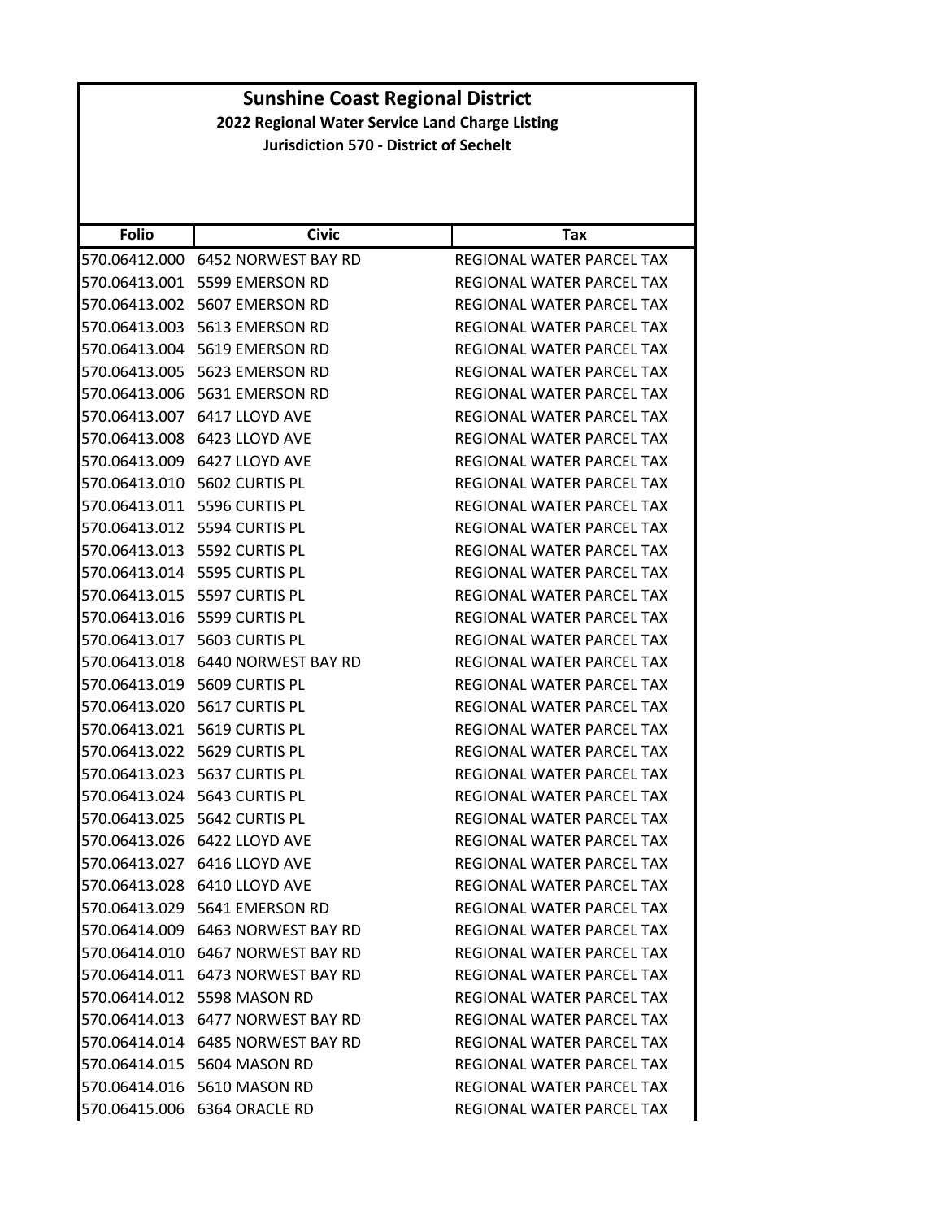|                                               |                                      | <b>Sunshine Coast Regional District</b>         |
|-----------------------------------------------|--------------------------------------|-------------------------------------------------|
|                                               |                                      | 2022 Regional Water Service Land Charge Listing |
| <b>Jurisdiction 570 - District of Sechelt</b> |                                      |                                                 |
|                                               |                                      |                                                 |
|                                               |                                      |                                                 |
|                                               |                                      |                                                 |
| <b>Folio</b>                                  | <b>Civic</b>                         | Tax                                             |
|                                               | 570.06412.000 6452 NORWEST BAY RD    | REGIONAL WATER PARCEL TAX                       |
|                                               | 570.06413.001 5599 EMERSON RD        | REGIONAL WATER PARCEL TAX                       |
|                                               | 570.06413.002 5607 EMERSON RD        | REGIONAL WATER PARCEL TAX                       |
|                                               | 570.06413.003 5613 EMERSON RD        | REGIONAL WATER PARCEL TAX                       |
|                                               | 570.06413.004 5619 EMERSON RD        | REGIONAL WATER PARCEL TAX                       |
|                                               | 570.06413.005 5623 EMERSON RD        | REGIONAL WATER PARCEL TAX                       |
|                                               | 570.06413.006    5631 EMERSON RD     | REGIONAL WATER PARCEL TAX                       |
|                                               | 570.06413.007 6417 LLOYD AVE         | REGIONAL WATER PARCEL TAX                       |
|                                               | 570.06413.008 6423 LLOYD AVE         | REGIONAL WATER PARCEL TAX                       |
|                                               | 570.06413.009 6427 LLOYD AVE         | REGIONAL WATER PARCEL TAX                       |
|                                               | 570.06413.010    5602 CURTIS PL      | REGIONAL WATER PARCEL TAX                       |
|                                               | 570.06413.011 5596 CURTIS PL         | <b>REGIONAL WATER PARCEL TAX</b>                |
|                                               | 570.06413.012 5594 CURTIS PL         | REGIONAL WATER PARCEL TAX                       |
|                                               | 570.06413.013    5592 CURTIS PL      | REGIONAL WATER PARCEL TAX                       |
|                                               | 570.06413.014 5595 CURTIS PL         | REGIONAL WATER PARCEL TAX                       |
|                                               | 570.06413.015    5597 CURTIS PL      | REGIONAL WATER PARCEL TAX                       |
|                                               | 570.06413.016 5599 CURTIS PL         | REGIONAL WATER PARCEL TAX                       |
|                                               | 570.06413.017    5603    CURTIS PL   | REGIONAL WATER PARCEL TAX                       |
|                                               | 570.06413.018 6440 NORWEST BAY RD    | REGIONAL WATER PARCEL TAX                       |
|                                               | 570.06413.019 5609 CURTIS PL         | REGIONAL WATER PARCEL TAX                       |
|                                               | 570.06413.020 5617 CURTIS PL         | REGIONAL WATER PARCEL TAX                       |
|                                               | 570.06413.021 5619 CURTIS PL         | REGIONAL WATER PARCEL TAX                       |
|                                               | 570.06413.022 5629 CURTIS PL         | REGIONAL WATER PARCEL TAX                       |
|                                               | 570.06413.023    5637 CURTIS PL      | REGIONAL WATER PARCEL TAX                       |
|                                               | 570.06413.024 5643 CURTIS PL         | REGIONAL WATER PARCEL TAX                       |
|                                               | 570.06413.025    5642 CURTIS PL      | REGIONAL WATER PARCEL TAX                       |
|                                               | 570.06413.026 6422 LLOYD AVE         | REGIONAL WATER PARCEL TAX                       |
|                                               | 570.06413.027 6416 LLOYD AVE         | REGIONAL WATER PARCEL TAX                       |
|                                               | 570.06413.028 6410 LLOYD AVE         | REGIONAL WATER PARCEL TAX                       |
|                                               | 570.06413.029 5641 EMERSON RD        | REGIONAL WATER PARCEL TAX                       |
|                                               |                                      | REGIONAL WATER PARCEL TAX                       |
|                                               | 570.06414.010    6467 NORWEST BAY RD | REGIONAL WATER PARCEL TAX                       |
|                                               |                                      | REGIONAL WATER PARCEL TAX                       |
|                                               |                                      |                                                 |
|                                               | 570.06414.012    5598 MASON RD       | REGIONAL WATER PARCEL TAX                       |
|                                               |                                      | REGIONAL WATER PARCEL TAX                       |
|                                               |                                      | REGIONAL WATER PARCEL TAX                       |
|                                               | 570.06414.015    5604 MASON RD       | REGIONAL WATER PARCEL TAX                       |
|                                               | 570.06414.016    5610 MASON RD       | REGIONAL WATER PARCEL TAX                       |
|                                               | 570.06415.006 6364 ORACLE RD         | REGIONAL WATER PARCEL TAX                       |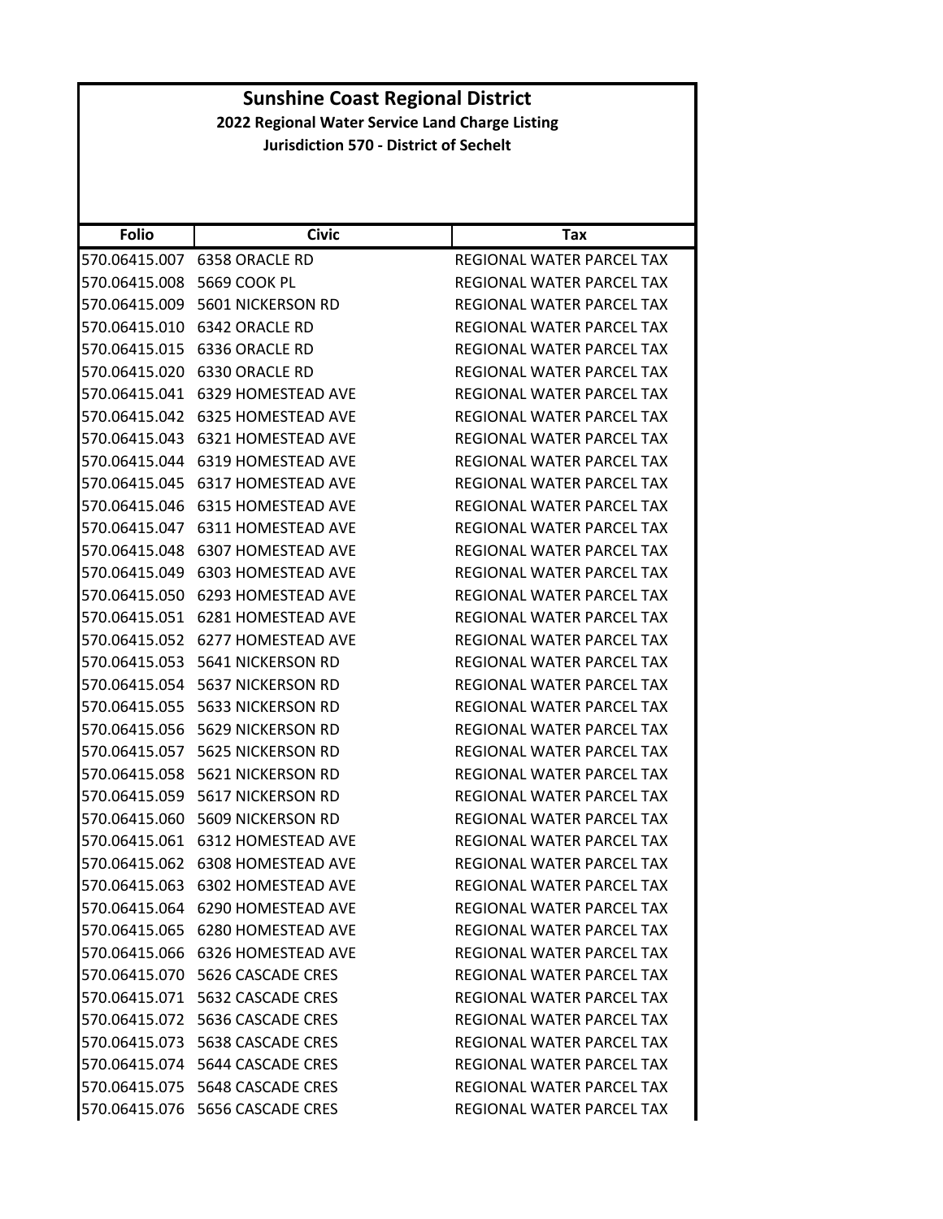|                                               | <b>Sunshine Coast Regional District</b>         |                                  |  |
|-----------------------------------------------|-------------------------------------------------|----------------------------------|--|
|                                               | 2022 Regional Water Service Land Charge Listing |                                  |  |
| <b>Jurisdiction 570 - District of Sechelt</b> |                                                 |                                  |  |
|                                               |                                                 |                                  |  |
|                                               |                                                 |                                  |  |
|                                               |                                                 |                                  |  |
| <b>Folio</b>                                  | <b>Civic</b>                                    | <b>Tax</b>                       |  |
|                                               | 570.06415.007 6358 ORACLE RD                    | REGIONAL WATER PARCEL TAX        |  |
| 570.06415.008 5669 COOK PL                    |                                                 | <b>REGIONAL WATER PARCEL TAX</b> |  |
|                                               | 570.06415.009 5601 NICKERSON RD                 | <b>REGIONAL WATER PARCEL TAX</b> |  |
| 570.06415.010                                 | 6342 ORACLE RD                                  | REGIONAL WATER PARCEL TAX        |  |
| 570.06415.015                                 | 6336 ORACLE RD                                  | REGIONAL WATER PARCEL TAX        |  |
|                                               | 570.06415.020 6330 ORACLE RD                    | REGIONAL WATER PARCEL TAX        |  |
|                                               | 570.06415.041 6329 HOMESTEAD AVE                | REGIONAL WATER PARCEL TAX        |  |
|                                               | 570.06415.042 6325 HOMESTEAD AVE                | REGIONAL WATER PARCEL TAX        |  |
| 570.06415.043                                 | 6321 HOMESTEAD AVE                              | <b>REGIONAL WATER PARCEL TAX</b> |  |
|                                               | 570.06415.044 6319 HOMESTEAD AVE                | <b>REGIONAL WATER PARCEL TAX</b> |  |
|                                               | 570.06415.045 6317 HOMESTEAD AVE                | <b>REGIONAL WATER PARCEL TAX</b> |  |
|                                               | 570.06415.046 6315 HOMESTEAD AVE                | REGIONAL WATER PARCEL TAX        |  |
|                                               | 570.06415.047 6311 HOMESTEAD AVE                | <b>REGIONAL WATER PARCEL TAX</b> |  |
| 570.06415.048                                 | 6307 HOMESTEAD AVE                              | REGIONAL WATER PARCEL TAX        |  |
|                                               | 570.06415.049 6303 HOMESTEAD AVE                | REGIONAL WATER PARCEL TAX        |  |
| 570.06415.050                                 | 6293 HOMESTEAD AVE                              | REGIONAL WATER PARCEL TAX        |  |
|                                               | 570.06415.051 6281 HOMESTEAD AVE                | REGIONAL WATER PARCEL TAX        |  |
|                                               | 570.06415.052 6277 HOMESTEAD AVE                | REGIONAL WATER PARCEL TAX        |  |
| 570.06415.053                                 | 5641 NICKERSON RD                               | REGIONAL WATER PARCEL TAX        |  |
|                                               | 570.06415.054 5637 NICKERSON RD                 | REGIONAL WATER PARCEL TAX        |  |
|                                               | 570.06415.055    5633 NICKERSON RD              | REGIONAL WATER PARCEL TAX        |  |
|                                               | 570.06415.056 5629 NICKERSON RD                 | REGIONAL WATER PARCEL TAX        |  |
|                                               | 570.06415.057 5625 NICKERSON RD                 | REGIONAL WATER PARCEL TAX        |  |
|                                               | 570.06415.058 5621 NICKERSON RD                 | REGIONAL WATER PARCEL TAX        |  |
|                                               | 570.06415.059 5617 NICKERSON RD                 | REGIONAL WATER PARCEL TAX        |  |
|                                               | 570.06415.060 5609 NICKERSON RD                 | REGIONAL WATER PARCEL TAX        |  |
|                                               | 570.06415.061 6312 HOMESTEAD AVE                | REGIONAL WATER PARCEL TAX        |  |
|                                               | 570.06415.062 6308 HOMESTEAD AVE                | REGIONAL WATER PARCEL TAX        |  |
|                                               | 570.06415.063 6302 HOMESTEAD AVE                | REGIONAL WATER PARCEL TAX        |  |
|                                               | 570.06415.064 6290 HOMESTEAD AVE                |                                  |  |
|                                               |                                                 | REGIONAL WATER PARCEL TAX        |  |
| 570.06415.065                                 | 6280 HOMESTEAD AVE                              | REGIONAL WATER PARCEL TAX        |  |
|                                               | 570.06415.066 6326 HOMESTEAD AVE                | REGIONAL WATER PARCEL TAX        |  |
|                                               | 570.06415.070    5626 CASCADE CRES              | REGIONAL WATER PARCEL TAX        |  |
|                                               | 570.06415.071    5632 CASCADE CRES              | REGIONAL WATER PARCEL TAX        |  |
|                                               | 570.06415.072    5636 CASCADE CRES              | REGIONAL WATER PARCEL TAX        |  |
|                                               | 570.06415.073    5638 CASCADE CRES              | REGIONAL WATER PARCEL TAX        |  |
|                                               | 570.06415.074 5644 CASCADE CRES                 | REGIONAL WATER PARCEL TAX        |  |
|                                               | 570.06415.075    5648 CASCADE CRES              | REGIONAL WATER PARCEL TAX        |  |
|                                               | 570.06415.076    5656 CASCADE CRES              | REGIONAL WATER PARCEL TAX        |  |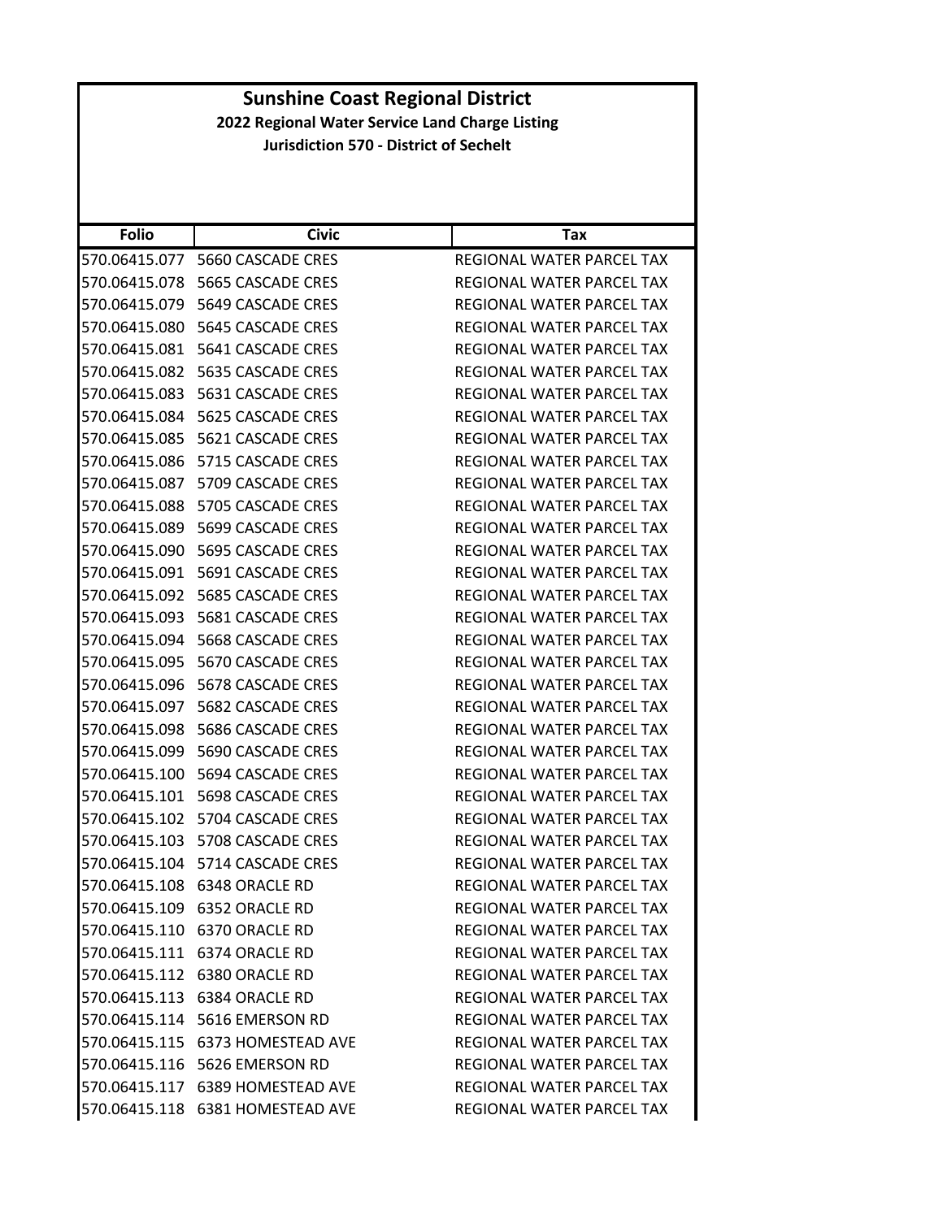| <b>Folio</b>  | <b>Civic</b>                     | Tax                              |
|---------------|----------------------------------|----------------------------------|
| 570.06415.077 | 5660 CASCADE CRES                | REGIONAL WATER PARCEL TAX        |
| 570.06415.078 | 5665 CASCADE CRES                | <b>REGIONAL WATER PARCEL TAX</b> |
| 570.06415.079 | 5649 CASCADE CRES                | REGIONAL WATER PARCEL TAX        |
| 570.06415.080 | 5645 CASCADE CRES                | REGIONAL WATER PARCEL TAX        |
| 570.06415.081 | 5641 CASCADE CRES                | REGIONAL WATER PARCEL TAX        |
| 570.06415.082 | 5635 CASCADE CRES                | <b>REGIONAL WATER PARCEL TAX</b> |
| 570.06415.083 | 5631 CASCADE CRES                | REGIONAL WATER PARCEL TAX        |
| 570.06415.084 | 5625 CASCADE CRES                | <b>REGIONAL WATER PARCEL TAX</b> |
| 570.06415.085 | 5621 CASCADE CRES                | REGIONAL WATER PARCEL TAX        |
| 570.06415.086 | 5715 CASCADE CRES                | REGIONAL WATER PARCEL TAX        |
| 570.06415.087 | 5709 CASCADE CRES                | REGIONAL WATER PARCEL TAX        |
| 570.06415.088 | 5705 CASCADE CRES                | REGIONAL WATER PARCEL TAX        |
| 570.06415.089 | 5699 CASCADE CRES                | REGIONAL WATER PARCEL TAX        |
| 570.06415.090 | 5695 CASCADE CRES                | REGIONAL WATER PARCEL TAX        |
| 570.06415.091 | 5691 CASCADE CRES                | REGIONAL WATER PARCEL TAX        |
| 570.06415.092 | 5685 CASCADE CRES                | <b>REGIONAL WATER PARCEL TAX</b> |
| 570.06415.093 | 5681 CASCADE CRES                | REGIONAL WATER PARCEL TAX        |
| 570.06415.094 | 5668 CASCADE CRES                | REGIONAL WATER PARCEL TAX        |
| 570.06415.095 | 5670 CASCADE CRES                | REGIONAL WATER PARCEL TAX        |
| 570.06415.096 | 5678 CASCADE CRES                | REGIONAL WATER PARCEL TAX        |
| 570.06415.097 | 5682 CASCADE CRES                | REGIONAL WATER PARCEL TAX        |
| 570.06415.098 | 5686 CASCADE CRES                | REGIONAL WATER PARCEL TAX        |
| 570.06415.099 | 5690 CASCADE CRES                | REGIONAL WATER PARCEL TAX        |
| 570.06415.100 | 5694 CASCADE CRES                | REGIONAL WATER PARCEL TAX        |
| 570.06415.101 | 5698 CASCADE CRES                | REGIONAL WATER PARCEL TAX        |
| 570.06415.102 | 5704 CASCADE CRES                | <b>REGIONAL WATER PARCEL TAX</b> |
| 570.06415.103 | 5708 CASCADE CRES                | <b>REGIONAL WATER PARCEL TAX</b> |
| 570.06415.104 | 5714 CASCADE CRES                | REGIONAL WATER PARCEL TAX        |
|               | 570.06415.108 6348 ORACLE RD     | REGIONAL WATER PARCEL TAX        |
|               | 570.06415.109 6352 ORACLE RD     | <b>REGIONAL WATER PARCEL TAX</b> |
|               | 570.06415.110 6370 ORACLE RD     | REGIONAL WATER PARCEL TAX        |
|               | 570.06415.111 6374 ORACLE RD     | REGIONAL WATER PARCEL TAX        |
|               | 570.06415.112 6380 ORACLE RD     | REGIONAL WATER PARCEL TAX        |
|               |                                  | REGIONAL WATER PARCEL TAX        |
|               | 570.06415.114 5616 EMERSON RD    | REGIONAL WATER PARCEL TAX        |
|               |                                  | REGIONAL WATER PARCEL TAX        |
|               | 570.06415.116 5626 EMERSON RD    | REGIONAL WATER PARCEL TAX        |
|               | 570.06415.117 6389 HOMESTEAD AVE | REGIONAL WATER PARCEL TAX        |
|               | 570.06415.118 6381 HOMESTEAD AVE | REGIONAL WATER PARCEL TAX        |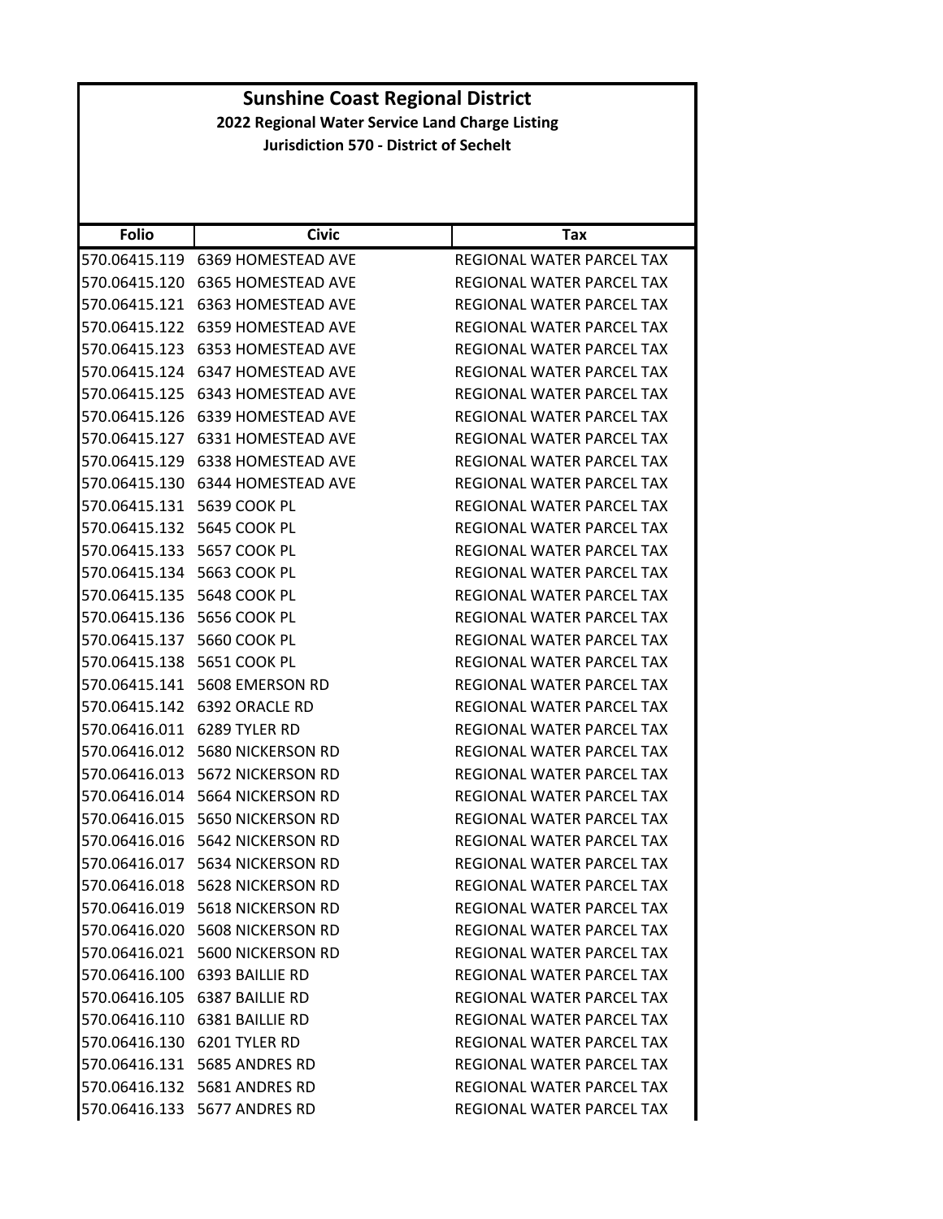#### **Folio Civic Tax Sunshine Coast Regional District 2022 Regional Water Service Land Charge Listing Jurisdiction 570 ‐ District of Sechelt** 570.06415.119 6369 HOMESTEAD AVE REGIONAL WATER PARCEL TAX 570.06415.120 6365 HOMESTEAD AVE REGIONAL WATER PARCEL TAX 570.06415.121 6363 HOMESTEAD AVE REGIONAL WATER PARCEL TAX 570.06415.122 6359 HOMESTEAD AVE REGIONAL WATER PARCEL TAX 570.06415.123 6353 HOMESTEAD AVE REGIONAL WATER PARCEL TAX 570.06415.124 6347 HOMESTEAD AVE REGIONAL WATER PARCEL TAX 570.06415.125 6343 HOMESTEAD AVE REGIONAL WATER PARCEL TAX 570.06415.126 6339 HOMESTEAD AVE REGIONAL WATER PARCEL TAX 570.06415.127 6331 HOMESTEAD AVE REGIONAL WATER PARCEL TAX 570.06415.129 6338 HOMESTEAD AVE REGIONAL WATER PARCEL TAX 570.06415.130 6344 HOMESTEAD AVE REGIONAL WATER PARCEL TAX 570.06415.131 5639 COOK PL REGIONAL WATER PARCEL TAX 570.06415.132 5645 COOK PL **REGIONAL WATER PARCEL TAX** 570.06415.133 5657 COOK PL REGIONAL WATER PARCEL TAX 570.06415.134 5663 COOK PL REGIONAL WATER PARCEL TAX 570.06415.135 5648 COOK PL REGIONAL WATER PARCEL TAX 570.06415.136 5656 COOK PL REGIONAL WATER PARCEL TAX 570.06415.137 5660 COOK PL REGIONAL WATER PARCEL TAX 570.06415.138 5651 COOK PL REGIONAL WATER PARCEL TAX 570.06415.141 5608 EMERSON RD REGIONAL WATER PARCEL TAX 570.06415.142 6392 ORACLE RD REGIONAL WATER PARCEL TAX 570.06416.011 6289 TYLER RD REGIONAL WATER PARCEL TAX 570.06416.012 5680 NICKERSON RD REGIONAL WATER PARCEL TAX 570.06416.013 5672 NICKERSON RD REGIONAL WATER PARCEL TAX 570.06416.014 5664 NICKERSON RD REGIONAL WATER PARCEL TAX 570.06416.015 5650 NICKERSON RD REGIONAL WATER PARCEL TAX 570.06416.016 5642 NICKERSON RD REGIONAL WATER PARCEL TAX 570.06416.017 5634 NICKERSON RD REGIONAL WATER PARCEL TAX 570.06416.018 5628 NICKERSON RD REGIONAL WATER PARCEL TAX 570.06416.019 5618 NICKERSON RD REGIONAL WATER PARCEL TAX 570.06416.020 5608 NICKERSON RD REGIONAL WATER PARCEL TAX 570.06416.021 5600 NICKERSON RD REGIONAL WATER PARCEL TAX 570.06416.100 6393 BAILLIE RD REGIONAL WATER PARCEL TAX 570.06416.105 6387 BAILLIE RD REGIONAL WATER PARCEL TAX

570.06416.110 6381 BAILLIE RD REGIONAL WATER PARCEL TAX 570.06416.130 6201 TYLER RD REGIONAL WATER PARCEL TAX 570.06416.131 5685 ANDRES RD REGIONAL WATER PARCEL TAX 570.06416.132 5681 ANDRES RD REGIONAL WATER PARCEL TAX 570.06416.133 5677 ANDRES RD REGIONAL WATER PARCEL TAX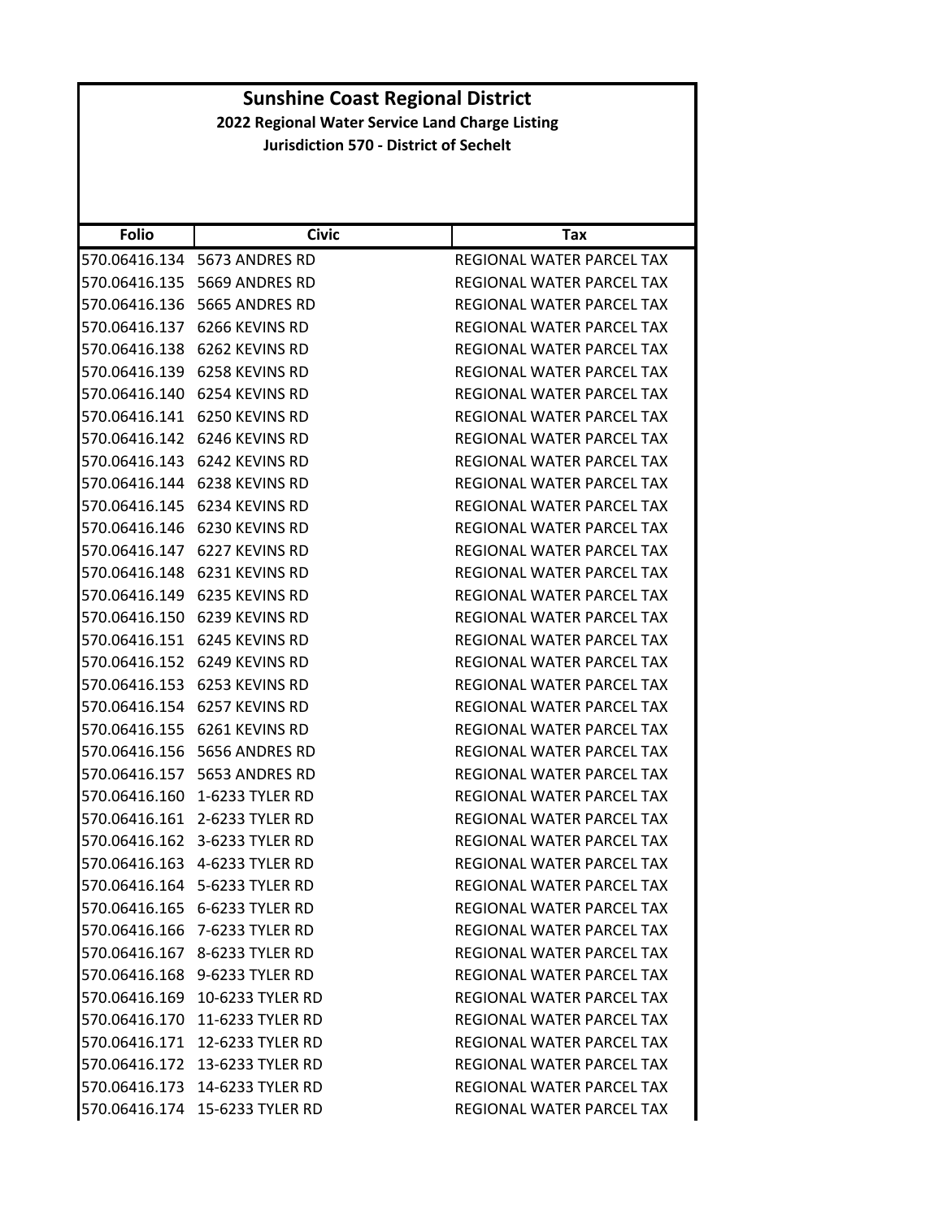| <b>Folio</b>  | <b>Civic</b>                       | Tax                              |
|---------------|------------------------------------|----------------------------------|
|               | 570.06416.134 5673 ANDRES RD       | REGIONAL WATER PARCEL TAX        |
|               | 570.06416.135    5669 ANDRES RD    | REGIONAL WATER PARCEL TAX        |
| 570.06416.136 | 5665 ANDRES RD                     | REGIONAL WATER PARCEL TAX        |
|               | 570.06416.137 6266 KEVINS RD       | REGIONAL WATER PARCEL TAX        |
|               | 570.06416.138    6262    KEVINS RD | REGIONAL WATER PARCEL TAX        |
|               | 570.06416.139    6258 KEVINS RD    | REGIONAL WATER PARCEL TAX        |
|               | 570.06416.140 6254 KEVINS RD       | REGIONAL WATER PARCEL TAX        |
|               | 570.06416.141    6250 KEVINS RD    | REGIONAL WATER PARCEL TAX        |
|               | 570.06416.142    6246 KEVINS RD    | REGIONAL WATER PARCEL TAX        |
|               | 570.06416.143    6242    KEVINS RD | REGIONAL WATER PARCEL TAX        |
|               | 570.06416.144 6238 KEVINS RD       | REGIONAL WATER PARCEL TAX        |
|               | 570.06416.145    6234 KEVINS RD    | REGIONAL WATER PARCEL TAX        |
|               | 570.06416.146    6230 KEVINS RD    | REGIONAL WATER PARCEL TAX        |
|               | 570.06416.147 6227 KEVINS RD       | REGIONAL WATER PARCEL TAX        |
|               | 570.06416.148 6231 KEVINS RD       | REGIONAL WATER PARCEL TAX        |
|               | 570.06416.149 6235 KEVINS RD       | REGIONAL WATER PARCEL TAX        |
|               | 570.06416.150 6239 KEVINS RD       | REGIONAL WATER PARCEL TAX        |
|               | 570.06416.151 6245 KEVINS RD       | REGIONAL WATER PARCEL TAX        |
|               | 570.06416.152    6249 KEVINS RD    | REGIONAL WATER PARCEL TAX        |
| 570.06416.153 | 6253 KEVINS RD                     | REGIONAL WATER PARCEL TAX        |
|               | 570.06416.154 6257 KEVINS RD       | REGIONAL WATER PARCEL TAX        |
|               | 570.06416.155    6261 KEVINS RD    | REGIONAL WATER PARCEL TAX        |
|               | 570.06416.156    5656 ANDRES RD    | REGIONAL WATER PARCEL TAX        |
|               |                                    | REGIONAL WATER PARCEL TAX        |
| 570.06416.160 | 1-6233 TYLER RD                    | REGIONAL WATER PARCEL TAX        |
|               | 570.06416.161 2-6233 TYLER RD      | REGIONAL WATER PARCEL TAX        |
|               | 570.06416.162 3-6233 TYLER RD      | REGIONAL WATER PARCEL TAX        |
|               |                                    | REGIONAL WATER PARCEL TAX        |
|               | 570.06416.164 5-6233 TYLER RD      | REGIONAL WATER PARCEL TAX        |
|               | 570.06416.165 6-6233 TYLER RD      | REGIONAL WATER PARCEL TAX        |
|               | 570.06416.166 7-6233 TYLER RD      | REGIONAL WATER PARCEL TAX        |
|               | 570.06416.167 8-6233 TYLER RD      | REGIONAL WATER PARCEL TAX        |
|               | 570.06416.168 9-6233 TYLER RD      | <b>REGIONAL WATER PARCEL TAX</b> |
|               | 570.06416.169 10-6233 TYLER RD     | REGIONAL WATER PARCEL TAX        |
|               | 570.06416.170 11-6233 TYLER RD     | REGIONAL WATER PARCEL TAX        |
|               | 570.06416.171 12-6233 TYLER RD     | REGIONAL WATER PARCEL TAX        |
|               | 570.06416.172 13-6233 TYLER RD     | REGIONAL WATER PARCEL TAX        |
|               | 570.06416.173 14-6233 TYLER RD     | REGIONAL WATER PARCEL TAX        |
|               | 570.06416.174 15-6233 TYLER RD     | REGIONAL WATER PARCEL TAX        |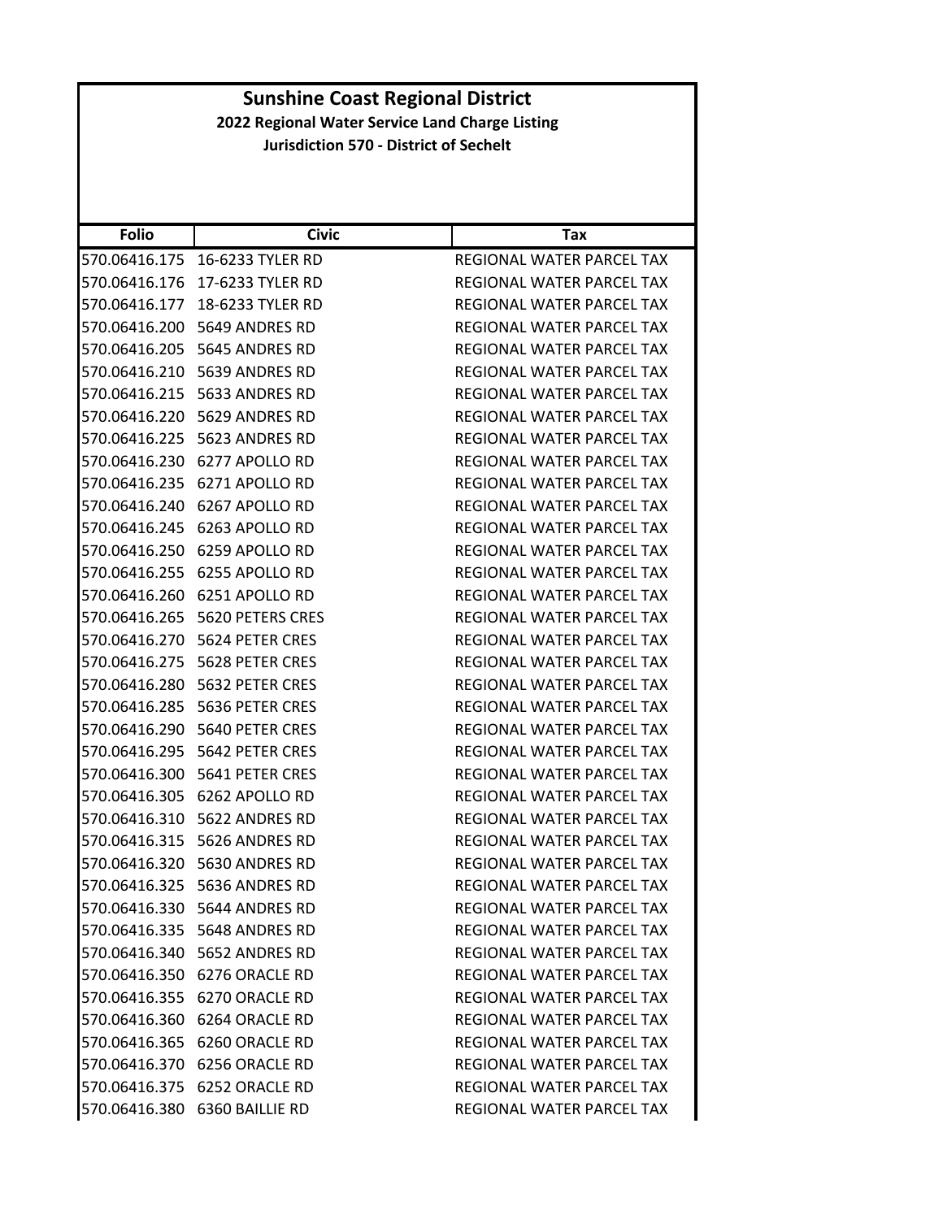| <b>Folio</b>  | <b>Civic</b>                      | Tax                              |
|---------------|-----------------------------------|----------------------------------|
|               | 570.06416.175 16-6233 TYLER RD    | REGIONAL WATER PARCEL TAX        |
|               | 570.06416.176 17-6233 TYLER RD    | REGIONAL WATER PARCEL TAX        |
|               | 570.06416.177 18-6233 TYLER RD    | REGIONAL WATER PARCEL TAX        |
|               | 570.06416.200 5649 ANDRES RD      | REGIONAL WATER PARCEL TAX        |
|               | 570.06416.205    5645 ANDRES RD   | REGIONAL WATER PARCEL TAX        |
| 570.06416.210 | 5639 ANDRES RD                    | REGIONAL WATER PARCEL TAX        |
|               | 570.06416.215    5633 ANDRES RD   | REGIONAL WATER PARCEL TAX        |
|               | 570.06416.220 5629 ANDRES RD      | REGIONAL WATER PARCEL TAX        |
|               | 570.06416.225    5623 ANDRES RD   | REGIONAL WATER PARCEL TAX        |
|               | 570.06416.230 6277 APOLLO RD      | REGIONAL WATER PARCEL TAX        |
| 570.06416.235 | 6271 APOLLO RD                    | REGIONAL WATER PARCEL TAX        |
|               | 570.06416.240 6267 APOLLO RD      | REGIONAL WATER PARCEL TAX        |
| 570.06416.245 | 6263 APOLLO RD                    | REGIONAL WATER PARCEL TAX        |
|               | 570.06416.250 6259 APOLLO RD      | REGIONAL WATER PARCEL TAX        |
| 570.06416.255 | 6255 APOLLO RD                    | REGIONAL WATER PARCEL TAX        |
| 570.06416.260 | 6251 APOLLO RD                    | REGIONAL WATER PARCEL TAX        |
|               | 570.06416.265    5620 PETERS CRES | REGIONAL WATER PARCEL TAX        |
|               | 570.06416.270 5624 PETER CRES     | REGIONAL WATER PARCEL TAX        |
|               | 570.06416.275    5628 PETER CRES  | REGIONAL WATER PARCEL TAX        |
| 570.06416.280 | 5632 PETER CRES                   | REGIONAL WATER PARCEL TAX        |
|               | 570.06416.285    5636 PETER CRES  | REGIONAL WATER PARCEL TAX        |
|               | 570.06416.290 5640 PETER CRES     | REGIONAL WATER PARCEL TAX        |
|               | 570.06416.295    5642 PETER CRES  | REGIONAL WATER PARCEL TAX        |
|               | 570.06416.300 5641 PETER CRES     | REGIONAL WATER PARCEL TAX        |
| 570.06416.305 | 6262 APOLLO RD                    | REGIONAL WATER PARCEL TAX        |
|               | 570.06416.310    5622 ANDRES RD   | REGIONAL WATER PARCEL TAX        |
|               | 570.06416.315    5626 ANDRES RD   | <b>REGIONAL WATER PARCEL TAX</b> |
|               |                                   | <b>REGIONAL WATER PARCEL TAX</b> |
|               | 570.06416.325    5636 ANDRES RD   | <b>REGIONAL WATER PARCEL TAX</b> |
|               | 570.06416.330 5644 ANDRES RD      | REGIONAL WATER PARCEL TAX        |
|               | 570.06416.335    5648 ANDRES RD   | REGIONAL WATER PARCEL TAX        |
|               | 570.06416.340    5652 ANDRES RD   | REGIONAL WATER PARCEL TAX        |
|               | 570.06416.350 6276 ORACLE RD      | REGIONAL WATER PARCEL TAX        |
|               | 570.06416.355 6270 ORACLE RD      | REGIONAL WATER PARCEL TAX        |
|               | 570.06416.360 6264 ORACLE RD      | REGIONAL WATER PARCEL TAX        |
|               | 570.06416.365 6260 ORACLE RD      | REGIONAL WATER PARCEL TAX        |
|               | 570.06416.370 6256 ORACLE RD      | REGIONAL WATER PARCEL TAX        |
|               | 570.06416.375 6252 ORACLE RD      | REGIONAL WATER PARCEL TAX        |
|               | 570.06416.380 6360 BAILLIE RD     | REGIONAL WATER PARCEL TAX        |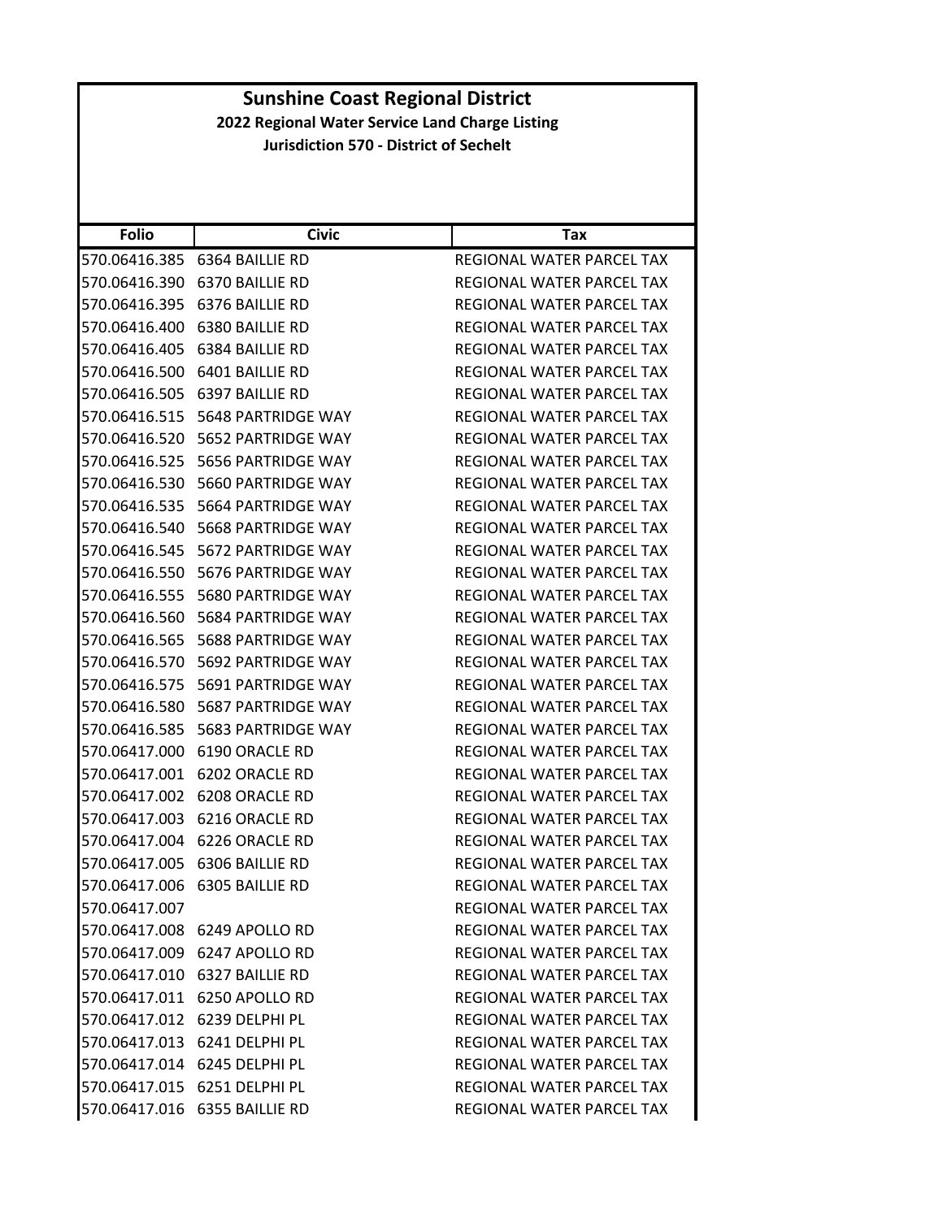| <b>Folio</b>  | <b>Civic</b>                  | Tax                              |
|---------------|-------------------------------|----------------------------------|
| 570.06416.385 | 6364 BAILLIE RD               | REGIONAL WATER PARCEL TAX        |
| 570.06416.390 | 6370 BAILLIE RD               | REGIONAL WATER PARCEL TAX        |
| 570.06416.395 | 6376 BAILLIE RD               | REGIONAL WATER PARCEL TAX        |
| 570.06416.400 | 6380 BAILLIE RD               | REGIONAL WATER PARCEL TAX        |
| 570.06416.405 | 6384 BAILLIE RD               | REGIONAL WATER PARCEL TAX        |
| 570.06416.500 | 6401 BAILLIE RD               | REGIONAL WATER PARCEL TAX        |
| 570.06416.505 | 6397 BAILLIE RD               | REGIONAL WATER PARCEL TAX        |
| 570.06416.515 | 5648 PARTRIDGE WAY            | REGIONAL WATER PARCEL TAX        |
| 570.06416.520 | 5652 PARTRIDGE WAY            | REGIONAL WATER PARCEL TAX        |
| 570.06416.525 | 5656 PARTRIDGE WAY            | REGIONAL WATER PARCEL TAX        |
| 570.06416.530 | 5660 PARTRIDGE WAY            | REGIONAL WATER PARCEL TAX        |
| 570.06416.535 | 5664 PARTRIDGE WAY            | REGIONAL WATER PARCEL TAX        |
| 570.06416.540 | 5668 PARTRIDGE WAY            | REGIONAL WATER PARCEL TAX        |
| 570.06416.545 | 5672 PARTRIDGE WAY            | REGIONAL WATER PARCEL TAX        |
| 570.06416.550 | 5676 PARTRIDGE WAY            | <b>REGIONAL WATER PARCEL TAX</b> |
| 570.06416.555 | 5680 PARTRIDGE WAY            | <b>REGIONAL WATER PARCEL TAX</b> |
| 570.06416.560 | 5684 PARTRIDGE WAY            | REGIONAL WATER PARCEL TAX        |
| 570.06416.565 | 5688 PARTRIDGE WAY            | REGIONAL WATER PARCEL TAX        |
| 570.06416.570 | 5692 PARTRIDGE WAY            | REGIONAL WATER PARCEL TAX        |
| 570.06416.575 | 5691 PARTRIDGE WAY            | REGIONAL WATER PARCEL TAX        |
| 570.06416.580 | 5687 PARTRIDGE WAY            | REGIONAL WATER PARCEL TAX        |
| 570.06416.585 | 5683 PARTRIDGE WAY            | REGIONAL WATER PARCEL TAX        |
| 570.06417.000 | 6190 ORACLE RD                | REGIONAL WATER PARCEL TAX        |
| 570.06417.001 | 6202 ORACLE RD                | REGIONAL WATER PARCEL TAX        |
| 570.06417.002 | 6208 ORACLE RD                | REGIONAL WATER PARCEL TAX        |
| 570.06417.003 | 6216 ORACLE RD                | <b>REGIONAL WATER PARCEL TAX</b> |
| 570.06417.004 | 6226 ORACLE RD                | REGIONAL WATER PARCEL TAX        |
| 570.06417.005 | 6306 BAILLIE RD               | REGIONAL WATER PARCEL TAX        |
| 570.06417.006 | 6305 BAILLIE RD               | REGIONAL WATER PARCEL TAX        |
| 570.06417.007 |                               | REGIONAL WATER PARCEL TAX        |
|               | 570.06417.008 6249 APOLLO RD  | REGIONAL WATER PARCEL TAX        |
|               | 570.06417.009 6247 APOLLO RD  | REGIONAL WATER PARCEL TAX        |
|               | 570.06417.010 6327 BAILLIE RD | REGIONAL WATER PARCEL TAX        |
|               | 570.06417.011 6250 APOLLO RD  | REGIONAL WATER PARCEL TAX        |
|               | 570.06417.012 6239 DELPHI PL  | REGIONAL WATER PARCEL TAX        |
|               | 570.06417.013 6241 DELPHI PL  | REGIONAL WATER PARCEL TAX        |
|               | 570.06417.014 6245 DELPHI PL  | REGIONAL WATER PARCEL TAX        |
|               | 570.06417.015 6251 DELPHI PL  | REGIONAL WATER PARCEL TAX        |
|               | 570.06417.016 6355 BAILLIE RD | REGIONAL WATER PARCEL TAX        |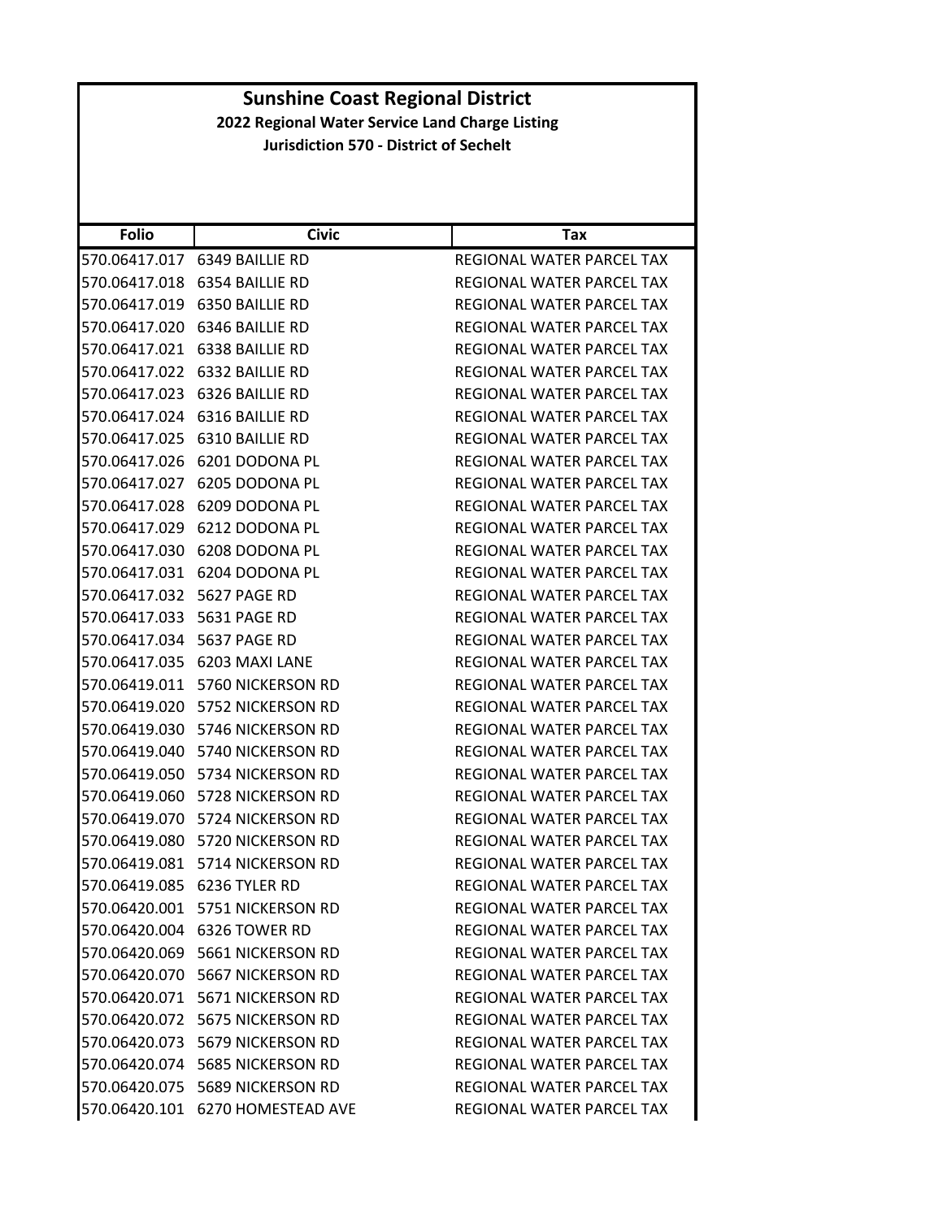| <b>Folio</b>               | <b>Civic</b>                     | Tax                              |
|----------------------------|----------------------------------|----------------------------------|
| 570.06417.017              | 6349 BAILLIE RD                  | REGIONAL WATER PARCEL TAX        |
| 570.06417.018              | 6354 BAILLIE RD                  | REGIONAL WATER PARCEL TAX        |
|                            | 570.06417.019 6350 BAILLIE RD    | REGIONAL WATER PARCEL TAX        |
| 570.06417.020              | 6346 BAILLIE RD                  | REGIONAL WATER PARCEL TAX        |
|                            | 570.06417.021 6338 BAILLIE RD    | REGIONAL WATER PARCEL TAX        |
| 570.06417.022              | 6332 BAILLIE RD                  | <b>REGIONAL WATER PARCEL TAX</b> |
| 570.06417.023              | 6326 BAILLIE RD                  | REGIONAL WATER PARCEL TAX        |
|                            | 570.06417.024 6316 BAILLIE RD    | REGIONAL WATER PARCEL TAX        |
| 570.06417.025              | 6310 BAILLIE RD                  | REGIONAL WATER PARCEL TAX        |
|                            | 570.06417.026 6201 DODONA PL     | REGIONAL WATER PARCEL TAX        |
| 570.06417.027              | 6205 DODONA PL                   | REGIONAL WATER PARCEL TAX        |
| 570.06417.028              | 6209 DODONA PL                   | <b>REGIONAL WATER PARCEL TAX</b> |
| 570.06417.029              | 6212 DODONA PL                   | REGIONAL WATER PARCEL TAX        |
|                            | 570.06417.030 6208 DODONA PL     | REGIONAL WATER PARCEL TAX        |
|                            | 570.06417.031 6204 DODONA PL     | REGIONAL WATER PARCEL TAX        |
| 570.06417.032              | <b>5627 PAGE RD</b>              | REGIONAL WATER PARCEL TAX        |
| 570.06417.033 5631 PAGE RD |                                  | REGIONAL WATER PARCEL TAX        |
| 570.06417.034              | 5637 PAGE RD                     | <b>REGIONAL WATER PARCEL TAX</b> |
|                            | 570.06417.035 6203 MAXI LANE     | REGIONAL WATER PARCEL TAX        |
| 570.06419.011              | 5760 NICKERSON RD                | REGIONAL WATER PARCEL TAX        |
| 570.06419.020              | 5752 NICKERSON RD                | REGIONAL WATER PARCEL TAX        |
|                            | 570.06419.030 5746 NICKERSON RD  | REGIONAL WATER PARCEL TAX        |
| 570.06419.040              | 5740 NICKERSON RD                | REGIONAL WATER PARCEL TAX        |
|                            | 570.06419.050 5734 NICKERSON RD  | REGIONAL WATER PARCEL TAX        |
| 570.06419.060              | 5728 NICKERSON RD                | REGIONAL WATER PARCEL TAX        |
| 570.06419.070              | 5724 NICKERSON RD                | REGIONAL WATER PARCEL TAX        |
| 570.06419.080              | 5720 NICKERSON RD                | REGIONAL WATER PARCEL TAX        |
| 570.06419.081              | 5714 NICKERSON RD                | REGIONAL WATER PARCEL TAX        |
|                            |                                  | REGIONAL WATER PARCEL TAX        |
|                            | 570.06420.001 5751 NICKERSON RD  | REGIONAL WATER PARCEL TAX        |
|                            | 570.06420.004 6326 TOWER RD      | REGIONAL WATER PARCEL TAX        |
|                            | 570.06420.069 5661 NICKERSON RD  | REGIONAL WATER PARCEL TAX        |
|                            | 570.06420.070 5667 NICKERSON RD  | <b>REGIONAL WATER PARCEL TAX</b> |
|                            | 570.06420.071 5671 NICKERSON RD  | REGIONAL WATER PARCEL TAX        |
|                            | 570.06420.072 5675 NICKERSON RD  | REGIONAL WATER PARCEL TAX        |
|                            | 570.06420.073 5679 NICKERSON RD  | REGIONAL WATER PARCEL TAX        |
|                            | 570.06420.074 5685 NICKERSON RD  | REGIONAL WATER PARCEL TAX        |
|                            | 570.06420.075 5689 NICKERSON RD  | REGIONAL WATER PARCEL TAX        |
|                            | 570.06420.101 6270 HOMESTEAD AVE | REGIONAL WATER PARCEL TAX        |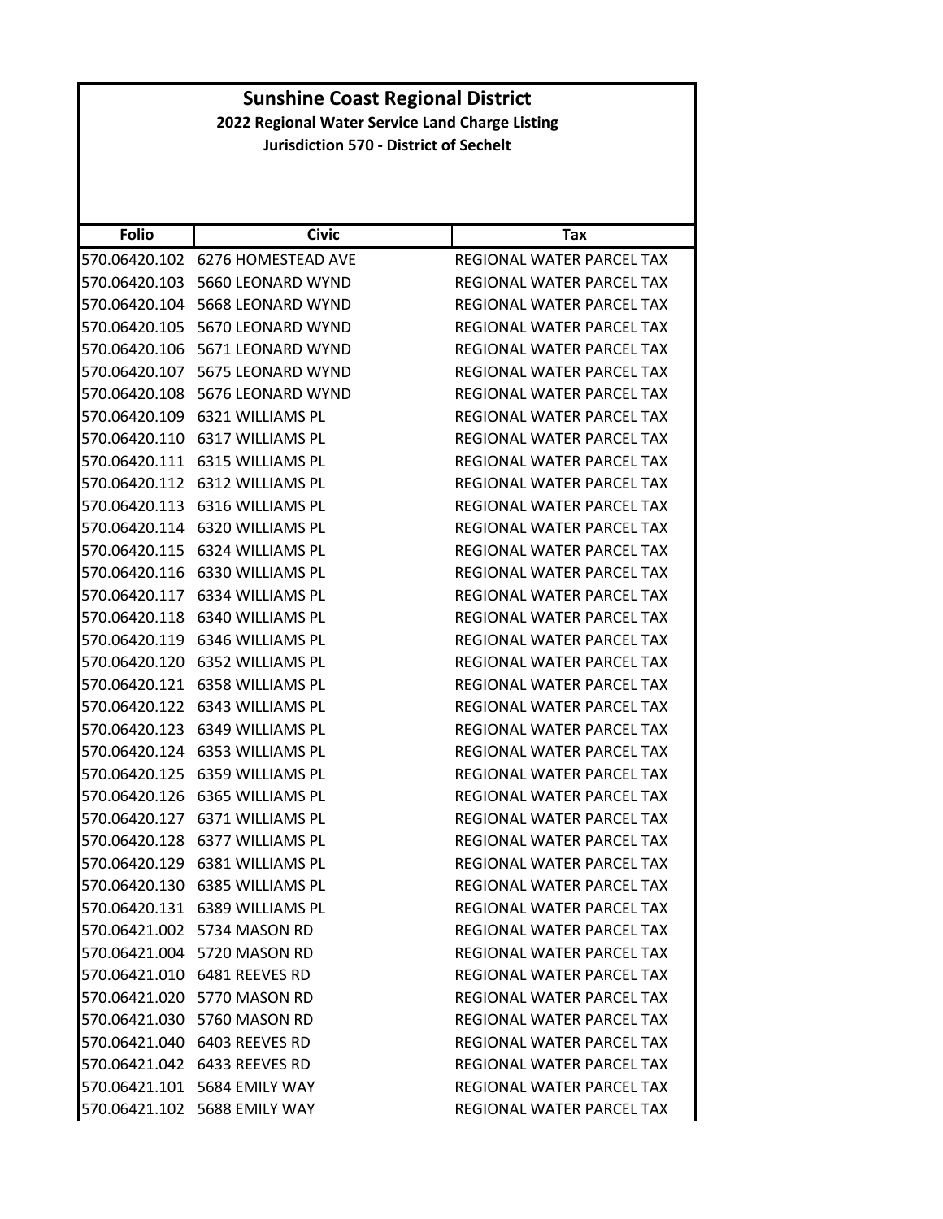|               | <b>Sunshine Coast Regional District</b>                                                          |                                  |  |
|---------------|--------------------------------------------------------------------------------------------------|----------------------------------|--|
|               | 2022 Regional Water Service Land Charge Listing<br><b>Jurisdiction 570 - District of Sechelt</b> |                                  |  |
|               |                                                                                                  |                                  |  |
|               |                                                                                                  |                                  |  |
|               |                                                                                                  |                                  |  |
| <b>Folio</b>  | <b>Civic</b>                                                                                     | <b>Tax</b>                       |  |
|               | 570.06420.102    6276 HOMESTEAD AVE                                                              | REGIONAL WATER PARCEL TAX        |  |
|               | 570.06420.103 5660 LEONARD WYND                                                                  | REGIONAL WATER PARCEL TAX        |  |
|               | 570.06420.104 5668 LEONARD WYND                                                                  | REGIONAL WATER PARCEL TAX        |  |
| 570.06420.105 | 5670 LEONARD WYND                                                                                | REGIONAL WATER PARCEL TAX        |  |
|               | 570.06420.106 5671 LEONARD WYND                                                                  | REGIONAL WATER PARCEL TAX        |  |
|               | 570.06420.107    5675 LEONARD WYND                                                               | REGIONAL WATER PARCEL TAX        |  |
|               | 570.06420.108 5676 LEONARD WYND                                                                  | REGIONAL WATER PARCEL TAX        |  |
|               | 570.06420.109 6321 WILLIAMS PL                                                                   | REGIONAL WATER PARCEL TAX        |  |
| 570.06420.110 | 6317 WILLIAMS PL                                                                                 | REGIONAL WATER PARCEL TAX        |  |
|               | 570.06420.111 6315 WILLIAMS PL                                                                   | REGIONAL WATER PARCEL TAX        |  |
| 570.06420.112 | 6312 WILLIAMS PL                                                                                 | REGIONAL WATER PARCEL TAX        |  |
|               | 570.06420.113 6316 WILLIAMS PL                                                                   | <b>REGIONAL WATER PARCEL TAX</b> |  |
| 570.06420.114 | 6320 WILLIAMS PL                                                                                 | <b>REGIONAL WATER PARCEL TAX</b> |  |
| 570.06420.115 | 6324 WILLIAMS PL                                                                                 | REGIONAL WATER PARCEL TAX        |  |
|               | 570.06420.116 6330 WILLIAMS PL                                                                   | REGIONAL WATER PARCEL TAX        |  |
| 570.06420.117 | 6334 WILLIAMS PL                                                                                 | REGIONAL WATER PARCEL TAX        |  |
|               | 570.06420.118 6340 WILLIAMS PL                                                                   | REGIONAL WATER PARCEL TAX        |  |
| 570.06420.119 | 6346 WILLIAMS PL                                                                                 | REGIONAL WATER PARCEL TAX        |  |
| 570.06420.120 | 6352 WILLIAMS PL                                                                                 | REGIONAL WATER PARCEL TAX        |  |
|               | 570.06420.121 6358 WILLIAMS PL                                                                   | REGIONAL WATER PARCEL TAX        |  |
|               | 570.06420.122 6343 WILLIAMS PL                                                                   | REGIONAL WATER PARCEL TAX        |  |
|               | 570.06420.123 6349 WILLIAMS PL                                                                   | REGIONAL WATER PARCEL TAX        |  |
| 570.06420.124 | 6353 WILLIAMS PL                                                                                 | <b>REGIONAL WATER PARCEL TAX</b> |  |
|               | 570.06420.125 6359 WILLIAMS PL                                                                   | REGIONAL WATER PARCEL TAX        |  |
|               | 570.06420.126 6365 WILLIAMS PL                                                                   | REGIONAL WATER PARCEL TAX        |  |
|               | 570.06420.127 6371 WILLIAMS PL                                                                   | REGIONAL WATER PARCEL TAX        |  |
|               | 570.06420.128 6377 WILLIAMS PL                                                                   | <b>REGIONAL WATER PARCEL TAX</b> |  |
|               | 570.06420.129 6381 WILLIAMS PL                                                                   | REGIONAL WATER PARCEL TAX        |  |
|               | 570.06420.130 6385 WILLIAMS PL                                                                   | REGIONAL WATER PARCEL TAX        |  |
|               | 570.06420.131    6389 WILLIAMS PL                                                                | REGIONAL WATER PARCEL TAX        |  |
|               | 570.06421.002    5734 MASON RD                                                                   | REGIONAL WATER PARCEL TAX        |  |
|               | 570.06421.004 5720 MASON RD                                                                      | REGIONAL WATER PARCEL TAX        |  |
|               | 570.06421.010 6481 REEVES RD                                                                     | REGIONAL WATER PARCEL TAX        |  |
|               | 570.06421.020 5770 MASON RD                                                                      | REGIONAL WATER PARCEL TAX        |  |
|               | 570.06421.030 5760 MASON RD                                                                      | REGIONAL WATER PARCEL TAX        |  |
|               | 570.06421.040 6403 REEVES RD                                                                     | REGIONAL WATER PARCEL TAX        |  |
|               | 570.06421.042 6433 REEVES RD                                                                     | REGIONAL WATER PARCEL TAX        |  |
|               |                                                                                                  |                                  |  |
|               | 570.06421.101 5684 EMILY WAY                                                                     | REGIONAL WATER PARCEL TAX        |  |
|               | 570.06421.102 5688 EMILY WAY                                                                     | REGIONAL WATER PARCEL TAX        |  |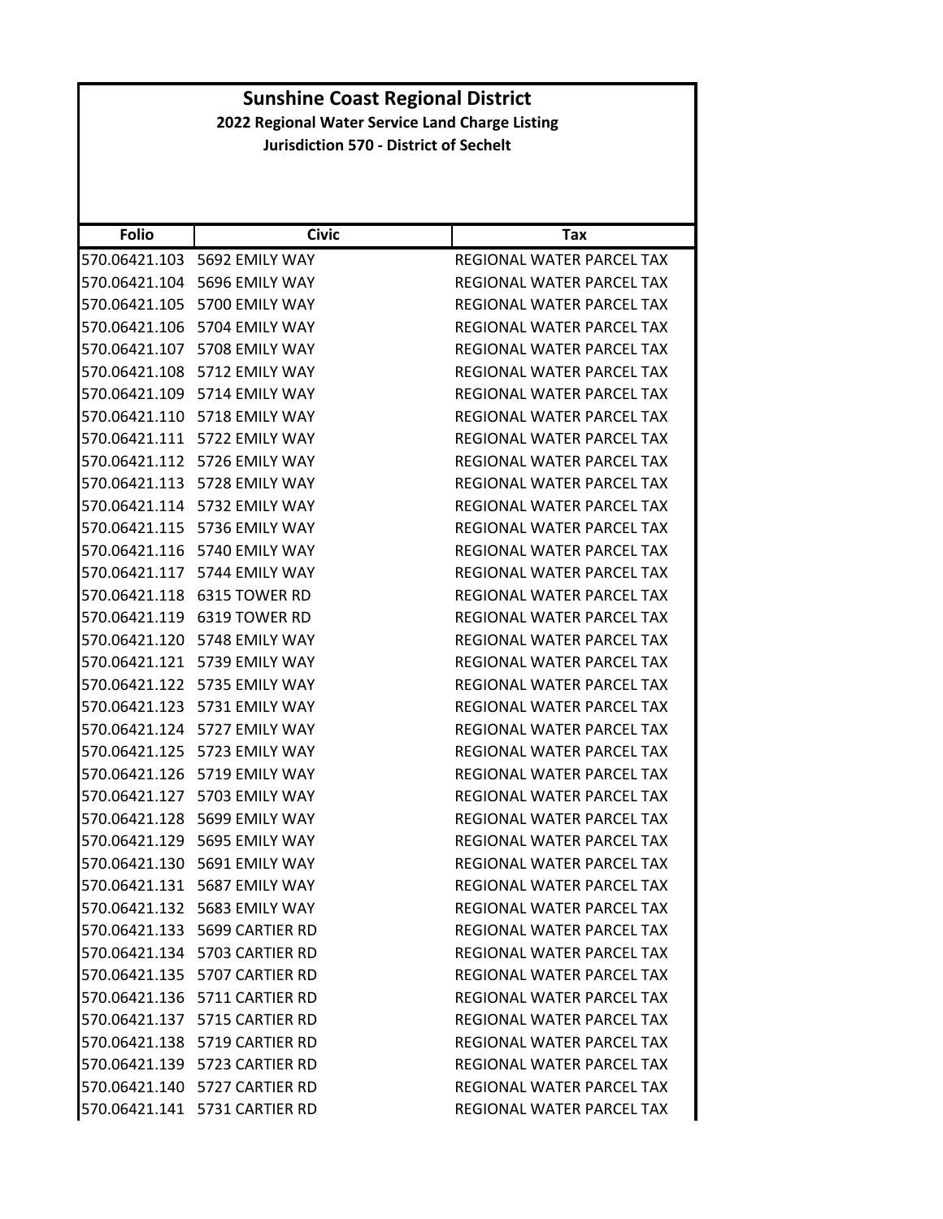| <b>Folio</b>  | <b>Civic</b>                     | Tax                              |
|---------------|----------------------------------|----------------------------------|
| 570.06421.103 | 5692 EMILY WAY                   | REGIONAL WATER PARCEL TAX        |
|               | 570.06421.104 5696 EMILY WAY     | <b>REGIONAL WATER PARCEL TAX</b> |
| 570.06421.105 | 5700 EMILY WAY                   | REGIONAL WATER PARCEL TAX        |
|               | 570.06421.106 5704 EMILY WAY     | REGIONAL WATER PARCEL TAX        |
|               | 570.06421.107 5708 EMILY WAY     | REGIONAL WATER PARCEL TAX        |
| 570.06421.108 | 5712 EMILY WAY                   | REGIONAL WATER PARCEL TAX        |
|               | 570.06421.109 5714 EMILY WAY     | REGIONAL WATER PARCEL TAX        |
| 570.06421.110 | 5718 EMILY WAY                   | REGIONAL WATER PARCEL TAX        |
| 570.06421.111 | 5722 EMILY WAY                   | REGIONAL WATER PARCEL TAX        |
|               | 570.06421.112 5726 EMILY WAY     | REGIONAL WATER PARCEL TAX        |
| 570.06421.113 | 5728 EMILY WAY                   | REGIONAL WATER PARCEL TAX        |
|               | 570.06421.114 5732 EMILY WAY     | REGIONAL WATER PARCEL TAX        |
| 570.06421.115 | 5736 EMILY WAY                   | REGIONAL WATER PARCEL TAX        |
|               | 570.06421.116 5740 EMILY WAY     | REGIONAL WATER PARCEL TAX        |
|               | 570.06421.117 5744 EMILY WAY     | REGIONAL WATER PARCEL TAX        |
| 570.06421.118 | 6315 TOWER RD                    | REGIONAL WATER PARCEL TAX        |
|               | 570.06421.119 6319 TOWER RD      | REGIONAL WATER PARCEL TAX        |
| 570.06421.120 | 5748 EMILY WAY                   | REGIONAL WATER PARCEL TAX        |
| 570.06421.121 | 5739 EMILY WAY                   | REGIONAL WATER PARCEL TAX        |
| 570.06421.122 | 5735 EMILY WAY                   | REGIONAL WATER PARCEL TAX        |
| 570.06421.123 | 5731 EMILY WAY                   | REGIONAL WATER PARCEL TAX        |
|               | 570.06421.124 5727 EMILY WAY     | REGIONAL WATER PARCEL TAX        |
| 570.06421.125 | 5723 EMILY WAY                   | REGIONAL WATER PARCEL TAX        |
| 570.06421.126 | 5719 EMILY WAY                   | REGIONAL WATER PARCEL TAX        |
| 570.06421.127 | 5703 EMILY WAY                   | REGIONAL WATER PARCEL TAX        |
| 570.06421.128 | 5699 EMILY WAY                   | REGIONAL WATER PARCEL TAX        |
| 570.06421.129 | 5695 EMILY WAY                   | <b>REGIONAL WATER PARCEL TAX</b> |
| 570.06421.130 | 5691 EMILY WAY                   | REGIONAL WATER PARCEL TAX        |
|               | 570.06421.131    5687 EMILY WAY  | REGIONAL WATER PARCEL TAX        |
|               | 570.06421.132 5683 EMILY WAY     | REGIONAL WATER PARCEL TAX        |
|               | 570.06421.133    5699 CARTIER RD | REGIONAL WATER PARCEL TAX        |
|               | 570.06421.134 5703 CARTIER RD    | REGIONAL WATER PARCEL TAX        |
|               | 570.06421.135 5707 CARTIER RD    | REGIONAL WATER PARCEL TAX        |
|               | 570.06421.136 5711 CARTIER RD    | REGIONAL WATER PARCEL TAX        |
|               | 570.06421.137 5715 CARTIER RD    | REGIONAL WATER PARCEL TAX        |
|               | 570.06421.138 5719 CARTIER RD    | REGIONAL WATER PARCEL TAX        |
|               | 570.06421.139 5723 CARTIER RD    | REGIONAL WATER PARCEL TAX        |
|               | 570.06421.140 5727 CARTIER RD    | REGIONAL WATER PARCEL TAX        |
|               | 570.06421.141    5731 CARTIER RD | REGIONAL WATER PARCEL TAX        |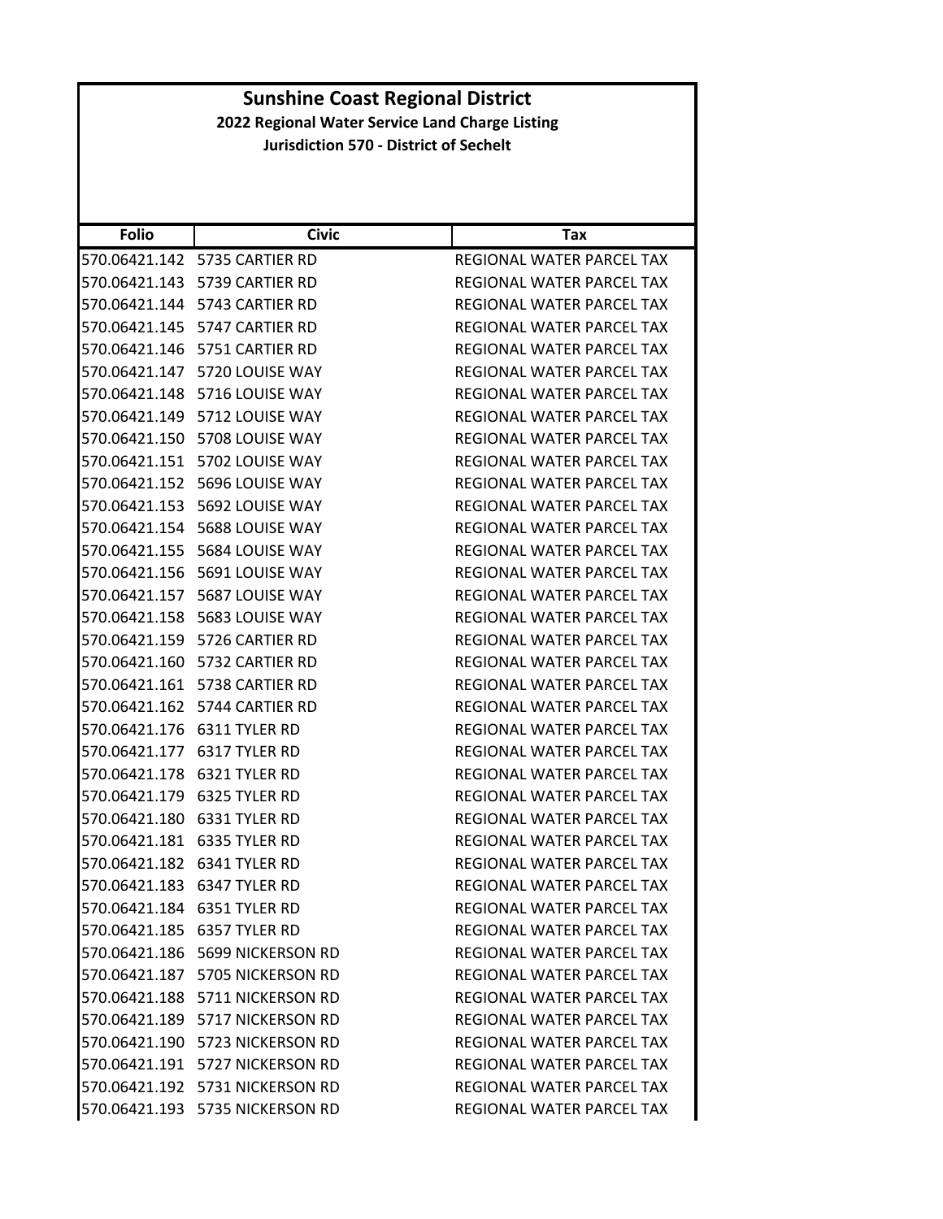| <b>Folio</b>  | <b>Civic</b>                        | Tax                              |
|---------------|-------------------------------------|----------------------------------|
|               | 570.06421.142 5735 CARTIER RD       | REGIONAL WATER PARCEL TAX        |
|               |                                     | REGIONAL WATER PARCEL TAX        |
|               |                                     | REGIONAL WATER PARCEL TAX        |
|               | 570.06421.145    5747 CARTIER RD    | REGIONAL WATER PARCEL TAX        |
|               |                                     | REGIONAL WATER PARCEL TAX        |
| 570.06421.147 | 5720 LOUISE WAY                     | <b>REGIONAL WATER PARCEL TAX</b> |
|               | 570.06421.148    5716    LOUISE WAY | REGIONAL WATER PARCEL TAX        |
|               |                                     | REGIONAL WATER PARCEL TAX        |
|               | 570.06421.150 5708 LOUISE WAY       | REGIONAL WATER PARCEL TAX        |
| 570.06421.151 | 5702 LOUISE WAY                     | REGIONAL WATER PARCEL TAX        |
| 570.06421.152 | 5696 LOUISE WAY                     | REGIONAL WATER PARCEL TAX        |
|               | 570.06421.153    5692    LOUISE WAY | REGIONAL WATER PARCEL TAX        |
|               | 570.06421.154    5688    LOUISE WAY | REGIONAL WATER PARCEL TAX        |
|               |                                     | REGIONAL WATER PARCEL TAX        |
| 570.06421.156 | 5691 LOUISE WAY                     | REGIONAL WATER PARCEL TAX        |
| 570.06421.157 | 5687 LOUISE WAY                     | REGIONAL WATER PARCEL TAX        |
| 570.06421.158 | 5683 LOUISE WAY                     | REGIONAL WATER PARCEL TAX        |
|               | 570.06421.159 5726 CARTIER RD       | REGIONAL WATER PARCEL TAX        |
|               | 570.06421.160 5732 CARTIER RD       | REGIONAL WATER PARCEL TAX        |
| 570.06421.161 | 5738 CARTIER RD                     | REGIONAL WATER PARCEL TAX        |
|               | 570.06421.162    5744 CARTIER RD    | REGIONAL WATER PARCEL TAX        |
|               | 570.06421.176 6311 TYLER RD         | REGIONAL WATER PARCEL TAX        |
|               | 570.06421.177 6317 TYLER RD         | REGIONAL WATER PARCEL TAX        |
| 570.06421.178 | 6321 TYLER RD                       | REGIONAL WATER PARCEL TAX        |
| 570.06421.179 | 6325 TYLER RD                       | REGIONAL WATER PARCEL TAX        |
|               | 570.06421.180    6331 TYLER RD      | <b>REGIONAL WATER PARCEL TAX</b> |
| 570.06421.181 | 6335 TYLER RD                       | REGIONAL WATER PARCEL TAX        |
|               | 570.06421.182 6341 TYLER RD         | <b>REGIONAL WATER PARCEL TAX</b> |
| 570.06421.183 | 6347 TYLER RD                       | REGIONAL WATER PARCEL TAX        |
|               | 570.06421.184 6351 TYLER RD         | <b>REGIONAL WATER PARCEL TAX</b> |
|               | 570.06421.185 6357 TYLER RD         | REGIONAL WATER PARCEL TAX        |
|               | 570.06421.186    5699 NICKERSON RD  | REGIONAL WATER PARCEL TAX        |
|               | 570.06421.187 5705 NICKERSON RD     | REGIONAL WATER PARCEL TAX        |
|               | 570.06421.188 5711 NICKERSON RD     | REGIONAL WATER PARCEL TAX        |
|               | 570.06421.189 5717 NICKERSON RD     | REGIONAL WATER PARCEL TAX        |
|               | 570.06421.190    5723 NICKERSON RD  | REGIONAL WATER PARCEL TAX        |
|               | 570.06421.191 5727 NICKERSON RD     | <b>REGIONAL WATER PARCEL TAX</b> |
|               | 570.06421.192    5731 NICKERSON RD  | REGIONAL WATER PARCEL TAX        |
|               | 570.06421.193 5735 NICKERSON RD     | REGIONAL WATER PARCEL TAX        |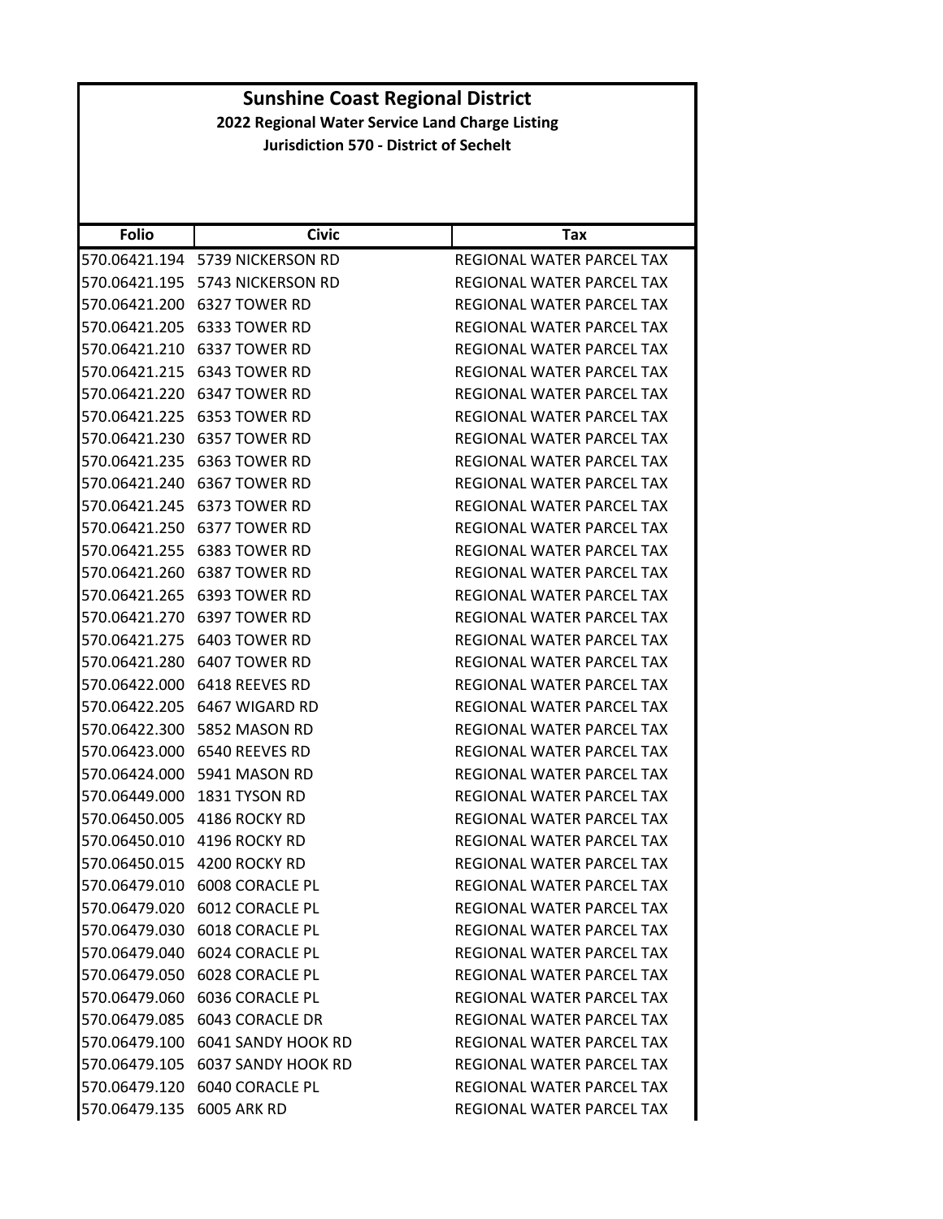| <b>Folio</b>  | <b>Civic</b>                     | Tax                              |
|---------------|----------------------------------|----------------------------------|
|               | 570.06421.194 5739 NICKERSON RD  | REGIONAL WATER PARCEL TAX        |
|               |                                  | REGIONAL WATER PARCEL TAX        |
|               | 570.06421.200 6327 TOWER RD      | <b>REGIONAL WATER PARCEL TAX</b> |
|               | 570.06421.205 6333 TOWER RD      | REGIONAL WATER PARCEL TAX        |
| 570.06421.210 | 6337 TOWER RD                    | REGIONAL WATER PARCEL TAX        |
| 570.06421.215 | 6343 TOWER RD                    | REGIONAL WATER PARCEL TAX        |
|               | 570.06421.220    6347 TOWER RD   | REGIONAL WATER PARCEL TAX        |
|               | 570.06421.225 6353 TOWER RD      | REGIONAL WATER PARCEL TAX        |
|               | 570.06421.230 6357 TOWER RD      | REGIONAL WATER PARCEL TAX        |
| 570.06421.235 | 6363 TOWER RD                    | REGIONAL WATER PARCEL TAX        |
|               | 570.06421.240 6367 TOWER RD      | REGIONAL WATER PARCEL TAX        |
|               |                                  | REGIONAL WATER PARCEL TAX        |
|               | 570.06421.250 6377 TOWER RD      | REGIONAL WATER PARCEL TAX        |
|               | 570.06421.255 6383 TOWER RD      | REGIONAL WATER PARCEL TAX        |
| 570.06421.260 | 6387 TOWER RD                    | <b>REGIONAL WATER PARCEL TAX</b> |
|               | 570.06421.265 6393 TOWER RD      | REGIONAL WATER PARCEL TAX        |
|               | 570.06421.270 6397 TOWER RD      | REGIONAL WATER PARCEL TAX        |
|               | 570.06421.275 6403 TOWER RD      | REGIONAL WATER PARCEL TAX        |
|               | 570.06421.280 6407 TOWER RD      | REGIONAL WATER PARCEL TAX        |
| 570.06422.000 | 6418 REEVES RD                   | REGIONAL WATER PARCEL TAX        |
|               | 570.06422.205    6467 WIGARD RD  | REGIONAL WATER PARCEL TAX        |
|               |                                  | REGIONAL WATER PARCEL TAX        |
|               | 570.06423.000 6540 REEVES RD     | REGIONAL WATER PARCEL TAX        |
| 570.06424.000 | 5941 MASON RD                    | REGIONAL WATER PARCEL TAX        |
| 570.06449.000 | 1831 TYSON RD                    | REGIONAL WATER PARCEL TAX        |
|               | 570.06450.005 4186 ROCKY RD      | REGIONAL WATER PARCEL TAX        |
|               | 570.06450.010 4196 ROCKY RD      | <b>REGIONAL WATER PARCEL TAX</b> |
|               | 570.06450.015 4200 ROCKY RD      | REGIONAL WATER PARCEL TAX        |
|               | 570.06479.010 6008 CORACLE PL    | REGIONAL WATER PARCEL TAX        |
|               | 570.06479.020 6012 CORACLE PL    | REGIONAL WATER PARCEL TAX        |
|               |                                  | REGIONAL WATER PARCEL TAX        |
|               | 570.06479.040 6024 CORACLE PL    | REGIONAL WATER PARCEL TAX        |
|               | 570.06479.050 6028 CORACLE PL    | REGIONAL WATER PARCEL TAX        |
|               |                                  | REGIONAL WATER PARCEL TAX        |
|               |                                  | REGIONAL WATER PARCEL TAX        |
|               | 570.06479.100 6041 SANDY HOOK RD | REGIONAL WATER PARCEL TAX        |
|               | 570.06479.105 6037 SANDY HOOK RD | REGIONAL WATER PARCEL TAX        |
|               | 570.06479.120 6040 CORACLE PL    | REGIONAL WATER PARCEL TAX        |
| 570.06479.135 | <b>6005 ARK RD</b>               | REGIONAL WATER PARCEL TAX        |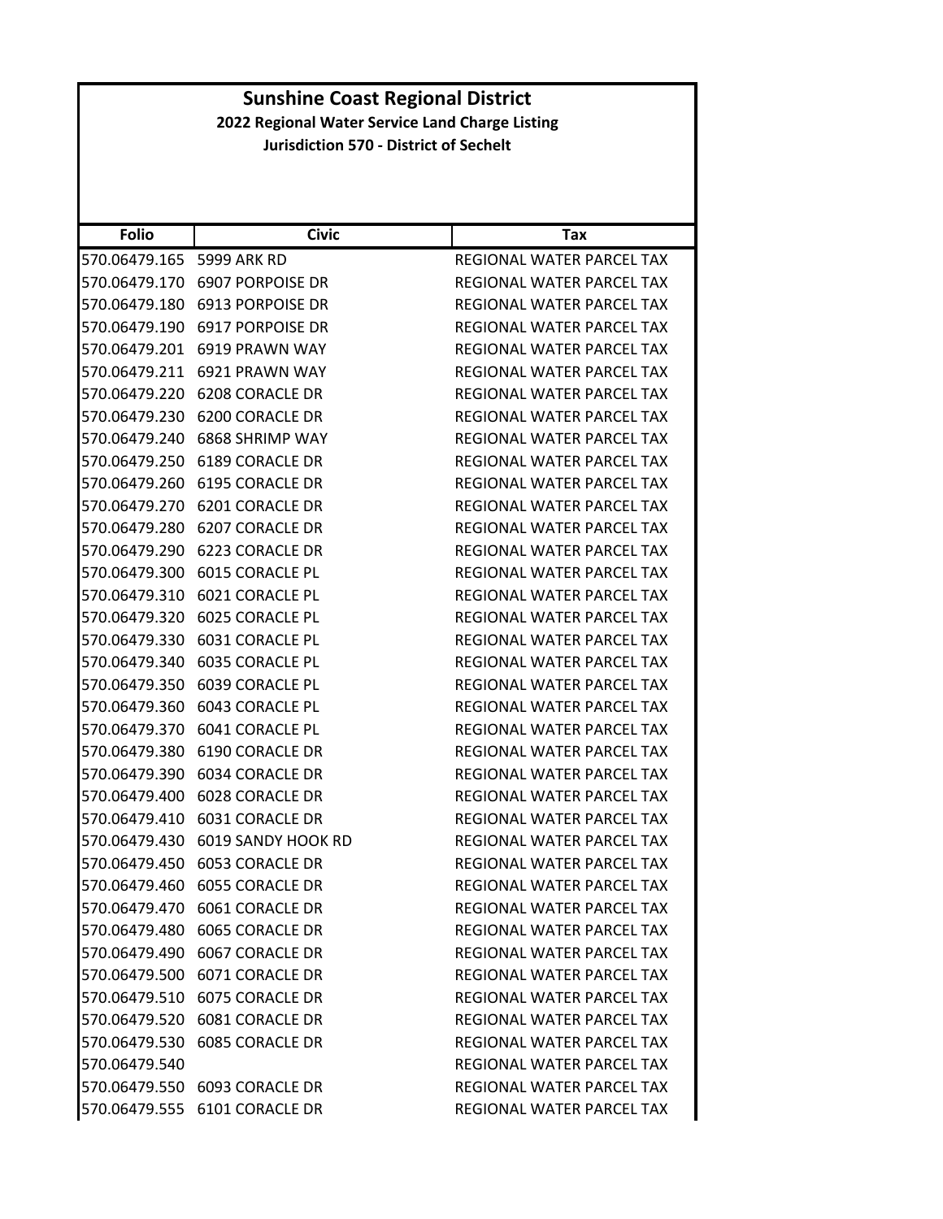| <b>Folio</b>  | <b>Civic</b>                  | Tax                              |
|---------------|-------------------------------|----------------------------------|
| 570.06479.165 | 5999 ARK RD                   | REGIONAL WATER PARCEL TAX        |
| 570.06479.170 | <b>6907 PORPOISE DR</b>       | REGIONAL WATER PARCEL TAX        |
| 570.06479.180 | 6913 PORPOISE DR              | REGIONAL WATER PARCEL TAX        |
| 570.06479.190 | 6917 PORPOISE DR              | REGIONAL WATER PARCEL TAX        |
| 570.06479.201 | 6919 PRAWN WAY                | REGIONAL WATER PARCEL TAX        |
| 570.06479.211 | 6921 PRAWN WAY                | REGIONAL WATER PARCEL TAX        |
| 570.06479.220 | 6208 CORACLE DR               | REGIONAL WATER PARCEL TAX        |
| 570.06479.230 | 6200 CORACLE DR               | REGIONAL WATER PARCEL TAX        |
| 570.06479.240 | 6868 SHRIMP WAY               | REGIONAL WATER PARCEL TAX        |
| 570.06479.250 | 6189 CORACLE DR               | REGIONAL WATER PARCEL TAX        |
| 570.06479.260 | 6195 CORACLE DR               | REGIONAL WATER PARCEL TAX        |
| 570.06479.270 | 6201 CORACLE DR               | REGIONAL WATER PARCEL TAX        |
| 570.06479.280 | <b>6207 CORACLE DR</b>        | <b>REGIONAL WATER PARCEL TAX</b> |
| 570.06479.290 | 6223 CORACLE DR               | REGIONAL WATER PARCEL TAX        |
| 570.06479.300 | 6015 CORACLE PL               | REGIONAL WATER PARCEL TAX        |
| 570.06479.310 | 6021 CORACLE PL               | REGIONAL WATER PARCEL TAX        |
| 570.06479.320 | <b>6025 CORACLE PL</b>        | REGIONAL WATER PARCEL TAX        |
| 570.06479.330 | 6031 CORACLE PL               | <b>REGIONAL WATER PARCEL TAX</b> |
| 570.06479.340 | <b>6035 CORACLE PL</b>        | REGIONAL WATER PARCEL TAX        |
| 570.06479.350 | 6039 CORACLE PL               | REGIONAL WATER PARCEL TAX        |
| 570.06479.360 | 6043 CORACLE PL               | REGIONAL WATER PARCEL TAX        |
| 570.06479.370 | 6041 CORACLE PL               | REGIONAL WATER PARCEL TAX        |
| 570.06479.380 | 6190 CORACLE DR               | REGIONAL WATER PARCEL TAX        |
| 570.06479.390 | 6034 CORACLE DR               | REGIONAL WATER PARCEL TAX        |
| 570.06479.400 | 6028 CORACLE DR               | REGIONAL WATER PARCEL TAX        |
| 570.06479.410 | 6031 CORACLE DR               | REGIONAL WATER PARCEL TAX        |
| 570.06479.430 | 6019 SANDY HOOK RD            | REGIONAL WATER PARCEL TAX        |
| 570.06479.450 | <b>6053 CORACLE DR</b>        | REGIONAL WATER PARCEL TAX        |
| 570.06479.460 | <b>6055 CORACLE DR</b>        | REGIONAL WATER PARCEL TAX        |
|               | 570.06479.470 6061 CORACLE DR | REGIONAL WATER PARCEL TAX        |
|               | 570.06479.480 6065 CORACLE DR | REGIONAL WATER PARCEL TAX        |
|               | 570.06479.490 6067 CORACLE DR | REGIONAL WATER PARCEL TAX        |
|               | 570.06479.500 6071 CORACLE DR | <b>REGIONAL WATER PARCEL TAX</b> |
|               | 570.06479.510 6075 CORACLE DR | REGIONAL WATER PARCEL TAX        |
|               | 570.06479.520 6081 CORACLE DR | REGIONAL WATER PARCEL TAX        |
|               | 570.06479.530 6085 CORACLE DR | REGIONAL WATER PARCEL TAX        |
| 570.06479.540 |                               | REGIONAL WATER PARCEL TAX        |
|               | 570.06479.550 6093 CORACLE DR | REGIONAL WATER PARCEL TAX        |
|               | 570.06479.555 6101 CORACLE DR | REGIONAL WATER PARCEL TAX        |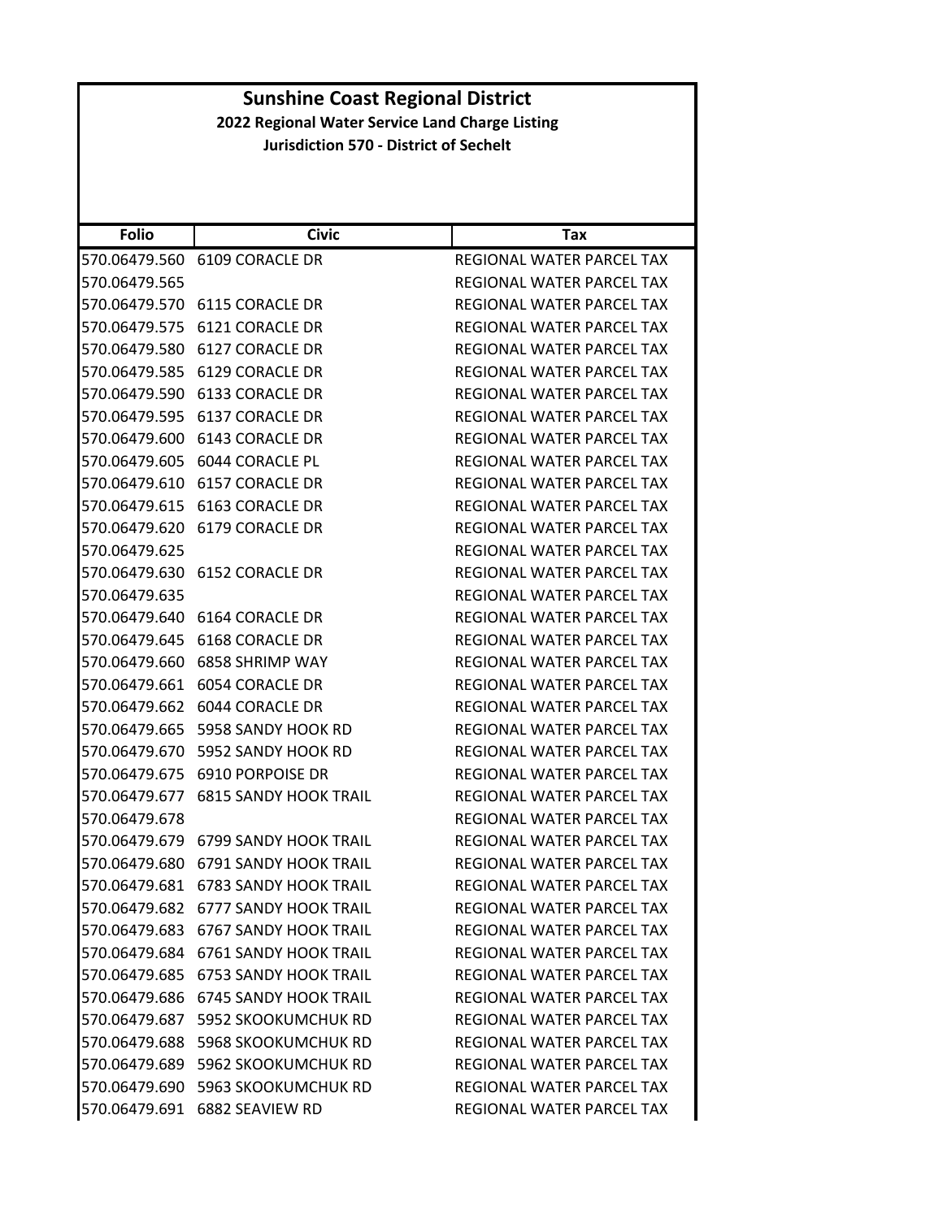| <b>Folio</b>  | <b>Civic</b>                        | Tax                              |
|---------------|-------------------------------------|----------------------------------|
| 570.06479.560 | 6109 CORACLE DR                     | REGIONAL WATER PARCEL TAX        |
| 570.06479.565 |                                     | REGIONAL WATER PARCEL TAX        |
| 570.06479.570 | 6115 CORACLE DR                     | REGIONAL WATER PARCEL TAX        |
| 570.06479.575 | 6121 CORACLE DR                     | REGIONAL WATER PARCEL TAX        |
| 570.06479.580 | 6127 CORACLE DR                     | REGIONAL WATER PARCEL TAX        |
| 570.06479.585 | 6129 CORACLE DR                     | <b>REGIONAL WATER PARCEL TAX</b> |
| 570.06479.590 | 6133 CORACLE DR                     | REGIONAL WATER PARCEL TAX        |
| 570.06479.595 | 6137 CORACLE DR                     | REGIONAL WATER PARCEL TAX        |
| 570.06479.600 | 6143 CORACLE DR                     | REGIONAL WATER PARCEL TAX        |
| 570.06479.605 | 6044 CORACLE PL                     | REGIONAL WATER PARCEL TAX        |
| 570.06479.610 | <b>6157 CORACLE DR</b>              | REGIONAL WATER PARCEL TAX        |
| 570.06479.615 | 6163 CORACLE DR                     | REGIONAL WATER PARCEL TAX        |
| 570.06479.620 | 6179 CORACLE DR                     | REGIONAL WATER PARCEL TAX        |
| 570.06479.625 |                                     | REGIONAL WATER PARCEL TAX        |
| 570.06479.630 | 6152 CORACLE DR                     | REGIONAL WATER PARCEL TAX        |
| 570.06479.635 |                                     | REGIONAL WATER PARCEL TAX        |
| 570.06479.640 | 6164 CORACLE DR                     | REGIONAL WATER PARCEL TAX        |
| 570.06479.645 | <b>6168 CORACLE DR</b>              | REGIONAL WATER PARCEL TAX        |
| 570.06479.660 | 6858 SHRIMP WAY                     | REGIONAL WATER PARCEL TAX        |
| 570.06479.661 | <b>6054 CORACLE DR</b>              | REGIONAL WATER PARCEL TAX        |
| 570.06479.662 | 6044 CORACLE DR                     | REGIONAL WATER PARCEL TAX        |
| 570.06479.665 | 5958 SANDY HOOK RD                  | REGIONAL WATER PARCEL TAX        |
| 570.06479.670 | 5952 SANDY HOOK RD                  | REGIONAL WATER PARCEL TAX        |
| 570.06479.675 | 6910 PORPOISE DR                    | REGIONAL WATER PARCEL TAX        |
| 570.06479.677 | <b>6815 SANDY HOOK TRAIL</b>        | REGIONAL WATER PARCEL TAX        |
| 570.06479.678 |                                     | REGIONAL WATER PARCEL TAX        |
| 570.06479.679 | <b>6799 SANDY HOOK TRAIL</b>        | REGIONAL WATER PARCEL TAX        |
| 570.06479.680 | <b>6791 SANDY HOOK TRAIL</b>        | <b>REGIONAL WATER PARCEL TAX</b> |
| 570.06479.681 | <b>6783 SANDY HOOK TRAIL</b>        | REGIONAL WATER PARCEL TAX        |
| 570.06479.682 | 6777 SANDY HOOK TRAIL               | REGIONAL WATER PARCEL TAX        |
|               | 570.06479.683 6767 SANDY HOOK TRAIL | REGIONAL WATER PARCEL TAX        |
|               | 570.06479.684 6761 SANDY HOOK TRAIL | REGIONAL WATER PARCEL TAX        |
| 570.06479.685 | <b>6753 SANDY HOOK TRAIL</b>        | <b>REGIONAL WATER PARCEL TAX</b> |
| 570.06479.686 | <b>6745 SANDY HOOK TRAIL</b>        | REGIONAL WATER PARCEL TAX        |
| 570.06479.687 | 5952 SKOOKUMCHUK RD                 | REGIONAL WATER PARCEL TAX        |
|               | 570.06479.688 5968 SKOOKUMCHUK RD   | REGIONAL WATER PARCEL TAX        |
| 570.06479.689 | 5962 SKOOKUMCHUK RD                 | REGIONAL WATER PARCEL TAX        |
| 570.06479.690 | 5963 SKOOKUMCHUK RD                 | REGIONAL WATER PARCEL TAX        |
| 570.06479.691 | 6882 SEAVIEW RD                     | REGIONAL WATER PARCEL TAX        |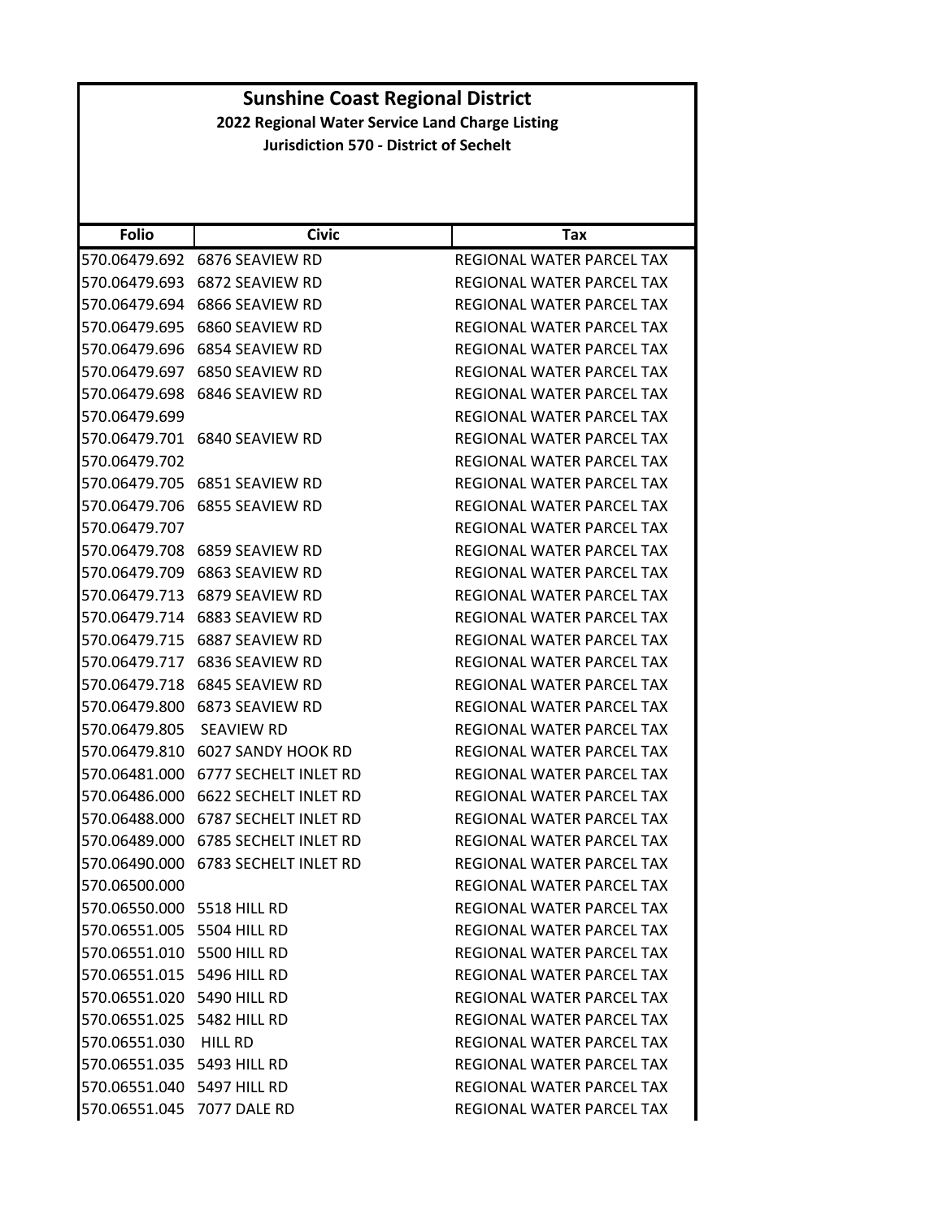| <b>Folio</b>               | <b>Civic</b>          | Tax                              |
|----------------------------|-----------------------|----------------------------------|
| 570.06479.692              | 6876 SEAVIEW RD       | REGIONAL WATER PARCEL TAX        |
| 570.06479.693              | 6872 SEAVIEW RD       | REGIONAL WATER PARCEL TAX        |
| 570.06479.694              | 6866 SEAVIEW RD       | <b>REGIONAL WATER PARCEL TAX</b> |
| 570.06479.695              | 6860 SEAVIEW RD       | REGIONAL WATER PARCEL TAX        |
| 570.06479.696              | 6854 SEAVIEW RD       | REGIONAL WATER PARCEL TAX        |
| 570.06479.697              | 6850 SEAVIEW RD       | REGIONAL WATER PARCEL TAX        |
| 570.06479.698              | 6846 SEAVIEW RD       | REGIONAL WATER PARCEL TAX        |
| 570.06479.699              |                       | REGIONAL WATER PARCEL TAX        |
| 570.06479.701              | 6840 SEAVIEW RD       | REGIONAL WATER PARCEL TAX        |
| 570.06479.702              |                       | REGIONAL WATER PARCEL TAX        |
| 570.06479.705              | 6851 SEAVIEW RD       | REGIONAL WATER PARCEL TAX        |
| 570.06479.706              | 6855 SEAVIEW RD       | REGIONAL WATER PARCEL TAX        |
| 570.06479.707              |                       | REGIONAL WATER PARCEL TAX        |
| 570.06479.708              | 6859 SEAVIEW RD       | REGIONAL WATER PARCEL TAX        |
| 570.06479.709              | 6863 SEAVIEW RD       | <b>REGIONAL WATER PARCEL TAX</b> |
| 570.06479.713              | 6879 SEAVIEW RD       | REGIONAL WATER PARCEL TAX        |
| 570.06479.714              | 6883 SEAVIEW RD       | REGIONAL WATER PARCEL TAX        |
| 570.06479.715              | 6887 SEAVIEW RD       | REGIONAL WATER PARCEL TAX        |
| 570.06479.717              | 6836 SEAVIEW RD       | REGIONAL WATER PARCEL TAX        |
| 570.06479.718              | 6845 SEAVIEW RD       | REGIONAL WATER PARCEL TAX        |
| 570.06479.800              | 6873 SEAVIEW RD       | REGIONAL WATER PARCEL TAX        |
| 570.06479.805              | <b>SEAVIEW RD</b>     | REGIONAL WATER PARCEL TAX        |
| 570.06479.810              | 6027 SANDY HOOK RD    | REGIONAL WATER PARCEL TAX        |
| 570.06481.000              | 6777 SECHELT INLET RD | REGIONAL WATER PARCEL TAX        |
| 570.06486.000              | 6622 SECHELT INLET RD | REGIONAL WATER PARCEL TAX        |
| 570.06488.000              | 6787 SECHELT INLET RD | REGIONAL WATER PARCEL TAX        |
| 570.06489.000              | 6785 SECHELT INLET RD | REGIONAL WATER PARCEL TAX        |
| 570.06490.000              | 6783 SECHELT INLET RD | REGIONAL WATER PARCEL TAX        |
| 570.06500.000              |                       | <b>REGIONAL WATER PARCEL TAX</b> |
| 570.06550.000 5518 HILL RD |                       | REGIONAL WATER PARCEL TAX        |
| 570.06551.005 5504 HILL RD |                       | REGIONAL WATER PARCEL TAX        |
| 570.06551.010 5500 HILL RD |                       | REGIONAL WATER PARCEL TAX        |
| 570.06551.015 5496 HILL RD |                       | REGIONAL WATER PARCEL TAX        |
| 570.06551.020 5490 HILL RD |                       | REGIONAL WATER PARCEL TAX        |
| 570.06551.025 5482 HILL RD |                       | REGIONAL WATER PARCEL TAX        |
| 570.06551.030 HILL RD      |                       | REGIONAL WATER PARCEL TAX        |
| 570.06551.035 5493 HILL RD |                       | REGIONAL WATER PARCEL TAX        |
| 570.06551.040 5497 HILL RD |                       | REGIONAL WATER PARCEL TAX        |
| 570.06551.045 7077 DALE RD |                       | REGIONAL WATER PARCEL TAX        |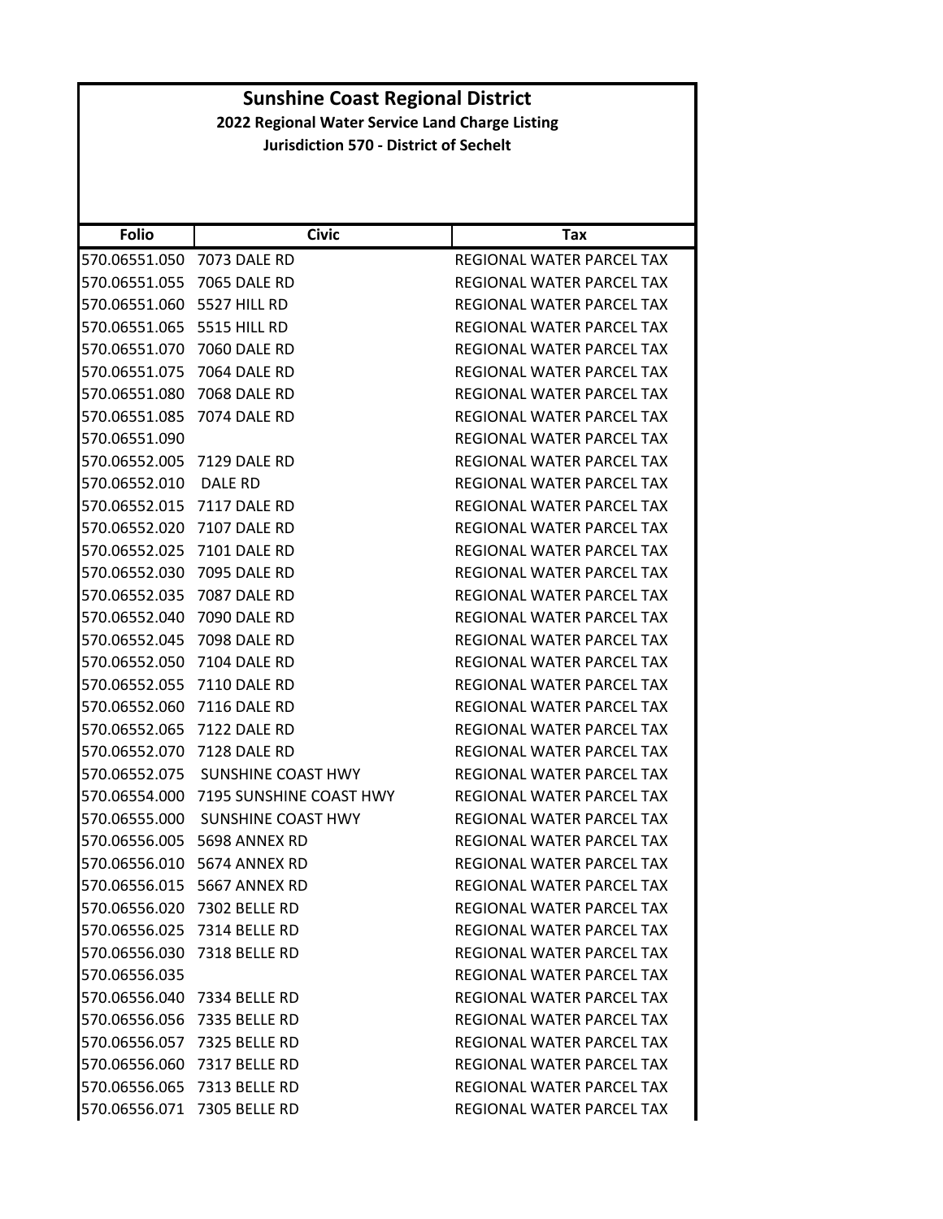| <b>Folio</b>  | <b>Civic</b>                | Tax                              |
|---------------|-----------------------------|----------------------------------|
| 570.06551.050 | 7073 DALE RD                | REGIONAL WATER PARCEL TAX        |
| 570.06551.055 | <b>7065 DALE RD</b>         | REGIONAL WATER PARCEL TAX        |
| 570.06551.060 | 5527 HILL RD                | REGIONAL WATER PARCEL TAX        |
| 570.06551.065 | 5515 HILL RD                | REGIONAL WATER PARCEL TAX        |
| 570.06551.070 | 7060 DALE RD                | REGIONAL WATER PARCEL TAX        |
| 570.06551.075 | <b>7064 DALE RD</b>         | REGIONAL WATER PARCEL TAX        |
| 570.06551.080 | <b>7068 DALE RD</b>         | <b>REGIONAL WATER PARCEL TAX</b> |
| 570.06551.085 | <b>7074 DALE RD</b>         | REGIONAL WATER PARCEL TAX        |
| 570.06551.090 |                             | REGIONAL WATER PARCEL TAX        |
| 570.06552.005 | 7129 DALE RD                | REGIONAL WATER PARCEL TAX        |
| 570.06552.010 | DALE RD                     | REGIONAL WATER PARCEL TAX        |
| 570.06552.015 | <b>7117 DALE RD</b>         | REGIONAL WATER PARCEL TAX        |
| 570.06552.020 | <b>7107 DALE RD</b>         | REGIONAL WATER PARCEL TAX        |
| 570.06552.025 | 7101 DALE RD                | REGIONAL WATER PARCEL TAX        |
| 570.06552.030 | <b>7095 DALE RD</b>         | <b>REGIONAL WATER PARCEL TAX</b> |
| 570.06552.035 | 7087 DALE RD                | REGIONAL WATER PARCEL TAX        |
| 570.06552.040 | <b>7090 DALE RD</b>         | REGIONAL WATER PARCEL TAX        |
| 570.06552.045 | <b>7098 DALE RD</b>         | REGIONAL WATER PARCEL TAX        |
| 570.06552.050 | 7104 DALE RD                | REGIONAL WATER PARCEL TAX        |
| 570.06552.055 | <b>7110 DALE RD</b>         | REGIONAL WATER PARCEL TAX        |
| 570.06552.060 | <b>7116 DALE RD</b>         | REGIONAL WATER PARCEL TAX        |
| 570.06552.065 | <b>7122 DALE RD</b>         | REGIONAL WATER PARCEL TAX        |
| 570.06552.070 | <b>7128 DALE RD</b>         | REGIONAL WATER PARCEL TAX        |
| 570.06552.075 | SUNSHINE COAST HWY          | REGIONAL WATER PARCEL TAX        |
| 570.06554.000 | 7195 SUNSHINE COAST HWY     | REGIONAL WATER PARCEL TAX        |
| 570.06555.000 | SUNSHINE COAST HWY          | <b>REGIONAL WATER PARCEL TAX</b> |
| 570.06556.005 | 5698 ANNEX RD               | REGIONAL WATER PARCEL TAX        |
| 570.06556.010 | 5674 ANNEX RD               | REGIONAL WATER PARCEL TAX        |
| 570.06556.015 | 5667 ANNEX RD               | REGIONAL WATER PARCEL TAX        |
|               | 570.06556.020 7302 BELLE RD | REGIONAL WATER PARCEL TAX        |
|               | 570.06556.025 7314 BELLE RD | REGIONAL WATER PARCEL TAX        |
|               | 570.06556.030 7318 BELLE RD | REGIONAL WATER PARCEL TAX        |
| 570.06556.035 |                             | REGIONAL WATER PARCEL TAX        |
|               | 570.06556.040 7334 BELLE RD | REGIONAL WATER PARCEL TAX        |
|               | 570.06556.056 7335 BELLE RD | REGIONAL WATER PARCEL TAX        |
|               | 570.06556.057 7325 BELLE RD | REGIONAL WATER PARCEL TAX        |
|               | 570.06556.060 7317 BELLE RD | <b>REGIONAL WATER PARCEL TAX</b> |
|               | 570.06556.065 7313 BELLE RD | REGIONAL WATER PARCEL TAX        |
|               | 570.06556.071 7305 BELLE RD | REGIONAL WATER PARCEL TAX        |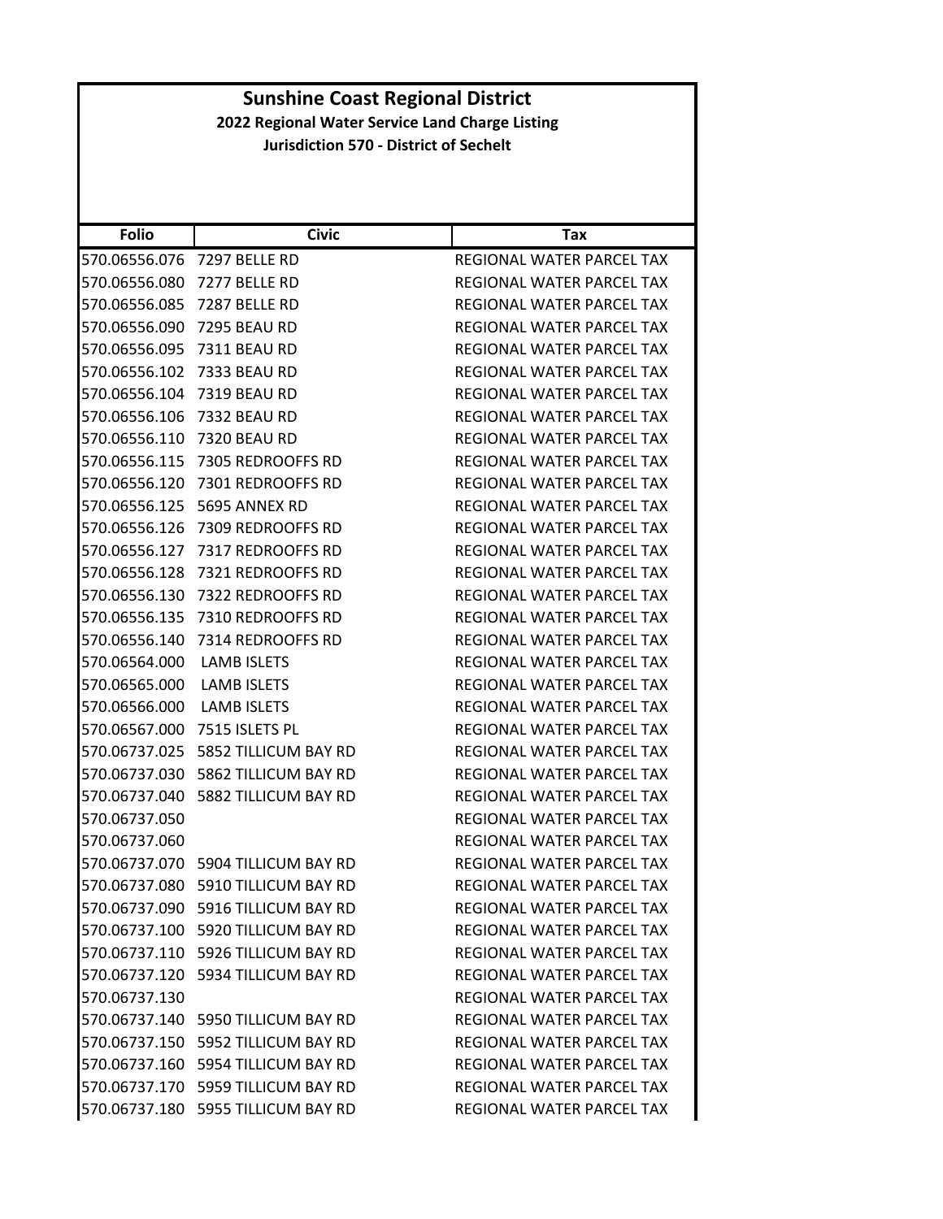| <b>Folio</b>  | <b>Civic</b>                       | Tax                              |
|---------------|------------------------------------|----------------------------------|
|               |                                    |                                  |
| 570.06556.076 | 7297 BELLE RD                      | REGIONAL WATER PARCEL TAX        |
| 570.06556.080 | 7277 BELLE RD                      | REGIONAL WATER PARCEL TAX        |
| 570.06556.085 | 7287 BELLE RD                      | REGIONAL WATER PARCEL TAX        |
| 570.06556.090 | 7295 BEAU RD                       | REGIONAL WATER PARCEL TAX        |
| 570.06556.095 | <b>7311 BEAU RD</b>                | REGIONAL WATER PARCEL TAX        |
| 570.06556.102 | 7333 BEAU RD                       | REGIONAL WATER PARCEL TAX        |
| 570.06556.104 | <b>7319 BEAU RD</b>                | REGIONAL WATER PARCEL TAX        |
| 570.06556.106 | 7332 BEAU RD                       | <b>REGIONAL WATER PARCEL TAX</b> |
| 570.06556.110 | <b>7320 BEAU RD</b>                | REGIONAL WATER PARCEL TAX        |
| 570.06556.115 | 7305 REDROOFFS RD                  | REGIONAL WATER PARCEL TAX        |
| 570.06556.120 | 7301 REDROOFFS RD                  | REGIONAL WATER PARCEL TAX        |
| 570.06556.125 | 5695 ANNEX RD                      | REGIONAL WATER PARCEL TAX        |
| 570.06556.126 | 7309 REDROOFFS RD                  | REGIONAL WATER PARCEL TAX        |
| 570.06556.127 | 7317 REDROOFFS RD                  | REGIONAL WATER PARCEL TAX        |
| 570.06556.128 | 7321 REDROOFFS RD                  | REGIONAL WATER PARCEL TAX        |
| 570.06556.130 | 7322 REDROOFFS RD                  | REGIONAL WATER PARCEL TAX        |
| 570.06556.135 | 7310 REDROOFFS RD                  | REGIONAL WATER PARCEL TAX        |
| 570.06556.140 | 7314 REDROOFFS RD                  | REGIONAL WATER PARCEL TAX        |
| 570.06564.000 | <b>LAMB ISLETS</b>                 | REGIONAL WATER PARCEL TAX        |
| 570.06565.000 | <b>LAMB ISLETS</b>                 | REGIONAL WATER PARCEL TAX        |
| 570.06566.000 | <b>LAMB ISLETS</b>                 | REGIONAL WATER PARCEL TAX        |
| 570.06567.000 | 7515 ISLETS PL                     | REGIONAL WATER PARCEL TAX        |
| 570.06737.025 | 5852 TILLICUM BAY RD               | REGIONAL WATER PARCEL TAX        |
| 570.06737.030 | 5862 TILLICUM BAY RD               | REGIONAL WATER PARCEL TAX        |
| 570.06737.040 | 5882 TILLICUM BAY RD               | REGIONAL WATER PARCEL TAX        |
| 570.06737.050 |                                    | REGIONAL WATER PARCEL TAX        |
| 570.06737.060 |                                    | REGIONAL WATER PARCEL TAX        |
| 570.06737.070 | 5904 TILLICUM BAY RD               | REGIONAL WATER PARCEL TAX        |
| 570.06737.080 | 5910 TILLICUM BAY RD               | <b>REGIONAL WATER PARCEL TAX</b> |
|               | 570.06737.090 5916 TILLICUM BAY RD | <b>REGIONAL WATER PARCEL TAX</b> |
|               | 570.06737.100 5920 TILLICUM BAY RD | REGIONAL WATER PARCEL TAX        |
|               | 570.06737.110 5926 TILLICUM BAY RD | REGIONAL WATER PARCEL TAX        |
|               | 570.06737.120 5934 TILLICUM BAY RD | REGIONAL WATER PARCEL TAX        |
| 570.06737.130 |                                    | REGIONAL WATER PARCEL TAX        |
|               | 570.06737.140 5950 TILLICUM BAY RD | REGIONAL WATER PARCEL TAX        |
|               | 570.06737.150 5952 TILLICUM BAY RD | REGIONAL WATER PARCEL TAX        |
|               | 570.06737.160 5954 TILLICUM BAY RD | REGIONAL WATER PARCEL TAX        |
|               | 570.06737.170 5959 TILLICUM BAY RD | REGIONAL WATER PARCEL TAX        |
|               | 570.06737.180 5955 TILLICUM BAY RD | REGIONAL WATER PARCEL TAX        |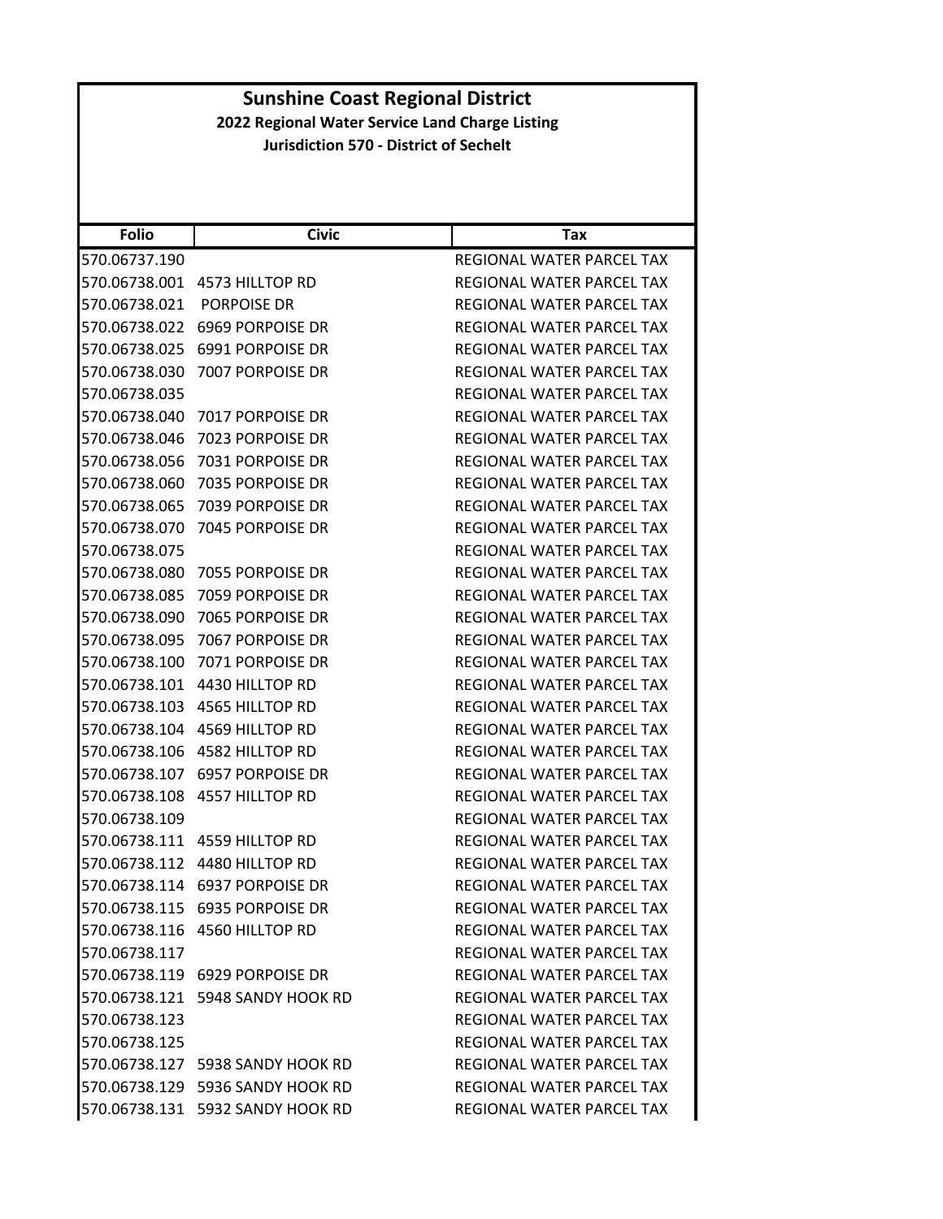| <b>Folio</b>  | <b>Civic</b>                     | Tax                              |
|---------------|----------------------------------|----------------------------------|
| 570.06737.190 |                                  | REGIONAL WATER PARCEL TAX        |
| 570.06738.001 | 4573 HILLTOP RD                  | REGIONAL WATER PARCEL TAX        |
| 570.06738.021 | PORPOISE DR                      | REGIONAL WATER PARCEL TAX        |
| 570.06738.022 | 6969 PORPOISE DR                 | REGIONAL WATER PARCEL TAX        |
| 570.06738.025 | 6991 PORPOISE DR                 | REGIONAL WATER PARCEL TAX        |
| 570.06738.030 | 7007 PORPOISE DR                 | REGIONAL WATER PARCEL TAX        |
| 570.06738.035 |                                  | REGIONAL WATER PARCEL TAX        |
| 570.06738.040 | 7017 PORPOISE DR                 | REGIONAL WATER PARCEL TAX        |
| 570.06738.046 | 7023 PORPOISE DR                 | REGIONAL WATER PARCEL TAX        |
| 570.06738.056 | 7031 PORPOISE DR                 | REGIONAL WATER PARCEL TAX        |
| 570.06738.060 | 7035 PORPOISE DR                 | REGIONAL WATER PARCEL TAX        |
| 570.06738.065 | 7039 PORPOISE DR                 | REGIONAL WATER PARCEL TAX        |
| 570.06738.070 | 7045 PORPOISE DR                 | REGIONAL WATER PARCEL TAX        |
| 570.06738.075 |                                  | REGIONAL WATER PARCEL TAX        |
| 570.06738.080 | 7055 PORPOISE DR                 | REGIONAL WATER PARCEL TAX        |
| 570.06738.085 | 7059 PORPOISE DR                 | REGIONAL WATER PARCEL TAX        |
| 570.06738.090 | 7065 PORPOISE DR                 | REGIONAL WATER PARCEL TAX        |
| 570.06738.095 | 7067 PORPOISE DR                 | REGIONAL WATER PARCEL TAX        |
| 570.06738.100 | 7071 PORPOISE DR                 | REGIONAL WATER PARCEL TAX        |
| 570.06738.101 | 4430 HILLTOP RD                  | REGIONAL WATER PARCEL TAX        |
| 570.06738.103 | 4565 HILLTOP RD                  | REGIONAL WATER PARCEL TAX        |
| 570.06738.104 | 4569 HILLTOP RD                  | REGIONAL WATER PARCEL TAX        |
| 570.06738.106 | 4582 HILLTOP RD                  | REGIONAL WATER PARCEL TAX        |
| 570.06738.107 | <b>6957 PORPOISE DR</b>          | REGIONAL WATER PARCEL TAX        |
| 570.06738.108 | 4557 HILLTOP RD                  | REGIONAL WATER PARCEL TAX        |
| 570.06738.109 |                                  | REGIONAL WATER PARCEL TAX        |
| 570.06738.111 | 4559 HILLTOP RD                  | REGIONAL WATER PARCEL TAX        |
| 570.06738.112 | 4480 HILLTOP RD                  | REGIONAL WATER PARCEL TAX        |
| 570.06738.114 | 6937 PORPOISE DR                 | REGIONAL WATER PARCEL TAX        |
|               | 570.06738.115 6935 PORPOISE DR   | <b>REGIONAL WATER PARCEL TAX</b> |
|               | 570.06738.116 4560 HILLTOP RD    | REGIONAL WATER PARCEL TAX        |
| 570.06738.117 |                                  | REGIONAL WATER PARCEL TAX        |
|               | 570.06738.119 6929 PORPOISE DR   | <b>REGIONAL WATER PARCEL TAX</b> |
|               | 570.06738.121 5948 SANDY HOOK RD | REGIONAL WATER PARCEL TAX        |
| 570.06738.123 |                                  | REGIONAL WATER PARCEL TAX        |
| 570.06738.125 |                                  | REGIONAL WATER PARCEL TAX        |
|               | 570.06738.127 5938 SANDY HOOK RD | REGIONAL WATER PARCEL TAX        |
|               | 570.06738.129 5936 SANDY HOOK RD | <b>REGIONAL WATER PARCEL TAX</b> |
|               | 570.06738.131 5932 SANDY HOOK RD | REGIONAL WATER PARCEL TAX        |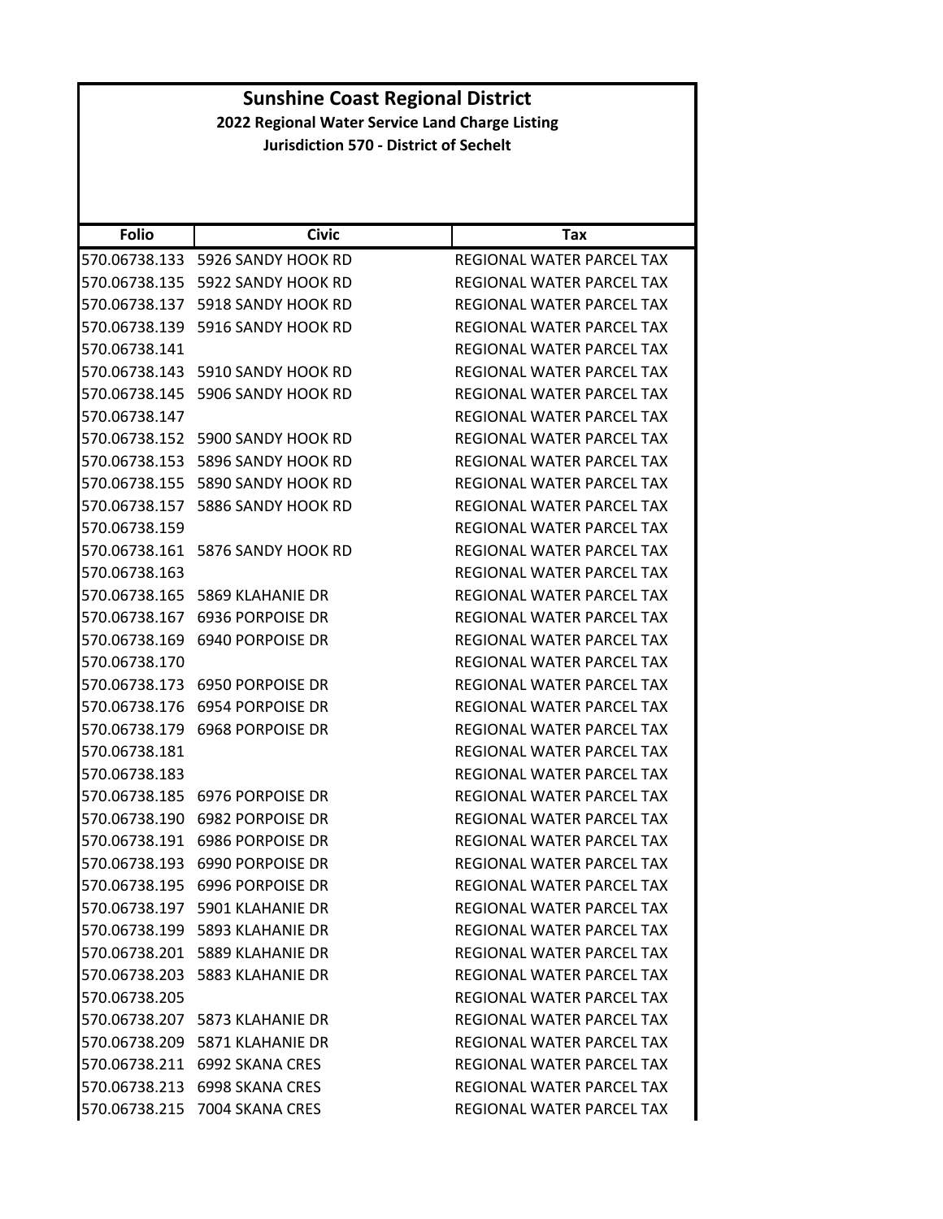| <b>Folio</b>  | <b>Civic</b>                     | Tax                              |
|---------------|----------------------------------|----------------------------------|
| 570.06738.133 | 5926 SANDY HOOK RD               | REGIONAL WATER PARCEL TAX        |
| 570.06738.135 | 5922 SANDY HOOK RD               | REGIONAL WATER PARCEL TAX        |
| 570.06738.137 | 5918 SANDY HOOK RD               | <b>REGIONAL WATER PARCEL TAX</b> |
| 570.06738.139 | 5916 SANDY HOOK RD               | REGIONAL WATER PARCEL TAX        |
| 570.06738.141 |                                  | REGIONAL WATER PARCEL TAX        |
| 570.06738.143 | 5910 SANDY HOOK RD               | REGIONAL WATER PARCEL TAX        |
| 570.06738.145 | 5906 SANDY HOOK RD               | REGIONAL WATER PARCEL TAX        |
| 570.06738.147 |                                  | <b>REGIONAL WATER PARCEL TAX</b> |
|               | 570.06738.152 5900 SANDY HOOK RD | REGIONAL WATER PARCEL TAX        |
| 570.06738.153 | 5896 SANDY HOOK RD               | REGIONAL WATER PARCEL TAX        |
| 570.06738.155 | 5890 SANDY HOOK RD               | REGIONAL WATER PARCEL TAX        |
| 570.06738.157 | 5886 SANDY HOOK RD               | REGIONAL WATER PARCEL TAX        |
| 570.06738.159 |                                  | REGIONAL WATER PARCEL TAX        |
| 570.06738.161 | 5876 SANDY HOOK RD               | REGIONAL WATER PARCEL TAX        |
| 570.06738.163 |                                  | <b>REGIONAL WATER PARCEL TAX</b> |
| 570.06738.165 | 5869 KLAHANIE DR                 | REGIONAL WATER PARCEL TAX        |
| 570.06738.167 | 6936 PORPOISE DR                 | REGIONAL WATER PARCEL TAX        |
| 570.06738.169 | 6940 PORPOISE DR                 | REGIONAL WATER PARCEL TAX        |
| 570.06738.170 |                                  | REGIONAL WATER PARCEL TAX        |
| 570.06738.173 | 6950 PORPOISE DR                 | REGIONAL WATER PARCEL TAX        |
| 570.06738.176 | 6954 PORPOISE DR                 | REGIONAL WATER PARCEL TAX        |
| 570.06738.179 | <b>6968 PORPOISE DR</b>          | REGIONAL WATER PARCEL TAX        |
| 570.06738.181 |                                  | REGIONAL WATER PARCEL TAX        |
| 570.06738.183 |                                  | REGIONAL WATER PARCEL TAX        |
| 570.06738.185 | 6976 PORPOISE DR                 | REGIONAL WATER PARCEL TAX        |
| 570.06738.190 | <b>6982 PORPOISE DR</b>          | REGIONAL WATER PARCEL TAX        |
| 570.06738.191 | <b>6986 PORPOISE DR</b>          | REGIONAL WATER PARCEL TAX        |
| 570.06738.193 | 6990 PORPOISE DR                 | REGIONAL WATER PARCEL TAX        |
| 570.06738.195 | <b>6996 PORPOISE DR</b>          | REGIONAL WATER PARCEL TAX        |
|               | 570.06738.197 5901 KLAHANIE DR   | REGIONAL WATER PARCEL TAX        |
|               | 570.06738.199 5893 KLAHANIE DR   | REGIONAL WATER PARCEL TAX        |
|               | 570.06738.201 5889 KLAHANIE DR   | REGIONAL WATER PARCEL TAX        |
|               | 570.06738.203 5883 KLAHANIE DR   | REGIONAL WATER PARCEL TAX        |
| 570.06738.205 |                                  | REGIONAL WATER PARCEL TAX        |
|               | 570.06738.207 5873 KLAHANIE DR   | REGIONAL WATER PARCEL TAX        |
|               | 570.06738.209 5871 KLAHANIE DR   | REGIONAL WATER PARCEL TAX        |
|               | 570.06738.211 6992 SKANA CRES    | REGIONAL WATER PARCEL TAX        |
|               | 570.06738.213 6998 SKANA CRES    | REGIONAL WATER PARCEL TAX        |
|               | 570.06738.215 7004 SKANA CRES    | REGIONAL WATER PARCEL TAX        |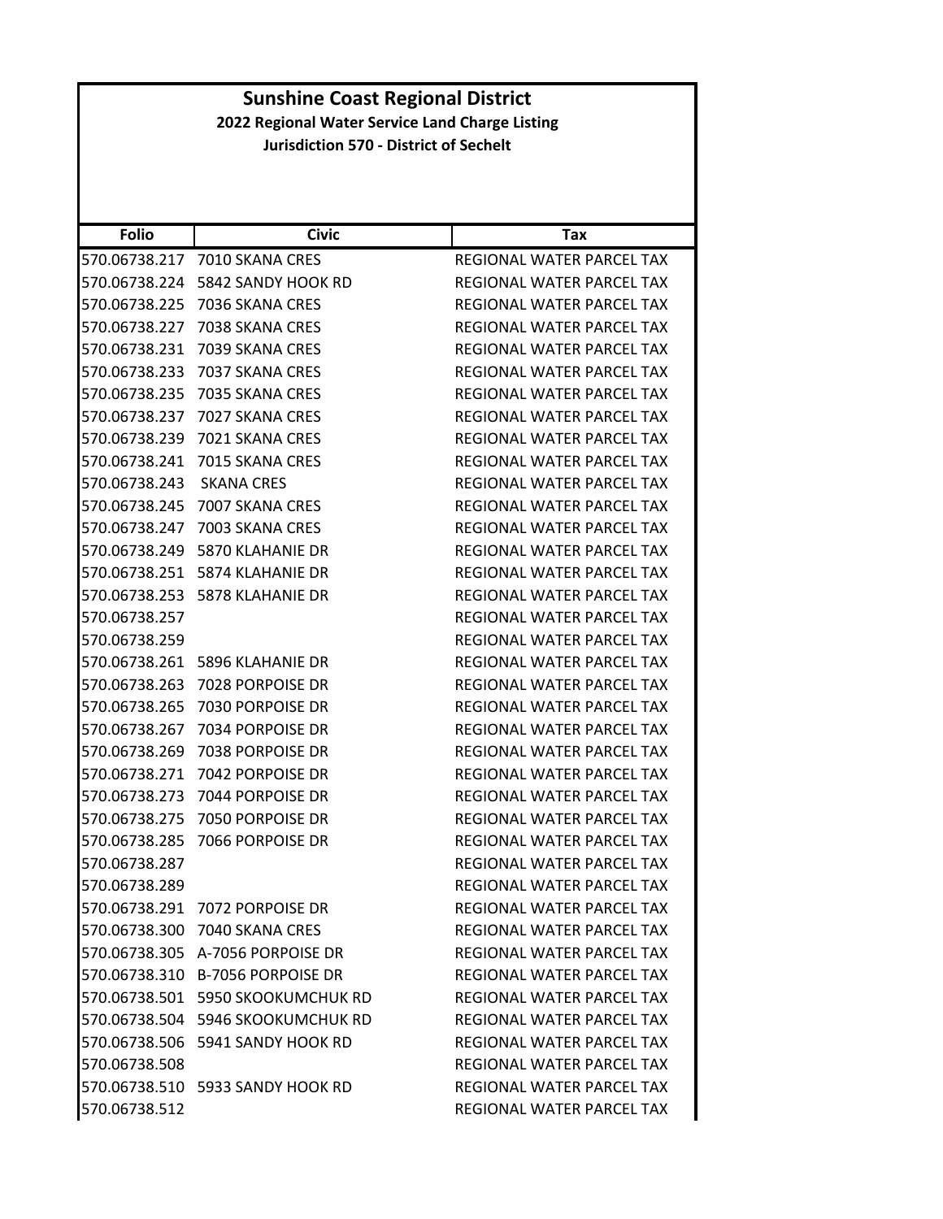| <b>Folio</b>  | <b>Civic</b>                      | Tax                       |
|---------------|-----------------------------------|---------------------------|
| 570.06738.217 | 7010 SKANA CRES                   | REGIONAL WATER PARCEL TAX |
| 570.06738.224 | 5842 SANDY HOOK RD                | REGIONAL WATER PARCEL TAX |
| 570.06738.225 | 7036 SKANA CRES                   | REGIONAL WATER PARCEL TAX |
| 570.06738.227 | 7038 SKANA CRES                   | REGIONAL WATER PARCEL TAX |
| 570.06738.231 | 7039 SKANA CRES                   | REGIONAL WATER PARCEL TAX |
| 570.06738.233 | 7037 SKANA CRES                   | REGIONAL WATER PARCEL TAX |
| 570.06738.235 | 7035 SKANA CRES                   | REGIONAL WATER PARCEL TAX |
| 570.06738.237 | 7027 SKANA CRES                   | REGIONAL WATER PARCEL TAX |
| 570.06738.239 | 7021 SKANA CRES                   | REGIONAL WATER PARCEL TAX |
| 570.06738.241 | 7015 SKANA CRES                   | REGIONAL WATER PARCEL TAX |
| 570.06738.243 | <b>SKANA CRES</b>                 | REGIONAL WATER PARCEL TAX |
| 570.06738.245 | 7007 SKANA CRES                   | REGIONAL WATER PARCEL TAX |
| 570.06738.247 | 7003 SKANA CRES                   | REGIONAL WATER PARCEL TAX |
| 570.06738.249 | 5870 KLAHANIE DR                  | REGIONAL WATER PARCEL TAX |
| 570.06738.251 | 5874 KLAHANIE DR                  | REGIONAL WATER PARCEL TAX |
| 570.06738.253 | 5878 KLAHANIE DR                  | REGIONAL WATER PARCEL TAX |
| 570.06738.257 |                                   | REGIONAL WATER PARCEL TAX |
| 570.06738.259 |                                   | REGIONAL WATER PARCEL TAX |
| 570.06738.261 | 5896 KLAHANIE DR                  | REGIONAL WATER PARCEL TAX |
| 570.06738.263 | 7028 PORPOISE DR                  | REGIONAL WATER PARCEL TAX |
| 570.06738.265 | 7030 PORPOISE DR                  | REGIONAL WATER PARCEL TAX |
| 570.06738.267 | 7034 PORPOISE DR                  | REGIONAL WATER PARCEL TAX |
| 570.06738.269 | 7038 PORPOISE DR                  | REGIONAL WATER PARCEL TAX |
| 570.06738.271 | 7042 PORPOISE DR                  | REGIONAL WATER PARCEL TAX |
| 570.06738.273 | 7044 PORPOISE DR                  | REGIONAL WATER PARCEL TAX |
| 570.06738.275 | 7050 PORPOISE DR                  | REGIONAL WATER PARCEL TAX |
| 570.06738.285 | 7066 PORPOISE DR                  | REGIONAL WATER PARCEL TAX |
| 570.06738.287 |                                   | REGIONAL WATER PARCEL TAX |
| 570.06738.289 |                                   | REGIONAL WATER PARCEL TAX |
|               | 570.06738.291 7072 PORPOISE DR    | REGIONAL WATER PARCEL TAX |
|               | 570.06738.300 7040 SKANA CRES     | REGIONAL WATER PARCEL TAX |
|               | 570.06738.305 A-7056 PORPOISE DR  | REGIONAL WATER PARCEL TAX |
|               | 570.06738.310 B-7056 PORPOISE DR  | REGIONAL WATER PARCEL TAX |
|               | 570.06738.501 5950 SKOOKUMCHUK RD | REGIONAL WATER PARCEL TAX |
|               | 570.06738.504 5946 SKOOKUMCHUK RD | REGIONAL WATER PARCEL TAX |
|               | 570.06738.506 5941 SANDY HOOK RD  | REGIONAL WATER PARCEL TAX |
| 570.06738.508 |                                   | REGIONAL WATER PARCEL TAX |
|               | 570.06738.510 5933 SANDY HOOK RD  | REGIONAL WATER PARCEL TAX |
| 570.06738.512 |                                   | REGIONAL WATER PARCEL TAX |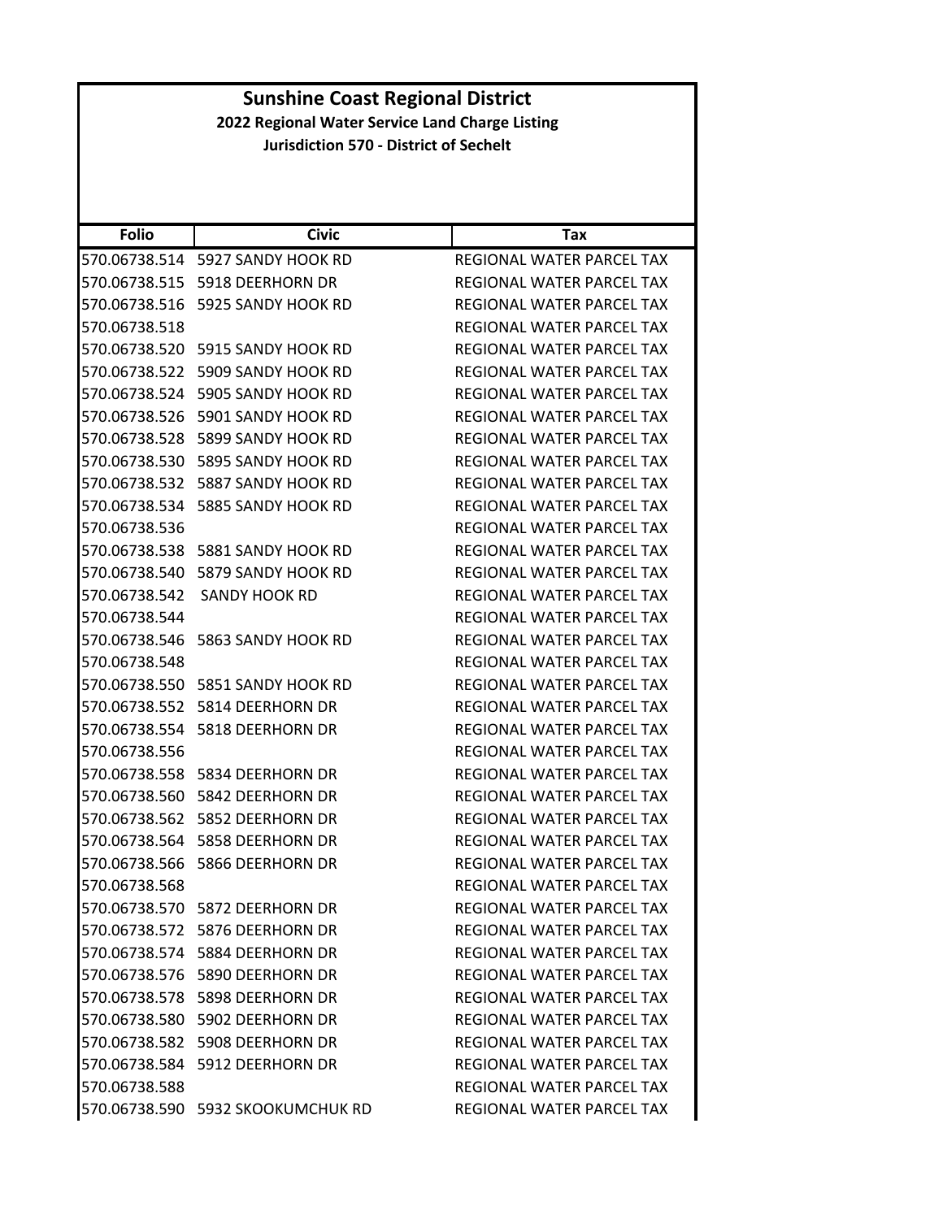| <b>Sunshine Coast Regional District</b>         |                                               |                                  |  |
|-------------------------------------------------|-----------------------------------------------|----------------------------------|--|
| 2022 Regional Water Service Land Charge Listing |                                               |                                  |  |
|                                                 | <b>Jurisdiction 570 - District of Sechelt</b> |                                  |  |
|                                                 |                                               |                                  |  |
|                                                 |                                               |                                  |  |
| <b>Folio</b>                                    | <b>Civic</b>                                  | Tax                              |  |
|                                                 | 570.06738.514 5927 SANDY HOOK RD              | REGIONAL WATER PARCEL TAX        |  |
|                                                 | 570.06738.515    5918 DEERHORN DR             | REGIONAL WATER PARCEL TAX        |  |
|                                                 | 570.06738.516    5925 SANDY HOOK RD           | REGIONAL WATER PARCEL TAX        |  |
| 570.06738.518                                   |                                               | REGIONAL WATER PARCEL TAX        |  |
|                                                 | 570.06738.520 5915 SANDY HOOK RD              | REGIONAL WATER PARCEL TAX        |  |
|                                                 | 570.06738.522 5909 SANDY HOOK RD              | REGIONAL WATER PARCEL TAX        |  |
|                                                 | 570.06738.524 5905 SANDY HOOK RD              | REGIONAL WATER PARCEL TAX        |  |
| 570.06738.526                                   | 5901 SANDY HOOK RD                            | REGIONAL WATER PARCEL TAX        |  |
|                                                 | 570.06738.528 5899 SANDY HOOK RD              | REGIONAL WATER PARCEL TAX        |  |
|                                                 | 570.06738.530 5895 SANDY HOOK RD              | REGIONAL WATER PARCEL TAX        |  |
|                                                 | 570.06738.532 5887 SANDY HOOK RD              | REGIONAL WATER PARCEL TAX        |  |
|                                                 | 570.06738.534 5885 SANDY HOOK RD              | REGIONAL WATER PARCEL TAX        |  |
| 570.06738.536                                   |                                               | REGIONAL WATER PARCEL TAX        |  |
|                                                 | 570.06738.538    5881    SANDY HOOK RD        | REGIONAL WATER PARCEL TAX        |  |
|                                                 | 570.06738.540 5879 SANDY HOOK RD              | REGIONAL WATER PARCEL TAX        |  |
| 570.06738.542                                   | <b>SANDY HOOK RD</b>                          | REGIONAL WATER PARCEL TAX        |  |
| 570.06738.544                                   |                                               | REGIONAL WATER PARCEL TAX        |  |
| 570.06738.546                                   | 5863 SANDY HOOK RD                            | <b>REGIONAL WATER PARCEL TAX</b> |  |
| 570.06738.548                                   |                                               | REGIONAL WATER PARCEL TAX        |  |
|                                                 | 570.06738.550 5851 SANDY HOOK RD              | REGIONAL WATER PARCEL TAX        |  |
|                                                 | 570.06738.552 5814 DEERHORN DR                | REGIONAL WATER PARCEL TAX        |  |
|                                                 | 570.06738.554 5818 DEERHORN DR                | REGIONAL WATER PARCEL TAX        |  |
| 570.06738.556                                   |                                               | REGIONAL WATER PARCEL TAX        |  |
|                                                 | 570.06738.558    5834 DEERHORN DR             | REGIONAL WATER PARCEL TAX        |  |
|                                                 | 570.06738.560 5842 DEERHORN DR                | REGIONAL WATER PARCEL TAX        |  |
|                                                 | 570.06738.562 5852 DEERHORN DR                | REGIONAL WATER PARCEL TAX        |  |
|                                                 | 570.06738.564 5858 DEERHORN DR                | REGIONAL WATER PARCEL TAX        |  |
|                                                 | 570.06738.566 5866 DEERHORN DR                | REGIONAL WATER PARCEL TAX        |  |
| 570.06738.568                                   |                                               | REGIONAL WATER PARCEL TAX        |  |
|                                                 | 570.06738.570 5872 DEERHORN DR                | REGIONAL WATER PARCEL TAX        |  |
|                                                 | 570.06738.572 5876 DEERHORN DR                | REGIONAL WATER PARCEL TAX        |  |
|                                                 | 570.06738.574 5884 DEERHORN DR                | REGIONAL WATER PARCEL TAX        |  |
|                                                 | 570.06738.576 5890 DEERHORN DR                | REGIONAL WATER PARCEL TAX        |  |
|                                                 | 570.06738.578 5898 DEERHORN DR                | REGIONAL WATER PARCEL TAX        |  |
|                                                 | 570.06738.580 5902 DEERHORN DR                | REGIONAL WATER PARCEL TAX        |  |
|                                                 | 570.06738.582 5908 DEERHORN DR                | REGIONAL WATER PARCEL TAX        |  |
|                                                 | 570.06738.584 5912 DEERHORN DR                | REGIONAL WATER PARCEL TAX        |  |
| 570.06738.588                                   |                                               | REGIONAL WATER PARCEL TAX        |  |
|                                                 | 570.06738.590 5932 SKOOKUMCHUK RD             | REGIONAL WATER PARCEL TAX        |  |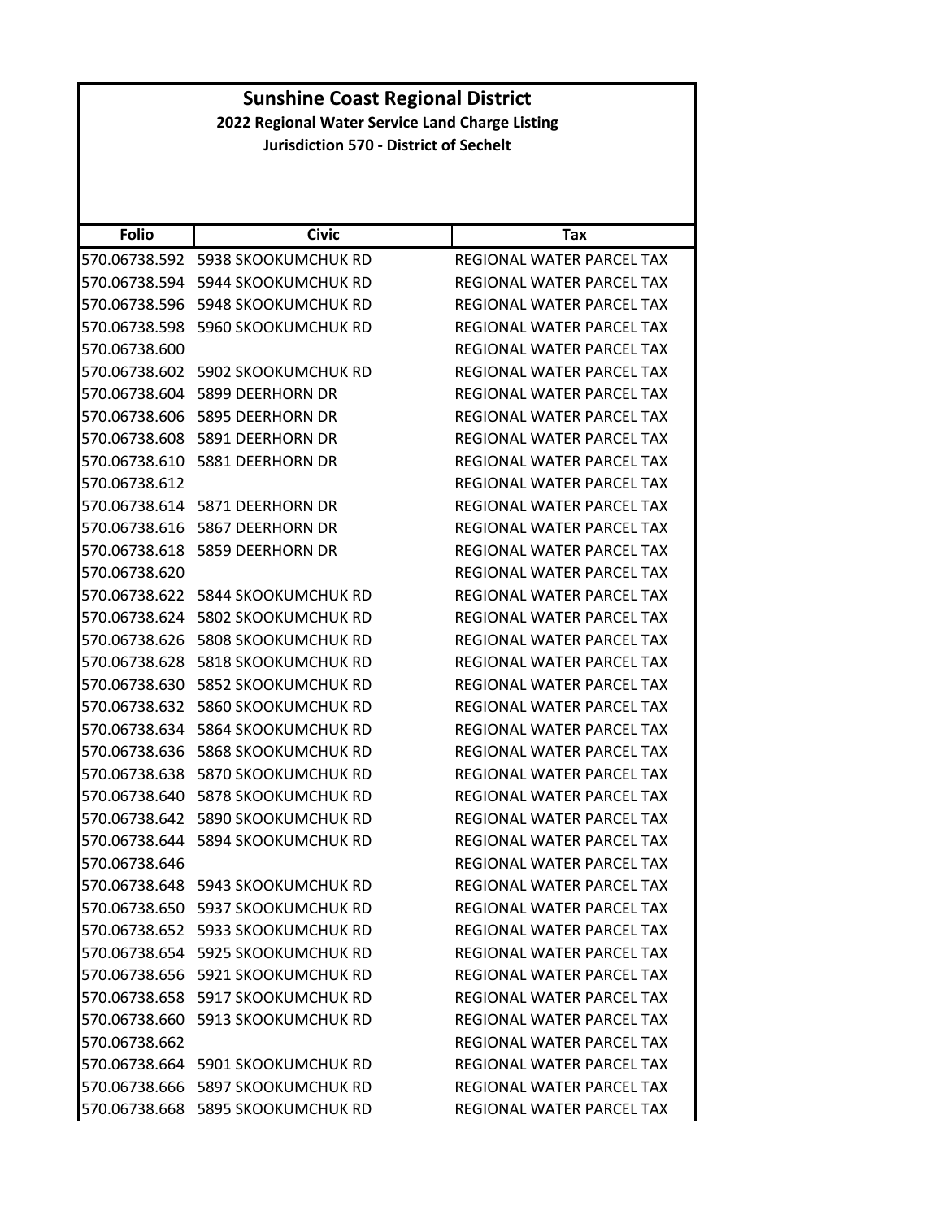| <b>Folio</b>  | <b>Civic</b>                            | Tax                              |
|---------------|-----------------------------------------|----------------------------------|
| 570.06738.592 | 5938 SKOOKUMCHUK RD                     | REGIONAL WATER PARCEL TAX        |
| 570.06738.594 | 5944 SKOOKUMCHUK RD                     | REGIONAL WATER PARCEL TAX        |
| 570.06738.596 | 5948 SKOOKUMCHUK RD                     | REGIONAL WATER PARCEL TAX        |
| 570.06738.598 | 5960 SKOOKUMCHUK RD                     | REGIONAL WATER PARCEL TAX        |
| 570.06738.600 |                                         | REGIONAL WATER PARCEL TAX        |
| 570.06738.602 | 5902 SKOOKUMCHUK RD                     | REGIONAL WATER PARCEL TAX        |
| 570.06738.604 | 5899 DEERHORN DR                        | REGIONAL WATER PARCEL TAX        |
| 570.06738.606 | 5895 DEERHORN DR                        | REGIONAL WATER PARCEL TAX        |
| 570.06738.608 | 5891 DEERHORN DR                        | REGIONAL WATER PARCEL TAX        |
| 570.06738.610 | 5881 DEERHORN DR                        | REGIONAL WATER PARCEL TAX        |
| 570.06738.612 |                                         | REGIONAL WATER PARCEL TAX        |
| 570.06738.614 | 5871 DEERHORN DR                        | REGIONAL WATER PARCEL TAX        |
| 570.06738.616 | 5867 DEERHORN DR                        | REGIONAL WATER PARCEL TAX        |
| 570.06738.618 | 5859 DEERHORN DR                        | <b>REGIONAL WATER PARCEL TAX</b> |
| 570.06738.620 |                                         | REGIONAL WATER PARCEL TAX        |
| 570.06738.622 | 5844 SKOOKUMCHUK RD                     | REGIONAL WATER PARCEL TAX        |
| 570.06738.624 | <b>5802 SKOOKUMCHUK RD</b>              | REGIONAL WATER PARCEL TAX        |
| 570.06738.626 | 5808 SKOOKUMCHUK RD                     | REGIONAL WATER PARCEL TAX        |
| 570.06738.628 | <b>5818 SKOOKUMCHUK RD</b>              | REGIONAL WATER PARCEL TAX        |
| 570.06738.630 | 5852 SKOOKUMCHUK RD                     | REGIONAL WATER PARCEL TAX        |
| 570.06738.632 | 5860 SKOOKUMCHUK RD                     | REGIONAL WATER PARCEL TAX        |
| 570.06738.634 | 5864 SKOOKUMCHUK RD                     | REGIONAL WATER PARCEL TAX        |
| 570.06738.636 | <b>5868 SKOOKUMCHUK RD</b>              | REGIONAL WATER PARCEL TAX        |
| 570.06738.638 | 5870 SKOOKUMCHUK RD                     | REGIONAL WATER PARCEL TAX        |
| 570.06738.640 | <b>5878 SKOOKUMCHUK RD</b>              | REGIONAL WATER PARCEL TAX        |
| 570.06738.642 | 5890 SKOOKUMCHUK RD                     | REGIONAL WATER PARCEL TAX        |
| 570.06738.644 | 5894 SKOOKUMCHUK RD                     | REGIONAL WATER PARCEL TAX        |
| 570.06738.646 |                                         | REGIONAL WATER PARCEL TAX        |
| 570.06738.648 | 5943 SKOOKUMCHUK RD                     | REGIONAL WATER PARCEL TAX        |
|               | 570.06738.650 5937 SKOOKUMCHUK RD       | REGIONAL WATER PARCEL TAX        |
|               | 570.06738.652    5933    SKOOKUMCHUK RD | REGIONAL WATER PARCEL TAX        |
|               | 570.06738.654 5925 SKOOKUMCHUK RD       | REGIONAL WATER PARCEL TAX        |
|               | 570.06738.656    5921 SKOOKUMCHUK RD    | REGIONAL WATER PARCEL TAX        |
|               | 570.06738.658 5917 SKOOKUMCHUK RD       | REGIONAL WATER PARCEL TAX        |
|               | 570.06738.660    5913    SKOOKUMCHUK RD | REGIONAL WATER PARCEL TAX        |
| 570.06738.662 |                                         | REGIONAL WATER PARCEL TAX        |
|               | 570.06738.664 5901 SKOOKUMCHUK RD       | REGIONAL WATER PARCEL TAX        |
| 570.06738.666 | 5897 SKOOKUMCHUK RD                     | REGIONAL WATER PARCEL TAX        |
|               | 570.06738.668 5895 SKOOKUMCHUK RD       | REGIONAL WATER PARCEL TAX        |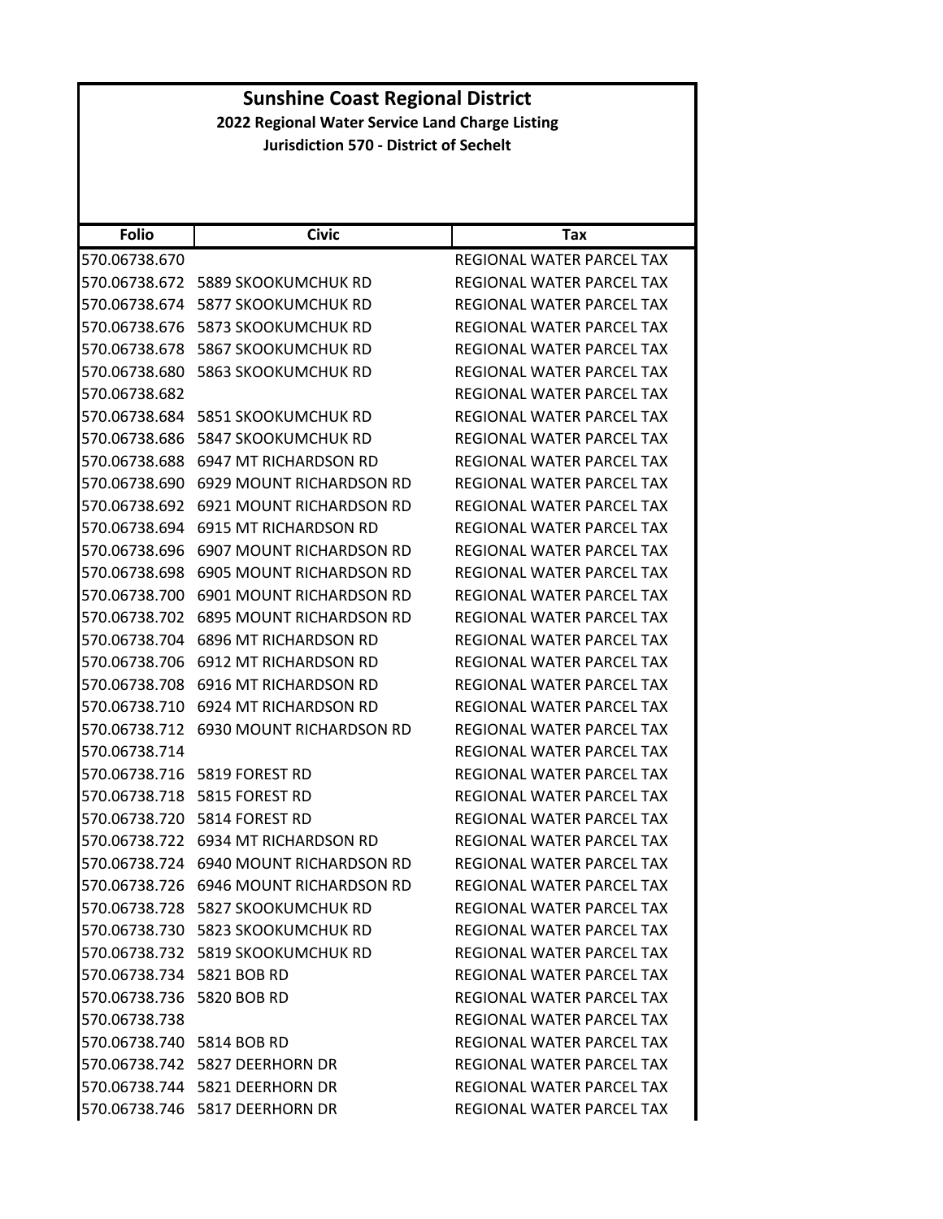| <b>Folio</b>              | <b>Civic</b>                      | Tax                       |
|---------------------------|-----------------------------------|---------------------------|
| 570.06738.670             |                                   | REGIONAL WATER PARCEL TAX |
| 570.06738.672             | 5889 SKOOKUMCHUK RD               | REGIONAL WATER PARCEL TAX |
| 570.06738.674             | <b>5877 SKOOKUMCHUK RD</b>        | REGIONAL WATER PARCEL TAX |
| 570.06738.676             | 5873 SKOOKUMCHUK RD               | REGIONAL WATER PARCEL TAX |
| 570.06738.678             | 5867 SKOOKUMCHUK RD               | REGIONAL WATER PARCEL TAX |
| 570.06738.680             | 5863 SKOOKUMCHUK RD               | REGIONAL WATER PARCEL TAX |
| 570.06738.682             |                                   | REGIONAL WATER PARCEL TAX |
| 570.06738.684             | 5851 SKOOKUMCHUK RD               | REGIONAL WATER PARCEL TAX |
| 570.06738.686             | 5847 SKOOKUMCHUK RD               | REGIONAL WATER PARCEL TAX |
| 570.06738.688             | 6947 MT RICHARDSON RD             | REGIONAL WATER PARCEL TAX |
| 570.06738.690             | 6929 MOUNT RICHARDSON RD          | REGIONAL WATER PARCEL TAX |
| 570.06738.692             | 6921 MOUNT RICHARDSON RD          | REGIONAL WATER PARCEL TAX |
| 570.06738.694             | 6915 MT RICHARDSON RD             | REGIONAL WATER PARCEL TAX |
| 570.06738.696             | <b>6907 MOUNT RICHARDSON RD</b>   | REGIONAL WATER PARCEL TAX |
| 570.06738.698             | 6905 MOUNT RICHARDSON RD          | REGIONAL WATER PARCEL TAX |
| 570.06738.700             | 6901 MOUNT RICHARDSON RD          | REGIONAL WATER PARCEL TAX |
| 570.06738.702             | 6895 MOUNT RICHARDSON RD          | REGIONAL WATER PARCEL TAX |
| 570.06738.704             | <b>6896 MT RICHARDSON RD</b>      | REGIONAL WATER PARCEL TAX |
| 570.06738.706             | 6912 MT RICHARDSON RD             | REGIONAL WATER PARCEL TAX |
| 570.06738.708             | 6916 MT RICHARDSON RD             | REGIONAL WATER PARCEL TAX |
| 570.06738.710             | 6924 MT RICHARDSON RD             | REGIONAL WATER PARCEL TAX |
| 570.06738.712             | 6930 MOUNT RICHARDSON RD          | REGIONAL WATER PARCEL TAX |
| 570.06738.714             |                                   | REGIONAL WATER PARCEL TAX |
| 570.06738.716             | 5819 FOREST RD                    | REGIONAL WATER PARCEL TAX |
| 570.06738.718             | 5815 FOREST RD                    | REGIONAL WATER PARCEL TAX |
| 570.06738.720             | 5814 FOREST RD                    | REGIONAL WATER PARCEL TAX |
| 570.06738.722             | 6934 MT RICHARDSON RD             | REGIONAL WATER PARCEL TAX |
| 570.06738.724             | 6940 MOUNT RICHARDSON RD          | REGIONAL WATER PARCEL TAX |
| 570.06738.726             | 6946 MOUNT RICHARDSON RD          | REGIONAL WATER PARCEL TAX |
|                           | 570.06738.728 5827 SKOOKUMCHUK RD | REGIONAL WATER PARCEL TAX |
|                           | 570.06738.730 5823 SKOOKUMCHUK RD | REGIONAL WATER PARCEL TAX |
|                           | 570.06738.732 5819 SKOOKUMCHUK RD | REGIONAL WATER PARCEL TAX |
| 570.06738.734 5821 BOB RD |                                   | REGIONAL WATER PARCEL TAX |
| 570.06738.736 5820 BOB RD |                                   | REGIONAL WATER PARCEL TAX |
| 570.06738.738             |                                   | REGIONAL WATER PARCEL TAX |
| 570.06738.740 5814 BOB RD |                                   | REGIONAL WATER PARCEL TAX |
|                           | 570.06738.742 5827 DEERHORN DR    | REGIONAL WATER PARCEL TAX |
|                           | 570.06738.744 5821 DEERHORN DR    | REGIONAL WATER PARCEL TAX |
|                           | 570.06738.746 5817 DEERHORN DR    | REGIONAL WATER PARCEL TAX |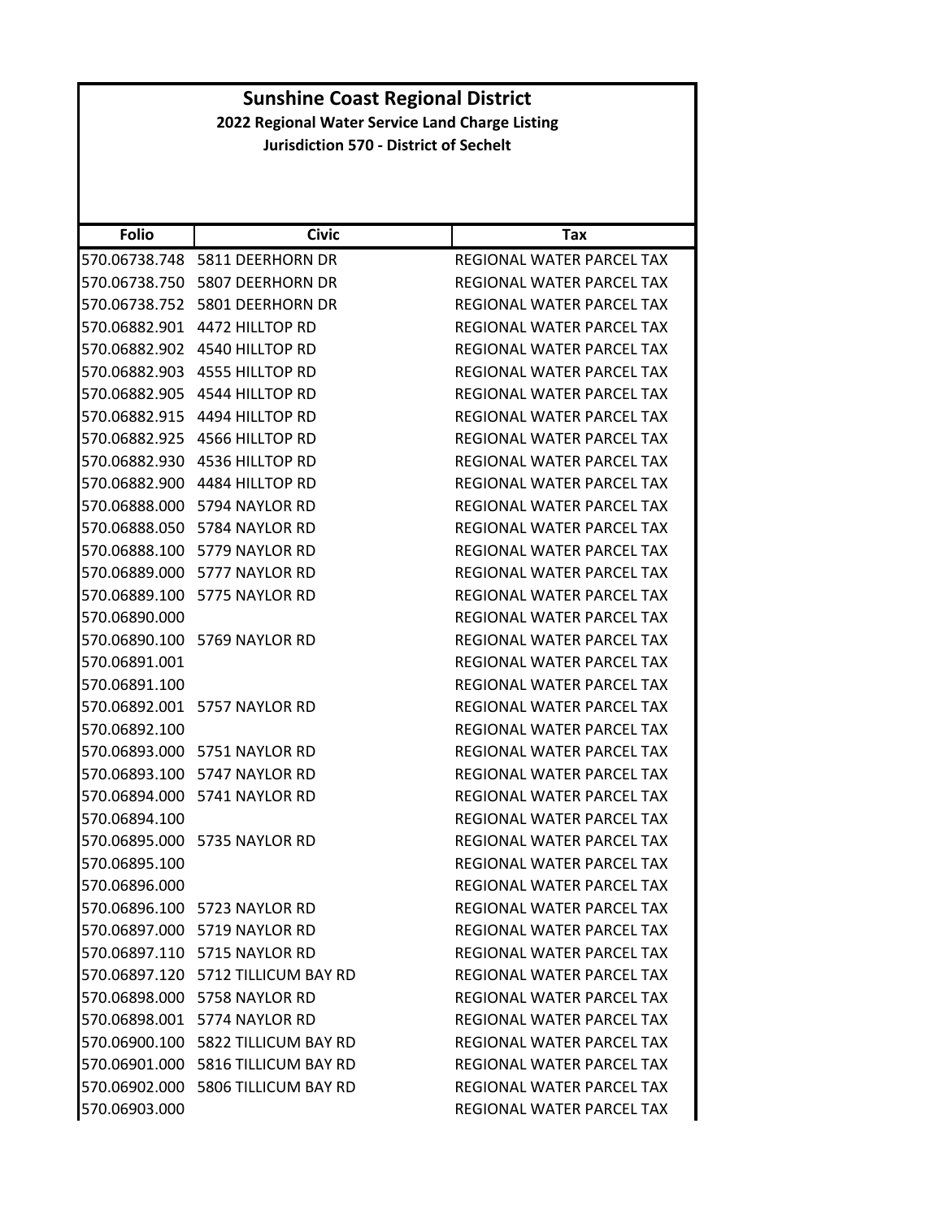| <b>Folio</b>  | <b>Civic</b>                          | Tax                              |
|---------------|---------------------------------------|----------------------------------|
|               | 570.06738.748    5811 DEERHORN DR     | REGIONAL WATER PARCEL TAX        |
|               | 570.06738.750    5807 DEERHORN DR     | <b>REGIONAL WATER PARCEL TAX</b> |
| 570.06738.752 | 5801 DEERHORN DR                      | REGIONAL WATER PARCEL TAX        |
| 570.06882.901 | 4472 HILLTOP RD                       | REGIONAL WATER PARCEL TAX        |
| 570.06882.902 | 4540 HILLTOP RD                       | REGIONAL WATER PARCEL TAX        |
| 570.06882.903 | 4555 HILLTOP RD                       | <b>REGIONAL WATER PARCEL TAX</b> |
|               | 570.06882.905 4544 HILLTOP RD         | REGIONAL WATER PARCEL TAX        |
| 570.06882.915 | 4494 HILLTOP RD                       | REGIONAL WATER PARCEL TAX        |
|               | 570.06882.925 4566 HILLTOP RD         | REGIONAL WATER PARCEL TAX        |
| 570.06882.930 | 4536 HILLTOP RD                       | REGIONAL WATER PARCEL TAX        |
|               | 570.06882.900 4484 HILLTOP RD         | REGIONAL WATER PARCEL TAX        |
|               | 570.06888.000    5794 NAYLOR RD       | REGIONAL WATER PARCEL TAX        |
|               | 570.06888.050    5784 NAYLOR RD       | REGIONAL WATER PARCEL TAX        |
|               | 570.06888.100 5779 NAYLOR RD          | REGIONAL WATER PARCEL TAX        |
|               | 570.06889.000 5777 NAYLOR RD          | REGIONAL WATER PARCEL TAX        |
|               | 570.06889.100 5775 NAYLOR RD          | REGIONAL WATER PARCEL TAX        |
| 570.06890.000 |                                       | REGIONAL WATER PARCEL TAX        |
|               | 570.06890.100 5769 NAYLOR RD          | <b>REGIONAL WATER PARCEL TAX</b> |
| 570.06891.001 |                                       | REGIONAL WATER PARCEL TAX        |
| 570.06891.100 |                                       | REGIONAL WATER PARCEL TAX        |
|               | 570.06892.001    5757 NAYLOR RD       | REGIONAL WATER PARCEL TAX        |
| 570.06892.100 |                                       | REGIONAL WATER PARCEL TAX        |
|               | 570.06893.000 5751 NAYLOR RD          | REGIONAL WATER PARCEL TAX        |
|               | 570.06893.100 5747 NAYLOR RD          | REGIONAL WATER PARCEL TAX        |
|               | 570.06894.000 5741 NAYLOR RD          | REGIONAL WATER PARCEL TAX        |
| 570.06894.100 |                                       | REGIONAL WATER PARCEL TAX        |
|               | 570.06895.000    5735 NAYLOR RD       | REGIONAL WATER PARCEL TAX        |
| 570.06895.100 |                                       | REGIONAL WATER PARCEL TAX        |
| 570.06896.000 |                                       | REGIONAL WATER PARCEL TAX        |
|               | 570.06896.100 5723 NAYLOR RD          | REGIONAL WATER PARCEL TAX        |
|               | 570.06897.000 5719 NAYLOR RD          | REGIONAL WATER PARCEL TAX        |
|               | 570.06897.110 5715 NAYLOR RD          | REGIONAL WATER PARCEL TAX        |
|               | 570.06897.120    5712 TILLICUM BAY RD | REGIONAL WATER PARCEL TAX        |
|               | 570.06898.000    5758 NAYLOR RD       | REGIONAL WATER PARCEL TAX        |
|               | 570.06898.001 5774 NAYLOR RD          | REGIONAL WATER PARCEL TAX        |
|               | 570.06900.100 5822 TILLICUM BAY RD    | REGIONAL WATER PARCEL TAX        |
|               | 570.06901.000 5816 TILLICUM BAY RD    | REGIONAL WATER PARCEL TAX        |
|               | 570.06902.000 5806 TILLICUM BAY RD    | REGIONAL WATER PARCEL TAX        |
| 570.06903.000 |                                       | REGIONAL WATER PARCEL TAX        |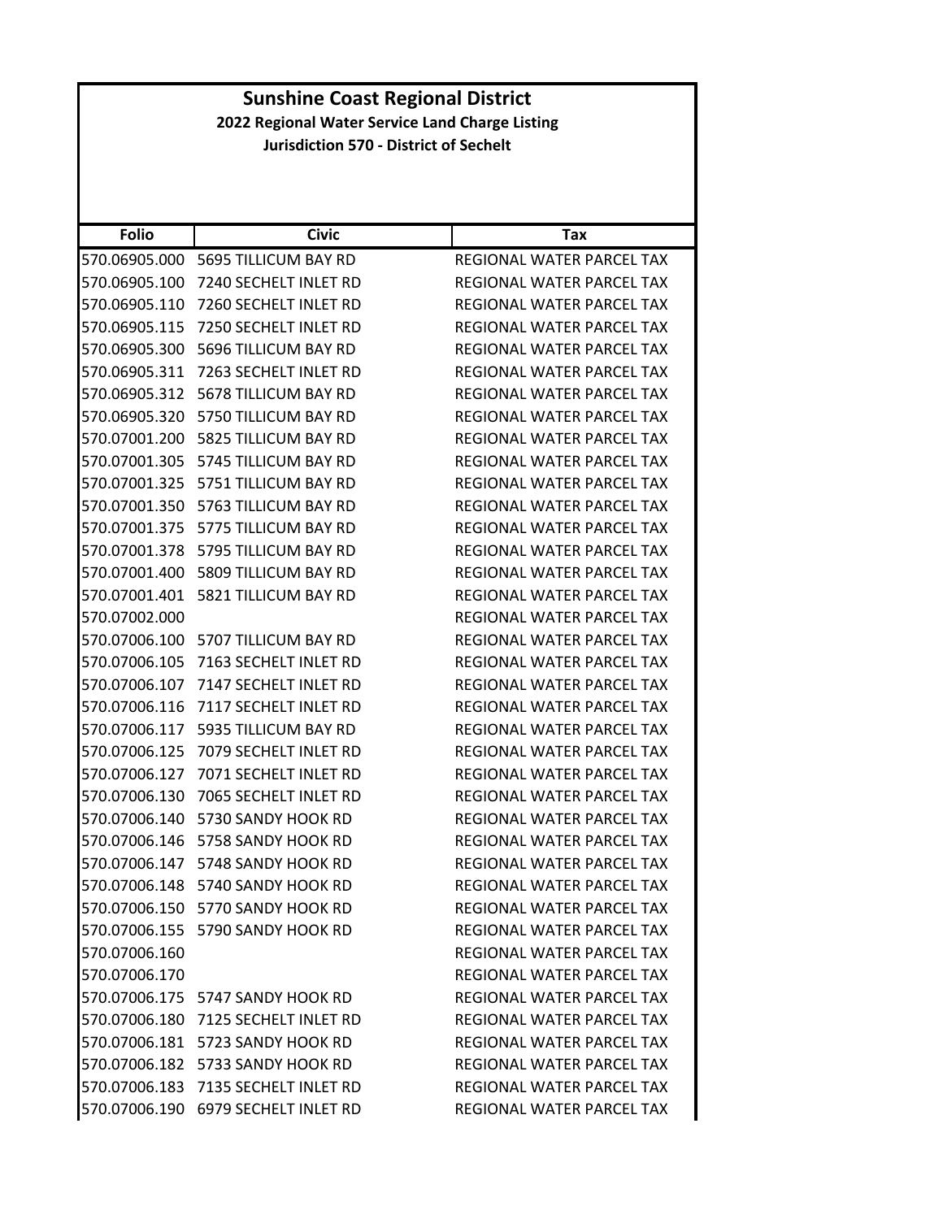| <b>Sunshine Coast Regional District</b>         |                                       |                                  |
|-------------------------------------------------|---------------------------------------|----------------------------------|
| 2022 Regional Water Service Land Charge Listing |                                       |                                  |
| <b>Jurisdiction 570 - District of Sechelt</b>   |                                       |                                  |
|                                                 |                                       |                                  |
|                                                 |                                       |                                  |
| <b>Folio</b>                                    | <b>Civic</b>                          | <b>Tax</b>                       |
|                                                 | 570.06905.000 5695 TILLICUM BAY RD    | REGIONAL WATER PARCEL TAX        |
| 570.06905.100                                   | 7240 SECHELT INLET RD                 | REGIONAL WATER PARCEL TAX        |
| 570.06905.110                                   | 7260 SECHELT INLET RD                 | REGIONAL WATER PARCEL TAX        |
| 570.06905.115                                   | 7250 SECHELT INLET RD                 | REGIONAL WATER PARCEL TAX        |
|                                                 | 570.06905.300 5696 TILLICUM BAY RD    | REGIONAL WATER PARCEL TAX        |
| 570.06905.311                                   | 7263 SECHELT INLET RD                 | REGIONAL WATER PARCEL TAX        |
| 570.06905.312                                   | 5678 TILLICUM BAY RD                  | REGIONAL WATER PARCEL TAX        |
| 570.06905.320                                   | 5750 TILLICUM BAY RD                  | REGIONAL WATER PARCEL TAX        |
| 570.07001.200                                   | 5825 TILLICUM BAY RD                  | REGIONAL WATER PARCEL TAX        |
|                                                 | 570.07001.305 5745 TILLICUM BAY RD    | REGIONAL WATER PARCEL TAX        |
|                                                 | 570.07001.325    5751 TILLICUM BAY RD | REGIONAL WATER PARCEL TAX        |
|                                                 | 570.07001.350 5763 TILLICUM BAY RD    | REGIONAL WATER PARCEL TAX        |
| 570.07001.375                                   | 5775 TILLICUM BAY RD                  | <b>REGIONAL WATER PARCEL TAX</b> |
|                                                 | 570.07001.378 5795 TILLICUM BAY RD    | REGIONAL WATER PARCEL TAX        |
| 570.07001.400                                   | 5809 TILLICUM BAY RD                  | REGIONAL WATER PARCEL TAX        |
|                                                 | 570.07001.401    5821 TILLICUM BAY RD | REGIONAL WATER PARCEL TAX        |
| 570.07002.000                                   |                                       | REGIONAL WATER PARCEL TAX        |
| 570.07006.100                                   | 5707 TILLICUM BAY RD                  | REGIONAL WATER PARCEL TAX        |
|                                                 | 570.07006.105 7163 SECHELT INLET RD   | REGIONAL WATER PARCEL TAX        |
| 570.07006.107                                   | 7147 SECHELT INLET RD                 | REGIONAL WATER PARCEL TAX        |
|                                                 | 570.07006.116 7117 SECHELT INLET RD   | REGIONAL WATER PARCEL TAX        |
|                                                 | 570.07006.117    5935 TILLICUM BAY RD | <b>REGIONAL WATER PARCEL TAX</b> |
| 570.07006.125                                   | 7079 SECHELT INLET RD                 | <b>REGIONAL WATER PARCEL TAX</b> |
|                                                 | 570.07006.127 7071 SECHELT INLET RD   | REGIONAL WATER PARCEL TAX        |
|                                                 | 570.07006.130 7065 SECHELT INLET RD   | REGIONAL WATER PARCEL TAX        |
|                                                 | 570.07006.140 5730 SANDY HOOK RD      | REGIONAL WATER PARCEL TAX        |
|                                                 | 570.07006.146 5758 SANDY HOOK RD      | REGIONAL WATER PARCEL TAX        |
|                                                 | 570.07006.147 5748 SANDY HOOK RD      | REGIONAL WATER PARCEL TAX        |
|                                                 | 570.07006.148 5740 SANDY HOOK RD      | REGIONAL WATER PARCEL TAX        |
|                                                 | 570.07006.150 5770 SANDY HOOK RD      | REGIONAL WATER PARCEL TAX        |
|                                                 | 570.07006.155 5790 SANDY HOOK RD      | REGIONAL WATER PARCEL TAX        |
| 570.07006.160                                   |                                       | REGIONAL WATER PARCEL TAX        |
| 570.07006.170                                   |                                       | REGIONAL WATER PARCEL TAX        |
|                                                 | 570.07006.175 5747 SANDY HOOK RD      | REGIONAL WATER PARCEL TAX        |
|                                                 | 570.07006.180 7125 SECHELT INLET RD   | REGIONAL WATER PARCEL TAX        |
|                                                 | 570.07006.181 5723 SANDY HOOK RD      | REGIONAL WATER PARCEL TAX        |
|                                                 | 570.07006.182 5733 SANDY HOOK RD      | REGIONAL WATER PARCEL TAX        |
|                                                 | 570.07006.183 7135 SECHELT INLET RD   | REGIONAL WATER PARCEL TAX        |
| 570.07006.190                                   | 6979 SECHELT INLET RD                 | REGIONAL WATER PARCEL TAX        |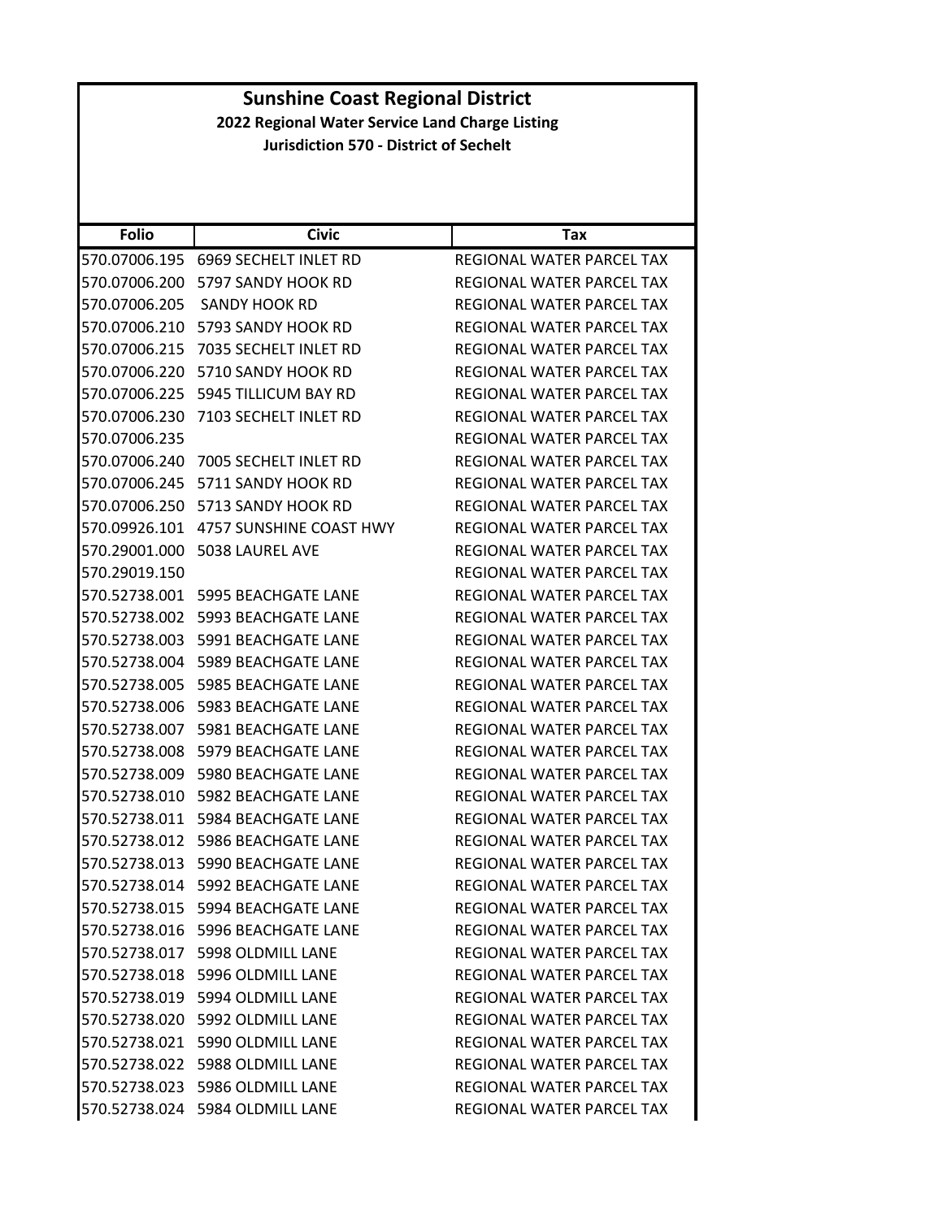|                                                 |                                         | <b>Sunshine Coast Regional District</b> |  |  |
|-------------------------------------------------|-----------------------------------------|-----------------------------------------|--|--|
| 2022 Regional Water Service Land Charge Listing |                                         |                                         |  |  |
| <b>Jurisdiction 570 - District of Sechelt</b>   |                                         |                                         |  |  |
|                                                 |                                         |                                         |  |  |
|                                                 |                                         |                                         |  |  |
| <b>Folio</b>                                    | <b>Civic</b>                            | Tax                                     |  |  |
|                                                 | 570.07006.195 6969 SECHELT INLET RD     |                                         |  |  |
|                                                 | 570.07006.200 5797 SANDY HOOK RD        | REGIONAL WATER PARCEL TAX               |  |  |
|                                                 |                                         | REGIONAL WATER PARCEL TAX               |  |  |
|                                                 | 570.07006.205 SANDY HOOK RD             | <b>REGIONAL WATER PARCEL TAX</b>        |  |  |
| 570.07006.210                                   | 5793 SANDY HOOK RD                      | REGIONAL WATER PARCEL TAX               |  |  |
|                                                 | 570.07006.215 7035 SECHELT INLET RD     | REGIONAL WATER PARCEL TAX               |  |  |
|                                                 | 570.07006.220 5710 SANDY HOOK RD        | REGIONAL WATER PARCEL TAX               |  |  |
|                                                 | 570.07006.225 5945 TILLICUM BAY RD      | <b>REGIONAL WATER PARCEL TAX</b>        |  |  |
|                                                 | 570.07006.230 7103 SECHELT INLET RD     | REGIONAL WATER PARCEL TAX               |  |  |
| 570.07006.235                                   |                                         | <b>REGIONAL WATER PARCEL TAX</b>        |  |  |
|                                                 | 570.07006.240 7005 SECHELT INLET RD     | REGIONAL WATER PARCEL TAX               |  |  |
|                                                 | 570.07006.245 5711 SANDY HOOK RD        | REGIONAL WATER PARCEL TAX               |  |  |
|                                                 | 570.07006.250 5713 SANDY HOOK RD        | REGIONAL WATER PARCEL TAX               |  |  |
|                                                 | 570.09926.101 4757 SUNSHINE COAST HWY   | REGIONAL WATER PARCEL TAX               |  |  |
| 570.29001.000                                   | 5038 LAUREL AVE                         | REGIONAL WATER PARCEL TAX               |  |  |
| 570.29019.150                                   |                                         | REGIONAL WATER PARCEL TAX               |  |  |
|                                                 | 570.52738.001 5995 BEACHGATE LANE       | REGIONAL WATER PARCEL TAX               |  |  |
|                                                 | 570.52738.002 5993 BEACHGATE LANE       | REGIONAL WATER PARCEL TAX               |  |  |
|                                                 | 570.52738.003 5991 BEACHGATE LANE       | REGIONAL WATER PARCEL TAX               |  |  |
|                                                 | 570.52738.004 5989 BEACHGATE LANE       | REGIONAL WATER PARCEL TAX               |  |  |
|                                                 | 570.52738.005 5985 BEACHGATE LANE       | <b>REGIONAL WATER PARCEL TAX</b>        |  |  |
|                                                 | 570.52738.006    5983    BEACHGATE LANE | REGIONAL WATER PARCEL TAX               |  |  |
|                                                 | 570.52738.007 5981 BEACHGATE LANE       | REGIONAL WATER PARCEL TAX               |  |  |
|                                                 | 570.52738.008 5979 BEACHGATE LANE       | REGIONAL WATER PARCEL TAX               |  |  |
|                                                 | 570.52738.009 5980 BEACHGATE LANE       | REGIONAL WATER PARCEL TAX               |  |  |
|                                                 | 570.52738.010 5982 BEACHGATE LANE       | REGIONAL WATER PARCEL TAX               |  |  |
|                                                 | 570.52738.011    5984 BEACHGATE LANE    | REGIONAL WATER PARCEL TAX               |  |  |
|                                                 | 570.52738.012 5986 BEACHGATE LANE       | REGIONAL WATER PARCEL TAX               |  |  |
|                                                 | 570.52738.013 5990 BEACHGATE LANE       | REGIONAL WATER PARCEL TAX               |  |  |
|                                                 | 570.52738.014 5992 BEACHGATE LANE       | REGIONAL WATER PARCEL TAX               |  |  |
|                                                 | 570.52738.015    5994    BEACHGATE LANE | REGIONAL WATER PARCEL TAX               |  |  |
|                                                 | 570.52738.016    5996 BEACHGATE LANE    | REGIONAL WATER PARCEL TAX               |  |  |
|                                                 | 570.52738.017 5998 OLDMILL LANE         | REGIONAL WATER PARCEL TAX               |  |  |
|                                                 | 570.52738.018 5996 OLDMILL LANE         | REGIONAL WATER PARCEL TAX               |  |  |
|                                                 | 570.52738.019 5994 OLDMILL LANE         | REGIONAL WATER PARCEL TAX               |  |  |
|                                                 | 570.52738.020 5992 OLDMILL LANE         | REGIONAL WATER PARCEL TAX               |  |  |
|                                                 | 570.52738.021 5990 OLDMILL LANE         | REGIONAL WATER PARCEL TAX               |  |  |
|                                                 | 570.52738.022 5988 OLDMILL LANE         | REGIONAL WATER PARCEL TAX               |  |  |
|                                                 | 570.52738.023 5986 OLDMILL LANE         | REGIONAL WATER PARCEL TAX               |  |  |
|                                                 |                                         |                                         |  |  |
|                                                 | 570.52738.024 5984 OLDMILL LANE         | REGIONAL WATER PARCEL TAX               |  |  |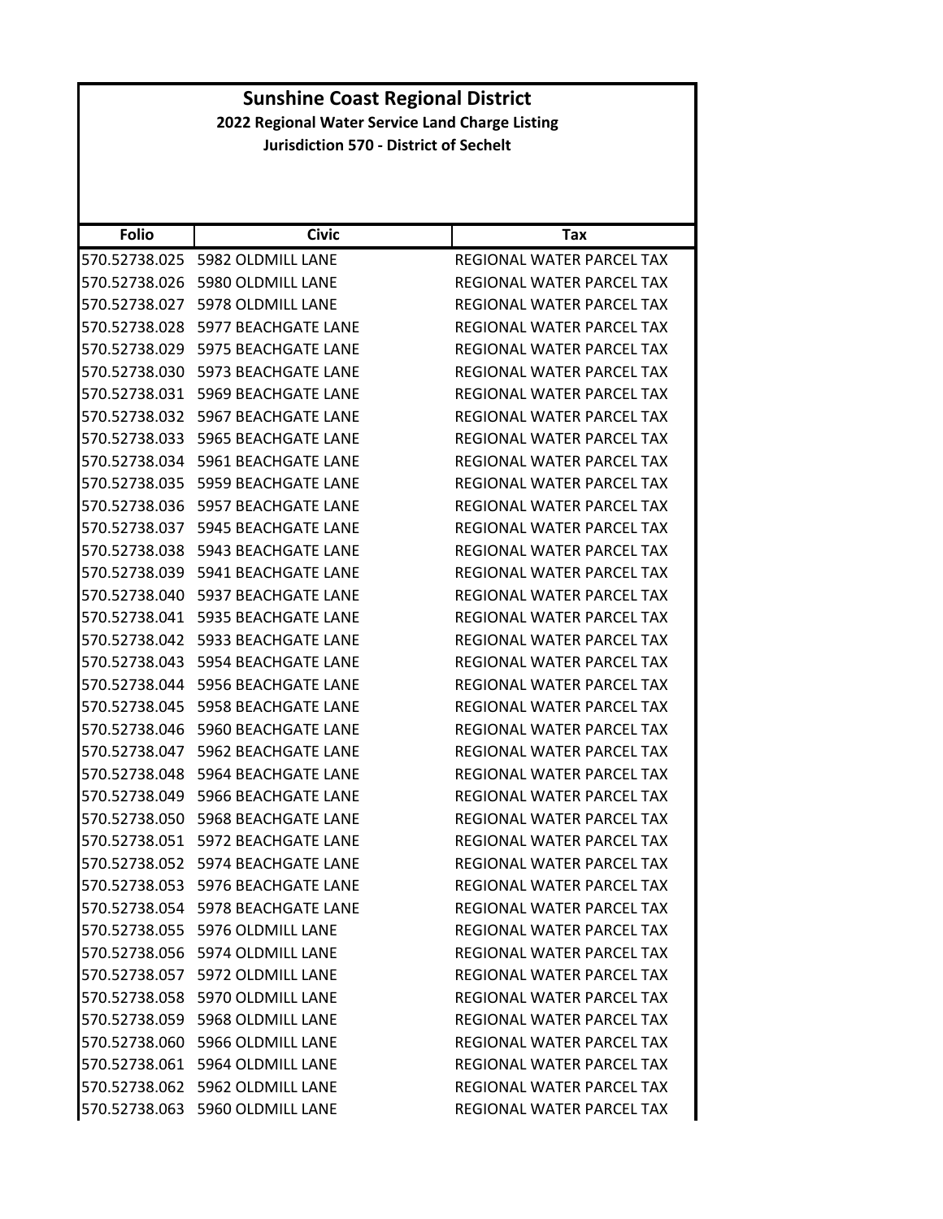| <b>Folio</b>  | <b>Civic</b>                      | Tax                              |
|---------------|-----------------------------------|----------------------------------|
| 570.52738.025 | 5982 OLDMILL LANE                 | REGIONAL WATER PARCEL TAX        |
| 570.52738.026 | 5980 OLDMILL LANE                 | REGIONAL WATER PARCEL TAX        |
| 570.52738.027 | 5978 OLDMILL LANE                 | <b>REGIONAL WATER PARCEL TAX</b> |
| 570.52738.028 | 5977 BEACHGATE LANE               | REGIONAL WATER PARCEL TAX        |
| 570.52738.029 | 5975 BEACHGATE LANE               | REGIONAL WATER PARCEL TAX        |
| 570.52738.030 | 5973 BEACHGATE LANE               | REGIONAL WATER PARCEL TAX        |
| 570.52738.031 | <b>5969 BEACHGATE LANE</b>        | REGIONAL WATER PARCEL TAX        |
| 570.52738.032 | <b>5967 BEACHGATE LANE</b>        | REGIONAL WATER PARCEL TAX        |
| 570.52738.033 | 5965 BEACHGATE LANE               | REGIONAL WATER PARCEL TAX        |
| 570.52738.034 | 5961 BEACHGATE LANE               | REGIONAL WATER PARCEL TAX        |
| 570.52738.035 | 5959 BEACHGATE LANE               | REGIONAL WATER PARCEL TAX        |
| 570.52738.036 | 5957 BEACHGATE LANE               | REGIONAL WATER PARCEL TAX        |
| 570.52738.037 | <b>5945 BEACHGATE LANE</b>        | REGIONAL WATER PARCEL TAX        |
| 570.52738.038 | 5943 BEACHGATE LANE               | REGIONAL WATER PARCEL TAX        |
| 570.52738.039 | <b>5941 BEACHGATE LANE</b>        | <b>REGIONAL WATER PARCEL TAX</b> |
| 570.52738.040 | 5937 BEACHGATE LANE               | <b>REGIONAL WATER PARCEL TAX</b> |
| 570.52738.041 | 5935 BEACHGATE LANE               | REGIONAL WATER PARCEL TAX        |
| 570.52738.042 | 5933 BEACHGATE LANE               | REGIONAL WATER PARCEL TAX        |
| 570.52738.043 | 5954 BEACHGATE LANE               | REGIONAL WATER PARCEL TAX        |
| 570.52738.044 | <b>5956 BEACHGATE LANE</b>        | REGIONAL WATER PARCEL TAX        |
| 570.52738.045 | 5958 BEACHGATE LANE               | REGIONAL WATER PARCEL TAX        |
| 570.52738.046 | 5960 BEACHGATE LANE               | REGIONAL WATER PARCEL TAX        |
| 570.52738.047 | 5962 BEACHGATE LANE               | REGIONAL WATER PARCEL TAX        |
| 570.52738.048 | 5964 BEACHGATE LANE               | REGIONAL WATER PARCEL TAX        |
| 570.52738.049 | <b>5966 BEACHGATE LANE</b>        | REGIONAL WATER PARCEL TAX        |
| 570.52738.050 | <b>5968 BEACHGATE LANE</b>        | REGIONAL WATER PARCEL TAX        |
| 570.52738.051 | 5972 BEACHGATE LANE               | REGIONAL WATER PARCEL TAX        |
| 570.52738.052 | 5974 BEACHGATE LANE               | <b>REGIONAL WATER PARCEL TAX</b> |
| 570.52738.053 | 5976 BEACHGATE LANE               | REGIONAL WATER PARCEL TAX        |
|               | 570.52738.054 5978 BEACHGATE LANE | <b>REGIONAL WATER PARCEL TAX</b> |
|               | 570.52738.055 5976 OLDMILL LANE   | REGIONAL WATER PARCEL TAX        |
|               | 570.52738.056 5974 OLDMILL LANE   | REGIONAL WATER PARCEL TAX        |
|               | 570.52738.057 5972 OLDMILL LANE   | <b>REGIONAL WATER PARCEL TAX</b> |
|               | 570.52738.058 5970 OLDMILL LANE   | REGIONAL WATER PARCEL TAX        |
|               | 570.52738.059 5968 OLDMILL LANE   | REGIONAL WATER PARCEL TAX        |
|               | 570.52738.060 5966 OLDMILL LANE   | REGIONAL WATER PARCEL TAX        |
|               | 570.52738.061 5964 OLDMILL LANE   | REGIONAL WATER PARCEL TAX        |
|               | 570.52738.062 5962 OLDMILL LANE   | REGIONAL WATER PARCEL TAX        |
|               | 570.52738.063 5960 OLDMILL LANE   | REGIONAL WATER PARCEL TAX        |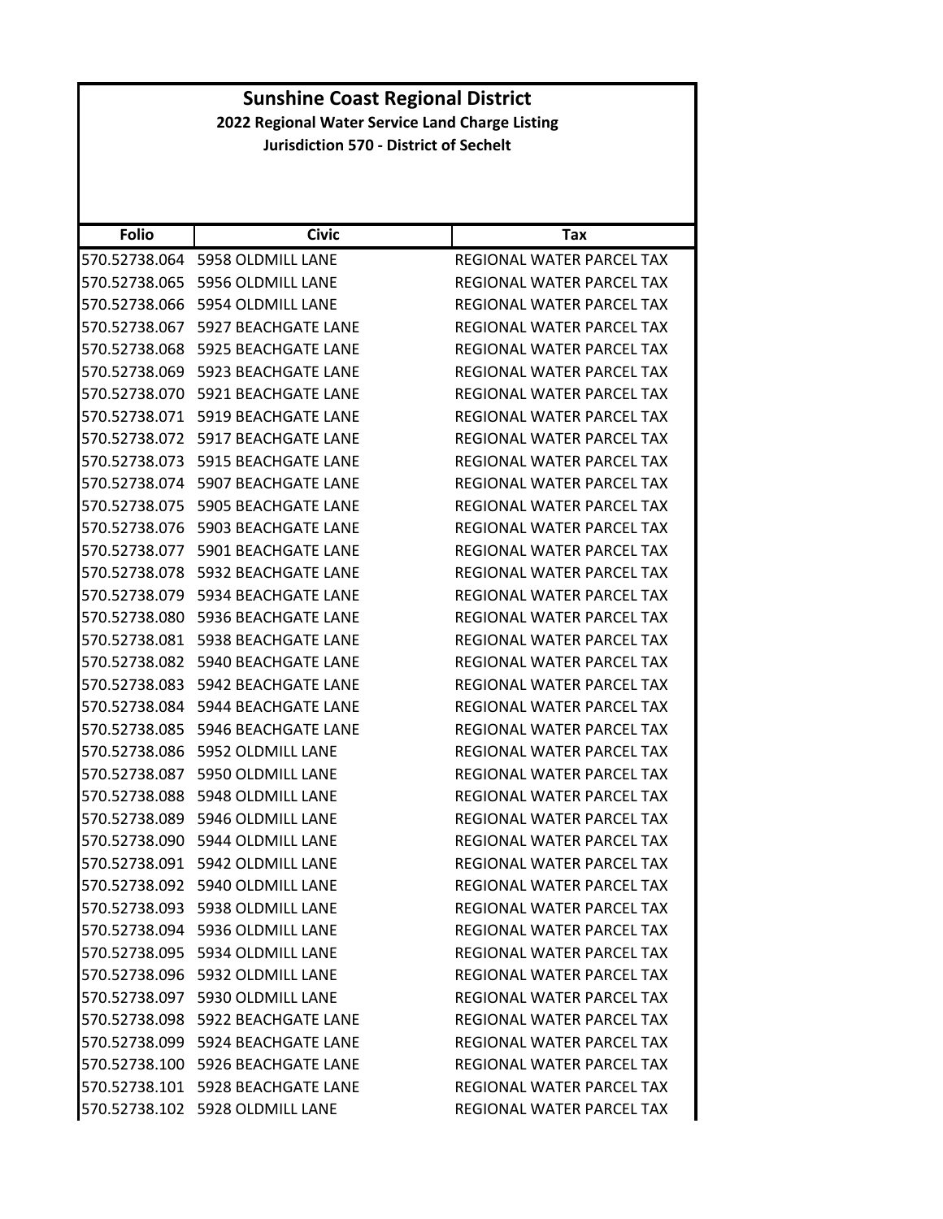| <b>Folio</b>  | <b>Civic</b>                         | Tax                              |
|---------------|--------------------------------------|----------------------------------|
| 570.52738.064 | 5958 OLDMILL LANE                    | REGIONAL WATER PARCEL TAX        |
| 570.52738.065 | 5956 OLDMILL LANE                    | <b>REGIONAL WATER PARCEL TAX</b> |
| 570.52738.066 | 5954 OLDMILL LANE                    | REGIONAL WATER PARCEL TAX        |
| 570.52738.067 | 5927 BEACHGATE LANE                  | REGIONAL WATER PARCEL TAX        |
| 570.52738.068 | 5925 BEACHGATE LANE                  | REGIONAL WATER PARCEL TAX        |
| 570.52738.069 | 5923 BEACHGATE LANE                  | REGIONAL WATER PARCEL TAX        |
| 570.52738.070 | 5921 BEACHGATE LANE                  | REGIONAL WATER PARCEL TAX        |
| 570.52738.071 | 5919 BEACHGATE LANE                  | REGIONAL WATER PARCEL TAX        |
| 570.52738.072 | 5917 BEACHGATE LANE                  | REGIONAL WATER PARCEL TAX        |
| 570.52738.073 | 5915 BEACHGATE LANE                  | REGIONAL WATER PARCEL TAX        |
| 570.52738.074 | 5907 BEACHGATE LANE                  | REGIONAL WATER PARCEL TAX        |
| 570.52738.075 | 5905 BEACHGATE LANE                  | REGIONAL WATER PARCEL TAX        |
| 570.52738.076 | 5903 BEACHGATE LANE                  | REGIONAL WATER PARCEL TAX        |
| 570.52738.077 | 5901 BEACHGATE LANE                  | REGIONAL WATER PARCEL TAX        |
| 570.52738.078 | 5932 BEACHGATE LANE                  | REGIONAL WATER PARCEL TAX        |
| 570.52738.079 | <b>5934 BEACHGATE LANE</b>           | REGIONAL WATER PARCEL TAX        |
| 570.52738.080 | 5936 BEACHGATE LANE                  | REGIONAL WATER PARCEL TAX        |
| 570.52738.081 | <b>5938 BEACHGATE LANE</b>           | REGIONAL WATER PARCEL TAX        |
| 570.52738.082 | 5940 BEACHGATE LANE                  | REGIONAL WATER PARCEL TAX        |
| 570.52738.083 | 5942 BEACHGATE LANE                  | REGIONAL WATER PARCEL TAX        |
| 570.52738.084 | 5944 BEACHGATE LANE                  | REGIONAL WATER PARCEL TAX        |
| 570.52738.085 | 5946 BEACHGATE LANE                  | REGIONAL WATER PARCEL TAX        |
| 570.52738.086 | 5952 OLDMILL LANE                    | REGIONAL WATER PARCEL TAX        |
| 570.52738.087 | 5950 OLDMILL LANE                    | REGIONAL WATER PARCEL TAX        |
| 570.52738.088 | 5948 OLDMILL LANE                    | REGIONAL WATER PARCEL TAX        |
| 570.52738.089 | 5946 OLDMILL LANE                    | REGIONAL WATER PARCEL TAX        |
| 570.52738.090 | 5944 OLDMILL LANE                    | REGIONAL WATER PARCEL TAX        |
| 570.52738.091 | 5942 OLDMILL LANE                    | REGIONAL WATER PARCEL TAX        |
| 570.52738.092 | 5940 OLDMILL LANE                    | REGIONAL WATER PARCEL TAX        |
|               | 570.52738.093 5938 OLDMILL LANE      | REGIONAL WATER PARCEL TAX        |
|               | 570.52738.094 5936 OLDMILL LANE      | REGIONAL WATER PARCEL TAX        |
|               | 570.52738.095    5934 OLDMILL LANE   | <b>REGIONAL WATER PARCEL TAX</b> |
|               | 570.52738.096    5932 OLDMILL LANE   | REGIONAL WATER PARCEL TAX        |
|               | 570.52738.097 5930 OLDMILL LANE      | REGIONAL WATER PARCEL TAX        |
|               | 570.52738.098 5922 BEACHGATE LANE    | REGIONAL WATER PARCEL TAX        |
|               | 570.52738.099 5924 BEACHGATE LANE    | REGIONAL WATER PARCEL TAX        |
|               | 570.52738.100 5926 BEACHGATE LANE    | REGIONAL WATER PARCEL TAX        |
|               | 570.52738.101    5928 BEACHGATE LANE | REGIONAL WATER PARCEL TAX        |
|               | 570.52738.102 5928 OLDMILL LANE      | REGIONAL WATER PARCEL TAX        |